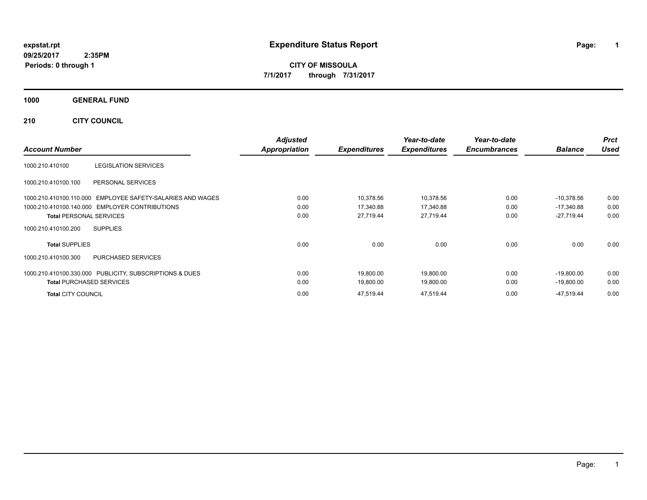# **expstat.rpt Expenditure Status Report Page:**

**1**

**CITY OF MISSOULA 7/1/2017 through 7/31/2017**

# **1000 GENERAL FUND**

# **210 CITY COUNCIL**

| <b>Account Number</b>                                         | <b>Adjusted</b><br>Appropriation | <b>Expenditures</b> | Year-to-date<br><b>Expenditures</b> | Year-to-date<br><b>Encumbrances</b> | <b>Balance</b> | <b>Prct</b><br>Used |
|---------------------------------------------------------------|----------------------------------|---------------------|-------------------------------------|-------------------------------------|----------------|---------------------|
| 1000.210.410100<br><b>LEGISLATION SERVICES</b>                |                                  |                     |                                     |                                     |                |                     |
|                                                               |                                  |                     |                                     |                                     |                |                     |
| 1000.210.410100.100<br>PERSONAL SERVICES                      |                                  |                     |                                     |                                     |                |                     |
| EMPLOYEE SAFETY-SALARIES AND WAGES<br>1000.210.410100.110.000 | 0.00                             | 10,378.56           | 10,378.56                           | 0.00                                | $-10,378.56$   | 0.00                |
| 1000.210.410100.140.000 EMPLOYER CONTRIBUTIONS                | 0.00                             | 17,340.88           | 17,340.88                           | 0.00                                | $-17,340.88$   | 0.00                |
| <b>Total PERSONAL SERVICES</b>                                | 0.00                             | 27.719.44           | 27,719.44                           | 0.00                                | $-27,719.44$   | 0.00                |
| <b>SUPPLIES</b><br>1000.210.410100.200                        |                                  |                     |                                     |                                     |                |                     |
| <b>Total SUPPLIES</b>                                         | 0.00                             | 0.00                | 0.00                                | 0.00                                | 0.00           | 0.00                |
| <b>PURCHASED SERVICES</b><br>1000.210.410100.300              |                                  |                     |                                     |                                     |                |                     |
| 1000.210.410100.330.000 PUBLICITY, SUBSCRIPTIONS & DUES       | 0.00                             | 19,800.00           | 19,800.00                           | 0.00                                | $-19,800.00$   | 0.00                |
| <b>Total PURCHASED SERVICES</b>                               | 0.00                             | 19,800.00           | 19,800.00                           | 0.00                                | $-19,800.00$   | 0.00                |
| <b>Total CITY COUNCIL</b>                                     | 0.00                             | 47,519.44           | 47,519.44                           | 0.00                                | -47,519.44     | 0.00                |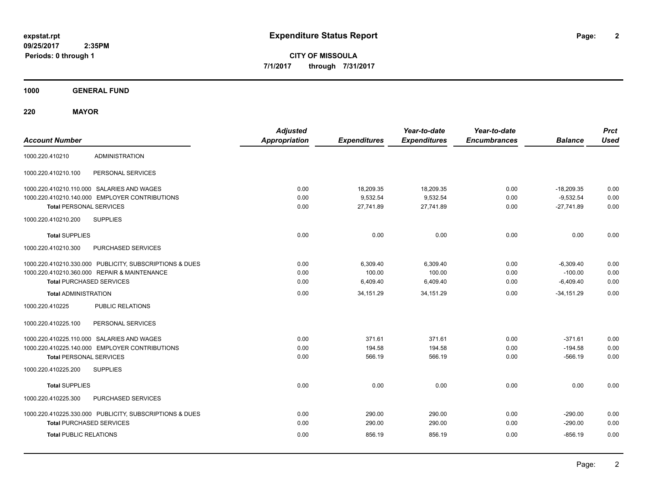**2**

**CITY OF MISSOULA 7/1/2017 through 7/31/2017**

**1000 GENERAL FUND**

**220 MAYOR**

| <b>Account Number</b>                                                                                                                                                     | <b>Adjusted</b><br><b>Appropriation</b> | <b>Expenditures</b>                         | Year-to-date<br><b>Expenditures</b>          | Year-to-date<br><b>Encumbrances</b> | <b>Balance</b>                                           | <b>Prct</b><br><b>Used</b>   |
|---------------------------------------------------------------------------------------------------------------------------------------------------------------------------|-----------------------------------------|---------------------------------------------|----------------------------------------------|-------------------------------------|----------------------------------------------------------|------------------------------|
| <b>ADMINISTRATION</b><br>1000.220.410210                                                                                                                                  |                                         |                                             |                                              |                                     |                                                          |                              |
| 1000.220.410210.100<br>PERSONAL SERVICES                                                                                                                                  |                                         |                                             |                                              |                                     |                                                          |                              |
| 1000.220.410210.110.000 SALARIES AND WAGES<br>1000.220.410210.140.000 EMPLOYER CONTRIBUTIONS<br><b>Total PERSONAL SERVICES</b><br><b>SUPPLIES</b><br>1000.220.410210.200  | 0.00<br>0.00<br>0.00                    | 18,209.35<br>9.532.54<br>27,741.89          | 18,209.35<br>9,532.54<br>27,741.89           | 0.00<br>0.00<br>0.00                | $-18,209.35$<br>$-9,532.54$<br>$-27,741.89$              | 0.00<br>0.00<br>0.00         |
| <b>Total SUPPLIES</b><br>1000.220.410210.300<br>PURCHASED SERVICES                                                                                                        | 0.00                                    | 0.00                                        | 0.00                                         | 0.00                                | 0.00                                                     | 0.00                         |
| 1000.220.410210.330.000 PUBLICITY, SUBSCRIPTIONS & DUES<br>1000.220.410210.360.000 REPAIR & MAINTENANCE<br><b>Total PURCHASED SERVICES</b><br><b>Total ADMINISTRATION</b> | 0.00<br>0.00<br>0.00<br>0.00            | 6,309.40<br>100.00<br>6,409.40<br>34,151.29 | 6,309.40<br>100.00<br>6,409.40<br>34, 151.29 | 0.00<br>0.00<br>0.00<br>0.00        | $-6,309.40$<br>$-100.00$<br>$-6.409.40$<br>$-34, 151.29$ | 0.00<br>0.00<br>0.00<br>0.00 |
| 1000.220.410225<br><b>PUBLIC RELATIONS</b>                                                                                                                                |                                         |                                             |                                              |                                     |                                                          |                              |
| PERSONAL SERVICES<br>1000.220.410225.100                                                                                                                                  |                                         |                                             |                                              |                                     |                                                          |                              |
| 1000.220.410225.110.000 SALARIES AND WAGES<br>1000.220.410225.140.000 EMPLOYER CONTRIBUTIONS<br><b>Total PERSONAL SERVICES</b><br><b>SUPPLIES</b><br>1000.220.410225.200  | 0.00<br>0.00<br>0.00                    | 371.61<br>194.58<br>566.19                  | 371.61<br>194.58<br>566.19                   | 0.00<br>0.00<br>0.00                | $-371.61$<br>$-194.58$<br>$-566.19$                      | 0.00<br>0.00<br>0.00         |
| <b>Total SUPPLIES</b>                                                                                                                                                     | 0.00                                    | 0.00                                        | 0.00                                         | 0.00                                | 0.00                                                     | 0.00                         |
| 1000.220.410225.300<br>PURCHASED SERVICES<br>1000.220.410225.330.000 PUBLICITY, SUBSCRIPTIONS & DUES<br><b>Total PURCHASED SERVICES</b><br><b>Total PUBLIC RELATIONS</b>  | 0.00<br>0.00<br>0.00                    | 290.00<br>290.00<br>856.19                  | 290.00<br>290.00<br>856.19                   | 0.00<br>0.00<br>0.00                | $-290.00$<br>$-290.00$<br>$-856.19$                      | 0.00<br>0.00<br>0.00         |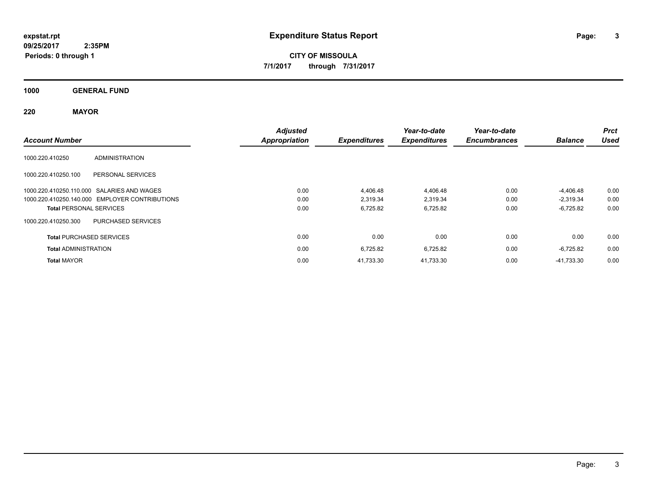**CITY OF MISSOULA 7/1/2017 through 7/31/2017**

**1000 GENERAL FUND**

**220 MAYOR**

| <b>Account Number</b>                            | <b>Adjusted</b><br><b>Appropriation</b> | <b>Expenditures</b> | Year-to-date<br><b>Expenditures</b> | Year-to-date<br><b>Encumbrances</b> | <b>Balance</b> | <b>Prct</b><br><b>Used</b> |
|--------------------------------------------------|-----------------------------------------|---------------------|-------------------------------------|-------------------------------------|----------------|----------------------------|
| <b>ADMINISTRATION</b><br>1000.220.410250         |                                         |                     |                                     |                                     |                |                            |
| 1000.220.410250.100<br>PERSONAL SERVICES         |                                         |                     |                                     |                                     |                |                            |
| 1000.220.410250.110.000 SALARIES AND WAGES       | 0.00                                    | 4,406.48            | 4,406.48                            | 0.00                                | $-4,406.48$    | 0.00                       |
| 1000.220.410250.140.000 EMPLOYER CONTRIBUTIONS   | 0.00                                    | 2,319.34            | 2,319.34                            | 0.00                                | $-2,319.34$    | 0.00                       |
| <b>Total PERSONAL SERVICES</b>                   | 0.00                                    | 6,725.82            | 6,725.82                            | 0.00                                | $-6,725.82$    | 0.00                       |
| 1000.220.410250.300<br><b>PURCHASED SERVICES</b> |                                         |                     |                                     |                                     |                |                            |
| <b>Total PURCHASED SERVICES</b>                  | 0.00                                    | 0.00                | 0.00                                | 0.00                                | 0.00           | 0.00                       |
| <b>Total ADMINISTRATION</b>                      | 0.00                                    | 6,725.82            | 6,725.82                            | 0.00                                | $-6,725.82$    | 0.00                       |
| <b>Total MAYOR</b>                               | 0.00                                    | 41.733.30           | 41.733.30                           | 0.00                                | -41,733.30     | 0.00                       |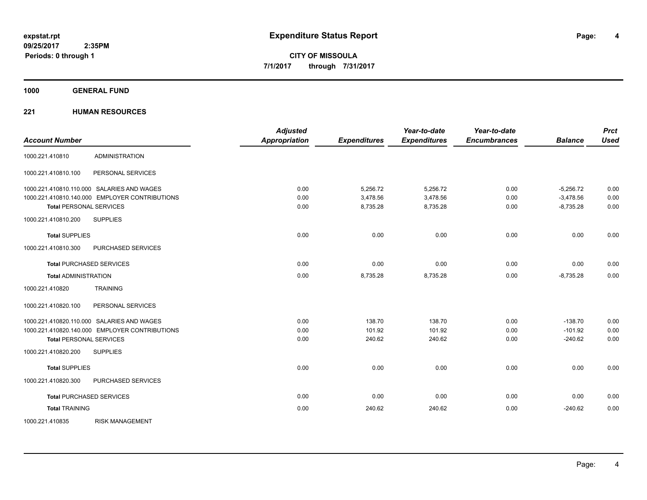**1000 GENERAL FUND**

# **221 HUMAN RESOURCES**

| <b>Account Number</b>                          | <b>Adjusted</b><br>Appropriation | <b>Expenditures</b> | Year-to-date<br><b>Expenditures</b> | Year-to-date<br><b>Encumbrances</b> | <b>Balance</b> | <b>Prct</b><br>Used |
|------------------------------------------------|----------------------------------|---------------------|-------------------------------------|-------------------------------------|----------------|---------------------|
| <b>ADMINISTRATION</b><br>1000.221.410810       |                                  |                     |                                     |                                     |                |                     |
|                                                |                                  |                     |                                     |                                     |                |                     |
| PERSONAL SERVICES<br>1000.221.410810.100       |                                  |                     |                                     |                                     |                |                     |
| 1000.221.410810.110.000 SALARIES AND WAGES     | 0.00                             | 5,256.72            | 5,256.72                            | 0.00                                | $-5,256.72$    | 0.00                |
| 1000.221.410810.140.000 EMPLOYER CONTRIBUTIONS | 0.00                             | 3,478.56            | 3,478.56                            | 0.00                                | $-3,478.56$    | 0.00                |
| <b>Total PERSONAL SERVICES</b>                 | 0.00                             | 8,735.28            | 8,735.28                            | 0.00                                | $-8,735.28$    | 0.00                |
| <b>SUPPLIES</b><br>1000.221.410810.200         |                                  |                     |                                     |                                     |                |                     |
| <b>Total SUPPLIES</b>                          | 0.00                             | 0.00                | 0.00                                | 0.00                                | 0.00           | 0.00                |
| 1000.221.410810.300<br>PURCHASED SERVICES      |                                  |                     |                                     |                                     |                |                     |
| <b>Total PURCHASED SERVICES</b>                | 0.00                             | 0.00                | 0.00                                | 0.00                                | 0.00           | 0.00                |
| <b>Total ADMINISTRATION</b>                    | 0.00                             | 8,735.28            | 8,735.28                            | 0.00                                | $-8,735.28$    | 0.00                |
| 1000.221.410820<br><b>TRAINING</b>             |                                  |                     |                                     |                                     |                |                     |
| 1000.221.410820.100<br>PERSONAL SERVICES       |                                  |                     |                                     |                                     |                |                     |
| 1000.221.410820.110.000 SALARIES AND WAGES     | 0.00                             | 138.70              | 138.70                              | 0.00                                | $-138.70$      | 0.00                |
| 1000.221.410820.140.000 EMPLOYER CONTRIBUTIONS | 0.00                             | 101.92              | 101.92                              | 0.00                                | $-101.92$      | 0.00                |
| <b>Total PERSONAL SERVICES</b>                 | 0.00                             | 240.62              | 240.62                              | 0.00                                | $-240.62$      | 0.00                |
| 1000.221.410820.200<br><b>SUPPLIES</b>         |                                  |                     |                                     |                                     |                |                     |
| <b>Total SUPPLIES</b>                          | 0.00                             | 0.00                | 0.00                                | 0.00                                | 0.00           | 0.00                |
| 1000.221.410820.300<br>PURCHASED SERVICES      |                                  |                     |                                     |                                     |                |                     |
| <b>Total PURCHASED SERVICES</b>                | 0.00                             | 0.00                | 0.00                                | 0.00                                | 0.00           | 0.00                |
| <b>Total TRAINING</b>                          | 0.00                             | 240.62              | 240.62                              | 0.00                                | $-240.62$      | 0.00                |
| 1000.221.410835<br><b>RISK MANAGEMENT</b>      |                                  |                     |                                     |                                     |                |                     |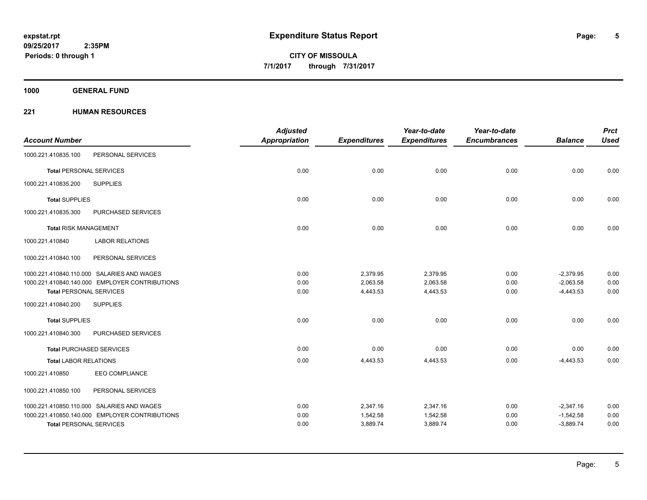**5**

**CITY OF MISSOULA 7/1/2017 through 7/31/2017**

**1000 GENERAL FUND**

# **221 HUMAN RESOURCES**

|                                |                                                | <b>Adjusted</b> |                     | Year-to-date        | Year-to-date        |                | <b>Prct</b>  |
|--------------------------------|------------------------------------------------|-----------------|---------------------|---------------------|---------------------|----------------|--------------|
| <b>Account Number</b>          |                                                | Appropriation   | <b>Expenditures</b> | <b>Expenditures</b> | <b>Encumbrances</b> | <b>Balance</b> | <b>Used</b>  |
| 1000.221.410835.100            | PERSONAL SERVICES                              |                 |                     |                     |                     |                |              |
| <b>Total PERSONAL SERVICES</b> |                                                | 0.00            | 0.00                | 0.00                | 0.00                | 0.00           | 0.00         |
| 1000.221.410835.200            | <b>SUPPLIES</b>                                |                 |                     |                     |                     |                |              |
| <b>Total SUPPLIES</b>          |                                                | 0.00            | 0.00                | 0.00                | 0.00                | 0.00           | 0.00         |
| 1000.221.410835.300            | PURCHASED SERVICES                             |                 |                     |                     |                     |                |              |
| <b>Total RISK MANAGEMENT</b>   |                                                | 0.00            | 0.00                | 0.00                | 0.00                | 0.00           | 0.00         |
| 1000.221.410840                | <b>LABOR RELATIONS</b>                         |                 |                     |                     |                     |                |              |
| 1000.221.410840.100            | PERSONAL SERVICES                              |                 |                     |                     |                     |                |              |
|                                | 1000.221.410840.110.000 SALARIES AND WAGES     | 0.00            | 2,379.95            | 2,379.95            | 0.00                | $-2,379.95$    | 0.00         |
|                                | 1000.221.410840.140.000 EMPLOYER CONTRIBUTIONS | 0.00            | 2,063.58            | 2,063.58            | 0.00                | $-2,063.58$    | 0.00<br>0.00 |
| <b>Total PERSONAL SERVICES</b> |                                                | 0.00            | 4,443.53            | 4,443.53            | 0.00                | $-4,443.53$    |              |
| 1000.221.410840.200            | <b>SUPPLIES</b>                                |                 |                     |                     |                     |                |              |
| <b>Total SUPPLIES</b>          |                                                | 0.00            | 0.00                | 0.00                | 0.00                | 0.00           | 0.00         |
| 1000.221.410840.300            | PURCHASED SERVICES                             |                 |                     |                     |                     |                |              |
|                                | <b>Total PURCHASED SERVICES</b>                | 0.00            | 0.00                | 0.00                | 0.00                | 0.00           | 0.00         |
| <b>Total LABOR RELATIONS</b>   |                                                | 0.00            | 4,443.53            | 4,443.53            | 0.00                | $-4,443.53$    | 0.00         |
| 1000.221.410850                | <b>EEO COMPLIANCE</b>                          |                 |                     |                     |                     |                |              |
| 1000.221.410850.100            | PERSONAL SERVICES                              |                 |                     |                     |                     |                |              |
|                                | 1000.221.410850.110.000 SALARIES AND WAGES     | 0.00            | 2,347.16            | 2,347.16            | 0.00                | $-2,347.16$    | 0.00         |
|                                | 1000.221.410850.140.000 EMPLOYER CONTRIBUTIONS | 0.00            | 1,542.58            | 1,542.58            | 0.00                | $-1,542.58$    | 0.00         |
| <b>Total PERSONAL SERVICES</b> |                                                | 0.00            | 3,889.74            | 3,889.74            | 0.00                | $-3,889.74$    | 0.00         |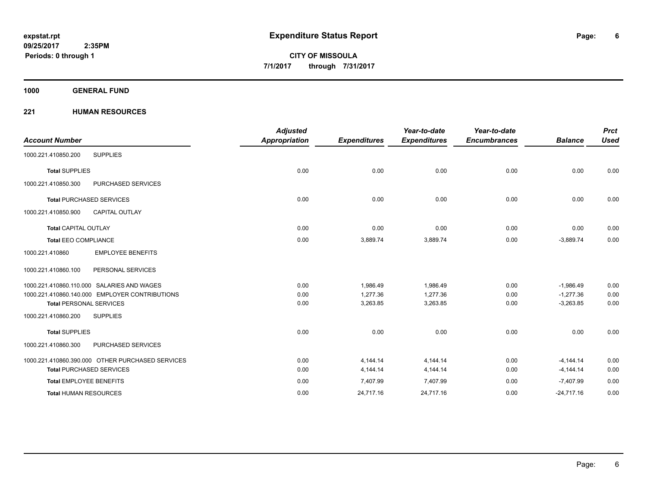**1000 GENERAL FUND**

# **221 HUMAN RESOURCES**

| <b>Account Number</b>                            | <b>Adjusted</b><br><b>Appropriation</b> | <b>Expenditures</b> | Year-to-date<br><b>Expenditures</b> | Year-to-date<br><b>Encumbrances</b> | <b>Balance</b> | <b>Prct</b><br><b>Used</b> |
|--------------------------------------------------|-----------------------------------------|---------------------|-------------------------------------|-------------------------------------|----------------|----------------------------|
| <b>SUPPLIES</b><br>1000.221.410850.200           |                                         |                     |                                     |                                     |                |                            |
| <b>Total SUPPLIES</b>                            | 0.00                                    | 0.00                | 0.00                                | 0.00                                | 0.00           | 0.00                       |
| 1000.221.410850.300<br><b>PURCHASED SERVICES</b> |                                         |                     |                                     |                                     |                |                            |
| <b>Total PURCHASED SERVICES</b>                  | 0.00                                    | 0.00                | 0.00                                | 0.00                                | 0.00           | 0.00                       |
| <b>CAPITAL OUTLAY</b><br>1000.221.410850.900     |                                         |                     |                                     |                                     |                |                            |
| <b>Total CAPITAL OUTLAY</b>                      | 0.00                                    | 0.00                | 0.00                                | 0.00                                | 0.00           | 0.00                       |
| <b>Total EEO COMPLIANCE</b>                      | 0.00                                    | 3,889.74            | 3,889.74                            | 0.00                                | $-3,889.74$    | 0.00                       |
| <b>EMPLOYEE BENEFITS</b><br>1000.221.410860      |                                         |                     |                                     |                                     |                |                            |
| PERSONAL SERVICES<br>1000.221.410860.100         |                                         |                     |                                     |                                     |                |                            |
| 1000.221.410860.110.000 SALARIES AND WAGES       | 0.00                                    | 1.986.49            | 1.986.49                            | 0.00                                | $-1.986.49$    | 0.00                       |
| 1000.221.410860.140.000 EMPLOYER CONTRIBUTIONS   | 0.00                                    | 1,277.36            | 1,277.36                            | 0.00                                | $-1,277.36$    | 0.00                       |
| <b>Total PERSONAL SERVICES</b>                   | 0.00                                    | 3,263.85            | 3,263.85                            | 0.00                                | $-3,263.85$    | 0.00                       |
| 1000.221.410860.200<br><b>SUPPLIES</b>           |                                         |                     |                                     |                                     |                |                            |
| <b>Total SUPPLIES</b>                            | 0.00                                    | 0.00                | 0.00                                | 0.00                                | 0.00           | 0.00                       |
| PURCHASED SERVICES<br>1000.221.410860.300        |                                         |                     |                                     |                                     |                |                            |
| 1000.221.410860.390.000 OTHER PURCHASED SERVICES | 0.00                                    | 4,144.14            | 4,144.14                            | 0.00                                | $-4, 144.14$   | 0.00                       |
| <b>Total PURCHASED SERVICES</b>                  | 0.00                                    | 4,144.14            | 4,144.14                            | 0.00                                | $-4, 144.14$   | 0.00                       |
| <b>Total EMPLOYEE BENEFITS</b>                   | 0.00                                    | 7,407.99            | 7,407.99                            | 0.00                                | $-7,407.99$    | 0.00                       |
| <b>Total HUMAN RESOURCES</b>                     | 0.00                                    | 24,717.16           | 24,717.16                           | 0.00                                | $-24,717.16$   | 0.00                       |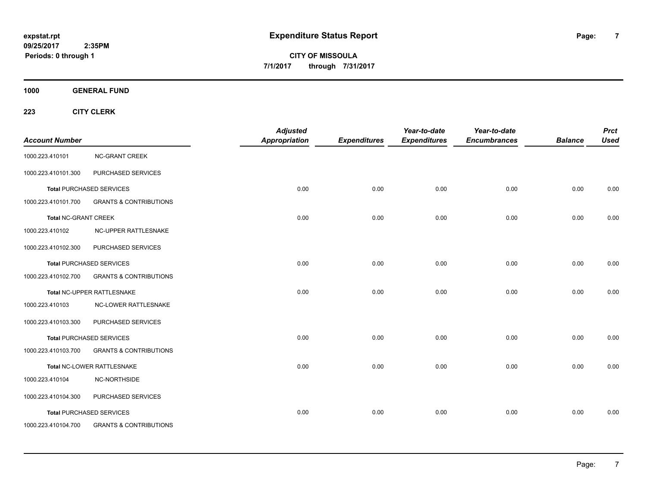**CITY OF MISSOULA 7/1/2017 through 7/31/2017**

**1000 GENERAL FUND**

| <b>Account Number</b>       |                                   | <b>Adjusted</b><br>Appropriation | <b>Expenditures</b> | Year-to-date<br><b>Expenditures</b> | Year-to-date<br><b>Encumbrances</b> | <b>Balance</b> | <b>Prct</b><br><b>Used</b> |
|-----------------------------|-----------------------------------|----------------------------------|---------------------|-------------------------------------|-------------------------------------|----------------|----------------------------|
| 1000.223.410101             | <b>NC-GRANT CREEK</b>             |                                  |                     |                                     |                                     |                |                            |
| 1000.223.410101.300         | PURCHASED SERVICES                |                                  |                     |                                     |                                     |                |                            |
|                             | <b>Total PURCHASED SERVICES</b>   | 0.00                             | 0.00                | 0.00                                | 0.00                                | 0.00           | 0.00                       |
| 1000.223.410101.700         | <b>GRANTS &amp; CONTRIBUTIONS</b> |                                  |                     |                                     |                                     |                |                            |
| <b>Total NC-GRANT CREEK</b> |                                   | 0.00                             | 0.00                | 0.00                                | 0.00                                | 0.00           | 0.00                       |
| 1000.223.410102             | NC-UPPER RATTLESNAKE              |                                  |                     |                                     |                                     |                |                            |
| 1000.223.410102.300         | PURCHASED SERVICES                |                                  |                     |                                     |                                     |                |                            |
|                             | <b>Total PURCHASED SERVICES</b>   | 0.00                             | 0.00                | 0.00                                | 0.00                                | 0.00           | 0.00                       |
| 1000.223.410102.700         | <b>GRANTS &amp; CONTRIBUTIONS</b> |                                  |                     |                                     |                                     |                |                            |
|                             | Total NC-UPPER RATTLESNAKE        | 0.00                             | 0.00                | 0.00                                | 0.00                                | 0.00           | 0.00                       |
| 1000.223.410103             | NC-LOWER RATTLESNAKE              |                                  |                     |                                     |                                     |                |                            |
| 1000.223.410103.300         | PURCHASED SERVICES                |                                  |                     |                                     |                                     |                |                            |
|                             | <b>Total PURCHASED SERVICES</b>   | 0.00                             | 0.00                | 0.00                                | 0.00                                | 0.00           | 0.00                       |
| 1000.223.410103.700         | <b>GRANTS &amp; CONTRIBUTIONS</b> |                                  |                     |                                     |                                     |                |                            |
|                             | Total NC-LOWER RATTLESNAKE        | 0.00                             | 0.00                | 0.00                                | 0.00                                | 0.00           | 0.00                       |
| 1000.223.410104             | NC-NORTHSIDE                      |                                  |                     |                                     |                                     |                |                            |
| 1000.223.410104.300         | PURCHASED SERVICES                |                                  |                     |                                     |                                     |                |                            |
|                             | <b>Total PURCHASED SERVICES</b>   | 0.00                             | 0.00                | 0.00                                | 0.00                                | 0.00           | 0.00                       |
| 1000.223.410104.700         | <b>GRANTS &amp; CONTRIBUTIONS</b> |                                  |                     |                                     |                                     |                |                            |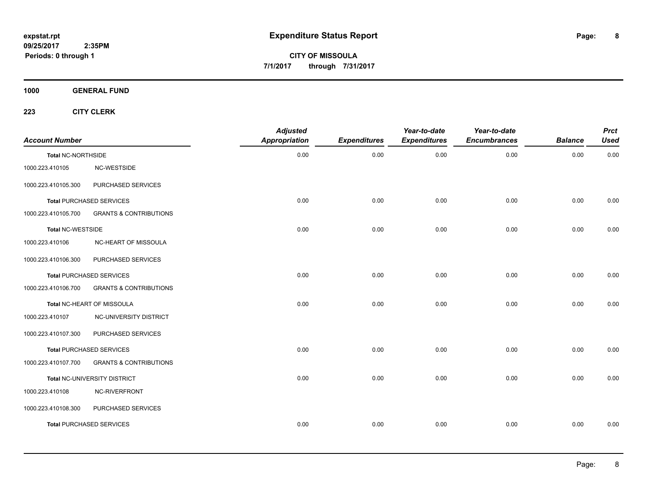**CITY OF MISSOULA 7/1/2017 through 7/31/2017**

**1000 GENERAL FUND**

| <b>Account Number</b>     |                                   | <b>Adjusted</b><br>Appropriation | <b>Expenditures</b> | Year-to-date<br><b>Expenditures</b> | Year-to-date<br><b>Encumbrances</b> | <b>Balance</b> | <b>Prct</b><br><b>Used</b> |
|---------------------------|-----------------------------------|----------------------------------|---------------------|-------------------------------------|-------------------------------------|----------------|----------------------------|
| <b>Total NC-NORTHSIDE</b> |                                   | 0.00                             | 0.00                | 0.00                                | 0.00                                | 0.00           | 0.00                       |
| 1000.223.410105           | NC-WESTSIDE                       |                                  |                     |                                     |                                     |                |                            |
| 1000.223.410105.300       | PURCHASED SERVICES                |                                  |                     |                                     |                                     |                |                            |
|                           | Total PURCHASED SERVICES          | 0.00                             | 0.00                | 0.00                                | 0.00                                | 0.00           | 0.00                       |
| 1000.223.410105.700       | <b>GRANTS &amp; CONTRIBUTIONS</b> |                                  |                     |                                     |                                     |                |                            |
| Total NC-WESTSIDE         |                                   | 0.00                             | 0.00                | 0.00                                | 0.00                                | 0.00           | 0.00                       |
| 1000.223.410106           | NC-HEART OF MISSOULA              |                                  |                     |                                     |                                     |                |                            |
| 1000.223.410106.300       | PURCHASED SERVICES                |                                  |                     |                                     |                                     |                |                            |
|                           | <b>Total PURCHASED SERVICES</b>   | 0.00                             | 0.00                | 0.00                                | 0.00                                | 0.00           | 0.00                       |
| 1000.223.410106.700       | <b>GRANTS &amp; CONTRIBUTIONS</b> |                                  |                     |                                     |                                     |                |                            |
|                           | Total NC-HEART OF MISSOULA        | 0.00                             | 0.00                | 0.00                                | 0.00                                | 0.00           | 0.00                       |
| 1000.223.410107           | NC-UNIVERSITY DISTRICT            |                                  |                     |                                     |                                     |                |                            |
| 1000.223.410107.300       | PURCHASED SERVICES                |                                  |                     |                                     |                                     |                |                            |
|                           | <b>Total PURCHASED SERVICES</b>   | 0.00                             | 0.00                | 0.00                                | 0.00                                | 0.00           | 0.00                       |
| 1000.223.410107.700       | <b>GRANTS &amp; CONTRIBUTIONS</b> |                                  |                     |                                     |                                     |                |                            |
|                           | Total NC-UNIVERSITY DISTRICT      | 0.00                             | 0.00                | 0.00                                | 0.00                                | 0.00           | 0.00                       |
| 1000.223.410108           | NC-RIVERFRONT                     |                                  |                     |                                     |                                     |                |                            |
| 1000.223.410108.300       | PURCHASED SERVICES                |                                  |                     |                                     |                                     |                |                            |
|                           | <b>Total PURCHASED SERVICES</b>   | 0.00                             | 0.00                | 0.00                                | 0.00                                | 0.00           | 0.00                       |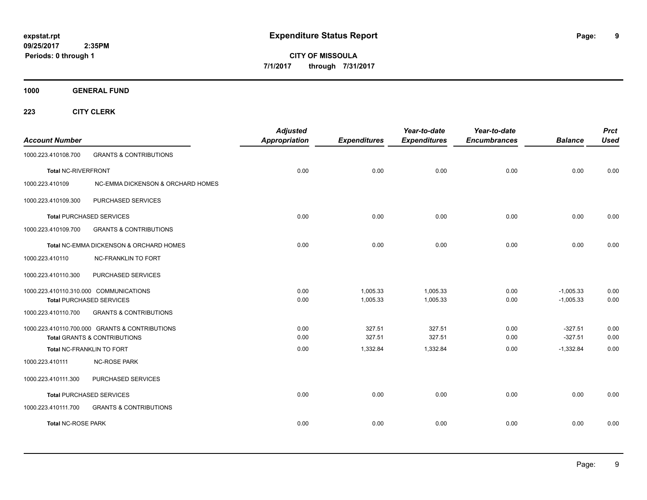**CITY OF MISSOULA 7/1/2017 through 7/31/2017**

**1000 GENERAL FUND**

| <b>Account Number</b>      |                                                | <b>Adjusted</b><br><b>Appropriation</b> | <b>Expenditures</b> | Year-to-date<br><b>Expenditures</b> | Year-to-date<br><b>Encumbrances</b> | <b>Balance</b> | <b>Prct</b><br><b>Used</b> |
|----------------------------|------------------------------------------------|-----------------------------------------|---------------------|-------------------------------------|-------------------------------------|----------------|----------------------------|
| 1000.223.410108.700        | <b>GRANTS &amp; CONTRIBUTIONS</b>              |                                         |                     |                                     |                                     |                |                            |
| <b>Total NC-RIVERFRONT</b> |                                                | 0.00                                    | 0.00                | 0.00                                | 0.00                                | 0.00           | 0.00                       |
| 1000.223.410109            | NC-EMMA DICKENSON & ORCHARD HOMES              |                                         |                     |                                     |                                     |                |                            |
| 1000.223.410109.300        | PURCHASED SERVICES                             |                                         |                     |                                     |                                     |                |                            |
|                            | <b>Total PURCHASED SERVICES</b>                | 0.00                                    | 0.00                | 0.00                                | 0.00                                | 0.00           | 0.00                       |
| 1000.223.410109.700        | <b>GRANTS &amp; CONTRIBUTIONS</b>              |                                         |                     |                                     |                                     |                |                            |
|                            | Total NC-EMMA DICKENSON & ORCHARD HOMES        | 0.00                                    | 0.00                | 0.00                                | 0.00                                | 0.00           | 0.00                       |
| 1000.223.410110            | <b>NC-FRANKLIN TO FORT</b>                     |                                         |                     |                                     |                                     |                |                            |
| 1000.223.410110.300        | PURCHASED SERVICES                             |                                         |                     |                                     |                                     |                |                            |
|                            | 1000.223.410110.310.000 COMMUNICATIONS         | 0.00                                    | 1,005.33            | 1,005.33                            | 0.00                                | $-1,005.33$    | 0.00                       |
|                            | <b>Total PURCHASED SERVICES</b>                | 0.00                                    | 1,005.33            | 1,005.33                            | 0.00                                | $-1,005.33$    | 0.00                       |
| 1000.223.410110.700        | <b>GRANTS &amp; CONTRIBUTIONS</b>              |                                         |                     |                                     |                                     |                |                            |
|                            | 1000.223.410110.700.000 GRANTS & CONTRIBUTIONS | 0.00                                    | 327.51              | 327.51                              | 0.00                                | $-327.51$      | 0.00                       |
|                            | <b>Total GRANTS &amp; CONTRIBUTIONS</b>        | 0.00                                    | 327.51              | 327.51                              | 0.00                                | $-327.51$      | 0.00                       |
|                            | Total NC-FRANKLIN TO FORT                      | 0.00                                    | 1,332.84            | 1,332.84                            | 0.00                                | $-1,332.84$    | 0.00                       |
| 1000.223.410111            | <b>NC-ROSE PARK</b>                            |                                         |                     |                                     |                                     |                |                            |
| 1000.223.410111.300        | PURCHASED SERVICES                             |                                         |                     |                                     |                                     |                |                            |
|                            | <b>Total PURCHASED SERVICES</b>                | 0.00                                    | 0.00                | 0.00                                | 0.00                                | 0.00           | 0.00                       |
| 1000.223.410111.700        | <b>GRANTS &amp; CONTRIBUTIONS</b>              |                                         |                     |                                     |                                     |                |                            |
| <b>Total NC-ROSE PARK</b>  |                                                | 0.00                                    | 0.00                | 0.00                                | 0.00                                | 0.00           | 0.00                       |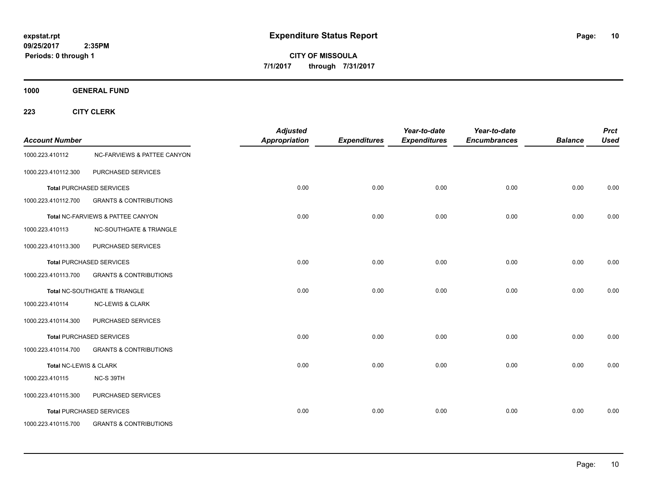**CITY OF MISSOULA 7/1/2017 through 7/31/2017**

**1000 GENERAL FUND**

| <b>Account Number</b>  |                                        | <b>Adjusted</b><br><b>Appropriation</b> | <b>Expenditures</b> | Year-to-date<br><b>Expenditures</b> | Year-to-date<br><b>Encumbrances</b> | <b>Balance</b> | <b>Prct</b><br><b>Used</b> |
|------------------------|----------------------------------------|-----------------------------------------|---------------------|-------------------------------------|-------------------------------------|----------------|----------------------------|
| 1000.223.410112        | <b>NC-FARVIEWS &amp; PATTEE CANYON</b> |                                         |                     |                                     |                                     |                |                            |
| 1000.223.410112.300    | PURCHASED SERVICES                     |                                         |                     |                                     |                                     |                |                            |
|                        | <b>Total PURCHASED SERVICES</b>        | 0.00                                    | 0.00                | 0.00                                | 0.00                                | 0.00           | 0.00                       |
| 1000.223.410112.700    | <b>GRANTS &amp; CONTRIBUTIONS</b>      |                                         |                     |                                     |                                     |                |                            |
|                        | Total NC-FARVIEWS & PATTEE CANYON      | 0.00                                    | 0.00                | 0.00                                | 0.00                                | 0.00           | 0.00                       |
| 1000.223.410113        | <b>NC-SOUTHGATE &amp; TRIANGLE</b>     |                                         |                     |                                     |                                     |                |                            |
| 1000.223.410113.300    | PURCHASED SERVICES                     |                                         |                     |                                     |                                     |                |                            |
|                        | <b>Total PURCHASED SERVICES</b>        | 0.00                                    | 0.00                | 0.00                                | 0.00                                | 0.00           | 0.00                       |
| 1000.223.410113.700    | <b>GRANTS &amp; CONTRIBUTIONS</b>      |                                         |                     |                                     |                                     |                |                            |
|                        | Total NC-SOUTHGATE & TRIANGLE          | 0.00                                    | 0.00                | 0.00                                | 0.00                                | 0.00           | 0.00                       |
| 1000.223.410114        | <b>NC-LEWIS &amp; CLARK</b>            |                                         |                     |                                     |                                     |                |                            |
| 1000.223.410114.300    | PURCHASED SERVICES                     |                                         |                     |                                     |                                     |                |                            |
|                        | <b>Total PURCHASED SERVICES</b>        | 0.00                                    | 0.00                | 0.00                                | 0.00                                | 0.00           | 0.00                       |
| 1000.223.410114.700    | <b>GRANTS &amp; CONTRIBUTIONS</b>      |                                         |                     |                                     |                                     |                |                            |
| Total NC-LEWIS & CLARK |                                        | 0.00                                    | 0.00                | 0.00                                | 0.00                                | 0.00           | 0.00                       |
| 1000.223.410115        | NC-S 39TH                              |                                         |                     |                                     |                                     |                |                            |
| 1000.223.410115.300    | PURCHASED SERVICES                     |                                         |                     |                                     |                                     |                |                            |
|                        | <b>Total PURCHASED SERVICES</b>        | 0.00                                    | 0.00                | 0.00                                | 0.00                                | 0.00           | 0.00                       |
| 1000.223.410115.700    | <b>GRANTS &amp; CONTRIBUTIONS</b>      |                                         |                     |                                     |                                     |                |                            |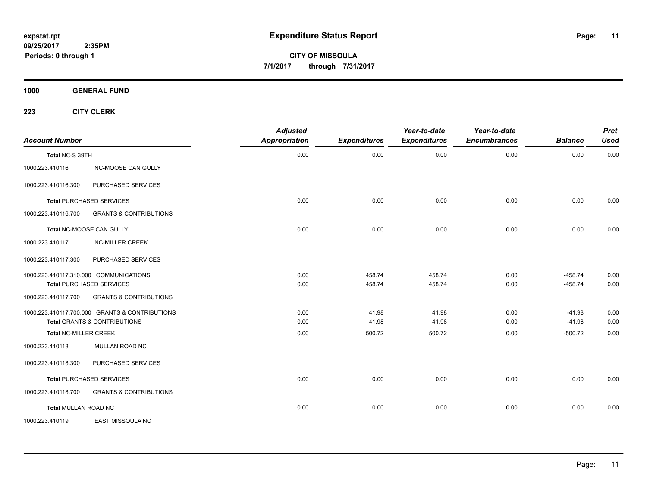**CITY OF MISSOULA 7/1/2017 through 7/31/2017**

**1000 GENERAL FUND**

| <b>Account Number</b>                  |                                                                                           | <b>Adjusted</b><br>Appropriation | <b>Expenditures</b> | Year-to-date<br><b>Expenditures</b> | Year-to-date<br><b>Encumbrances</b> | <b>Balance</b>       | <b>Prct</b><br><b>Used</b> |
|----------------------------------------|-------------------------------------------------------------------------------------------|----------------------------------|---------------------|-------------------------------------|-------------------------------------|----------------------|----------------------------|
| Total NC-S 39TH                        |                                                                                           | 0.00                             | 0.00                | 0.00                                | 0.00                                | 0.00                 | 0.00                       |
| 1000.223.410116                        | NC-MOOSE CAN GULLY                                                                        |                                  |                     |                                     |                                     |                      |                            |
| 1000.223.410116.300                    | PURCHASED SERVICES                                                                        |                                  |                     |                                     |                                     |                      |                            |
| <b>Total PURCHASED SERVICES</b>        |                                                                                           | 0.00                             | 0.00                | 0.00                                | 0.00                                | 0.00                 | 0.00                       |
| 1000.223.410116.700                    | <b>GRANTS &amp; CONTRIBUTIONS</b>                                                         |                                  |                     |                                     |                                     |                      |                            |
| Total NC-MOOSE CAN GULLY               |                                                                                           | 0.00                             | 0.00                | 0.00                                | 0.00                                | 0.00                 | 0.00                       |
| 1000.223.410117                        | <b>NC-MILLER CREEK</b>                                                                    |                                  |                     |                                     |                                     |                      |                            |
| 1000.223.410117.300                    | PURCHASED SERVICES                                                                        |                                  |                     |                                     |                                     |                      |                            |
| 1000.223.410117.310.000 COMMUNICATIONS |                                                                                           | 0.00                             | 458.74              | 458.74                              | 0.00                                | $-458.74$            | 0.00                       |
| <b>Total PURCHASED SERVICES</b>        |                                                                                           | 0.00                             | 458.74              | 458.74                              | 0.00                                | $-458.74$            | 0.00                       |
| 1000.223.410117.700                    | <b>GRANTS &amp; CONTRIBUTIONS</b>                                                         |                                  |                     |                                     |                                     |                      |                            |
|                                        | 1000.223.410117.700.000 GRANTS & CONTRIBUTIONS<br><b>Total GRANTS &amp; CONTRIBUTIONS</b> | 0.00<br>0.00                     | 41.98<br>41.98      | 41.98<br>41.98                      | 0.00<br>0.00                        | $-41.98$<br>$-41.98$ | 0.00<br>0.00               |
| <b>Total NC-MILLER CREEK</b>           |                                                                                           | 0.00                             | 500.72              | 500.72                              | 0.00                                | $-500.72$            | 0.00                       |
| 1000.223.410118                        | MULLAN ROAD NC                                                                            |                                  |                     |                                     |                                     |                      |                            |
| 1000.223.410118.300                    | PURCHASED SERVICES                                                                        |                                  |                     |                                     |                                     |                      |                            |
| <b>Total PURCHASED SERVICES</b>        |                                                                                           | 0.00                             | 0.00                | 0.00                                | 0.00                                | 0.00                 | 0.00                       |
| 1000.223.410118.700                    | <b>GRANTS &amp; CONTRIBUTIONS</b>                                                         |                                  |                     |                                     |                                     |                      |                            |
| <b>Total MULLAN ROAD NC</b>            |                                                                                           | 0.00                             | 0.00                | 0.00                                | 0.00                                | 0.00                 | 0.00                       |
| 1000.223.410119                        | EAST MISSOULA NC                                                                          |                                  |                     |                                     |                                     |                      |                            |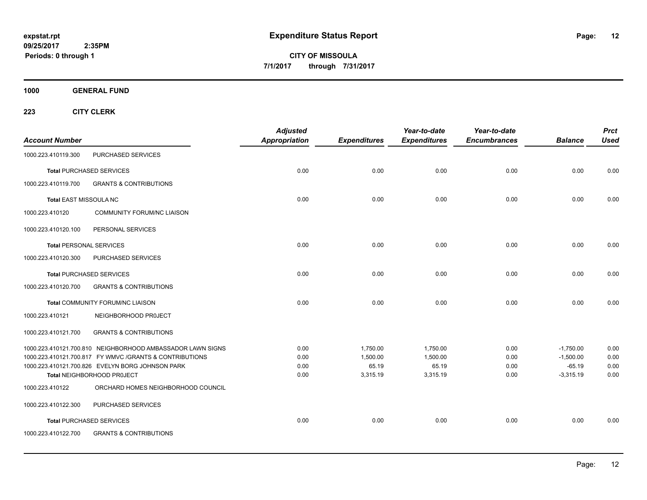**CITY OF MISSOULA 7/1/2017 through 7/31/2017**

**1000 GENERAL FUND**

| <b>Account Number</b>          |                                                                                | <b>Adjusted</b><br>Appropriation | <b>Expenditures</b> | Year-to-date<br><b>Expenditures</b> | Year-to-date<br><b>Encumbrances</b> | <b>Balance</b>          | <b>Prct</b><br><b>Used</b> |
|--------------------------------|--------------------------------------------------------------------------------|----------------------------------|---------------------|-------------------------------------|-------------------------------------|-------------------------|----------------------------|
| 1000.223.410119.300            | PURCHASED SERVICES                                                             |                                  |                     |                                     |                                     |                         |                            |
|                                | <b>Total PURCHASED SERVICES</b>                                                | 0.00                             | 0.00                | 0.00                                | 0.00                                | 0.00                    | 0.00                       |
| 1000.223.410119.700            | <b>GRANTS &amp; CONTRIBUTIONS</b>                                              |                                  |                     |                                     |                                     |                         |                            |
| Total EAST MISSOULA NC         |                                                                                | 0.00                             | 0.00                | 0.00                                | 0.00                                | 0.00                    | 0.00                       |
| 1000.223.410120                | <b>COMMUNITY FORUM/NC LIAISON</b>                                              |                                  |                     |                                     |                                     |                         |                            |
| 1000.223.410120.100            | PERSONAL SERVICES                                                              |                                  |                     |                                     |                                     |                         |                            |
| <b>Total PERSONAL SERVICES</b> |                                                                                | 0.00                             | 0.00                | 0.00                                | 0.00                                | 0.00                    | 0.00                       |
| 1000.223.410120.300            | PURCHASED SERVICES                                                             |                                  |                     |                                     |                                     |                         |                            |
|                                | <b>Total PURCHASED SERVICES</b>                                                | 0.00                             | 0.00                | 0.00                                | 0.00                                | 0.00                    | 0.00                       |
| 1000.223.410120.700            | <b>GRANTS &amp; CONTRIBUTIONS</b>                                              |                                  |                     |                                     |                                     |                         |                            |
|                                | Total COMMUNITY FORUM/NC LIAISON                                               | 0.00                             | 0.00                | 0.00                                | 0.00                                | 0.00                    | 0.00                       |
| 1000.223.410121                | NEIGHBORHOOD PROJECT                                                           |                                  |                     |                                     |                                     |                         |                            |
| 1000.223.410121.700            | <b>GRANTS &amp; CONTRIBUTIONS</b>                                              |                                  |                     |                                     |                                     |                         |                            |
|                                | 1000.223.410121.700.810 NEIGHBORHOOD AMBASSADOR LAWN SIGNS                     | 0.00                             | 1,750.00            | 1,750.00                            | 0.00                                | $-1,750.00$             | 0.00                       |
|                                | 1000.223.410121.700.817 FY WMVC / GRANTS & CONTRIBUTIONS                       | 0.00                             | 1,500.00            | 1,500.00                            | 0.00                                | $-1,500.00$             | 0.00                       |
|                                | 1000.223.410121.700.826 EVELYN BORG JOHNSON PARK<br>Total NEIGHBORHOOD PROJECT | 0.00<br>0.00                     | 65.19<br>3,315.19   | 65.19<br>3,315.19                   | 0.00<br>0.00                        | $-65.19$<br>$-3,315.19$ | 0.00<br>0.00               |
| 1000.223.410122                | ORCHARD HOMES NEIGHBORHOOD COUNCIL                                             |                                  |                     |                                     |                                     |                         |                            |
| 1000.223.410122.300            | PURCHASED SERVICES                                                             |                                  |                     |                                     |                                     |                         |                            |
|                                | <b>Total PURCHASED SERVICES</b>                                                | 0.00                             | 0.00                | 0.00                                | 0.00                                | 0.00                    | 0.00                       |
| 1000.223.410122.700            | <b>GRANTS &amp; CONTRIBUTIONS</b>                                              |                                  |                     |                                     |                                     |                         |                            |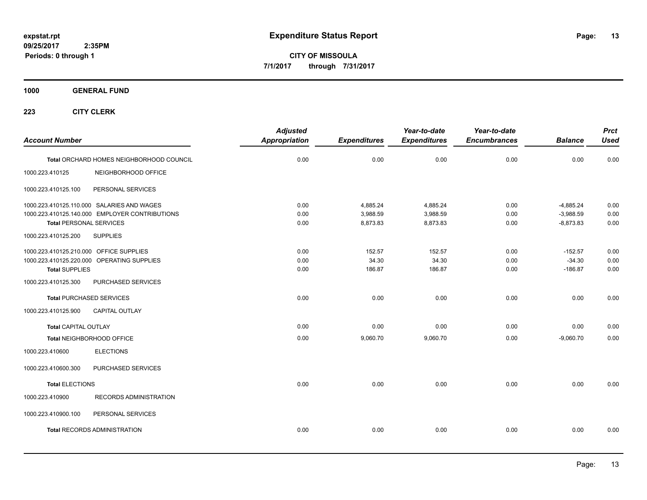**CITY OF MISSOULA 7/1/2017 through 7/31/2017**

**1000 GENERAL FUND**

| <b>Account Number</b>                                            |                                                                                              | <b>Adjusted</b><br><b>Appropriation</b> | <b>Expenditures</b>              | Year-to-date<br><b>Expenditures</b> | Year-to-date<br><b>Encumbrances</b> | <b>Balance</b>                            | <b>Prct</b><br><b>Used</b> |
|------------------------------------------------------------------|----------------------------------------------------------------------------------------------|-----------------------------------------|----------------------------------|-------------------------------------|-------------------------------------|-------------------------------------------|----------------------------|
|                                                                  | Total ORCHARD HOMES NEIGHBORHOOD COUNCIL                                                     | 0.00                                    | 0.00                             | 0.00                                | 0.00                                | 0.00                                      | 0.00                       |
| 1000.223.410125                                                  | NEIGHBORHOOD OFFICE                                                                          |                                         |                                  |                                     |                                     |                                           |                            |
| 1000.223.410125.100                                              | PERSONAL SERVICES                                                                            |                                         |                                  |                                     |                                     |                                           |                            |
| <b>Total PERSONAL SERVICES</b>                                   | 1000.223.410125.110.000 SALARIES AND WAGES<br>1000.223.410125.140.000 EMPLOYER CONTRIBUTIONS | 0.00<br>0.00<br>0.00                    | 4,885.24<br>3,988.59<br>8,873.83 | 4,885.24<br>3,988.59<br>8,873.83    | 0.00<br>0.00<br>0.00                | $-4,885.24$<br>$-3,988.59$<br>$-8,873.83$ | 0.00<br>0.00<br>0.00       |
| 1000.223.410125.200                                              | <b>SUPPLIES</b>                                                                              |                                         |                                  |                                     |                                     |                                           |                            |
| 1000.223.410125.210.000 OFFICE SUPPLIES<br><b>Total SUPPLIES</b> | 1000.223.410125.220.000 OPERATING SUPPLIES                                                   | 0.00<br>0.00<br>0.00                    | 152.57<br>34.30<br>186.87        | 152.57<br>34.30<br>186.87           | 0.00<br>0.00<br>0.00                | $-152.57$<br>$-34.30$<br>$-186.87$        | 0.00<br>0.00<br>0.00       |
| 1000.223.410125.300                                              | PURCHASED SERVICES                                                                           |                                         |                                  |                                     |                                     |                                           |                            |
| <b>Total PURCHASED SERVICES</b><br>1000.223.410125.900           | <b>CAPITAL OUTLAY</b>                                                                        | 0.00                                    | 0.00                             | 0.00                                | 0.00                                | 0.00                                      | 0.00                       |
| <b>Total CAPITAL OUTLAY</b>                                      |                                                                                              | 0.00                                    | 0.00                             | 0.00                                | 0.00                                | 0.00                                      | 0.00                       |
|                                                                  | Total NEIGHBORHOOD OFFICE                                                                    | 0.00                                    | 9,060.70                         | 9,060.70                            | 0.00                                | $-9,060.70$                               | 0.00                       |
| 1000.223.410600                                                  | <b>ELECTIONS</b>                                                                             |                                         |                                  |                                     |                                     |                                           |                            |
| 1000.223.410600.300                                              | PURCHASED SERVICES                                                                           |                                         |                                  |                                     |                                     |                                           |                            |
| <b>Total ELECTIONS</b>                                           |                                                                                              | 0.00                                    | 0.00                             | 0.00                                | 0.00                                | 0.00                                      | 0.00                       |
| 1000.223.410900                                                  | <b>RECORDS ADMINISTRATION</b>                                                                |                                         |                                  |                                     |                                     |                                           |                            |
| 1000.223.410900.100                                              | PERSONAL SERVICES                                                                            |                                         |                                  |                                     |                                     |                                           |                            |
|                                                                  | <b>Total RECORDS ADMINISTRATION</b>                                                          | 0.00                                    | 0.00                             | 0.00                                | 0.00                                | 0.00                                      | 0.00                       |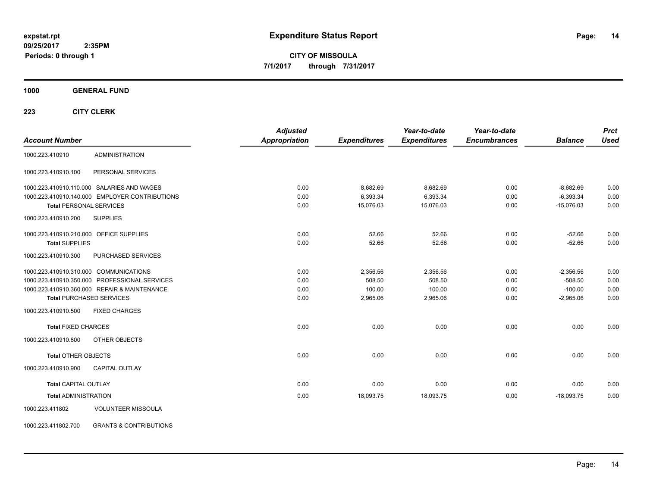**CITY OF MISSOULA 7/1/2017 through 7/31/2017**

**1000 GENERAL FUND**

| <b>Account Number</b>                                    | <b>Adjusted</b><br><b>Appropriation</b> | <b>Expenditures</b> | Year-to-date<br><b>Expenditures</b> | Year-to-date<br><b>Encumbrances</b> | <b>Balance</b> | <b>Prct</b><br><b>Used</b> |
|----------------------------------------------------------|-----------------------------------------|---------------------|-------------------------------------|-------------------------------------|----------------|----------------------------|
| <b>ADMINISTRATION</b><br>1000.223.410910                 |                                         |                     |                                     |                                     |                |                            |
| PERSONAL SERVICES<br>1000.223.410910.100                 |                                         |                     |                                     |                                     |                |                            |
| 1000.223.410910.110.000 SALARIES AND WAGES               | 0.00                                    | 8,682.69            | 8,682.69                            | 0.00                                | $-8,682.69$    | 0.00                       |
| 1000.223.410910.140.000 EMPLOYER CONTRIBUTIONS           | 0.00                                    | 6,393.34            | 6,393.34                            | 0.00                                | $-6,393.34$    | 0.00                       |
| <b>Total PERSONAL SERVICES</b>                           | 0.00                                    | 15,076.03           | 15,076.03                           | 0.00                                | $-15,076.03$   | 0.00                       |
| 1000.223.410910.200<br><b>SUPPLIES</b>                   |                                         |                     |                                     |                                     |                |                            |
| 1000.223.410910.210.000 OFFICE SUPPLIES                  | 0.00                                    | 52.66               | 52.66                               | 0.00                                | $-52.66$       | 0.00                       |
| <b>Total SUPPLIES</b>                                    | 0.00                                    | 52.66               | 52.66                               | 0.00                                | $-52.66$       | 0.00                       |
| 1000.223.410910.300<br>PURCHASED SERVICES                |                                         |                     |                                     |                                     |                |                            |
| 1000.223.410910.310.000 COMMUNICATIONS                   | 0.00                                    | 2,356.56            | 2,356.56                            | 0.00                                | $-2,356.56$    | 0.00                       |
| 1000.223.410910.350.000 PROFESSIONAL SERVICES            | 0.00                                    | 508.50              | 508.50                              | 0.00                                | $-508.50$      | 0.00                       |
| 1000.223.410910.360.000 REPAIR & MAINTENANCE             | 0.00                                    | 100.00              | 100.00                              | 0.00                                | $-100.00$      | 0.00                       |
| <b>Total PURCHASED SERVICES</b>                          | 0.00                                    | 2,965.06            | 2,965.06                            | 0.00                                | $-2,965.06$    | 0.00                       |
| 1000.223.410910.500<br><b>FIXED CHARGES</b>              |                                         |                     |                                     |                                     |                |                            |
| <b>Total FIXED CHARGES</b>                               | 0.00                                    | 0.00                | 0.00                                | 0.00                                | 0.00           | 0.00                       |
| 1000.223.410910.800<br>OTHER OBJECTS                     |                                         |                     |                                     |                                     |                |                            |
| <b>Total OTHER OBJECTS</b>                               | 0.00                                    | 0.00                | 0.00                                | 0.00                                | 0.00           | 0.00                       |
| 1000.223.410910.900<br><b>CAPITAL OUTLAY</b>             |                                         |                     |                                     |                                     |                |                            |
| <b>Total CAPITAL OUTLAY</b>                              | 0.00                                    | 0.00                | 0.00                                | 0.00                                | 0.00           | 0.00                       |
| <b>Total ADMINISTRATION</b>                              | 0.00                                    | 18,093.75           | 18,093.75                           | 0.00                                | $-18,093.75$   | 0.00                       |
| <b>VOLUNTEER MISSOULA</b><br>1000.223.411802             |                                         |                     |                                     |                                     |                |                            |
| <b>GRANTS &amp; CONTRIBUTIONS</b><br>1000.223.411802.700 |                                         |                     |                                     |                                     |                |                            |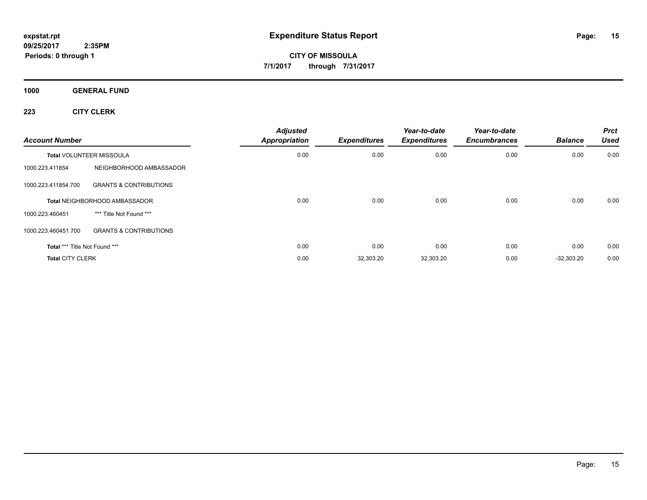**CITY OF MISSOULA 7/1/2017 through 7/31/2017**

**1000 GENERAL FUND**

| <b>Account Number</b>         |                                   | <b>Adjusted</b><br>Appropriation | <b>Expenditures</b> | Year-to-date<br><b>Expenditures</b> | Year-to-date<br><b>Encumbrances</b> | <b>Balance</b> | <b>Prct</b><br><b>Used</b> |
|-------------------------------|-----------------------------------|----------------------------------|---------------------|-------------------------------------|-------------------------------------|----------------|----------------------------|
|                               | <b>Total VOLUNTEER MISSOULA</b>   | 0.00                             | 0.00                | 0.00                                | 0.00                                | 0.00           | 0.00                       |
| 1000.223.411854               | NEIGHBORHOOD AMBASSADOR           |                                  |                     |                                     |                                     |                |                            |
| 1000.223.411854.700           | <b>GRANTS &amp; CONTRIBUTIONS</b> |                                  |                     |                                     |                                     |                |                            |
|                               | Total NEIGHBORHOOD AMBASSADOR     | 0.00                             | 0.00                | 0.00                                | 0.00                                | 0.00           | 0.00                       |
| 1000.223.460451               | *** Title Not Found ***           |                                  |                     |                                     |                                     |                |                            |
| 1000.223.460451.700           | <b>GRANTS &amp; CONTRIBUTIONS</b> |                                  |                     |                                     |                                     |                |                            |
| Total *** Title Not Found *** |                                   | 0.00                             | 0.00                | 0.00                                | 0.00                                | 0.00           | 0.00                       |
| <b>Total CITY CLERK</b>       |                                   | 0.00                             | 32,303.20           | 32,303.20                           | 0.00                                | $-32,303.20$   | 0.00                       |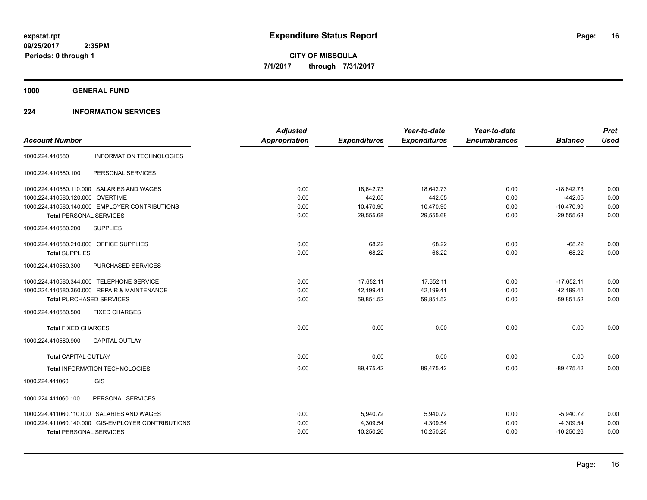**1000 GENERAL FUND**

# **224 INFORMATION SERVICES**

| <b>Account Number</b>                              | <b>Adjusted</b><br><b>Appropriation</b> | <b>Expenditures</b> | Year-to-date<br><b>Expenditures</b> | Year-to-date<br><b>Encumbrances</b> | <b>Balance</b> | <b>Prct</b><br><b>Used</b> |
|----------------------------------------------------|-----------------------------------------|---------------------|-------------------------------------|-------------------------------------|----------------|----------------------------|
| <b>INFORMATION TECHNOLOGIES</b><br>1000.224.410580 |                                         |                     |                                     |                                     |                |                            |
| PERSONAL SERVICES<br>1000.224.410580.100           |                                         |                     |                                     |                                     |                |                            |
| 1000.224.410580.110.000 SALARIES AND WAGES         | 0.00                                    | 18,642.73           | 18,642.73                           | 0.00                                | $-18,642.73$   | 0.00                       |
| 1000.224.410580.120.000 OVERTIME                   | 0.00                                    | 442.05              | 442.05                              | 0.00                                | $-442.05$      | 0.00                       |
| 1000.224.410580.140.000 EMPLOYER CONTRIBUTIONS     | 0.00                                    | 10,470.90           | 10,470.90                           | 0.00                                | $-10,470.90$   | 0.00                       |
| <b>Total PERSONAL SERVICES</b>                     | 0.00                                    | 29,555.68           | 29,555.68                           | 0.00                                | $-29,555.68$   | 0.00                       |
| <b>SUPPLIES</b><br>1000.224.410580.200             |                                         |                     |                                     |                                     |                |                            |
| 1000.224.410580.210.000 OFFICE SUPPLIES            | 0.00                                    | 68.22               | 68.22                               | 0.00                                | $-68.22$       | 0.00                       |
| <b>Total SUPPLIES</b>                              | 0.00                                    | 68.22               | 68.22                               | 0.00                                | $-68.22$       | 0.00                       |
| PURCHASED SERVICES<br>1000.224.410580.300          |                                         |                     |                                     |                                     |                |                            |
| 1000.224.410580.344.000 TELEPHONE SERVICE          | 0.00                                    | 17,652.11           | 17,652.11                           | 0.00                                | $-17,652.11$   | 0.00                       |
| 1000.224.410580.360.000 REPAIR & MAINTENANCE       | 0.00                                    | 42,199.41           | 42,199.41                           | 0.00                                | $-42,199.41$   | 0.00                       |
| <b>Total PURCHASED SERVICES</b>                    | 0.00                                    | 59,851.52           | 59,851.52                           | 0.00                                | $-59,851.52$   | 0.00                       |
| <b>FIXED CHARGES</b><br>1000.224.410580.500        |                                         |                     |                                     |                                     |                |                            |
| <b>Total FIXED CHARGES</b>                         | 0.00                                    | 0.00                | 0.00                                | 0.00                                | 0.00           | 0.00                       |
| <b>CAPITAL OUTLAY</b><br>1000.224.410580.900       |                                         |                     |                                     |                                     |                |                            |
| <b>Total CAPITAL OUTLAY</b>                        | 0.00                                    | 0.00                | 0.00                                | 0.00                                | 0.00           | 0.00                       |
| Total INFORMATION TECHNOLOGIES                     | 0.00                                    | 89,475.42           | 89,475.42                           | 0.00                                | $-89.475.42$   | 0.00                       |
| GIS<br>1000.224.411060                             |                                         |                     |                                     |                                     |                |                            |
| 1000.224.411060.100<br>PERSONAL SERVICES           |                                         |                     |                                     |                                     |                |                            |
| 1000.224.411060.110.000 SALARIES AND WAGES         | 0.00                                    | 5,940.72            | 5,940.72                            | 0.00                                | $-5,940.72$    | 0.00                       |
| 1000.224.411060.140.000 GIS-EMPLOYER CONTRIBUTIONS | 0.00                                    | 4,309.54            | 4,309.54                            | 0.00                                | $-4,309.54$    | 0.00                       |
| <b>Total PERSONAL SERVICES</b>                     | 0.00                                    | 10,250.26           | 10,250.26                           | 0.00                                | $-10,250.26$   | 0.00                       |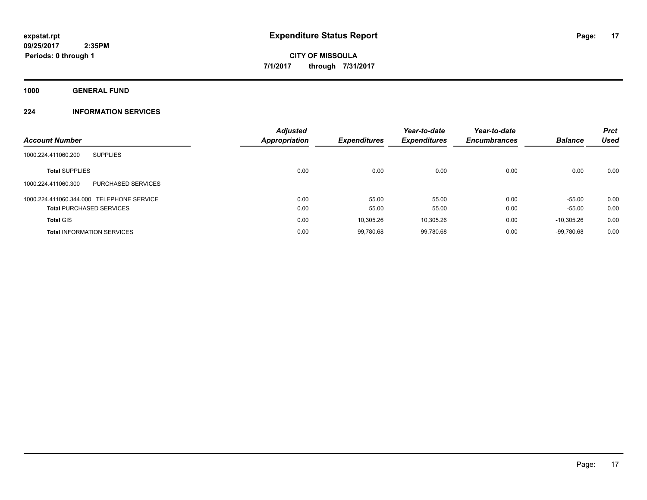**1000 GENERAL FUND**

# **224 INFORMATION SERVICES**

| <b>Account Number</b>                     | <b>Adjusted</b><br><b>Appropriation</b> | <b>Expenditures</b> | Year-to-date<br><b>Expenditures</b> | Year-to-date<br><b>Encumbrances</b> | <b>Balance</b> | <b>Prct</b><br><b>Used</b> |
|-------------------------------------------|-----------------------------------------|---------------------|-------------------------------------|-------------------------------------|----------------|----------------------------|
| 1000.224.411060.200<br><b>SUPPLIES</b>    |                                         |                     |                                     |                                     |                |                            |
| <b>Total SUPPLIES</b>                     | 0.00                                    | 0.00                | 0.00                                | 0.00                                | 0.00           | 0.00                       |
| PURCHASED SERVICES<br>1000.224.411060.300 |                                         |                     |                                     |                                     |                |                            |
| 1000.224.411060.344.000 TELEPHONE SERVICE | 0.00                                    | 55.00               | 55.00                               | 0.00                                | $-55.00$       | 0.00                       |
| <b>Total PURCHASED SERVICES</b>           | 0.00                                    | 55.00               | 55.00                               | 0.00                                | $-55.00$       | 0.00                       |
| <b>Total GIS</b>                          | 0.00                                    | 10,305.26           | 10,305.26                           | 0.00                                | $-10.305.26$   | 0.00                       |
| <b>Total INFORMATION SERVICES</b>         | 0.00                                    | 99,780.68           | 99,780.68                           | 0.00                                | $-99.780.68$   | 0.00                       |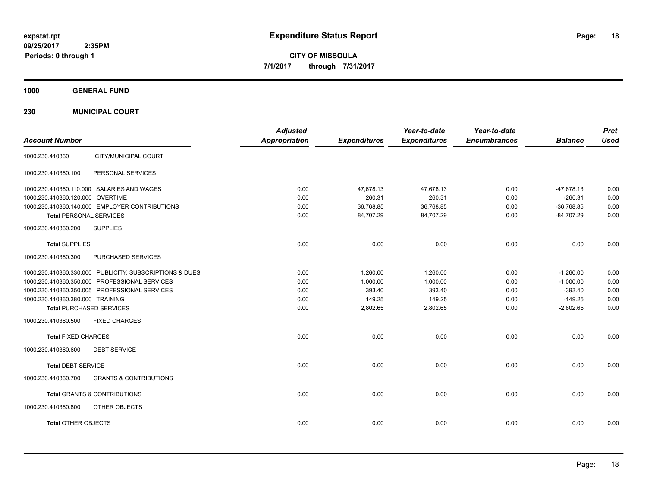**CITY OF MISSOULA 7/1/2017 through 7/31/2017**

**1000 GENERAL FUND**

**230 MUNICIPAL COURT**

| <b>Account Number</b>                                    | <b>Adjusted</b><br><b>Appropriation</b> | <b>Expenditures</b> | Year-to-date<br><b>Expenditures</b> | Year-to-date<br><b>Encumbrances</b> | <b>Balance</b> | <b>Prct</b><br><b>Used</b> |
|----------------------------------------------------------|-----------------------------------------|---------------------|-------------------------------------|-------------------------------------|----------------|----------------------------|
| CITY/MUNICIPAL COURT<br>1000.230.410360                  |                                         |                     |                                     |                                     |                |                            |
| 1000.230.410360.100<br>PERSONAL SERVICES                 |                                         |                     |                                     |                                     |                |                            |
| 1000.230.410360.110.000 SALARIES AND WAGES               | 0.00                                    | 47,678.13           | 47,678.13                           | 0.00                                | $-47,678.13$   | 0.00                       |
| 1000.230.410360.120.000 OVERTIME                         | 0.00                                    | 260.31              | 260.31                              | 0.00                                | $-260.31$      | 0.00                       |
| 1000.230.410360.140.000 EMPLOYER CONTRIBUTIONS           | 0.00                                    | 36,768.85           | 36,768.85                           | 0.00                                | $-36.768.85$   | 0.00                       |
| <b>Total PERSONAL SERVICES</b>                           | 0.00                                    | 84,707.29           | 84,707.29                           | 0.00                                | $-84,707.29$   | 0.00                       |
| 1000.230.410360.200<br><b>SUPPLIES</b>                   |                                         |                     |                                     |                                     |                |                            |
| <b>Total SUPPLIES</b>                                    | 0.00                                    | 0.00                | 0.00                                | 0.00                                | 0.00           | 0.00                       |
| 1000.230.410360.300<br>PURCHASED SERVICES                |                                         |                     |                                     |                                     |                |                            |
| 1000.230.410360.330.000 PUBLICITY, SUBSCRIPTIONS & DUES  | 0.00                                    | 1,260.00            | 1,260.00                            | 0.00                                | $-1,260.00$    | 0.00                       |
| 1000.230.410360.350.000 PROFESSIONAL SERVICES            | 0.00                                    | 1,000.00            | 1,000.00                            | 0.00                                | $-1,000.00$    | 0.00                       |
| 1000.230.410360.350.005 PROFESSIONAL SERVICES            | 0.00                                    | 393.40              | 393.40                              | 0.00                                | $-393.40$      | 0.00                       |
| 1000.230.410360.380.000 TRAINING                         | 0.00                                    | 149.25              | 149.25                              | 0.00                                | $-149.25$      | 0.00                       |
| <b>Total PURCHASED SERVICES</b>                          | 0.00                                    | 2,802.65            | 2,802.65                            | 0.00                                | $-2,802.65$    | 0.00                       |
| 1000.230.410360.500<br><b>FIXED CHARGES</b>              |                                         |                     |                                     |                                     |                |                            |
| <b>Total FIXED CHARGES</b>                               | 0.00                                    | 0.00                | 0.00                                | 0.00                                | 0.00           | 0.00                       |
| <b>DEBT SERVICE</b><br>1000.230.410360.600               |                                         |                     |                                     |                                     |                |                            |
| <b>Total DEBT SERVICE</b>                                | 0.00                                    | 0.00                | 0.00                                | 0.00                                | 0.00           | 0.00                       |
| <b>GRANTS &amp; CONTRIBUTIONS</b><br>1000.230.410360.700 |                                         |                     |                                     |                                     |                |                            |
| <b>Total GRANTS &amp; CONTRIBUTIONS</b>                  | 0.00                                    | 0.00                | 0.00                                | 0.00                                | 0.00           | 0.00                       |
| 1000.230.410360.800<br>OTHER OBJECTS                     |                                         |                     |                                     |                                     |                |                            |
| <b>Total OTHER OBJECTS</b>                               | 0.00                                    | 0.00                | 0.00                                | 0.00                                | 0.00           | 0.00                       |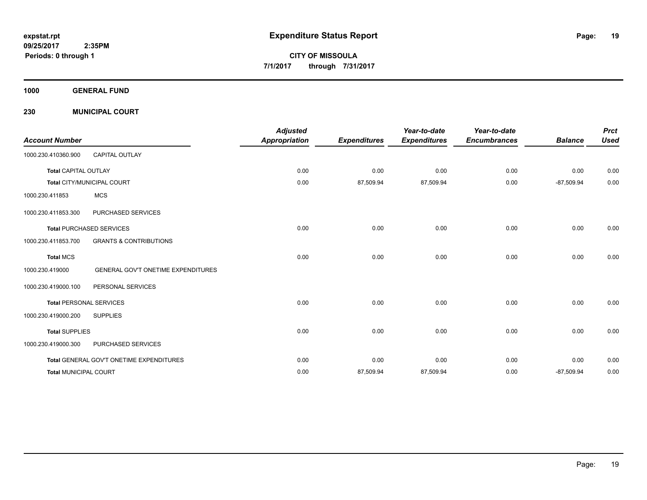**CITY OF MISSOULA 7/1/2017 through 7/31/2017**

**1000 GENERAL FUND**

**230 MUNICIPAL COURT**

| <b>Account Number</b>                                        | <b>Adjusted</b><br><b>Appropriation</b> | <b>Expenditures</b> | Year-to-date<br><b>Expenditures</b> | Year-to-date<br><b>Encumbrances</b> | <b>Balance</b> | <b>Prct</b><br><b>Used</b> |
|--------------------------------------------------------------|-----------------------------------------|---------------------|-------------------------------------|-------------------------------------|----------------|----------------------------|
| <b>CAPITAL OUTLAY</b><br>1000.230.410360.900                 |                                         |                     |                                     |                                     |                |                            |
| <b>Total CAPITAL OUTLAY</b>                                  | 0.00                                    | 0.00                | 0.00                                | 0.00                                | 0.00           | 0.00                       |
| Total CITY/MUNICIPAL COURT                                   | 0.00                                    | 87,509.94           | 87,509.94                           | 0.00                                | $-87,509.94$   | $0.00\,$                   |
| <b>MCS</b><br>1000.230.411853                                |                                         |                     |                                     |                                     |                |                            |
| PURCHASED SERVICES<br>1000.230.411853.300                    |                                         |                     |                                     |                                     |                |                            |
| <b>Total PURCHASED SERVICES</b>                              | 0.00                                    | 0.00                | 0.00                                | 0.00                                | 0.00           | 0.00                       |
| <b>GRANTS &amp; CONTRIBUTIONS</b><br>1000.230.411853.700     |                                         |                     |                                     |                                     |                |                            |
| <b>Total MCS</b>                                             | 0.00                                    | 0.00                | 0.00                                | 0.00                                | 0.00           | 0.00                       |
| <b>GENERAL GOV'T ONETIME EXPENDITURES</b><br>1000.230.419000 |                                         |                     |                                     |                                     |                |                            |
| PERSONAL SERVICES<br>1000.230.419000.100                     |                                         |                     |                                     |                                     |                |                            |
| <b>Total PERSONAL SERVICES</b>                               | 0.00                                    | 0.00                | 0.00                                | 0.00                                | 0.00           | 0.00                       |
| 1000.230.419000.200<br><b>SUPPLIES</b>                       |                                         |                     |                                     |                                     |                |                            |
| <b>Total SUPPLIES</b>                                        | 0.00                                    | 0.00                | 0.00                                | 0.00                                | 0.00           | 0.00                       |
| 1000.230.419000.300<br>PURCHASED SERVICES                    |                                         |                     |                                     |                                     |                |                            |
| Total GENERAL GOV'T ONETIME EXPENDITURES                     | 0.00                                    | 0.00                | 0.00                                | 0.00                                | 0.00           | 0.00                       |
| <b>Total MUNICIPAL COURT</b>                                 | 0.00                                    | 87,509.94           | 87,509.94                           | 0.00                                | $-87,509.94$   | 0.00                       |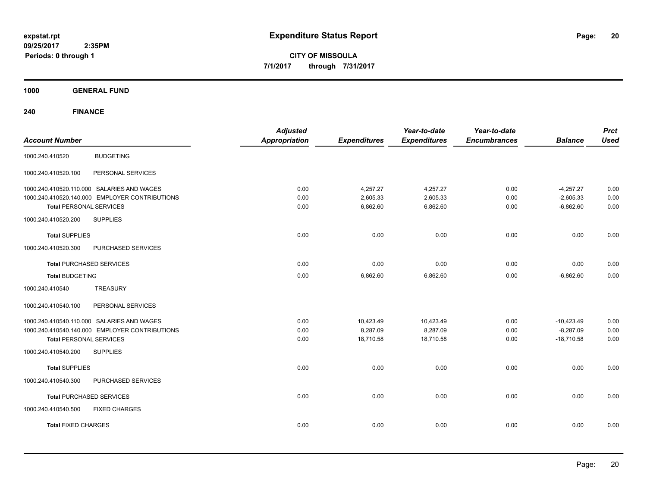**CITY OF MISSOULA 7/1/2017 through 7/31/2017**

**1000 GENERAL FUND**

**240 FINANCE**

| <b>Account Number</b>           |                                                                                              | <b>Adjusted</b><br><b>Appropriation</b> | <b>Expenditures</b>   | Year-to-date<br><b>Expenditures</b> | Year-to-date<br><b>Encumbrances</b> | <b>Balance</b>              | <b>Prct</b><br><b>Used</b> |
|---------------------------------|----------------------------------------------------------------------------------------------|-----------------------------------------|-----------------------|-------------------------------------|-------------------------------------|-----------------------------|----------------------------|
| 1000.240.410520                 | <b>BUDGETING</b>                                                                             |                                         |                       |                                     |                                     |                             |                            |
| 1000.240.410520.100             | PERSONAL SERVICES                                                                            |                                         |                       |                                     |                                     |                             |                            |
|                                 | 1000.240.410520.110.000 SALARIES AND WAGES<br>1000.240.410520.140.000 EMPLOYER CONTRIBUTIONS | 0.00<br>0.00                            | 4,257.27<br>2,605.33  | 4,257.27<br>2,605.33                | 0.00<br>0.00                        | $-4,257.27$<br>$-2,605.33$  | 0.00<br>0.00               |
| <b>Total PERSONAL SERVICES</b>  |                                                                                              | 0.00                                    | 6,862.60              | 6,862.60                            | 0.00                                | $-6,862.60$                 | 0.00                       |
| 1000.240.410520.200             | <b>SUPPLIES</b>                                                                              |                                         |                       |                                     |                                     |                             |                            |
| <b>Total SUPPLIES</b>           |                                                                                              | 0.00                                    | 0.00                  | 0.00                                | 0.00                                | 0.00                        | 0.00                       |
| 1000.240.410520.300             | PURCHASED SERVICES                                                                           |                                         |                       |                                     |                                     |                             |                            |
| <b>Total PURCHASED SERVICES</b> |                                                                                              | 0.00                                    | 0.00                  | 0.00                                | 0.00                                | 0.00                        | 0.00                       |
| <b>Total BUDGETING</b>          |                                                                                              | 0.00                                    | 6,862.60              | 6,862.60                            | 0.00                                | $-6,862.60$                 | 0.00                       |
| 1000.240.410540                 | <b>TREASURY</b>                                                                              |                                         |                       |                                     |                                     |                             |                            |
| 1000.240.410540.100             | PERSONAL SERVICES                                                                            |                                         |                       |                                     |                                     |                             |                            |
|                                 | 1000.240.410540.110.000 SALARIES AND WAGES                                                   | 0.00                                    | 10,423.49             | 10,423.49                           | 0.00                                | $-10,423.49$                | 0.00                       |
| <b>Total PERSONAL SERVICES</b>  | 1000.240.410540.140.000 EMPLOYER CONTRIBUTIONS                                               | 0.00<br>0.00                            | 8,287.09<br>18,710.58 | 8,287.09<br>18,710.58               | 0.00<br>0.00                        | $-8,287.09$<br>$-18.710.58$ | 0.00<br>0.00               |
| 1000.240.410540.200             | <b>SUPPLIES</b>                                                                              |                                         |                       |                                     |                                     |                             |                            |
| <b>Total SUPPLIES</b>           |                                                                                              | 0.00                                    | 0.00                  | 0.00                                | 0.00                                | 0.00                        | 0.00                       |
| 1000.240.410540.300             | PURCHASED SERVICES                                                                           |                                         |                       |                                     |                                     |                             |                            |
| <b>Total PURCHASED SERVICES</b> |                                                                                              | 0.00                                    | 0.00                  | 0.00                                | 0.00                                | 0.00                        | 0.00                       |
| 1000.240.410540.500             | <b>FIXED CHARGES</b>                                                                         |                                         |                       |                                     |                                     |                             |                            |
| <b>Total FIXED CHARGES</b>      |                                                                                              | 0.00                                    | 0.00                  | 0.00                                | 0.00                                | 0.00                        | 0.00                       |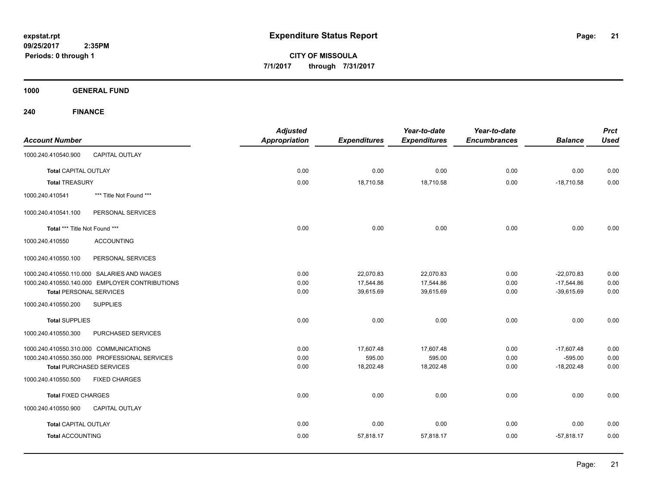**CITY OF MISSOULA 7/1/2017 through 7/31/2017**

**1000 GENERAL FUND**

**240 FINANCE**

| <b>Account Number</b>                  |                                                | <b>Adjusted</b><br><b>Appropriation</b> | <b>Expenditures</b> | Year-to-date<br><b>Expenditures</b> | Year-to-date<br><b>Encumbrances</b> | <b>Balance</b> | <b>Prct</b><br><b>Used</b> |
|----------------------------------------|------------------------------------------------|-----------------------------------------|---------------------|-------------------------------------|-------------------------------------|----------------|----------------------------|
| 1000.240.410540.900                    | CAPITAL OUTLAY                                 |                                         |                     |                                     |                                     |                |                            |
| <b>Total CAPITAL OUTLAY</b>            |                                                | 0.00                                    | 0.00                | 0.00                                | 0.00                                | 0.00           | 0.00                       |
| <b>Total TREASURY</b>                  |                                                | 0.00                                    | 18,710.58           | 18,710.58                           | 0.00                                | $-18,710.58$   | 0.00                       |
| 1000.240.410541                        | *** Title Not Found ***                        |                                         |                     |                                     |                                     |                |                            |
| 1000.240.410541.100                    | PERSONAL SERVICES                              |                                         |                     |                                     |                                     |                |                            |
| Total *** Title Not Found ***          |                                                | 0.00                                    | 0.00                | 0.00                                | 0.00                                | 0.00           | 0.00                       |
| 1000.240.410550                        | <b>ACCOUNTING</b>                              |                                         |                     |                                     |                                     |                |                            |
| 1000.240.410550.100                    | PERSONAL SERVICES                              |                                         |                     |                                     |                                     |                |                            |
|                                        | 1000.240.410550.110.000 SALARIES AND WAGES     | 0.00                                    | 22,070.83           | 22,070.83                           | 0.00                                | $-22,070.83$   | 0.00                       |
|                                        | 1000.240.410550.140.000 EMPLOYER CONTRIBUTIONS | 0.00                                    | 17,544.86           | 17,544.86                           | 0.00                                | $-17,544.86$   | 0.00                       |
| <b>Total PERSONAL SERVICES</b>         |                                                | 0.00                                    | 39,615.69           | 39,615.69                           | 0.00                                | $-39,615.69$   | 0.00                       |
| 1000.240.410550.200                    | <b>SUPPLIES</b>                                |                                         |                     |                                     |                                     |                |                            |
| <b>Total SUPPLIES</b>                  |                                                | 0.00                                    | 0.00                | 0.00                                | 0.00                                | 0.00           | 0.00                       |
| 1000.240.410550.300                    | PURCHASED SERVICES                             |                                         |                     |                                     |                                     |                |                            |
| 1000.240.410550.310.000 COMMUNICATIONS |                                                | 0.00                                    | 17,607.48           | 17,607.48                           | 0.00                                | $-17,607.48$   | 0.00                       |
|                                        | 1000.240.410550.350.000 PROFESSIONAL SERVICES  | 0.00                                    | 595.00              | 595.00                              | 0.00                                | $-595.00$      | 0.00                       |
|                                        | <b>Total PURCHASED SERVICES</b>                | 0.00                                    | 18,202.48           | 18,202.48                           | 0.00                                | $-18,202.48$   | 0.00                       |
| 1000.240.410550.500                    | <b>FIXED CHARGES</b>                           |                                         |                     |                                     |                                     |                |                            |
| <b>Total FIXED CHARGES</b>             |                                                | 0.00                                    | 0.00                | 0.00                                | 0.00                                | 0.00           | 0.00                       |
| 1000.240.410550.900                    | <b>CAPITAL OUTLAY</b>                          |                                         |                     |                                     |                                     |                |                            |
| <b>Total CAPITAL OUTLAY</b>            |                                                | 0.00                                    | 0.00                | 0.00                                | 0.00                                | 0.00           | 0.00                       |
| <b>Total ACCOUNTING</b>                |                                                | 0.00                                    | 57,818.17           | 57,818.17                           | 0.00                                | $-57,818.17$   | 0.00                       |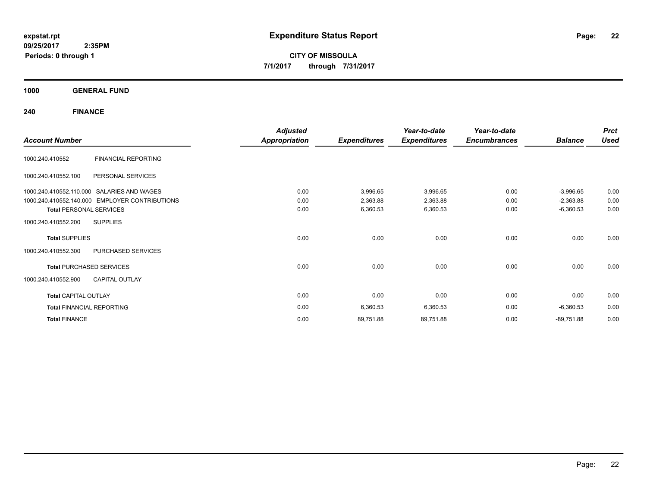**CITY OF MISSOULA 7/1/2017 through 7/31/2017**

**1000 GENERAL FUND**

**240 FINANCE**

|                                                | <b>Adjusted</b>      |                     | Year-to-date        | Year-to-date        |                | <b>Prct</b> |
|------------------------------------------------|----------------------|---------------------|---------------------|---------------------|----------------|-------------|
| <b>Account Number</b>                          | <b>Appropriation</b> | <b>Expenditures</b> | <b>Expenditures</b> | <b>Encumbrances</b> | <b>Balance</b> | <b>Used</b> |
| <b>FINANCIAL REPORTING</b><br>1000.240.410552  |                      |                     |                     |                     |                |             |
| PERSONAL SERVICES<br>1000.240.410552.100       |                      |                     |                     |                     |                |             |
| 1000.240.410552.110.000 SALARIES AND WAGES     | 0.00                 | 3,996.65            | 3,996.65            | 0.00                | $-3,996.65$    | 0.00        |
| 1000.240.410552.140.000 EMPLOYER CONTRIBUTIONS | 0.00                 | 2,363.88            | 2,363.88            | 0.00                | $-2,363.88$    | 0.00        |
| <b>Total PERSONAL SERVICES</b>                 | 0.00                 | 6,360.53            | 6,360.53            | 0.00                | $-6,360.53$    | 0.00        |
| <b>SUPPLIES</b><br>1000.240.410552.200         |                      |                     |                     |                     |                |             |
| <b>Total SUPPLIES</b>                          | 0.00                 | 0.00                | 0.00                | 0.00                | 0.00           | 0.00        |
| PURCHASED SERVICES<br>1000.240.410552.300      |                      |                     |                     |                     |                |             |
| <b>Total PURCHASED SERVICES</b>                | 0.00                 | 0.00                | 0.00                | 0.00                | 0.00           | 0.00        |
| <b>CAPITAL OUTLAY</b><br>1000.240.410552.900   |                      |                     |                     |                     |                |             |
| <b>Total CAPITAL OUTLAY</b>                    | 0.00                 | 0.00                | 0.00                | 0.00                | 0.00           | 0.00        |
| <b>Total FINANCIAL REPORTING</b>               | 0.00                 | 6,360.53            | 6,360.53            | 0.00                | $-6,360.53$    | 0.00        |
| <b>Total FINANCE</b>                           | 0.00                 | 89,751.88           | 89,751.88           | 0.00                | $-89,751.88$   | 0.00        |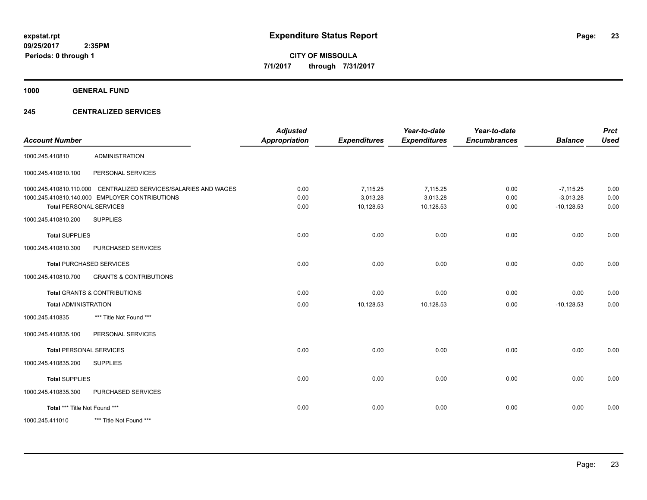**Periods: 0 through 1**

**23**

**CITY OF MISSOULA 7/1/2017 through 7/31/2017**

**1000 GENERAL FUND**

# **245 CENTRALIZED SERVICES**

| <b>Account Number</b>          |                                                                 | <b>Adjusted</b><br><b>Appropriation</b> | <b>Expenditures</b> | Year-to-date<br><b>Expenditures</b> | Year-to-date<br><b>Encumbrances</b> | <b>Balance</b> | <b>Prct</b><br><b>Used</b> |
|--------------------------------|-----------------------------------------------------------------|-----------------------------------------|---------------------|-------------------------------------|-------------------------------------|----------------|----------------------------|
| 1000.245.410810                | <b>ADMINISTRATION</b>                                           |                                         |                     |                                     |                                     |                |                            |
| 1000.245.410810.100            | PERSONAL SERVICES                                               |                                         |                     |                                     |                                     |                |                            |
|                                | 1000.245.410810.110.000 CENTRALIZED SERVICES/SALARIES AND WAGES | 0.00                                    | 7,115.25            | 7,115.25                            | 0.00                                | $-7,115.25$    | 0.00                       |
|                                | 1000.245.410810.140.000 EMPLOYER CONTRIBUTIONS                  | 0.00                                    | 3,013.28            | 3,013.28                            | 0.00                                | $-3,013.28$    | 0.00                       |
| <b>Total PERSONAL SERVICES</b> |                                                                 | 0.00                                    | 10,128.53           | 10,128.53                           | 0.00                                | $-10,128.53$   | 0.00                       |
| 1000.245.410810.200            | <b>SUPPLIES</b>                                                 |                                         |                     |                                     |                                     |                |                            |
| <b>Total SUPPLIES</b>          |                                                                 | 0.00                                    | 0.00                | 0.00                                | 0.00                                | 0.00           | 0.00                       |
| 1000.245.410810.300            | PURCHASED SERVICES                                              |                                         |                     |                                     |                                     |                |                            |
|                                | <b>Total PURCHASED SERVICES</b>                                 | 0.00                                    | 0.00                | 0.00                                | 0.00                                | 0.00           | 0.00                       |
| 1000.245.410810.700            | <b>GRANTS &amp; CONTRIBUTIONS</b>                               |                                         |                     |                                     |                                     |                |                            |
|                                | <b>Total GRANTS &amp; CONTRIBUTIONS</b>                         | 0.00                                    | 0.00                | 0.00                                | 0.00                                | 0.00           | 0.00                       |
| <b>Total ADMINISTRATION</b>    |                                                                 | 0.00                                    | 10,128.53           | 10,128.53                           | 0.00                                | $-10,128.53$   | 0.00                       |
| 1000.245.410835                | *** Title Not Found ***                                         |                                         |                     |                                     |                                     |                |                            |
| 1000.245.410835.100            | PERSONAL SERVICES                                               |                                         |                     |                                     |                                     |                |                            |
| <b>Total PERSONAL SERVICES</b> |                                                                 | 0.00                                    | 0.00                | 0.00                                | 0.00                                | 0.00           | 0.00                       |
| 1000.245.410835.200            | <b>SUPPLIES</b>                                                 |                                         |                     |                                     |                                     |                |                            |
| <b>Total SUPPLIES</b>          |                                                                 | 0.00                                    | 0.00                | 0.00                                | 0.00                                | 0.00           | 0.00                       |
| 1000.245.410835.300            | PURCHASED SERVICES                                              |                                         |                     |                                     |                                     |                |                            |
| Total *** Title Not Found ***  |                                                                 | 0.00                                    | 0.00                | 0.00                                | 0.00                                | 0.00           | 0.00                       |
| 1000.245.411010                | *** Title Not Found ***                                         |                                         |                     |                                     |                                     |                |                            |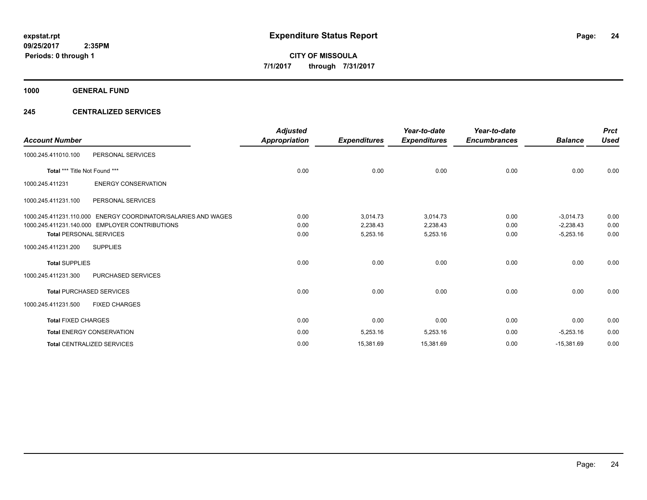**1000 GENERAL FUND**

# **245 CENTRALIZED SERVICES**

| <b>Account Number</b>          |                                                               | <b>Adjusted</b><br><b>Appropriation</b> | <b>Expenditures</b> | Year-to-date<br><b>Expenditures</b> | Year-to-date<br><b>Encumbrances</b> | <b>Balance</b> | <b>Prct</b><br><b>Used</b> |
|--------------------------------|---------------------------------------------------------------|-----------------------------------------|---------------------|-------------------------------------|-------------------------------------|----------------|----------------------------|
| 1000.245.411010.100            | PERSONAL SERVICES                                             |                                         |                     |                                     |                                     |                |                            |
| Total *** Title Not Found ***  |                                                               | 0.00                                    | 0.00                | 0.00                                | 0.00                                | 0.00           | 0.00                       |
| 1000.245.411231                | <b>ENERGY CONSERVATION</b>                                    |                                         |                     |                                     |                                     |                |                            |
| 1000.245.411231.100            | PERSONAL SERVICES                                             |                                         |                     |                                     |                                     |                |                            |
|                                | 1000.245.411231.110.000 ENERGY COORDINATOR/SALARIES AND WAGES | 0.00                                    | 3,014.73            | 3,014.73                            | 0.00                                | $-3,014.73$    | 0.00                       |
|                                | 1000.245.411231.140.000 EMPLOYER CONTRIBUTIONS                | 0.00                                    | 2,238.43            | 2,238.43                            | 0.00                                | $-2,238.43$    | 0.00                       |
| <b>Total PERSONAL SERVICES</b> |                                                               | 0.00                                    | 5,253.16            | 5,253.16                            | 0.00                                | $-5,253.16$    | 0.00                       |
| 1000.245.411231.200            | <b>SUPPLIES</b>                                               |                                         |                     |                                     |                                     |                |                            |
| <b>Total SUPPLIES</b>          |                                                               | 0.00                                    | 0.00                | 0.00                                | 0.00                                | 0.00           | 0.00                       |
| 1000.245.411231.300            | <b>PURCHASED SERVICES</b>                                     |                                         |                     |                                     |                                     |                |                            |
|                                | <b>Total PURCHASED SERVICES</b>                               | 0.00                                    | 0.00                | 0.00                                | 0.00                                | 0.00           | 0.00                       |
| 1000.245.411231.500            | <b>FIXED CHARGES</b>                                          |                                         |                     |                                     |                                     |                |                            |
| <b>Total FIXED CHARGES</b>     |                                                               | 0.00                                    | 0.00                | 0.00                                | 0.00                                | 0.00           | 0.00                       |
|                                | <b>Total ENERGY CONSERVATION</b>                              | 0.00                                    | 5,253.16            | 5,253.16                            | 0.00                                | $-5,253.16$    | 0.00                       |
|                                | <b>Total CENTRALIZED SERVICES</b>                             | 0.00                                    | 15,381.69           | 15,381.69                           | 0.00                                | $-15,381.69$   | 0.00                       |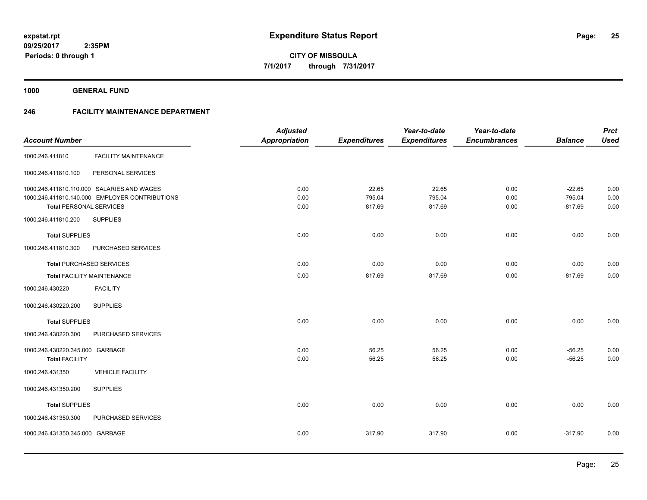**1000 GENERAL FUND**

# **246 FACILITY MAINTENANCE DEPARTMENT**

|                                 |                                                | <b>Adjusted</b>      |                     | Year-to-date        | Year-to-date        |                | <b>Prct</b> |
|---------------------------------|------------------------------------------------|----------------------|---------------------|---------------------|---------------------|----------------|-------------|
| <b>Account Number</b>           |                                                | <b>Appropriation</b> | <b>Expenditures</b> | <b>Expenditures</b> | <b>Encumbrances</b> | <b>Balance</b> | <b>Used</b> |
| 1000.246.411810                 | <b>FACILITY MAINTENANCE</b>                    |                      |                     |                     |                     |                |             |
| 1000.246.411810.100             | PERSONAL SERVICES                              |                      |                     |                     |                     |                |             |
|                                 | 1000.246.411810.110.000 SALARIES AND WAGES     | 0.00                 | 22.65               | 22.65               | 0.00                | $-22.65$       | 0.00        |
|                                 | 1000.246.411810.140.000 EMPLOYER CONTRIBUTIONS | 0.00                 | 795.04              | 795.04              | 0.00                | $-795.04$      | 0.00        |
| <b>Total PERSONAL SERVICES</b>  |                                                | 0.00                 | 817.69              | 817.69              | 0.00                | $-817.69$      | 0.00        |
| 1000.246.411810.200             | <b>SUPPLIES</b>                                |                      |                     |                     |                     |                |             |
| <b>Total SUPPLIES</b>           |                                                | 0.00                 | 0.00                | 0.00                | 0.00                | 0.00           | 0.00        |
| 1000.246.411810.300             | PURCHASED SERVICES                             |                      |                     |                     |                     |                |             |
|                                 | <b>Total PURCHASED SERVICES</b>                | 0.00                 | 0.00                | 0.00                | 0.00                | 0.00           | 0.00        |
|                                 | <b>Total FACILITY MAINTENANCE</b>              | 0.00                 | 817.69              | 817.69              | 0.00                | $-817.69$      | 0.00        |
| 1000.246.430220                 | <b>FACILITY</b>                                |                      |                     |                     |                     |                |             |
| 1000.246.430220.200             | <b>SUPPLIES</b>                                |                      |                     |                     |                     |                |             |
| <b>Total SUPPLIES</b>           |                                                | 0.00                 | 0.00                | 0.00                | 0.00                | 0.00           | 0.00        |
| 1000.246.430220.300             | PURCHASED SERVICES                             |                      |                     |                     |                     |                |             |
| 1000.246.430220.345.000 GARBAGE |                                                | 0.00                 | 56.25               | 56.25               | 0.00                | $-56.25$       | 0.00        |
| <b>Total FACILITY</b>           |                                                | 0.00                 | 56.25               | 56.25               | 0.00                | $-56.25$       | 0.00        |
| 1000.246.431350                 | <b>VEHICLE FACILITY</b>                        |                      |                     |                     |                     |                |             |
| 1000.246.431350.200             | <b>SUPPLIES</b>                                |                      |                     |                     |                     |                |             |
| <b>Total SUPPLIES</b>           |                                                | 0.00                 | 0.00                | 0.00                | 0.00                | 0.00           | 0.00        |
| 1000.246.431350.300             | PURCHASED SERVICES                             |                      |                     |                     |                     |                |             |
| 1000.246.431350.345.000 GARBAGE |                                                | 0.00                 | 317.90              | 317.90              | 0.00                | $-317.90$      | 0.00        |
|                                 |                                                |                      |                     |                     |                     |                |             |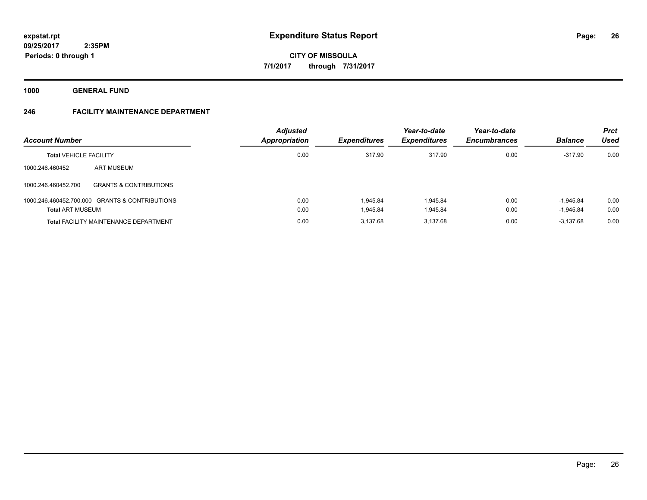**1000 GENERAL FUND**

# **246 FACILITY MAINTENANCE DEPARTMENT**

| <b>Account Number</b>         |                                                | <b>Adjusted</b><br>Appropriation | <b>Expenditures</b> | Year-to-date<br><b>Expenditures</b> | Year-to-date<br><b>Encumbrances</b> | <b>Balance</b> | <b>Prct</b><br>Used |
|-------------------------------|------------------------------------------------|----------------------------------|---------------------|-------------------------------------|-------------------------------------|----------------|---------------------|
| <b>Total VEHICLE FACILITY</b> |                                                | 0.00                             | 317.90              | 317.90                              | 0.00                                | $-317.90$      | 0.00                |
| 1000.246.460452               | ART MUSEUM                                     |                                  |                     |                                     |                                     |                |                     |
| 1000.246.460452.700           | <b>GRANTS &amp; CONTRIBUTIONS</b>              |                                  |                     |                                     |                                     |                |                     |
|                               | 1000.246.460452.700.000 GRANTS & CONTRIBUTIONS | 0.00                             | 1.945.84            | 1.945.84                            | 0.00                                | $-1.945.84$    | 0.00                |
| <b>Total ART MUSEUM</b>       |                                                | 0.00                             | 1.945.84            | 1.945.84                            | 0.00                                | $-1,945.84$    | 0.00                |
|                               | <b>Total FACILITY MAINTENANCE DEPARTMENT</b>   | 0.00                             | 3.137.68            | 3.137.68                            | 0.00                                | $-3.137.68$    | 0.00                |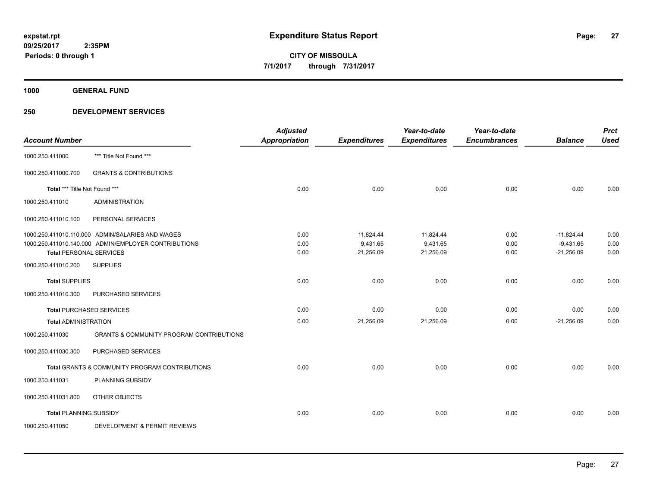**1000 GENERAL FUND**

| <b>Account Number</b>         |                                                      | <b>Adjusted</b><br><b>Appropriation</b> | <b>Expenditures</b> | Year-to-date<br><b>Expenditures</b> | Year-to-date<br><b>Encumbrances</b> | <b>Balance</b> | <b>Prct</b><br><b>Used</b> |
|-------------------------------|------------------------------------------------------|-----------------------------------------|---------------------|-------------------------------------|-------------------------------------|----------------|----------------------------|
| 1000.250.411000               | *** Title Not Found ***                              |                                         |                     |                                     |                                     |                |                            |
| 1000.250.411000.700           | <b>GRANTS &amp; CONTRIBUTIONS</b>                    |                                         |                     |                                     |                                     |                |                            |
| Total *** Title Not Found *** |                                                      | 0.00                                    | 0.00                | 0.00                                | 0.00                                | 0.00           | 0.00                       |
| 1000.250.411010               | <b>ADMINISTRATION</b>                                |                                         |                     |                                     |                                     |                |                            |
| 1000.250.411010.100           | PERSONAL SERVICES                                    |                                         |                     |                                     |                                     |                |                            |
|                               | 1000.250.411010.110.000 ADMIN/SALARIES AND WAGES     | 0.00                                    | 11,824.44           | 11,824.44                           | 0.00                                | $-11.824.44$   | 0.00                       |
|                               | 1000.250.411010.140.000 ADMIN/EMPLOYER CONTRIBUTIONS | 0.00                                    | 9,431.65            | 9,431.65                            | 0.00                                | $-9,431.65$    | 0.00                       |
|                               | <b>Total PERSONAL SERVICES</b>                       | 0.00                                    | 21,256.09           | 21,256.09                           | 0.00                                | $-21,256.09$   | 0.00                       |
| 1000.250.411010.200           | <b>SUPPLIES</b>                                      |                                         |                     |                                     |                                     |                |                            |
| <b>Total SUPPLIES</b>         |                                                      | 0.00                                    | 0.00                | 0.00                                | 0.00                                | 0.00           | 0.00                       |
| 1000.250.411010.300           | PURCHASED SERVICES                                   |                                         |                     |                                     |                                     |                |                            |
|                               | <b>Total PURCHASED SERVICES</b>                      | 0.00                                    | 0.00                | 0.00                                | 0.00                                | 0.00           | 0.00                       |
| <b>Total ADMINISTRATION</b>   |                                                      | 0.00                                    | 21,256.09           | 21,256.09                           | 0.00                                | $-21,256.09$   | 0.00                       |
| 1000.250.411030               | <b>GRANTS &amp; COMMUNITY PROGRAM CONTRIBUTIONS</b>  |                                         |                     |                                     |                                     |                |                            |
| 1000.250.411030.300           | PURCHASED SERVICES                                   |                                         |                     |                                     |                                     |                |                            |
|                               | Total GRANTS & COMMUNITY PROGRAM CONTRIBUTIONS       | 0.00                                    | 0.00                | 0.00                                | 0.00                                | 0.00           | 0.00                       |
| 1000.250.411031               | PLANNING SUBSIDY                                     |                                         |                     |                                     |                                     |                |                            |
| 1000.250.411031.800           | OTHER OBJECTS                                        |                                         |                     |                                     |                                     |                |                            |
| <b>Total PLANNING SUBSIDY</b> |                                                      | 0.00                                    | 0.00                | 0.00                                | 0.00                                | 0.00           | 0.00                       |
| 1000.250.411050               | DEVELOPMENT & PERMIT REVIEWS                         |                                         |                     |                                     |                                     |                |                            |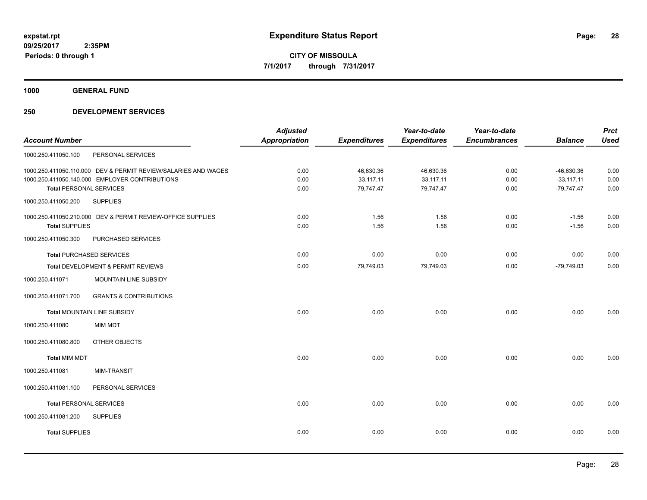**1000 GENERAL FUND**

|                                |                                                                | <b>Adjusted</b>      |                     | Year-to-date        | Year-to-date        |                | <b>Prct</b> |
|--------------------------------|----------------------------------------------------------------|----------------------|---------------------|---------------------|---------------------|----------------|-------------|
| <b>Account Number</b>          |                                                                | <b>Appropriation</b> | <b>Expenditures</b> | <b>Expenditures</b> | <b>Encumbrances</b> | <b>Balance</b> | <b>Used</b> |
| 1000.250.411050.100            | PERSONAL SERVICES                                              |                      |                     |                     |                     |                |             |
|                                | 1000.250.411050.110.000 DEV & PERMIT REVIEW/SALARIES AND WAGES | 0.00                 | 46,630.36           | 46,630.36           | 0.00                | $-46,630.36$   | 0.00        |
|                                | 1000.250.411050.140.000 EMPLOYER CONTRIBUTIONS                 | 0.00                 | 33,117.11           | 33,117.11           | 0.00                | $-33,117.11$   | 0.00        |
| <b>Total PERSONAL SERVICES</b> |                                                                | 0.00                 | 79,747.47           | 79,747.47           | 0.00                | $-79,747.47$   | 0.00        |
| 1000.250.411050.200            | <b>SUPPLIES</b>                                                |                      |                     |                     |                     |                |             |
|                                | 1000.250.411050.210.000 DEV & PERMIT REVIEW-OFFICE SUPPLIES    | 0.00                 | 1.56                | 1.56                | 0.00                | $-1.56$        | 0.00        |
| <b>Total SUPPLIES</b>          |                                                                | 0.00                 | 1.56                | 1.56                | 0.00                | $-1.56$        | 0.00        |
| 1000.250.411050.300            | PURCHASED SERVICES                                             |                      |                     |                     |                     |                |             |
|                                | <b>Total PURCHASED SERVICES</b>                                | 0.00                 | 0.00                | 0.00                | 0.00                | 0.00           | 0.00        |
|                                | Total DEVELOPMENT & PERMIT REVIEWS                             | 0.00                 | 79,749.03           | 79,749.03           | 0.00                | $-79,749.03$   | 0.00        |
| 1000.250.411071                | MOUNTAIN LINE SUBSIDY                                          |                      |                     |                     |                     |                |             |
| 1000.250.411071.700            | <b>GRANTS &amp; CONTRIBUTIONS</b>                              |                      |                     |                     |                     |                |             |
|                                | <b>Total MOUNTAIN LINE SUBSIDY</b>                             | 0.00                 | 0.00                | 0.00                | 0.00                | 0.00           | 0.00        |
| 1000.250.411080                | <b>MIM MDT</b>                                                 |                      |                     |                     |                     |                |             |
| 1000.250.411080.800            | OTHER OBJECTS                                                  |                      |                     |                     |                     |                |             |
| <b>Total MIM MDT</b>           |                                                                | 0.00                 | 0.00                | 0.00                | 0.00                | 0.00           | 0.00        |
| 1000.250.411081                | <b>MIM-TRANSIT</b>                                             |                      |                     |                     |                     |                |             |
| 1000.250.411081.100            | PERSONAL SERVICES                                              |                      |                     |                     |                     |                |             |
| <b>Total PERSONAL SERVICES</b> |                                                                | 0.00                 | 0.00                | 0.00                | 0.00                | 0.00           | 0.00        |
| 1000.250.411081.200            | <b>SUPPLIES</b>                                                |                      |                     |                     |                     |                |             |
| <b>Total SUPPLIES</b>          |                                                                | 0.00                 | 0.00                | 0.00                | 0.00                | 0.00           | 0.00        |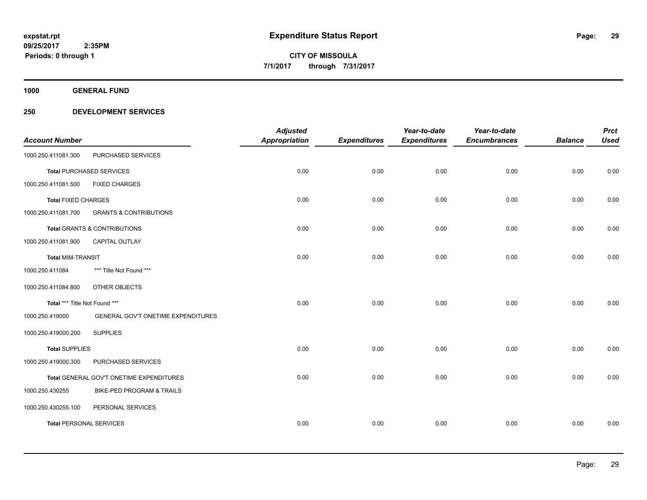**1000 GENERAL FUND**

| <b>Account Number</b>          |                                          | <b>Adjusted</b><br><b>Appropriation</b> | <b>Expenditures</b> | Year-to-date<br><b>Expenditures</b> | Year-to-date<br><b>Encumbrances</b> | <b>Balance</b> | <b>Prct</b><br><b>Used</b> |
|--------------------------------|------------------------------------------|-----------------------------------------|---------------------|-------------------------------------|-------------------------------------|----------------|----------------------------|
| 1000.250.411081.300            | PURCHASED SERVICES                       |                                         |                     |                                     |                                     |                |                            |
|                                | <b>Total PURCHASED SERVICES</b>          | 0.00                                    | 0.00                | 0.00                                | 0.00                                | 0.00           | 0.00                       |
| 1000.250.411081.500            | <b>FIXED CHARGES</b>                     |                                         |                     |                                     |                                     |                |                            |
| <b>Total FIXED CHARGES</b>     |                                          | 0.00                                    | 0.00                | 0.00                                | 0.00                                | 0.00           | 0.00                       |
| 1000.250.411081.700            | <b>GRANTS &amp; CONTRIBUTIONS</b>        |                                         |                     |                                     |                                     |                |                            |
|                                | <b>Total GRANTS &amp; CONTRIBUTIONS</b>  | 0.00                                    | 0.00                | 0.00                                | 0.00                                | 0.00           | 0.00                       |
| 1000.250.411081.900            | <b>CAPITAL OUTLAY</b>                    |                                         |                     |                                     |                                     |                |                            |
| <b>Total MIM-TRANSIT</b>       |                                          | 0.00                                    | 0.00                | 0.00                                | 0.00                                | 0.00           | 0.00                       |
| 1000.250.411084                | *** Title Not Found ***                  |                                         |                     |                                     |                                     |                |                            |
| 1000.250.411084.800            | OTHER OBJECTS                            |                                         |                     |                                     |                                     |                |                            |
| Total *** Title Not Found ***  |                                          | 0.00                                    | 0.00                | 0.00                                | 0.00                                | 0.00           | 0.00                       |
| 1000.250.419000                | GENERAL GOV'T ONETIME EXPENDITURES       |                                         |                     |                                     |                                     |                |                            |
| 1000.250.419000.200            | <b>SUPPLIES</b>                          |                                         |                     |                                     |                                     |                |                            |
| <b>Total SUPPLIES</b>          |                                          | 0.00                                    | 0.00                | 0.00                                | 0.00                                | 0.00           | 0.00                       |
| 1000.250.419000.300            | PURCHASED SERVICES                       |                                         |                     |                                     |                                     |                |                            |
|                                | Total GENERAL GOV'T ONETIME EXPENDITURES | 0.00                                    | 0.00                | 0.00                                | 0.00                                | 0.00           | 0.00                       |
| 1000.250.430255                | BIKE-PED PROGRAM & TRAILS                |                                         |                     |                                     |                                     |                |                            |
| 1000.250.430255.100            | PERSONAL SERVICES                        |                                         |                     |                                     |                                     |                |                            |
| <b>Total PERSONAL SERVICES</b> |                                          | 0.00                                    | 0.00                | 0.00                                | 0.00                                | 0.00           | 0.00                       |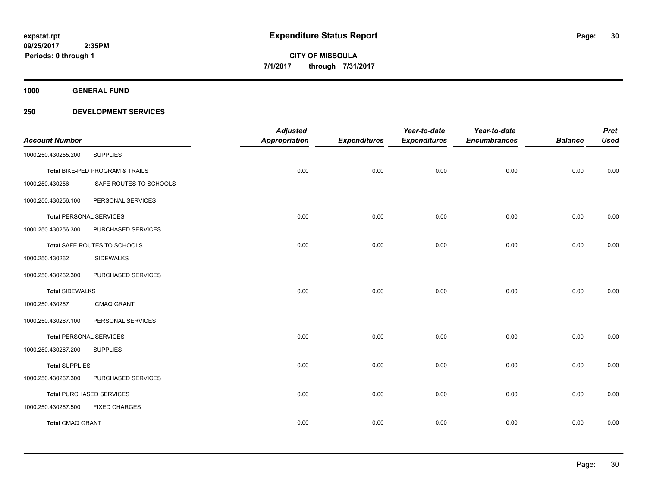**1000 GENERAL FUND**

|                                |                                 | <b>Adjusted</b>      |                     | Year-to-date        | Year-to-date        |                | <b>Prct</b> |
|--------------------------------|---------------------------------|----------------------|---------------------|---------------------|---------------------|----------------|-------------|
| <b>Account Number</b>          |                                 | <b>Appropriation</b> | <b>Expenditures</b> | <b>Expenditures</b> | <b>Encumbrances</b> | <b>Balance</b> | <b>Used</b> |
| 1000.250.430255.200            | <b>SUPPLIES</b>                 |                      |                     |                     |                     |                |             |
|                                | Total BIKE-PED PROGRAM & TRAILS | 0.00                 | 0.00                | 0.00                | 0.00                | 0.00           | 0.00        |
| 1000.250.430256                | SAFE ROUTES TO SCHOOLS          |                      |                     |                     |                     |                |             |
| 1000.250.430256.100            | PERSONAL SERVICES               |                      |                     |                     |                     |                |             |
| <b>Total PERSONAL SERVICES</b> |                                 | 0.00                 | 0.00                | 0.00                | 0.00                | 0.00           | 0.00        |
| 1000.250.430256.300            | PURCHASED SERVICES              |                      |                     |                     |                     |                |             |
|                                | Total SAFE ROUTES TO SCHOOLS    | 0.00                 | 0.00                | 0.00                | 0.00                | 0.00           | 0.00        |
| 1000.250.430262                | <b>SIDEWALKS</b>                |                      |                     |                     |                     |                |             |
| 1000.250.430262.300            | PURCHASED SERVICES              |                      |                     |                     |                     |                |             |
| <b>Total SIDEWALKS</b>         |                                 | 0.00                 | 0.00                | 0.00                | 0.00                | 0.00           | 0.00        |
| 1000.250.430267                | <b>CMAQ GRANT</b>               |                      |                     |                     |                     |                |             |
| 1000.250.430267.100            | PERSONAL SERVICES               |                      |                     |                     |                     |                |             |
| <b>Total PERSONAL SERVICES</b> |                                 | 0.00                 | 0.00                | 0.00                | 0.00                | 0.00           | 0.00        |
| 1000.250.430267.200            | <b>SUPPLIES</b>                 |                      |                     |                     |                     |                |             |
| <b>Total SUPPLIES</b>          |                                 | 0.00                 | 0.00                | 0.00                | 0.00                | 0.00           | 0.00        |
| 1000.250.430267.300            | PURCHASED SERVICES              |                      |                     |                     |                     |                |             |
|                                | <b>Total PURCHASED SERVICES</b> | 0.00                 | 0.00                | 0.00                | 0.00                | 0.00           | 0.00        |
| 1000.250.430267.500            | <b>FIXED CHARGES</b>            |                      |                     |                     |                     |                |             |
| Total CMAQ GRANT               |                                 | 0.00                 | 0.00                | 0.00                | 0.00                | 0.00           | 0.00        |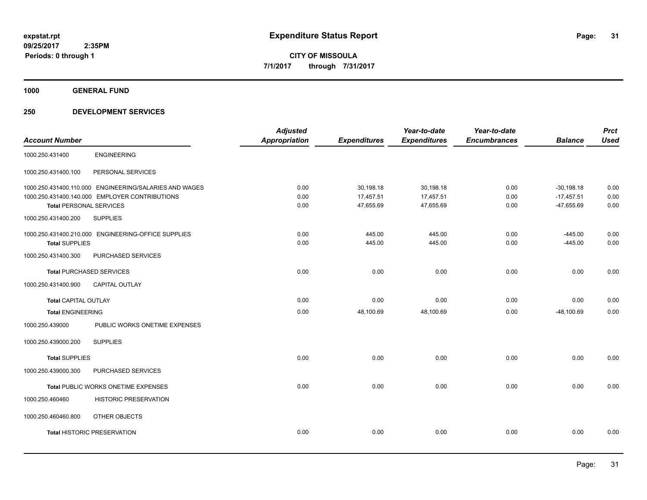**1000 GENERAL FUND**

|                                |                                                        | <b>Adjusted</b>      |                     | Year-to-date        | Year-to-date        |                | <b>Prct</b> |
|--------------------------------|--------------------------------------------------------|----------------------|---------------------|---------------------|---------------------|----------------|-------------|
| <b>Account Number</b>          |                                                        | <b>Appropriation</b> | <b>Expenditures</b> | <b>Expenditures</b> | <b>Encumbrances</b> | <b>Balance</b> | <b>Used</b> |
| 1000.250.431400                | <b>ENGINEERING</b>                                     |                      |                     |                     |                     |                |             |
| 1000.250.431400.100            | PERSONAL SERVICES                                      |                      |                     |                     |                     |                |             |
|                                | 1000.250.431400.110.000 ENGINEERING/SALARIES AND WAGES | 0.00                 | 30,198.18           | 30,198.18           | 0.00                | $-30,198.18$   | 0.00        |
|                                | 1000.250.431400.140.000 EMPLOYER CONTRIBUTIONS         | 0.00                 | 17,457.51           | 17,457.51           | 0.00                | $-17,457.51$   | 0.00        |
| <b>Total PERSONAL SERVICES</b> |                                                        | 0.00                 | 47,655.69           | 47,655.69           | 0.00                | $-47,655.69$   | 0.00        |
| 1000.250.431400.200            | <b>SUPPLIES</b>                                        |                      |                     |                     |                     |                |             |
|                                | 1000.250.431400.210.000 ENGINEERING-OFFICE SUPPLIES    | 0.00                 | 445.00              | 445.00              | 0.00                | $-445.00$      | 0.00        |
| <b>Total SUPPLIES</b>          |                                                        | 0.00                 | 445.00              | 445.00              | 0.00                | $-445.00$      | 0.00        |
| 1000.250.431400.300            | PURCHASED SERVICES                                     |                      |                     |                     |                     |                |             |
|                                | <b>Total PURCHASED SERVICES</b>                        | 0.00                 | 0.00                | 0.00                | 0.00                | 0.00           | 0.00        |
| 1000.250.431400.900            | <b>CAPITAL OUTLAY</b>                                  |                      |                     |                     |                     |                |             |
| <b>Total CAPITAL OUTLAY</b>    |                                                        | 0.00                 | 0.00                | 0.00                | 0.00                | 0.00           | 0.00        |
| <b>Total ENGINEERING</b>       |                                                        | 0.00                 | 48,100.69           | 48,100.69           | 0.00                | $-48,100.69$   | 0.00        |
| 1000.250.439000                | PUBLIC WORKS ONETIME EXPENSES                          |                      |                     |                     |                     |                |             |
| 1000.250.439000.200            | <b>SUPPLIES</b>                                        |                      |                     |                     |                     |                |             |
| <b>Total SUPPLIES</b>          |                                                        | 0.00                 | 0.00                | 0.00                | 0.00                | 0.00           | 0.00        |
| 1000.250.439000.300            | PURCHASED SERVICES                                     |                      |                     |                     |                     |                |             |
|                                | Total PUBLIC WORKS ONETIME EXPENSES                    | 0.00                 | 0.00                | 0.00                | 0.00                | 0.00           | 0.00        |
| 1000.250.460460                | <b>HISTORIC PRESERVATION</b>                           |                      |                     |                     |                     |                |             |
| 1000.250.460460.800            | OTHER OBJECTS                                          |                      |                     |                     |                     |                |             |
|                                | <b>Total HISTORIC PRESERVATION</b>                     | 0.00                 | 0.00                | 0.00                | 0.00                | 0.00           | 0.00        |
|                                |                                                        |                      |                     |                     |                     |                |             |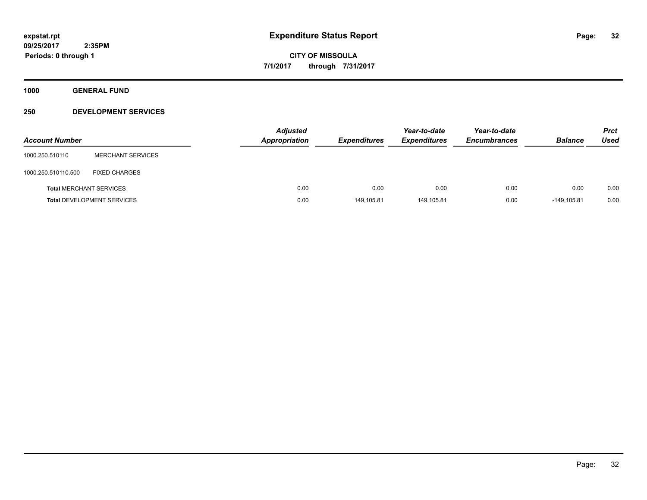**1000 GENERAL FUND**

| <b>Account Number</b>          |                                   | <b>Adjusted</b><br>Appropriation | <b>Expenditures</b> | Year-to-date<br><b>Expenditures</b> | Year-to-date<br><b>Encumbrances</b> | <b>Balance</b> | <b>Prct</b><br>Used |
|--------------------------------|-----------------------------------|----------------------------------|---------------------|-------------------------------------|-------------------------------------|----------------|---------------------|
| 1000.250.510110                | <b>MERCHANT SERVICES</b>          |                                  |                     |                                     |                                     |                |                     |
| 1000.250.510110.500            | <b>FIXED CHARGES</b>              |                                  |                     |                                     |                                     |                |                     |
| <b>Total MERCHANT SERVICES</b> |                                   | 0.00                             | 0.00                | 0.00                                | 0.00                                | 0.00           | 0.00                |
|                                | <b>Total DEVELOPMENT SERVICES</b> | 0.00                             | 149,105.81          | 149,105.81                          | 0.00                                | $-149.105.81$  | 0.00                |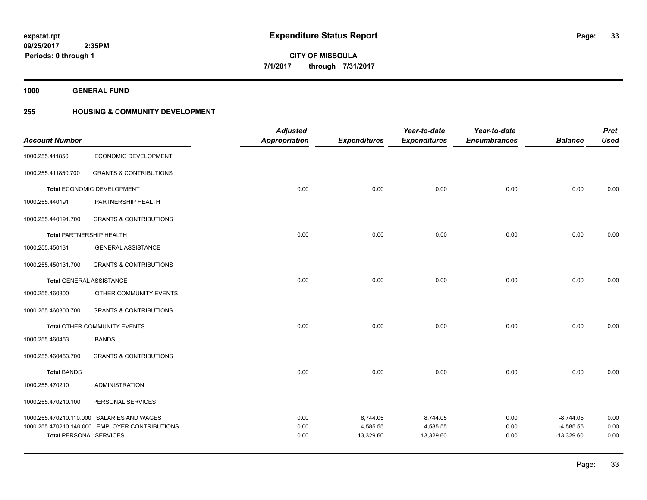**1000 GENERAL FUND**

# **255 HOUSING & COMMUNITY DEVELOPMENT**

|                                 |                                                | <b>Adjusted</b>      |                       | Year-to-date          | Year-to-date        |                             | <b>Prct</b>  |
|---------------------------------|------------------------------------------------|----------------------|-----------------------|-----------------------|---------------------|-----------------------------|--------------|
| <b>Account Number</b>           |                                                | <b>Appropriation</b> | <b>Expenditures</b>   | <b>Expenditures</b>   | <b>Encumbrances</b> | <b>Balance</b>              | <b>Used</b>  |
| 1000.255.411850                 | ECONOMIC DEVELOPMENT                           |                      |                       |                       |                     |                             |              |
| 1000.255.411850.700             | <b>GRANTS &amp; CONTRIBUTIONS</b>              |                      |                       |                       |                     |                             |              |
|                                 | Total ECONOMIC DEVELOPMENT                     | 0.00                 | 0.00                  | 0.00                  | 0.00                | 0.00                        | 0.00         |
| 1000.255.440191                 | PARTNERSHIP HEALTH                             |                      |                       |                       |                     |                             |              |
| 1000.255.440191.700             | <b>GRANTS &amp; CONTRIBUTIONS</b>              |                      |                       |                       |                     |                             |              |
| <b>Total PARTNERSHIP HEALTH</b> |                                                | 0.00                 | 0.00                  | 0.00                  | 0.00                | 0.00                        | 0.00         |
| 1000.255.450131                 | <b>GENERAL ASSISTANCE</b>                      |                      |                       |                       |                     |                             |              |
| 1000.255.450131.700             | <b>GRANTS &amp; CONTRIBUTIONS</b>              |                      |                       |                       |                     |                             |              |
| <b>Total GENERAL ASSISTANCE</b> |                                                | 0.00                 | 0.00                  | 0.00                  | 0.00                | 0.00                        | 0.00         |
| 1000.255.460300                 | OTHER COMMUNITY EVENTS                         |                      |                       |                       |                     |                             |              |
| 1000.255.460300.700             | <b>GRANTS &amp; CONTRIBUTIONS</b>              |                      |                       |                       |                     |                             |              |
|                                 | Total OTHER COMMUNITY EVENTS                   | 0.00                 | 0.00                  | 0.00                  | 0.00                | 0.00                        | 0.00         |
| 1000.255.460453                 | <b>BANDS</b>                                   |                      |                       |                       |                     |                             |              |
| 1000.255.460453.700             | <b>GRANTS &amp; CONTRIBUTIONS</b>              |                      |                       |                       |                     |                             |              |
| <b>Total BANDS</b>              |                                                | 0.00                 | 0.00                  | 0.00                  | 0.00                | 0.00                        | 0.00         |
| 1000.255.470210                 | <b>ADMINISTRATION</b>                          |                      |                       |                       |                     |                             |              |
| 1000.255.470210.100             | PERSONAL SERVICES                              |                      |                       |                       |                     |                             |              |
|                                 | 1000.255.470210.110.000 SALARIES AND WAGES     | 0.00                 | 8,744.05              | 8,744.05              | 0.00                | $-8,744.05$                 | 0.00         |
| <b>Total PERSONAL SERVICES</b>  | 1000.255.470210.140.000 EMPLOYER CONTRIBUTIONS | 0.00<br>0.00         | 4,585.55<br>13,329.60 | 4,585.55<br>13,329.60 | 0.00<br>0.00        | $-4,585.55$<br>$-13,329.60$ | 0.00<br>0.00 |
|                                 |                                                |                      |                       |                       |                     |                             |              |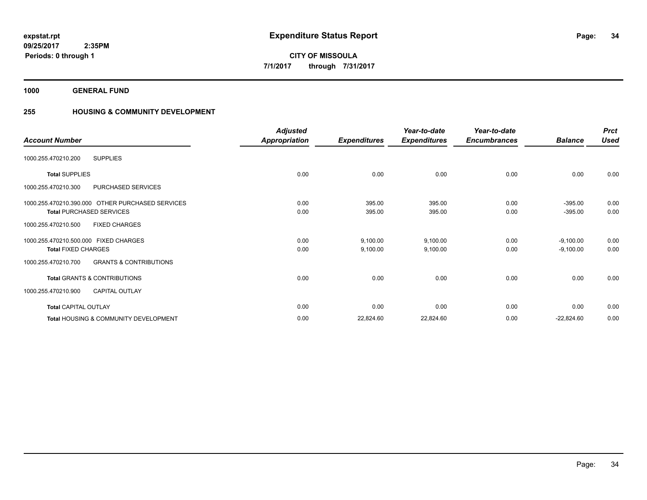**1000 GENERAL FUND**

# **255 HOUSING & COMMUNITY DEVELOPMENT**

| <b>Account Number</b>                                    | <b>Adjusted</b><br>Appropriation | <b>Expenditures</b> | Year-to-date<br><b>Expenditures</b> | Year-to-date<br><b>Encumbrances</b> | <b>Balance</b> | <b>Prct</b><br><b>Used</b> |
|----------------------------------------------------------|----------------------------------|---------------------|-------------------------------------|-------------------------------------|----------------|----------------------------|
| <b>SUPPLIES</b><br>1000.255.470210.200                   |                                  |                     |                                     |                                     |                |                            |
| <b>Total SUPPLIES</b>                                    | 0.00                             | 0.00                | 0.00                                | 0.00                                | 0.00           | 0.00                       |
| PURCHASED SERVICES<br>1000.255.470210.300                |                                  |                     |                                     |                                     |                |                            |
| 1000.255.470210.390.000 OTHER PURCHASED SERVICES         | 0.00                             | 395.00              | 395.00                              | 0.00                                | $-395.00$      | 0.00                       |
| <b>Total PURCHASED SERVICES</b>                          | 0.00                             | 395.00              | 395.00                              | 0.00                                | $-395.00$      | 0.00                       |
| 1000.255.470210.500<br><b>FIXED CHARGES</b>              |                                  |                     |                                     |                                     |                |                            |
| 1000.255.470210.500.000 FIXED CHARGES                    | 0.00                             | 9,100.00            | 9,100.00                            | 0.00                                | $-9,100.00$    | 0.00                       |
| <b>Total FIXED CHARGES</b>                               | 0.00                             | 9,100.00            | 9,100.00                            | 0.00                                | $-9,100.00$    | 0.00                       |
| <b>GRANTS &amp; CONTRIBUTIONS</b><br>1000.255.470210.700 |                                  |                     |                                     |                                     |                |                            |
| <b>Total GRANTS &amp; CONTRIBUTIONS</b>                  | 0.00                             | 0.00                | 0.00                                | 0.00                                | 0.00           | 0.00                       |
| 1000.255.470210.900<br><b>CAPITAL OUTLAY</b>             |                                  |                     |                                     |                                     |                |                            |
| <b>Total CAPITAL OUTLAY</b>                              | 0.00                             | 0.00                | 0.00                                | 0.00                                | 0.00           | 0.00                       |
| <b>Total HOUSING &amp; COMMUNITY DEVELOPMENT</b>         | 0.00                             | 22,824.60           | 22,824.60                           | 0.00                                | $-22,824.60$   | 0.00                       |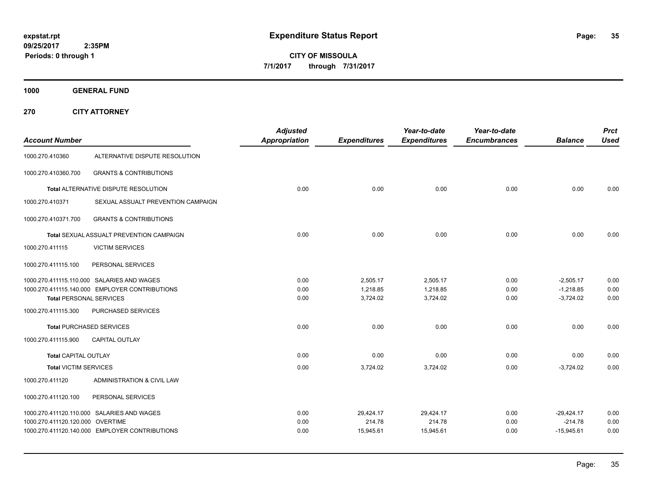**CITY OF MISSOULA 7/1/2017 through 7/31/2017**

**1000 GENERAL FUND**

**270 CITY ATTORNEY**

| <b>Account Number</b>            |                                                | <b>Adjusted</b><br><b>Appropriation</b> | <b>Expenditures</b>  | Year-to-date<br><b>Expenditures</b> | Year-to-date<br><b>Encumbrances</b> | <b>Balance</b>             | <b>Prct</b><br><b>Used</b> |
|----------------------------------|------------------------------------------------|-----------------------------------------|----------------------|-------------------------------------|-------------------------------------|----------------------------|----------------------------|
| 1000.270.410360                  | ALTERNATIVE DISPUTE RESOLUTION                 |                                         |                      |                                     |                                     |                            |                            |
| 1000.270.410360.700              | <b>GRANTS &amp; CONTRIBUTIONS</b>              |                                         |                      |                                     |                                     |                            |                            |
|                                  | Total ALTERNATIVE DISPUTE RESOLUTION           | 0.00                                    | 0.00                 | 0.00                                | 0.00                                | 0.00                       | 0.00                       |
| 1000.270.410371                  | SEXUAL ASSUALT PREVENTION CAMPAIGN             |                                         |                      |                                     |                                     |                            |                            |
| 1000.270.410371.700              | <b>GRANTS &amp; CONTRIBUTIONS</b>              |                                         |                      |                                     |                                     |                            |                            |
|                                  | Total SEXUAL ASSUALT PREVENTION CAMPAIGN       | 0.00                                    | 0.00                 | 0.00                                | 0.00                                | 0.00                       | 0.00                       |
| 1000.270.411115                  | <b>VICTIM SERVICES</b>                         |                                         |                      |                                     |                                     |                            |                            |
| 1000.270.411115.100              | PERSONAL SERVICES                              |                                         |                      |                                     |                                     |                            |                            |
|                                  | 1000.270.411115.110.000 SALARIES AND WAGES     | 0.00                                    | 2,505.17             | 2,505.17                            | 0.00                                | $-2,505.17$                | 0.00                       |
| <b>Total PERSONAL SERVICES</b>   | 1000.270.411115.140.000 EMPLOYER CONTRIBUTIONS | 0.00<br>0.00                            | 1,218.85<br>3,724.02 | 1,218.85<br>3,724.02                | 0.00<br>0.00                        | $-1,218.85$<br>$-3,724.02$ | 0.00<br>0.00               |
| 1000.270.411115.300              | PURCHASED SERVICES                             |                                         |                      |                                     |                                     |                            |                            |
|                                  | <b>Total PURCHASED SERVICES</b>                | 0.00                                    | 0.00                 | 0.00                                | 0.00                                | 0.00                       | 0.00                       |
| 1000.270.411115.900              | CAPITAL OUTLAY                                 |                                         |                      |                                     |                                     |                            |                            |
| <b>Total CAPITAL OUTLAY</b>      |                                                | 0.00                                    | 0.00                 | 0.00                                | 0.00                                | 0.00                       | 0.00                       |
| <b>Total VICTIM SERVICES</b>     |                                                | 0.00                                    | 3,724.02             | 3,724.02                            | 0.00                                | $-3,724.02$                | 0.00                       |
| 1000.270.411120                  | ADMINISTRATION & CIVIL LAW                     |                                         |                      |                                     |                                     |                            |                            |
| 1000.270.411120.100              | PERSONAL SERVICES                              |                                         |                      |                                     |                                     |                            |                            |
|                                  | 1000.270.411120.110.000 SALARIES AND WAGES     | 0.00                                    | 29,424.17            | 29,424.17                           | 0.00                                | $-29,424.17$               | 0.00                       |
| 1000.270.411120.120.000 OVERTIME |                                                | 0.00                                    | 214.78               | 214.78                              | 0.00                                | $-214.78$                  | 0.00                       |
|                                  | 1000.270.411120.140.000 EMPLOYER CONTRIBUTIONS | 0.00                                    | 15,945.61            | 15,945.61                           | 0.00                                | $-15,945.61$               | 0.00                       |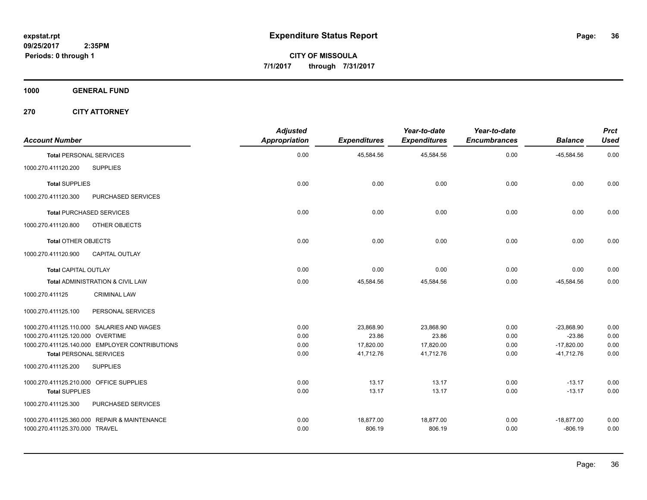**1000 GENERAL FUND**

**270 CITY ATTORNEY**

| <b>Account Number</b>                   |                                                | <b>Adjusted</b><br><b>Appropriation</b> | <b>Expenditures</b> | Year-to-date<br><b>Expenditures</b> | Year-to-date<br><b>Encumbrances</b> | <b>Balance</b> | <b>Prct</b><br><b>Used</b> |
|-----------------------------------------|------------------------------------------------|-----------------------------------------|---------------------|-------------------------------------|-------------------------------------|----------------|----------------------------|
| <b>Total PERSONAL SERVICES</b>          |                                                | 0.00                                    | 45,584.56           | 45,584.56                           | 0.00                                | $-45,584.56$   | 0.00                       |
| 1000.270.411120.200                     | <b>SUPPLIES</b>                                |                                         |                     |                                     |                                     |                |                            |
| <b>Total SUPPLIES</b>                   |                                                | 0.00                                    | 0.00                | 0.00                                | 0.00                                | 0.00           | 0.00                       |
| 1000.270.411120.300                     | PURCHASED SERVICES                             |                                         |                     |                                     |                                     |                |                            |
|                                         | <b>Total PURCHASED SERVICES</b>                | 0.00                                    | 0.00                | 0.00                                | 0.00                                | 0.00           | 0.00                       |
| 1000.270.411120.800                     | OTHER OBJECTS                                  |                                         |                     |                                     |                                     |                |                            |
| <b>Total OTHER OBJECTS</b>              |                                                | 0.00                                    | 0.00                | 0.00                                | 0.00                                | 0.00           | 0.00                       |
| 1000.270.411120.900                     | <b>CAPITAL OUTLAY</b>                          |                                         |                     |                                     |                                     |                |                            |
| <b>Total CAPITAL OUTLAY</b>             |                                                | 0.00                                    | 0.00                | 0.00                                | 0.00                                | 0.00           | 0.00                       |
|                                         | Total ADMINISTRATION & CIVIL LAW               | 0.00                                    | 45,584.56           | 45,584.56                           | 0.00                                | $-45,584.56$   | 0.00                       |
| 1000.270.411125                         | <b>CRIMINAL LAW</b>                            |                                         |                     |                                     |                                     |                |                            |
| 1000.270.411125.100                     | PERSONAL SERVICES                              |                                         |                     |                                     |                                     |                |                            |
|                                         | 1000.270.411125.110.000 SALARIES AND WAGES     | 0.00                                    | 23,868.90           | 23,868.90                           | 0.00                                | $-23,868.90$   | 0.00                       |
| 1000.270.411125.120.000 OVERTIME        |                                                | 0.00                                    | 23.86               | 23.86                               | 0.00                                | $-23.86$       | 0.00                       |
|                                         | 1000.270.411125.140.000 EMPLOYER CONTRIBUTIONS | 0.00                                    | 17,820.00           | 17,820.00                           | 0.00                                | $-17,820.00$   | 0.00                       |
| <b>Total PERSONAL SERVICES</b>          |                                                | 0.00                                    | 41,712.76           | 41,712.76                           | 0.00                                | $-41,712.76$   | 0.00                       |
| 1000.270.411125.200                     | <b>SUPPLIES</b>                                |                                         |                     |                                     |                                     |                |                            |
| 1000.270.411125.210.000 OFFICE SUPPLIES |                                                | 0.00                                    | 13.17               | 13.17                               | 0.00                                | $-13.17$       | 0.00                       |
| <b>Total SUPPLIES</b>                   |                                                | 0.00                                    | 13.17               | 13.17                               | 0.00                                | $-13.17$       | 0.00                       |
| 1000.270.411125.300                     | PURCHASED SERVICES                             |                                         |                     |                                     |                                     |                |                            |
|                                         | 1000.270.411125.360.000 REPAIR & MAINTENANCE   | 0.00                                    | 18,877.00           | 18,877.00                           | 0.00                                | $-18,877.00$   | 0.00                       |
| 1000.270.411125.370.000 TRAVEL          |                                                | 0.00                                    | 806.19              | 806.19                              | 0.00                                | $-806.19$      | 0.00                       |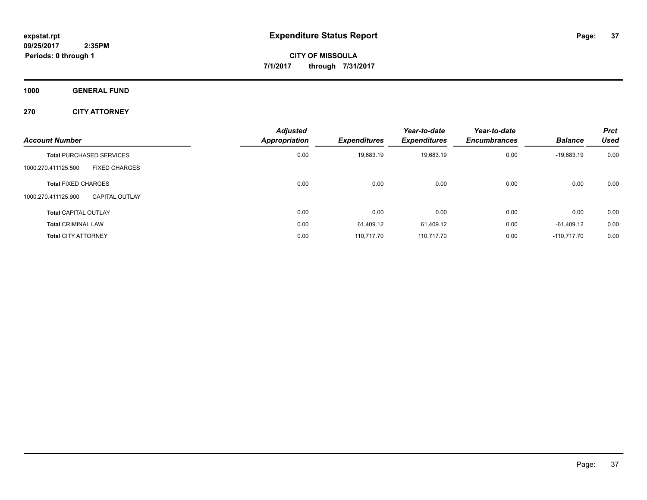**1000 GENERAL FUND**

**270 CITY ATTORNEY**

| <b>Account Number</b>                        | <b>Adjusted</b><br><b>Appropriation</b> | <b>Expenditures</b> | Year-to-date<br><b>Expenditures</b> | Year-to-date<br><b>Encumbrances</b> | <b>Balance</b> | <b>Prct</b><br>Used |
|----------------------------------------------|-----------------------------------------|---------------------|-------------------------------------|-------------------------------------|----------------|---------------------|
| <b>Total PURCHASED SERVICES</b>              | 0.00                                    | 19,683.19           | 19,683.19                           | 0.00                                | $-19,683.19$   | 0.00                |
| <b>FIXED CHARGES</b><br>1000.270.411125.500  |                                         |                     |                                     |                                     |                |                     |
| <b>Total FIXED CHARGES</b>                   | 0.00                                    | 0.00                | 0.00                                | 0.00                                | 0.00           | 0.00                |
| 1000.270.411125.900<br><b>CAPITAL OUTLAY</b> |                                         |                     |                                     |                                     |                |                     |
| <b>Total CAPITAL OUTLAY</b>                  | 0.00                                    | 0.00                | 0.00                                | 0.00                                | 0.00           | 0.00                |
| <b>Total CRIMINAL LAW</b>                    | 0.00                                    | 61.409.12           | 61.409.12                           | 0.00                                | -61.409.12     | 0.00                |
| <b>Total CITY ATTORNEY</b>                   | 0.00                                    | 110.717.70          | 110.717.70                          | 0.00                                | $-110.717.70$  | 0.00                |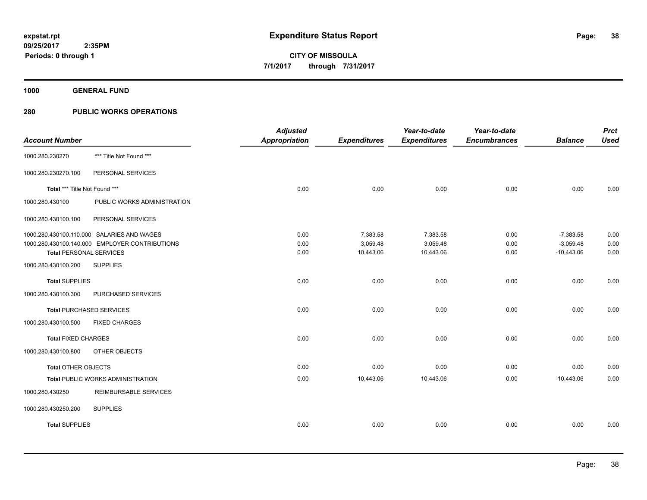**1000 GENERAL FUND**

| <b>Account Number</b>          |                                                | <b>Adjusted</b><br><b>Appropriation</b> | <b>Expenditures</b> | Year-to-date<br><b>Expenditures</b> | Year-to-date<br><b>Encumbrances</b> | <b>Balance</b> | <b>Prct</b><br><b>Used</b> |
|--------------------------------|------------------------------------------------|-----------------------------------------|---------------------|-------------------------------------|-------------------------------------|----------------|----------------------------|
| 1000.280.230270                | *** Title Not Found ***                        |                                         |                     |                                     |                                     |                |                            |
| 1000.280.230270.100            | PERSONAL SERVICES                              |                                         |                     |                                     |                                     |                |                            |
| Total *** Title Not Found ***  |                                                | 0.00                                    | 0.00                | 0.00                                | 0.00                                | 0.00           | 0.00                       |
| 1000.280.430100                | PUBLIC WORKS ADMINISTRATION                    |                                         |                     |                                     |                                     |                |                            |
| 1000.280.430100.100            | PERSONAL SERVICES                              |                                         |                     |                                     |                                     |                |                            |
|                                | 1000.280.430100.110.000 SALARIES AND WAGES     | 0.00                                    | 7,383.58            | 7,383.58                            | 0.00                                | $-7,383.58$    | 0.00                       |
|                                | 1000.280.430100.140.000 EMPLOYER CONTRIBUTIONS | 0.00                                    | 3,059.48            | 3,059.48                            | 0.00                                | $-3,059.48$    | 0.00                       |
| <b>Total PERSONAL SERVICES</b> |                                                | 0.00                                    | 10,443.06           | 10,443.06                           | 0.00                                | $-10,443.06$   | 0.00                       |
| 1000.280.430100.200            | <b>SUPPLIES</b>                                |                                         |                     |                                     |                                     |                |                            |
| <b>Total SUPPLIES</b>          |                                                | 0.00                                    | 0.00                | 0.00                                | 0.00                                | 0.00           | 0.00                       |
| 1000.280.430100.300            | PURCHASED SERVICES                             |                                         |                     |                                     |                                     |                |                            |
|                                | <b>Total PURCHASED SERVICES</b>                | 0.00                                    | 0.00                | 0.00                                | 0.00                                | 0.00           | 0.00                       |
| 1000.280.430100.500            | <b>FIXED CHARGES</b>                           |                                         |                     |                                     |                                     |                |                            |
| <b>Total FIXED CHARGES</b>     |                                                | 0.00                                    | 0.00                | 0.00                                | 0.00                                | 0.00           | 0.00                       |
| 1000.280.430100.800            | OTHER OBJECTS                                  |                                         |                     |                                     |                                     |                |                            |
| <b>Total OTHER OBJECTS</b>     |                                                | 0.00                                    | 0.00                | 0.00                                | 0.00                                | 0.00           | 0.00                       |
|                                | <b>Total PUBLIC WORKS ADMINISTRATION</b>       | 0.00                                    | 10,443.06           | 10,443.06                           | 0.00                                | $-10,443.06$   | 0.00                       |
| 1000.280.430250                | REIMBURSABLE SERVICES                          |                                         |                     |                                     |                                     |                |                            |
| 1000.280.430250.200            | <b>SUPPLIES</b>                                |                                         |                     |                                     |                                     |                |                            |
| <b>Total SUPPLIES</b>          |                                                | 0.00                                    | 0.00                | 0.00                                | 0.00                                | 0.00           | 0.00                       |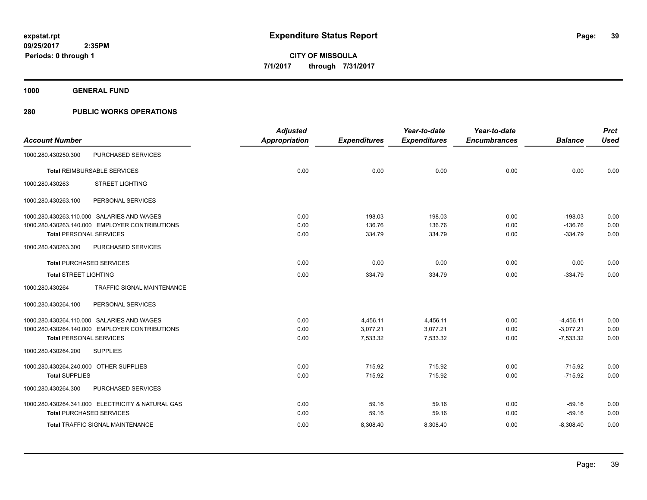**1000 GENERAL FUND**

|                                        |                                                   | <b>Adjusted</b>      |                     | Year-to-date        | Year-to-date        |                | <b>Prct</b> |
|----------------------------------------|---------------------------------------------------|----------------------|---------------------|---------------------|---------------------|----------------|-------------|
| <b>Account Number</b>                  |                                                   | <b>Appropriation</b> | <b>Expenditures</b> | <b>Expenditures</b> | <b>Encumbrances</b> | <b>Balance</b> | <b>Used</b> |
| 1000.280.430250.300                    | PURCHASED SERVICES                                |                      |                     |                     |                     |                |             |
|                                        | <b>Total REIMBURSABLE SERVICES</b>                | 0.00                 | 0.00                | 0.00                | 0.00                | 0.00           | 0.00        |
| 1000.280.430263                        | <b>STREET LIGHTING</b>                            |                      |                     |                     |                     |                |             |
| 1000.280.430263.100                    | PERSONAL SERVICES                                 |                      |                     |                     |                     |                |             |
|                                        | 1000.280.430263.110.000 SALARIES AND WAGES        | 0.00                 | 198.03              | 198.03              | 0.00                | $-198.03$      | 0.00        |
|                                        | 1000.280.430263.140.000 EMPLOYER CONTRIBUTIONS    | 0.00                 | 136.76              | 136.76              | 0.00                | $-136.76$      | 0.00        |
| <b>Total PERSONAL SERVICES</b>         |                                                   | 0.00                 | 334.79              | 334.79              | 0.00                | $-334.79$      | 0.00        |
| 1000.280.430263.300                    | PURCHASED SERVICES                                |                      |                     |                     |                     |                |             |
| <b>Total PURCHASED SERVICES</b>        |                                                   | 0.00                 | 0.00                | 0.00                | 0.00                | 0.00           | 0.00        |
| <b>Total STREET LIGHTING</b>           |                                                   | 0.00                 | 334.79              | 334.79              | 0.00                | $-334.79$      | 0.00        |
| 1000.280.430264                        | TRAFFIC SIGNAL MAINTENANCE                        |                      |                     |                     |                     |                |             |
| 1000.280.430264.100                    | PERSONAL SERVICES                                 |                      |                     |                     |                     |                |             |
|                                        | 1000.280.430264.110.000 SALARIES AND WAGES        | 0.00                 | 4,456.11            | 4,456.11            | 0.00                | $-4,456.11$    | 0.00        |
|                                        | 1000.280.430264.140.000 EMPLOYER CONTRIBUTIONS    | 0.00                 | 3,077.21            | 3,077.21            | 0.00                | $-3,077.21$    | 0.00        |
| <b>Total PERSONAL SERVICES</b>         |                                                   | 0.00                 | 7,533.32            | 7,533.32            | 0.00                | $-7,533.32$    | 0.00        |
| 1000.280.430264.200                    | <b>SUPPLIES</b>                                   |                      |                     |                     |                     |                |             |
| 1000.280.430264.240.000 OTHER SUPPLIES |                                                   | 0.00                 | 715.92              | 715.92              | 0.00                | $-715.92$      | 0.00        |
| <b>Total SUPPLIES</b>                  |                                                   | 0.00                 | 715.92              | 715.92              | 0.00                | $-715.92$      | 0.00        |
| 1000.280.430264.300                    | PURCHASED SERVICES                                |                      |                     |                     |                     |                |             |
|                                        | 1000.280.430264.341.000 ELECTRICITY & NATURAL GAS | 0.00                 | 59.16               | 59.16               | 0.00                | $-59.16$       | 0.00        |
| <b>Total PURCHASED SERVICES</b>        |                                                   | 0.00                 | 59.16               | 59.16               | 0.00                | $-59.16$       | 0.00        |
|                                        | Total TRAFFIC SIGNAL MAINTENANCE                  | 0.00                 | 8,308.40            | 8,308.40            | 0.00                | $-8,308.40$    | 0.00        |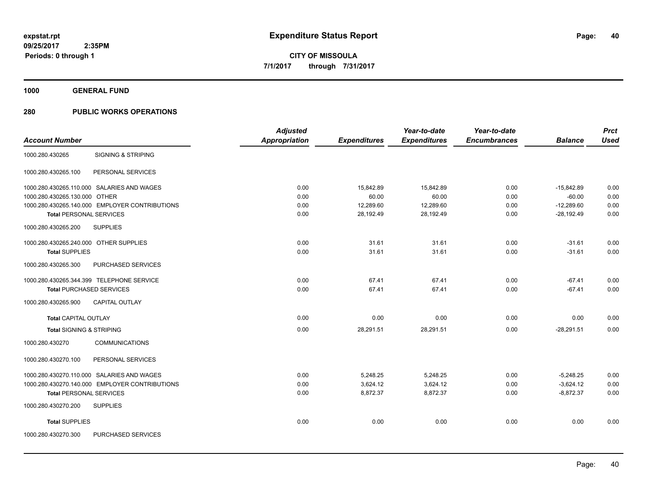**1000 GENERAL FUND**

|                                                  | <b>Adjusted</b>      |                     | Year-to-date        | Year-to-date        |                | <b>Prct</b> |
|--------------------------------------------------|----------------------|---------------------|---------------------|---------------------|----------------|-------------|
| <b>Account Number</b>                            | <b>Appropriation</b> | <b>Expenditures</b> | <b>Expenditures</b> | <b>Encumbrances</b> | <b>Balance</b> | <b>Used</b> |
| <b>SIGNING &amp; STRIPING</b><br>1000.280.430265 |                      |                     |                     |                     |                |             |
| PERSONAL SERVICES<br>1000.280.430265.100         |                      |                     |                     |                     |                |             |
| 1000.280.430265.110.000 SALARIES AND WAGES       | 0.00                 | 15,842.89           | 15.842.89           | 0.00                | $-15,842.89$   | 0.00        |
| 1000.280.430265.130.000 OTHER                    | 0.00                 | 60.00               | 60.00               | 0.00                | $-60.00$       | 0.00        |
| 1000.280.430265.140.000 EMPLOYER CONTRIBUTIONS   | 0.00                 | 12,289.60           | 12,289.60           | 0.00                | $-12,289.60$   | 0.00        |
| <b>Total PERSONAL SERVICES</b>                   | 0.00                 | 28,192.49           | 28,192.49           | 0.00                | $-28,192.49$   | 0.00        |
| <b>SUPPLIES</b><br>1000.280.430265.200           |                      |                     |                     |                     |                |             |
| 1000.280.430265.240.000 OTHER SUPPLIES           | 0.00                 | 31.61               | 31.61               | 0.00                | $-31.61$       | 0.00        |
| <b>Total SUPPLIES</b>                            | 0.00                 | 31.61               | 31.61               | 0.00                | $-31.61$       | 0.00        |
| PURCHASED SERVICES<br>1000.280.430265.300        |                      |                     |                     |                     |                |             |
| 1000.280.430265.344.399 TELEPHONE SERVICE        | 0.00                 | 67.41               | 67.41               | 0.00                | $-67.41$       | 0.00        |
| <b>Total PURCHASED SERVICES</b>                  | 0.00                 | 67.41               | 67.41               | 0.00                | $-67.41$       | 0.00        |
| CAPITAL OUTLAY<br>1000.280.430265.900            |                      |                     |                     |                     |                |             |
| <b>Total CAPITAL OUTLAY</b>                      | 0.00                 | 0.00                | 0.00                | 0.00                | 0.00           | 0.00        |
| <b>Total SIGNING &amp; STRIPING</b>              | 0.00                 | 28,291.51           | 28,291.51           | 0.00                | $-28,291.51$   | 0.00        |
| <b>COMMUNICATIONS</b><br>1000.280.430270         |                      |                     |                     |                     |                |             |
| 1000.280.430270.100<br>PERSONAL SERVICES         |                      |                     |                     |                     |                |             |
| 1000.280.430270.110.000 SALARIES AND WAGES       | 0.00                 | 5,248.25            | 5,248.25            | 0.00                | $-5.248.25$    | 0.00        |
| 1000.280.430270.140.000 EMPLOYER CONTRIBUTIONS   | 0.00                 | 3,624.12            | 3,624.12            | 0.00                | $-3,624.12$    | 0.00        |
| <b>Total PERSONAL SERVICES</b>                   | 0.00                 | 8,872.37            | 8,872.37            | 0.00                | $-8,872.37$    | 0.00        |
| <b>SUPPLIES</b><br>1000.280.430270.200           |                      |                     |                     |                     |                |             |
| <b>Total SUPPLIES</b>                            | 0.00                 | 0.00                | 0.00                | 0.00                | 0.00           | 0.00        |
| 1000.280.430270.300<br>PURCHASED SERVICES        |                      |                     |                     |                     |                |             |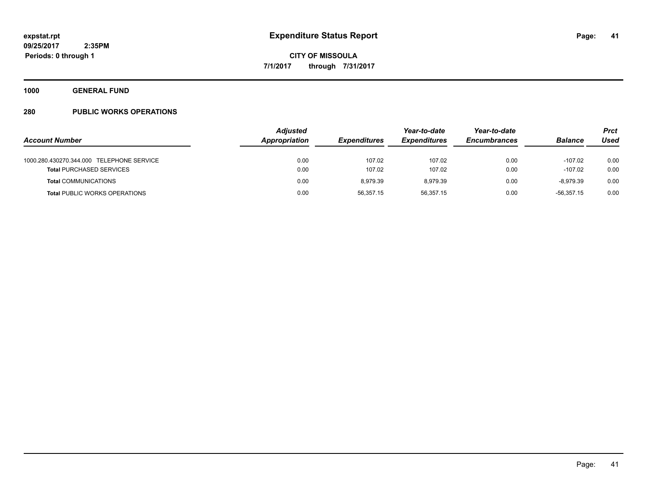**1000 GENERAL FUND**

|                                           | <b>Adjusted</b> |                     |                     | Year-to-date        |                | Prct |
|-------------------------------------------|-----------------|---------------------|---------------------|---------------------|----------------|------|
| <b>Account Number</b>                     | Appropriation   | <b>Expenditures</b> | <b>Expenditures</b> | <b>Encumbrances</b> | <b>Balance</b> | Used |
| 1000.280.430270.344.000 TELEPHONE SERVICE | 0.00            | 107.02              | 107.02              | 0.00                | $-107.02$      | 0.00 |
| <b>Total PURCHASED SERVICES</b>           | 0.00            | 107.02              | 107.02              | 0.00                | $-107.02$      | 0.00 |
| <b>Total COMMUNICATIONS</b>               | 0.00            | 8.979.39            | 8.979.39            | 0.00                | -8.979.39      | 0.00 |
| <b>Total PUBLIC WORKS OPERATIONS</b>      | 0.00            | 56.357.15           | 56.357.15           | 0.00                | $-56.357.15$   | 0.00 |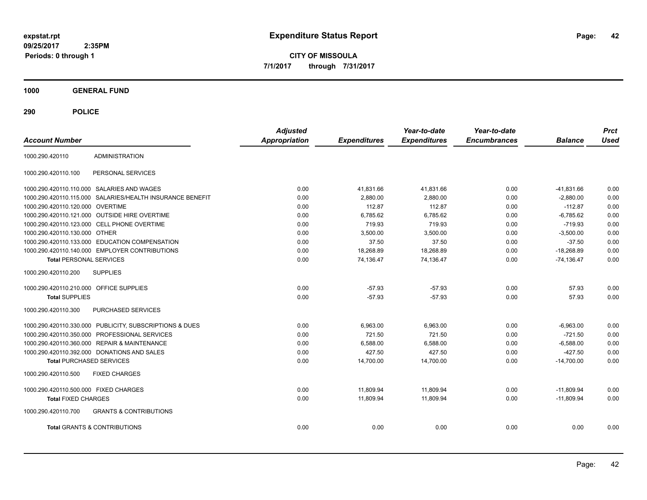**CITY OF MISSOULA 7/1/2017 through 7/31/2017**

**1000 GENERAL FUND**

| <b>Account Number</b>                   |                                                         | <b>Adjusted</b><br><b>Appropriation</b> | <b>Expenditures</b> | Year-to-date<br><b>Expenditures</b> | Year-to-date<br><b>Encumbrances</b> | <b>Balance</b> | <b>Prct</b><br><b>Used</b> |
|-----------------------------------------|---------------------------------------------------------|-----------------------------------------|---------------------|-------------------------------------|-------------------------------------|----------------|----------------------------|
| 1000.290.420110                         | <b>ADMINISTRATION</b>                                   |                                         |                     |                                     |                                     |                |                            |
| 1000.290.420110.100                     | PERSONAL SERVICES                                       |                                         |                     |                                     |                                     |                |                            |
|                                         | 1000.290.420110.110.000 SALARIES AND WAGES              | 0.00                                    | 41,831.66           | 41,831.66                           | 0.00                                | $-41,831.66$   | 0.00                       |
| 1000.290.420110.115.000                 | SALARIES/HEALTH INSURANCE BENEFIT                       | 0.00                                    | 2.880.00            | 2.880.00                            | 0.00                                | $-2.880.00$    | 0.00                       |
| 1000.290.420110.120.000                 | <b>OVERTIME</b>                                         | 0.00                                    | 112.87              | 112.87                              | 0.00                                | $-112.87$      | 0.00                       |
|                                         | 1000.290.420110.121.000 OUTSIDE HIRE OVERTIME           | 0.00                                    | 6,785.62            | 6,785.62                            | 0.00                                | $-6,785.62$    | 0.00                       |
|                                         | 1000.290.420110.123.000 CELL PHONE OVERTIME             | 0.00                                    | 719.93              | 719.93                              | 0.00                                | $-719.93$      | 0.00                       |
| 1000.290.420110.130.000 OTHER           |                                                         | 0.00                                    | 3,500.00            | 3,500.00                            | 0.00                                | $-3,500.00$    | 0.00                       |
|                                         | 1000.290.420110.133.000 EDUCATION COMPENSATION          | 0.00                                    | 37.50               | 37.50                               | 0.00                                | $-37.50$       | 0.00                       |
|                                         | 1000.290.420110.140.000 EMPLOYER CONTRIBUTIONS          | 0.00                                    | 18,268.89           | 18,268.89                           | 0.00                                | $-18,268.89$   | 0.00                       |
| <b>Total PERSONAL SERVICES</b>          |                                                         | 0.00                                    | 74,136.47           | 74,136.47                           | 0.00                                | $-74,136.47$   | 0.00                       |
| 1000.290.420110.200                     | <b>SUPPLIES</b>                                         |                                         |                     |                                     |                                     |                |                            |
| 1000.290.420110.210.000 OFFICE SUPPLIES |                                                         | 0.00                                    | $-57.93$            | $-57.93$                            | 0.00                                | 57.93          | 0.00                       |
| <b>Total SUPPLIES</b>                   |                                                         | 0.00                                    | $-57.93$            | $-57.93$                            | 0.00                                | 57.93          | 0.00                       |
| 1000.290.420110.300                     | PURCHASED SERVICES                                      |                                         |                     |                                     |                                     |                |                            |
|                                         | 1000.290.420110.330.000 PUBLICITY, SUBSCRIPTIONS & DUES | 0.00                                    | 6,963.00            | 6,963.00                            | 0.00                                | $-6,963.00$    | 0.00                       |
|                                         | 1000.290.420110.350.000 PROFESSIONAL SERVICES           | 0.00                                    | 721.50              | 721.50                              | 0.00                                | $-721.50$      | 0.00                       |
|                                         | 1000.290.420110.360.000 REPAIR & MAINTENANCE            | 0.00                                    | 6,588.00            | 6,588.00                            | 0.00                                | $-6,588.00$    | 0.00                       |
|                                         | 1000.290.420110.392.000 DONATIONS AND SALES             | 0.00                                    | 427.50              | 427.50                              | 0.00                                | $-427.50$      | 0.00                       |
|                                         | <b>Total PURCHASED SERVICES</b>                         | 0.00                                    | 14,700.00           | 14,700.00                           | 0.00                                | $-14,700.00$   | 0.00                       |
| 1000.290.420110.500                     | <b>FIXED CHARGES</b>                                    |                                         |                     |                                     |                                     |                |                            |
| 1000.290.420110.500.000 FIXED CHARGES   |                                                         | 0.00                                    | 11,809.94           | 11,809.94                           | 0.00                                | $-11,809.94$   | 0.00                       |
| <b>Total FIXED CHARGES</b>              |                                                         | 0.00                                    | 11,809.94           | 11,809.94                           | 0.00                                | $-11,809.94$   | 0.00                       |
| 1000.290.420110.700                     | <b>GRANTS &amp; CONTRIBUTIONS</b>                       |                                         |                     |                                     |                                     |                |                            |
|                                         | <b>Total GRANTS &amp; CONTRIBUTIONS</b>                 | 0.00                                    | 0.00                | 0.00                                | 0.00                                | 0.00           | 0.00                       |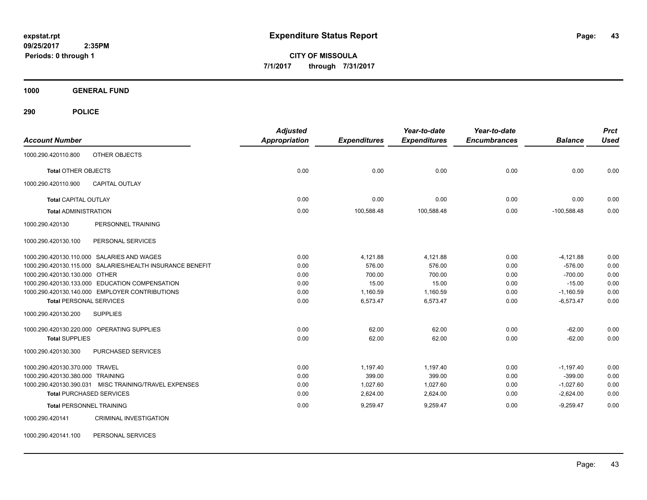**CITY OF MISSOULA 7/1/2017 through 7/31/2017**

**1000 GENERAL FUND**

**290 POLICE**

| <b>Account Number</b>            |                                                           | <b>Adjusted</b><br>Appropriation | <b>Expenditures</b> | Year-to-date<br><b>Expenditures</b> | Year-to-date<br><b>Encumbrances</b> | <b>Balance</b> | <b>Prct</b><br><b>Used</b> |
|----------------------------------|-----------------------------------------------------------|----------------------------------|---------------------|-------------------------------------|-------------------------------------|----------------|----------------------------|
| 1000.290.420110.800              | OTHER OBJECTS                                             |                                  |                     |                                     |                                     |                |                            |
| <b>Total OTHER OBJECTS</b>       |                                                           | 0.00                             | 0.00                | 0.00                                | 0.00                                | 0.00           | 0.00                       |
| 1000.290.420110.900              | <b>CAPITAL OUTLAY</b>                                     |                                  |                     |                                     |                                     |                |                            |
| <b>Total CAPITAL OUTLAY</b>      |                                                           | 0.00                             | 0.00                | 0.00                                | 0.00                                | 0.00           | 0.00                       |
| <b>Total ADMINISTRATION</b>      |                                                           | 0.00                             | 100,588.48          | 100,588.48                          | 0.00                                | $-100,588.48$  | 0.00                       |
| 1000.290.420130                  | PERSONNEL TRAINING                                        |                                  |                     |                                     |                                     |                |                            |
| 1000.290.420130.100              | PERSONAL SERVICES                                         |                                  |                     |                                     |                                     |                |                            |
|                                  | 1000.290.420130.110.000 SALARIES AND WAGES                | 0.00                             | 4,121.88            | 4,121.88                            | 0.00                                | $-4,121.88$    | 0.00                       |
|                                  | 1000.290.420130.115.000 SALARIES/HEALTH INSURANCE BENEFIT | 0.00                             | 576.00              | 576.00                              | 0.00                                | $-576.00$      | 0.00                       |
| 1000.290.420130.130.000 OTHER    |                                                           | 0.00                             | 700.00              | 700.00                              | 0.00                                | $-700.00$      | 0.00                       |
|                                  | 1000.290.420130.133.000 EDUCATION COMPENSATION            | 0.00                             | 15.00               | 15.00                               | 0.00                                | $-15.00$       | 0.00                       |
|                                  | 1000.290.420130.140.000 EMPLOYER CONTRIBUTIONS            | 0.00                             | 1,160.59            | 1,160.59                            | 0.00                                | $-1,160.59$    | 0.00                       |
| <b>Total PERSONAL SERVICES</b>   |                                                           | 0.00                             | 6,573.47            | 6,573.47                            | 0.00                                | $-6,573.47$    | 0.00                       |
| 1000.290.420130.200              | <b>SUPPLIES</b>                                           |                                  |                     |                                     |                                     |                |                            |
|                                  | 1000.290.420130.220.000 OPERATING SUPPLIES                | 0.00                             | 62.00               | 62.00                               | 0.00                                | $-62.00$       | 0.00                       |
| <b>Total SUPPLIES</b>            |                                                           | 0.00                             | 62.00               | 62.00                               | 0.00                                | $-62.00$       | 0.00                       |
| 1000.290.420130.300              | PURCHASED SERVICES                                        |                                  |                     |                                     |                                     |                |                            |
| 1000.290.420130.370.000 TRAVEL   |                                                           | 0.00                             | 1,197.40            | 1,197.40                            | 0.00                                | $-1,197.40$    | 0.00                       |
| 1000.290.420130.380.000 TRAINING |                                                           | 0.00                             | 399.00              | 399.00                              | 0.00                                | $-399.00$      | 0.00                       |
|                                  | 1000.290.420130.390.031 MISC TRAINING/TRAVEL EXPENSES     | 0.00                             | 1.027.60            | 1,027.60                            | 0.00                                | $-1,027.60$    | 0.00                       |
|                                  | <b>Total PURCHASED SERVICES</b>                           | 0.00                             | 2,624.00            | 2,624.00                            | 0.00                                | $-2,624.00$    | 0.00                       |
| <b>Total PERSONNEL TRAINING</b>  |                                                           | 0.00                             | 9,259.47            | 9,259.47                            | 0.00                                | $-9,259.47$    | 0.00                       |
| 1000.290.420141                  | <b>CRIMINAL INVESTIGATION</b>                             |                                  |                     |                                     |                                     |                |                            |

1000.290.420141.100 PERSONAL SERVICES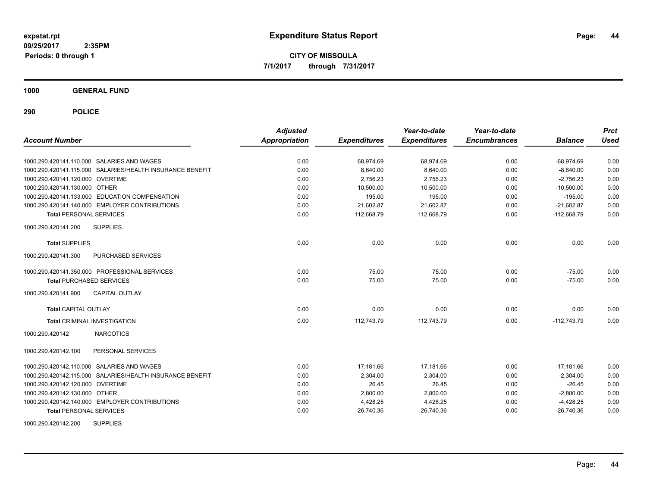**CITY OF MISSOULA 7/1/2017 through 7/31/2017**

**1000 GENERAL FUND**

| <b>Account Number</b>            |                                                           | <b>Adjusted</b><br><b>Appropriation</b> | <b>Expenditures</b> | Year-to-date<br><b>Expenditures</b> | Year-to-date<br><b>Encumbrances</b> | <b>Balance</b> | <b>Prct</b><br><b>Used</b> |
|----------------------------------|-----------------------------------------------------------|-----------------------------------------|---------------------|-------------------------------------|-------------------------------------|----------------|----------------------------|
|                                  | 1000.290.420141.110.000 SALARIES AND WAGES                | 0.00                                    | 68,974.69           | 68,974.69                           | 0.00                                | $-68,974.69$   | 0.00                       |
|                                  | 1000.290.420141.115.000 SALARIES/HEALTH INSURANCE BENEFIT | 0.00                                    | 8,640.00            | 8,640.00                            | 0.00                                | $-8,640.00$    | 0.00                       |
| 1000.290.420141.120.000 OVERTIME |                                                           | 0.00                                    | 2,756.23            | 2,756.23                            | 0.00                                | $-2,756.23$    | 0.00                       |
| 1000.290.420141.130.000 OTHER    |                                                           | 0.00                                    | 10,500.00           | 10,500.00                           | 0.00                                | $-10,500.00$   | 0.00                       |
|                                  | 1000.290.420141.133.000 EDUCATION COMPENSATION            | 0.00                                    | 195.00              | 195.00                              | 0.00                                | $-195.00$      | 0.00                       |
|                                  | 1000.290.420141.140.000 EMPLOYER CONTRIBUTIONS            | 0.00                                    | 21,602.87           | 21,602.87                           | 0.00                                | $-21,602.87$   | 0.00                       |
| <b>Total PERSONAL SERVICES</b>   |                                                           | 0.00                                    | 112,668.79          | 112,668.79                          | 0.00                                | $-112,668.79$  | 0.00                       |
| 1000.290.420141.200              | <b>SUPPLIES</b>                                           |                                         |                     |                                     |                                     |                |                            |
| <b>Total SUPPLIES</b>            |                                                           | 0.00                                    | 0.00                | 0.00                                | 0.00                                | 0.00           | 0.00                       |
| 1000.290.420141.300              | <b>PURCHASED SERVICES</b>                                 |                                         |                     |                                     |                                     |                |                            |
|                                  | 1000.290.420141.350.000 PROFESSIONAL SERVICES             | 0.00                                    | 75.00               | 75.00                               | 0.00                                | $-75.00$       | 0.00                       |
| <b>Total PURCHASED SERVICES</b>  |                                                           | 0.00                                    | 75.00               | 75.00                               | 0.00                                | $-75.00$       | 0.00                       |
| 1000.290.420141.900              | <b>CAPITAL OUTLAY</b>                                     |                                         |                     |                                     |                                     |                |                            |
| <b>Total CAPITAL OUTLAY</b>      |                                                           | 0.00                                    | 0.00                | 0.00                                | 0.00                                | 0.00           | 0.00                       |
|                                  | <b>Total CRIMINAL INVESTIGATION</b>                       | 0.00                                    | 112,743.79          | 112,743.79                          | 0.00                                | $-112,743.79$  | 0.00                       |
| 1000.290.420142                  | <b>NARCOTICS</b>                                          |                                         |                     |                                     |                                     |                |                            |
| 1000.290.420142.100              | PERSONAL SERVICES                                         |                                         |                     |                                     |                                     |                |                            |
|                                  | 1000.290.420142.110.000 SALARIES AND WAGES                | 0.00                                    | 17,181.66           | 17,181.66                           | 0.00                                | $-17,181.66$   | 0.00                       |
|                                  | 1000.290.420142.115.000 SALARIES/HEALTH INSURANCE BENEFIT | 0.00                                    | 2.304.00            | 2,304.00                            | 0.00                                | $-2,304.00$    | 0.00                       |
| 1000.290.420142.120.000 OVERTIME |                                                           | 0.00                                    | 26.45               | 26.45                               | 0.00                                | $-26.45$       | 0.00                       |
| 1000.290.420142.130.000 OTHER    |                                                           | 0.00                                    | 2.800.00            | 2,800.00                            | 0.00                                | $-2,800.00$    | 0.00                       |
|                                  | 1000.290.420142.140.000 EMPLOYER CONTRIBUTIONS            | 0.00                                    | 4,428.25            | 4,428.25                            | 0.00                                | $-4,428.25$    | 0.00                       |
| <b>Total PERSONAL SERVICES</b>   |                                                           | 0.00                                    | 26,740.36           | 26,740.36                           | 0.00                                | $-26,740.36$   | 0.00                       |
| 1000.290.420142.200              | <b>SUPPLIES</b>                                           |                                         |                     |                                     |                                     |                |                            |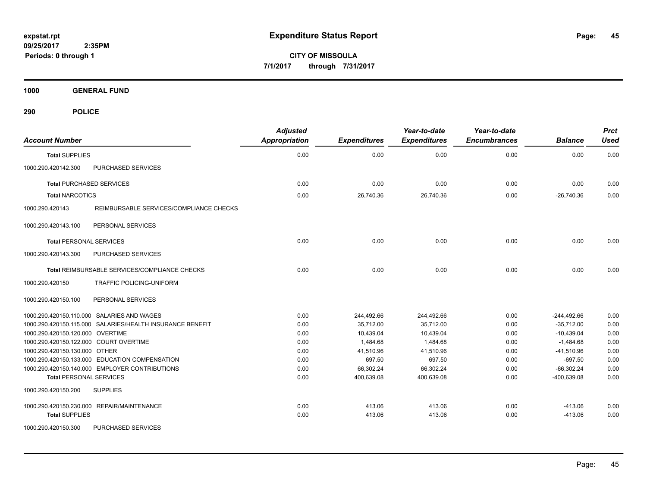**CITY OF MISSOULA 7/1/2017 through 7/31/2017**

**1000 GENERAL FUND**

| <b>Account Number</b>                                      | <b>Adjusted</b><br><b>Appropriation</b> | <b>Expenditures</b> | Year-to-date<br><b>Expenditures</b> | Year-to-date<br><b>Encumbrances</b> | <b>Balance</b> | <b>Prct</b><br><b>Used</b> |
|------------------------------------------------------------|-----------------------------------------|---------------------|-------------------------------------|-------------------------------------|----------------|----------------------------|
| <b>Total SUPPLIES</b>                                      | 0.00                                    | 0.00                | 0.00                                | 0.00                                | 0.00           | 0.00                       |
| 1000.290.420142.300<br>PURCHASED SERVICES                  |                                         |                     |                                     |                                     |                |                            |
| <b>Total PURCHASED SERVICES</b>                            | 0.00                                    | 0.00                | 0.00                                | 0.00                                | 0.00           | 0.00                       |
| <b>Total NARCOTICS</b>                                     | 0.00                                    | 26,740.36           | 26,740.36                           | 0.00                                | $-26,740.36$   | 0.00                       |
| 1000.290.420143<br>REIMBURSABLE SERVICES/COMPLIANCE CHECKS |                                         |                     |                                     |                                     |                |                            |
| 1000.290.420143.100<br>PERSONAL SERVICES                   |                                         |                     |                                     |                                     |                |                            |
| <b>Total PERSONAL SERVICES</b>                             | 0.00                                    | 0.00                | 0.00                                | 0.00                                | 0.00           | 0.00                       |
| 1000.290.420143.300<br>PURCHASED SERVICES                  |                                         |                     |                                     |                                     |                |                            |
| <b>Total REIMBURSABLE SERVICES/COMPLIANCE CHECKS</b>       | 0.00                                    | 0.00                | 0.00                                | 0.00                                | 0.00           | 0.00                       |
| 1000.290.420150<br><b>TRAFFIC POLICING-UNIFORM</b>         |                                         |                     |                                     |                                     |                |                            |
| 1000.290.420150.100<br>PERSONAL SERVICES                   |                                         |                     |                                     |                                     |                |                            |
| 1000.290.420150.110.000 SALARIES AND WAGES                 | 0.00                                    | 244,492.66          | 244,492.66                          | 0.00                                | $-244,492.66$  | 0.00                       |
| 1000.290.420150.115.000 SALARIES/HEALTH INSURANCE BENEFIT  | 0.00                                    | 35,712.00           | 35,712.00                           | 0.00                                | $-35,712.00$   | 0.00                       |
| 1000.290.420150.120.000 OVERTIME                           | 0.00                                    | 10,439.04           | 10,439.04                           | 0.00                                | $-10,439.04$   | 0.00                       |
| 1000.290.420150.122.000 COURT OVERTIME                     | 0.00                                    | 1,484.68            | 1,484.68                            | 0.00                                | $-1,484.68$    | 0.00                       |
| 1000.290.420150.130.000 OTHER                              | 0.00                                    | 41,510.96           | 41,510.96                           | 0.00                                | $-41,510.96$   | 0.00                       |
| 1000.290.420150.133.000 EDUCATION COMPENSATION             | 0.00                                    | 697.50              | 697.50                              | 0.00                                | $-697.50$      | 0.00                       |
| 1000.290.420150.140.000 EMPLOYER CONTRIBUTIONS             | 0.00                                    | 66,302.24           | 66,302.24                           | 0.00                                | $-66,302.24$   | 0.00                       |
| <b>Total PERSONAL SERVICES</b>                             | 0.00                                    | 400,639.08          | 400,639.08                          | 0.00                                | -400,639.08    | 0.00                       |
| 1000.290.420150.200<br><b>SUPPLIES</b>                     |                                         |                     |                                     |                                     |                |                            |
| 1000.290.420150.230.000 REPAIR/MAINTENANCE                 | 0.00                                    | 413.06              | 413.06                              | 0.00                                | $-413.06$      | 0.00                       |
| <b>Total SUPPLIES</b>                                      | 0.00                                    | 413.06              | 413.06                              | 0.00                                | $-413.06$      | 0.00                       |
| 1000.290.420150.300<br>PURCHASED SERVICES                  |                                         |                     |                                     |                                     |                |                            |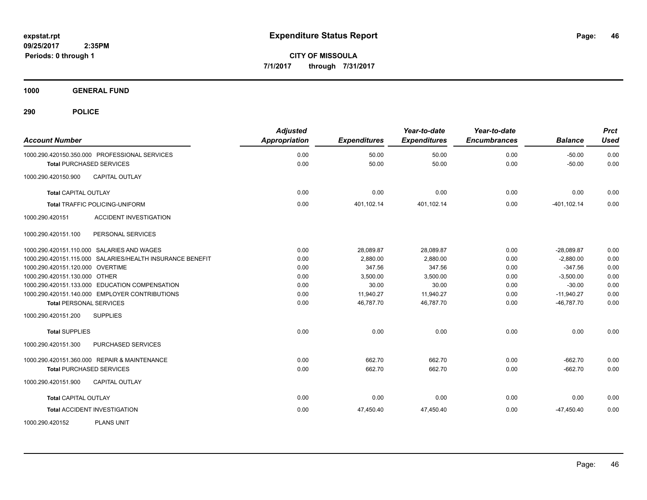**CITY OF MISSOULA 7/1/2017 through 7/31/2017**

**1000 GENERAL FUND**

| <b>Account Number</b>                                                            | <b>Adjusted</b><br><b>Appropriation</b> | <b>Expenditures</b> | Year-to-date<br><b>Expenditures</b> | Year-to-date<br><b>Encumbrances</b> | <b>Balance</b>       | <b>Prct</b><br><b>Used</b> |
|----------------------------------------------------------------------------------|-----------------------------------------|---------------------|-------------------------------------|-------------------------------------|----------------------|----------------------------|
| 1000.290.420150.350.000 PROFESSIONAL SERVICES<br><b>Total PURCHASED SERVICES</b> | 0.00<br>0.00                            | 50.00<br>50.00      | 50.00<br>50.00                      | 0.00<br>0.00                        | $-50.00$<br>$-50.00$ | 0.00<br>0.00               |
| <b>CAPITAL OUTLAY</b><br>1000.290.420150.900                                     |                                         |                     |                                     |                                     |                      |                            |
| <b>Total CAPITAL OUTLAY</b>                                                      | 0.00                                    | 0.00                | 0.00                                | 0.00                                | 0.00                 | 0.00                       |
| <b>Total TRAFFIC POLICING-UNIFORM</b>                                            | 0.00                                    | 401,102.14          | 401,102.14                          | 0.00                                | $-401, 102.14$       | 0.00                       |
| <b>ACCIDENT INVESTIGATION</b><br>1000.290.420151                                 |                                         |                     |                                     |                                     |                      |                            |
| 1000.290.420151.100<br>PERSONAL SERVICES                                         |                                         |                     |                                     |                                     |                      |                            |
| 1000.290.420151.110.000 SALARIES AND WAGES                                       | 0.00                                    | 28,089.87           | 28,089.87                           | 0.00                                | $-28,089.87$         | 0.00                       |
| 1000.290.420151.115.000 SALARIES/HEALTH INSURANCE BENEFIT                        | 0.00                                    | 2,880.00            | 2,880.00                            | 0.00                                | $-2,880.00$          | 0.00                       |
| 1000.290.420151.120.000 OVERTIME                                                 | 0.00                                    | 347.56              | 347.56                              | 0.00                                | $-347.56$            | 0.00                       |
| 1000.290.420151.130.000 OTHER                                                    | 0.00                                    | 3,500.00            | 3,500.00                            | 0.00                                | $-3,500.00$          | 0.00                       |
| 1000.290.420151.133.000 EDUCATION COMPENSATION                                   | 0.00                                    | 30.00               | 30.00                               | 0.00                                | $-30.00$             | 0.00                       |
| 1000.290.420151.140.000 EMPLOYER CONTRIBUTIONS                                   | 0.00                                    | 11,940.27           | 11,940.27                           | 0.00                                | $-11,940.27$         | 0.00                       |
| <b>Total PERSONAL SERVICES</b>                                                   | 0.00                                    | 46,787.70           | 46.787.70                           | 0.00                                | $-46,787.70$         | 0.00                       |
| <b>SUPPLIES</b><br>1000.290.420151.200                                           |                                         |                     |                                     |                                     |                      |                            |
| <b>Total SUPPLIES</b>                                                            | 0.00                                    | 0.00                | 0.00                                | 0.00                                | 0.00                 | 0.00                       |
| PURCHASED SERVICES<br>1000.290.420151.300                                        |                                         |                     |                                     |                                     |                      |                            |
| 1000.290.420151.360.000 REPAIR & MAINTENANCE                                     | 0.00                                    | 662.70              | 662.70                              | 0.00                                | $-662.70$            | 0.00                       |
| <b>Total PURCHASED SERVICES</b>                                                  | 0.00                                    | 662.70              | 662.70                              | 0.00                                | $-662.70$            | 0.00                       |
| <b>CAPITAL OUTLAY</b><br>1000.290.420151.900                                     |                                         |                     |                                     |                                     |                      |                            |
| <b>Total CAPITAL OUTLAY</b>                                                      | 0.00                                    | 0.00                | 0.00                                | 0.00                                | 0.00                 | 0.00                       |
| <b>Total ACCIDENT INVESTIGATION</b>                                              | 0.00                                    | 47,450.40           | 47,450.40                           | 0.00                                | $-47,450.40$         | 0.00                       |
| <b>PLANS UNIT</b><br>1000.290.420152                                             |                                         |                     |                                     |                                     |                      |                            |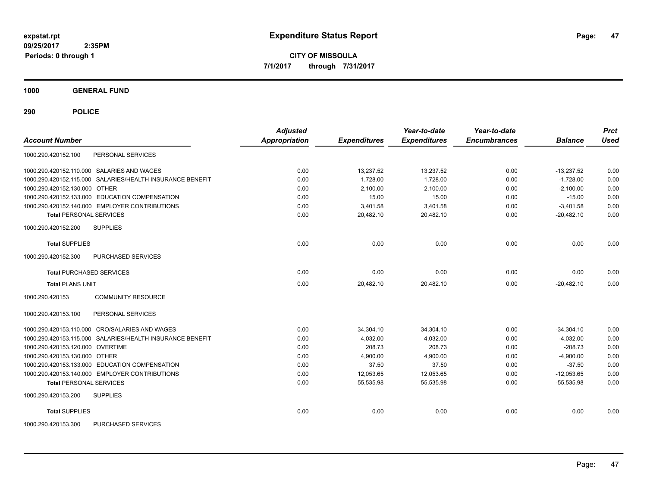**CITY OF MISSOULA 7/1/2017 through 7/31/2017**

**1000 GENERAL FUND**

| <b>Account Number</b>                                     | <b>Adjusted</b><br>Appropriation | <b>Expenditures</b> | Year-to-date<br><b>Expenditures</b> | Year-to-date<br><b>Encumbrances</b> | <b>Balance</b> | <b>Prct</b><br><b>Used</b> |
|-----------------------------------------------------------|----------------------------------|---------------------|-------------------------------------|-------------------------------------|----------------|----------------------------|
| PERSONAL SERVICES<br>1000.290.420152.100                  |                                  |                     |                                     |                                     |                |                            |
| 1000.290.420152.110.000 SALARIES AND WAGES                | 0.00                             | 13,237.52           | 13,237.52                           | 0.00                                | $-13,237.52$   | 0.00                       |
| 1000.290.420152.115.000 SALARIES/HEALTH INSURANCE BENEFIT | 0.00                             | 1.728.00            | 1,728.00                            | 0.00                                | $-1,728.00$    | 0.00                       |
| 1000.290.420152.130.000 OTHER                             | 0.00                             | 2,100.00            | 2,100.00                            | 0.00                                | $-2,100.00$    | 0.00                       |
| 1000.290.420152.133.000 EDUCATION COMPENSATION            | 0.00                             | 15.00               | 15.00                               | 0.00                                | $-15.00$       | 0.00                       |
| 1000.290.420152.140.000 EMPLOYER CONTRIBUTIONS            | 0.00                             | 3,401.58            | 3,401.58                            | 0.00                                | $-3,401.58$    | 0.00                       |
| <b>Total PERSONAL SERVICES</b>                            | 0.00                             | 20,482.10           | 20,482.10                           | 0.00                                | $-20,482.10$   | 0.00                       |
| <b>SUPPLIES</b><br>1000.290.420152.200                    |                                  |                     |                                     |                                     |                |                            |
| <b>Total SUPPLIES</b>                                     | 0.00                             | 0.00                | 0.00                                | 0.00                                | 0.00           | 0.00                       |
| 1000.290.420152.300<br>PURCHASED SERVICES                 |                                  |                     |                                     |                                     |                |                            |
| <b>Total PURCHASED SERVICES</b>                           | 0.00                             | 0.00                | 0.00                                | 0.00                                | 0.00           | 0.00                       |
| <b>Total PLANS UNIT</b>                                   | 0.00                             | 20,482.10           | 20,482.10                           | 0.00                                | $-20,482.10$   | 0.00                       |
| <b>COMMUNITY RESOURCE</b><br>1000.290.420153              |                                  |                     |                                     |                                     |                |                            |
| 1000.290.420153.100<br>PERSONAL SERVICES                  |                                  |                     |                                     |                                     |                |                            |
| 1000.290.420153.110.000 CRO/SALARIES AND WAGES            | 0.00                             | 34,304.10           | 34,304.10                           | 0.00                                | $-34,304.10$   | 0.00                       |
| 1000.290.420153.115.000 SALARIES/HEALTH INSURANCE BENEFIT | 0.00                             | 4,032.00            | 4,032.00                            | 0.00                                | $-4,032.00$    | 0.00                       |
| 1000.290.420153.120.000 OVERTIME                          | 0.00                             | 208.73              | 208.73                              | 0.00                                | $-208.73$      | 0.00                       |
| 1000.290.420153.130.000 OTHER                             | 0.00                             | 4,900.00            | 4,900.00                            | 0.00                                | $-4,900.00$    | 0.00                       |
| 1000.290.420153.133.000 EDUCATION COMPENSATION            | 0.00                             | 37.50               | 37.50                               | 0.00                                | $-37.50$       | 0.00                       |
| 1000.290.420153.140.000 EMPLOYER CONTRIBUTIONS            | 0.00                             | 12,053.65           | 12,053.65                           | 0.00                                | $-12,053.65$   | 0.00                       |
| <b>Total PERSONAL SERVICES</b>                            | 0.00                             | 55,535.98           | 55,535.98                           | 0.00                                | $-55,535.98$   | 0.00                       |
| <b>SUPPLIES</b><br>1000.290.420153.200                    |                                  |                     |                                     |                                     |                |                            |
| <b>Total SUPPLIES</b>                                     | 0.00                             | 0.00                | 0.00                                | 0.00                                | 0.00           | 0.00                       |
| 1000.290.420153.300<br>PURCHASED SERVICES                 |                                  |                     |                                     |                                     |                |                            |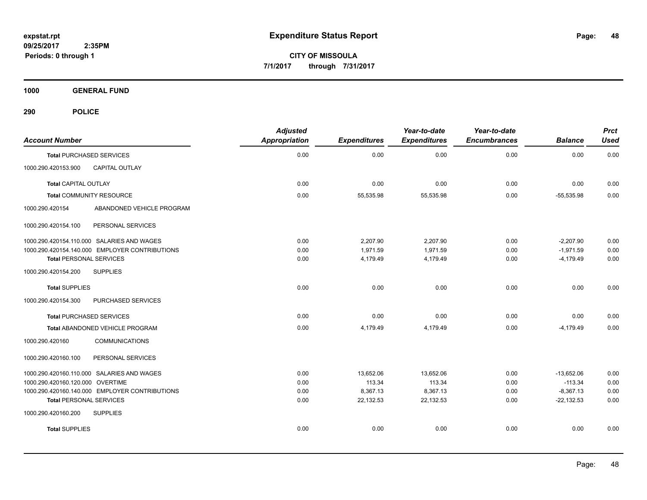**CITY OF MISSOULA 7/1/2017 through 7/31/2017**

**1000 GENERAL FUND**

| <b>Account Number</b>                          | <b>Adjusted</b><br><b>Appropriation</b> | <b>Expenditures</b> | Year-to-date<br><b>Expenditures</b> | Year-to-date<br><b>Encumbrances</b> | <b>Balance</b> | <b>Prct</b><br><b>Used</b> |
|------------------------------------------------|-----------------------------------------|---------------------|-------------------------------------|-------------------------------------|----------------|----------------------------|
| <b>Total PURCHASED SERVICES</b>                | 0.00                                    | 0.00                | 0.00                                | 0.00                                | 0.00           | 0.00                       |
| <b>CAPITAL OUTLAY</b><br>1000.290.420153.900   |                                         |                     |                                     |                                     |                |                            |
| <b>Total CAPITAL OUTLAY</b>                    | 0.00                                    | 0.00                | 0.00                                | 0.00                                | 0.00           | 0.00                       |
| <b>Total COMMUNITY RESOURCE</b>                | 0.00                                    | 55,535.98           | 55,535.98                           | 0.00                                | $-55,535.98$   | 0.00                       |
| ABANDONED VEHICLE PROGRAM<br>1000.290.420154   |                                         |                     |                                     |                                     |                |                            |
| PERSONAL SERVICES<br>1000.290.420154.100       |                                         |                     |                                     |                                     |                |                            |
| 1000.290.420154.110.000 SALARIES AND WAGES     | 0.00                                    | 2,207.90            | 2,207.90                            | 0.00                                | $-2,207.90$    | 0.00                       |
| 1000.290.420154.140.000 EMPLOYER CONTRIBUTIONS | 0.00                                    | 1,971.59            | 1,971.59                            | 0.00                                | $-1,971.59$    | 0.00                       |
| <b>Total PERSONAL SERVICES</b>                 | 0.00                                    | 4,179.49            | 4,179.49                            | 0.00                                | $-4,179.49$    | 0.00                       |
| 1000.290.420154.200<br><b>SUPPLIES</b>         |                                         |                     |                                     |                                     |                |                            |
| <b>Total SUPPLIES</b>                          | 0.00                                    | 0.00                | 0.00                                | 0.00                                | 0.00           | 0.00                       |
| 1000.290.420154.300<br>PURCHASED SERVICES      |                                         |                     |                                     |                                     |                |                            |
| <b>Total PURCHASED SERVICES</b>                | 0.00                                    | 0.00                | 0.00                                | 0.00                                | 0.00           | 0.00                       |
| Total ABANDONED VEHICLE PROGRAM                | 0.00                                    | 4,179.49            | 4,179.49                            | 0.00                                | $-4,179.49$    | 0.00                       |
| <b>COMMUNICATIONS</b><br>1000.290.420160       |                                         |                     |                                     |                                     |                |                            |
| PERSONAL SERVICES<br>1000.290.420160.100       |                                         |                     |                                     |                                     |                |                            |
| 1000.290.420160.110.000 SALARIES AND WAGES     | 0.00                                    | 13,652.06           | 13,652.06                           | 0.00                                | $-13,652.06$   | 0.00                       |
| 1000.290.420160.120.000 OVERTIME               | 0.00                                    | 113.34              | 113.34                              | 0.00                                | $-113.34$      | 0.00                       |
| 1000.290.420160.140.000 EMPLOYER CONTRIBUTIONS | 0.00                                    | 8,367.13            | 8,367.13                            | 0.00                                | $-8,367.13$    | 0.00                       |
| <b>Total PERSONAL SERVICES</b>                 | 0.00                                    | 22,132.53           | 22,132.53                           | 0.00                                | $-22,132.53$   | 0.00                       |
| <b>SUPPLIES</b><br>1000.290.420160.200         |                                         |                     |                                     |                                     |                |                            |
| <b>Total SUPPLIES</b>                          | 0.00                                    | 0.00                | 0.00                                | 0.00                                | 0.00           | 0.00                       |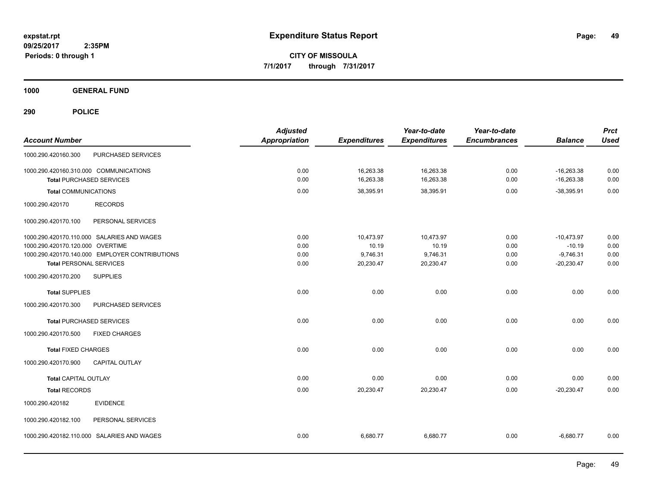**CITY OF MISSOULA 7/1/2017 through 7/31/2017**

**1000 GENERAL FUND**

| <b>Account Number</b>                                                                                                                                              | <b>Adjusted</b><br><b>Appropriation</b> | <b>Expenditures</b>                         | Year-to-date<br><b>Expenditures</b>         | Year-to-date<br><b>Encumbrances</b> | <b>Balance</b>                                          | <b>Prct</b><br><b>Used</b>   |
|--------------------------------------------------------------------------------------------------------------------------------------------------------------------|-----------------------------------------|---------------------------------------------|---------------------------------------------|-------------------------------------|---------------------------------------------------------|------------------------------|
| PURCHASED SERVICES<br>1000.290.420160.300                                                                                                                          |                                         |                                             |                                             |                                     |                                                         |                              |
| 1000.290.420160.310.000 COMMUNICATIONS<br><b>Total PURCHASED SERVICES</b>                                                                                          | 0.00<br>0.00                            | 16,263.38<br>16,263.38                      | 16,263.38<br>16,263.38                      | 0.00<br>0.00                        | $-16,263.38$<br>$-16,263.38$                            | 0.00<br>0.00                 |
| <b>Total COMMUNICATIONS</b>                                                                                                                                        | 0.00                                    | 38,395.91                                   | 38,395.91                                   | 0.00                                | $-38,395.91$                                            | 0.00                         |
| 1000.290.420170<br><b>RECORDS</b>                                                                                                                                  |                                         |                                             |                                             |                                     |                                                         |                              |
| 1000.290.420170.100<br>PERSONAL SERVICES                                                                                                                           |                                         |                                             |                                             |                                     |                                                         |                              |
| 1000.290.420170.110.000 SALARIES AND WAGES<br>1000.290.420170.120.000 OVERTIME<br>1000.290.420170.140.000 EMPLOYER CONTRIBUTIONS<br><b>Total PERSONAL SERVICES</b> | 0.00<br>0.00<br>0.00<br>0.00            | 10,473.97<br>10.19<br>9,746.31<br>20,230.47 | 10,473.97<br>10.19<br>9,746.31<br>20,230.47 | 0.00<br>0.00<br>0.00<br>0.00        | $-10,473.97$<br>$-10.19$<br>$-9,746.31$<br>$-20,230.47$ | 0.00<br>0.00<br>0.00<br>0.00 |
| <b>SUPPLIES</b><br>1000.290.420170.200                                                                                                                             |                                         |                                             |                                             |                                     |                                                         |                              |
| <b>Total SUPPLIES</b>                                                                                                                                              | 0.00                                    | 0.00                                        | 0.00                                        | 0.00                                | 0.00                                                    | 0.00                         |
| PURCHASED SERVICES<br>1000.290.420170.300<br><b>Total PURCHASED SERVICES</b>                                                                                       | 0.00                                    | 0.00                                        | 0.00                                        | 0.00                                | 0.00                                                    | 0.00                         |
| 1000.290.420170.500<br><b>FIXED CHARGES</b>                                                                                                                        |                                         |                                             |                                             |                                     |                                                         |                              |
| <b>Total FIXED CHARGES</b><br>CAPITAL OUTLAY<br>1000.290.420170.900                                                                                                | 0.00                                    | 0.00                                        | 0.00                                        | 0.00                                | 0.00                                                    | 0.00                         |
| Total CAPITAL OUTLAY<br><b>Total RECORDS</b>                                                                                                                       | 0.00<br>0.00                            | 0.00<br>20,230.47                           | 0.00<br>20,230.47                           | 0.00<br>0.00                        | 0.00<br>$-20,230.47$                                    | 0.00<br>0.00                 |
| <b>EVIDENCE</b><br>1000.290.420182                                                                                                                                 |                                         |                                             |                                             |                                     |                                                         |                              |
| 1000.290.420182.100<br>PERSONAL SERVICES                                                                                                                           |                                         |                                             |                                             |                                     |                                                         |                              |
| 1000.290.420182.110.000 SALARIES AND WAGES                                                                                                                         | 0.00                                    | 6,680.77                                    | 6,680.77                                    | 0.00                                | $-6,680.77$                                             | 0.00                         |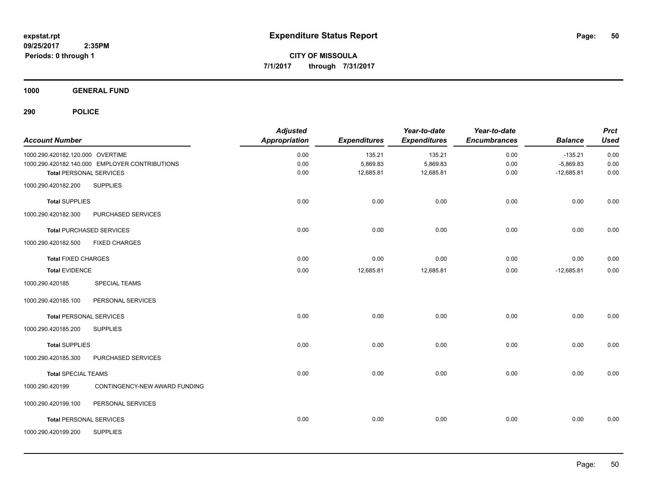**1000 GENERAL FUND**

| <b>Account Number</b>            |                                                | <b>Adjusted</b><br><b>Appropriation</b> | <b>Expenditures</b> | Year-to-date<br><b>Expenditures</b> | Year-to-date<br><b>Encumbrances</b> | <b>Balance</b> | <b>Prct</b><br><b>Used</b> |
|----------------------------------|------------------------------------------------|-----------------------------------------|---------------------|-------------------------------------|-------------------------------------|----------------|----------------------------|
| 1000.290.420182.120.000 OVERTIME |                                                | 0.00                                    | 135.21              | 135.21                              | 0.00                                | $-135.21$      | 0.00                       |
|                                  | 1000.290.420182.140.000 EMPLOYER CONTRIBUTIONS | 0.00                                    | 5,869.83            | 5,869.83                            | 0.00                                | $-5,869.83$    | 0.00                       |
| <b>Total PERSONAL SERVICES</b>   |                                                | 0.00                                    | 12,685.81           | 12,685.81                           | 0.00                                | $-12,685.81$   | 0.00                       |
| 1000.290.420182.200              | <b>SUPPLIES</b>                                |                                         |                     |                                     |                                     |                |                            |
| <b>Total SUPPLIES</b>            |                                                | 0.00                                    | 0.00                | 0.00                                | 0.00                                | 0.00           | 0.00                       |
| 1000.290.420182.300              | PURCHASED SERVICES                             |                                         |                     |                                     |                                     |                |                            |
|                                  | <b>Total PURCHASED SERVICES</b>                | 0.00                                    | 0.00                | 0.00                                | 0.00                                | 0.00           | 0.00                       |
| 1000.290.420182.500              | <b>FIXED CHARGES</b>                           |                                         |                     |                                     |                                     |                |                            |
| <b>Total FIXED CHARGES</b>       |                                                | 0.00                                    | 0.00                | 0.00                                | 0.00                                | 0.00           | 0.00                       |
| <b>Total EVIDENCE</b>            |                                                | 0.00                                    | 12,685.81           | 12,685.81                           | 0.00                                | $-12,685.81$   | 0.00                       |
| 1000.290.420185                  | <b>SPECIAL TEAMS</b>                           |                                         |                     |                                     |                                     |                |                            |
| 1000.290.420185.100              | PERSONAL SERVICES                              |                                         |                     |                                     |                                     |                |                            |
| <b>Total PERSONAL SERVICES</b>   |                                                | 0.00                                    | 0.00                | 0.00                                | 0.00                                | 0.00           | 0.00                       |
| 1000.290.420185.200              | <b>SUPPLIES</b>                                |                                         |                     |                                     |                                     |                |                            |
| <b>Total SUPPLIES</b>            |                                                | 0.00                                    | 0.00                | 0.00                                | 0.00                                | 0.00           | 0.00                       |
| 1000.290.420185.300              | PURCHASED SERVICES                             |                                         |                     |                                     |                                     |                |                            |
| <b>Total SPECIAL TEAMS</b>       |                                                | 0.00                                    | 0.00                | 0.00                                | 0.00                                | 0.00           | 0.00                       |
| 1000.290.420199                  | CONTINGENCY-NEW AWARD FUNDING                  |                                         |                     |                                     |                                     |                |                            |
| 1000.290.420199.100              | PERSONAL SERVICES                              |                                         |                     |                                     |                                     |                |                            |
| <b>Total PERSONAL SERVICES</b>   |                                                | 0.00                                    | 0.00                | 0.00                                | 0.00                                | 0.00           | 0.00                       |
| 1000.290.420199.200              | <b>SUPPLIES</b>                                |                                         |                     |                                     |                                     |                |                            |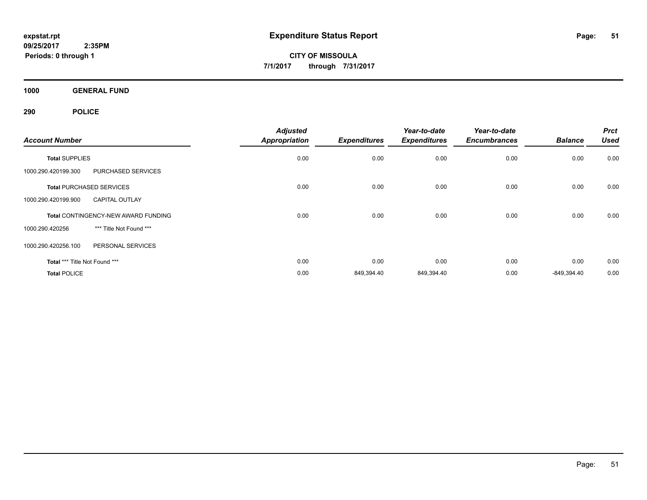**CITY OF MISSOULA 7/1/2017 through 7/31/2017**

**1000 GENERAL FUND**

| <b>Account Number</b>         |                                            | <b>Adjusted</b>      |                     | Year-to-date<br><b>Expenditures</b> | Year-to-date<br><b>Encumbrances</b> | <b>Balance</b> | <b>Prct</b><br><b>Used</b> |
|-------------------------------|--------------------------------------------|----------------------|---------------------|-------------------------------------|-------------------------------------|----------------|----------------------------|
|                               |                                            | <b>Appropriation</b> | <b>Expenditures</b> |                                     |                                     |                |                            |
| <b>Total SUPPLIES</b>         |                                            | 0.00                 | 0.00                | 0.00                                | 0.00                                | 0.00           | 0.00                       |
| 1000.290.420199.300           | PURCHASED SERVICES                         |                      |                     |                                     |                                     |                |                            |
|                               | <b>Total PURCHASED SERVICES</b>            | 0.00                 | 0.00                | 0.00                                | 0.00                                | 0.00           | 0.00                       |
| 1000.290.420199.900           | <b>CAPITAL OUTLAY</b>                      |                      |                     |                                     |                                     |                |                            |
|                               | <b>Total CONTINGENCY-NEW AWARD FUNDING</b> | 0.00                 | 0.00                | 0.00                                | 0.00                                | 0.00           | 0.00                       |
| 1000.290.420256               | *** Title Not Found ***                    |                      |                     |                                     |                                     |                |                            |
| 1000.290.420256.100           | PERSONAL SERVICES                          |                      |                     |                                     |                                     |                |                            |
| Total *** Title Not Found *** |                                            | 0.00                 | 0.00                | 0.00                                | 0.00                                | 0.00           | 0.00                       |
| <b>Total POLICE</b>           |                                            | 0.00                 | 849,394.40          | 849,394.40                          | 0.00                                | $-849,394.40$  | 0.00                       |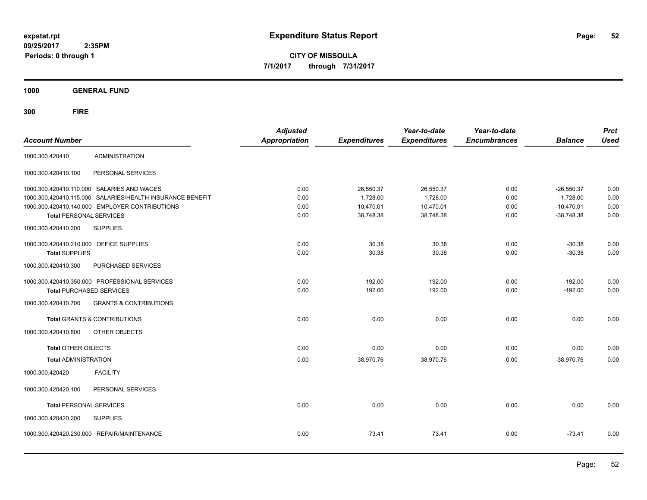**CITY OF MISSOULA 7/1/2017 through 7/31/2017**

**1000 GENERAL FUND**

| <b>Account Number</b>                                            |                                                                                                                                                           | <b>Adjusted</b><br><b>Appropriation</b> | <b>Expenditures</b>                             | Year-to-date<br><b>Expenditures</b>             | Year-to-date<br><b>Encumbrances</b> | <b>Balance</b>                                              | <b>Prct</b><br><b>Used</b>   |
|------------------------------------------------------------------|-----------------------------------------------------------------------------------------------------------------------------------------------------------|-----------------------------------------|-------------------------------------------------|-------------------------------------------------|-------------------------------------|-------------------------------------------------------------|------------------------------|
| 1000.300.420410                                                  | <b>ADMINISTRATION</b>                                                                                                                                     |                                         |                                                 |                                                 |                                     |                                                             |                              |
| 1000.300.420410.100                                              | PERSONAL SERVICES                                                                                                                                         |                                         |                                                 |                                                 |                                     |                                                             |                              |
| <b>Total PERSONAL SERVICES</b>                                   | 1000.300.420410.110.000 SALARIES AND WAGES<br>1000.300.420410.115.000 SALARIES/HEALTH INSURANCE BENEFIT<br>1000.300.420410.140.000 EMPLOYER CONTRIBUTIONS | 0.00<br>0.00<br>0.00<br>0.00            | 26,550.37<br>1.728.00<br>10,470.01<br>38,748.38 | 26,550.37<br>1,728.00<br>10,470.01<br>38,748.38 | 0.00<br>0.00<br>0.00<br>0.00        | $-26,550.37$<br>$-1,728.00$<br>$-10,470.01$<br>$-38,748.38$ | 0.00<br>0.00<br>0.00<br>0.00 |
| 1000.300.420410.200                                              | <b>SUPPLIES</b>                                                                                                                                           |                                         |                                                 |                                                 |                                     |                                                             |                              |
| 1000.300.420410.210.000 OFFICE SUPPLIES<br><b>Total SUPPLIES</b> |                                                                                                                                                           | 0.00<br>0.00                            | 30.38<br>30.38                                  | 30.38<br>30.38                                  | 0.00<br>0.00                        | $-30.38$<br>$-30.38$                                        | 0.00<br>0.00                 |
| 1000.300.420410.300                                              | PURCHASED SERVICES                                                                                                                                        |                                         |                                                 |                                                 |                                     |                                                             |                              |
|                                                                  | 1000.300.420410.350.000 PROFESSIONAL SERVICES<br><b>Total PURCHASED SERVICES</b>                                                                          | 0.00<br>0.00                            | 192.00<br>192.00                                | 192.00<br>192.00                                | 0.00<br>0.00                        | $-192.00$<br>$-192.00$                                      | 0.00<br>0.00                 |
| 1000.300.420410.700                                              | <b>GRANTS &amp; CONTRIBUTIONS</b>                                                                                                                         |                                         |                                                 |                                                 |                                     |                                                             |                              |
|                                                                  | <b>Total GRANTS &amp; CONTRIBUTIONS</b>                                                                                                                   | 0.00                                    | 0.00                                            | 0.00                                            | 0.00                                | 0.00                                                        | 0.00                         |
| 1000.300.420410.800                                              | OTHER OBJECTS                                                                                                                                             |                                         |                                                 |                                                 |                                     |                                                             |                              |
| <b>Total OTHER OBJECTS</b>                                       |                                                                                                                                                           | 0.00                                    | 0.00                                            | 0.00                                            | 0.00                                | 0.00                                                        | 0.00                         |
| <b>Total ADMINISTRATION</b>                                      |                                                                                                                                                           | 0.00                                    | 38,970.76                                       | 38,970.76                                       | 0.00                                | $-38,970.76$                                                | 0.00                         |
| 1000.300.420420                                                  | <b>FACILITY</b>                                                                                                                                           |                                         |                                                 |                                                 |                                     |                                                             |                              |
| 1000.300.420420.100                                              | PERSONAL SERVICES                                                                                                                                         |                                         |                                                 |                                                 |                                     |                                                             |                              |
| <b>Total PERSONAL SERVICES</b>                                   |                                                                                                                                                           | 0.00                                    | 0.00                                            | 0.00                                            | 0.00                                | 0.00                                                        | 0.00                         |
| 1000.300.420420.200                                              | <b>SUPPLIES</b>                                                                                                                                           |                                         |                                                 |                                                 |                                     |                                                             |                              |
|                                                                  | 1000.300.420420.230.000 REPAIR/MAINTENANCE                                                                                                                | 0.00                                    | 73.41                                           | 73.41                                           | 0.00                                | $-73.41$                                                    | 0.00                         |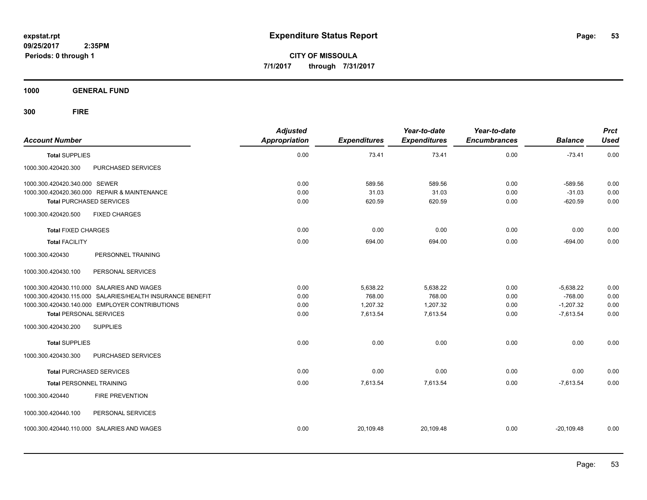**CITY OF MISSOULA 7/1/2017 through 7/31/2017**

**1000 GENERAL FUND**

| <b>Account Number</b>                                     | <b>Adjusted</b><br><b>Appropriation</b> | <b>Expenditures</b> | Year-to-date<br><b>Expenditures</b> | Year-to-date<br><b>Encumbrances</b> | <b>Balance</b> | <b>Prct</b><br><b>Used</b> |
|-----------------------------------------------------------|-----------------------------------------|---------------------|-------------------------------------|-------------------------------------|----------------|----------------------------|
| <b>Total SUPPLIES</b>                                     | 0.00                                    | 73.41               | 73.41                               | 0.00                                | $-73.41$       | 0.00                       |
| 1000.300.420420.300<br>PURCHASED SERVICES                 |                                         |                     |                                     |                                     |                |                            |
| 1000.300.420420.340.000 SEWER                             | 0.00                                    | 589.56              | 589.56                              | 0.00                                | $-589.56$      | 0.00                       |
| 1000.300.420420.360.000 REPAIR & MAINTENANCE              | 0.00                                    | 31.03               | 31.03                               | 0.00                                | $-31.03$       | 0.00                       |
| <b>Total PURCHASED SERVICES</b>                           | 0.00                                    | 620.59              | 620.59                              | 0.00                                | $-620.59$      | 0.00                       |
| <b>FIXED CHARGES</b><br>1000.300.420420.500               |                                         |                     |                                     |                                     |                |                            |
| <b>Total FIXED CHARGES</b>                                | 0.00                                    | 0.00                | 0.00                                | 0.00                                | 0.00           | 0.00                       |
| <b>Total FACILITY</b>                                     | 0.00                                    | 694.00              | 694.00                              | 0.00                                | $-694.00$      | 0.00                       |
| 1000.300.420430<br>PERSONNEL TRAINING                     |                                         |                     |                                     |                                     |                |                            |
| 1000.300.420430.100<br>PERSONAL SERVICES                  |                                         |                     |                                     |                                     |                |                            |
| 1000.300.420430.110.000 SALARIES AND WAGES                | 0.00                                    | 5,638.22            | 5,638.22                            | 0.00                                | $-5,638.22$    | 0.00                       |
| 1000.300.420430.115.000 SALARIES/HEALTH INSURANCE BENEFIT | 0.00                                    | 768.00              | 768.00                              | 0.00                                | $-768.00$      | 0.00                       |
| 1000.300.420430.140.000 EMPLOYER CONTRIBUTIONS            | 0.00                                    | 1,207.32            | 1,207.32                            | 0.00                                | $-1,207.32$    | 0.00                       |
| <b>Total PERSONAL SERVICES</b>                            | 0.00                                    | 7,613.54            | 7,613.54                            | 0.00                                | $-7,613.54$    | 0.00                       |
| <b>SUPPLIES</b><br>1000.300.420430.200                    |                                         |                     |                                     |                                     |                |                            |
| <b>Total SUPPLIES</b>                                     | 0.00                                    | 0.00                | 0.00                                | 0.00                                | 0.00           | 0.00                       |
| 1000.300.420430.300<br>PURCHASED SERVICES                 |                                         |                     |                                     |                                     |                |                            |
| <b>Total PURCHASED SERVICES</b>                           | 0.00                                    | 0.00                | 0.00                                | 0.00                                | 0.00           | 0.00                       |
| <b>Total PERSONNEL TRAINING</b>                           | 0.00                                    | 7,613.54            | 7,613.54                            | 0.00                                | $-7,613.54$    | 0.00                       |
| 1000.300.420440<br><b>FIRE PREVENTION</b>                 |                                         |                     |                                     |                                     |                |                            |
| PERSONAL SERVICES<br>1000.300.420440.100                  |                                         |                     |                                     |                                     |                |                            |
| 1000.300.420440.110.000 SALARIES AND WAGES                | 0.00                                    | 20,109.48           | 20,109.48                           | 0.00                                | $-20.109.48$   | 0.00                       |
|                                                           |                                         |                     |                                     |                                     |                |                            |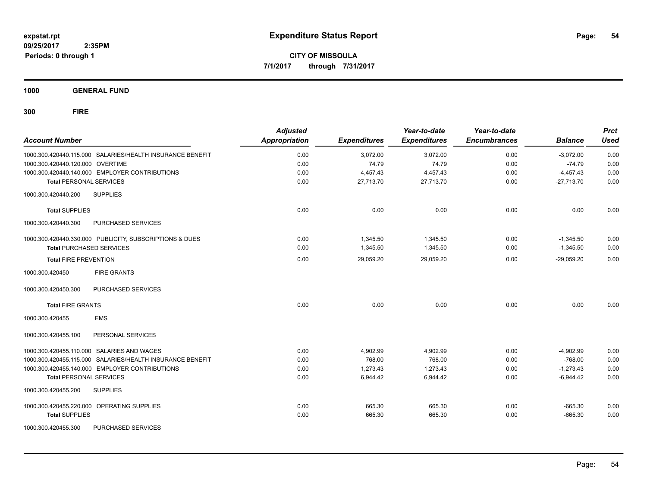**CITY OF MISSOULA 7/1/2017 through 7/31/2017**

**1000 GENERAL FUND**

| <b>Account Number</b>                      |                                                           | <b>Adjusted</b><br><b>Appropriation</b> | <b>Expenditures</b> | Year-to-date<br><b>Expenditures</b> | Year-to-date<br><b>Encumbrances</b> | <b>Balance</b> | <b>Prct</b><br><b>Used</b> |
|--------------------------------------------|-----------------------------------------------------------|-----------------------------------------|---------------------|-------------------------------------|-------------------------------------|----------------|----------------------------|
|                                            | 1000.300.420440.115.000 SALARIES/HEALTH INSURANCE BENEFIT | 0.00                                    | 3,072.00            | 3,072.00                            | 0.00                                | $-3.072.00$    | 0.00                       |
| 1000.300.420440.120.000 OVERTIME           |                                                           | 0.00                                    | 74.79               | 74.79                               | 0.00                                | $-74.79$       | 0.00                       |
|                                            | 1000.300.420440.140.000 EMPLOYER CONTRIBUTIONS            | 0.00                                    | 4,457.43            | 4,457.43                            | 0.00                                | $-4,457.43$    | 0.00                       |
| <b>Total PERSONAL SERVICES</b>             |                                                           | 0.00                                    | 27.713.70           | 27,713.70                           | 0.00                                | $-27,713.70$   | 0.00                       |
| 1000.300.420440.200                        | <b>SUPPLIES</b>                                           |                                         |                     |                                     |                                     |                |                            |
| <b>Total SUPPLIES</b>                      |                                                           | 0.00                                    | 0.00                | 0.00                                | 0.00                                | 0.00           | 0.00                       |
| 1000.300.420440.300                        | PURCHASED SERVICES                                        |                                         |                     |                                     |                                     |                |                            |
|                                            | 1000.300.420440.330.000 PUBLICITY, SUBSCRIPTIONS & DUES   | 0.00                                    | 1,345.50            | 1,345.50                            | 0.00                                | $-1,345.50$    | 0.00                       |
| <b>Total PURCHASED SERVICES</b>            |                                                           | 0.00                                    | 1,345.50            | 1,345.50                            | 0.00                                | $-1,345.50$    | 0.00                       |
| <b>Total FIRE PREVENTION</b>               |                                                           | 0.00                                    | 29,059.20           | 29,059.20                           | 0.00                                | $-29,059.20$   | 0.00                       |
| 1000.300.420450                            | <b>FIRE GRANTS</b>                                        |                                         |                     |                                     |                                     |                |                            |
| 1000.300.420450.300                        | PURCHASED SERVICES                                        |                                         |                     |                                     |                                     |                |                            |
| <b>Total FIRE GRANTS</b>                   |                                                           | 0.00                                    | 0.00                | 0.00                                | 0.00                                | 0.00           | 0.00                       |
| 1000.300.420455                            | <b>EMS</b>                                                |                                         |                     |                                     |                                     |                |                            |
| 1000.300.420455.100                        | PERSONAL SERVICES                                         |                                         |                     |                                     |                                     |                |                            |
| 1000.300.420455.110.000 SALARIES AND WAGES |                                                           | 0.00                                    | 4,902.99            | 4,902.99                            | 0.00                                | $-4,902.99$    | 0.00                       |
|                                            | 1000.300.420455.115.000 SALARIES/HEALTH INSURANCE BENEFIT | 0.00                                    | 768.00              | 768.00                              | 0.00                                | $-768.00$      | 0.00                       |
|                                            | 1000.300.420455.140.000 EMPLOYER CONTRIBUTIONS            | 0.00                                    | 1,273.43            | 1,273.43                            | 0.00                                | $-1,273.43$    | 0.00                       |
| <b>Total PERSONAL SERVICES</b>             |                                                           | 0.00                                    | 6,944.42            | 6,944.42                            | 0.00                                | $-6,944.42$    | 0.00                       |
| 1000.300.420455.200                        | <b>SUPPLIES</b>                                           |                                         |                     |                                     |                                     |                |                            |
| 1000.300.420455.220.000 OPERATING SUPPLIES |                                                           | 0.00                                    | 665.30              | 665.30                              | 0.00                                | $-665.30$      | 0.00                       |
| <b>Total SUPPLIES</b>                      |                                                           | 0.00                                    | 665.30              | 665.30                              | 0.00                                | $-665.30$      | 0.00                       |
| 1000.300.420455.300                        | PURCHASED SERVICES                                        |                                         |                     |                                     |                                     |                |                            |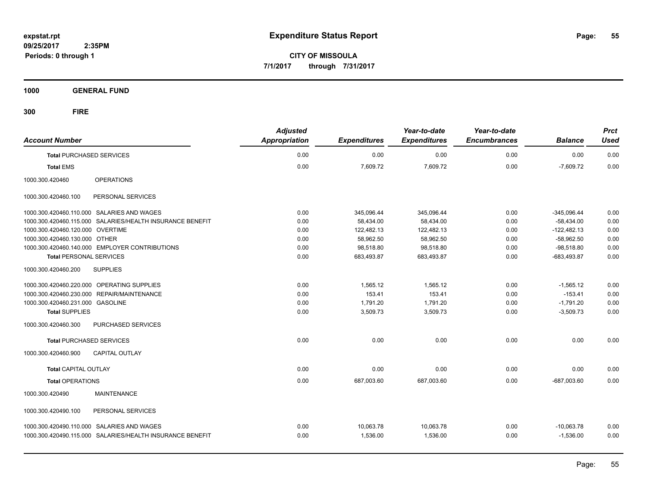**CITY OF MISSOULA 7/1/2017 through 7/31/2017**

**1000 GENERAL FUND**

| <b>Account Number</b>                                     | <b>Adjusted</b><br><b>Appropriation</b> | <b>Expenditures</b> | Year-to-date<br><b>Expenditures</b> | Year-to-date<br><b>Encumbrances</b> | <b>Balance</b> | <b>Prct</b><br><b>Used</b> |
|-----------------------------------------------------------|-----------------------------------------|---------------------|-------------------------------------|-------------------------------------|----------------|----------------------------|
| <b>Total PURCHASED SERVICES</b>                           | 0.00                                    | 0.00                | 0.00                                | 0.00                                | 0.00           | 0.00                       |
| <b>Total EMS</b>                                          | 0.00                                    | 7,609.72            | 7,609.72                            | 0.00                                | $-7,609.72$    | 0.00                       |
| <b>OPERATIONS</b><br>1000.300.420460                      |                                         |                     |                                     |                                     |                |                            |
| PERSONAL SERVICES<br>1000.300.420460.100                  |                                         |                     |                                     |                                     |                |                            |
| 1000.300.420460.110.000 SALARIES AND WAGES                | 0.00                                    | 345,096.44          | 345,096.44                          | 0.00                                | $-345,096.44$  | 0.00                       |
| 1000.300.420460.115.000 SALARIES/HEALTH INSURANCE BENEFIT | 0.00                                    | 58.434.00           | 58.434.00                           | 0.00                                | $-58.434.00$   | 0.00                       |
| 1000.300.420460.120.000 OVERTIME                          | 0.00                                    | 122,482.13          | 122,482.13                          | 0.00                                | $-122,482.13$  | 0.00                       |
| 1000.300.420460.130.000 OTHER                             | 0.00                                    | 58,962.50           | 58,962.50                           | 0.00                                | $-58,962.50$   | 0.00                       |
| 1000.300.420460.140.000 EMPLOYER CONTRIBUTIONS            | 0.00                                    | 98,518.80           | 98,518.80                           | 0.00                                | $-98,518.80$   | 0.00                       |
| <b>Total PERSONAL SERVICES</b>                            | 0.00                                    | 683,493.87          | 683,493.87                          | 0.00                                | $-683,493.87$  | 0.00                       |
| <b>SUPPLIES</b><br>1000.300.420460.200                    |                                         |                     |                                     |                                     |                |                            |
| 1000.300.420460.220.000 OPERATING SUPPLIES                | 0.00                                    | 1,565.12            | 1,565.12                            | 0.00                                | $-1,565.12$    | 0.00                       |
| 1000.300.420460.230.000 REPAIR/MAINTENANCE                | 0.00                                    | 153.41              | 153.41                              | 0.00                                | $-153.41$      | 0.00                       |
| 1000.300.420460.231.000 GASOLINE                          | 0.00                                    | 1,791.20            | 1,791.20                            | 0.00                                | $-1,791.20$    | 0.00                       |
| <b>Total SUPPLIES</b>                                     | 0.00                                    | 3,509.73            | 3,509.73                            | 0.00                                | $-3,509.73$    | 0.00                       |
| 1000.300.420460.300<br>PURCHASED SERVICES                 |                                         |                     |                                     |                                     |                |                            |
| <b>Total PURCHASED SERVICES</b>                           | 0.00                                    | 0.00                | 0.00                                | 0.00                                | 0.00           | 0.00                       |
| <b>CAPITAL OUTLAY</b><br>1000.300.420460.900              |                                         |                     |                                     |                                     |                |                            |
| <b>Total CAPITAL OUTLAY</b>                               | 0.00                                    | 0.00                | 0.00                                | 0.00                                | 0.00           | 0.00                       |
| <b>Total OPERATIONS</b>                                   | 0.00                                    | 687,003.60          | 687,003.60                          | 0.00                                | $-687,003.60$  | 0.00                       |
| 1000.300.420490<br><b>MAINTENANCE</b>                     |                                         |                     |                                     |                                     |                |                            |
| PERSONAL SERVICES<br>1000.300.420490.100                  |                                         |                     |                                     |                                     |                |                            |
| 1000.300.420490.110.000 SALARIES AND WAGES                | 0.00                                    | 10,063.78           | 10,063.78                           | 0.00                                | $-10,063.78$   | 0.00                       |
| 1000.300.420490.115.000 SALARIES/HEALTH INSURANCE BENEFIT | 0.00                                    | 1,536.00            | 1,536.00                            | 0.00                                | $-1,536.00$    | 0.00                       |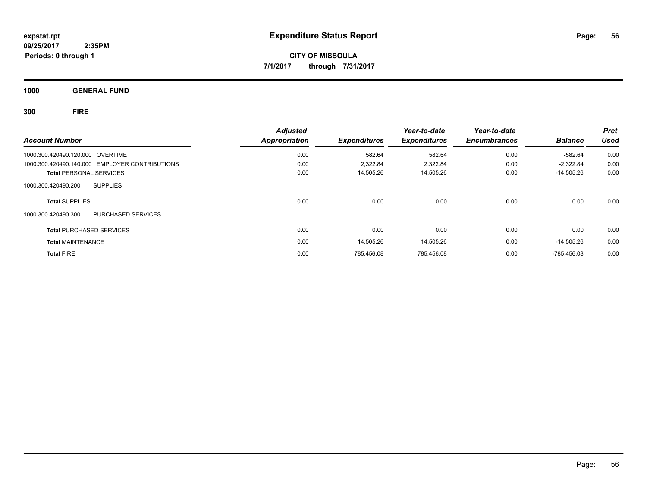**CITY OF MISSOULA 7/1/2017 through 7/31/2017**

**1000 GENERAL FUND**

| <b>Account Number</b>                          | <b>Adjusted</b><br><b>Appropriation</b> | <b>Expenditures</b> | Year-to-date<br><b>Expenditures</b> | Year-to-date<br><b>Encumbrances</b> | <b>Balance</b> | <b>Prct</b><br>Used |
|------------------------------------------------|-----------------------------------------|---------------------|-------------------------------------|-------------------------------------|----------------|---------------------|
|                                                |                                         |                     |                                     |                                     |                |                     |
| 1000.300.420490.120.000 OVERTIME               | 0.00                                    | 582.64              | 582.64                              | 0.00                                | -582.64        | 0.00                |
| 1000.300.420490.140.000 EMPLOYER CONTRIBUTIONS | 0.00                                    | 2.322.84            | 2,322.84                            | 0.00                                | $-2.322.84$    | 0.00                |
| <b>Total PERSONAL SERVICES</b>                 | 0.00                                    | 14,505.26           | 14,505.26                           | 0.00                                | -14,505.26     | 0.00                |
| <b>SUPPLIES</b><br>1000.300.420490.200         |                                         |                     |                                     |                                     |                |                     |
| <b>Total SUPPLIES</b>                          | 0.00                                    | 0.00                | 0.00                                | 0.00                                | 0.00           | 0.00                |
| 1000.300.420490.300<br>PURCHASED SERVICES      |                                         |                     |                                     |                                     |                |                     |
| <b>Total PURCHASED SERVICES</b>                | 0.00                                    | 0.00                | 0.00                                | 0.00                                | 0.00           | 0.00                |
| <b>Total MAINTENANCE</b>                       | 0.00                                    | 14.505.26           | 14,505.26                           | 0.00                                | -14.505.26     | 0.00                |
| <b>Total FIRE</b>                              | 0.00                                    | 785.456.08          | 785.456.08                          | 0.00                                | $-785.456.08$  | 0.00                |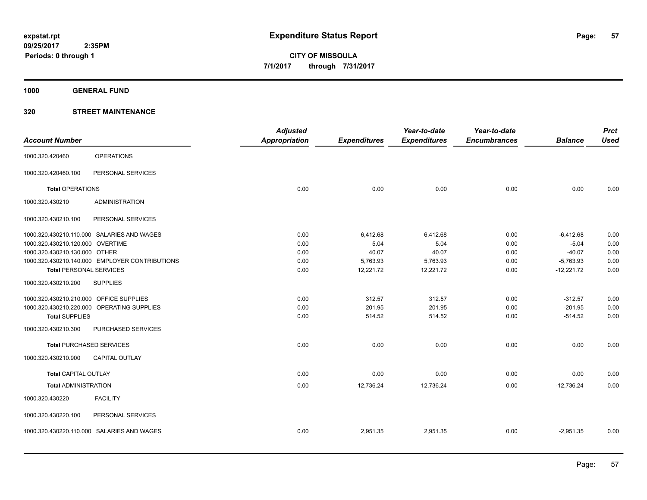**1000 GENERAL FUND**

|                                         |                                                | <b>Adjusted</b>      |                     | Year-to-date        | Year-to-date        |                | <b>Prct</b> |
|-----------------------------------------|------------------------------------------------|----------------------|---------------------|---------------------|---------------------|----------------|-------------|
| <b>Account Number</b>                   |                                                | <b>Appropriation</b> | <b>Expenditures</b> | <b>Expenditures</b> | <b>Encumbrances</b> | <b>Balance</b> | <b>Used</b> |
| 1000.320.420460                         | <b>OPERATIONS</b>                              |                      |                     |                     |                     |                |             |
| 1000.320.420460.100                     | PERSONAL SERVICES                              |                      |                     |                     |                     |                |             |
| <b>Total OPERATIONS</b>                 |                                                | 0.00                 | 0.00                | 0.00                | 0.00                | 0.00           | 0.00        |
| 1000.320.430210                         | <b>ADMINISTRATION</b>                          |                      |                     |                     |                     |                |             |
| 1000.320.430210.100                     | PERSONAL SERVICES                              |                      |                     |                     |                     |                |             |
|                                         | 1000.320.430210.110.000 SALARIES AND WAGES     | 0.00                 | 6,412.68            | 6,412.68            | 0.00                | $-6,412.68$    | 0.00        |
| 1000.320.430210.120.000 OVERTIME        |                                                | 0.00                 | 5.04                | 5.04                | 0.00                | $-5.04$        | 0.00        |
| 1000.320.430210.130.000 OTHER           |                                                | 0.00                 | 40.07               | 40.07               | 0.00                | $-40.07$       | 0.00        |
|                                         | 1000.320.430210.140.000 EMPLOYER CONTRIBUTIONS | 0.00                 | 5,763.93            | 5,763.93            | 0.00                | $-5,763.93$    | 0.00        |
| <b>Total PERSONAL SERVICES</b>          |                                                | 0.00                 | 12,221.72           | 12,221.72           | 0.00                | $-12,221.72$   | 0.00        |
| 1000.320.430210.200                     | <b>SUPPLIES</b>                                |                      |                     |                     |                     |                |             |
| 1000.320.430210.210.000 OFFICE SUPPLIES |                                                | 0.00                 | 312.57              | 312.57              | 0.00                | $-312.57$      | 0.00        |
|                                         | 1000.320.430210.220.000 OPERATING SUPPLIES     | 0.00                 | 201.95              | 201.95              | 0.00                | $-201.95$      | 0.00        |
| <b>Total SUPPLIES</b>                   |                                                | 0.00                 | 514.52              | 514.52              | 0.00                | $-514.52$      | 0.00        |
| 1000.320.430210.300                     | PURCHASED SERVICES                             |                      |                     |                     |                     |                |             |
| <b>Total PURCHASED SERVICES</b>         |                                                | 0.00                 | 0.00                | 0.00                | 0.00                | 0.00           | 0.00        |
| 1000.320.430210.900                     | <b>CAPITAL OUTLAY</b>                          |                      |                     |                     |                     |                |             |
| <b>Total CAPITAL OUTLAY</b>             |                                                | 0.00                 | 0.00                | 0.00                | 0.00                | 0.00           | 0.00        |
| <b>Total ADMINISTRATION</b>             |                                                | 0.00                 | 12,736.24           | 12,736.24           | 0.00                | $-12,736.24$   | 0.00        |
| 1000.320.430220                         | <b>FACILITY</b>                                |                      |                     |                     |                     |                |             |
| 1000.320.430220.100                     | PERSONAL SERVICES                              |                      |                     |                     |                     |                |             |
|                                         | 1000.320.430220.110.000 SALARIES AND WAGES     | 0.00                 | 2,951.35            | 2,951.35            | 0.00                | $-2,951.35$    | 0.00        |
|                                         |                                                |                      |                     |                     |                     |                |             |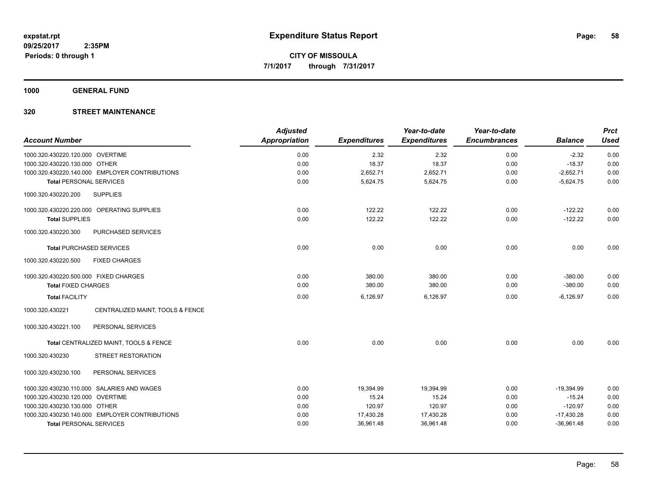**1000 GENERAL FUND**

| <b>Account Number</b>                               | <b>Adjusted</b><br>Appropriation | <b>Expenditures</b> | Year-to-date<br><b>Expenditures</b> | Year-to-date<br><b>Encumbrances</b> | <b>Balance</b> | <b>Prct</b><br><b>Used</b> |
|-----------------------------------------------------|----------------------------------|---------------------|-------------------------------------|-------------------------------------|----------------|----------------------------|
| 1000.320.430220.120.000 OVERTIME                    | 0.00                             | 2.32                | 2.32                                | 0.00                                | $-2.32$        | 0.00                       |
| 1000.320.430220.130.000 OTHER                       | 0.00                             | 18.37               | 18.37                               | 0.00                                | $-18.37$       | 0.00                       |
| 1000.320.430220.140.000 EMPLOYER CONTRIBUTIONS      | 0.00                             | 2,652.71            | 2,652.71                            | 0.00                                | $-2,652.71$    | 0.00                       |
| <b>Total PERSONAL SERVICES</b>                      | 0.00                             | 5,624.75            | 5,624.75                            | 0.00                                | $-5,624.75$    | 0.00                       |
| <b>SUPPLIES</b><br>1000.320.430220.200              |                                  |                     |                                     |                                     |                |                            |
| 1000.320.430220.220.000 OPERATING SUPPLIES          | 0.00                             | 122.22              | 122.22                              | 0.00                                | $-122.22$      | 0.00                       |
| <b>Total SUPPLIES</b>                               | 0.00                             | 122.22              | 122.22                              | 0.00                                | $-122.22$      | 0.00                       |
| 1000.320.430220.300<br>PURCHASED SERVICES           |                                  |                     |                                     |                                     |                |                            |
| <b>Total PURCHASED SERVICES</b>                     | 0.00                             | 0.00                | 0.00                                | 0.00                                | 0.00           | 0.00                       |
| 1000.320.430220.500<br><b>FIXED CHARGES</b>         |                                  |                     |                                     |                                     |                |                            |
| 1000.320.430220.500.000 FIXED CHARGES               | 0.00                             | 380.00              | 380.00                              | 0.00                                | $-380.00$      | 0.00                       |
| <b>Total FIXED CHARGES</b>                          | 0.00                             | 380.00              | 380.00                              | 0.00                                | $-380.00$      | 0.00                       |
| <b>Total FACILITY</b>                               | 0.00                             | 6,126.97            | 6,126.97                            | 0.00                                | $-6,126.97$    | 0.00                       |
| CENTRALIZED MAINT, TOOLS & FENCE<br>1000.320.430221 |                                  |                     |                                     |                                     |                |                            |
| PERSONAL SERVICES<br>1000.320.430221.100            |                                  |                     |                                     |                                     |                |                            |
| Total CENTRALIZED MAINT, TOOLS & FENCE              | 0.00                             | 0.00                | 0.00                                | 0.00                                | 0.00           | 0.00                       |
| STREET RESTORATION<br>1000.320.430230               |                                  |                     |                                     |                                     |                |                            |
| 1000.320.430230.100<br>PERSONAL SERVICES            |                                  |                     |                                     |                                     |                |                            |
| 1000.320.430230.110.000 SALARIES AND WAGES          | 0.00                             | 19,394.99           | 19,394.99                           | 0.00                                | $-19,394.99$   | 0.00                       |
| 1000.320.430230.120.000 OVERTIME                    | 0.00                             | 15.24               | 15.24                               | 0.00                                | $-15.24$       | 0.00                       |
| 1000.320.430230.130.000 OTHER                       | 0.00                             | 120.97              | 120.97                              | 0.00                                | $-120.97$      | 0.00                       |
| 1000.320.430230.140.000 EMPLOYER CONTRIBUTIONS      | 0.00                             | 17,430.28           | 17,430.28                           | 0.00                                | $-17,430.28$   | 0.00                       |
| <b>Total PERSONAL SERVICES</b>                      | 0.00                             | 36,961.48           | 36,961.48                           | 0.00                                | $-36,961.48$   | 0.00                       |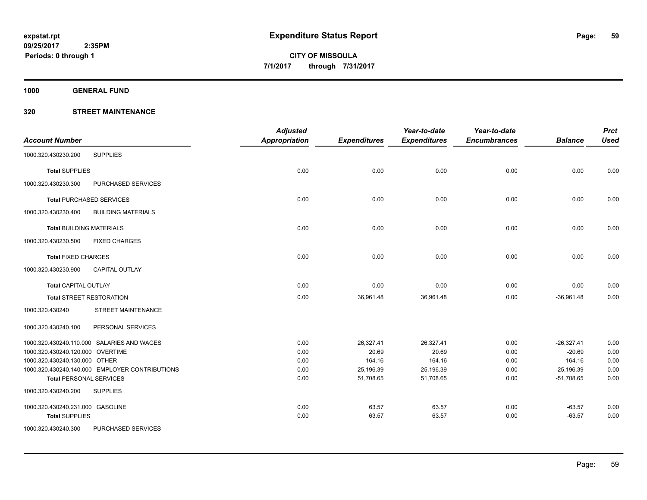**1000 GENERAL FUND**

| <b>Account Number</b>            |                                                | <b>Adjusted</b><br><b>Appropriation</b> | <b>Expenditures</b> | Year-to-date<br><b>Expenditures</b> | Year-to-date<br><b>Encumbrances</b> | <b>Balance</b> | <b>Prct</b><br><b>Used</b> |
|----------------------------------|------------------------------------------------|-----------------------------------------|---------------------|-------------------------------------|-------------------------------------|----------------|----------------------------|
| 1000.320.430230.200              | <b>SUPPLIES</b>                                |                                         |                     |                                     |                                     |                |                            |
| <b>Total SUPPLIES</b>            |                                                | 0.00                                    | 0.00                | 0.00                                | 0.00                                | 0.00           | 0.00                       |
| 1000.320.430230.300              | PURCHASED SERVICES                             |                                         |                     |                                     |                                     |                |                            |
|                                  | <b>Total PURCHASED SERVICES</b>                | 0.00                                    | 0.00                | 0.00                                | 0.00                                | 0.00           | 0.00                       |
| 1000.320.430230.400              | <b>BUILDING MATERIALS</b>                      |                                         |                     |                                     |                                     |                |                            |
|                                  | <b>Total BUILDING MATERIALS</b>                | 0.00                                    | 0.00                | 0.00                                | 0.00                                | 0.00           | 0.00                       |
| 1000.320.430230.500              | <b>FIXED CHARGES</b>                           |                                         |                     |                                     |                                     |                |                            |
| <b>Total FIXED CHARGES</b>       |                                                | 0.00                                    | 0.00                | 0.00                                | 0.00                                | 0.00           | 0.00                       |
| 1000.320.430230.900              | <b>CAPITAL OUTLAY</b>                          |                                         |                     |                                     |                                     |                |                            |
| <b>Total CAPITAL OUTLAY</b>      |                                                | 0.00                                    | 0.00                | 0.00                                | 0.00                                | 0.00           | 0.00                       |
|                                  | <b>Total STREET RESTORATION</b>                | 0.00                                    | 36,961.48           | 36,961.48                           | 0.00                                | $-36,961.48$   | 0.00                       |
| 1000.320.430240                  | STREET MAINTENANCE                             |                                         |                     |                                     |                                     |                |                            |
| 1000.320.430240.100              | PERSONAL SERVICES                              |                                         |                     |                                     |                                     |                |                            |
|                                  | 1000.320.430240.110.000 SALARIES AND WAGES     | 0.00                                    | 26,327.41           | 26,327.41                           | 0.00                                | $-26,327.41$   | 0.00                       |
| 1000.320.430240.120.000 OVERTIME |                                                | 0.00                                    | 20.69               | 20.69                               | 0.00                                | $-20.69$       | 0.00                       |
| 1000.320.430240.130.000 OTHER    |                                                | 0.00                                    | 164.16              | 164.16                              | 0.00                                | $-164.16$      | 0.00                       |
|                                  | 1000.320.430240.140.000 EMPLOYER CONTRIBUTIONS | 0.00                                    | 25,196.39           | 25,196.39                           | 0.00                                | $-25,196.39$   | 0.00                       |
|                                  | <b>Total PERSONAL SERVICES</b>                 | 0.00                                    | 51,708.65           | 51,708.65                           | 0.00                                | $-51,708.65$   | 0.00                       |
| 1000.320.430240.200              | <b>SUPPLIES</b>                                |                                         |                     |                                     |                                     |                |                            |
| 1000.320.430240.231.000 GASOLINE |                                                | 0.00                                    | 63.57               | 63.57                               | 0.00                                | $-63.57$       | 0.00                       |
| <b>Total SUPPLIES</b>            |                                                | 0.00                                    | 63.57               | 63.57                               | 0.00                                | $-63.57$       | 0.00                       |
| 1000.320.430240.300              | PURCHASED SERVICES                             |                                         |                     |                                     |                                     |                |                            |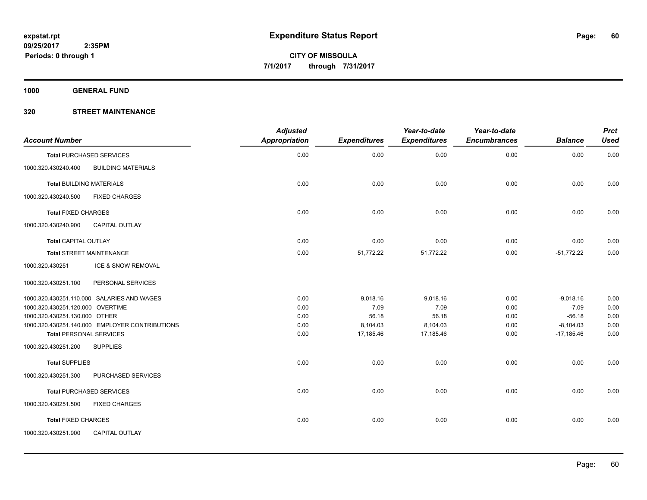**1000 GENERAL FUND**

| <b>Account Number</b>            |                                                | <b>Adjusted</b><br>Appropriation | <b>Expenditures</b> | Year-to-date<br><b>Expenditures</b> | Year-to-date<br><b>Encumbrances</b> | <b>Balance</b> | <b>Prct</b><br><b>Used</b> |
|----------------------------------|------------------------------------------------|----------------------------------|---------------------|-------------------------------------|-------------------------------------|----------------|----------------------------|
|                                  | <b>Total PURCHASED SERVICES</b>                | 0.00                             | 0.00                | 0.00                                | 0.00                                | 0.00           | 0.00                       |
| 1000.320.430240.400              | <b>BUILDING MATERIALS</b>                      |                                  |                     |                                     |                                     |                |                            |
| <b>Total BUILDING MATERIALS</b>  |                                                | 0.00                             | 0.00                | 0.00                                | 0.00                                | 0.00           | 0.00                       |
| 1000.320.430240.500              | <b>FIXED CHARGES</b>                           |                                  |                     |                                     |                                     |                |                            |
| <b>Total FIXED CHARGES</b>       |                                                | 0.00                             | 0.00                | 0.00                                | 0.00                                | 0.00           | 0.00                       |
| 1000.320.430240.900              | <b>CAPITAL OUTLAY</b>                          |                                  |                     |                                     |                                     |                |                            |
| <b>Total CAPITAL OUTLAY</b>      |                                                | 0.00                             | 0.00                | 0.00                                | 0.00                                | 0.00           | 0.00                       |
|                                  | <b>Total STREET MAINTENANCE</b>                | 0.00                             | 51,772.22           | 51,772.22                           | 0.00                                | $-51,772.22$   | 0.00                       |
| 1000.320.430251                  | ICE & SNOW REMOVAL                             |                                  |                     |                                     |                                     |                |                            |
| 1000.320.430251.100              | PERSONAL SERVICES                              |                                  |                     |                                     |                                     |                |                            |
|                                  | 1000.320.430251.110.000 SALARIES AND WAGES     | 0.00                             | 9,018.16            | 9,018.16                            | 0.00                                | $-9,018.16$    | 0.00                       |
| 1000.320.430251.120.000 OVERTIME |                                                | 0.00                             | 7.09                | 7.09                                | 0.00                                | $-7.09$        | 0.00                       |
| 1000.320.430251.130.000 OTHER    |                                                | 0.00                             | 56.18               | 56.18                               | 0.00                                | $-56.18$       | 0.00                       |
|                                  | 1000.320.430251.140.000 EMPLOYER CONTRIBUTIONS | 0.00                             | 8,104.03            | 8,104.03                            | 0.00                                | $-8,104.03$    | 0.00                       |
| <b>Total PERSONAL SERVICES</b>   |                                                | 0.00                             | 17,185.46           | 17,185.46                           | 0.00                                | $-17,185.46$   | 0.00                       |
| 1000.320.430251.200              | <b>SUPPLIES</b>                                |                                  |                     |                                     |                                     |                |                            |
| <b>Total SUPPLIES</b>            |                                                | 0.00                             | 0.00                | 0.00                                | 0.00                                | 0.00           | 0.00                       |
| 1000.320.430251.300              | PURCHASED SERVICES                             |                                  |                     |                                     |                                     |                |                            |
|                                  | <b>Total PURCHASED SERVICES</b>                | 0.00                             | 0.00                | 0.00                                | 0.00                                | 0.00           | 0.00                       |
| 1000.320.430251.500              | <b>FIXED CHARGES</b>                           |                                  |                     |                                     |                                     |                |                            |
| <b>Total FIXED CHARGES</b>       |                                                | 0.00                             | 0.00                | 0.00                                | 0.00                                | 0.00           | 0.00                       |
| 1000.320.430251.900              | <b>CAPITAL OUTLAY</b>                          |                                  |                     |                                     |                                     |                |                            |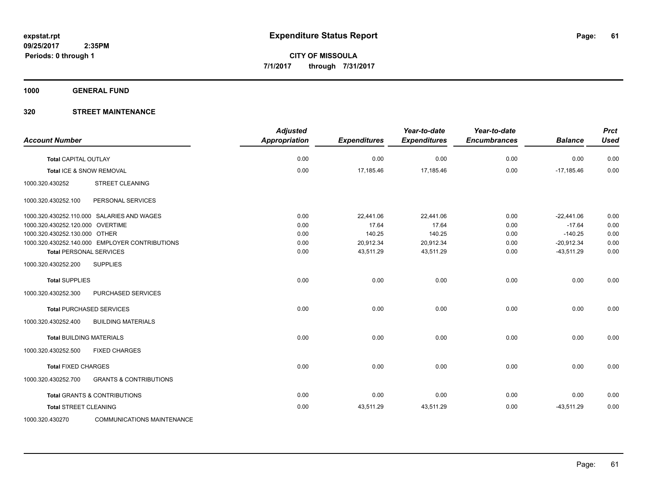**1000 GENERAL FUND**

| <b>Account Number</b>                                    | <b>Adjusted</b><br><b>Appropriation</b> | <b>Expenditures</b> | Year-to-date<br><b>Expenditures</b> | Year-to-date<br><b>Encumbrances</b> | <b>Balance</b> | <b>Prct</b><br><b>Used</b> |
|----------------------------------------------------------|-----------------------------------------|---------------------|-------------------------------------|-------------------------------------|----------------|----------------------------|
| <b>Total CAPITAL OUTLAY</b>                              | 0.00                                    | 0.00                | 0.00                                | 0.00                                | 0.00           | 0.00                       |
| Total ICE & SNOW REMOVAL                                 | 0.00                                    | 17,185.46           | 17,185.46                           | 0.00                                | $-17,185.46$   | 0.00                       |
| <b>STREET CLEANING</b><br>1000.320.430252                |                                         |                     |                                     |                                     |                |                            |
| 1000.320.430252.100<br>PERSONAL SERVICES                 |                                         |                     |                                     |                                     |                |                            |
| 1000.320.430252.110.000 SALARIES AND WAGES               | 0.00                                    | 22,441.06           | 22,441.06                           | 0.00                                | $-22,441.06$   | 0.00                       |
| 1000.320.430252.120.000 OVERTIME                         | 0.00                                    | 17.64               | 17.64                               | 0.00                                | $-17.64$       | 0.00                       |
| 1000.320.430252.130.000 OTHER                            | 0.00                                    | 140.25              | 140.25                              | 0.00                                | $-140.25$      | 0.00                       |
| 1000.320.430252.140.000 EMPLOYER CONTRIBUTIONS           | 0.00                                    | 20,912.34           | 20,912.34                           | 0.00                                | $-20,912.34$   | 0.00                       |
| <b>Total PERSONAL SERVICES</b>                           | 0.00                                    | 43,511.29           | 43,511.29                           | 0.00                                | $-43,511.29$   | 0.00                       |
| <b>SUPPLIES</b><br>1000.320.430252.200                   |                                         |                     |                                     |                                     |                |                            |
| <b>Total SUPPLIES</b>                                    | 0.00                                    | 0.00                | 0.00                                | 0.00                                | 0.00           | 0.00                       |
| PURCHASED SERVICES<br>1000.320.430252.300                |                                         |                     |                                     |                                     |                |                            |
| <b>Total PURCHASED SERVICES</b>                          | 0.00                                    | 0.00                | 0.00                                | 0.00                                | 0.00           | 0.00                       |
| 1000.320.430252.400<br><b>BUILDING MATERIALS</b>         |                                         |                     |                                     |                                     |                |                            |
| <b>Total BUILDING MATERIALS</b>                          | 0.00                                    | 0.00                | 0.00                                | 0.00                                | 0.00           | 0.00                       |
| 1000.320.430252.500<br><b>FIXED CHARGES</b>              |                                         |                     |                                     |                                     |                |                            |
| <b>Total FIXED CHARGES</b>                               | 0.00                                    | 0.00                | 0.00                                | 0.00                                | 0.00           | 0.00                       |
| <b>GRANTS &amp; CONTRIBUTIONS</b><br>1000.320.430252.700 |                                         |                     |                                     |                                     |                |                            |
| <b>Total GRANTS &amp; CONTRIBUTIONS</b>                  | 0.00                                    | 0.00                | 0.00                                | 0.00                                | 0.00           | 0.00                       |
| <b>Total STREET CLEANING</b>                             | 0.00                                    | 43,511.29           | 43,511.29                           | 0.00                                | $-43,511.29$   | 0.00                       |
| <b>COMMUNICATIONS MAINTENANCE</b><br>1000.320.430270     |                                         |                     |                                     |                                     |                |                            |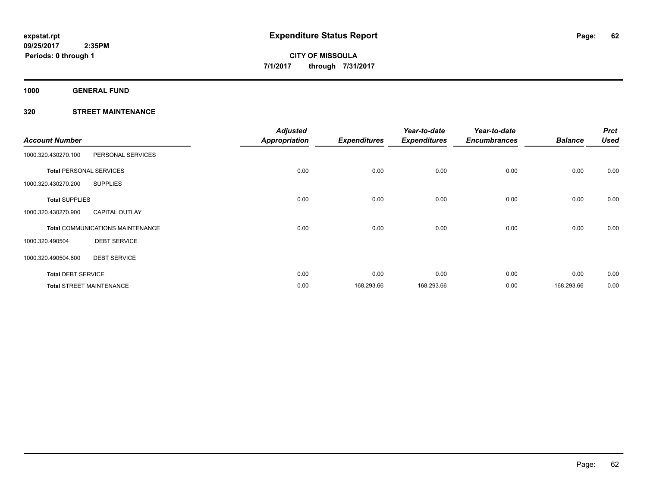**1000 GENERAL FUND**

|                                 |                                         | <b>Adjusted</b>      |                     |                     | Year-to-date        |                | <b>Prct</b> |
|---------------------------------|-----------------------------------------|----------------------|---------------------|---------------------|---------------------|----------------|-------------|
| <b>Account Number</b>           |                                         | <b>Appropriation</b> | <b>Expenditures</b> | <b>Expenditures</b> | <b>Encumbrances</b> | <b>Balance</b> | <b>Used</b> |
| 1000.320.430270.100             | PERSONAL SERVICES                       |                      |                     |                     |                     |                |             |
| <b>Total PERSONAL SERVICES</b>  |                                         | 0.00                 | 0.00                | 0.00                | 0.00                | 0.00           | 0.00        |
| 1000.320.430270.200             | <b>SUPPLIES</b>                         |                      |                     |                     |                     |                |             |
| <b>Total SUPPLIES</b>           |                                         | 0.00                 | 0.00                | 0.00                | 0.00                | 0.00           | 0.00        |
| 1000.320.430270.900             | <b>CAPITAL OUTLAY</b>                   |                      |                     |                     |                     |                |             |
|                                 | <b>Total COMMUNICATIONS MAINTENANCE</b> | 0.00                 | 0.00                | 0.00                | 0.00                | 0.00           | 0.00        |
| 1000.320.490504                 | <b>DEBT SERVICE</b>                     |                      |                     |                     |                     |                |             |
| 1000.320.490504.600             | <b>DEBT SERVICE</b>                     |                      |                     |                     |                     |                |             |
| <b>Total DEBT SERVICE</b>       |                                         | 0.00                 | 0.00                | 0.00                | 0.00                | 0.00           | 0.00        |
| <b>Total STREET MAINTENANCE</b> |                                         | 0.00                 | 168,293.66          | 168,293.66          | 0.00                | $-168,293.66$  | 0.00        |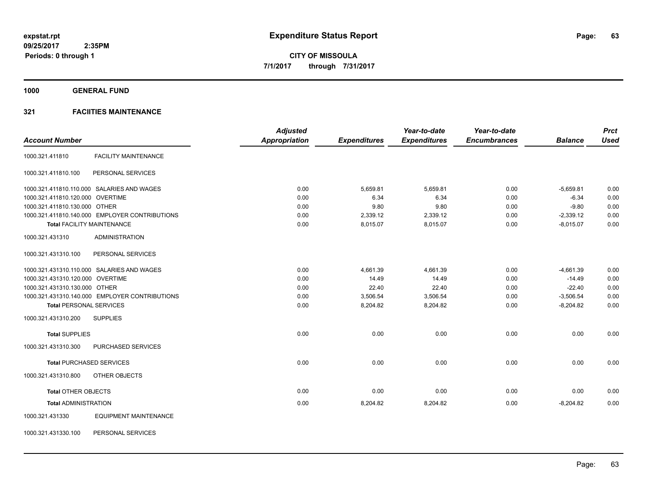**1000 GENERAL FUND**

## **321 FACIITIES MAINTENANCE**

|                                                 | <b>Adjusted</b>      |                     | Year-to-date        | Year-to-date        |                | <b>Prct</b> |
|-------------------------------------------------|----------------------|---------------------|---------------------|---------------------|----------------|-------------|
| <b>Account Number</b>                           | <b>Appropriation</b> | <b>Expenditures</b> | <b>Expenditures</b> | <b>Encumbrances</b> | <b>Balance</b> | <b>Used</b> |
| <b>FACILITY MAINTENANCE</b><br>1000.321.411810  |                      |                     |                     |                     |                |             |
| PERSONAL SERVICES<br>1000.321.411810.100        |                      |                     |                     |                     |                |             |
| 1000.321.411810.110.000 SALARIES AND WAGES      | 0.00                 | 5,659.81            | 5,659.81            | 0.00                | $-5,659.81$    | 0.00        |
| 1000.321.411810.120.000 OVERTIME                | 0.00                 | 6.34                | 6.34                | 0.00                | $-6.34$        | 0.00        |
| 1000.321.411810.130.000 OTHER                   | 0.00                 | 9.80                | 9.80                | 0.00                | $-9.80$        | 0.00        |
| 1000.321.411810.140.000 EMPLOYER CONTRIBUTIONS  | 0.00                 | 2,339.12            | 2,339.12            | 0.00                | $-2,339.12$    | 0.00        |
| <b>Total FACILITY MAINTENANCE</b>               | 0.00                 | 8,015.07            | 8,015.07            | 0.00                | $-8,015.07$    | 0.00        |
| <b>ADMINISTRATION</b><br>1000.321.431310        |                      |                     |                     |                     |                |             |
| 1000.321.431310.100<br>PERSONAL SERVICES        |                      |                     |                     |                     |                |             |
| 1000.321.431310.110.000 SALARIES AND WAGES      | 0.00                 | 4,661.39            | 4,661.39            | 0.00                | $-4,661.39$    | 0.00        |
| 1000.321.431310.120.000 OVERTIME                | 0.00                 | 14.49               | 14.49               | 0.00                | $-14.49$       | 0.00        |
| 1000.321.431310.130.000 OTHER                   | 0.00                 | 22.40               | 22.40               | 0.00                | $-22.40$       | 0.00        |
| 1000.321.431310.140.000 EMPLOYER CONTRIBUTIONS  | 0.00                 | 3,506.54            | 3,506.54            | 0.00                | $-3,506.54$    | 0.00        |
| <b>Total PERSONAL SERVICES</b>                  | 0.00                 | 8,204.82            | 8,204.82            | 0.00                | $-8,204.82$    | 0.00        |
| <b>SUPPLIES</b><br>1000.321.431310.200          |                      |                     |                     |                     |                |             |
| <b>Total SUPPLIES</b>                           | 0.00                 | 0.00                | 0.00                | 0.00                | 0.00           | 0.00        |
| PURCHASED SERVICES<br>1000.321.431310.300       |                      |                     |                     |                     |                |             |
| <b>Total PURCHASED SERVICES</b>                 | 0.00                 | 0.00                | 0.00                | 0.00                | 0.00           | 0.00        |
| 1000.321.431310.800<br>OTHER OBJECTS            |                      |                     |                     |                     |                |             |
| <b>Total OTHER OBJECTS</b>                      | 0.00                 | 0.00                | 0.00                | 0.00                | 0.00           | 0.00        |
| <b>Total ADMINISTRATION</b>                     | 0.00                 | 8,204.82            | 8,204.82            | 0.00                | $-8,204.82$    | 0.00        |
| <b>EQUIPMENT MAINTENANCE</b><br>1000.321.431330 |                      |                     |                     |                     |                |             |
| PERSONAL SERVICES<br>1000.321.431330.100        |                      |                     |                     |                     |                |             |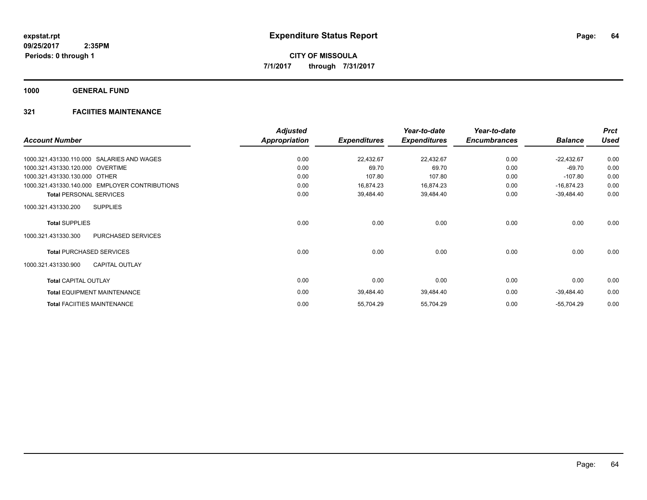**1000 GENERAL FUND**

## **321 FACIITIES MAINTENANCE**

|                                                | <b>Adjusted</b> |                     | Year-to-date        | Year-to-date        |                | <b>Prct</b> |
|------------------------------------------------|-----------------|---------------------|---------------------|---------------------|----------------|-------------|
| <b>Account Number</b>                          | Appropriation   | <b>Expenditures</b> | <b>Expenditures</b> | <b>Encumbrances</b> | <b>Balance</b> | <b>Used</b> |
| 1000.321.431330.110.000 SALARIES AND WAGES     | 0.00            | 22,432.67           | 22,432.67           | 0.00                | $-22,432.67$   | 0.00        |
| 1000.321.431330.120.000 OVERTIME               | 0.00            | 69.70               | 69.70               | 0.00                | $-69.70$       | 0.00        |
| 1000.321.431330.130.000 OTHER                  | 0.00            | 107.80              | 107.80              | 0.00                | $-107.80$      | 0.00        |
| 1000.321.431330.140.000 EMPLOYER CONTRIBUTIONS | 0.00            | 16,874.23           | 16,874.23           | 0.00                | $-16,874.23$   | 0.00        |
| <b>Total PERSONAL SERVICES</b>                 | 0.00            | 39,484.40           | 39,484.40           | 0.00                | $-39,484.40$   | 0.00        |
| <b>SUPPLIES</b><br>1000.321.431330.200         |                 |                     |                     |                     |                |             |
| <b>Total SUPPLIES</b>                          | 0.00            | 0.00                | 0.00                | 0.00                | 0.00           | 0.00        |
| 1000.321.431330.300<br>PURCHASED SERVICES      |                 |                     |                     |                     |                |             |
| <b>Total PURCHASED SERVICES</b>                | 0.00            | 0.00                | 0.00                | 0.00                | 0.00           | 0.00        |
| <b>CAPITAL OUTLAY</b><br>1000.321.431330.900   |                 |                     |                     |                     |                |             |
| <b>Total CAPITAL OUTLAY</b>                    | 0.00            | 0.00                | 0.00                | 0.00                | 0.00           | 0.00        |
| <b>Total EQUIPMENT MAINTENANCE</b>             | 0.00            | 39,484.40           | 39,484.40           | 0.00                | $-39,484.40$   | 0.00        |
| <b>Total FACIITIES MAINTENANCE</b>             | 0.00            | 55,704.29           | 55,704.29           | 0.00                | $-55,704.29$   | 0.00        |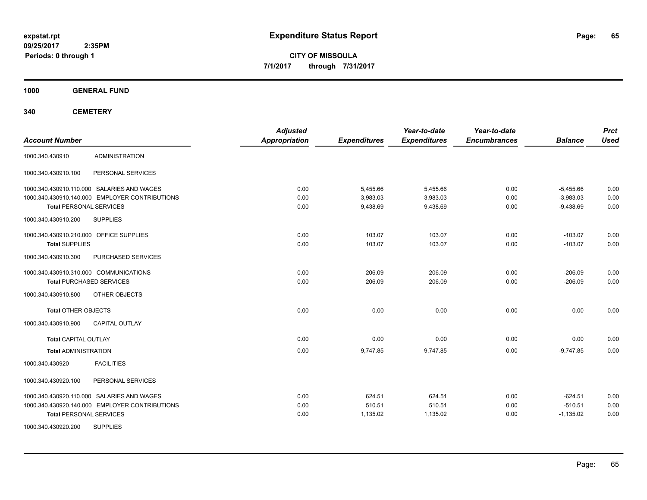**CITY OF MISSOULA 7/1/2017 through 7/31/2017**

**1000 GENERAL FUND**

**340 CEMETERY**

| <b>Account Number</b>                                                                        | <b>Adjusted</b><br><b>Appropriation</b> | <b>Expenditures</b>  | Year-to-date<br><b>Expenditures</b> | Year-to-date<br><b>Encumbrances</b> | <b>Balance</b>             | <b>Prct</b><br><b>Used</b> |
|----------------------------------------------------------------------------------------------|-----------------------------------------|----------------------|-------------------------------------|-------------------------------------|----------------------------|----------------------------|
| <b>ADMINISTRATION</b><br>1000.340.430910                                                     |                                         |                      |                                     |                                     |                            |                            |
| 1000.340.430910.100<br>PERSONAL SERVICES                                                     |                                         |                      |                                     |                                     |                            |                            |
| 1000.340.430910.110.000 SALARIES AND WAGES<br>1000.340.430910.140.000 EMPLOYER CONTRIBUTIONS | 0.00<br>0.00                            | 5,455.66<br>3,983.03 | 5,455.66<br>3,983.03                | 0.00<br>0.00                        | $-5,455.66$<br>$-3,983.03$ | 0.00<br>0.00               |
| <b>Total PERSONAL SERVICES</b>                                                               | 0.00                                    | 9,438.69             | 9,438.69                            | 0.00                                | $-9,438.69$                | 0.00                       |
| 1000.340.430910.200<br><b>SUPPLIES</b>                                                       |                                         |                      |                                     |                                     |                            |                            |
| 1000.340.430910.210.000 OFFICE SUPPLIES                                                      | 0.00                                    | 103.07               | 103.07                              | 0.00                                | $-103.07$                  | 0.00                       |
| <b>Total SUPPLIES</b>                                                                        | 0.00                                    | 103.07               | 103.07                              | 0.00                                | $-103.07$                  | 0.00                       |
| 1000.340.430910.300<br>PURCHASED SERVICES                                                    |                                         |                      |                                     |                                     |                            |                            |
| 1000.340.430910.310.000 COMMUNICATIONS                                                       | 0.00                                    | 206.09               | 206.09                              | 0.00                                | $-206.09$                  | 0.00                       |
| <b>Total PURCHASED SERVICES</b>                                                              | 0.00                                    | 206.09               | 206.09                              | 0.00                                | $-206.09$                  | 0.00                       |
| OTHER OBJECTS<br>1000.340.430910.800                                                         |                                         |                      |                                     |                                     |                            |                            |
| <b>Total OTHER OBJECTS</b>                                                                   | 0.00                                    | 0.00                 | 0.00                                | 0.00                                | 0.00                       | 0.00                       |
| 1000.340.430910.900<br><b>CAPITAL OUTLAY</b>                                                 |                                         |                      |                                     |                                     |                            |                            |
| <b>Total CAPITAL OUTLAY</b>                                                                  | 0.00                                    | 0.00                 | 0.00                                | 0.00                                | 0.00                       | 0.00                       |
| <b>Total ADMINISTRATION</b>                                                                  | 0.00                                    | 9,747.85             | 9,747.85                            | 0.00                                | $-9,747.85$                | 0.00                       |
| <b>FACILITIES</b><br>1000.340.430920                                                         |                                         |                      |                                     |                                     |                            |                            |
| 1000.340.430920.100<br>PERSONAL SERVICES                                                     |                                         |                      |                                     |                                     |                            |                            |
| 1000.340.430920.110.000 SALARIES AND WAGES                                                   | 0.00                                    | 624.51               | 624.51                              | 0.00                                | $-624.51$                  | 0.00                       |
| 1000.340.430920.140.000 EMPLOYER CONTRIBUTIONS                                               | 0.00                                    | 510.51               | 510.51                              | 0.00                                | $-510.51$                  | 0.00                       |
| <b>Total PERSONAL SERVICES</b>                                                               | 0.00                                    | 1,135.02             | 1,135.02                            | 0.00                                | $-1,135.02$                | 0.00                       |
| 1000.340.430920.200<br><b>SUPPLIES</b>                                                       |                                         |                      |                                     |                                     |                            |                            |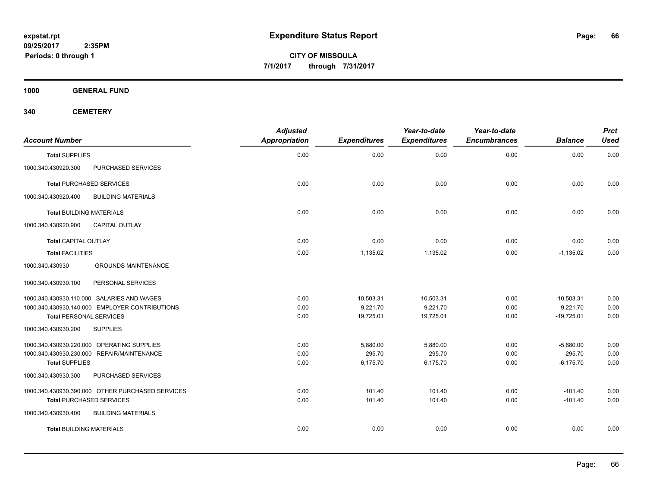**CITY OF MISSOULA 7/1/2017 through 7/31/2017**

**1000 GENERAL FUND**

**340 CEMETERY**

| <b>Account Number</b>                            | <b>Adjusted</b><br>Appropriation | <b>Expenditures</b> | Year-to-date<br><b>Expenditures</b> | Year-to-date<br><b>Encumbrances</b> | <b>Balance</b> | <b>Prct</b><br><b>Used</b> |
|--------------------------------------------------|----------------------------------|---------------------|-------------------------------------|-------------------------------------|----------------|----------------------------|
| <b>Total SUPPLIES</b>                            | 0.00                             | 0.00                | 0.00                                | 0.00                                | 0.00           | 0.00                       |
| 1000.340.430920.300<br>PURCHASED SERVICES        |                                  |                     |                                     |                                     |                |                            |
| <b>Total PURCHASED SERVICES</b>                  | 0.00                             | 0.00                | 0.00                                | 0.00                                | 0.00           | 0.00                       |
| 1000.340.430920.400<br><b>BUILDING MATERIALS</b> |                                  |                     |                                     |                                     |                |                            |
| <b>Total BUILDING MATERIALS</b>                  | 0.00                             | 0.00                | 0.00                                | 0.00                                | 0.00           | 0.00                       |
| 1000.340.430920.900<br><b>CAPITAL OUTLAY</b>     |                                  |                     |                                     |                                     |                |                            |
| <b>Total CAPITAL OUTLAY</b>                      | 0.00                             | 0.00                | 0.00                                | 0.00                                | 0.00           | 0.00                       |
| <b>Total FACILITIES</b>                          | 0.00                             | 1,135.02            | 1,135.02                            | 0.00                                | $-1,135.02$    | 0.00                       |
| 1000.340.430930<br><b>GROUNDS MAINTENANCE</b>    |                                  |                     |                                     |                                     |                |                            |
| 1000.340.430930.100<br>PERSONAL SERVICES         |                                  |                     |                                     |                                     |                |                            |
| 1000.340.430930.110.000 SALARIES AND WAGES       | 0.00                             | 10,503.31           | 10,503.31                           | 0.00                                | $-10,503.31$   | 0.00                       |
| 1000.340.430930.140.000 EMPLOYER CONTRIBUTIONS   | 0.00                             | 9,221.70            | 9,221.70                            | 0.00                                | $-9,221.70$    | 0.00                       |
| <b>Total PERSONAL SERVICES</b>                   | 0.00                             | 19,725.01           | 19,725.01                           | 0.00                                | $-19,725.01$   | 0.00                       |
| 1000.340.430930.200<br><b>SUPPLIES</b>           |                                  |                     |                                     |                                     |                |                            |
| 1000.340.430930.220.000 OPERATING SUPPLIES       | 0.00                             | 5,880.00            | 5,880.00                            | 0.00                                | $-5,880.00$    | 0.00                       |
| 1000.340.430930.230.000 REPAIR/MAINTENANCE       | 0.00                             | 295.70              | 295.70                              | 0.00                                | $-295.70$      | 0.00                       |
| <b>Total SUPPLIES</b>                            | 0.00                             | 6,175.70            | 6,175.70                            | 0.00                                | $-6,175.70$    | 0.00                       |
| 1000.340.430930.300<br>PURCHASED SERVICES        |                                  |                     |                                     |                                     |                |                            |
| 1000.340.430930.390.000 OTHER PURCHASED SERVICES | 0.00                             | 101.40              | 101.40                              | 0.00                                | $-101.40$      | 0.00                       |
| <b>Total PURCHASED SERVICES</b>                  | 0.00                             | 101.40              | 101.40                              | 0.00                                | $-101.40$      | 0.00                       |
| 1000.340.430930.400<br><b>BUILDING MATERIALS</b> |                                  |                     |                                     |                                     |                |                            |
| <b>Total BUILDING MATERIALS</b>                  | 0.00                             | 0.00                | 0.00                                | 0.00                                | 0.00           | 0.00                       |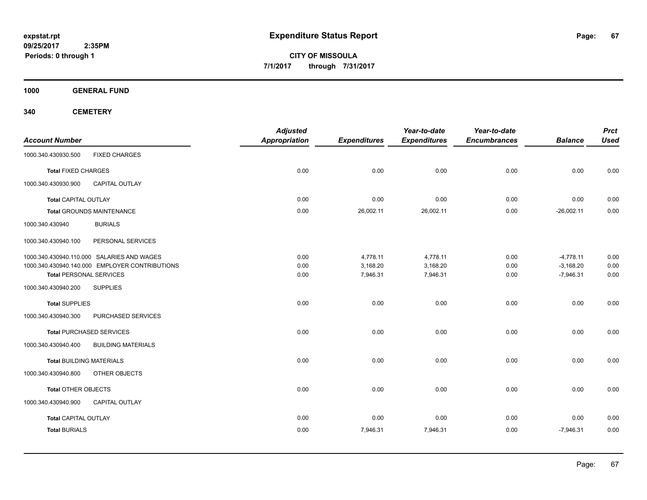**CITY OF MISSOULA 7/1/2017 through 7/31/2017**

**1000 GENERAL FUND**

**340 CEMETERY**

| <b>Account Number</b>                            | <b>Adjusted</b><br><b>Appropriation</b> | <b>Expenditures</b> | Year-to-date<br><b>Expenditures</b> | Year-to-date<br><b>Encumbrances</b> | <b>Balance</b> | <b>Prct</b><br><b>Used</b> |
|--------------------------------------------------|-----------------------------------------|---------------------|-------------------------------------|-------------------------------------|----------------|----------------------------|
| <b>FIXED CHARGES</b><br>1000.340.430930.500      |                                         |                     |                                     |                                     |                |                            |
| <b>Total FIXED CHARGES</b>                       | 0.00                                    | 0.00                | 0.00                                | 0.00                                | 0.00           | 0.00                       |
| 1000.340.430930.900<br><b>CAPITAL OUTLAY</b>     |                                         |                     |                                     |                                     |                |                            |
| <b>Total CAPITAL OUTLAY</b>                      | 0.00                                    | 0.00                | 0.00                                | 0.00                                | 0.00           | 0.00                       |
| <b>Total GROUNDS MAINTENANCE</b>                 | 0.00                                    | 26,002.11           | 26,002.11                           | 0.00                                | $-26,002.11$   | 0.00                       |
| <b>BURIALS</b><br>1000.340.430940                |                                         |                     |                                     |                                     |                |                            |
| 1000.340.430940.100<br>PERSONAL SERVICES         |                                         |                     |                                     |                                     |                |                            |
| 1000.340.430940.110.000 SALARIES AND WAGES       | 0.00                                    | 4,778.11            | 4,778.11                            | 0.00                                | $-4,778.11$    | 0.00                       |
| 1000.340.430940.140.000 EMPLOYER CONTRIBUTIONS   | 0.00                                    | 3,168.20            | 3,168.20                            | 0.00                                | $-3,168.20$    | 0.00                       |
| <b>Total PERSONAL SERVICES</b>                   | 0.00                                    | 7,946.31            | 7,946.31                            | 0.00                                | $-7,946.31$    | 0.00                       |
| 1000.340.430940.200<br><b>SUPPLIES</b>           |                                         |                     |                                     |                                     |                |                            |
| <b>Total SUPPLIES</b>                            | 0.00                                    | 0.00                | 0.00                                | 0.00                                | 0.00           | 0.00                       |
| PURCHASED SERVICES<br>1000.340.430940.300        |                                         |                     |                                     |                                     |                |                            |
| <b>Total PURCHASED SERVICES</b>                  | 0.00                                    | 0.00                | 0.00                                | 0.00                                | 0.00           | 0.00                       |
| <b>BUILDING MATERIALS</b><br>1000.340.430940.400 |                                         |                     |                                     |                                     |                |                            |
| <b>Total BUILDING MATERIALS</b>                  | 0.00                                    | 0.00                | 0.00                                | 0.00                                | 0.00           | 0.00                       |
| 1000.340.430940.800<br>OTHER OBJECTS             |                                         |                     |                                     |                                     |                |                            |
| <b>Total OTHER OBJECTS</b>                       | 0.00                                    | 0.00                | 0.00                                | 0.00                                | 0.00           | 0.00                       |
| 1000.340.430940.900<br><b>CAPITAL OUTLAY</b>     |                                         |                     |                                     |                                     |                |                            |
| <b>Total CAPITAL OUTLAY</b>                      | 0.00                                    | 0.00                | 0.00                                | 0.00                                | 0.00           | 0.00                       |
| <b>Total BURIALS</b>                             | 0.00                                    | 7,946.31            | 7,946.31                            | 0.00                                | $-7,946.31$    | 0.00                       |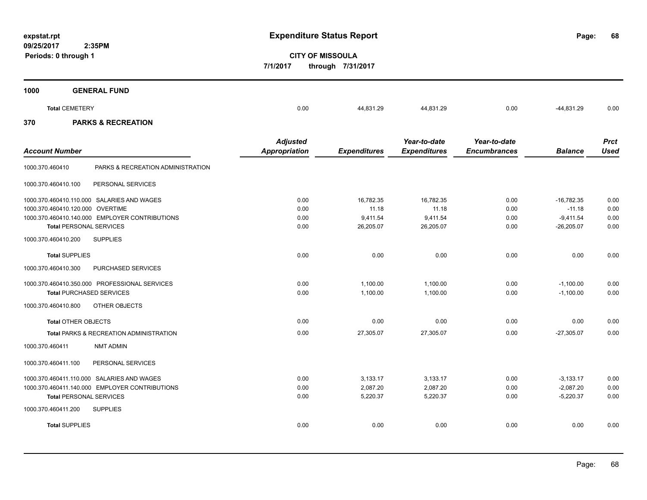**09/25/2017**

**68**

**CITY OF MISSOULA 7/1/2017 through 7/31/2017**

| 1000 | <b>GENERAL FUND</b>           |      |           |           |      |            |      |
|------|-------------------------------|------|-----------|-----------|------|------------|------|
|      | <b>Total CEMETERY</b>         | 0.00 | 44,831.29 | 44,831.29 | 0.00 | -44,831.29 | 0.00 |
| 370  | <b>PARKS &amp; RECREATION</b> |      |           |           |      |            |      |

| <b>Account Number</b>            |                                                                                              | <b>Adjusted</b><br>Appropriation | <b>Expenditures</b>              | Year-to-date<br><b>Expenditures</b> | Year-to-date<br><b>Encumbrances</b> | <b>Balance</b>                            | <b>Prct</b><br><b>Used</b> |
|----------------------------------|----------------------------------------------------------------------------------------------|----------------------------------|----------------------------------|-------------------------------------|-------------------------------------|-------------------------------------------|----------------------------|
| 1000.370.460410                  | PARKS & RECREATION ADMINISTRATION                                                            |                                  |                                  |                                     |                                     |                                           |                            |
| 1000.370.460410.100              | PERSONAL SERVICES                                                                            |                                  |                                  |                                     |                                     |                                           |                            |
| 1000.370.460410.120.000 OVERTIME | 1000.370.460410.110.000 SALARIES AND WAGES                                                   | 0.00<br>0.00                     | 16,782.35<br>11.18               | 16,782.35<br>11.18                  | 0.00<br>0.00                        | $-16,782.35$<br>$-11.18$                  | 0.00<br>0.00               |
| <b>Total PERSONAL SERVICES</b>   | 1000.370.460410.140.000 EMPLOYER CONTRIBUTIONS                                               | 0.00<br>0.00                     | 9,411.54<br>26,205.07            | 9,411.54<br>26,205.07               | 0.00<br>0.00                        | $-9,411.54$<br>$-26,205.07$               | 0.00<br>0.00               |
| 1000.370.460410.200              | <b>SUPPLIES</b>                                                                              |                                  |                                  |                                     |                                     |                                           |                            |
| <b>Total SUPPLIES</b>            |                                                                                              | 0.00                             | 0.00                             | 0.00                                | 0.00                                | 0.00                                      | 0.00                       |
| 1000.370.460410.300              | <b>PURCHASED SERVICES</b>                                                                    |                                  |                                  |                                     |                                     |                                           |                            |
| <b>Total PURCHASED SERVICES</b>  | 1000.370.460410.350.000 PROFESSIONAL SERVICES                                                | 0.00<br>0.00                     | 1,100.00<br>1,100.00             | 1.100.00<br>1,100.00                | 0.00<br>0.00                        | $-1,100.00$<br>$-1,100.00$                | 0.00<br>0.00               |
| 1000.370.460410.800              | OTHER OBJECTS                                                                                |                                  |                                  |                                     |                                     |                                           |                            |
| <b>Total OTHER OBJECTS</b>       |                                                                                              | 0.00                             | 0.00                             | 0.00                                | 0.00                                | 0.00                                      | 0.00                       |
|                                  | Total PARKS & RECREATION ADMINISTRATION                                                      | 0.00                             | 27,305.07                        | 27,305.07                           | 0.00                                | $-27,305.07$                              | 0.00                       |
| 1000.370.460411                  | <b>NMT ADMIN</b>                                                                             |                                  |                                  |                                     |                                     |                                           |                            |
| 1000.370.460411.100              | PERSONAL SERVICES                                                                            |                                  |                                  |                                     |                                     |                                           |                            |
| <b>Total PERSONAL SERVICES</b>   | 1000.370.460411.110.000 SALARIES AND WAGES<br>1000.370.460411.140.000 EMPLOYER CONTRIBUTIONS | 0.00<br>0.00<br>0.00             | 3,133.17<br>2,087.20<br>5,220.37 | 3,133.17<br>2,087.20<br>5,220.37    | 0.00<br>0.00<br>0.00                | $-3,133.17$<br>$-2,087.20$<br>$-5,220.37$ | 0.00<br>0.00<br>0.00       |
| 1000.370.460411.200              | <b>SUPPLIES</b>                                                                              |                                  |                                  |                                     |                                     |                                           |                            |
| <b>Total SUPPLIES</b>            |                                                                                              | 0.00                             | 0.00                             | 0.00                                | 0.00                                | 0.00                                      | 0.00                       |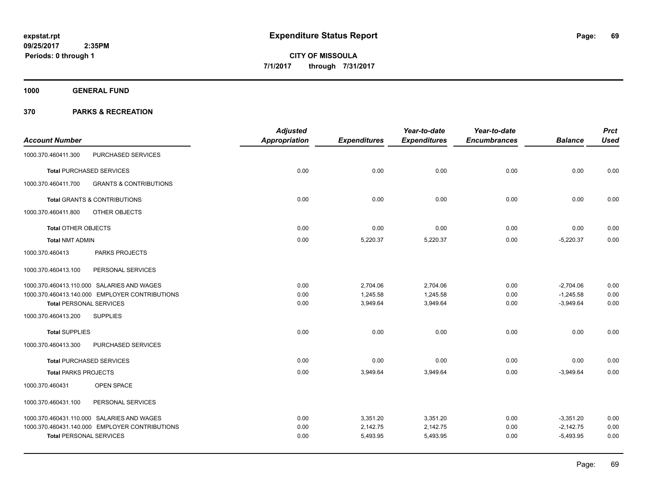**1000 GENERAL FUND**

|                                                          | <b>Adjusted</b> |                     | Year-to-date        | Year-to-date        |                | <b>Prct</b> |
|----------------------------------------------------------|-----------------|---------------------|---------------------|---------------------|----------------|-------------|
| <b>Account Number</b>                                    | Appropriation   | <b>Expenditures</b> | <b>Expenditures</b> | <b>Encumbrances</b> | <b>Balance</b> | <b>Used</b> |
| 1000.370.460411.300<br>PURCHASED SERVICES                |                 |                     |                     |                     |                |             |
| <b>Total PURCHASED SERVICES</b>                          | 0.00            | 0.00                | 0.00                | 0.00                | 0.00           | 0.00        |
| <b>GRANTS &amp; CONTRIBUTIONS</b><br>1000.370.460411.700 |                 |                     |                     |                     |                |             |
| <b>Total GRANTS &amp; CONTRIBUTIONS</b>                  | 0.00            | 0.00                | 0.00                | 0.00                | 0.00           | 0.00        |
| OTHER OBJECTS<br>1000.370.460411.800                     |                 |                     |                     |                     |                |             |
| Total OTHER OBJECTS                                      | 0.00            | 0.00                | 0.00                | 0.00                | 0.00           | 0.00        |
| <b>Total NMT ADMIN</b>                                   | 0.00            | 5,220.37            | 5,220.37            | 0.00                | $-5,220.37$    | 0.00        |
| PARKS PROJECTS<br>1000.370.460413                        |                 |                     |                     |                     |                |             |
| 1000.370.460413.100<br>PERSONAL SERVICES                 |                 |                     |                     |                     |                |             |
| 1000.370.460413.110.000 SALARIES AND WAGES               | 0.00            | 2,704.06            | 2,704.06            | 0.00                | $-2,704.06$    | 0.00        |
| 1000.370.460413.140.000 EMPLOYER CONTRIBUTIONS           | 0.00            | 1,245.58            | 1,245.58            | 0.00                | $-1,245.58$    | 0.00        |
| <b>Total PERSONAL SERVICES</b>                           | 0.00            | 3,949.64            | 3,949.64            | 0.00                | $-3,949.64$    | 0.00        |
| 1000.370.460413.200<br><b>SUPPLIES</b>                   |                 |                     |                     |                     |                |             |
| <b>Total SUPPLIES</b>                                    | 0.00            | 0.00                | 0.00                | 0.00                | 0.00           | 0.00        |
| PURCHASED SERVICES<br>1000.370.460413.300                |                 |                     |                     |                     |                |             |
| <b>Total PURCHASED SERVICES</b>                          | 0.00            | 0.00                | 0.00                | 0.00                | 0.00           | 0.00        |
| <b>Total PARKS PROJECTS</b>                              | 0.00            | 3,949.64            | 3,949.64            | 0.00                | $-3.949.64$    | 0.00        |
| 1000.370.460431<br>OPEN SPACE                            |                 |                     |                     |                     |                |             |
| PERSONAL SERVICES<br>1000.370.460431.100                 |                 |                     |                     |                     |                |             |
| 1000.370.460431.110.000 SALARIES AND WAGES               | 0.00            | 3,351.20            | 3,351.20            | 0.00                | $-3,351.20$    | 0.00        |
| 1000.370.460431.140.000 EMPLOYER CONTRIBUTIONS           | 0.00            | 2,142.75            | 2,142.75            | 0.00                | $-2,142.75$    | 0.00        |
| <b>Total PERSONAL SERVICES</b>                           | 0.00            | 5,493.95            | 5,493.95            | 0.00                | $-5,493.95$    | 0.00        |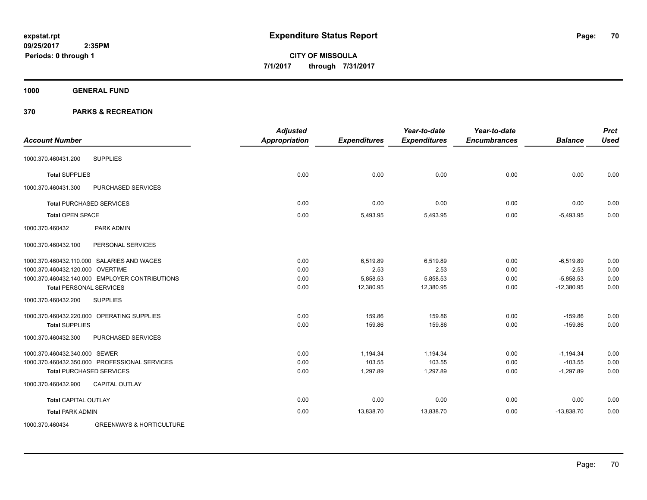**Periods: 0 through 1**

**CITY OF MISSOULA 7/1/2017 through 7/31/2017**

**1000 GENERAL FUND**

| <b>Account Number</b>                                  | <b>Adjusted</b><br><b>Appropriation</b> | <b>Expenditures</b> | Year-to-date<br><b>Expenditures</b> | Year-to-date<br><b>Encumbrances</b> | <b>Balance</b> | <b>Prct</b><br><b>Used</b> |
|--------------------------------------------------------|-----------------------------------------|---------------------|-------------------------------------|-------------------------------------|----------------|----------------------------|
| <b>SUPPLIES</b><br>1000.370.460431.200                 |                                         |                     |                                     |                                     |                |                            |
| <b>Total SUPPLIES</b>                                  | 0.00                                    | 0.00                | 0.00                                | 0.00                                | 0.00           | 0.00                       |
| PURCHASED SERVICES<br>1000.370.460431.300              |                                         |                     |                                     |                                     |                |                            |
| <b>Total PURCHASED SERVICES</b>                        | 0.00                                    | 0.00                | 0.00                                | 0.00                                | 0.00           | 0.00                       |
| <b>Total OPEN SPACE</b>                                | 0.00                                    | 5,493.95            | 5,493.95                            | 0.00                                | $-5.493.95$    | 0.00                       |
| PARK ADMIN<br>1000.370.460432                          |                                         |                     |                                     |                                     |                |                            |
| PERSONAL SERVICES<br>1000.370.460432.100               |                                         |                     |                                     |                                     |                |                            |
| 1000.370.460432.110.000 SALARIES AND WAGES             | 0.00                                    | 6,519.89            | 6,519.89                            | 0.00                                | $-6,519.89$    | 0.00                       |
| 1000.370.460432.120.000 OVERTIME                       | 0.00                                    | 2.53                | 2.53                                | 0.00                                | $-2.53$        | 0.00                       |
| 1000.370.460432.140.000 EMPLOYER CONTRIBUTIONS         | 0.00                                    | 5,858.53            | 5,858.53                            | 0.00                                | $-5,858.53$    | 0.00                       |
| <b>Total PERSONAL SERVICES</b>                         | 0.00                                    | 12,380.95           | 12,380.95                           | 0.00                                | $-12,380.95$   | 0.00                       |
| <b>SUPPLIES</b><br>1000.370.460432.200                 |                                         |                     |                                     |                                     |                |                            |
| 1000.370.460432.220.000 OPERATING SUPPLIES             | 0.00                                    | 159.86              | 159.86                              | 0.00                                | $-159.86$      | 0.00                       |
| <b>Total SUPPLIES</b>                                  | 0.00                                    | 159.86              | 159.86                              | 0.00                                | $-159.86$      | 0.00                       |
| 1000.370.460432.300<br>PURCHASED SERVICES              |                                         |                     |                                     |                                     |                |                            |
| 1000.370.460432.340.000 SEWER                          | 0.00                                    | 1,194.34            | 1,194.34                            | 0.00                                | $-1,194.34$    | 0.00                       |
| 1000.370.460432.350.000 PROFESSIONAL SERVICES          | 0.00                                    | 103.55              | 103.55                              | 0.00                                | $-103.55$      | 0.00                       |
| <b>Total PURCHASED SERVICES</b>                        | 0.00                                    | 1,297.89            | 1,297.89                            | 0.00                                | $-1,297.89$    | 0.00                       |
| <b>CAPITAL OUTLAY</b><br>1000.370.460432.900           |                                         |                     |                                     |                                     |                |                            |
| <b>Total CAPITAL OUTLAY</b>                            | 0.00                                    | 0.00                | 0.00                                | 0.00                                | 0.00           | 0.00                       |
| <b>Total PARK ADMIN</b>                                | 0.00                                    | 13,838.70           | 13,838.70                           | 0.00                                | $-13,838.70$   | 0.00                       |
| <b>GREENWAYS &amp; HORTICULTURE</b><br>1000.370.460434 |                                         |                     |                                     |                                     |                |                            |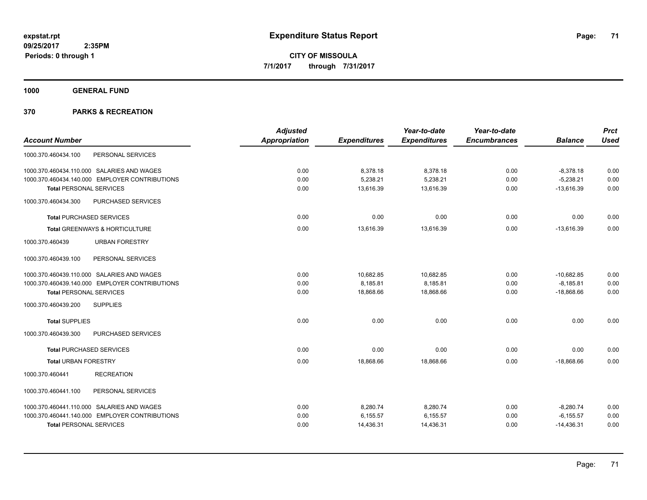**1000 GENERAL FUND**

|                                                | <b>Adjusted</b>      |                     | Year-to-date        | Year-to-date        |                | <b>Prct</b> |
|------------------------------------------------|----------------------|---------------------|---------------------|---------------------|----------------|-------------|
| <b>Account Number</b>                          | <b>Appropriation</b> | <b>Expenditures</b> | <b>Expenditures</b> | <b>Encumbrances</b> | <b>Balance</b> | <b>Used</b> |
| PERSONAL SERVICES<br>1000.370.460434.100       |                      |                     |                     |                     |                |             |
| 1000.370.460434.110.000 SALARIES AND WAGES     | 0.00                 | 8,378.18            | 8,378.18            | 0.00                | $-8,378.18$    | 0.00        |
| 1000.370.460434.140.000 EMPLOYER CONTRIBUTIONS | 0.00                 | 5,238.21            | 5,238.21            | 0.00                | $-5,238.21$    | 0.00        |
| <b>Total PERSONAL SERVICES</b>                 | 0.00                 | 13,616.39           | 13,616.39           | 0.00                | $-13,616.39$   | 0.00        |
| PURCHASED SERVICES<br>1000.370.460434.300      |                      |                     |                     |                     |                |             |
| <b>Total PURCHASED SERVICES</b>                | 0.00                 | 0.00                | 0.00                | 0.00                | 0.00           | 0.00        |
| Total GREENWAYS & HORTICULTURE                 | 0.00                 | 13,616.39           | 13,616.39           | 0.00                | $-13,616.39$   | 0.00        |
| <b>URBAN FORESTRY</b><br>1000.370.460439       |                      |                     |                     |                     |                |             |
| PERSONAL SERVICES<br>1000.370.460439.100       |                      |                     |                     |                     |                |             |
| 1000.370.460439.110.000 SALARIES AND WAGES     | 0.00                 | 10,682.85           | 10,682.85           | 0.00                | $-10,682.85$   | 0.00        |
| 1000.370.460439.140.000 EMPLOYER CONTRIBUTIONS | 0.00                 | 8,185.81            | 8,185.81            | 0.00                | $-8,185.81$    | 0.00        |
| <b>Total PERSONAL SERVICES</b>                 | 0.00                 | 18,868.66           | 18,868.66           | 0.00                | $-18,868.66$   | 0.00        |
| <b>SUPPLIES</b><br>1000.370.460439.200         |                      |                     |                     |                     |                |             |
| <b>Total SUPPLIES</b>                          | 0.00                 | 0.00                | 0.00                | 0.00                | 0.00           | 0.00        |
| 1000.370.460439.300<br>PURCHASED SERVICES      |                      |                     |                     |                     |                |             |
| <b>Total PURCHASED SERVICES</b>                | 0.00                 | 0.00                | 0.00                | 0.00                | 0.00           | 0.00        |
| <b>Total URBAN FORESTRY</b>                    | 0.00                 | 18,868.66           | 18,868.66           | 0.00                | $-18,868.66$   | 0.00        |
| 1000.370.460441<br><b>RECREATION</b>           |                      |                     |                     |                     |                |             |
| PERSONAL SERVICES<br>1000.370.460441.100       |                      |                     |                     |                     |                |             |
| 1000.370.460441.110.000 SALARIES AND WAGES     | 0.00                 | 8,280.74            | 8,280.74            | 0.00                | $-8,280.74$    | 0.00        |
| 1000.370.460441.140.000 EMPLOYER CONTRIBUTIONS | 0.00                 | 6,155.57            | 6,155.57            | 0.00                | $-6, 155.57$   | 0.00        |
| <b>Total PERSONAL SERVICES</b>                 | 0.00                 | 14,436.31           | 14,436.31           | 0.00                | $-14,436.31$   | 0.00        |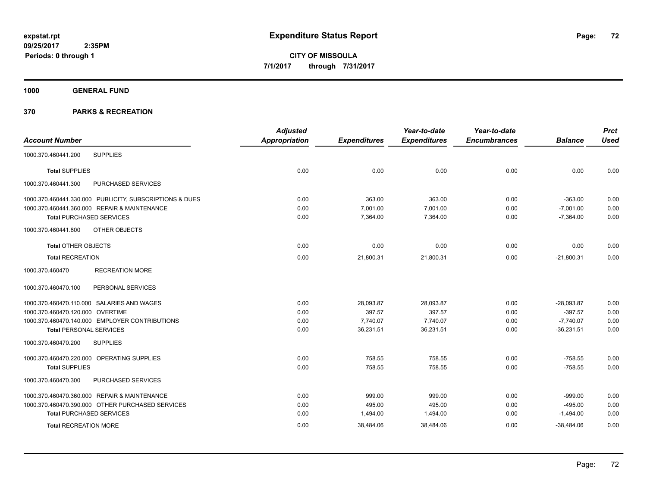**1000 GENERAL FUND**

| <b>Account Number</b>                                   | <b>Adjusted</b> |                     | Year-to-date        | Year-to-date        |                | <b>Prct</b> |
|---------------------------------------------------------|-----------------|---------------------|---------------------|---------------------|----------------|-------------|
|                                                         | Appropriation   | <b>Expenditures</b> | <b>Expenditures</b> | <b>Encumbrances</b> | <b>Balance</b> | <b>Used</b> |
| <b>SUPPLIES</b><br>1000.370.460441.200                  |                 |                     |                     |                     |                |             |
| <b>Total SUPPLIES</b>                                   | 0.00            | 0.00                | 0.00                | 0.00                | 0.00           | 0.00        |
| PURCHASED SERVICES<br>1000.370.460441.300               |                 |                     |                     |                     |                |             |
| 1000.370.460441.330.000 PUBLICITY, SUBSCRIPTIONS & DUES | 0.00            | 363.00              | 363.00              | 0.00                | $-363.00$      | 0.00        |
| 1000.370.460441.360.000 REPAIR & MAINTENANCE            | 0.00            | 7,001.00            | 7,001.00            | 0.00                | $-7,001.00$    | 0.00        |
| <b>Total PURCHASED SERVICES</b>                         | 0.00            | 7,364.00            | 7,364.00            | 0.00                | $-7,364.00$    | 0.00        |
| 1000.370.460441.800<br>OTHER OBJECTS                    |                 |                     |                     |                     |                |             |
| Total OTHER OBJECTS                                     | 0.00            | 0.00                | 0.00                | 0.00                | 0.00           | 0.00        |
| <b>Total RECREATION</b>                                 | 0.00            | 21,800.31           | 21,800.31           | 0.00                | $-21,800.31$   | 0.00        |
| <b>RECREATION MORE</b><br>1000.370.460470               |                 |                     |                     |                     |                |             |
| 1000.370.460470.100<br>PERSONAL SERVICES                |                 |                     |                     |                     |                |             |
| 1000.370.460470.110.000 SALARIES AND WAGES              | 0.00            | 28,093.87           | 28,093.87           | 0.00                | $-28,093.87$   | 0.00        |
| 1000.370.460470.120.000 OVERTIME                        | 0.00            | 397.57              | 397.57              | 0.00                | $-397.57$      | 0.00        |
| 1000.370.460470.140.000 EMPLOYER CONTRIBUTIONS          | 0.00            | 7,740.07            | 7,740.07            | 0.00                | $-7,740.07$    | 0.00        |
| <b>Total PERSONAL SERVICES</b>                          | 0.00            | 36,231.51           | 36,231.51           | 0.00                | $-36,231.51$   | 0.00        |
| 1000.370.460470.200<br><b>SUPPLIES</b>                  |                 |                     |                     |                     |                |             |
| 1000.370.460470.220.000 OPERATING SUPPLIES              | 0.00            | 758.55              | 758.55              | 0.00                | $-758.55$      | 0.00        |
| <b>Total SUPPLIES</b>                                   | 0.00            | 758.55              | 758.55              | 0.00                | $-758.55$      | 0.00        |
| 1000.370.460470.300<br>PURCHASED SERVICES               |                 |                     |                     |                     |                |             |
| 1000.370.460470.360.000 REPAIR & MAINTENANCE            | 0.00            | 999.00              | 999.00              | 0.00                | $-999.00$      | 0.00        |
| 1000.370.460470.390.000 OTHER PURCHASED SERVICES        | 0.00            | 495.00              | 495.00              | 0.00                | $-495.00$      | 0.00        |
| <b>Total PURCHASED SERVICES</b>                         | 0.00            | 1,494.00            | 1,494.00            | 0.00                | $-1,494.00$    | 0.00        |
| <b>Total RECREATION MORE</b>                            | 0.00            | 38,484.06           | 38,484.06           | 0.00                | $-38,484.06$   | 0.00        |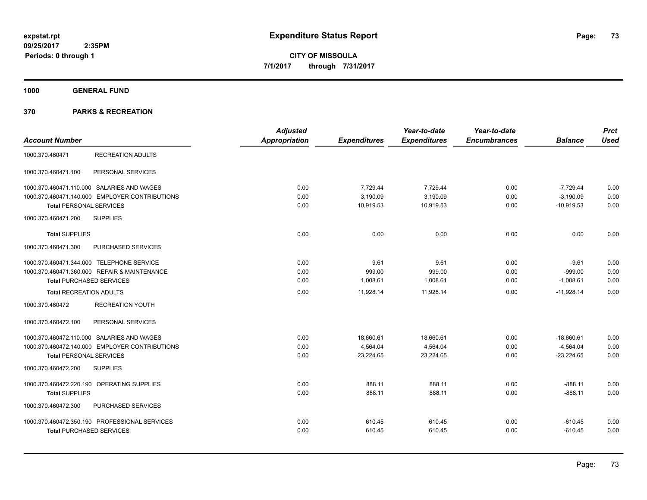**1000 GENERAL FUND**

|                                                | <b>Adjusted</b> |                     | Year-to-date        | Year-to-date        |                | <b>Prct</b> |
|------------------------------------------------|-----------------|---------------------|---------------------|---------------------|----------------|-------------|
| <b>Account Number</b>                          | Appropriation   | <b>Expenditures</b> | <b>Expenditures</b> | <b>Encumbrances</b> | <b>Balance</b> | <b>Used</b> |
| <b>RECREATION ADULTS</b><br>1000.370.460471    |                 |                     |                     |                     |                |             |
| 1000.370.460471.100<br>PERSONAL SERVICES       |                 |                     |                     |                     |                |             |
| 1000.370.460471.110.000 SALARIES AND WAGES     | 0.00            | 7,729.44            | 7,729.44            | 0.00                | $-7,729.44$    | 0.00        |
| 1000.370.460471.140.000 EMPLOYER CONTRIBUTIONS | 0.00            | 3,190.09            | 3,190.09            | 0.00                | $-3,190.09$    | 0.00        |
| <b>Total PERSONAL SERVICES</b>                 | 0.00            | 10,919.53           | 10,919.53           | 0.00                | $-10,919.53$   | 0.00        |
| <b>SUPPLIES</b><br>1000.370.460471.200         |                 |                     |                     |                     |                |             |
| <b>Total SUPPLIES</b>                          | 0.00            | 0.00                | 0.00                | 0.00                | 0.00           | 0.00        |
| PURCHASED SERVICES<br>1000.370.460471.300      |                 |                     |                     |                     |                |             |
| 1000.370.460471.344.000 TELEPHONE SERVICE      | 0.00            | 9.61                | 9.61                | 0.00                | $-9.61$        | 0.00        |
| 1000.370.460471.360.000 REPAIR & MAINTENANCE   | 0.00            | 999.00              | 999.00              | 0.00                | $-999.00$      | 0.00        |
| <b>Total PURCHASED SERVICES</b>                | 0.00            | 1,008.61            | 1,008.61            | 0.00                | $-1,008.61$    | 0.00        |
| <b>Total RECREATION ADULTS</b>                 | 0.00            | 11,928.14           | 11,928.14           | 0.00                | $-11,928.14$   | 0.00        |
| 1000.370.460472<br><b>RECREATION YOUTH</b>     |                 |                     |                     |                     |                |             |
| 1000.370.460472.100<br>PERSONAL SERVICES       |                 |                     |                     |                     |                |             |
| 1000.370.460472.110.000 SALARIES AND WAGES     | 0.00            | 18,660.61           | 18,660.61           | 0.00                | $-18,660.61$   | 0.00        |
| 1000.370.460472.140.000 EMPLOYER CONTRIBUTIONS | 0.00            | 4,564.04            | 4,564.04            | 0.00                | $-4,564.04$    | 0.00        |
| <b>Total PERSONAL SERVICES</b>                 | 0.00            | 23,224.65           | 23,224.65           | 0.00                | $-23,224.65$   | 0.00        |
| 1000.370.460472.200<br><b>SUPPLIES</b>         |                 |                     |                     |                     |                |             |
| 1000.370.460472.220.190 OPERATING SUPPLIES     | 0.00            | 888.11              | 888.11              | 0.00                | $-888.11$      | 0.00        |
| <b>Total SUPPLIES</b>                          | 0.00            | 888.11              | 888.11              | 0.00                | $-888.11$      | 0.00        |
| 1000.370.460472.300<br>PURCHASED SERVICES      |                 |                     |                     |                     |                |             |
| 1000.370.460472.350.190 PROFESSIONAL SERVICES  | 0.00            | 610.45              | 610.45              | 0.00                | $-610.45$      | 0.00        |
| <b>Total PURCHASED SERVICES</b>                | 0.00            | 610.45              | 610.45              | 0.00                | $-610.45$      | 0.00        |
|                                                |                 |                     |                     |                     |                |             |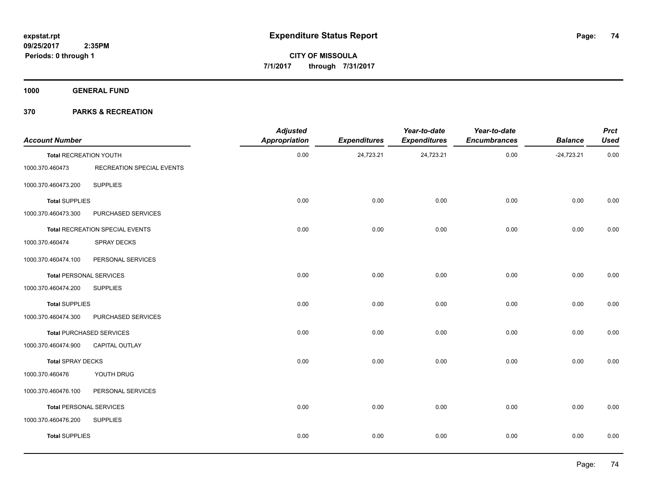**1000 GENERAL FUND**

| <b>Account Number</b>          |                                 | <b>Adjusted</b><br><b>Appropriation</b> | <b>Expenditures</b> | Year-to-date<br><b>Expenditures</b> | Year-to-date<br><b>Encumbrances</b> | <b>Balance</b> | <b>Prct</b><br><b>Used</b> |
|--------------------------------|---------------------------------|-----------------------------------------|---------------------|-------------------------------------|-------------------------------------|----------------|----------------------------|
| <b>Total RECREATION YOUTH</b>  |                                 | 0.00                                    | 24,723.21           | 24,723.21                           | 0.00                                | $-24,723.21$   | 0.00                       |
| 1000.370.460473                | RECREATION SPECIAL EVENTS       |                                         |                     |                                     |                                     |                |                            |
| 1000.370.460473.200            | <b>SUPPLIES</b>                 |                                         |                     |                                     |                                     |                |                            |
| <b>Total SUPPLIES</b>          |                                 | 0.00                                    | 0.00                | 0.00                                | 0.00                                | 0.00           | 0.00                       |
| 1000.370.460473.300            | PURCHASED SERVICES              |                                         |                     |                                     |                                     |                |                            |
|                                | Total RECREATION SPECIAL EVENTS | 0.00                                    | 0.00                | 0.00                                | 0.00                                | 0.00           | 0.00                       |
| 1000.370.460474                | SPRAY DECKS                     |                                         |                     |                                     |                                     |                |                            |
| 1000.370.460474.100            | PERSONAL SERVICES               |                                         |                     |                                     |                                     |                |                            |
| <b>Total PERSONAL SERVICES</b> |                                 | 0.00                                    | 0.00                | 0.00                                | 0.00                                | 0.00           | $0.00\,$                   |
| 1000.370.460474.200            | <b>SUPPLIES</b>                 |                                         |                     |                                     |                                     |                |                            |
| <b>Total SUPPLIES</b>          |                                 | 0.00                                    | 0.00                | 0.00                                | 0.00                                | 0.00           | 0.00                       |
| 1000.370.460474.300            | PURCHASED SERVICES              |                                         |                     |                                     |                                     |                |                            |
|                                | <b>Total PURCHASED SERVICES</b> | 0.00                                    | 0.00                | 0.00                                | 0.00                                | 0.00           | 0.00                       |
| 1000.370.460474.900            | CAPITAL OUTLAY                  |                                         |                     |                                     |                                     |                |                            |
| <b>Total SPRAY DECKS</b>       |                                 | 0.00                                    | 0.00                | 0.00                                | 0.00                                | 0.00           | 0.00                       |
| 1000.370.460476                | YOUTH DRUG                      |                                         |                     |                                     |                                     |                |                            |
| 1000.370.460476.100            | PERSONAL SERVICES               |                                         |                     |                                     |                                     |                |                            |
| <b>Total PERSONAL SERVICES</b> |                                 | 0.00                                    | 0.00                | 0.00                                | 0.00                                | 0.00           | 0.00                       |
| 1000.370.460476.200            | <b>SUPPLIES</b>                 |                                         |                     |                                     |                                     |                |                            |
| <b>Total SUPPLIES</b>          |                                 | 0.00                                    | 0.00                | 0.00                                | 0.00                                | 0.00           | 0.00                       |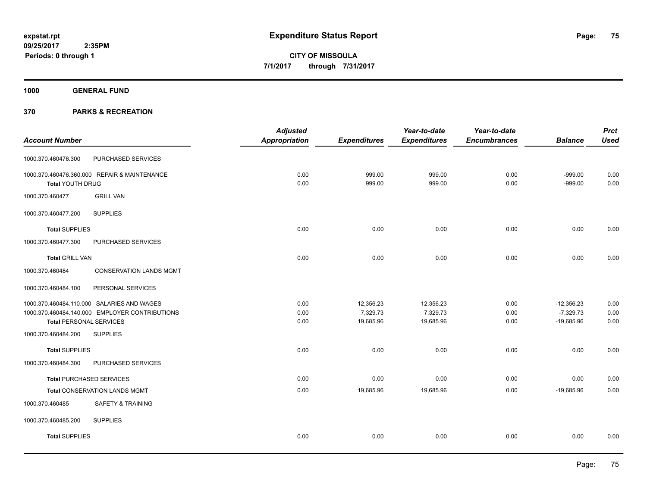**1000 GENERAL FUND**

|                                                   | <b>Adjusted</b> |                     | Year-to-date        | Year-to-date        |                | <b>Prct</b> |
|---------------------------------------------------|-----------------|---------------------|---------------------|---------------------|----------------|-------------|
| <b>Account Number</b>                             | Appropriation   | <b>Expenditures</b> | <b>Expenditures</b> | <b>Encumbrances</b> | <b>Balance</b> | <b>Used</b> |
| PURCHASED SERVICES<br>1000.370.460476.300         |                 |                     |                     |                     |                |             |
| 1000.370.460476.360.000 REPAIR & MAINTENANCE      | 0.00            | 999.00              | 999.00              | 0.00                | $-999.00$      | 0.00        |
| <b>Total YOUTH DRUG</b>                           | 0.00            | 999.00              | 999.00              | 0.00                | $-999.00$      | 0.00        |
| <b>GRILL VAN</b><br>1000.370.460477               |                 |                     |                     |                     |                |             |
| 1000.370.460477.200<br><b>SUPPLIES</b>            |                 |                     |                     |                     |                |             |
| <b>Total SUPPLIES</b>                             | 0.00            | 0.00                | 0.00                | 0.00                | 0.00           | 0.00        |
| PURCHASED SERVICES<br>1000.370.460477.300         |                 |                     |                     |                     |                |             |
| <b>Total GRILL VAN</b>                            | 0.00            | 0.00                | 0.00                | 0.00                | 0.00           | 0.00        |
| <b>CONSERVATION LANDS MGMT</b><br>1000.370.460484 |                 |                     |                     |                     |                |             |
| PERSONAL SERVICES<br>1000.370.460484.100          |                 |                     |                     |                     |                |             |
| 1000.370.460484.110.000 SALARIES AND WAGES        | 0.00            | 12,356.23           | 12,356.23           | 0.00                | $-12,356.23$   | 0.00        |
| 1000.370.460484.140.000 EMPLOYER CONTRIBUTIONS    | 0.00            | 7,329.73            | 7,329.73            | 0.00                | $-7,329.73$    | 0.00        |
| <b>Total PERSONAL SERVICES</b>                    | 0.00            | 19,685.96           | 19,685.96           | 0.00                | $-19,685.96$   | 0.00        |
| <b>SUPPLIES</b><br>1000.370.460484.200            |                 |                     |                     |                     |                |             |
| <b>Total SUPPLIES</b>                             | 0.00            | 0.00                | 0.00                | 0.00                | 0.00           | 0.00        |
| PURCHASED SERVICES<br>1000.370.460484.300         |                 |                     |                     |                     |                |             |
| <b>Total PURCHASED SERVICES</b>                   | 0.00            | 0.00                | 0.00                | 0.00                | 0.00           | 0.00        |
| <b>Total CONSERVATION LANDS MGMT</b>              | 0.00            | 19,685.96           | 19,685.96           | 0.00                | $-19,685.96$   | 0.00        |
| 1000.370.460485<br>SAFETY & TRAINING              |                 |                     |                     |                     |                |             |
| 1000.370.460485.200<br><b>SUPPLIES</b>            |                 |                     |                     |                     |                |             |
| <b>Total SUPPLIES</b>                             | 0.00            | 0.00                | 0.00                | 0.00                | 0.00           | 0.00        |
|                                                   |                 |                     |                     |                     |                |             |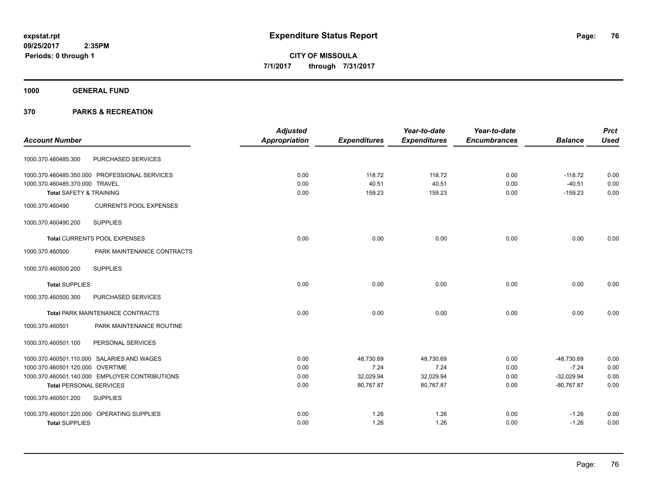**1000 GENERAL FUND**

|                                    |                                                | <b>Adjusted</b>      |                     | Year-to-date        | Year-to-date        |                | <b>Prct</b> |
|------------------------------------|------------------------------------------------|----------------------|---------------------|---------------------|---------------------|----------------|-------------|
| <b>Account Number</b>              |                                                | <b>Appropriation</b> | <b>Expenditures</b> | <b>Expenditures</b> | <b>Encumbrances</b> | <b>Balance</b> | <b>Used</b> |
| 1000.370.460485.300                | PURCHASED SERVICES                             |                      |                     |                     |                     |                |             |
|                                    | 1000.370.460485.350.000 PROFESSIONAL SERVICES  | 0.00                 | 118.72              | 118.72              | 0.00                | $-118.72$      | 0.00        |
| 1000.370.460485.370.000 TRAVEL     |                                                | 0.00                 | 40.51               | 40.51               | 0.00                | $-40.51$       | 0.00        |
| <b>Total SAFETY &amp; TRAINING</b> |                                                | 0.00                 | 159.23              | 159.23              | 0.00                | $-159.23$      | 0.00        |
| 1000.370.460490                    | <b>CURRENTS POOL EXPENSES</b>                  |                      |                     |                     |                     |                |             |
| 1000.370.460490.200                | <b>SUPPLIES</b>                                |                      |                     |                     |                     |                |             |
|                                    | Total CURRENTS POOL EXPENSES                   | 0.00                 | 0.00                | 0.00                | 0.00                | 0.00           | 0.00        |
| 1000.370.460500                    | PARK MAINTENANCE CONTRACTS                     |                      |                     |                     |                     |                |             |
| 1000.370.460500.200                | <b>SUPPLIES</b>                                |                      |                     |                     |                     |                |             |
| <b>Total SUPPLIES</b>              |                                                | 0.00                 | 0.00                | 0.00                | 0.00                | 0.00           | 0.00        |
| 1000.370.460500.300                | PURCHASED SERVICES                             |                      |                     |                     |                     |                |             |
|                                    | <b>Total PARK MAINTENANCE CONTRACTS</b>        | 0.00                 | 0.00                | 0.00                | 0.00                | 0.00           | 0.00        |
| 1000.370.460501                    | PARK MAINTENANCE ROUTINE                       |                      |                     |                     |                     |                |             |
| 1000.370.460501.100                | PERSONAL SERVICES                              |                      |                     |                     |                     |                |             |
|                                    | 1000.370.460501.110.000 SALARIES AND WAGES     | 0.00                 | 48,730.69           | 48,730.69           | 0.00                | -48,730.69     | 0.00        |
| 1000.370.460501.120.000 OVERTIME   |                                                | 0.00                 | 7.24                | 7.24                | 0.00                | $-7.24$        | 0.00        |
|                                    | 1000.370.460501.140.000 EMPLOYER CONTRIBUTIONS | 0.00                 | 32,029.94           | 32,029.94           | 0.00                | $-32,029.94$   | 0.00        |
| <b>Total PERSONAL SERVICES</b>     |                                                | 0.00                 | 80,767.87           | 80,767.87           | 0.00                | $-80,767.87$   | 0.00        |
| 1000.370.460501.200                | <b>SUPPLIES</b>                                |                      |                     |                     |                     |                |             |
|                                    | 1000.370.460501.220.000 OPERATING SUPPLIES     | 0.00                 | 1.26                | 1.26                | 0.00                | $-1.26$        | 0.00        |
| <b>Total SUPPLIES</b>              |                                                | 0.00                 | 1.26                | 1.26                | 0.00                | $-1.26$        | 0.00        |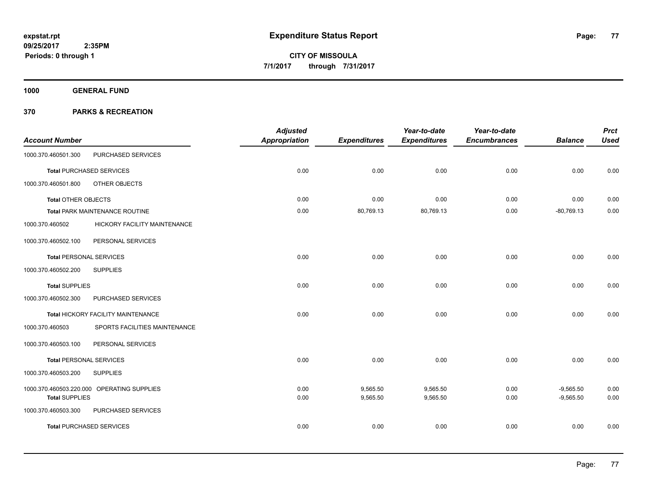**1000 GENERAL FUND**

| <b>Account Number</b>          |                                            | <b>Adjusted</b><br><b>Appropriation</b> | <b>Expenditures</b> | Year-to-date<br><b>Expenditures</b> | Year-to-date<br><b>Encumbrances</b> | <b>Balance</b> | <b>Prct</b><br><b>Used</b> |
|--------------------------------|--------------------------------------------|-----------------------------------------|---------------------|-------------------------------------|-------------------------------------|----------------|----------------------------|
| 1000.370.460501.300            | PURCHASED SERVICES                         |                                         |                     |                                     |                                     |                |                            |
|                                | <b>Total PURCHASED SERVICES</b>            | 0.00                                    | 0.00                | 0.00                                | 0.00                                | 0.00           | 0.00                       |
| 1000.370.460501.800            | OTHER OBJECTS                              |                                         |                     |                                     |                                     |                |                            |
| <b>Total OTHER OBJECTS</b>     |                                            | 0.00                                    | 0.00                | 0.00                                | 0.00                                | 0.00           | 0.00                       |
|                                | <b>Total PARK MAINTENANCE ROUTINE</b>      | 0.00                                    | 80,769.13           | 80,769.13                           | 0.00                                | $-80,769.13$   | 0.00                       |
| 1000.370.460502                | <b>HICKORY FACILITY MAINTENANCE</b>        |                                         |                     |                                     |                                     |                |                            |
| 1000.370.460502.100            | PERSONAL SERVICES                          |                                         |                     |                                     |                                     |                |                            |
| <b>Total PERSONAL SERVICES</b> |                                            | 0.00                                    | 0.00                | 0.00                                | 0.00                                | 0.00           | 0.00                       |
| 1000.370.460502.200            | <b>SUPPLIES</b>                            |                                         |                     |                                     |                                     |                |                            |
| <b>Total SUPPLIES</b>          |                                            | 0.00                                    | 0.00                | 0.00                                | 0.00                                | 0.00           | 0.00                       |
| 1000.370.460502.300            | PURCHASED SERVICES                         |                                         |                     |                                     |                                     |                |                            |
|                                | Total HICKORY FACILITY MAINTENANCE         | 0.00                                    | 0.00                | 0.00                                | 0.00                                | 0.00           | 0.00                       |
| 1000.370.460503                | SPORTS FACILITIES MAINTENANCE              |                                         |                     |                                     |                                     |                |                            |
| 1000.370.460503.100            | PERSONAL SERVICES                          |                                         |                     |                                     |                                     |                |                            |
| <b>Total PERSONAL SERVICES</b> |                                            | 0.00                                    | 0.00                | 0.00                                | 0.00                                | 0.00           | 0.00                       |
| 1000.370.460503.200            | <b>SUPPLIES</b>                            |                                         |                     |                                     |                                     |                |                            |
|                                | 1000.370.460503.220.000 OPERATING SUPPLIES | 0.00                                    | 9,565.50            | 9,565.50                            | 0.00                                | $-9,565.50$    | 0.00                       |
| <b>Total SUPPLIES</b>          |                                            | 0.00                                    | 9,565.50            | 9,565.50                            | 0.00                                | $-9,565.50$    | 0.00                       |
| 1000.370.460503.300            | PURCHASED SERVICES                         |                                         |                     |                                     |                                     |                |                            |
|                                | <b>Total PURCHASED SERVICES</b>            | 0.00                                    | 0.00                | 0.00                                | 0.00                                | 0.00           | 0.00                       |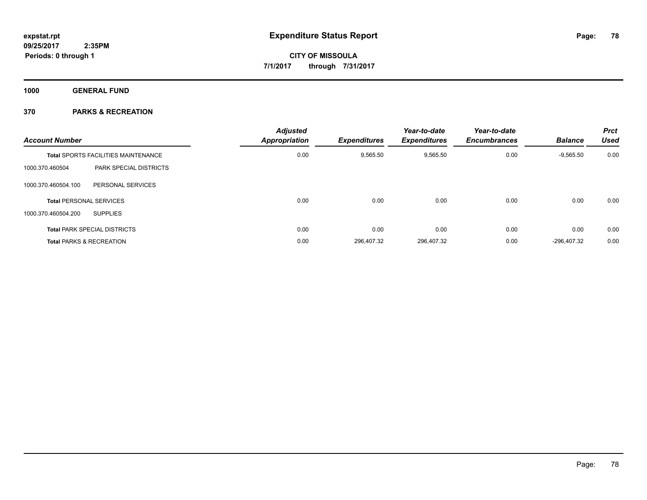**1000 GENERAL FUND**

| <b>Account Number</b>                      |                               | <b>Adjusted</b><br><b>Appropriation</b> | <b>Expenditures</b> | Year-to-date<br><b>Expenditures</b> | Year-to-date<br><b>Encumbrances</b> | <b>Balance</b> | <b>Prct</b><br><b>Used</b> |
|--------------------------------------------|-------------------------------|-----------------------------------------|---------------------|-------------------------------------|-------------------------------------|----------------|----------------------------|
| <b>Total SPORTS FACILITIES MAINTENANCE</b> |                               | 0.00                                    | 9,565.50            | 9,565.50                            | 0.00                                | $-9,565.50$    | 0.00                       |
| 1000.370.460504                            | <b>PARK SPECIAL DISTRICTS</b> |                                         |                     |                                     |                                     |                |                            |
| 1000.370.460504.100                        | PERSONAL SERVICES             |                                         |                     |                                     |                                     |                |                            |
| <b>Total PERSONAL SERVICES</b>             |                               | 0.00                                    | 0.00                | 0.00                                | 0.00                                | 0.00           | 0.00                       |
| 1000.370.460504.200<br><b>SUPPLIES</b>     |                               |                                         |                     |                                     |                                     |                |                            |
| <b>Total PARK SPECIAL DISTRICTS</b>        |                               | 0.00                                    | 0.00                | 0.00                                | 0.00                                | 0.00           | 0.00                       |
| <b>Total PARKS &amp; RECREATION</b>        |                               | 0.00                                    | 296,407.32          | 296,407.32                          | 0.00                                | $-296.407.32$  | 0.00                       |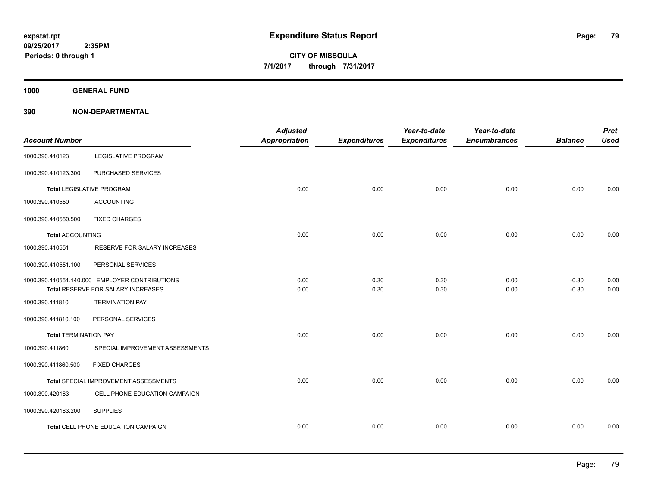**1000 GENERAL FUND**

| <b>Account Number</b>        |                                                | <b>Adjusted</b><br>Appropriation | <b>Expenditures</b> | Year-to-date<br><b>Expenditures</b> | Year-to-date<br><b>Encumbrances</b> | <b>Balance</b> | <b>Prct</b><br><b>Used</b> |
|------------------------------|------------------------------------------------|----------------------------------|---------------------|-------------------------------------|-------------------------------------|----------------|----------------------------|
| 1000.390.410123              | <b>LEGISLATIVE PROGRAM</b>                     |                                  |                     |                                     |                                     |                |                            |
| 1000.390.410123.300          | PURCHASED SERVICES                             |                                  |                     |                                     |                                     |                |                            |
|                              | <b>Total LEGISLATIVE PROGRAM</b>               | 0.00                             | 0.00                | 0.00                                | 0.00                                | 0.00           | 0.00                       |
| 1000.390.410550              | <b>ACCOUNTING</b>                              |                                  |                     |                                     |                                     |                |                            |
| 1000.390.410550.500          | <b>FIXED CHARGES</b>                           |                                  |                     |                                     |                                     |                |                            |
| <b>Total ACCOUNTING</b>      |                                                | 0.00                             | 0.00                | 0.00                                | 0.00                                | 0.00           | 0.00                       |
| 1000.390.410551              | RESERVE FOR SALARY INCREASES                   |                                  |                     |                                     |                                     |                |                            |
| 1000.390.410551.100          | PERSONAL SERVICES                              |                                  |                     |                                     |                                     |                |                            |
|                              | 1000.390.410551.140.000 EMPLOYER CONTRIBUTIONS | 0.00                             | 0.30                | 0.30                                | 0.00                                | $-0.30$        | 0.00                       |
|                              | Total RESERVE FOR SALARY INCREASES             | 0.00                             | 0.30                | 0.30                                | 0.00                                | $-0.30$        | 0.00                       |
| 1000.390.411810              | <b>TERMINATION PAY</b>                         |                                  |                     |                                     |                                     |                |                            |
| 1000.390.411810.100          | PERSONAL SERVICES                              |                                  |                     |                                     |                                     |                |                            |
| <b>Total TERMINATION PAY</b> |                                                | 0.00                             | 0.00                | 0.00                                | 0.00                                | 0.00           | 0.00                       |
| 1000.390.411860              | SPECIAL IMPROVEMENT ASSESSMENTS                |                                  |                     |                                     |                                     |                |                            |
| 1000.390.411860.500          | <b>FIXED CHARGES</b>                           |                                  |                     |                                     |                                     |                |                            |
|                              | Total SPECIAL IMPROVEMENT ASSESSMENTS          | 0.00                             | 0.00                | 0.00                                | 0.00                                | 0.00           | 0.00                       |
| 1000.390.420183              | CELL PHONE EDUCATION CAMPAIGN                  |                                  |                     |                                     |                                     |                |                            |
| 1000.390.420183.200          | <b>SUPPLIES</b>                                |                                  |                     |                                     |                                     |                |                            |
|                              | Total CELL PHONE EDUCATION CAMPAIGN            | 0.00                             | 0.00                | 0.00                                | 0.00                                | 0.00           | 0.00                       |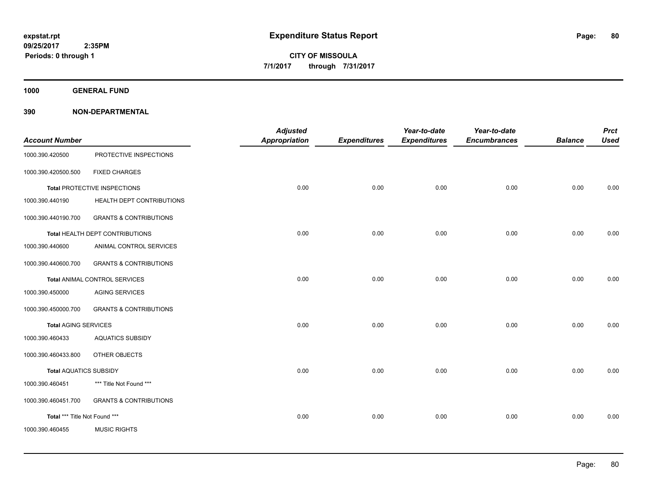**1000 GENERAL FUND**

|                               |                                   | <b>Adjusted</b> |                     | Year-to-date        | Year-to-date        |                | <b>Prct</b> |
|-------------------------------|-----------------------------------|-----------------|---------------------|---------------------|---------------------|----------------|-------------|
| <b>Account Number</b>         |                                   | Appropriation   | <b>Expenditures</b> | <b>Expenditures</b> | <b>Encumbrances</b> | <b>Balance</b> | <b>Used</b> |
| 1000.390.420500               | PROTECTIVE INSPECTIONS            |                 |                     |                     |                     |                |             |
| 1000.390.420500.500           | <b>FIXED CHARGES</b>              |                 |                     |                     |                     |                |             |
|                               | Total PROTECTIVE INSPECTIONS      | 0.00            | 0.00                | 0.00                | 0.00                | 0.00           | 0.00        |
| 1000.390.440190               | HEALTH DEPT CONTRIBUTIONS         |                 |                     |                     |                     |                |             |
| 1000.390.440190.700           | <b>GRANTS &amp; CONTRIBUTIONS</b> |                 |                     |                     |                     |                |             |
|                               | Total HEALTH DEPT CONTRIBUTIONS   | 0.00            | 0.00                | 0.00                | 0.00                | 0.00           | 0.00        |
| 1000.390.440600               | ANIMAL CONTROL SERVICES           |                 |                     |                     |                     |                |             |
| 1000.390.440600.700           | <b>GRANTS &amp; CONTRIBUTIONS</b> |                 |                     |                     |                     |                |             |
|                               | Total ANIMAL CONTROL SERVICES     | 0.00            | 0.00                | 0.00                | 0.00                | 0.00           | 0.00        |
| 1000.390.450000               | <b>AGING SERVICES</b>             |                 |                     |                     |                     |                |             |
| 1000.390.450000.700           | <b>GRANTS &amp; CONTRIBUTIONS</b> |                 |                     |                     |                     |                |             |
| <b>Total AGING SERVICES</b>   |                                   | 0.00            | 0.00                | 0.00                | 0.00                | 0.00           | 0.00        |
| 1000.390.460433               | <b>AQUATICS SUBSIDY</b>           |                 |                     |                     |                     |                |             |
| 1000.390.460433.800           | OTHER OBJECTS                     |                 |                     |                     |                     |                |             |
| <b>Total AQUATICS SUBSIDY</b> |                                   | 0.00            | 0.00                | 0.00                | 0.00                | 0.00           | 0.00        |
| 1000.390.460451               | *** Title Not Found ***           |                 |                     |                     |                     |                |             |
| 1000.390.460451.700           | <b>GRANTS &amp; CONTRIBUTIONS</b> |                 |                     |                     |                     |                |             |
| Total *** Title Not Found *** |                                   | 0.00            | 0.00                | 0.00                | 0.00                | 0.00           | 0.00        |
| 1000.390.460455               | <b>MUSIC RIGHTS</b>               |                 |                     |                     |                     |                |             |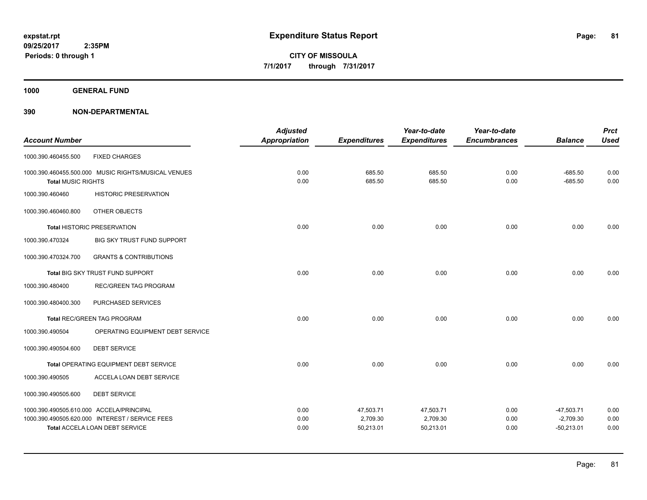**1000 GENERAL FUND**

|                           |                                                     | <b>Adjusted</b> |                     | Year-to-date        | Year-to-date        |                | <b>Prct</b> |
|---------------------------|-----------------------------------------------------|-----------------|---------------------|---------------------|---------------------|----------------|-------------|
| <b>Account Number</b>     |                                                     | Appropriation   | <b>Expenditures</b> | <b>Expenditures</b> | <b>Encumbrances</b> | <b>Balance</b> | <b>Used</b> |
| 1000.390.460455.500       | <b>FIXED CHARGES</b>                                |                 |                     |                     |                     |                |             |
|                           | 1000.390.460455.500.000 MUSIC RIGHTS/MUSICAL VENUES | 0.00            | 685.50              | 685.50              | 0.00                | $-685.50$      | 0.00        |
| <b>Total MUSIC RIGHTS</b> |                                                     | 0.00            | 685.50              | 685.50              | 0.00                | $-685.50$      | 0.00        |
| 1000.390.460460           | <b>HISTORIC PRESERVATION</b>                        |                 |                     |                     |                     |                |             |
| 1000.390.460460.800       | OTHER OBJECTS                                       |                 |                     |                     |                     |                |             |
|                           | <b>Total HISTORIC PRESERVATION</b>                  | 0.00            | 0.00                | 0.00                | 0.00                | 0.00           | 0.00        |
| 1000.390.470324           | <b>BIG SKY TRUST FUND SUPPORT</b>                   |                 |                     |                     |                     |                |             |
| 1000.390.470324.700       | <b>GRANTS &amp; CONTRIBUTIONS</b>                   |                 |                     |                     |                     |                |             |
|                           | Total BIG SKY TRUST FUND SUPPORT                    | 0.00            | 0.00                | 0.00                | 0.00                | 0.00           | 0.00        |
| 1000.390.480400           | <b>REC/GREEN TAG PROGRAM</b>                        |                 |                     |                     |                     |                |             |
| 1000.390.480400.300       | PURCHASED SERVICES                                  |                 |                     |                     |                     |                |             |
|                           | <b>Total REC/GREEN TAG PROGRAM</b>                  | 0.00            | 0.00                | 0.00                | 0.00                | 0.00           | 0.00        |
| 1000.390.490504           | OPERATING EQUIPMENT DEBT SERVICE                    |                 |                     |                     |                     |                |             |
| 1000.390.490504.600       | <b>DEBT SERVICE</b>                                 |                 |                     |                     |                     |                |             |
|                           | Total OPERATING EQUIPMENT DEBT SERVICE              | 0.00            | 0.00                | 0.00                | 0.00                | 0.00           | 0.00        |
| 1000.390.490505           | ACCELA LOAN DEBT SERVICE                            |                 |                     |                     |                     |                |             |
| 1000.390.490505.600       | <b>DEBT SERVICE</b>                                 |                 |                     |                     |                     |                |             |
|                           | 1000.390.490505.610.000 ACCELA/PRINCIPAL            | 0.00            | 47,503.71           | 47,503.71           | 0.00                | $-47,503.71$   | 0.00        |
|                           | 1000.390.490505.620.000 INTEREST / SERVICE FEES     | 0.00            | 2,709.30            | 2,709.30            | 0.00                | $-2,709.30$    | 0.00        |
|                           | <b>Total ACCELA LOAN DEBT SERVICE</b>               | 0.00            | 50,213.01           | 50,213.01           | 0.00                | $-50,213.01$   | 0.00        |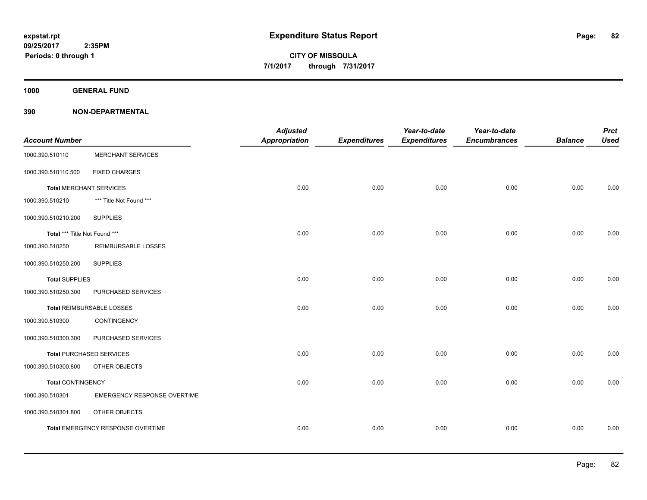**1000 GENERAL FUND**

| <b>Account Number</b>          |                                    | <b>Adjusted</b><br><b>Appropriation</b> | <b>Expenditures</b> | Year-to-date<br><b>Expenditures</b> | Year-to-date<br><b>Encumbrances</b> | <b>Balance</b> | <b>Prct</b><br><b>Used</b> |
|--------------------------------|------------------------------------|-----------------------------------------|---------------------|-------------------------------------|-------------------------------------|----------------|----------------------------|
|                                |                                    |                                         |                     |                                     |                                     |                |                            |
| 1000.390.510110                | <b>MERCHANT SERVICES</b>           |                                         |                     |                                     |                                     |                |                            |
| 1000.390.510110.500            | <b>FIXED CHARGES</b>               |                                         |                     |                                     |                                     |                |                            |
| <b>Total MERCHANT SERVICES</b> |                                    | 0.00                                    | 0.00                | 0.00                                | 0.00                                | 0.00           | 0.00                       |
| 1000.390.510210                | *** Title Not Found ***            |                                         |                     |                                     |                                     |                |                            |
| 1000.390.510210.200            | <b>SUPPLIES</b>                    |                                         |                     |                                     |                                     |                |                            |
| Total *** Title Not Found ***  |                                    | 0.00                                    | 0.00                | 0.00                                | 0.00                                | 0.00           | 0.00                       |
| 1000.390.510250                | <b>REIMBURSABLE LOSSES</b>         |                                         |                     |                                     |                                     |                |                            |
| 1000.390.510250.200            | <b>SUPPLIES</b>                    |                                         |                     |                                     |                                     |                |                            |
| <b>Total SUPPLIES</b>          |                                    | 0.00                                    | 0.00                | 0.00                                | 0.00                                | 0.00           | 0.00                       |
| 1000.390.510250.300            | PURCHASED SERVICES                 |                                         |                     |                                     |                                     |                |                            |
|                                | Total REIMBURSABLE LOSSES          | 0.00                                    | 0.00                | 0.00                                | 0.00                                | 0.00           | 0.00                       |
| 1000.390.510300                | CONTINGENCY                        |                                         |                     |                                     |                                     |                |                            |
| 1000.390.510300.300            | PURCHASED SERVICES                 |                                         |                     |                                     |                                     |                |                            |
|                                | <b>Total PURCHASED SERVICES</b>    | 0.00                                    | 0.00                | 0.00                                | 0.00                                | 0.00           | 0.00                       |
| 1000.390.510300.800            | OTHER OBJECTS                      |                                         |                     |                                     |                                     |                |                            |
| <b>Total CONTINGENCY</b>       |                                    | 0.00                                    | 0.00                | 0.00                                | 0.00                                | 0.00           | 0.00                       |
| 1000.390.510301                | <b>EMERGENCY RESPONSE OVERTIME</b> |                                         |                     |                                     |                                     |                |                            |
| 1000.390.510301.800            | OTHER OBJECTS                      |                                         |                     |                                     |                                     |                |                            |
|                                | Total EMERGENCY RESPONSE OVERTIME  | 0.00                                    | 0.00                | 0.00                                | 0.00                                | 0.00           | 0.00                       |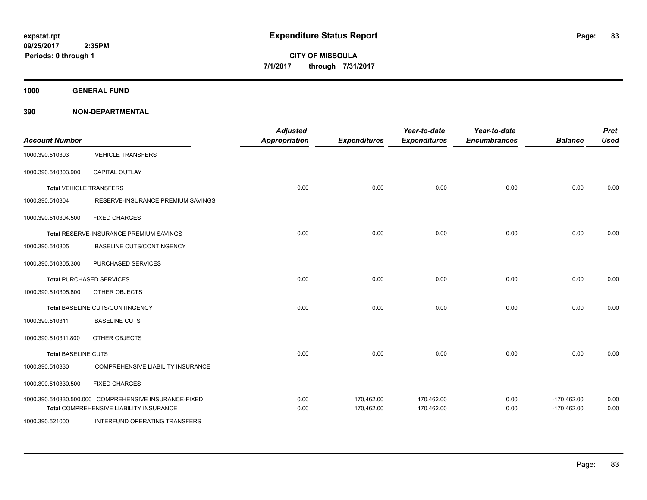**1000 GENERAL FUND**

| <b>Account Number</b>      |                                                                                 | <b>Adjusted</b><br><b>Appropriation</b> | <b>Expenditures</b> | Year-to-date<br><b>Expenditures</b> | Year-to-date<br><b>Encumbrances</b> | <b>Balance</b> | <b>Prct</b><br><b>Used</b> |
|----------------------------|---------------------------------------------------------------------------------|-----------------------------------------|---------------------|-------------------------------------|-------------------------------------|----------------|----------------------------|
| 1000.390.510303            | <b>VEHICLE TRANSFERS</b>                                                        |                                         |                     |                                     |                                     |                |                            |
| 1000.390.510303.900        | <b>CAPITAL OUTLAY</b>                                                           |                                         |                     |                                     |                                     |                |                            |
|                            | <b>Total VEHICLE TRANSFERS</b>                                                  | 0.00                                    | 0.00                | 0.00                                | 0.00                                | 0.00           | 0.00                       |
| 1000.390.510304            | RESERVE-INSURANCE PREMIUM SAVINGS                                               |                                         |                     |                                     |                                     |                |                            |
| 1000.390.510304.500        | <b>FIXED CHARGES</b>                                                            |                                         |                     |                                     |                                     |                |                            |
|                            | Total RESERVE-INSURANCE PREMIUM SAVINGS                                         | 0.00                                    | 0.00                | 0.00                                | 0.00                                | 0.00           | 0.00                       |
| 1000.390.510305            | BASELINE CUTS/CONTINGENCY                                                       |                                         |                     |                                     |                                     |                |                            |
| 1000.390.510305.300        | PURCHASED SERVICES                                                              |                                         |                     |                                     |                                     |                |                            |
|                            | <b>Total PURCHASED SERVICES</b>                                                 | 0.00                                    | 0.00                | 0.00                                | 0.00                                | 0.00           | 0.00                       |
| 1000.390.510305.800        | OTHER OBJECTS                                                                   |                                         |                     |                                     |                                     |                |                            |
|                            | Total BASELINE CUTS/CONTINGENCY                                                 | 0.00                                    | 0.00                | 0.00                                | 0.00                                | 0.00           | 0.00                       |
| 1000.390.510311            | <b>BASELINE CUTS</b>                                                            |                                         |                     |                                     |                                     |                |                            |
| 1000.390.510311.800        | OTHER OBJECTS                                                                   |                                         |                     |                                     |                                     |                |                            |
| <b>Total BASELINE CUTS</b> |                                                                                 | 0.00                                    | 0.00                | 0.00                                | 0.00                                | 0.00           | 0.00                       |
| 1000.390.510330            | COMPREHENSIVE LIABILITY INSURANCE                                               |                                         |                     |                                     |                                     |                |                            |
| 1000.390.510330.500        | <b>FIXED CHARGES</b>                                                            |                                         |                     |                                     |                                     |                |                            |
|                            | 1000.390.510330.500.000 COMPREHENSIVE INSURANCE-FIXED                           | 0.00                                    | 170,462.00          | 170,462.00                          | 0.00                                | $-170,462.00$  | 0.00                       |
| 1000.390.521000            | Total COMPREHENSIVE LIABILITY INSURANCE<br><b>INTERFUND OPERATING TRANSFERS</b> | 0.00                                    | 170,462.00          | 170,462.00                          | 0.00                                | $-170,462.00$  | 0.00                       |
|                            |                                                                                 |                                         |                     |                                     |                                     |                |                            |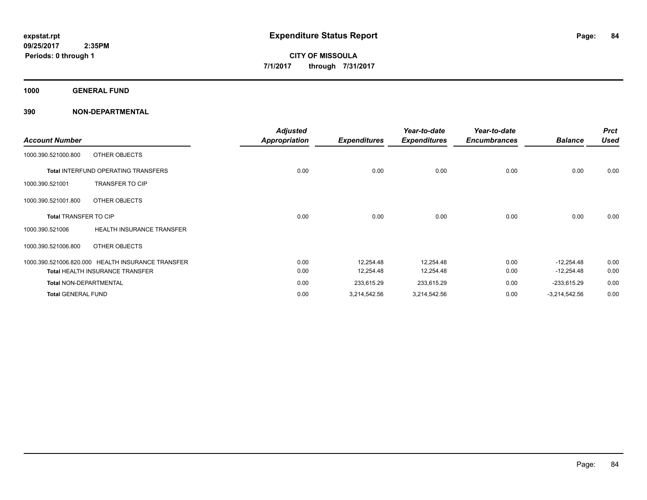**1000 GENERAL FUND**

|                               |                                                   | <b>Adjusted</b>      |                     | Year-to-date        | Year-to-date        |                 | <b>Prct</b> |
|-------------------------------|---------------------------------------------------|----------------------|---------------------|---------------------|---------------------|-----------------|-------------|
| <b>Account Number</b>         |                                                   | <b>Appropriation</b> | <b>Expenditures</b> | <b>Expenditures</b> | <b>Encumbrances</b> | <b>Balance</b>  | <b>Used</b> |
| 1000.390.521000.800           | OTHER OBJECTS                                     |                      |                     |                     |                     |                 |             |
|                               | <b>Total INTERFUND OPERATING TRANSFERS</b>        | 0.00                 | 0.00                | 0.00                | 0.00                | 0.00            | 0.00        |
| 1000.390.521001               | <b>TRANSFER TO CIP</b>                            |                      |                     |                     |                     |                 |             |
| 1000.390.521001.800           | OTHER OBJECTS                                     |                      |                     |                     |                     |                 |             |
| <b>Total TRANSFER TO CIP</b>  |                                                   | 0.00                 | 0.00                | 0.00                | 0.00                | 0.00            | 0.00        |
| 1000.390.521006               | <b>HEALTH INSURANCE TRANSFER</b>                  |                      |                     |                     |                     |                 |             |
| 1000.390.521006.800           | OTHER OBJECTS                                     |                      |                     |                     |                     |                 |             |
|                               | 1000.390.521006.820.000 HEALTH INSURANCE TRANSFER | 0.00                 | 12,254.48           | 12,254.48           | 0.00                | $-12,254.48$    | 0.00        |
|                               | <b>Total HEALTH INSURANCE TRANSFER</b>            | 0.00                 | 12,254.48           | 12,254.48           | 0.00                | $-12,254.48$    | 0.00        |
| <b>Total NON-DEPARTMENTAL</b> |                                                   | 0.00                 | 233,615.29          | 233,615.29          | 0.00                | $-233,615.29$   | 0.00        |
| <b>Total GENERAL FUND</b>     |                                                   | 0.00                 | 3,214,542.56        | 3,214,542.56        | 0.00                | $-3,214,542.56$ | 0.00        |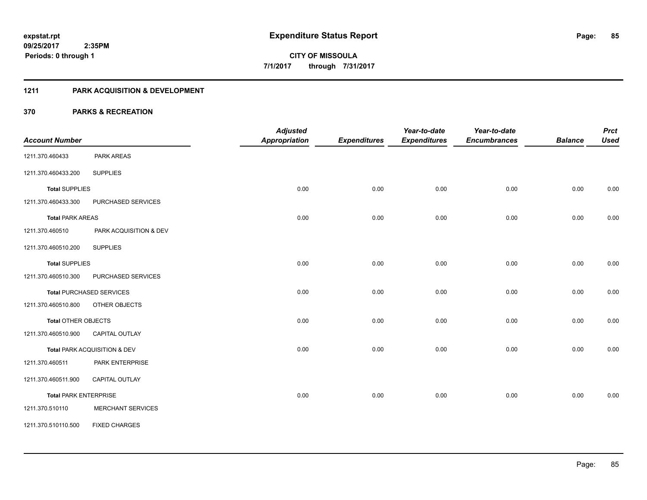#### **1211 PARK ACQUISITION & DEVELOPMENT**

| <b>Account Number</b>        |                                 | <b>Adjusted</b><br><b>Appropriation</b> | <b>Expenditures</b> | Year-to-date<br><b>Expenditures</b> | Year-to-date<br><b>Encumbrances</b> | <b>Balance</b> | <b>Prct</b><br><b>Used</b> |
|------------------------------|---------------------------------|-----------------------------------------|---------------------|-------------------------------------|-------------------------------------|----------------|----------------------------|
| 1211.370.460433              | PARK AREAS                      |                                         |                     |                                     |                                     |                |                            |
|                              | <b>SUPPLIES</b>                 |                                         |                     |                                     |                                     |                |                            |
| 1211.370.460433.200          |                                 |                                         |                     |                                     |                                     |                |                            |
| <b>Total SUPPLIES</b>        |                                 | 0.00                                    | 0.00                | 0.00                                | 0.00                                | 0.00           | 0.00                       |
| 1211.370.460433.300          | PURCHASED SERVICES              |                                         |                     |                                     |                                     |                |                            |
| <b>Total PARK AREAS</b>      |                                 | 0.00                                    | 0.00                | 0.00                                | 0.00                                | 0.00           | 0.00                       |
| 1211.370.460510              | PARK ACQUISITION & DEV          |                                         |                     |                                     |                                     |                |                            |
| 1211.370.460510.200          | <b>SUPPLIES</b>                 |                                         |                     |                                     |                                     |                |                            |
| <b>Total SUPPLIES</b>        |                                 | 0.00                                    | 0.00                | 0.00                                | 0.00                                | 0.00           | 0.00                       |
| 1211.370.460510.300          | PURCHASED SERVICES              |                                         |                     |                                     |                                     |                |                            |
|                              | <b>Total PURCHASED SERVICES</b> | 0.00                                    | 0.00                | 0.00                                | 0.00                                | 0.00           | 0.00                       |
| 1211.370.460510.800          | OTHER OBJECTS                   |                                         |                     |                                     |                                     |                |                            |
| Total OTHER OBJECTS          |                                 | 0.00                                    | 0.00                | 0.00                                | 0.00                                | 0.00           | 0.00                       |
| 1211.370.460510.900          | CAPITAL OUTLAY                  |                                         |                     |                                     |                                     |                |                            |
|                              | Total PARK ACQUISITION & DEV    | 0.00                                    | 0.00                | 0.00                                | 0.00                                | 0.00           | 0.00                       |
| 1211.370.460511              | PARK ENTERPRISE                 |                                         |                     |                                     |                                     |                |                            |
| 1211.370.460511.900          | <b>CAPITAL OUTLAY</b>           |                                         |                     |                                     |                                     |                |                            |
| <b>Total PARK ENTERPRISE</b> |                                 | 0.00                                    | 0.00                | 0.00                                | 0.00                                | 0.00           | 0.00                       |
| 1211.370.510110              | <b>MERCHANT SERVICES</b>        |                                         |                     |                                     |                                     |                |                            |
| 1211.370.510110.500          | <b>FIXED CHARGES</b>            |                                         |                     |                                     |                                     |                |                            |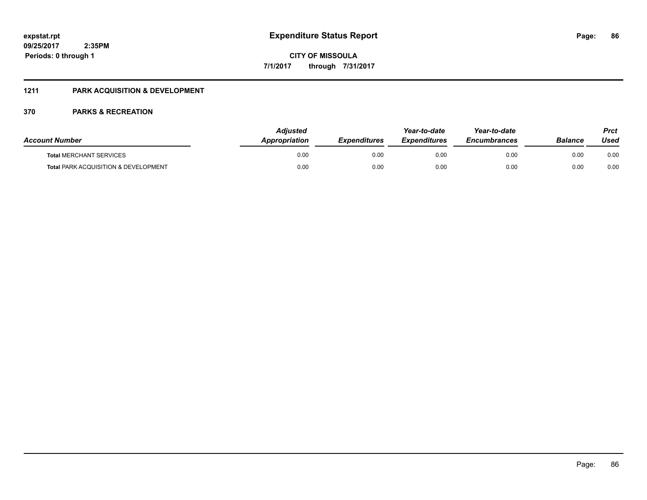### **1211 PARK ACQUISITION & DEVELOPMENT**

| <b>Account Number</b>                           | <b>Adjusted</b><br>Appropriation | <b>Expenditures</b> | Year-to-date<br><b>Expenditures</b> | Year-to-date<br><b>Encumbrances</b> | <b>Balance</b> | Prct<br>Used |
|-------------------------------------------------|----------------------------------|---------------------|-------------------------------------|-------------------------------------|----------------|--------------|
| <b>Total MERCHANT SERVICES</b>                  | 0.00                             | 0.00                | 0.00                                | 0.00                                | 0.00           | 0.00         |
| <b>Total PARK ACQUISITION &amp; DEVELOPMENT</b> | 0.00                             | 0.00                | 0.00                                | 0.00                                | 0.00           | 0.00         |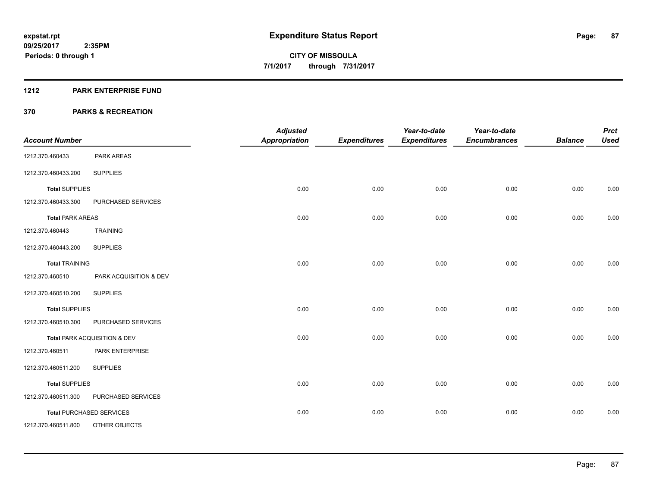#### **1212 PARK ENTERPRISE FUND**

|                         |                                 | <b>Adjusted</b>      |                     | Year-to-date        | Year-to-date        |                | <b>Prct</b> |
|-------------------------|---------------------------------|----------------------|---------------------|---------------------|---------------------|----------------|-------------|
| <b>Account Number</b>   |                                 | <b>Appropriation</b> | <b>Expenditures</b> | <b>Expenditures</b> | <b>Encumbrances</b> | <b>Balance</b> | <b>Used</b> |
| 1212.370.460433         | PARK AREAS                      |                      |                     |                     |                     |                |             |
| 1212.370.460433.200     | <b>SUPPLIES</b>                 |                      |                     |                     |                     |                |             |
| <b>Total SUPPLIES</b>   |                                 | 0.00                 | 0.00                | 0.00                | 0.00                | 0.00           | 0.00        |
| 1212.370.460433.300     | PURCHASED SERVICES              |                      |                     |                     |                     |                |             |
| <b>Total PARK AREAS</b> |                                 | 0.00                 | 0.00                | 0.00                | 0.00                | 0.00           | 0.00        |
| 1212.370.460443         | <b>TRAINING</b>                 |                      |                     |                     |                     |                |             |
| 1212.370.460443.200     | <b>SUPPLIES</b>                 |                      |                     |                     |                     |                |             |
| <b>Total TRAINING</b>   |                                 | 0.00                 | 0.00                | 0.00                | 0.00                | 0.00           | 0.00        |
| 1212.370.460510         | PARK ACQUISITION & DEV          |                      |                     |                     |                     |                |             |
| 1212.370.460510.200     | <b>SUPPLIES</b>                 |                      |                     |                     |                     |                |             |
| <b>Total SUPPLIES</b>   |                                 | 0.00                 | 0.00                | 0.00                | 0.00                | 0.00           | 0.00        |
| 1212.370.460510.300     | PURCHASED SERVICES              |                      |                     |                     |                     |                |             |
|                         | Total PARK ACQUISITION & DEV    | 0.00                 | 0.00                | 0.00                | 0.00                | 0.00           | 0.00        |
| 1212.370.460511         | PARK ENTERPRISE                 |                      |                     |                     |                     |                |             |
| 1212.370.460511.200     | <b>SUPPLIES</b>                 |                      |                     |                     |                     |                |             |
| <b>Total SUPPLIES</b>   |                                 | 0.00                 | 0.00                | 0.00                | 0.00                | 0.00           | 0.00        |
| 1212.370.460511.300     | PURCHASED SERVICES              |                      |                     |                     |                     |                |             |
|                         | <b>Total PURCHASED SERVICES</b> | 0.00                 | 0.00                | 0.00                | 0.00                | 0.00           | 0.00        |
| 1212.370.460511.800     | OTHER OBJECTS                   |                      |                     |                     |                     |                |             |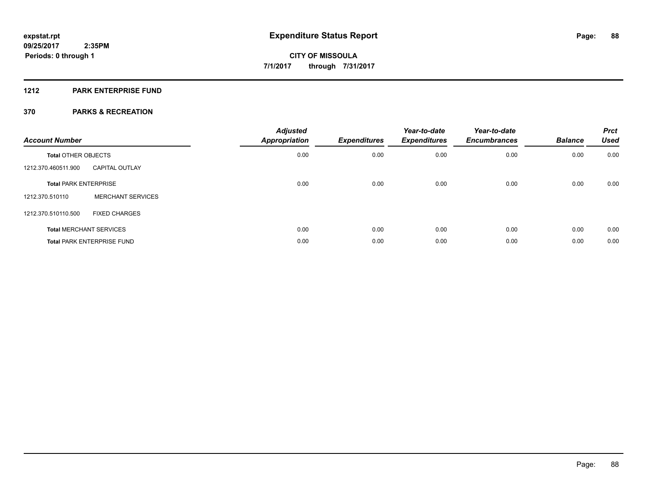#### **1212 PARK ENTERPRISE FUND**

| <b>Account Number</b>          |                                   | <b>Adjusted</b><br><b>Appropriation</b> | <b>Expenditures</b> | Year-to-date<br><b>Expenditures</b> | Year-to-date<br><b>Encumbrances</b> | <b>Balance</b> | <b>Prct</b><br><b>Used</b> |
|--------------------------------|-----------------------------------|-----------------------------------------|---------------------|-------------------------------------|-------------------------------------|----------------|----------------------------|
| <b>Total OTHER OBJECTS</b>     |                                   | 0.00                                    | 0.00                | 0.00                                | 0.00                                | 0.00           | 0.00                       |
| 1212.370.460511.900            | <b>CAPITAL OUTLAY</b>             |                                         |                     |                                     |                                     |                |                            |
| <b>Total PARK ENTERPRISE</b>   |                                   | 0.00                                    | 0.00                | 0.00                                | 0.00                                | 0.00           | 0.00                       |
| 1212.370.510110                | <b>MERCHANT SERVICES</b>          |                                         |                     |                                     |                                     |                |                            |
| 1212.370.510110.500            | <b>FIXED CHARGES</b>              |                                         |                     |                                     |                                     |                |                            |
| <b>Total MERCHANT SERVICES</b> |                                   | 0.00                                    | 0.00                | 0.00                                | 0.00                                | 0.00           | 0.00                       |
|                                | <b>Total PARK ENTERPRISE FUND</b> | 0.00                                    | 0.00                | 0.00                                | 0.00                                | 0.00           | 0.00                       |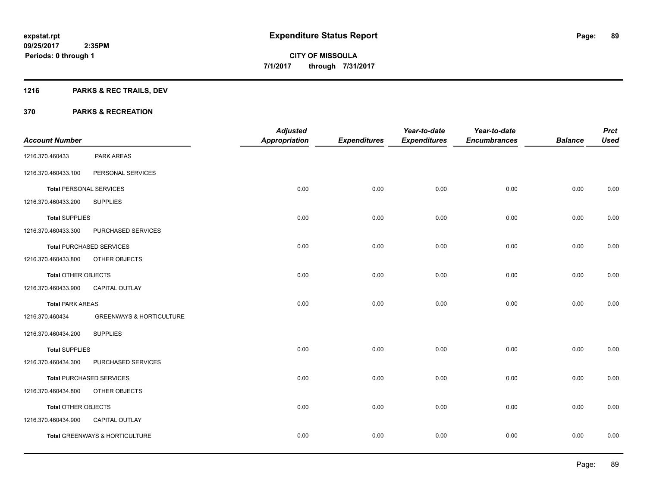# **1216 PARKS & REC TRAILS, DEV**

|                            |                                     | <b>Adjusted</b>      |                     | Year-to-date        | Year-to-date        |                | <b>Prct</b> |
|----------------------------|-------------------------------------|----------------------|---------------------|---------------------|---------------------|----------------|-------------|
| <b>Account Number</b>      |                                     | <b>Appropriation</b> | <b>Expenditures</b> | <b>Expenditures</b> | <b>Encumbrances</b> | <b>Balance</b> | <b>Used</b> |
| 1216.370.460433            | PARK AREAS                          |                      |                     |                     |                     |                |             |
| 1216.370.460433.100        | PERSONAL SERVICES                   |                      |                     |                     |                     |                |             |
|                            | <b>Total PERSONAL SERVICES</b>      | 0.00                 | 0.00                | 0.00                | 0.00                | 0.00           | 0.00        |
| 1216.370.460433.200        | <b>SUPPLIES</b>                     |                      |                     |                     |                     |                |             |
| <b>Total SUPPLIES</b>      |                                     | 0.00                 | 0.00                | 0.00                | 0.00                | 0.00           | 0.00        |
| 1216.370.460433.300        | PURCHASED SERVICES                  |                      |                     |                     |                     |                |             |
|                            | <b>Total PURCHASED SERVICES</b>     | 0.00                 | 0.00                | 0.00                | 0.00                | 0.00           | 0.00        |
| 1216.370.460433.800        | OTHER OBJECTS                       |                      |                     |                     |                     |                |             |
| Total OTHER OBJECTS        |                                     | 0.00                 | 0.00                | 0.00                | 0.00                | 0.00           | 0.00        |
| 1216.370.460433.900        | CAPITAL OUTLAY                      |                      |                     |                     |                     |                |             |
| <b>Total PARK AREAS</b>    |                                     | 0.00                 | 0.00                | 0.00                | 0.00                | 0.00           | 0.00        |
| 1216.370.460434            | <b>GREENWAYS &amp; HORTICULTURE</b> |                      |                     |                     |                     |                |             |
| 1216.370.460434.200        | <b>SUPPLIES</b>                     |                      |                     |                     |                     |                |             |
| <b>Total SUPPLIES</b>      |                                     | 0.00                 | 0.00                | 0.00                | 0.00                | 0.00           | 0.00        |
| 1216.370.460434.300        | PURCHASED SERVICES                  |                      |                     |                     |                     |                |             |
|                            | <b>Total PURCHASED SERVICES</b>     | 0.00                 | 0.00                | 0.00                | 0.00                | 0.00           | 0.00        |
| 1216.370.460434.800        | OTHER OBJECTS                       |                      |                     |                     |                     |                |             |
| <b>Total OTHER OBJECTS</b> |                                     | 0.00                 | 0.00                | 0.00                | 0.00                | 0.00           | 0.00        |
| 1216.370.460434.900        | CAPITAL OUTLAY                      |                      |                     |                     |                     |                |             |
|                            | Total GREENWAYS & HORTICULTURE      | 0.00                 | 0.00                | 0.00                | 0.00                | 0.00           | 0.00        |
|                            |                                     |                      |                     |                     |                     |                |             |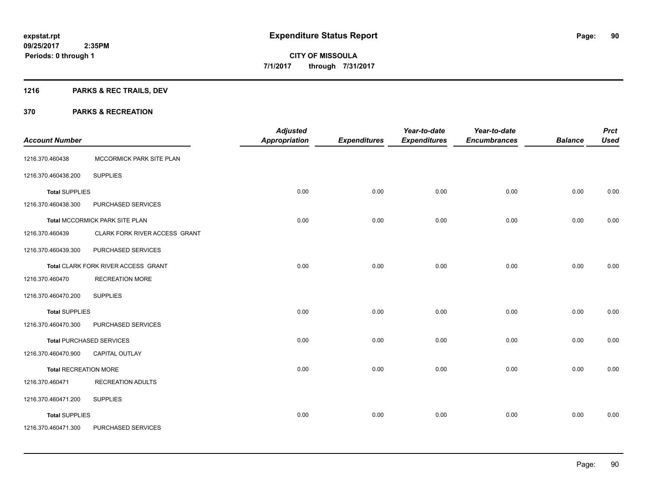# **1216 PARKS & REC TRAILS, DEV**

|                              |                                     | <b>Adjusted</b>      |                     | Year-to-date        | Year-to-date        |                | <b>Prct</b> |
|------------------------------|-------------------------------------|----------------------|---------------------|---------------------|---------------------|----------------|-------------|
| <b>Account Number</b>        |                                     | <b>Appropriation</b> | <b>Expenditures</b> | <b>Expenditures</b> | <b>Encumbrances</b> | <b>Balance</b> | <b>Used</b> |
| 1216.370.460438              | MCCORMICK PARK SITE PLAN            |                      |                     |                     |                     |                |             |
| 1216.370.460438.200          | <b>SUPPLIES</b>                     |                      |                     |                     |                     |                |             |
| <b>Total SUPPLIES</b>        |                                     | 0.00                 | 0.00                | 0.00                | 0.00                | 0.00           | 0.00        |
| 1216.370.460438.300          | PURCHASED SERVICES                  |                      |                     |                     |                     |                |             |
|                              | Total MCCORMICK PARK SITE PLAN      | 0.00                 | 0.00                | 0.00                | 0.00                | 0.00           | 0.00        |
| 1216.370.460439              | CLARK FORK RIVER ACCESS GRANT       |                      |                     |                     |                     |                |             |
| 1216.370.460439.300          | PURCHASED SERVICES                  |                      |                     |                     |                     |                |             |
|                              | Total CLARK FORK RIVER ACCESS GRANT | 0.00                 | 0.00                | 0.00                | 0.00                | 0.00           | 0.00        |
| 1216.370.460470              | <b>RECREATION MORE</b>              |                      |                     |                     |                     |                |             |
| 1216.370.460470.200          | <b>SUPPLIES</b>                     |                      |                     |                     |                     |                |             |
| <b>Total SUPPLIES</b>        |                                     | 0.00                 | 0.00                | 0.00                | 0.00                | 0.00           | 0.00        |
| 1216.370.460470.300          | PURCHASED SERVICES                  |                      |                     |                     |                     |                |             |
|                              | <b>Total PURCHASED SERVICES</b>     | 0.00                 | 0.00                | 0.00                | 0.00                | 0.00           | 0.00        |
| 1216.370.460470.900          | CAPITAL OUTLAY                      |                      |                     |                     |                     |                |             |
| <b>Total RECREATION MORE</b> |                                     | 0.00                 | 0.00                | 0.00                | 0.00                | 0.00           | 0.00        |
| 1216.370.460471              | <b>RECREATION ADULTS</b>            |                      |                     |                     |                     |                |             |
| 1216.370.460471.200          | <b>SUPPLIES</b>                     |                      |                     |                     |                     |                |             |
| <b>Total SUPPLIES</b>        |                                     | 0.00                 | 0.00                | 0.00                | 0.00                | 0.00           | 0.00        |
| 1216.370.460471.300          | PURCHASED SERVICES                  |                      |                     |                     |                     |                |             |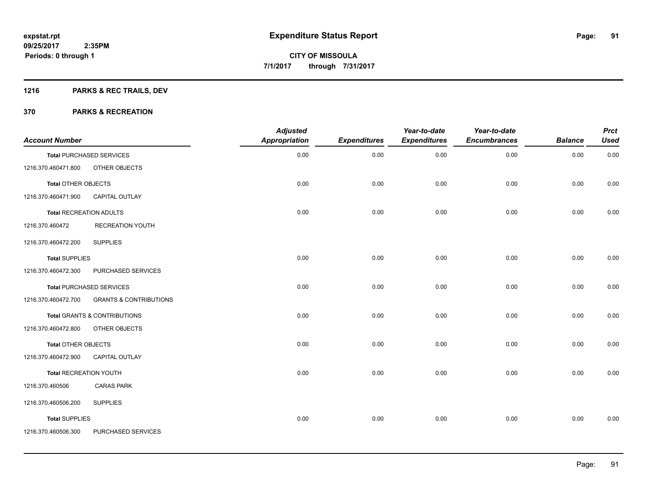# **1216 PARKS & REC TRAILS, DEV**

| <b>Account Number</b>          |                                   | <b>Adjusted</b><br><b>Appropriation</b> | <b>Expenditures</b> | Year-to-date<br><b>Expenditures</b> | Year-to-date<br><b>Encumbrances</b> | <b>Balance</b> | <b>Prct</b><br><b>Used</b> |
|--------------------------------|-----------------------------------|-----------------------------------------|---------------------|-------------------------------------|-------------------------------------|----------------|----------------------------|
|                                | <b>Total PURCHASED SERVICES</b>   | 0.00                                    | 0.00                | 0.00                                | 0.00                                | 0.00           | 0.00                       |
| 1216.370.460471.800            | OTHER OBJECTS                     |                                         |                     |                                     |                                     |                |                            |
| <b>Total OTHER OBJECTS</b>     |                                   | 0.00                                    | 0.00                | 0.00                                | 0.00                                | 0.00           | 0.00                       |
| 1216.370.460471.900            | <b>CAPITAL OUTLAY</b>             |                                         |                     |                                     |                                     |                |                            |
| <b>Total RECREATION ADULTS</b> |                                   | 0.00                                    | 0.00                | 0.00                                | 0.00                                | 0.00           | 0.00                       |
| 1216.370.460472                | RECREATION YOUTH                  |                                         |                     |                                     |                                     |                |                            |
| 1216.370.460472.200            | <b>SUPPLIES</b>                   |                                         |                     |                                     |                                     |                |                            |
| <b>Total SUPPLIES</b>          |                                   | 0.00                                    | 0.00                | 0.00                                | 0.00                                | 0.00           | 0.00                       |
| 1216.370.460472.300            | PURCHASED SERVICES                |                                         |                     |                                     |                                     |                |                            |
|                                | <b>Total PURCHASED SERVICES</b>   | 0.00                                    | 0.00                | 0.00                                | 0.00                                | 0.00           | 0.00                       |
| 1216.370.460472.700            | <b>GRANTS &amp; CONTRIBUTIONS</b> |                                         |                     |                                     |                                     |                |                            |
|                                | Total GRANTS & CONTRIBUTIONS      | 0.00                                    | 0.00                | 0.00                                | 0.00                                | 0.00           | 0.00                       |
| 1216.370.460472.800            | OTHER OBJECTS                     |                                         |                     |                                     |                                     |                |                            |
| <b>Total OTHER OBJECTS</b>     |                                   | 0.00                                    | 0.00                | 0.00                                | 0.00                                | 0.00           | 0.00                       |
| 1216.370.460472.900            | <b>CAPITAL OUTLAY</b>             |                                         |                     |                                     |                                     |                |                            |
| <b>Total RECREATION YOUTH</b>  |                                   | 0.00                                    | 0.00                | 0.00                                | 0.00                                | 0.00           | 0.00                       |
| 1216.370.460506                | <b>CARAS PARK</b>                 |                                         |                     |                                     |                                     |                |                            |
| 1216.370.460506.200            | <b>SUPPLIES</b>                   |                                         |                     |                                     |                                     |                |                            |
| <b>Total SUPPLIES</b>          |                                   | 0.00                                    | 0.00                | 0.00                                | 0.00                                | 0.00           | 0.00                       |
| 1216.370.460506.300            | PURCHASED SERVICES                |                                         |                     |                                     |                                     |                |                            |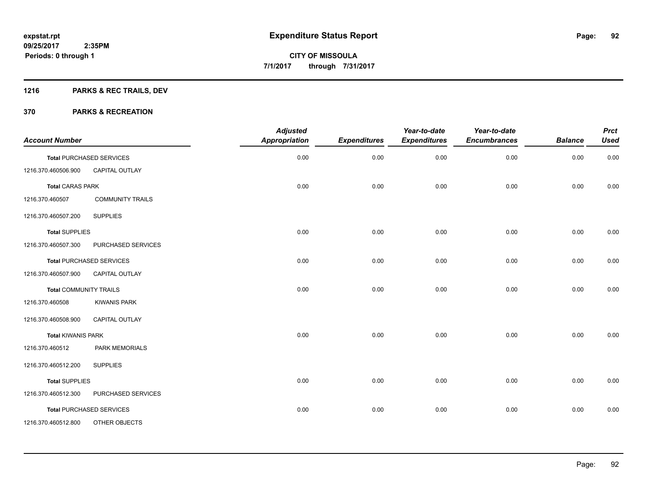# **1216 PARKS & REC TRAILS, DEV**

| <b>Account Number</b>         |                                 | <b>Adjusted</b><br>Appropriation | <b>Expenditures</b> | Year-to-date<br><b>Expenditures</b> | Year-to-date<br><b>Encumbrances</b> | <b>Balance</b> | <b>Prct</b><br><b>Used</b> |
|-------------------------------|---------------------------------|----------------------------------|---------------------|-------------------------------------|-------------------------------------|----------------|----------------------------|
|                               | <b>Total PURCHASED SERVICES</b> | 0.00                             | 0.00                | 0.00                                | 0.00                                | 0.00           | 0.00                       |
| 1216.370.460506.900           | CAPITAL OUTLAY                  |                                  |                     |                                     |                                     |                |                            |
| <b>Total CARAS PARK</b>       |                                 | 0.00                             | 0.00                | 0.00                                | 0.00                                | 0.00           | 0.00                       |
| 1216.370.460507               | <b>COMMUNITY TRAILS</b>         |                                  |                     |                                     |                                     |                |                            |
| 1216.370.460507.200           | <b>SUPPLIES</b>                 |                                  |                     |                                     |                                     |                |                            |
| <b>Total SUPPLIES</b>         |                                 | 0.00                             | 0.00                | 0.00                                | 0.00                                | 0.00           | 0.00                       |
| 1216.370.460507.300           | PURCHASED SERVICES              |                                  |                     |                                     |                                     |                |                            |
|                               | <b>Total PURCHASED SERVICES</b> | 0.00                             | 0.00                | 0.00                                | 0.00                                | 0.00           | 0.00                       |
| 1216.370.460507.900           | <b>CAPITAL OUTLAY</b>           |                                  |                     |                                     |                                     |                |                            |
| <b>Total COMMUNITY TRAILS</b> |                                 | 0.00                             | 0.00                | 0.00                                | 0.00                                | 0.00           | 0.00                       |
| 1216.370.460508               | <b>KIWANIS PARK</b>             |                                  |                     |                                     |                                     |                |                            |
| 1216.370.460508.900           | <b>CAPITAL OUTLAY</b>           |                                  |                     |                                     |                                     |                |                            |
| <b>Total KIWANIS PARK</b>     |                                 | 0.00                             | 0.00                | 0.00                                | 0.00                                | 0.00           | 0.00                       |
| 1216.370.460512               | <b>PARK MEMORIALS</b>           |                                  |                     |                                     |                                     |                |                            |
| 1216.370.460512.200           | <b>SUPPLIES</b>                 |                                  |                     |                                     |                                     |                |                            |
| <b>Total SUPPLIES</b>         |                                 | 0.00                             | 0.00                | 0.00                                | 0.00                                | 0.00           | 0.00                       |
| 1216.370.460512.300           | PURCHASED SERVICES              |                                  |                     |                                     |                                     |                |                            |
|                               | <b>Total PURCHASED SERVICES</b> | 0.00                             | 0.00                | 0.00                                | 0.00                                | 0.00           | 0.00                       |
| 1216.370.460512.800           | OTHER OBJECTS                   |                                  |                     |                                     |                                     |                |                            |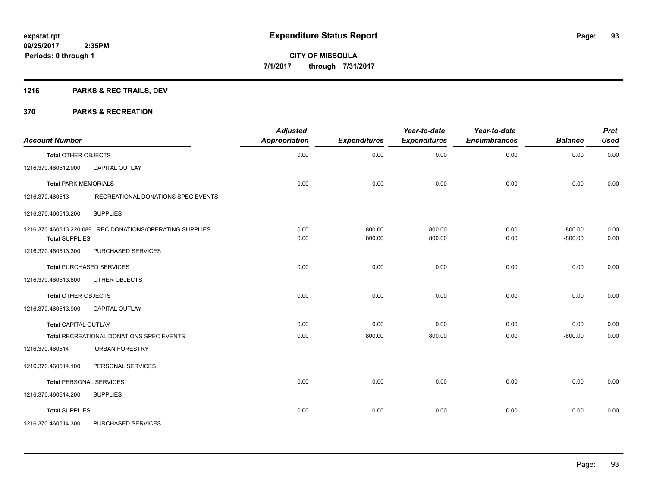# **1216 PARKS & REC TRAILS, DEV**

| <b>Account Number</b>                                                             | <b>Adjusted</b><br>Appropriation | <b>Expenditures</b> | Year-to-date<br><b>Expenditures</b> | Year-to-date<br><b>Encumbrances</b> | <b>Balance</b>         | <b>Prct</b><br><b>Used</b> |
|-----------------------------------------------------------------------------------|----------------------------------|---------------------|-------------------------------------|-------------------------------------|------------------------|----------------------------|
| <b>Total OTHER OBJECTS</b>                                                        | 0.00                             | 0.00                | 0.00                                | 0.00                                | 0.00                   | 0.00                       |
| 1216.370.460512.900<br><b>CAPITAL OUTLAY</b>                                      |                                  |                     |                                     |                                     |                        |                            |
| <b>Total PARK MEMORIALS</b>                                                       | 0.00                             | 0.00                | 0.00                                | 0.00                                | 0.00                   | 0.00                       |
| 1216.370.460513<br>RECREATIONAL DONATIONS SPEC EVENTS                             |                                  |                     |                                     |                                     |                        |                            |
| <b>SUPPLIES</b><br>1216.370.460513.200                                            |                                  |                     |                                     |                                     |                        |                            |
| 1216.370.460513.220.089 REC DONATIONS/OPERATING SUPPLIES<br><b>Total SUPPLIES</b> | 0.00<br>0.00                     | 800.00<br>800.00    | 800.00<br>800.00                    | 0.00<br>0.00                        | $-800.00$<br>$-800.00$ | 0.00<br>0.00               |
| 1216.370.460513.300<br>PURCHASED SERVICES                                         |                                  |                     |                                     |                                     |                        |                            |
| <b>Total PURCHASED SERVICES</b>                                                   | 0.00                             | 0.00                | 0.00                                | 0.00                                | 0.00                   | 0.00                       |
| 1216.370.460513.800<br>OTHER OBJECTS                                              |                                  |                     |                                     |                                     |                        |                            |
| <b>Total OTHER OBJECTS</b>                                                        | 0.00                             | 0.00                | 0.00                                | 0.00                                | 0.00                   | 0.00                       |
| 1216.370.460513.900<br><b>CAPITAL OUTLAY</b>                                      |                                  |                     |                                     |                                     |                        |                            |
| <b>Total CAPITAL OUTLAY</b>                                                       | 0.00                             | 0.00                | 0.00                                | 0.00                                | 0.00                   | 0.00                       |
| Total RECREATIONAL DONATIONS SPEC EVENTS                                          | 0.00                             | 800.00              | 800.00                              | 0.00                                | $-800.00$              | 0.00                       |
| <b>URBAN FORESTRY</b><br>1216.370.460514                                          |                                  |                     |                                     |                                     |                        |                            |
| 1216.370.460514.100<br>PERSONAL SERVICES                                          |                                  |                     |                                     |                                     |                        |                            |
| <b>Total PERSONAL SERVICES</b>                                                    | 0.00                             | 0.00                | 0.00                                | 0.00                                | 0.00                   | 0.00                       |
| 1216.370.460514.200<br><b>SUPPLIES</b>                                            |                                  |                     |                                     |                                     |                        |                            |
| <b>Total SUPPLIES</b>                                                             | 0.00                             | 0.00                | 0.00                                | 0.00                                | 0.00                   | 0.00                       |
| 1216.370.460514.300<br>PURCHASED SERVICES                                         |                                  |                     |                                     |                                     |                        |                            |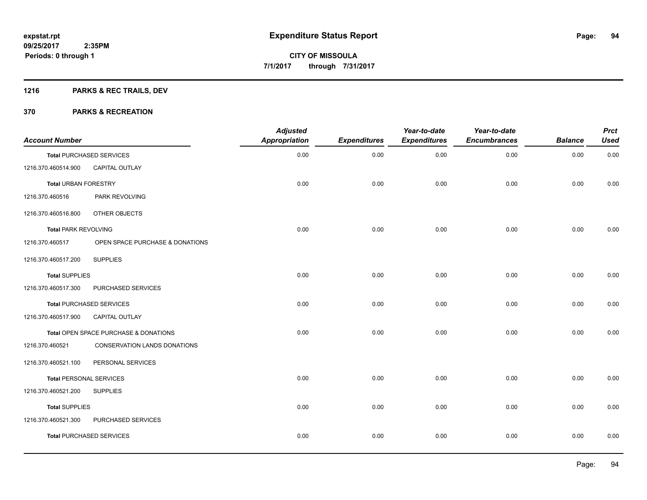# **1216 PARKS & REC TRAILS, DEV**

| <b>Account Number</b>          |                                       | <b>Adjusted</b><br><b>Appropriation</b> | <b>Expenditures</b> | Year-to-date<br><b>Expenditures</b> | Year-to-date<br><b>Encumbrances</b> | <b>Balance</b> | <b>Prct</b><br><b>Used</b> |
|--------------------------------|---------------------------------------|-----------------------------------------|---------------------|-------------------------------------|-------------------------------------|----------------|----------------------------|
|                                | <b>Total PURCHASED SERVICES</b>       | 0.00                                    | 0.00                | 0.00                                | 0.00                                | 0.00           | 0.00                       |
| 1216.370.460514.900            | CAPITAL OUTLAY                        |                                         |                     |                                     |                                     |                |                            |
| <b>Total URBAN FORESTRY</b>    |                                       | 0.00                                    | 0.00                | 0.00                                | 0.00                                | 0.00           | 0.00                       |
| 1216.370.460516                | <b>PARK REVOLVING</b>                 |                                         |                     |                                     |                                     |                |                            |
| 1216.370.460516.800            | OTHER OBJECTS                         |                                         |                     |                                     |                                     |                |                            |
| <b>Total PARK REVOLVING</b>    |                                       | 0.00                                    | 0.00                | 0.00                                | 0.00                                | 0.00           | 0.00                       |
| 1216.370.460517                | OPEN SPACE PURCHASE & DONATIONS       |                                         |                     |                                     |                                     |                |                            |
| 1216.370.460517.200            | <b>SUPPLIES</b>                       |                                         |                     |                                     |                                     |                |                            |
| <b>Total SUPPLIES</b>          |                                       | 0.00                                    | 0.00                | 0.00                                | 0.00                                | 0.00           | 0.00                       |
| 1216.370.460517.300            | PURCHASED SERVICES                    |                                         |                     |                                     |                                     |                |                            |
|                                | Total PURCHASED SERVICES              | 0.00                                    | 0.00                | 0.00                                | 0.00                                | 0.00           | 0.00                       |
| 1216.370.460517.900            | <b>CAPITAL OUTLAY</b>                 |                                         |                     |                                     |                                     |                |                            |
|                                | Total OPEN SPACE PURCHASE & DONATIONS | 0.00                                    | 0.00                | 0.00                                | 0.00                                | 0.00           | 0.00                       |
| 1216.370.460521                | <b>CONSERVATION LANDS DONATIONS</b>   |                                         |                     |                                     |                                     |                |                            |
| 1216.370.460521.100            | PERSONAL SERVICES                     |                                         |                     |                                     |                                     |                |                            |
| <b>Total PERSONAL SERVICES</b> |                                       | 0.00                                    | 0.00                | 0.00                                | 0.00                                | 0.00           | 0.00                       |
| 1216.370.460521.200            | <b>SUPPLIES</b>                       |                                         |                     |                                     |                                     |                |                            |
| <b>Total SUPPLIES</b>          |                                       | 0.00                                    | 0.00                | 0.00                                | 0.00                                | 0.00           | 0.00                       |
| 1216.370.460521.300            | PURCHASED SERVICES                    |                                         |                     |                                     |                                     |                |                            |
|                                | <b>Total PURCHASED SERVICES</b>       | 0.00                                    | 0.00                | 0.00                                | 0.00                                | 0.00           | 0.00                       |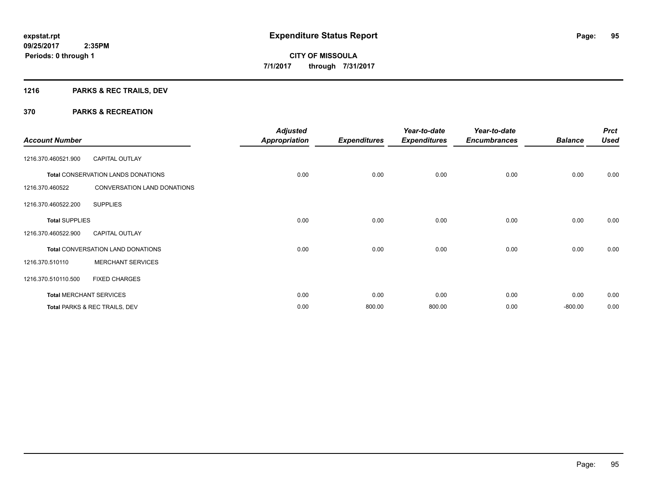# **1216 PARKS & REC TRAILS, DEV**

| <b>Account Number</b> |                                           | <b>Adjusted</b><br>Appropriation | <b>Expenditures</b> | Year-to-date<br><b>Expenditures</b> | Year-to-date<br><b>Encumbrances</b> | <b>Balance</b> | <b>Prct</b><br><b>Used</b> |
|-----------------------|-------------------------------------------|----------------------------------|---------------------|-------------------------------------|-------------------------------------|----------------|----------------------------|
| 1216.370.460521.900   | <b>CAPITAL OUTLAY</b>                     |                                  |                     |                                     |                                     |                |                            |
|                       | <b>Total CONSERVATION LANDS DONATIONS</b> | 0.00                             | 0.00                | 0.00                                | 0.00                                | 0.00           | 0.00                       |
| 1216.370.460522       | <b>CONVERSATION LAND DONATIONS</b>        |                                  |                     |                                     |                                     |                |                            |
| 1216.370.460522.200   | <b>SUPPLIES</b>                           |                                  |                     |                                     |                                     |                |                            |
| <b>Total SUPPLIES</b> |                                           | 0.00                             | 0.00                | 0.00                                | 0.00                                | 0.00           | 0.00                       |
| 1216.370.460522.900   | <b>CAPITAL OUTLAY</b>                     |                                  |                     |                                     |                                     |                |                            |
|                       | <b>Total CONVERSATION LAND DONATIONS</b>  | 0.00                             | 0.00                | 0.00                                | 0.00                                | 0.00           | 0.00                       |
| 1216.370.510110       | <b>MERCHANT SERVICES</b>                  |                                  |                     |                                     |                                     |                |                            |
| 1216.370.510110.500   | <b>FIXED CHARGES</b>                      |                                  |                     |                                     |                                     |                |                            |
|                       | <b>Total MERCHANT SERVICES</b>            | 0.00                             | 0.00                | 0.00                                | 0.00                                | 0.00           | 0.00                       |
|                       | Total PARKS & REC TRAILS, DEV             | 0.00                             | 800.00              | 800.00                              | 0.00                                | $-800.00$      | 0.00                       |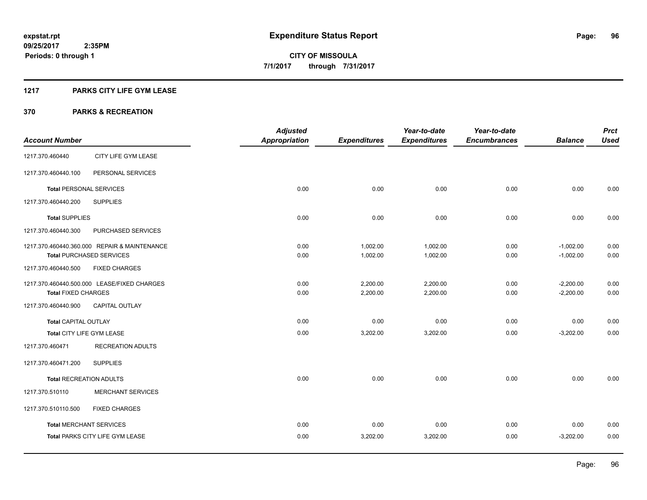#### **1217 PARKS CITY LIFE GYM LEASE**

|                                |                                              | <b>Adjusted</b>      |                     | Year-to-date        | Year-to-date        |                | <b>Prct</b> |
|--------------------------------|----------------------------------------------|----------------------|---------------------|---------------------|---------------------|----------------|-------------|
| <b>Account Number</b>          |                                              | <b>Appropriation</b> | <b>Expenditures</b> | <b>Expenditures</b> | <b>Encumbrances</b> | <b>Balance</b> | <b>Used</b> |
| 1217.370.460440                | CITY LIFE GYM LEASE                          |                      |                     |                     |                     |                |             |
| 1217.370.460440.100            | PERSONAL SERVICES                            |                      |                     |                     |                     |                |             |
| <b>Total PERSONAL SERVICES</b> |                                              | 0.00                 | 0.00                | 0.00                | 0.00                | 0.00           | 0.00        |
| 1217.370.460440.200            | <b>SUPPLIES</b>                              |                      |                     |                     |                     |                |             |
| <b>Total SUPPLIES</b>          |                                              | 0.00                 | 0.00                | 0.00                | 0.00                | 0.00           | 0.00        |
| 1217.370.460440.300            | PURCHASED SERVICES                           |                      |                     |                     |                     |                |             |
|                                | 1217.370.460440.360.000 REPAIR & MAINTENANCE | 0.00                 | 1,002.00            | 1,002.00            | 0.00                | $-1,002.00$    | 0.00        |
|                                | <b>Total PURCHASED SERVICES</b>              | 0.00                 | 1,002.00            | 1,002.00            | 0.00                | $-1,002.00$    | 0.00        |
| 1217.370.460440.500            | <b>FIXED CHARGES</b>                         |                      |                     |                     |                     |                |             |
|                                | 1217.370.460440.500.000 LEASE/FIXED CHARGES  | 0.00                 | 2,200.00            | 2,200.00            | 0.00                | $-2,200.00$    | 0.00        |
| <b>Total FIXED CHARGES</b>     |                                              | 0.00                 | 2,200.00            | 2,200.00            | 0.00                | $-2,200.00$    | 0.00        |
| 1217.370.460440.900            | CAPITAL OUTLAY                               |                      |                     |                     |                     |                |             |
| <b>Total CAPITAL OUTLAY</b>    |                                              | 0.00                 | 0.00                | 0.00                | 0.00                | 0.00           | 0.00        |
| Total CITY LIFE GYM LEASE      |                                              | 0.00                 | 3,202.00            | 3,202.00            | 0.00                | $-3,202.00$    | 0.00        |
| 1217.370.460471                | <b>RECREATION ADULTS</b>                     |                      |                     |                     |                     |                |             |
| 1217.370.460471.200            | <b>SUPPLIES</b>                              |                      |                     |                     |                     |                |             |
| <b>Total RECREATION ADULTS</b> |                                              | 0.00                 | 0.00                | 0.00                | 0.00                | 0.00           | 0.00        |
| 1217.370.510110                | <b>MERCHANT SERVICES</b>                     |                      |                     |                     |                     |                |             |
| 1217.370.510110.500            | <b>FIXED CHARGES</b>                         |                      |                     |                     |                     |                |             |
| <b>Total MERCHANT SERVICES</b> |                                              | 0.00                 | 0.00                | 0.00                | 0.00                | 0.00           | 0.00        |
|                                | Total PARKS CITY LIFE GYM LEASE              | 0.00                 | 3,202.00            | 3,202.00            | 0.00                | $-3,202.00$    | 0.00        |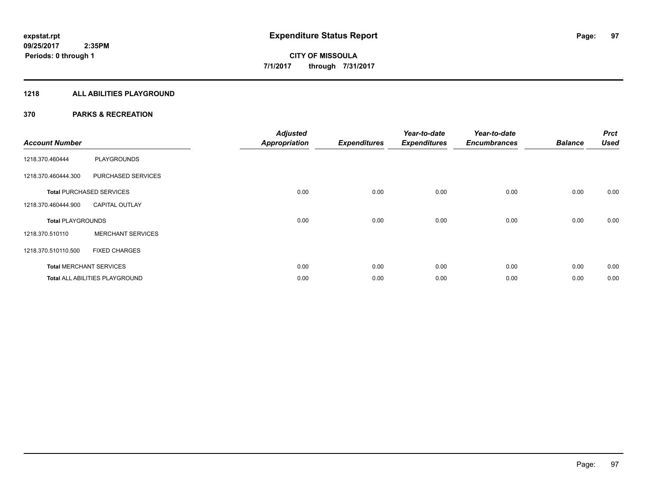### **1218 ALL ABILITIES PLAYGROUND**

| <b>Account Number</b>    |                                       | <b>Adjusted</b><br><b>Appropriation</b> | <b>Expenditures</b> | Year-to-date<br><b>Expenditures</b> | Year-to-date<br><b>Encumbrances</b> | <b>Balance</b> | <b>Prct</b><br><b>Used</b> |
|--------------------------|---------------------------------------|-----------------------------------------|---------------------|-------------------------------------|-------------------------------------|----------------|----------------------------|
| 1218.370.460444          | <b>PLAYGROUNDS</b>                    |                                         |                     |                                     |                                     |                |                            |
| 1218.370.460444.300      | PURCHASED SERVICES                    |                                         |                     |                                     |                                     |                |                            |
|                          | <b>Total PURCHASED SERVICES</b>       | 0.00                                    | 0.00                | 0.00                                | 0.00                                | 0.00           | 0.00                       |
| 1218.370.460444.900      | <b>CAPITAL OUTLAY</b>                 |                                         |                     |                                     |                                     |                |                            |
| <b>Total PLAYGROUNDS</b> |                                       | 0.00                                    | 0.00                | 0.00                                | 0.00                                | 0.00           | 0.00                       |
| 1218.370.510110          | <b>MERCHANT SERVICES</b>              |                                         |                     |                                     |                                     |                |                            |
| 1218.370.510110.500      | <b>FIXED CHARGES</b>                  |                                         |                     |                                     |                                     |                |                            |
|                          | <b>Total MERCHANT SERVICES</b>        | 0.00                                    | 0.00                | 0.00                                | 0.00                                | 0.00           | 0.00                       |
|                          | <b>Total ALL ABILITIES PLAYGROUND</b> | 0.00                                    | 0.00                | 0.00                                | 0.00                                | 0.00           | 0.00                       |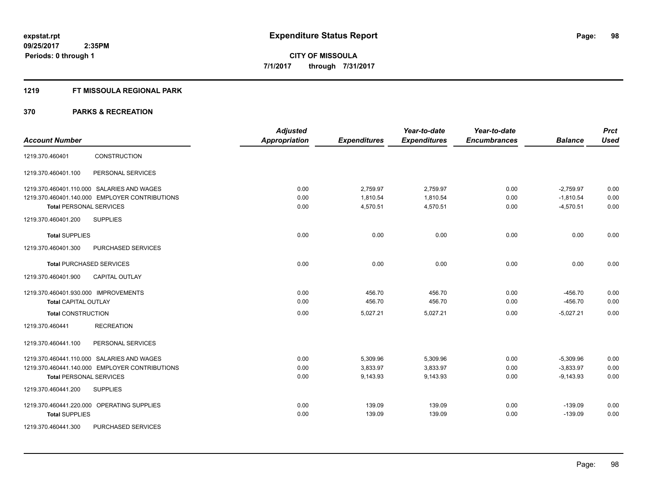### **1219 FT MISSOULA REGIONAL PARK**

|                                                | <b>Adjusted</b> |                     | Year-to-date        | Year-to-date        |                | <b>Prct</b> |
|------------------------------------------------|-----------------|---------------------|---------------------|---------------------|----------------|-------------|
| <b>Account Number</b>                          | Appropriation   | <b>Expenditures</b> | <b>Expenditures</b> | <b>Encumbrances</b> | <b>Balance</b> | <b>Used</b> |
| CONSTRUCTION<br>1219.370.460401                |                 |                     |                     |                     |                |             |
| PERSONAL SERVICES<br>1219.370.460401.100       |                 |                     |                     |                     |                |             |
| 1219.370.460401.110.000 SALARIES AND WAGES     | 0.00            | 2,759.97            | 2,759.97            | 0.00                | $-2,759.97$    | 0.00        |
| 1219.370.460401.140.000 EMPLOYER CONTRIBUTIONS | 0.00            | 1.810.54            | 1,810.54            | 0.00                | $-1,810.54$    | 0.00        |
| <b>Total PERSONAL SERVICES</b>                 | 0.00            | 4,570.51            | 4,570.51            | 0.00                | $-4,570.51$    | 0.00        |
| <b>SUPPLIES</b><br>1219.370.460401.200         |                 |                     |                     |                     |                |             |
| <b>Total SUPPLIES</b>                          | 0.00            | 0.00                | 0.00                | 0.00                | 0.00           | 0.00        |
| 1219.370.460401.300<br>PURCHASED SERVICES      |                 |                     |                     |                     |                |             |
| <b>Total PURCHASED SERVICES</b>                | 0.00            | 0.00                | 0.00                | 0.00                | 0.00           | 0.00        |
| 1219.370.460401.900<br><b>CAPITAL OUTLAY</b>   |                 |                     |                     |                     |                |             |
| 1219.370.460401.930.000 IMPROVEMENTS           | 0.00            | 456.70              | 456.70              | 0.00                | $-456.70$      | 0.00        |
| <b>Total CAPITAL OUTLAY</b>                    | 0.00            | 456.70              | 456.70              | 0.00                | $-456.70$      | 0.00        |
| <b>Total CONSTRUCTION</b>                      | 0.00            | 5,027.21            | 5,027.21            | 0.00                | $-5,027.21$    | 0.00        |
| <b>RECREATION</b><br>1219.370.460441           |                 |                     |                     |                     |                |             |
| PERSONAL SERVICES<br>1219.370.460441.100       |                 |                     |                     |                     |                |             |
| 1219.370.460441.110.000 SALARIES AND WAGES     | 0.00            | 5,309.96            | 5,309.96            | 0.00                | $-5,309.96$    | 0.00        |
| 1219.370.460441.140.000 EMPLOYER CONTRIBUTIONS | 0.00            | 3,833.97            | 3,833.97            | 0.00                | $-3,833.97$    | 0.00        |
| <b>Total PERSONAL SERVICES</b>                 | 0.00            | 9,143.93            | 9,143.93            | 0.00                | $-9,143.93$    | 0.00        |
| 1219.370.460441.200<br><b>SUPPLIES</b>         |                 |                     |                     |                     |                |             |
| 1219.370.460441.220.000 OPERATING SUPPLIES     | 0.00            | 139.09              | 139.09              | 0.00                | $-139.09$      | 0.00        |
| <b>Total SUPPLIES</b>                          | 0.00            | 139.09              | 139.09              | 0.00                | $-139.09$      | 0.00        |
| PURCHASED SERVICES<br>1219.370.460441.300      |                 |                     |                     |                     |                |             |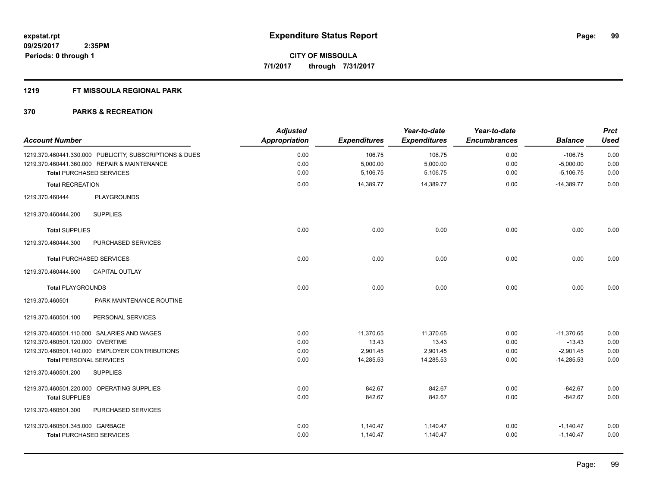#### **1219 FT MISSOULA REGIONAL PARK**

| <b>Account Number</b>            |                                                         | <b>Adjusted</b><br><b>Appropriation</b> | <b>Expenditures</b> | Year-to-date<br><b>Expenditures</b> | Year-to-date<br><b>Encumbrances</b> | <b>Balance</b> | <b>Prct</b><br><b>Used</b> |
|----------------------------------|---------------------------------------------------------|-----------------------------------------|---------------------|-------------------------------------|-------------------------------------|----------------|----------------------------|
|                                  | 1219.370.460441.330.000 PUBLICITY, SUBSCRIPTIONS & DUES | 0.00                                    | 106.75              | 106.75                              | 0.00                                | $-106.75$      | 0.00                       |
|                                  | 1219.370.460441.360.000 REPAIR & MAINTENANCE            | 0.00                                    | 5,000.00            | 5,000.00                            | 0.00                                | $-5,000.00$    | 0.00                       |
|                                  | <b>Total PURCHASED SERVICES</b>                         | 0.00                                    | 5,106.75            | 5,106.75                            | 0.00                                | $-5,106.75$    | 0.00                       |
| <b>Total RECREATION</b>          |                                                         | 0.00                                    | 14,389.77           | 14,389.77                           | 0.00                                | $-14.389.77$   | 0.00                       |
| 1219.370.460444                  | <b>PLAYGROUNDS</b>                                      |                                         |                     |                                     |                                     |                |                            |
| 1219.370.460444.200              | <b>SUPPLIES</b>                                         |                                         |                     |                                     |                                     |                |                            |
| <b>Total SUPPLIES</b>            |                                                         | 0.00                                    | 0.00                | 0.00                                | 0.00                                | 0.00           | 0.00                       |
| 1219.370.460444.300              | PURCHASED SERVICES                                      |                                         |                     |                                     |                                     |                |                            |
|                                  | <b>Total PURCHASED SERVICES</b>                         | 0.00                                    | 0.00                | 0.00                                | 0.00                                | 0.00           | 0.00                       |
| 1219.370.460444.900              | <b>CAPITAL OUTLAY</b>                                   |                                         |                     |                                     |                                     |                |                            |
| <b>Total PLAYGROUNDS</b>         |                                                         | 0.00                                    | 0.00                | 0.00                                | 0.00                                | 0.00           | 0.00                       |
| 1219.370.460501                  | PARK MAINTENANCE ROUTINE                                |                                         |                     |                                     |                                     |                |                            |
| 1219.370.460501.100              | PERSONAL SERVICES                                       |                                         |                     |                                     |                                     |                |                            |
|                                  | 1219.370.460501.110.000 SALARIES AND WAGES              | 0.00                                    | 11,370.65           | 11,370.65                           | 0.00                                | $-11,370.65$   | 0.00                       |
| 1219.370.460501.120.000 OVERTIME |                                                         | 0.00                                    | 13.43               | 13.43                               | 0.00                                | $-13.43$       | 0.00                       |
|                                  | 1219.370.460501.140.000 EMPLOYER CONTRIBUTIONS          | 0.00                                    | 2,901.45            | 2,901.45                            | 0.00                                | $-2.901.45$    | 0.00                       |
| <b>Total PERSONAL SERVICES</b>   |                                                         | 0.00                                    | 14,285.53           | 14,285.53                           | 0.00                                | $-14,285.53$   | 0.00                       |
| 1219.370.460501.200              | <b>SUPPLIES</b>                                         |                                         |                     |                                     |                                     |                |                            |
|                                  | 1219.370.460501.220.000 OPERATING SUPPLIES              | 0.00                                    | 842.67              | 842.67                              | 0.00                                | $-842.67$      | 0.00                       |
| <b>Total SUPPLIES</b>            |                                                         | 0.00                                    | 842.67              | 842.67                              | 0.00                                | $-842.67$      | 0.00                       |
| 1219.370.460501.300              | PURCHASED SERVICES                                      |                                         |                     |                                     |                                     |                |                            |
| 1219.370.460501.345.000 GARBAGE  |                                                         | 0.00                                    | 1,140.47            | 1,140.47                            | 0.00                                | $-1,140.47$    | 0.00                       |
|                                  | <b>Total PURCHASED SERVICES</b>                         | 0.00                                    | 1,140.47            | 1,140.47                            | 0.00                                | $-1,140.47$    | 0.00                       |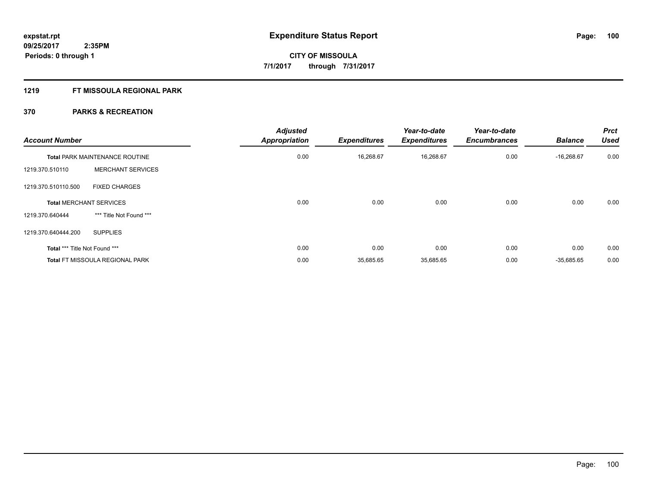### **1219 FT MISSOULA REGIONAL PARK**

| <b>Account Number</b>          |                                        | <b>Adjusted</b><br><b>Appropriation</b> | <b>Expenditures</b> | Year-to-date<br><b>Expenditures</b> | Year-to-date<br><b>Encumbrances</b> | <b>Balance</b> | <b>Prct</b><br><b>Used</b> |
|--------------------------------|----------------------------------------|-----------------------------------------|---------------------|-------------------------------------|-------------------------------------|----------------|----------------------------|
|                                | <b>Total PARK MAINTENANCE ROUTINE</b>  | 0.00                                    | 16,268.67           | 16,268.67                           | 0.00                                | $-16.268.67$   | 0.00                       |
| 1219.370.510110                | <b>MERCHANT SERVICES</b>               |                                         |                     |                                     |                                     |                |                            |
| 1219.370.510110.500            | <b>FIXED CHARGES</b>                   |                                         |                     |                                     |                                     |                |                            |
| <b>Total MERCHANT SERVICES</b> |                                        | 0.00                                    | 0.00                | 0.00                                | 0.00                                | 0.00           | 0.00                       |
| 1219.370.640444                | *** Title Not Found ***                |                                         |                     |                                     |                                     |                |                            |
| 1219.370.640444.200            | <b>SUPPLIES</b>                        |                                         |                     |                                     |                                     |                |                            |
| Total *** Title Not Found ***  |                                        | 0.00                                    | 0.00                | 0.00                                | 0.00                                | 0.00           | 0.00                       |
|                                | <b>Total FT MISSOULA REGIONAL PARK</b> | 0.00                                    | 35,685.65           | 35,685.65                           | 0.00                                | $-35,685.65$   | 0.00                       |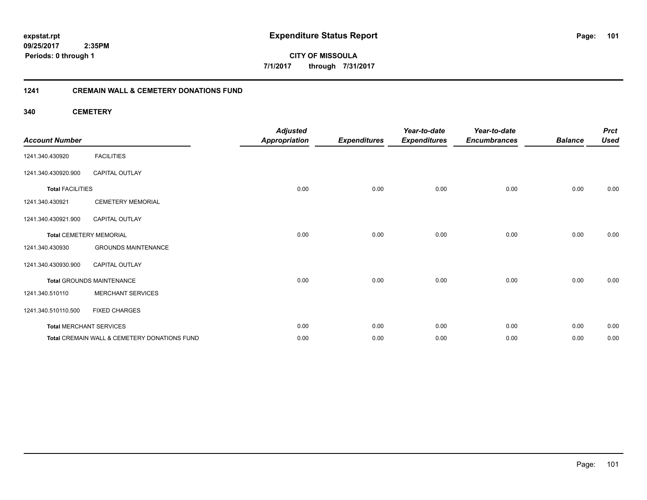**101**

**09/25/2017 2:35PM Periods: 0 through 1**

**CITY OF MISSOULA 7/1/2017 through 7/31/2017**

#### **1241 CREMAIN WALL & CEMETERY DONATIONS FUND**

**340 CEMETERY**

| <b>Account Number</b>   |                                              | <b>Adjusted</b><br><b>Appropriation</b> | <b>Expenditures</b> | Year-to-date<br><b>Expenditures</b> | Year-to-date<br><b>Encumbrances</b> | <b>Balance</b> | <b>Prct</b><br><b>Used</b> |
|-------------------------|----------------------------------------------|-----------------------------------------|---------------------|-------------------------------------|-------------------------------------|----------------|----------------------------|
| 1241.340.430920         | <b>FACILITIES</b>                            |                                         |                     |                                     |                                     |                |                            |
| 1241.340.430920.900     | <b>CAPITAL OUTLAY</b>                        |                                         |                     |                                     |                                     |                |                            |
| <b>Total FACILITIES</b> |                                              | 0.00                                    | 0.00                | 0.00                                | 0.00                                | 0.00           | 0.00                       |
| 1241.340.430921         | <b>CEMETERY MEMORIAL</b>                     |                                         |                     |                                     |                                     |                |                            |
| 1241.340.430921.900     | CAPITAL OUTLAY                               |                                         |                     |                                     |                                     |                |                            |
|                         | <b>Total CEMETERY MEMORIAL</b>               | 0.00                                    | 0.00                | 0.00                                | 0.00                                | 0.00           | 0.00                       |
| 1241.340.430930         | <b>GROUNDS MAINTENANCE</b>                   |                                         |                     |                                     |                                     |                |                            |
| 1241.340.430930.900     | CAPITAL OUTLAY                               |                                         |                     |                                     |                                     |                |                            |
|                         | <b>Total GROUNDS MAINTENANCE</b>             | 0.00                                    | 0.00                | 0.00                                | 0.00                                | 0.00           | 0.00                       |
| 1241.340.510110         | <b>MERCHANT SERVICES</b>                     |                                         |                     |                                     |                                     |                |                            |
| 1241.340.510110.500     | <b>FIXED CHARGES</b>                         |                                         |                     |                                     |                                     |                |                            |
|                         | <b>Total MERCHANT SERVICES</b>               | 0.00                                    | 0.00                | 0.00                                | 0.00                                | 0.00           | 0.00                       |
|                         | Total CREMAIN WALL & CEMETERY DONATIONS FUND | 0.00                                    | 0.00                | 0.00                                | 0.00                                | 0.00           | 0.00                       |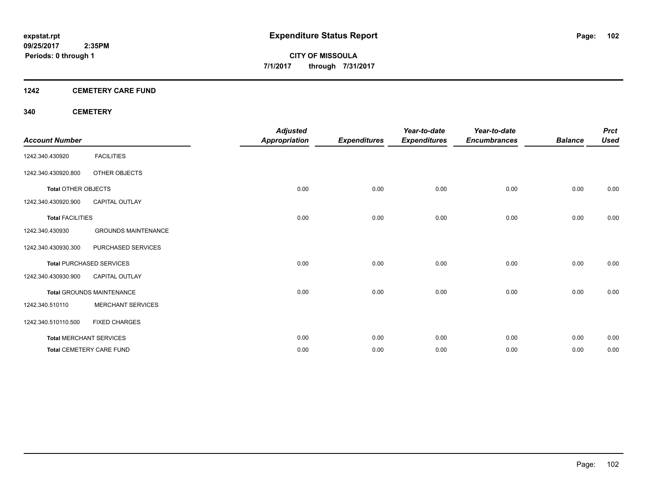#### **1242 CEMETERY CARE FUND**

#### **340 CEMETERY**

| <b>Account Number</b>      |                                  | <b>Adjusted</b><br><b>Appropriation</b> | <b>Expenditures</b> | Year-to-date<br><b>Expenditures</b> | Year-to-date<br><b>Encumbrances</b> | <b>Balance</b> | <b>Prct</b><br><b>Used</b> |
|----------------------------|----------------------------------|-----------------------------------------|---------------------|-------------------------------------|-------------------------------------|----------------|----------------------------|
| 1242.340.430920            | <b>FACILITIES</b>                |                                         |                     |                                     |                                     |                |                            |
| 1242.340.430920.800        | OTHER OBJECTS                    |                                         |                     |                                     |                                     |                |                            |
| <b>Total OTHER OBJECTS</b> |                                  | 0.00                                    | 0.00                | 0.00                                | 0.00                                | 0.00           | 0.00                       |
| 1242.340.430920.900        | <b>CAPITAL OUTLAY</b>            |                                         |                     |                                     |                                     |                |                            |
| <b>Total FACILITIES</b>    |                                  | 0.00                                    | 0.00                | 0.00                                | 0.00                                | 0.00           | 0.00                       |
| 1242.340.430930            | <b>GROUNDS MAINTENANCE</b>       |                                         |                     |                                     |                                     |                |                            |
| 1242.340.430930.300        | PURCHASED SERVICES               |                                         |                     |                                     |                                     |                |                            |
|                            | <b>Total PURCHASED SERVICES</b>  | 0.00                                    | 0.00                | 0.00                                | 0.00                                | 0.00           | 0.00                       |
| 1242.340.430930.900        | <b>CAPITAL OUTLAY</b>            |                                         |                     |                                     |                                     |                |                            |
|                            | <b>Total GROUNDS MAINTENANCE</b> | 0.00                                    | 0.00                | 0.00                                | 0.00                                | 0.00           | 0.00                       |
| 1242.340.510110            | <b>MERCHANT SERVICES</b>         |                                         |                     |                                     |                                     |                |                            |
| 1242.340.510110.500        | <b>FIXED CHARGES</b>             |                                         |                     |                                     |                                     |                |                            |
|                            | <b>Total MERCHANT SERVICES</b>   | 0.00                                    | 0.00                | 0.00                                | 0.00                                | 0.00           | 0.00                       |
|                            | <b>Total CEMETERY CARE FUND</b>  | 0.00                                    | 0.00                | 0.00                                | 0.00                                | 0.00           | 0.00                       |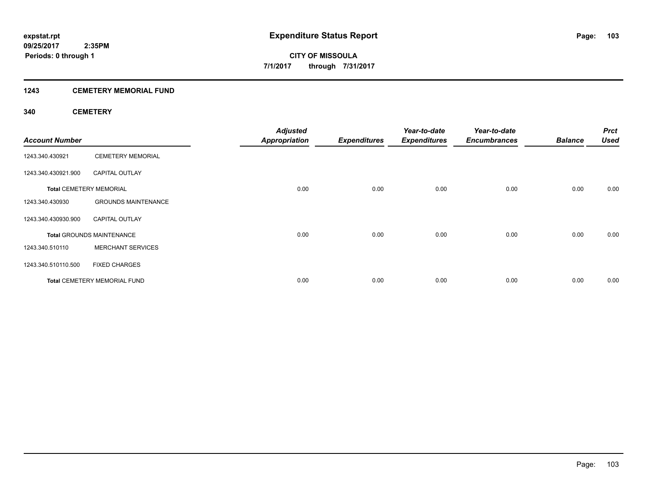#### **1243 CEMETERY MEMORIAL FUND**

#### **340 CEMETERY**

| <b>Account Number</b> |                                     | <b>Adjusted</b><br><b>Appropriation</b> | <b>Expenditures</b> | Year-to-date<br><b>Expenditures</b> | Year-to-date<br><b>Encumbrances</b> | <b>Balance</b> | <b>Prct</b><br><b>Used</b> |
|-----------------------|-------------------------------------|-----------------------------------------|---------------------|-------------------------------------|-------------------------------------|----------------|----------------------------|
| 1243.340.430921       | <b>CEMETERY MEMORIAL</b>            |                                         |                     |                                     |                                     |                |                            |
| 1243.340.430921.900   | <b>CAPITAL OUTLAY</b>               |                                         |                     |                                     |                                     |                |                            |
|                       | <b>Total CEMETERY MEMORIAL</b>      | 0.00                                    | 0.00                | 0.00                                | 0.00                                | 0.00           | 0.00                       |
| 1243.340.430930       | <b>GROUNDS MAINTENANCE</b>          |                                         |                     |                                     |                                     |                |                            |
| 1243.340.430930.900   | <b>CAPITAL OUTLAY</b>               |                                         |                     |                                     |                                     |                |                            |
|                       | <b>Total GROUNDS MAINTENANCE</b>    | 0.00                                    | 0.00                | 0.00                                | 0.00                                | 0.00           | 0.00                       |
| 1243.340.510110       | <b>MERCHANT SERVICES</b>            |                                         |                     |                                     |                                     |                |                            |
| 1243.340.510110.500   | <b>FIXED CHARGES</b>                |                                         |                     |                                     |                                     |                |                            |
|                       | <b>Total CEMETERY MEMORIAL FUND</b> | 0.00                                    | 0.00                | 0.00                                | 0.00                                | 0.00           | 0.00                       |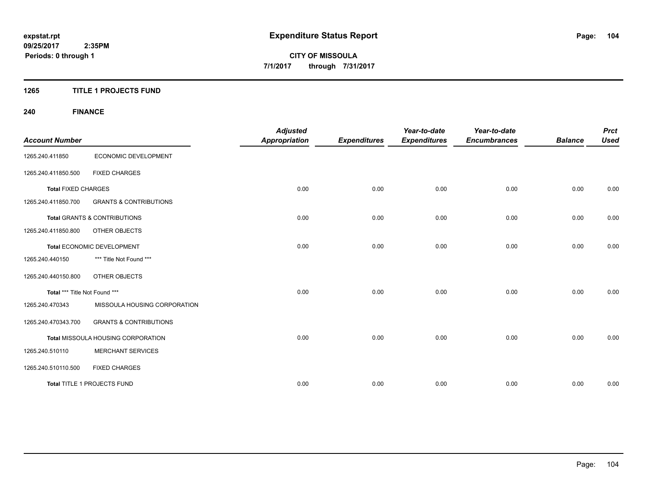#### **1265 TITLE 1 PROJECTS FUND**

# **240 FINANCE**

| <b>Account Number</b>         |                                         | <b>Adjusted</b><br><b>Appropriation</b> | <b>Expenditures</b> | Year-to-date<br><b>Expenditures</b> | Year-to-date<br><b>Encumbrances</b> | <b>Balance</b> | <b>Prct</b><br><b>Used</b> |
|-------------------------------|-----------------------------------------|-----------------------------------------|---------------------|-------------------------------------|-------------------------------------|----------------|----------------------------|
| 1265.240.411850               | ECONOMIC DEVELOPMENT                    |                                         |                     |                                     |                                     |                |                            |
| 1265.240.411850.500           | <b>FIXED CHARGES</b>                    |                                         |                     |                                     |                                     |                |                            |
| <b>Total FIXED CHARGES</b>    |                                         | 0.00                                    | 0.00                | 0.00                                | 0.00                                | 0.00           | 0.00                       |
| 1265.240.411850.700           | <b>GRANTS &amp; CONTRIBUTIONS</b>       |                                         |                     |                                     |                                     |                |                            |
|                               | <b>Total GRANTS &amp; CONTRIBUTIONS</b> | 0.00                                    | 0.00                | 0.00                                | 0.00                                | 0.00           | 0.00                       |
| 1265.240.411850.800           | OTHER OBJECTS                           |                                         |                     |                                     |                                     |                |                            |
|                               | Total ECONOMIC DEVELOPMENT              | 0.00                                    | 0.00                | 0.00                                | 0.00                                | 0.00           | 0.00                       |
| 1265.240.440150               | *** Title Not Found ***                 |                                         |                     |                                     |                                     |                |                            |
| 1265.240.440150.800           | OTHER OBJECTS                           |                                         |                     |                                     |                                     |                |                            |
| Total *** Title Not Found *** |                                         | 0.00                                    | 0.00                | 0.00                                | 0.00                                | 0.00           | 0.00                       |
| 1265.240.470343               | MISSOULA HOUSING CORPORATION            |                                         |                     |                                     |                                     |                |                            |
| 1265.240.470343.700           | <b>GRANTS &amp; CONTRIBUTIONS</b>       |                                         |                     |                                     |                                     |                |                            |
|                               | Total MISSOULA HOUSING CORPORATION      | 0.00                                    | 0.00                | 0.00                                | 0.00                                | 0.00           | 0.00                       |
| 1265.240.510110               | <b>MERCHANT SERVICES</b>                |                                         |                     |                                     |                                     |                |                            |
| 1265.240.510110.500           | <b>FIXED CHARGES</b>                    |                                         |                     |                                     |                                     |                |                            |
|                               | Total TITLE 1 PROJECTS FUND             | 0.00                                    | 0.00                | 0.00                                | 0.00                                | 0.00           | 0.00                       |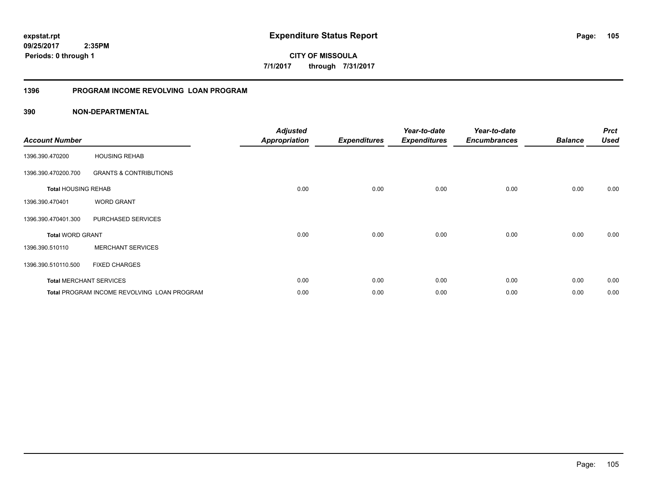**09/25/2017 2:35PM Periods: 0 through 1**

**CITY OF MISSOULA 7/1/2017 through 7/31/2017**

#### **1396 PROGRAM INCOME REVOLVING LOAN PROGRAM**

|                            |                                                    | <b>Adjusted</b>      |                     | Year-to-date        | Year-to-date        |                | <b>Prct</b> |
|----------------------------|----------------------------------------------------|----------------------|---------------------|---------------------|---------------------|----------------|-------------|
| <b>Account Number</b>      |                                                    | <b>Appropriation</b> | <b>Expenditures</b> | <b>Expenditures</b> | <b>Encumbrances</b> | <b>Balance</b> | <b>Used</b> |
| 1396.390.470200            | <b>HOUSING REHAB</b>                               |                      |                     |                     |                     |                |             |
| 1396.390.470200.700        | <b>GRANTS &amp; CONTRIBUTIONS</b>                  |                      |                     |                     |                     |                |             |
| <b>Total HOUSING REHAB</b> |                                                    | 0.00                 | 0.00                | 0.00                | 0.00                | 0.00           | 0.00        |
| 1396.390.470401            | <b>WORD GRANT</b>                                  |                      |                     |                     |                     |                |             |
| 1396.390.470401.300        | PURCHASED SERVICES                                 |                      |                     |                     |                     |                |             |
| <b>Total WORD GRANT</b>    |                                                    | 0.00                 | 0.00                | 0.00                | 0.00                | 0.00           | 0.00        |
| 1396.390.510110            | <b>MERCHANT SERVICES</b>                           |                      |                     |                     |                     |                |             |
| 1396.390.510110.500        | <b>FIXED CHARGES</b>                               |                      |                     |                     |                     |                |             |
|                            | <b>Total MERCHANT SERVICES</b>                     | 0.00                 | 0.00                | 0.00                | 0.00                | 0.00           | 0.00        |
|                            | <b>Total PROGRAM INCOME REVOLVING LOAN PROGRAM</b> | 0.00                 | 0.00                | 0.00                | 0.00                | 0.00           | 0.00        |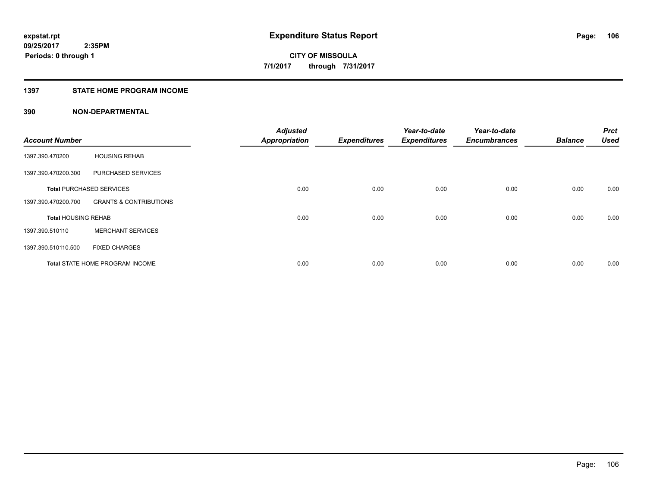#### **1397 STATE HOME PROGRAM INCOME**

| <b>Account Number</b>      |                                        | <b>Adjusted</b><br><b>Appropriation</b> | <b>Expenditures</b> | Year-to-date<br><b>Expenditures</b> | Year-to-date<br><b>Encumbrances</b> | <b>Balance</b> | <b>Prct</b><br><b>Used</b> |
|----------------------------|----------------------------------------|-----------------------------------------|---------------------|-------------------------------------|-------------------------------------|----------------|----------------------------|
| 1397.390.470200            | <b>HOUSING REHAB</b>                   |                                         |                     |                                     |                                     |                |                            |
| 1397.390.470200.300        | PURCHASED SERVICES                     |                                         |                     |                                     |                                     |                |                            |
|                            | <b>Total PURCHASED SERVICES</b>        | 0.00                                    | 0.00                | 0.00                                | 0.00                                | 0.00           | 0.00                       |
| 1397.390.470200.700        | <b>GRANTS &amp; CONTRIBUTIONS</b>      |                                         |                     |                                     |                                     |                |                            |
| <b>Total HOUSING REHAB</b> |                                        | 0.00                                    | 0.00                | 0.00                                | 0.00                                | 0.00           | 0.00                       |
| 1397.390.510110            | <b>MERCHANT SERVICES</b>               |                                         |                     |                                     |                                     |                |                            |
| 1397.390.510110.500        | <b>FIXED CHARGES</b>                   |                                         |                     |                                     |                                     |                |                            |
|                            | <b>Total STATE HOME PROGRAM INCOME</b> | 0.00                                    | 0.00                | 0.00                                | 0.00                                | 0.00           | 0.00                       |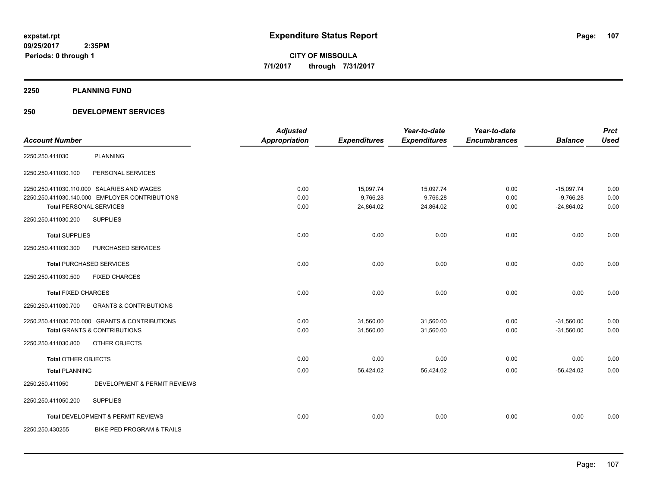#### **2250 PLANNING FUND**

#### **250 DEVELOPMENT SERVICES**

| <b>Account Number</b>          |                                                | <b>Adjusted</b><br><b>Appropriation</b> | <b>Expenditures</b> | Year-to-date<br><b>Expenditures</b> | Year-to-date<br><b>Encumbrances</b> | <b>Balance</b> | <b>Prct</b><br><b>Used</b> |
|--------------------------------|------------------------------------------------|-----------------------------------------|---------------------|-------------------------------------|-------------------------------------|----------------|----------------------------|
|                                |                                                |                                         |                     |                                     |                                     |                |                            |
| 2250.250.411030                | <b>PLANNING</b>                                |                                         |                     |                                     |                                     |                |                            |
| 2250.250.411030.100            | PERSONAL SERVICES                              |                                         |                     |                                     |                                     |                |                            |
|                                | 2250.250.411030.110.000 SALARIES AND WAGES     | 0.00                                    | 15,097.74           | 15,097.74                           | 0.00                                | $-15,097.74$   | 0.00                       |
|                                | 2250.250.411030.140.000 EMPLOYER CONTRIBUTIONS | 0.00                                    | 9,766.28            | 9,766.28                            | 0.00                                | $-9,766.28$    | 0.00                       |
| <b>Total PERSONAL SERVICES</b> |                                                | 0.00                                    | 24,864.02           | 24,864.02                           | 0.00                                | $-24,864.02$   | 0.00                       |
| 2250.250.411030.200            | <b>SUPPLIES</b>                                |                                         |                     |                                     |                                     |                |                            |
| <b>Total SUPPLIES</b>          |                                                | 0.00                                    | 0.00                | 0.00                                | 0.00                                | 0.00           | 0.00                       |
| 2250.250.411030.300            | PURCHASED SERVICES                             |                                         |                     |                                     |                                     |                |                            |
|                                | <b>Total PURCHASED SERVICES</b>                | 0.00                                    | 0.00                | 0.00                                | 0.00                                | 0.00           | 0.00                       |
| 2250.250.411030.500            | <b>FIXED CHARGES</b>                           |                                         |                     |                                     |                                     |                |                            |
| <b>Total FIXED CHARGES</b>     |                                                | 0.00                                    | 0.00                | 0.00                                | 0.00                                | 0.00           | 0.00                       |
| 2250.250.411030.700            | <b>GRANTS &amp; CONTRIBUTIONS</b>              |                                         |                     |                                     |                                     |                |                            |
|                                | 2250.250.411030.700.000 GRANTS & CONTRIBUTIONS | 0.00                                    | 31,560.00           | 31,560.00                           | 0.00                                | $-31,560.00$   | 0.00                       |
|                                | <b>Total GRANTS &amp; CONTRIBUTIONS</b>        | 0.00                                    | 31,560.00           | 31,560.00                           | 0.00                                | $-31,560.00$   | 0.00                       |
| 2250.250.411030.800            | OTHER OBJECTS                                  |                                         |                     |                                     |                                     |                |                            |
| <b>Total OTHER OBJECTS</b>     |                                                | 0.00                                    | 0.00                | 0.00                                | 0.00                                | 0.00           | 0.00                       |
| <b>Total PLANNING</b>          |                                                | 0.00                                    | 56,424.02           | 56,424.02                           | 0.00                                | $-56,424.02$   | 0.00                       |
| 2250.250.411050                | DEVELOPMENT & PERMIT REVIEWS                   |                                         |                     |                                     |                                     |                |                            |
| 2250.250.411050.200            | <b>SUPPLIES</b>                                |                                         |                     |                                     |                                     |                |                            |
|                                | <b>Total DEVELOPMENT &amp; PERMIT REVIEWS</b>  | 0.00                                    | 0.00                | 0.00                                | 0.00                                | 0.00           | 0.00                       |
| 2250.250.430255                | BIKE-PED PROGRAM & TRAILS                      |                                         |                     |                                     |                                     |                |                            |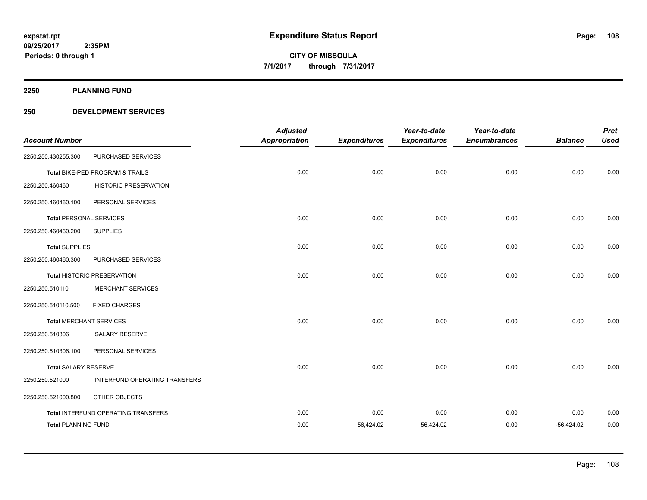**2250 PLANNING FUND**

#### **250 DEVELOPMENT SERVICES**

| <b>Account Number</b>          |                                     | <b>Adjusted</b><br><b>Appropriation</b> | <b>Expenditures</b> | Year-to-date<br><b>Expenditures</b> | Year-to-date<br><b>Encumbrances</b> | <b>Balance</b> | <b>Prct</b><br><b>Used</b> |
|--------------------------------|-------------------------------------|-----------------------------------------|---------------------|-------------------------------------|-------------------------------------|----------------|----------------------------|
| 2250.250.430255.300            | PURCHASED SERVICES                  |                                         |                     |                                     |                                     |                |                            |
|                                | Total BIKE-PED PROGRAM & TRAILS     | 0.00                                    | 0.00                | 0.00                                | 0.00                                | 0.00           | 0.00                       |
| 2250.250.460460                | <b>HISTORIC PRESERVATION</b>        |                                         |                     |                                     |                                     |                |                            |
| 2250.250.460460.100            | PERSONAL SERVICES                   |                                         |                     |                                     |                                     |                |                            |
| <b>Total PERSONAL SERVICES</b> |                                     | 0.00                                    | 0.00                | 0.00                                | 0.00                                | 0.00           | 0.00                       |
| 2250.250.460460.200            | <b>SUPPLIES</b>                     |                                         |                     |                                     |                                     |                |                            |
| <b>Total SUPPLIES</b>          |                                     | 0.00                                    | 0.00                | 0.00                                | 0.00                                | 0.00           | 0.00                       |
| 2250.250.460460.300            | PURCHASED SERVICES                  |                                         |                     |                                     |                                     |                |                            |
|                                | <b>Total HISTORIC PRESERVATION</b>  | 0.00                                    | 0.00                | 0.00                                | 0.00                                | 0.00           | 0.00                       |
| 2250.250.510110                | MERCHANT SERVICES                   |                                         |                     |                                     |                                     |                |                            |
| 2250.250.510110.500            | <b>FIXED CHARGES</b>                |                                         |                     |                                     |                                     |                |                            |
|                                | <b>Total MERCHANT SERVICES</b>      | 0.00                                    | 0.00                | 0.00                                | 0.00                                | 0.00           | 0.00                       |
| 2250.250.510306                | SALARY RESERVE                      |                                         |                     |                                     |                                     |                |                            |
| 2250.250.510306.100            | PERSONAL SERVICES                   |                                         |                     |                                     |                                     |                |                            |
| <b>Total SALARY RESERVE</b>    |                                     | 0.00                                    | 0.00                | 0.00                                | 0.00                                | 0.00           | 0.00                       |
| 2250.250.521000                | INTERFUND OPERATING TRANSFERS       |                                         |                     |                                     |                                     |                |                            |
| 2250.250.521000.800            | OTHER OBJECTS                       |                                         |                     |                                     |                                     |                |                            |
|                                | Total INTERFUND OPERATING TRANSFERS | 0.00                                    | 0.00                | 0.00                                | 0.00                                | 0.00           | 0.00                       |
| <b>Total PLANNING FUND</b>     |                                     | 0.00                                    | 56,424.02           | 56,424.02                           | 0.00                                | $-56,424.02$   | 0.00                       |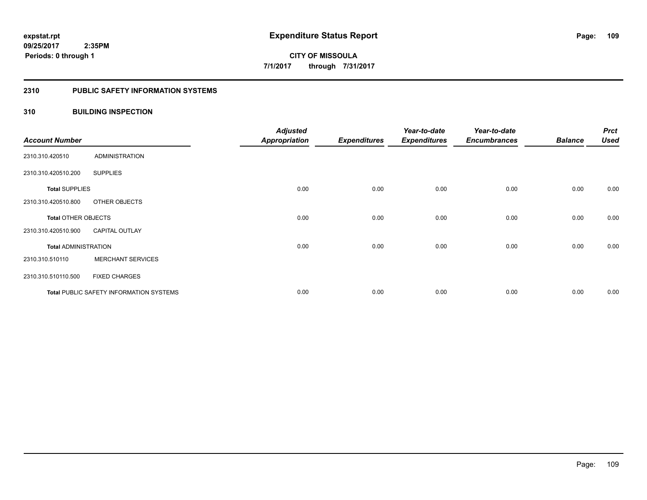#### **2310 PUBLIC SAFETY INFORMATION SYSTEMS**

# **310 BUILDING INSPECTION**

| <b>Account Number</b>       |                                                | <b>Adjusted</b><br><b>Appropriation</b> | <b>Expenditures</b> | Year-to-date<br><b>Expenditures</b> | Year-to-date<br><b>Encumbrances</b> | <b>Balance</b> | <b>Prct</b><br><b>Used</b> |
|-----------------------------|------------------------------------------------|-----------------------------------------|---------------------|-------------------------------------|-------------------------------------|----------------|----------------------------|
| 2310.310.420510             | <b>ADMINISTRATION</b>                          |                                         |                     |                                     |                                     |                |                            |
| 2310.310.420510.200         | <b>SUPPLIES</b>                                |                                         |                     |                                     |                                     |                |                            |
| <b>Total SUPPLIES</b>       |                                                | 0.00                                    | 0.00                | 0.00                                | 0.00                                | 0.00           | 0.00                       |
| 2310.310.420510.800         | OTHER OBJECTS                                  |                                         |                     |                                     |                                     |                |                            |
| <b>Total OTHER OBJECTS</b>  |                                                | 0.00                                    | 0.00                | 0.00                                | 0.00                                | 0.00           | 0.00                       |
| 2310.310.420510.900         | <b>CAPITAL OUTLAY</b>                          |                                         |                     |                                     |                                     |                |                            |
| <b>Total ADMINISTRATION</b> |                                                | 0.00                                    | 0.00                | 0.00                                | 0.00                                | 0.00           | 0.00                       |
| 2310.310.510110             | <b>MERCHANT SERVICES</b>                       |                                         |                     |                                     |                                     |                |                            |
| 2310.310.510110.500         | <b>FIXED CHARGES</b>                           |                                         |                     |                                     |                                     |                |                            |
|                             | <b>Total PUBLIC SAFETY INFORMATION SYSTEMS</b> | 0.00                                    | 0.00                | 0.00                                | 0.00                                | 0.00           | 0.00                       |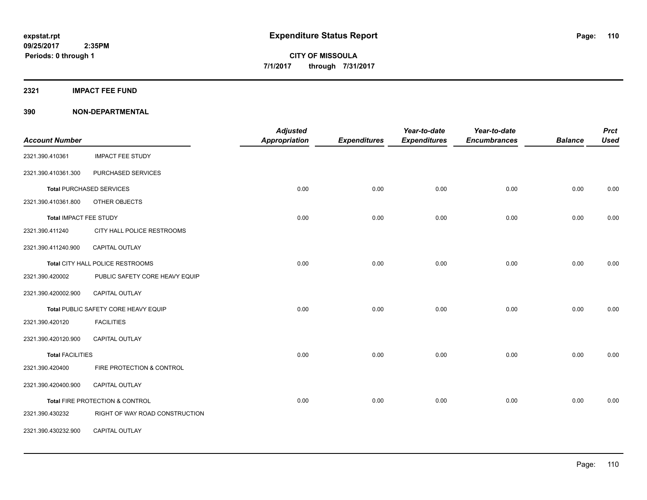**2321 IMPACT FEE FUND**

| <b>Account Number</b>   |                                      | <b>Adjusted</b><br><b>Appropriation</b> | <b>Expenditures</b> | Year-to-date<br><b>Expenditures</b> | Year-to-date<br><b>Encumbrances</b> | <b>Balance</b> | <b>Prct</b><br><b>Used</b> |
|-------------------------|--------------------------------------|-----------------------------------------|---------------------|-------------------------------------|-------------------------------------|----------------|----------------------------|
| 2321.390.410361         | <b>IMPACT FEE STUDY</b>              |                                         |                     |                                     |                                     |                |                            |
| 2321.390.410361.300     | PURCHASED SERVICES                   |                                         |                     |                                     |                                     |                |                            |
|                         | <b>Total PURCHASED SERVICES</b>      | 0.00                                    | 0.00                | 0.00                                | 0.00                                | 0.00           | 0.00                       |
| 2321.390.410361.800     | OTHER OBJECTS                        |                                         |                     |                                     |                                     |                |                            |
| Total IMPACT FEE STUDY  |                                      | 0.00                                    | 0.00                | 0.00                                | 0.00                                | 0.00           | 0.00                       |
| 2321.390.411240         | CITY HALL POLICE RESTROOMS           |                                         |                     |                                     |                                     |                |                            |
| 2321.390.411240.900     | CAPITAL OUTLAY                       |                                         |                     |                                     |                                     |                |                            |
|                         | Total CITY HALL POLICE RESTROOMS     | 0.00                                    | 0.00                | 0.00                                | 0.00                                | 0.00           | 0.00                       |
| 2321.390.420002         | PUBLIC SAFETY CORE HEAVY EQUIP       |                                         |                     |                                     |                                     |                |                            |
| 2321.390.420002.900     | CAPITAL OUTLAY                       |                                         |                     |                                     |                                     |                |                            |
|                         | Total PUBLIC SAFETY CORE HEAVY EQUIP | 0.00                                    | 0.00                | 0.00                                | 0.00                                | 0.00           | 0.00                       |
| 2321.390.420120         | <b>FACILITIES</b>                    |                                         |                     |                                     |                                     |                |                            |
| 2321.390.420120.900     | <b>CAPITAL OUTLAY</b>                |                                         |                     |                                     |                                     |                |                            |
| <b>Total FACILITIES</b> |                                      | 0.00                                    | 0.00                | 0.00                                | 0.00                                | 0.00           | 0.00                       |
| 2321.390.420400         | FIRE PROTECTION & CONTROL            |                                         |                     |                                     |                                     |                |                            |
| 2321.390.420400.900     | CAPITAL OUTLAY                       |                                         |                     |                                     |                                     |                |                            |
|                         | Total FIRE PROTECTION & CONTROL      | 0.00                                    | 0.00                | 0.00                                | 0.00                                | 0.00           | 0.00                       |
| 2321.390.430232         | RIGHT OF WAY ROAD CONSTRUCTION       |                                         |                     |                                     |                                     |                |                            |
| 2321.390.430232.900     | CAPITAL OUTLAY                       |                                         |                     |                                     |                                     |                |                            |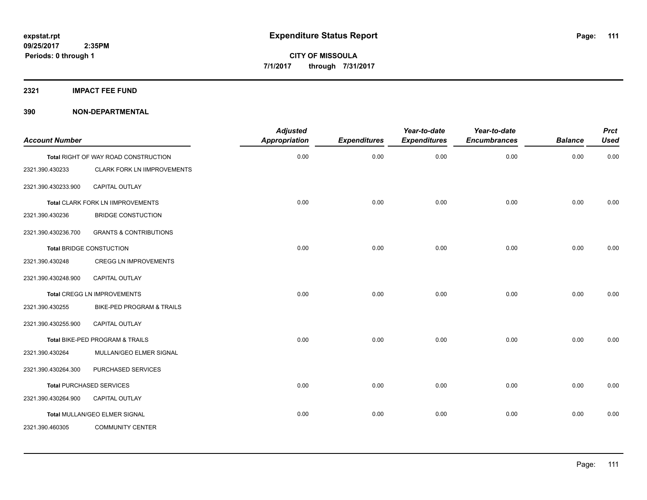**2321 IMPACT FEE FUND**

| <b>Account Number</b> |                                      | <b>Adjusted</b><br><b>Appropriation</b> | <b>Expenditures</b> | Year-to-date<br><b>Expenditures</b> | Year-to-date<br><b>Encumbrances</b> | <b>Balance</b> | <b>Prct</b><br><b>Used</b> |
|-----------------------|--------------------------------------|-----------------------------------------|---------------------|-------------------------------------|-------------------------------------|----------------|----------------------------|
|                       | Total RIGHT OF WAY ROAD CONSTRUCTION | 0.00                                    | 0.00                | 0.00                                | 0.00                                | 0.00           | 0.00                       |
| 2321.390.430233       | <b>CLARK FORK LN IIMPROVEMENTS</b>   |                                         |                     |                                     |                                     |                |                            |
| 2321.390.430233.900   | <b>CAPITAL OUTLAY</b>                |                                         |                     |                                     |                                     |                |                            |
|                       | Total CLARK FORK LN IIMPROVEMENTS    | 0.00                                    | 0.00                | 0.00                                | 0.00                                | 0.00           | 0.00                       |
| 2321.390.430236       | <b>BRIDGE CONSTUCTION</b>            |                                         |                     |                                     |                                     |                |                            |
| 2321.390.430236.700   | <b>GRANTS &amp; CONTRIBUTIONS</b>    |                                         |                     |                                     |                                     |                |                            |
|                       | <b>Total BRIDGE CONSTUCTION</b>      | 0.00                                    | 0.00                | 0.00                                | 0.00                                | 0.00           | 0.00                       |
| 2321.390.430248       | <b>CREGG LN IMPROVEMENTS</b>         |                                         |                     |                                     |                                     |                |                            |
| 2321.390.430248.900   | <b>CAPITAL OUTLAY</b>                |                                         |                     |                                     |                                     |                |                            |
|                       | Total CREGG LN IMPROVEMENTS          | 0.00                                    | 0.00                | 0.00                                | 0.00                                | 0.00           | 0.00                       |
| 2321.390.430255       | BIKE-PED PROGRAM & TRAILS            |                                         |                     |                                     |                                     |                |                            |
| 2321.390.430255.900   | CAPITAL OUTLAY                       |                                         |                     |                                     |                                     |                |                            |
|                       | Total BIKE-PED PROGRAM & TRAILS      | 0.00                                    | 0.00                | 0.00                                | 0.00                                | 0.00           | 0.00                       |
| 2321.390.430264       | MULLAN/GEO ELMER SIGNAL              |                                         |                     |                                     |                                     |                |                            |
| 2321.390.430264.300   | PURCHASED SERVICES                   |                                         |                     |                                     |                                     |                |                            |
|                       | <b>Total PURCHASED SERVICES</b>      | 0.00                                    | 0.00                | 0.00                                | 0.00                                | 0.00           | 0.00                       |
| 2321.390.430264.900   | CAPITAL OUTLAY                       |                                         |                     |                                     |                                     |                |                            |
|                       | Total MULLAN/GEO ELMER SIGNAL        | 0.00                                    | 0.00                | 0.00                                | 0.00                                | 0.00           | 0.00                       |
| 2321.390.460305       | <b>COMMUNITY CENTER</b>              |                                         |                     |                                     |                                     |                |                            |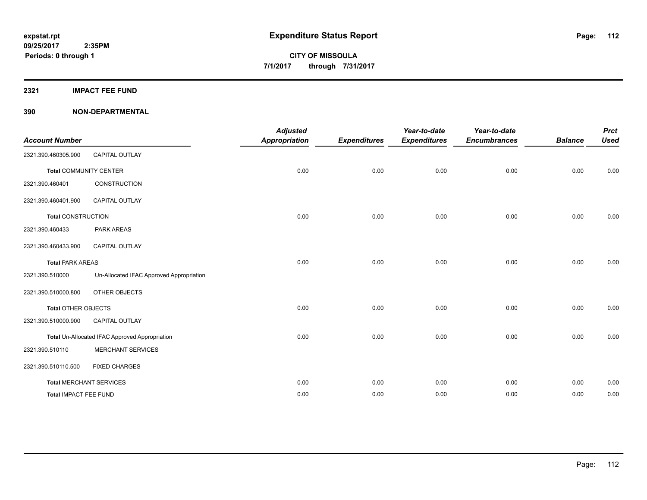**2321 IMPACT FEE FUND**

| <b>Account Number</b>         |                                                       | <b>Adjusted</b><br><b>Appropriation</b> | <b>Expenditures</b> | Year-to-date<br><b>Expenditures</b> | Year-to-date<br><b>Encumbrances</b> | <b>Balance</b> | <b>Prct</b><br><b>Used</b> |
|-------------------------------|-------------------------------------------------------|-----------------------------------------|---------------------|-------------------------------------|-------------------------------------|----------------|----------------------------|
| 2321.390.460305.900           | CAPITAL OUTLAY                                        |                                         |                     |                                     |                                     |                |                            |
| <b>Total COMMUNITY CENTER</b> |                                                       | 0.00                                    | 0.00                | 0.00                                | 0.00                                | 0.00           | 0.00                       |
| 2321.390.460401               | <b>CONSTRUCTION</b>                                   |                                         |                     |                                     |                                     |                |                            |
| 2321.390.460401.900           | CAPITAL OUTLAY                                        |                                         |                     |                                     |                                     |                |                            |
| <b>Total CONSTRUCTION</b>     |                                                       | 0.00                                    | 0.00                | 0.00                                | 0.00                                | 0.00           | 0.00                       |
| 2321.390.460433               | <b>PARK AREAS</b>                                     |                                         |                     |                                     |                                     |                |                            |
| 2321.390.460433.900           | CAPITAL OUTLAY                                        |                                         |                     |                                     |                                     |                |                            |
| <b>Total PARK AREAS</b>       |                                                       | 0.00                                    | 0.00                | 0.00                                | 0.00                                | 0.00           | 0.00                       |
| 2321.390.510000               | Un-Allocated IFAC Approved Appropriation              |                                         |                     |                                     |                                     |                |                            |
| 2321.390.510000.800           | OTHER OBJECTS                                         |                                         |                     |                                     |                                     |                |                            |
| <b>Total OTHER OBJECTS</b>    |                                                       | 0.00                                    | 0.00                | 0.00                                | 0.00                                | 0.00           | 0.00                       |
| 2321.390.510000.900           | CAPITAL OUTLAY                                        |                                         |                     |                                     |                                     |                |                            |
|                               | <b>Total Un-Allocated IFAC Approved Appropriation</b> | 0.00                                    | 0.00                | 0.00                                | 0.00                                | 0.00           | 0.00                       |
| 2321.390.510110               | <b>MERCHANT SERVICES</b>                              |                                         |                     |                                     |                                     |                |                            |
| 2321.390.510110.500           | <b>FIXED CHARGES</b>                                  |                                         |                     |                                     |                                     |                |                            |
|                               | <b>Total MERCHANT SERVICES</b>                        | 0.00                                    | 0.00                | 0.00                                | 0.00                                | 0.00           | 0.00                       |
| Total IMPACT FEE FUND         |                                                       | 0.00                                    | 0.00                | 0.00                                | 0.00                                | 0.00           | 0.00                       |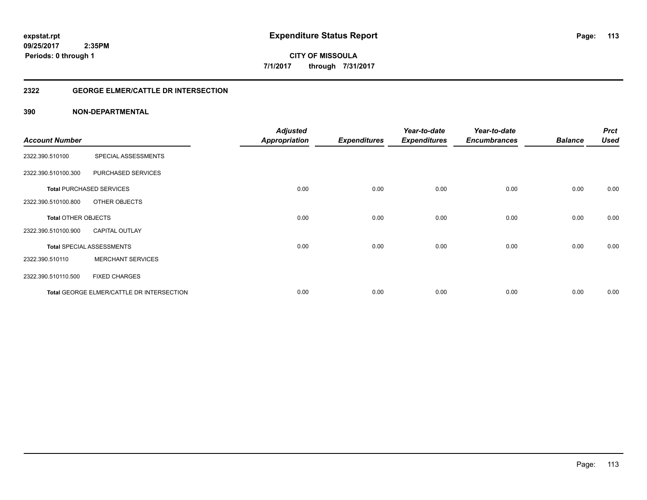**CITY OF MISSOULA 7/1/2017 through 7/31/2017**

# **2322 GEORGE ELMER/CATTLE DR INTERSECTION**

|                            |                                           | <b>Adjusted</b>      |                     | Year-to-date        | Year-to-date        |                | <b>Prct</b> |
|----------------------------|-------------------------------------------|----------------------|---------------------|---------------------|---------------------|----------------|-------------|
| <b>Account Number</b>      |                                           | <b>Appropriation</b> | <b>Expenditures</b> | <b>Expenditures</b> | <b>Encumbrances</b> | <b>Balance</b> | <b>Used</b> |
| 2322.390.510100            | SPECIAL ASSESSMENTS                       |                      |                     |                     |                     |                |             |
| 2322.390.510100.300        | PURCHASED SERVICES                        |                      |                     |                     |                     |                |             |
|                            | <b>Total PURCHASED SERVICES</b>           | 0.00                 | 0.00                | 0.00                | 0.00                | 0.00           | 0.00        |
| 2322.390.510100.800        | OTHER OBJECTS                             |                      |                     |                     |                     |                |             |
| <b>Total OTHER OBJECTS</b> |                                           | 0.00                 | 0.00                | 0.00                | 0.00                | 0.00           | 0.00        |
| 2322.390.510100.900        | <b>CAPITAL OUTLAY</b>                     |                      |                     |                     |                     |                |             |
|                            | <b>Total SPECIAL ASSESSMENTS</b>          | 0.00                 | 0.00                | 0.00                | 0.00                | 0.00           | 0.00        |
| 2322.390.510110            | <b>MERCHANT SERVICES</b>                  |                      |                     |                     |                     |                |             |
| 2322.390.510110.500        | <b>FIXED CHARGES</b>                      |                      |                     |                     |                     |                |             |
|                            | Total GEORGE ELMER/CATTLE DR INTERSECTION | 0.00                 | 0.00                | 0.00                | 0.00                | 0.00           | 0.00        |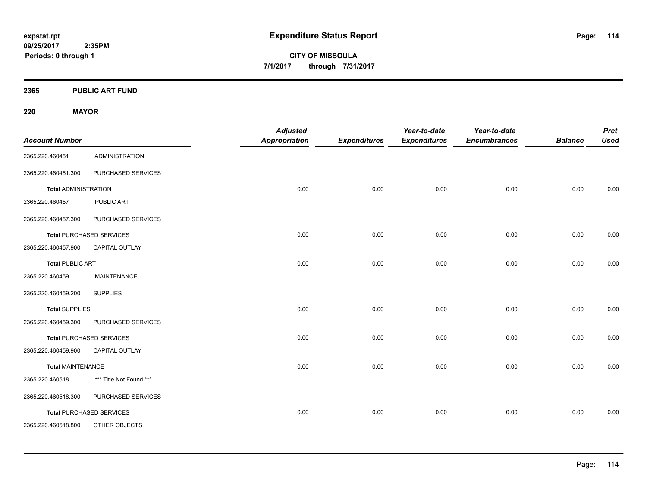**CITY OF MISSOULA 7/1/2017 through 7/31/2017**

**2365 PUBLIC ART FUND**

**220 MAYOR**

| <b>Account Number</b>       |                                 | <b>Adjusted</b><br><b>Appropriation</b> | <b>Expenditures</b> | Year-to-date<br><b>Expenditures</b> | Year-to-date<br><b>Encumbrances</b> | <b>Balance</b> | <b>Prct</b><br><b>Used</b> |
|-----------------------------|---------------------------------|-----------------------------------------|---------------------|-------------------------------------|-------------------------------------|----------------|----------------------------|
| 2365.220.460451             | <b>ADMINISTRATION</b>           |                                         |                     |                                     |                                     |                |                            |
| 2365.220.460451.300         | PURCHASED SERVICES              |                                         |                     |                                     |                                     |                |                            |
| <b>Total ADMINISTRATION</b> |                                 | 0.00                                    | 0.00                | 0.00                                | 0.00                                | 0.00           | 0.00                       |
| 2365.220.460457             | PUBLIC ART                      |                                         |                     |                                     |                                     |                |                            |
| 2365.220.460457.300         | PURCHASED SERVICES              |                                         |                     |                                     |                                     |                |                            |
|                             | <b>Total PURCHASED SERVICES</b> | 0.00                                    | 0.00                | 0.00                                | 0.00                                | 0.00           | 0.00                       |
| 2365.220.460457.900         | CAPITAL OUTLAY                  |                                         |                     |                                     |                                     |                |                            |
| <b>Total PUBLIC ART</b>     |                                 | 0.00                                    | 0.00                | 0.00                                | 0.00                                | 0.00           | 0.00                       |
| 2365.220.460459             | <b>MAINTENANCE</b>              |                                         |                     |                                     |                                     |                |                            |
| 2365.220.460459.200         | <b>SUPPLIES</b>                 |                                         |                     |                                     |                                     |                |                            |
| <b>Total SUPPLIES</b>       |                                 | 0.00                                    | 0.00                | 0.00                                | 0.00                                | 0.00           | 0.00                       |
| 2365.220.460459.300         | PURCHASED SERVICES              |                                         |                     |                                     |                                     |                |                            |
|                             | <b>Total PURCHASED SERVICES</b> | 0.00                                    | 0.00                | 0.00                                | 0.00                                | 0.00           | 0.00                       |
| 2365.220.460459.900         | CAPITAL OUTLAY                  |                                         |                     |                                     |                                     |                |                            |
| <b>Total MAINTENANCE</b>    |                                 | 0.00                                    | 0.00                | 0.00                                | 0.00                                | 0.00           | 0.00                       |
| 2365.220.460518             | *** Title Not Found ***         |                                         |                     |                                     |                                     |                |                            |
| 2365.220.460518.300         | PURCHASED SERVICES              |                                         |                     |                                     |                                     |                |                            |
|                             | <b>Total PURCHASED SERVICES</b> | 0.00                                    | 0.00                | 0.00                                | 0.00                                | 0.00           | 0.00                       |
| 2365.220.460518.800         | OTHER OBJECTS                   |                                         |                     |                                     |                                     |                |                            |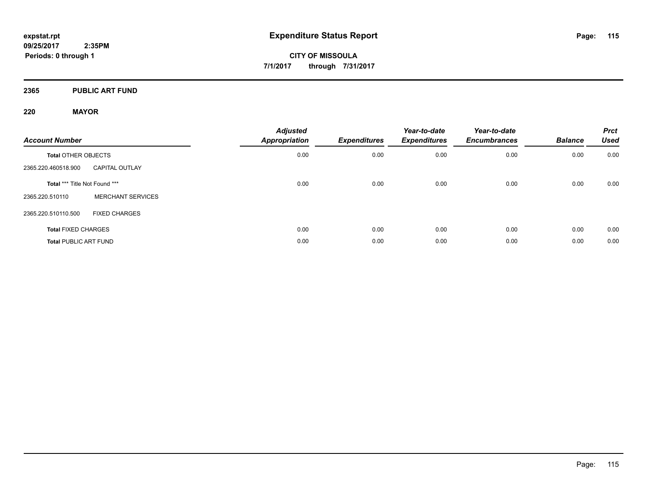**2365 PUBLIC ART FUND**

# **220 MAYOR**

| <b>Account Number</b>         |                          | <b>Adjusted</b><br><b>Appropriation</b> | Expenditures | Year-to-date<br><b>Expenditures</b> | Year-to-date<br><b>Encumbrances</b> | <b>Balance</b> | <b>Prct</b><br><b>Used</b> |
|-------------------------------|--------------------------|-----------------------------------------|--------------|-------------------------------------|-------------------------------------|----------------|----------------------------|
| <b>Total OTHER OBJECTS</b>    |                          | 0.00                                    | 0.00         | 0.00                                | 0.00                                | 0.00           | 0.00                       |
| 2365.220.460518.900           | <b>CAPITAL OUTLAY</b>    |                                         |              |                                     |                                     |                |                            |
| Total *** Title Not Found *** |                          | 0.00                                    | 0.00         | 0.00                                | 0.00                                | 0.00           | 0.00                       |
| 2365.220.510110               | <b>MERCHANT SERVICES</b> |                                         |              |                                     |                                     |                |                            |
| 2365.220.510110.500           | <b>FIXED CHARGES</b>     |                                         |              |                                     |                                     |                |                            |
| <b>Total FIXED CHARGES</b>    |                          | 0.00                                    | 0.00         | 0.00                                | 0.00                                | 0.00           | 0.00                       |
| <b>Total PUBLIC ART FUND</b>  |                          | 0.00                                    | 0.00         | 0.00                                | 0.00                                | 0.00           | 0.00                       |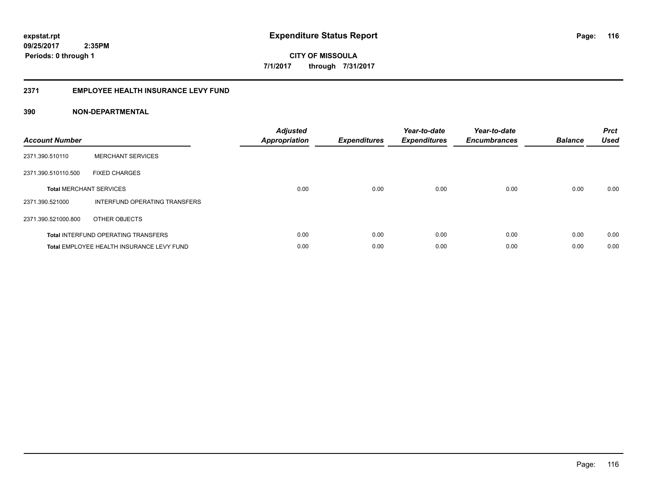**CITY OF MISSOULA 7/1/2017 through 7/31/2017**

#### **2371 EMPLOYEE HEALTH INSURANCE LEVY FUND**

| <b>Account Number</b> |                                            | <b>Adjusted</b><br><b>Appropriation</b> | <b>Expenditures</b> | Year-to-date<br><b>Expenditures</b> | Year-to-date<br><b>Encumbrances</b> | <b>Balance</b> | <b>Prct</b><br><b>Used</b> |
|-----------------------|--------------------------------------------|-----------------------------------------|---------------------|-------------------------------------|-------------------------------------|----------------|----------------------------|
| 2371.390.510110       | <b>MERCHANT SERVICES</b>                   |                                         |                     |                                     |                                     |                |                            |
| 2371.390.510110.500   | <b>FIXED CHARGES</b>                       |                                         |                     |                                     |                                     |                |                            |
|                       | <b>Total MERCHANT SERVICES</b>             | 0.00                                    | 0.00                | 0.00                                | 0.00                                | 0.00           | 0.00                       |
| 2371.390.521000       | INTERFUND OPERATING TRANSFERS              |                                         |                     |                                     |                                     |                |                            |
| 2371.390.521000.800   | OTHER OBJECTS                              |                                         |                     |                                     |                                     |                |                            |
|                       | <b>Total INTERFUND OPERATING TRANSFERS</b> | 0.00                                    | 0.00                | 0.00                                | 0.00                                | 0.00           | 0.00                       |
|                       | Total EMPLOYEE HEALTH INSURANCE LEVY FUND  | 0.00                                    | 0.00                | 0.00                                | 0.00                                | 0.00           | 0.00                       |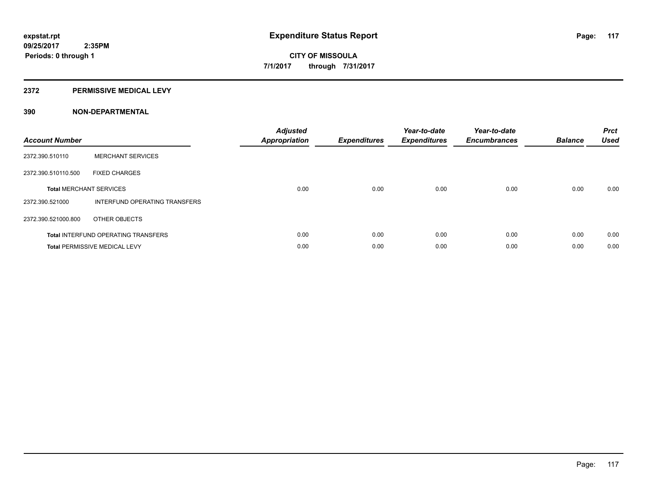#### **2372 PERMISSIVE MEDICAL LEVY**

| <b>Account Number</b>          |                                            | <b>Adjusted</b><br><b>Appropriation</b> | <b>Expenditures</b> | Year-to-date<br><b>Expenditures</b> | Year-to-date<br><b>Encumbrances</b> | <b>Balance</b> | <b>Prct</b><br><b>Used</b> |
|--------------------------------|--------------------------------------------|-----------------------------------------|---------------------|-------------------------------------|-------------------------------------|----------------|----------------------------|
| 2372.390.510110                | <b>MERCHANT SERVICES</b>                   |                                         |                     |                                     |                                     |                |                            |
| 2372.390.510110.500            | <b>FIXED CHARGES</b>                       |                                         |                     |                                     |                                     |                |                            |
| <b>Total MERCHANT SERVICES</b> |                                            | 0.00                                    | 0.00                | 0.00                                | 0.00                                | 0.00           | 0.00                       |
| 2372.390.521000                | INTERFUND OPERATING TRANSFERS              |                                         |                     |                                     |                                     |                |                            |
| 2372.390.521000.800            | OTHER OBJECTS                              |                                         |                     |                                     |                                     |                |                            |
|                                | <b>Total INTERFUND OPERATING TRANSFERS</b> | 0.00                                    | 0.00                | 0.00                                | 0.00                                | 0.00           | 0.00                       |
|                                | <b>Total PERMISSIVE MEDICAL LEVY</b>       | 0.00                                    | 0.00                | 0.00                                | 0.00                                | 0.00           | 0.00                       |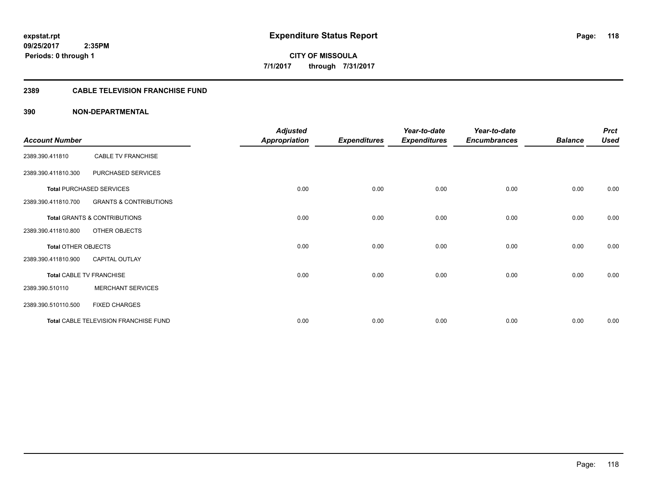# **2389 CABLE TELEVISION FRANCHISE FUND**

| <b>Account Number</b>      |                                         | <b>Adjusted</b><br><b>Appropriation</b> | <b>Expenditures</b> | Year-to-date<br><b>Expenditures</b> | Year-to-date<br><b>Encumbrances</b> | <b>Balance</b> | <b>Prct</b><br><b>Used</b> |
|----------------------------|-----------------------------------------|-----------------------------------------|---------------------|-------------------------------------|-------------------------------------|----------------|----------------------------|
| 2389.390.411810            | <b>CABLE TV FRANCHISE</b>               |                                         |                     |                                     |                                     |                |                            |
| 2389.390.411810.300        | PURCHASED SERVICES                      |                                         |                     |                                     |                                     |                |                            |
|                            | <b>Total PURCHASED SERVICES</b>         | 0.00                                    | 0.00                | 0.00                                | 0.00                                | 0.00           | 0.00                       |
| 2389.390.411810.700        | <b>GRANTS &amp; CONTRIBUTIONS</b>       |                                         |                     |                                     |                                     |                |                            |
|                            | <b>Total GRANTS &amp; CONTRIBUTIONS</b> | 0.00                                    | 0.00                | 0.00                                | 0.00                                | 0.00           | 0.00                       |
| 2389.390.411810.800        | <b>OTHER OBJECTS</b>                    |                                         |                     |                                     |                                     |                |                            |
| <b>Total OTHER OBJECTS</b> |                                         | 0.00                                    | 0.00                | 0.00                                | 0.00                                | 0.00           | 0.00                       |
| 2389.390.411810.900        | <b>CAPITAL OUTLAY</b>                   |                                         |                     |                                     |                                     |                |                            |
|                            | Total CABLE TV FRANCHISE                | 0.00                                    | 0.00                | 0.00                                | 0.00                                | 0.00           | 0.00                       |
| 2389.390.510110            | <b>MERCHANT SERVICES</b>                |                                         |                     |                                     |                                     |                |                            |
| 2389.390.510110.500        | <b>FIXED CHARGES</b>                    |                                         |                     |                                     |                                     |                |                            |
|                            | Total CABLE TELEVISION FRANCHISE FUND   | 0.00                                    | 0.00                | 0.00                                | 0.00                                | 0.00           | 0.00                       |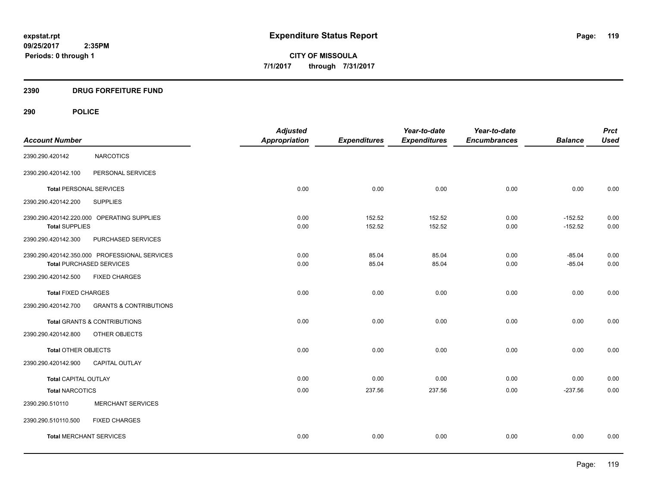# **2390 DRUG FORFEITURE FUND**

|                                |                                               | <b>Adjusted</b>      |                     | Year-to-date        | Year-to-date        |                | <b>Prct</b> |
|--------------------------------|-----------------------------------------------|----------------------|---------------------|---------------------|---------------------|----------------|-------------|
| <b>Account Number</b>          |                                               | <b>Appropriation</b> | <b>Expenditures</b> | <b>Expenditures</b> | <b>Encumbrances</b> | <b>Balance</b> | <b>Used</b> |
| 2390.290.420142                | <b>NARCOTICS</b>                              |                      |                     |                     |                     |                |             |
| 2390.290.420142.100            | PERSONAL SERVICES                             |                      |                     |                     |                     |                |             |
| <b>Total PERSONAL SERVICES</b> |                                               | 0.00                 | 0.00                | 0.00                | 0.00                | 0.00           | 0.00        |
| 2390.290.420142.200            | <b>SUPPLIES</b>                               |                      |                     |                     |                     |                |             |
|                                | 2390.290.420142.220.000 OPERATING SUPPLIES    | 0.00                 | 152.52              | 152.52              | 0.00                | $-152.52$      | 0.00        |
| <b>Total SUPPLIES</b>          |                                               | 0.00                 | 152.52              | 152.52              | 0.00                | $-152.52$      | 0.00        |
| 2390.290.420142.300            | PURCHASED SERVICES                            |                      |                     |                     |                     |                |             |
|                                | 2390.290.420142.350.000 PROFESSIONAL SERVICES | 0.00                 | 85.04               | 85.04               | 0.00                | $-85.04$       | 0.00        |
|                                | <b>Total PURCHASED SERVICES</b>               | 0.00                 | 85.04               | 85.04               | 0.00                | $-85.04$       | 0.00        |
| 2390.290.420142.500            | <b>FIXED CHARGES</b>                          |                      |                     |                     |                     |                |             |
| <b>Total FIXED CHARGES</b>     |                                               | 0.00                 | 0.00                | 0.00                | 0.00                | 0.00           | 0.00        |
| 2390.290.420142.700            | <b>GRANTS &amp; CONTRIBUTIONS</b>             |                      |                     |                     |                     |                |             |
|                                | <b>Total GRANTS &amp; CONTRIBUTIONS</b>       | 0.00                 | 0.00                | 0.00                | 0.00                | 0.00           | 0.00        |
| 2390.290.420142.800            | OTHER OBJECTS                                 |                      |                     |                     |                     |                |             |
| Total OTHER OBJECTS            |                                               | 0.00                 | 0.00                | 0.00                | 0.00                | 0.00           | 0.00        |
| 2390.290.420142.900            | <b>CAPITAL OUTLAY</b>                         |                      |                     |                     |                     |                |             |
| <b>Total CAPITAL OUTLAY</b>    |                                               | 0.00                 | 0.00                | 0.00                | 0.00                | 0.00           | 0.00        |
| <b>Total NARCOTICS</b>         |                                               | 0.00                 | 237.56              | 237.56              | 0.00                | $-237.56$      | 0.00        |
| 2390.290.510110                | <b>MERCHANT SERVICES</b>                      |                      |                     |                     |                     |                |             |
| 2390.290.510110.500            | <b>FIXED CHARGES</b>                          |                      |                     |                     |                     |                |             |
| <b>Total MERCHANT SERVICES</b> |                                               | 0.00                 | 0.00                | 0.00                | 0.00                | 0.00           | 0.00        |
|                                |                                               |                      |                     |                     |                     |                |             |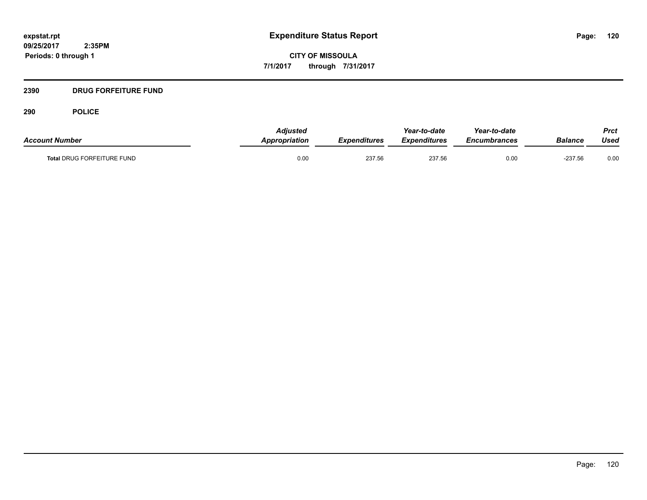**CITY OF MISSOULA 7/1/2017 through 7/31/2017**

# **2390 DRUG FORFEITURE FUND**

| <b>Account Number</b>             | <b>Adiusted</b><br><b>Appropriation</b> | Expenditures | Year-to-date<br>Expenditures | Year-to-date<br><b>Encumbrances</b> | <b>Balance</b> | Prct<br>Used |
|-----------------------------------|-----------------------------------------|--------------|------------------------------|-------------------------------------|----------------|--------------|
| <b>Total DRUG FORFEITURE FUND</b> | 0.00                                    | 237.56       | 237.56                       | 0.00                                | $-237.56$      | 0.00         |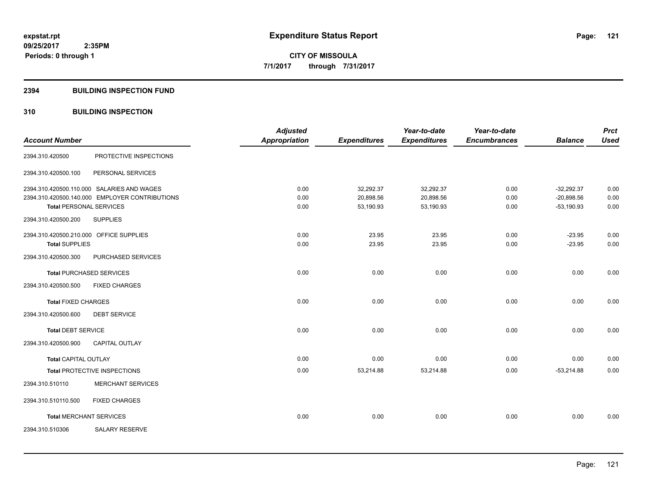#### **2394 BUILDING INSPECTION FUND**

# **310 BUILDING INSPECTION**

|                                         |                                                | <b>Adjusted</b>      |                     | Year-to-date        | Year-to-date        |                | <b>Prct</b> |
|-----------------------------------------|------------------------------------------------|----------------------|---------------------|---------------------|---------------------|----------------|-------------|
| <b>Account Number</b>                   |                                                | <b>Appropriation</b> | <b>Expenditures</b> | <b>Expenditures</b> | <b>Encumbrances</b> | <b>Balance</b> | <b>Used</b> |
| 2394.310.420500                         | PROTECTIVE INSPECTIONS                         |                      |                     |                     |                     |                |             |
| 2394.310.420500.100                     | PERSONAL SERVICES                              |                      |                     |                     |                     |                |             |
|                                         | 2394.310.420500.110.000 SALARIES AND WAGES     | 0.00                 | 32,292.37           | 32,292.37           | 0.00                | $-32,292.37$   | 0.00        |
|                                         | 2394.310.420500.140.000 EMPLOYER CONTRIBUTIONS | 0.00                 | 20,898.56           | 20,898.56           | 0.00                | $-20,898.56$   | 0.00        |
| <b>Total PERSONAL SERVICES</b>          |                                                | 0.00                 | 53,190.93           | 53,190.93           | 0.00                | $-53,190.93$   | 0.00        |
| 2394.310.420500.200                     | <b>SUPPLIES</b>                                |                      |                     |                     |                     |                |             |
| 2394.310.420500.210.000 OFFICE SUPPLIES |                                                | 0.00                 | 23.95               | 23.95               | 0.00                | $-23.95$       | 0.00        |
| <b>Total SUPPLIES</b>                   |                                                | 0.00                 | 23.95               | 23.95               | 0.00                | $-23.95$       | 0.00        |
| 2394.310.420500.300                     | PURCHASED SERVICES                             |                      |                     |                     |                     |                |             |
|                                         | <b>Total PURCHASED SERVICES</b>                | 0.00                 | 0.00                | 0.00                | 0.00                | 0.00           | 0.00        |
| 2394.310.420500.500                     | <b>FIXED CHARGES</b>                           |                      |                     |                     |                     |                |             |
| <b>Total FIXED CHARGES</b>              |                                                | 0.00                 | 0.00                | 0.00                | 0.00                | 0.00           | 0.00        |
| 2394.310.420500.600                     | <b>DEBT SERVICE</b>                            |                      |                     |                     |                     |                |             |
| <b>Total DEBT SERVICE</b>               |                                                | 0.00                 | 0.00                | 0.00                | 0.00                | 0.00           | 0.00        |
| 2394.310.420500.900                     | CAPITAL OUTLAY                                 |                      |                     |                     |                     |                |             |
| <b>Total CAPITAL OUTLAY</b>             |                                                | 0.00                 | 0.00                | 0.00                | 0.00                | 0.00           | 0.00        |
|                                         | Total PROTECTIVE INSPECTIONS                   | 0.00                 | 53,214.88           | 53,214.88           | 0.00                | $-53,214.88$   | 0.00        |
| 2394.310.510110                         | <b>MERCHANT SERVICES</b>                       |                      |                     |                     |                     |                |             |
| 2394.310.510110.500                     | <b>FIXED CHARGES</b>                           |                      |                     |                     |                     |                |             |
| <b>Total MERCHANT SERVICES</b>          |                                                | 0.00                 | 0.00                | 0.00                | 0.00                | 0.00           | 0.00        |
| 2394.310.510306                         | <b>SALARY RESERVE</b>                          |                      |                     |                     |                     |                |             |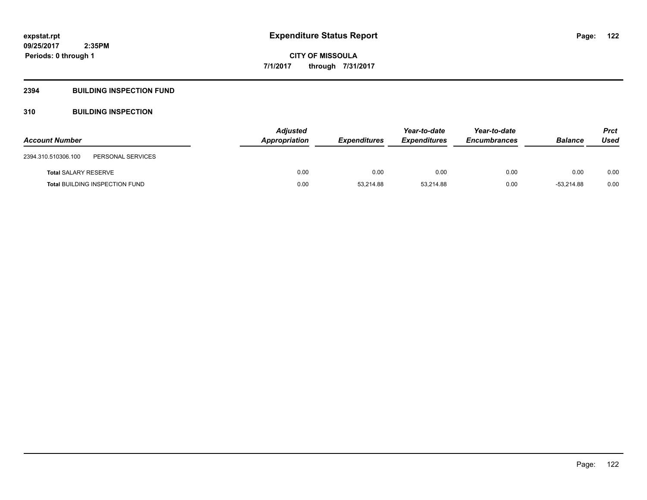# **2394 BUILDING INSPECTION FUND**

# **310 BUILDING INSPECTION**

| <b>Account Number</b>                    | <b>Adjusted</b><br>Appropriation | <i><b>Expenditures</b></i> | Year-to-date<br><b>Expenditures</b> | Year-to-date<br><b>Encumbrances</b> | <b>Balance</b> | <b>Prct</b><br>Used |
|------------------------------------------|----------------------------------|----------------------------|-------------------------------------|-------------------------------------|----------------|---------------------|
|                                          |                                  |                            |                                     |                                     |                |                     |
| 2394.310.510306.100<br>PERSONAL SERVICES |                                  |                            |                                     |                                     |                |                     |
| <b>Total SALARY RESERVE</b>              | 0.00                             | 0.00                       | 0.00                                | 0.00                                | 0.00           | 0.00                |
| <b>Total BUILDING INSPECTION FUND</b>    | 0.00                             | 53,214.88                  | 53.214.88                           | 0.00                                | $-53.214.88$   | 0.00                |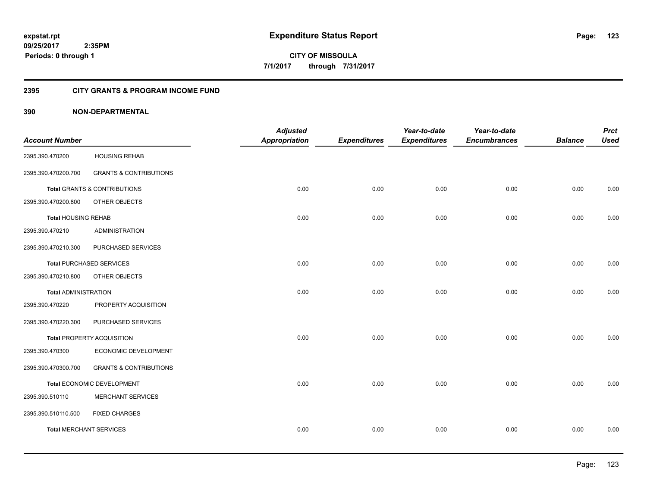**123**

**CITY OF MISSOULA 7/1/2017 through 7/31/2017**

# **2395 CITY GRANTS & PROGRAM INCOME FUND**

|                                |                                         | <b>Adjusted</b>      |                     | Year-to-date        | Year-to-date        |                | <b>Prct</b> |
|--------------------------------|-----------------------------------------|----------------------|---------------------|---------------------|---------------------|----------------|-------------|
| <b>Account Number</b>          |                                         | <b>Appropriation</b> | <b>Expenditures</b> | <b>Expenditures</b> | <b>Encumbrances</b> | <b>Balance</b> | <b>Used</b> |
| 2395.390.470200                | <b>HOUSING REHAB</b>                    |                      |                     |                     |                     |                |             |
| 2395.390.470200.700            | <b>GRANTS &amp; CONTRIBUTIONS</b>       |                      |                     |                     |                     |                |             |
|                                | <b>Total GRANTS &amp; CONTRIBUTIONS</b> | 0.00                 | 0.00                | 0.00                | 0.00                | 0.00           | 0.00        |
| 2395.390.470200.800            | OTHER OBJECTS                           |                      |                     |                     |                     |                |             |
| <b>Total HOUSING REHAB</b>     |                                         | 0.00                 | 0.00                | 0.00                | 0.00                | 0.00           | 0.00        |
| 2395.390.470210                | ADMINISTRATION                          |                      |                     |                     |                     |                |             |
| 2395.390.470210.300            | PURCHASED SERVICES                      |                      |                     |                     |                     |                |             |
|                                | <b>Total PURCHASED SERVICES</b>         | 0.00                 | 0.00                | 0.00                | 0.00                | 0.00           | 0.00        |
| 2395.390.470210.800            | OTHER OBJECTS                           |                      |                     |                     |                     |                |             |
| <b>Total ADMINISTRATION</b>    |                                         | 0.00                 | 0.00                | 0.00                | 0.00                | 0.00           | 0.00        |
| 2395.390.470220                | PROPERTY ACQUISITION                    |                      |                     |                     |                     |                |             |
| 2395.390.470220.300            | PURCHASED SERVICES                      |                      |                     |                     |                     |                |             |
|                                | <b>Total PROPERTY ACQUISITION</b>       | 0.00                 | 0.00                | 0.00                | 0.00                | 0.00           | 0.00        |
| 2395.390.470300                | ECONOMIC DEVELOPMENT                    |                      |                     |                     |                     |                |             |
| 2395.390.470300.700            | <b>GRANTS &amp; CONTRIBUTIONS</b>       |                      |                     |                     |                     |                |             |
|                                | Total ECONOMIC DEVELOPMENT              | 0.00                 | 0.00                | 0.00                | 0.00                | 0.00           | 0.00        |
| 2395.390.510110                | <b>MERCHANT SERVICES</b>                |                      |                     |                     |                     |                |             |
| 2395.390.510110.500            | <b>FIXED CHARGES</b>                    |                      |                     |                     |                     |                |             |
| <b>Total MERCHANT SERVICES</b> |                                         | 0.00                 | 0.00                | 0.00                | 0.00                | 0.00           | 0.00        |
|                                |                                         |                      |                     |                     |                     |                |             |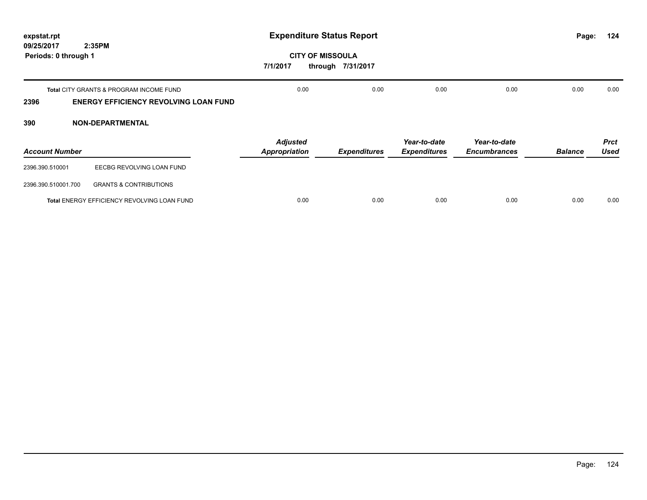| expstat.rpt                                  |                                                                                                    | <b>Expenditure Status Report</b>        | Page:                                        | 124                                 |                                     |                |                            |
|----------------------------------------------|----------------------------------------------------------------------------------------------------|-----------------------------------------|----------------------------------------------|-------------------------------------|-------------------------------------|----------------|----------------------------|
| 2:35PM<br>09/25/2017<br>Periods: 0 through 1 |                                                                                                    | 7/1/2017                                | <b>CITY OF MISSOULA</b><br>through 7/31/2017 |                                     |                                     |                |                            |
| 2396                                         | <b>Total CITY GRANTS &amp; PROGRAM INCOME FUND</b><br><b>ENERGY EFFICIENCY REVOLVING LOAN FUND</b> | 0.00                                    | 0.00                                         | 0.00                                | 0.00                                | 0.00           | 0.00                       |
| 390                                          | <b>NON-DEPARTMENTAL</b>                                                                            |                                         |                                              |                                     |                                     |                |                            |
| <b>Account Number</b>                        |                                                                                                    | <b>Adjusted</b><br><b>Appropriation</b> | <b>Expenditures</b>                          | Year-to-date<br><b>Expenditures</b> | Year-to-date<br><b>Encumbrances</b> | <b>Balance</b> | <b>Prct</b><br><b>Used</b> |
| 2396.390.510001                              | EECBG REVOLVING LOAN FUND                                                                          |                                         |                                              |                                     |                                     |                |                            |
| 2396.390.510001.700                          | <b>GRANTS &amp; CONTRIBUTIONS</b>                                                                  |                                         |                                              |                                     |                                     |                |                            |
|                                              | Total ENERGY EFFICIENCY REVOLVING LOAN FUND                                                        | 0.00                                    | 0.00                                         | 0.00                                | 0.00                                | 0.00           | 0.00                       |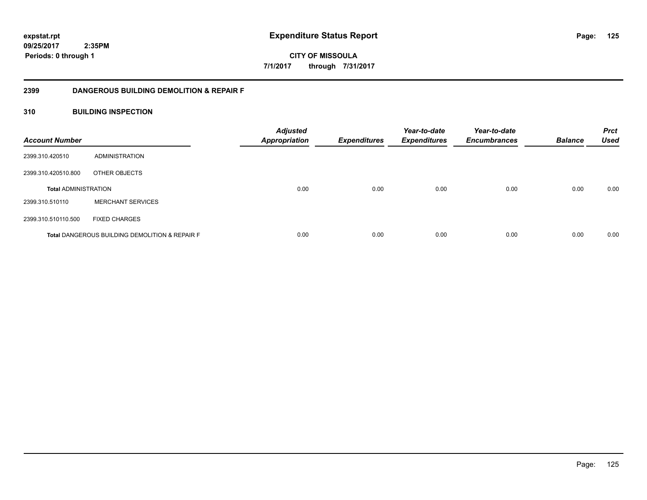**CITY OF MISSOULA 7/1/2017 through 7/31/2017**

# **2399 DANGEROUS BUILDING DEMOLITION & REPAIR F**

# **310 BUILDING INSPECTION**

| <b>Account Number</b>       |                                                           | <b>Adjusted</b><br><b>Appropriation</b> | <b>Expenditures</b> | Year-to-date<br><b>Expenditures</b> | Year-to-date<br><b>Encumbrances</b> | <b>Balance</b> | <b>Prct</b><br><b>Used</b> |
|-----------------------------|-----------------------------------------------------------|-----------------------------------------|---------------------|-------------------------------------|-------------------------------------|----------------|----------------------------|
| 2399.310.420510             | ADMINISTRATION                                            |                                         |                     |                                     |                                     |                |                            |
| 2399.310.420510.800         | OTHER OBJECTS                                             |                                         |                     |                                     |                                     |                |                            |
| <b>Total ADMINISTRATION</b> |                                                           | 0.00                                    | 0.00                | 0.00                                | 0.00                                | 0.00           | 0.00                       |
| 2399.310.510110             | <b>MERCHANT SERVICES</b>                                  |                                         |                     |                                     |                                     |                |                            |
| 2399.310.510110.500         | <b>FIXED CHARGES</b>                                      |                                         |                     |                                     |                                     |                |                            |
|                             | <b>Total DANGEROUS BUILDING DEMOLITION &amp; REPAIR F</b> | 0.00                                    | 0.00                | 0.00                                | 0.00                                | 0.00           | 0.00                       |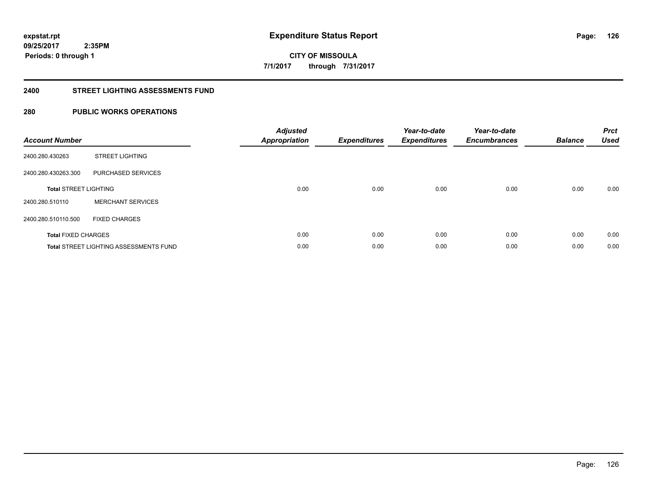**126**

**09/25/2017 2:35PM Periods: 0 through 1**

# **CITY OF MISSOULA 7/1/2017 through 7/31/2017**

#### **2400 STREET LIGHTING ASSESSMENTS FUND**

# **280 PUBLIC WORKS OPERATIONS**

| <b>Account Number</b>        |                                               | <b>Adjusted</b><br>Appropriation | <b>Expenditures</b> | Year-to-date<br><b>Expenditures</b> | Year-to-date<br><b>Encumbrances</b> | <b>Balance</b> | <b>Prct</b><br><b>Used</b> |
|------------------------------|-----------------------------------------------|----------------------------------|---------------------|-------------------------------------|-------------------------------------|----------------|----------------------------|
| 2400.280.430263              | <b>STREET LIGHTING</b>                        |                                  |                     |                                     |                                     |                |                            |
| 2400.280.430263.300          | PURCHASED SERVICES                            |                                  |                     |                                     |                                     |                |                            |
| <b>Total STREET LIGHTING</b> |                                               | 0.00                             | 0.00                | 0.00                                | 0.00                                | 0.00           | 0.00                       |
| 2400.280.510110              | <b>MERCHANT SERVICES</b>                      |                                  |                     |                                     |                                     |                |                            |
| 2400.280.510110.500          | <b>FIXED CHARGES</b>                          |                                  |                     |                                     |                                     |                |                            |
| <b>Total FIXED CHARGES</b>   |                                               | 0.00                             | 0.00                | 0.00                                | 0.00                                | 0.00           | 0.00                       |
|                              | <b>Total STREET LIGHTING ASSESSMENTS FUND</b> | 0.00                             | 0.00                | 0.00                                | 0.00                                | 0.00           | 0.00                       |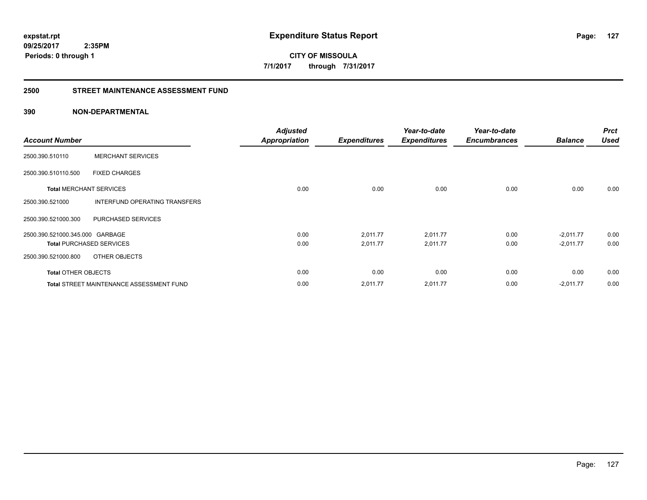**CITY OF MISSOULA 7/1/2017 through 7/31/2017**

#### **2500 STREET MAINTENANCE ASSESSMENT FUND**

|                                 |                                          | <b>Adjusted</b>                                                                                                                                                                                            |             | Year-to-date | Year-to-date |             | <b>Prct</b> |
|---------------------------------|------------------------------------------|------------------------------------------------------------------------------------------------------------------------------------------------------------------------------------------------------------|-------------|--------------|--------------|-------------|-------------|
| <b>Account Number</b>           |                                          | <b>Expenditures</b><br><b>Appropriation</b><br><b>Expenditures</b><br><b>Balance</b><br><b>Encumbrances</b><br>0.00<br>0.00<br>0.00<br>0.00<br>0.00<br>0.00<br>2,011.77<br>$-2,011.77$<br>2,011.77<br>0.00 | <b>Used</b> |              |              |             |             |
| 2500.390.510110                 | <b>MERCHANT SERVICES</b>                 |                                                                                                                                                                                                            |             |              |              |             |             |
| 2500.390.510110.500             | <b>FIXED CHARGES</b>                     |                                                                                                                                                                                                            |             |              |              |             |             |
| <b>Total MERCHANT SERVICES</b>  |                                          |                                                                                                                                                                                                            |             |              |              |             | 0.00        |
| 2500.390.521000                 | INTERFUND OPERATING TRANSFERS            |                                                                                                                                                                                                            |             |              |              |             |             |
| 2500.390.521000.300             | PURCHASED SERVICES                       |                                                                                                                                                                                                            |             |              |              |             |             |
| 2500.390.521000.345.000 GARBAGE |                                          |                                                                                                                                                                                                            |             |              |              |             | 0.00        |
|                                 | <b>Total PURCHASED SERVICES</b>          | 0.00                                                                                                                                                                                                       | 2,011.77    | 2,011.77     | 0.00         | $-2,011.77$ | 0.00        |
| 2500.390.521000.800             | OTHER OBJECTS                            |                                                                                                                                                                                                            |             |              |              |             |             |
| <b>Total OTHER OBJECTS</b>      |                                          | 0.00                                                                                                                                                                                                       | 0.00        | 0.00         | 0.00         | 0.00        | 0.00        |
|                                 | Total STREET MAINTENANCE ASSESSMENT FUND | 0.00                                                                                                                                                                                                       | 2,011.77    | 2,011.77     | 0.00         | $-2,011.77$ | 0.00        |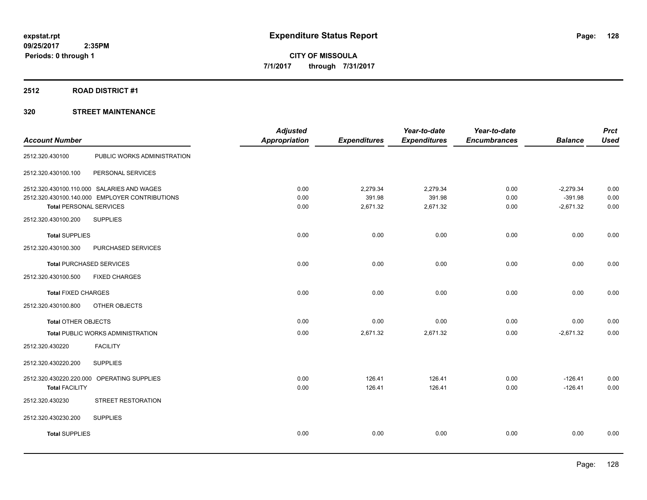# **2512 ROAD DISTRICT #1**

|                                |                                                | <b>Adjusted</b>      |                     | Year-to-date        | Year-to-date        |                | <b>Prct</b> |
|--------------------------------|------------------------------------------------|----------------------|---------------------|---------------------|---------------------|----------------|-------------|
| <b>Account Number</b>          |                                                | <b>Appropriation</b> | <b>Expenditures</b> | <b>Expenditures</b> | <b>Encumbrances</b> | <b>Balance</b> | <b>Used</b> |
| 2512.320.430100                | PUBLIC WORKS ADMINISTRATION                    |                      |                     |                     |                     |                |             |
| 2512.320.430100.100            | PERSONAL SERVICES                              |                      |                     |                     |                     |                |             |
|                                | 2512.320.430100.110.000 SALARIES AND WAGES     | 0.00                 | 2,279.34            | 2,279.34            | 0.00                | $-2,279.34$    | 0.00        |
|                                | 2512.320.430100.140.000 EMPLOYER CONTRIBUTIONS | 0.00                 | 391.98              | 391.98              | 0.00                | $-391.98$      | 0.00        |
| <b>Total PERSONAL SERVICES</b> |                                                | 0.00                 | 2,671.32            | 2,671.32            | 0.00                | $-2,671.32$    | 0.00        |
| 2512.320.430100.200            | <b>SUPPLIES</b>                                |                      |                     |                     |                     |                |             |
| <b>Total SUPPLIES</b>          |                                                | 0.00                 | 0.00                | 0.00                | 0.00                | 0.00           | 0.00        |
| 2512.320.430100.300            | PURCHASED SERVICES                             |                      |                     |                     |                     |                |             |
|                                | <b>Total PURCHASED SERVICES</b>                | 0.00                 | 0.00                | 0.00                | 0.00                | 0.00           | 0.00        |
| 2512.320.430100.500            | <b>FIXED CHARGES</b>                           |                      |                     |                     |                     |                |             |
| <b>Total FIXED CHARGES</b>     |                                                | 0.00                 | 0.00                | 0.00                | 0.00                | 0.00           | 0.00        |
| 2512.320.430100.800            | OTHER OBJECTS                                  |                      |                     |                     |                     |                |             |
| <b>Total OTHER OBJECTS</b>     |                                                | 0.00                 | 0.00                | 0.00                | 0.00                | 0.00           | 0.00        |
|                                | Total PUBLIC WORKS ADMINISTRATION              | 0.00                 | 2,671.32            | 2,671.32            | 0.00                | $-2,671.32$    | 0.00        |
| 2512.320.430220                | <b>FACILITY</b>                                |                      |                     |                     |                     |                |             |
| 2512.320.430220.200            | <b>SUPPLIES</b>                                |                      |                     |                     |                     |                |             |
|                                | 2512.320.430220.220.000 OPERATING SUPPLIES     | 0.00                 | 126.41              | 126.41              | 0.00                | $-126.41$      | 0.00        |
| <b>Total FACILITY</b>          |                                                | 0.00                 | 126.41              | 126.41              | 0.00                | $-126.41$      | 0.00        |
| 2512.320.430230                | STREET RESTORATION                             |                      |                     |                     |                     |                |             |
| 2512.320.430230.200            | <b>SUPPLIES</b>                                |                      |                     |                     |                     |                |             |
| <b>Total SUPPLIES</b>          |                                                | 0.00                 | 0.00                | 0.00                | 0.00                | 0.00           | 0.00        |
|                                |                                                |                      |                     |                     |                     |                |             |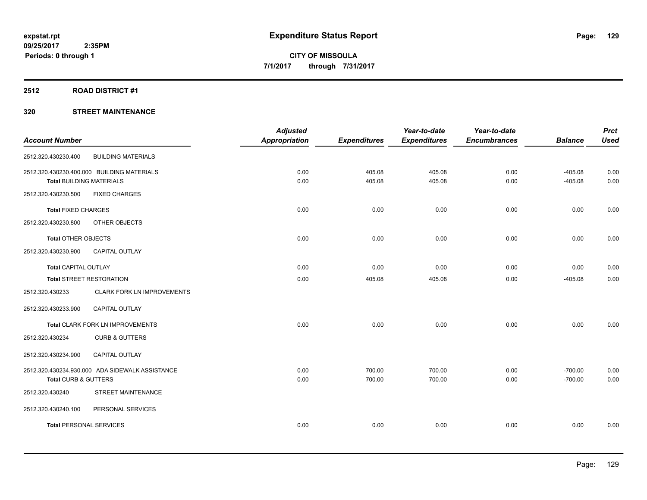# **2512 ROAD DISTRICT #1**

| <b>Account Number</b>           |                                                 | <b>Adjusted</b><br><b>Appropriation</b> | <b>Expenditures</b> | Year-to-date<br><b>Expenditures</b> | Year-to-date<br><b>Encumbrances</b> | <b>Balance</b> | <b>Prct</b><br><b>Used</b> |
|---------------------------------|-------------------------------------------------|-----------------------------------------|---------------------|-------------------------------------|-------------------------------------|----------------|----------------------------|
|                                 |                                                 |                                         |                     |                                     |                                     |                |                            |
| 2512.320.430230.400             | <b>BUILDING MATERIALS</b>                       |                                         |                     |                                     |                                     |                |                            |
|                                 | 2512.320.430230.400.000 BUILDING MATERIALS      | 0.00                                    | 405.08              | 405.08                              | 0.00                                | $-405.08$      | 0.00                       |
| <b>Total BUILDING MATERIALS</b> |                                                 | 0.00                                    | 405.08              | 405.08                              | 0.00                                | $-405.08$      | 0.00                       |
| 2512.320.430230.500             | <b>FIXED CHARGES</b>                            |                                         |                     |                                     |                                     |                |                            |
| <b>Total FIXED CHARGES</b>      |                                                 | 0.00                                    | 0.00                | 0.00                                | 0.00                                | 0.00           | 0.00                       |
| 2512.320.430230.800             | OTHER OBJECTS                                   |                                         |                     |                                     |                                     |                |                            |
| <b>Total OTHER OBJECTS</b>      |                                                 | 0.00                                    | 0.00                | 0.00                                | 0.00                                | 0.00           | 0.00                       |
| 2512.320.430230.900             | <b>CAPITAL OUTLAY</b>                           |                                         |                     |                                     |                                     |                |                            |
| <b>Total CAPITAL OUTLAY</b>     |                                                 | 0.00                                    | 0.00                | 0.00                                | 0.00                                | 0.00           | 0.00                       |
| <b>Total STREET RESTORATION</b> |                                                 | 0.00                                    | 405.08              | 405.08                              | 0.00                                | $-405.08$      | 0.00                       |
| 2512.320.430233                 | CLARK FORK LN IMPROVEMENTS                      |                                         |                     |                                     |                                     |                |                            |
| 2512.320.430233.900             | <b>CAPITAL OUTLAY</b>                           |                                         |                     |                                     |                                     |                |                            |
|                                 | Total CLARK FORK LN IMPROVEMENTS                | 0.00                                    | 0.00                | 0.00                                | 0.00                                | 0.00           | 0.00                       |
| 2512.320.430234                 | <b>CURB &amp; GUTTERS</b>                       |                                         |                     |                                     |                                     |                |                            |
| 2512.320.430234.900             | CAPITAL OUTLAY                                  |                                         |                     |                                     |                                     |                |                            |
|                                 | 2512.320.430234.930.000 ADA SIDEWALK ASSISTANCE | 0.00                                    | 700.00              | 700.00                              | 0.00                                | $-700.00$      | 0.00                       |
| Total CURB & GUTTERS            |                                                 | 0.00                                    | 700.00              | 700.00                              | 0.00                                | $-700.00$      | 0.00                       |
| 2512.320.430240                 | STREET MAINTENANCE                              |                                         |                     |                                     |                                     |                |                            |
| 2512.320.430240.100             | PERSONAL SERVICES                               |                                         |                     |                                     |                                     |                |                            |
| <b>Total PERSONAL SERVICES</b>  |                                                 | 0.00                                    | 0.00                | 0.00                                | 0.00                                | 0.00           | 0.00                       |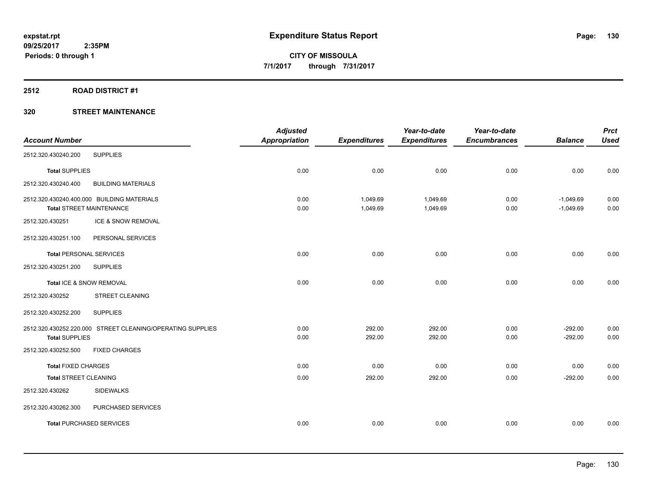# **2512 ROAD DISTRICT #1**

|                                 |                                                            | <b>Adjusted</b>      |                     | Year-to-date        | Year-to-date        |                | <b>Prct</b> |
|---------------------------------|------------------------------------------------------------|----------------------|---------------------|---------------------|---------------------|----------------|-------------|
| <b>Account Number</b>           |                                                            | <b>Appropriation</b> | <b>Expenditures</b> | <b>Expenditures</b> | <b>Encumbrances</b> | <b>Balance</b> | <b>Used</b> |
| 2512.320.430240.200             | <b>SUPPLIES</b>                                            |                      |                     |                     |                     |                |             |
| <b>Total SUPPLIES</b>           |                                                            | 0.00                 | 0.00                | 0.00                | 0.00                | 0.00           | 0.00        |
| 2512.320.430240.400             | <b>BUILDING MATERIALS</b>                                  |                      |                     |                     |                     |                |             |
|                                 | 2512.320.430240.400.000 BUILDING MATERIALS                 | 0.00                 | 1,049.69            | 1,049.69            | 0.00                | $-1,049.69$    | 0.00        |
| <b>Total STREET MAINTENANCE</b> |                                                            | 0.00                 | 1,049.69            | 1,049.69            | 0.00                | $-1,049.69$    | 0.00        |
| 2512.320.430251                 | ICE & SNOW REMOVAL                                         |                      |                     |                     |                     |                |             |
| 2512.320.430251.100             | PERSONAL SERVICES                                          |                      |                     |                     |                     |                |             |
| Total PERSONAL SERVICES         |                                                            | 0.00                 | 0.00                | 0.00                | 0.00                | 0.00           | 0.00        |
| 2512.320.430251.200             | <b>SUPPLIES</b>                                            |                      |                     |                     |                     |                |             |
| Total ICE & SNOW REMOVAL        |                                                            | 0.00                 | 0.00                | 0.00                | 0.00                | 0.00           | 0.00        |
| 2512.320.430252                 | <b>STREET CLEANING</b>                                     |                      |                     |                     |                     |                |             |
| 2512.320.430252.200             | <b>SUPPLIES</b>                                            |                      |                     |                     |                     |                |             |
|                                 | 2512.320.430252.220.000 STREET CLEANING/OPERATING SUPPLIES | 0.00                 | 292.00              | 292.00              | 0.00                | $-292.00$      | 0.00        |
| <b>Total SUPPLIES</b>           |                                                            | 0.00                 | 292.00              | 292.00              | 0.00                | $-292.00$      | 0.00        |
| 2512.320.430252.500             | <b>FIXED CHARGES</b>                                       |                      |                     |                     |                     |                |             |
| <b>Total FIXED CHARGES</b>      |                                                            | 0.00                 | 0.00                | 0.00                | 0.00                | 0.00           | 0.00        |
| <b>Total STREET CLEANING</b>    |                                                            | 0.00                 | 292.00              | 292.00              | 0.00                | $-292.00$      | 0.00        |
| 2512.320.430262                 | <b>SIDEWALKS</b>                                           |                      |                     |                     |                     |                |             |
| 2512.320.430262.300             | PURCHASED SERVICES                                         |                      |                     |                     |                     |                |             |
| <b>Total PURCHASED SERVICES</b> |                                                            | 0.00                 | 0.00                | 0.00                | 0.00                | 0.00           | 0.00        |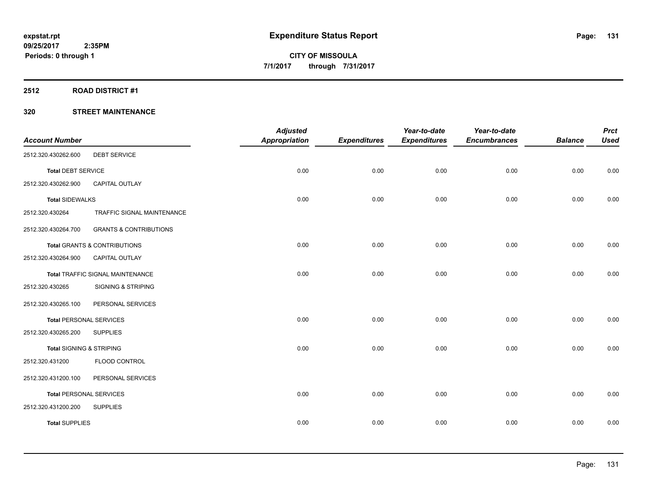# **2512 ROAD DISTRICT #1**

| <b>Account Number</b>               |                                         | <b>Adjusted</b><br><b>Appropriation</b> | <b>Expenditures</b> | Year-to-date<br><b>Expenditures</b> | Year-to-date<br><b>Encumbrances</b> | <b>Balance</b> | <b>Prct</b><br><b>Used</b> |
|-------------------------------------|-----------------------------------------|-----------------------------------------|---------------------|-------------------------------------|-------------------------------------|----------------|----------------------------|
|                                     |                                         |                                         |                     |                                     |                                     |                |                            |
| 2512.320.430262.600                 | <b>DEBT SERVICE</b>                     |                                         |                     |                                     |                                     |                |                            |
| <b>Total DEBT SERVICE</b>           |                                         | 0.00                                    | 0.00                | 0.00                                | 0.00                                | 0.00           | 0.00                       |
| 2512.320.430262.900                 | CAPITAL OUTLAY                          |                                         |                     |                                     |                                     |                |                            |
| <b>Total SIDEWALKS</b>              |                                         | 0.00                                    | 0.00                | 0.00                                | 0.00                                | 0.00           | 0.00                       |
| 2512.320.430264                     | TRAFFIC SIGNAL MAINTENANCE              |                                         |                     |                                     |                                     |                |                            |
| 2512.320.430264.700                 | <b>GRANTS &amp; CONTRIBUTIONS</b>       |                                         |                     |                                     |                                     |                |                            |
|                                     | Total GRANTS & CONTRIBUTIONS            | 0.00                                    | 0.00                | 0.00                                | 0.00                                | 0.00           | 0.00                       |
| 2512.320.430264.900                 | CAPITAL OUTLAY                          |                                         |                     |                                     |                                     |                |                            |
|                                     | <b>Total TRAFFIC SIGNAL MAINTENANCE</b> | 0.00                                    | 0.00                | 0.00                                | 0.00                                | 0.00           | 0.00                       |
| 2512.320.430265                     | <b>SIGNING &amp; STRIPING</b>           |                                         |                     |                                     |                                     |                |                            |
| 2512.320.430265.100                 | PERSONAL SERVICES                       |                                         |                     |                                     |                                     |                |                            |
| <b>Total PERSONAL SERVICES</b>      |                                         | 0.00                                    | 0.00                | 0.00                                | 0.00                                | 0.00           | 0.00                       |
| 2512.320.430265.200                 | <b>SUPPLIES</b>                         |                                         |                     |                                     |                                     |                |                            |
| <b>Total SIGNING &amp; STRIPING</b> |                                         | 0.00                                    | 0.00                | 0.00                                | 0.00                                | 0.00           | 0.00                       |
| 2512.320.431200                     | FLOOD CONTROL                           |                                         |                     |                                     |                                     |                |                            |
| 2512.320.431200.100                 | PERSONAL SERVICES                       |                                         |                     |                                     |                                     |                |                            |
| <b>Total PERSONAL SERVICES</b>      |                                         | 0.00                                    | 0.00                | 0.00                                | 0.00                                | 0.00           | 0.00                       |
| 2512.320.431200.200                 | <b>SUPPLIES</b>                         |                                         |                     |                                     |                                     |                |                            |
| <b>Total SUPPLIES</b>               |                                         | 0.00                                    | 0.00                | 0.00                                | 0.00                                | 0.00           | 0.00                       |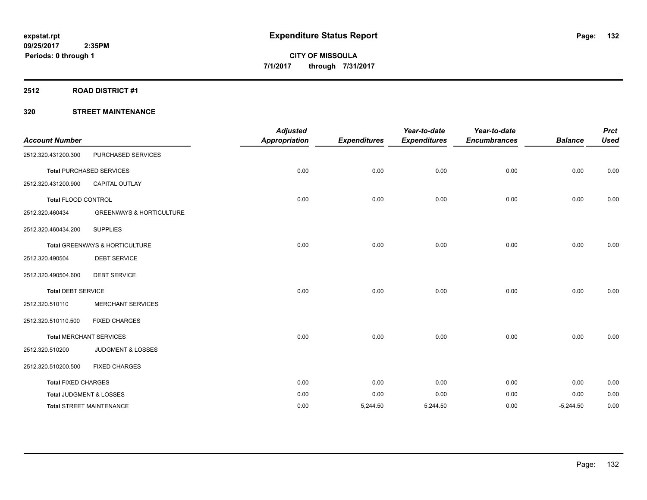# **2512 ROAD DISTRICT #1**

| <b>Account Number</b>      |                                     | <b>Adjusted</b><br><b>Appropriation</b> | <b>Expenditures</b> | Year-to-date<br><b>Expenditures</b> | Year-to-date<br><b>Encumbrances</b> | <b>Balance</b> | <b>Prct</b><br><b>Used</b> |
|----------------------------|-------------------------------------|-----------------------------------------|---------------------|-------------------------------------|-------------------------------------|----------------|----------------------------|
| 2512.320.431200.300        | PURCHASED SERVICES                  |                                         |                     |                                     |                                     |                |                            |
|                            | <b>Total PURCHASED SERVICES</b>     | 0.00                                    | 0.00                | 0.00                                | 0.00                                | 0.00           | 0.00                       |
| 2512.320.431200.900        | <b>CAPITAL OUTLAY</b>               |                                         |                     |                                     |                                     |                |                            |
| Total FLOOD CONTROL        |                                     | 0.00                                    | 0.00                | 0.00                                | 0.00                                | 0.00           | 0.00                       |
| 2512.320.460434            | <b>GREENWAYS &amp; HORTICULTURE</b> |                                         |                     |                                     |                                     |                |                            |
| 2512.320.460434.200        | <b>SUPPLIES</b>                     |                                         |                     |                                     |                                     |                |                            |
|                            | Total GREENWAYS & HORTICULTURE      | 0.00                                    | 0.00                | 0.00                                | 0.00                                | 0.00           | 0.00                       |
| 2512.320.490504            | <b>DEBT SERVICE</b>                 |                                         |                     |                                     |                                     |                |                            |
| 2512.320.490504.600        | <b>DEBT SERVICE</b>                 |                                         |                     |                                     |                                     |                |                            |
| <b>Total DEBT SERVICE</b>  |                                     | 0.00                                    | 0.00                | 0.00                                | 0.00                                | 0.00           | 0.00                       |
| 2512.320.510110            | <b>MERCHANT SERVICES</b>            |                                         |                     |                                     |                                     |                |                            |
| 2512.320.510110.500        | <b>FIXED CHARGES</b>                |                                         |                     |                                     |                                     |                |                            |
|                            | <b>Total MERCHANT SERVICES</b>      | 0.00                                    | 0.00                | 0.00                                | 0.00                                | 0.00           | 0.00                       |
| 2512.320.510200            | <b>JUDGMENT &amp; LOSSES</b>        |                                         |                     |                                     |                                     |                |                            |
| 2512.320.510200.500        | <b>FIXED CHARGES</b>                |                                         |                     |                                     |                                     |                |                            |
| <b>Total FIXED CHARGES</b> |                                     | 0.00                                    | 0.00                | 0.00                                | 0.00                                | 0.00           | 0.00                       |
|                            | Total JUDGMENT & LOSSES             | 0.00                                    | 0.00                | 0.00                                | 0.00                                | 0.00           | 0.00                       |
|                            | <b>Total STREET MAINTENANCE</b>     | 0.00                                    | 5,244.50            | 5,244.50                            | 0.00                                | $-5,244.50$    | 0.00                       |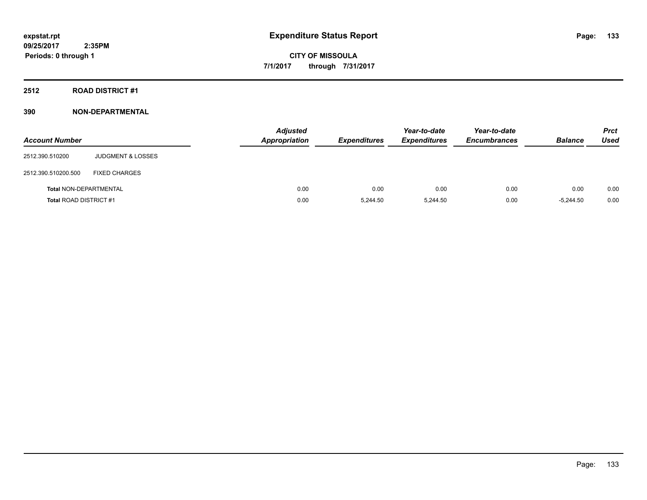# **2512 ROAD DISTRICT #1**

| <b>Account Number</b>         |                              | <b>Adjusted</b><br>Appropriation | <b>Expenditures</b> | Year-to-date<br><b>Expenditures</b> | Year-to-date<br><b>Encumbrances</b> | <b>Balance</b> | <b>Prct</b><br><b>Used</b> |
|-------------------------------|------------------------------|----------------------------------|---------------------|-------------------------------------|-------------------------------------|----------------|----------------------------|
| 2512.390.510200               | <b>JUDGMENT &amp; LOSSES</b> |                                  |                     |                                     |                                     |                |                            |
| 2512.390.510200.500           | <b>FIXED CHARGES</b>         |                                  |                     |                                     |                                     |                |                            |
| <b>Total NON-DEPARTMENTAL</b> |                              | 0.00                             | 0.00                | 0.00                                | 0.00                                | 0.00           | 0.00                       |
| <b>Total ROAD DISTRICT #1</b> |                              | 0.00                             | 5.244.50            | 5,244.50                            | 0.00                                | $-5.244.50$    | 0.00                       |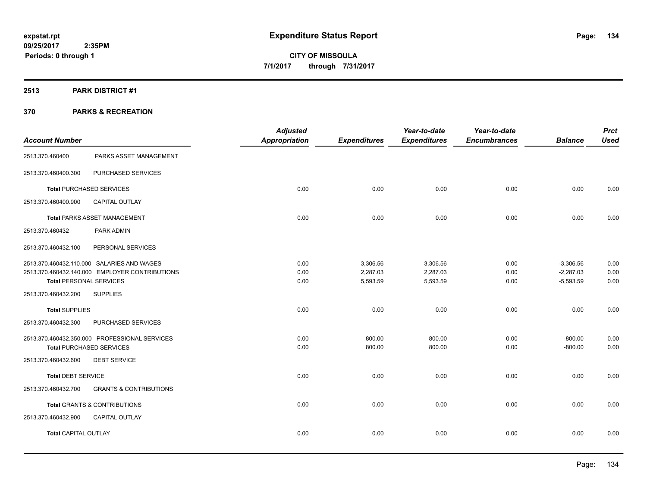# **2513 PARK DISTRICT #1**

|                                                |                                   | <b>Adjusted</b>      |                     | Year-to-date        | Year-to-date        |                | <b>Prct</b> |
|------------------------------------------------|-----------------------------------|----------------------|---------------------|---------------------|---------------------|----------------|-------------|
| <b>Account Number</b>                          |                                   | <b>Appropriation</b> | <b>Expenditures</b> | <b>Expenditures</b> | <b>Encumbrances</b> | <b>Balance</b> | <b>Used</b> |
| 2513.370.460400                                | PARKS ASSET MANAGEMENT            |                      |                     |                     |                     |                |             |
| 2513.370.460400.300                            | PURCHASED SERVICES                |                      |                     |                     |                     |                |             |
| <b>Total PURCHASED SERVICES</b>                |                                   | 0.00                 | 0.00                | 0.00                | 0.00                | 0.00           | 0.00        |
| CAPITAL OUTLAY<br>2513.370.460400.900          |                                   |                      |                     |                     |                     |                |             |
| <b>Total PARKS ASSET MANAGEMENT</b>            |                                   | 0.00                 | 0.00                | 0.00                | 0.00                | 0.00           | 0.00        |
| 2513.370.460432<br>PARK ADMIN                  |                                   |                      |                     |                     |                     |                |             |
| 2513.370.460432.100                            | PERSONAL SERVICES                 |                      |                     |                     |                     |                |             |
| 2513.370.460432.110.000 SALARIES AND WAGES     |                                   | 0.00                 | 3,306.56            | 3,306.56            | 0.00                | $-3,306.56$    | 0.00        |
| 2513.370.460432.140.000 EMPLOYER CONTRIBUTIONS |                                   | 0.00                 | 2,287.03            | 2,287.03            | 0.00                | $-2,287.03$    | 0.00        |
| <b>Total PERSONAL SERVICES</b>                 |                                   | 0.00                 | 5,593.59            | 5,593.59            | 0.00                | $-5,593.59$    | 0.00        |
| <b>SUPPLIES</b><br>2513.370.460432.200         |                                   |                      |                     |                     |                     |                |             |
| <b>Total SUPPLIES</b>                          |                                   | 0.00                 | 0.00                | 0.00                | 0.00                | 0.00           | 0.00        |
| 2513.370.460432.300                            | PURCHASED SERVICES                |                      |                     |                     |                     |                |             |
| 2513.370.460432.350.000 PROFESSIONAL SERVICES  |                                   | 0.00                 | 800.00              | 800.00              | 0.00                | $-800.00$      | 0.00        |
| <b>Total PURCHASED SERVICES</b>                |                                   | 0.00                 | 800.00              | 800.00              | 0.00                | $-800.00$      | 0.00        |
| 2513.370.460432.600<br><b>DEBT SERVICE</b>     |                                   |                      |                     |                     |                     |                |             |
| <b>Total DEBT SERVICE</b>                      |                                   | 0.00                 | 0.00                | 0.00                | 0.00                | 0.00           | 0.00        |
| 2513.370.460432.700                            | <b>GRANTS &amp; CONTRIBUTIONS</b> |                      |                     |                     |                     |                |             |
| <b>Total GRANTS &amp; CONTRIBUTIONS</b>        |                                   | 0.00                 | 0.00                | 0.00                | 0.00                | 0.00           | 0.00        |
| <b>CAPITAL OUTLAY</b><br>2513.370.460432.900   |                                   |                      |                     |                     |                     |                |             |
| <b>Total CAPITAL OUTLAY</b>                    |                                   | 0.00                 | 0.00                | 0.00                | 0.00                | 0.00           | 0.00        |
|                                                |                                   |                      |                     |                     |                     |                |             |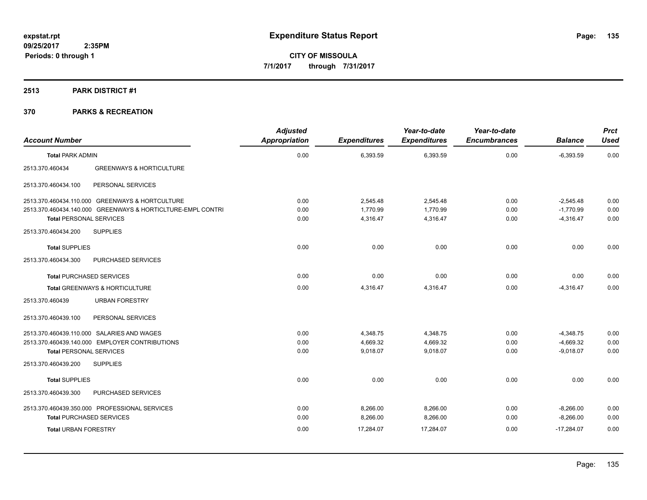# **2513 PARK DISTRICT #1**

| <b>Account Number</b>           |                                                             | <b>Adjusted</b><br>Appropriation | <b>Expenditures</b> | Year-to-date<br><b>Expenditures</b> | Year-to-date<br><b>Encumbrances</b> | <b>Balance</b> | <b>Prct</b><br><b>Used</b> |
|---------------------------------|-------------------------------------------------------------|----------------------------------|---------------------|-------------------------------------|-------------------------------------|----------------|----------------------------|
| <b>Total PARK ADMIN</b>         |                                                             | 0.00                             | 6,393.59            | 6,393.59                            | 0.00                                | $-6,393.59$    | 0.00                       |
| 2513.370.460434                 | <b>GREENWAYS &amp; HORTICULTURE</b>                         |                                  |                     |                                     |                                     |                |                            |
| 2513.370.460434.100             | PERSONAL SERVICES                                           |                                  |                     |                                     |                                     |                |                            |
|                                 | 2513.370.460434.110.000 GREENWAYS & HORTCULTURE             | 0.00                             | 2,545.48            | 2,545.48                            | 0.00                                | $-2,545.48$    | 0.00                       |
|                                 | 2513.370.460434.140.000 GREENWAYS & HORTICLTURE-EMPL CONTRI | 0.00                             | 1,770.99            | 1.770.99                            | 0.00                                | $-1.770.99$    | 0.00                       |
| <b>Total PERSONAL SERVICES</b>  |                                                             | 0.00                             | 4,316.47            | 4,316.47                            | 0.00                                | $-4,316.47$    | 0.00                       |
| 2513.370.460434.200             | <b>SUPPLIES</b>                                             |                                  |                     |                                     |                                     |                |                            |
| <b>Total SUPPLIES</b>           |                                                             | 0.00                             | 0.00                | 0.00                                | 0.00                                | 0.00           | 0.00                       |
| 2513.370.460434.300             | PURCHASED SERVICES                                          |                                  |                     |                                     |                                     |                |                            |
| <b>Total PURCHASED SERVICES</b> |                                                             | 0.00                             | 0.00                | 0.00                                | 0.00                                | 0.00           | 0.00                       |
|                                 | <b>Total GREENWAYS &amp; HORTICULTURE</b>                   | 0.00                             | 4.316.47            | 4.316.47                            | 0.00                                | $-4.316.47$    | 0.00                       |
| 2513.370.460439                 | <b>URBAN FORESTRY</b>                                       |                                  |                     |                                     |                                     |                |                            |
| 2513.370.460439.100             | PERSONAL SERVICES                                           |                                  |                     |                                     |                                     |                |                            |
|                                 | 2513.370.460439.110.000 SALARIES AND WAGES                  | 0.00                             | 4,348.75            | 4,348.75                            | 0.00                                | $-4,348.75$    | 0.00                       |
|                                 | 2513.370.460439.140.000 EMPLOYER CONTRIBUTIONS              | 0.00                             | 4,669.32            | 4,669.32                            | 0.00                                | $-4,669.32$    | 0.00                       |
| <b>Total PERSONAL SERVICES</b>  |                                                             | 0.00                             | 9,018.07            | 9,018.07                            | 0.00                                | $-9,018.07$    | 0.00                       |
| 2513.370.460439.200             | <b>SUPPLIES</b>                                             |                                  |                     |                                     |                                     |                |                            |
| <b>Total SUPPLIES</b>           |                                                             | 0.00                             | 0.00                | 0.00                                | 0.00                                | 0.00           | 0.00                       |
| 2513.370.460439.300             | PURCHASED SERVICES                                          |                                  |                     |                                     |                                     |                |                            |
|                                 | 2513.370.460439.350.000 PROFESSIONAL SERVICES               | 0.00                             | 8,266.00            | 8,266.00                            | 0.00                                | $-8,266.00$    | 0.00                       |
| <b>Total PURCHASED SERVICES</b> |                                                             | 0.00                             | 8,266.00            | 8,266.00                            | 0.00                                | $-8,266.00$    | 0.00                       |
| <b>Total URBAN FORESTRY</b>     |                                                             | 0.00                             | 17.284.07           | 17,284.07                           | 0.00                                | $-17,284.07$   | 0.00                       |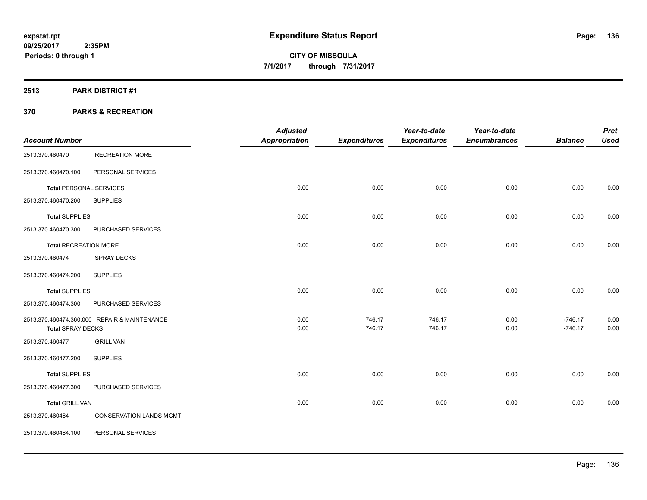# **2513 PARK DISTRICT #1**

|                                |                                              | <b>Adjusted</b>      |                     | Year-to-date        | Year-to-date        |                | <b>Prct</b> |
|--------------------------------|----------------------------------------------|----------------------|---------------------|---------------------|---------------------|----------------|-------------|
| <b>Account Number</b>          |                                              | <b>Appropriation</b> | <b>Expenditures</b> | <b>Expenditures</b> | <b>Encumbrances</b> | <b>Balance</b> | <b>Used</b> |
| 2513.370.460470                | <b>RECREATION MORE</b>                       |                      |                     |                     |                     |                |             |
| 2513.370.460470.100            | PERSONAL SERVICES                            |                      |                     |                     |                     |                |             |
| <b>Total PERSONAL SERVICES</b> |                                              | 0.00                 | 0.00                | 0.00                | 0.00                | 0.00           | 0.00        |
| 2513.370.460470.200            | <b>SUPPLIES</b>                              |                      |                     |                     |                     |                |             |
| <b>Total SUPPLIES</b>          |                                              | 0.00                 | 0.00                | 0.00                | 0.00                | 0.00           | 0.00        |
| 2513.370.460470.300            | PURCHASED SERVICES                           |                      |                     |                     |                     |                |             |
| <b>Total RECREATION MORE</b>   |                                              | 0.00                 | 0.00                | 0.00                | 0.00                | 0.00           | 0.00        |
| 2513.370.460474                | <b>SPRAY DECKS</b>                           |                      |                     |                     |                     |                |             |
| 2513.370.460474.200            | <b>SUPPLIES</b>                              |                      |                     |                     |                     |                |             |
| <b>Total SUPPLIES</b>          |                                              | 0.00                 | 0.00                | 0.00                | 0.00                | 0.00           | 0.00        |
| 2513.370.460474.300            | PURCHASED SERVICES                           |                      |                     |                     |                     |                |             |
|                                | 2513.370.460474.360.000 REPAIR & MAINTENANCE | 0.00                 | 746.17              | 746.17              | 0.00                | $-746.17$      | 0.00        |
| <b>Total SPRAY DECKS</b>       |                                              | 0.00                 | 746.17              | 746.17              | 0.00                | $-746.17$      | 0.00        |
| 2513.370.460477                | <b>GRILL VAN</b>                             |                      |                     |                     |                     |                |             |
| 2513.370.460477.200            | <b>SUPPLIES</b>                              |                      |                     |                     |                     |                |             |
| <b>Total SUPPLIES</b>          |                                              | 0.00                 | 0.00                | 0.00                | 0.00                | 0.00           | 0.00        |
| 2513.370.460477.300            | PURCHASED SERVICES                           |                      |                     |                     |                     |                |             |
| <b>Total GRILL VAN</b>         |                                              | 0.00                 | 0.00                | 0.00                | 0.00                | 0.00           | 0.00        |
| 2513.370.460484                | <b>CONSERVATION LANDS MGMT</b>               |                      |                     |                     |                     |                |             |
| 2513.370.460484.100            | PERSONAL SERVICES                            |                      |                     |                     |                     |                |             |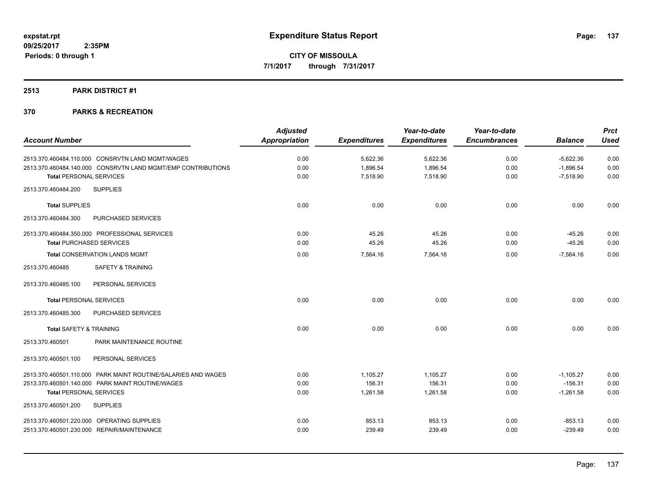# **2513 PARK DISTRICT #1**

|                                                               | <b>Adjusted</b>      |                     | Year-to-date        | Year-to-date        |                | <b>Prct</b> |
|---------------------------------------------------------------|----------------------|---------------------|---------------------|---------------------|----------------|-------------|
| <b>Account Number</b>                                         | <b>Appropriation</b> | <b>Expenditures</b> | <b>Expenditures</b> | <b>Encumbrances</b> | <b>Balance</b> | <b>Used</b> |
| 2513.370.460484.110.000 CONSRVTN LAND MGMT/WAGES              | 0.00                 | 5,622.36            | 5,622.36            | 0.00                | $-5,622.36$    | 0.00        |
| 2513.370.460484.140.000 CONSRVTN LAND MGMT/EMP CONTRIBUTIONS  | 0.00                 | 1,896.54            | 1,896.54            | 0.00                | $-1,896.54$    | 0.00        |
| <b>Total PERSONAL SERVICES</b>                                | 0.00                 | 7,518.90            | 7,518.90            | 0.00                | $-7,518.90$    | 0.00        |
| <b>SUPPLIES</b><br>2513.370.460484.200                        |                      |                     |                     |                     |                |             |
| <b>Total SUPPLIES</b>                                         | 0.00                 | 0.00                | 0.00                | 0.00                | 0.00           | 0.00        |
| 2513.370.460484.300<br>PURCHASED SERVICES                     |                      |                     |                     |                     |                |             |
| 2513.370.460484.350.000 PROFESSIONAL SERVICES                 | 0.00                 | 45.26               | 45.26               | 0.00                | $-45.26$       | 0.00        |
| <b>Total PURCHASED SERVICES</b>                               | 0.00                 | 45.26               | 45.26               | 0.00                | $-45.26$       | 0.00        |
| <b>Total CONSERVATION LANDS MGMT</b>                          | 0.00                 | 7,564.16            | 7,564.16            | 0.00                | $-7,564.16$    | 0.00        |
| <b>SAFETY &amp; TRAINING</b><br>2513.370.460485               |                      |                     |                     |                     |                |             |
| 2513.370.460485.100<br>PERSONAL SERVICES                      |                      |                     |                     |                     |                |             |
| <b>Total PERSONAL SERVICES</b>                                | 0.00                 | 0.00                | 0.00                | 0.00                | 0.00           | 0.00        |
| 2513.370.460485.300<br>PURCHASED SERVICES                     |                      |                     |                     |                     |                |             |
| <b>Total SAFETY &amp; TRAINING</b>                            | 0.00                 | 0.00                | 0.00                | 0.00                | 0.00           | 0.00        |
| PARK MAINTENANCE ROUTINE<br>2513.370.460501                   |                      |                     |                     |                     |                |             |
| PERSONAL SERVICES<br>2513.370.460501.100                      |                      |                     |                     |                     |                |             |
| 2513.370.460501.110.000 PARK MAINT ROUTINE/SALARIES AND WAGES | 0.00                 | 1,105.27            | 1.105.27            | 0.00                | $-1,105.27$    | 0.00        |
| 2513.370.460501.140.000 PARK MAINT ROUTINE/WAGES              | 0.00                 | 156.31              | 156.31              | 0.00                | $-156.31$      | 0.00        |
| <b>Total PERSONAL SERVICES</b>                                | 0.00                 | 1,261.58            | 1,261.58            | 0.00                | $-1,261.58$    | 0.00        |
| 2513.370.460501.200<br><b>SUPPLIES</b>                        |                      |                     |                     |                     |                |             |
| 2513.370.460501.220.000 OPERATING SUPPLIES                    | 0.00                 | 853.13              | 853.13              | 0.00                | $-853.13$      | 0.00        |
| 2513.370.460501.230.000 REPAIR/MAINTENANCE                    | 0.00                 | 239.49              | 239.49              | 0.00                | $-239.49$      | 0.00        |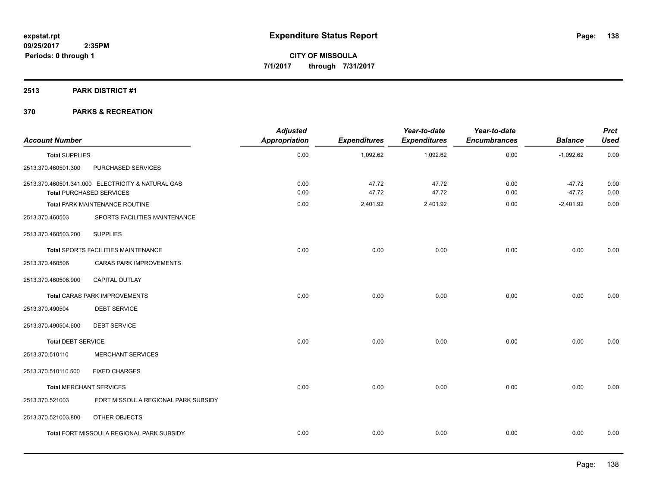# **2513 PARK DISTRICT #1**

| <b>Account Number</b>          |                                                                                      | <b>Adjusted</b><br>Appropriation | <b>Expenditures</b> | Year-to-date<br><b>Expenditures</b> | Year-to-date<br><b>Encumbrances</b> | <b>Balance</b>       | <b>Prct</b><br><b>Used</b> |
|--------------------------------|--------------------------------------------------------------------------------------|----------------------------------|---------------------|-------------------------------------|-------------------------------------|----------------------|----------------------------|
| <b>Total SUPPLIES</b>          |                                                                                      | 0.00                             | 1,092.62            | 1,092.62                            | 0.00                                | $-1,092.62$          | 0.00                       |
| 2513.370.460501.300            | PURCHASED SERVICES                                                                   |                                  |                     |                                     |                                     |                      |                            |
|                                | 2513.370.460501.341.000 ELECTRICITY & NATURAL GAS<br><b>Total PURCHASED SERVICES</b> | 0.00<br>0.00                     | 47.72<br>47.72      | 47.72<br>47.72                      | 0.00<br>0.00                        | $-47.72$<br>$-47.72$ | 0.00<br>0.00               |
|                                | Total PARK MAINTENANCE ROUTINE                                                       | 0.00                             | 2,401.92            | 2,401.92                            | 0.00                                | $-2,401.92$          | 0.00                       |
| 2513.370.460503                | SPORTS FACILITIES MAINTENANCE                                                        |                                  |                     |                                     |                                     |                      |                            |
| 2513.370.460503.200            | <b>SUPPLIES</b>                                                                      |                                  |                     |                                     |                                     |                      |                            |
|                                | Total SPORTS FACILITIES MAINTENANCE                                                  | 0.00                             | 0.00                | 0.00                                | 0.00                                | 0.00                 | 0.00                       |
| 2513.370.460506                | <b>CARAS PARK IMPROVEMENTS</b>                                                       |                                  |                     |                                     |                                     |                      |                            |
| 2513.370.460506.900            | CAPITAL OUTLAY                                                                       |                                  |                     |                                     |                                     |                      |                            |
|                                | <b>Total CARAS PARK IMPROVEMENTS</b>                                                 | 0.00                             | 0.00                | 0.00                                | 0.00                                | 0.00                 | 0.00                       |
| 2513.370.490504                | <b>DEBT SERVICE</b>                                                                  |                                  |                     |                                     |                                     |                      |                            |
| 2513.370.490504.600            | <b>DEBT SERVICE</b>                                                                  |                                  |                     |                                     |                                     |                      |                            |
| <b>Total DEBT SERVICE</b>      |                                                                                      | 0.00                             | 0.00                | 0.00                                | 0.00                                | 0.00                 | 0.00                       |
| 2513.370.510110                | <b>MERCHANT SERVICES</b>                                                             |                                  |                     |                                     |                                     |                      |                            |
| 2513.370.510110.500            | <b>FIXED CHARGES</b>                                                                 |                                  |                     |                                     |                                     |                      |                            |
| <b>Total MERCHANT SERVICES</b> |                                                                                      | 0.00                             | 0.00                | 0.00                                | 0.00                                | 0.00                 | 0.00                       |
| 2513.370.521003                | FORT MISSOULA REGIONAL PARK SUBSIDY                                                  |                                  |                     |                                     |                                     |                      |                            |
| 2513.370.521003.800            | OTHER OBJECTS                                                                        |                                  |                     |                                     |                                     |                      |                            |
|                                | Total FORT MISSOULA REGIONAL PARK SUBSIDY                                            | 0.00                             | 0.00                | 0.00                                | 0.00                                | 0.00                 | 0.00                       |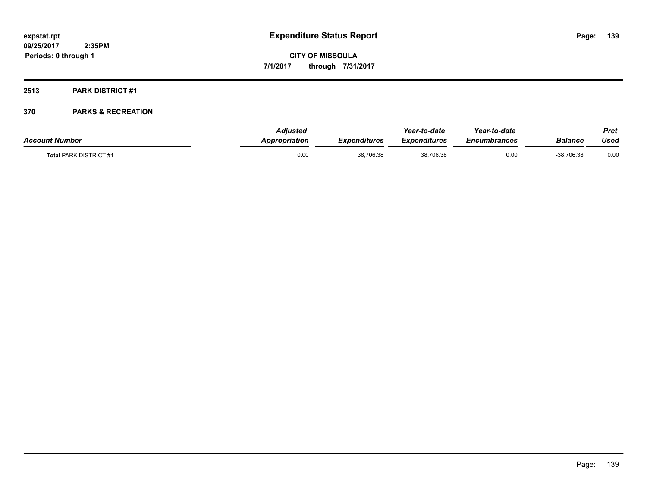# **2513 PARK DISTRICT #1**

| <b>Account Number</b>         | <b>Adiusted</b><br><b>Appropriation</b> | <b>Expenditures</b> | Year-to-date<br>Expenditures | Year-to-date<br>Encumbrances | Balance      | Prct<br>Used |
|-------------------------------|-----------------------------------------|---------------------|------------------------------|------------------------------|--------------|--------------|
| <b>Total PARK DISTRICT #1</b> | 0.00                                    | 38,706.38           | 38,706.38                    | 0.00                         | $-38,706.38$ | 0.00         |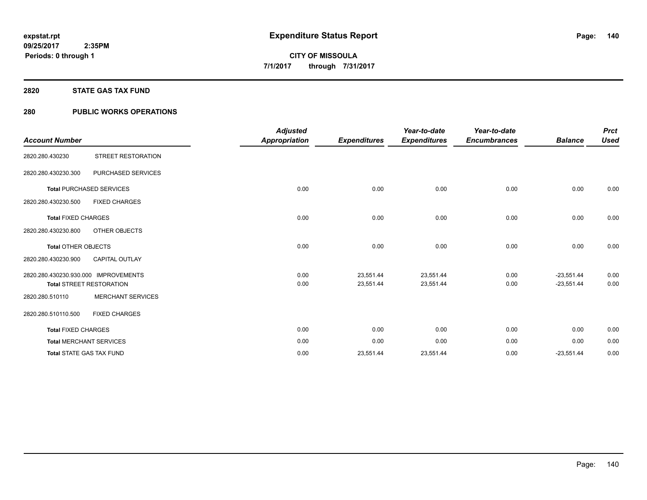#### **2820 STATE GAS TAX FUND**

# **280 PUBLIC WORKS OPERATIONS**

|                                      |                                 | <b>Adjusted</b>      |                     | Year-to-date        | Year-to-date        |                | <b>Prct</b> |
|--------------------------------------|---------------------------------|----------------------|---------------------|---------------------|---------------------|----------------|-------------|
| <b>Account Number</b>                |                                 | <b>Appropriation</b> | <b>Expenditures</b> | <b>Expenditures</b> | <b>Encumbrances</b> | <b>Balance</b> | <b>Used</b> |
| 2820.280.430230                      | STREET RESTORATION              |                      |                     |                     |                     |                |             |
| 2820.280.430230.300                  | PURCHASED SERVICES              |                      |                     |                     |                     |                |             |
|                                      | <b>Total PURCHASED SERVICES</b> | 0.00                 | 0.00                | 0.00                | 0.00                | 0.00           | 0.00        |
| 2820.280.430230.500                  | <b>FIXED CHARGES</b>            |                      |                     |                     |                     |                |             |
| <b>Total FIXED CHARGES</b>           |                                 | 0.00                 | 0.00                | 0.00                | 0.00                | 0.00           | 0.00        |
| 2820.280.430230.800                  | OTHER OBJECTS                   |                      |                     |                     |                     |                |             |
| <b>Total OTHER OBJECTS</b>           |                                 | 0.00                 | 0.00                | 0.00                | 0.00                | 0.00           | 0.00        |
| 2820.280.430230.900                  | <b>CAPITAL OUTLAY</b>           |                      |                     |                     |                     |                |             |
| 2820.280.430230.930.000 IMPROVEMENTS |                                 | 0.00                 | 23,551.44           | 23,551.44           | 0.00                | $-23,551.44$   | 0.00        |
|                                      | <b>Total STREET RESTORATION</b> | 0.00                 | 23,551.44           | 23,551.44           | 0.00                | $-23,551.44$   | 0.00        |
| 2820.280.510110                      | <b>MERCHANT SERVICES</b>        |                      |                     |                     |                     |                |             |
| 2820.280.510110.500                  | <b>FIXED CHARGES</b>            |                      |                     |                     |                     |                |             |
| <b>Total FIXED CHARGES</b>           |                                 | 0.00                 | 0.00                | 0.00                | 0.00                | 0.00           | 0.00        |
|                                      | <b>Total MERCHANT SERVICES</b>  | 0.00                 | 0.00                | 0.00                | 0.00                | 0.00           | 0.00        |
|                                      | <b>Total STATE GAS TAX FUND</b> | 0.00                 | 23,551.44           | 23,551.44           | 0.00                | $-23,551.44$   | 0.00        |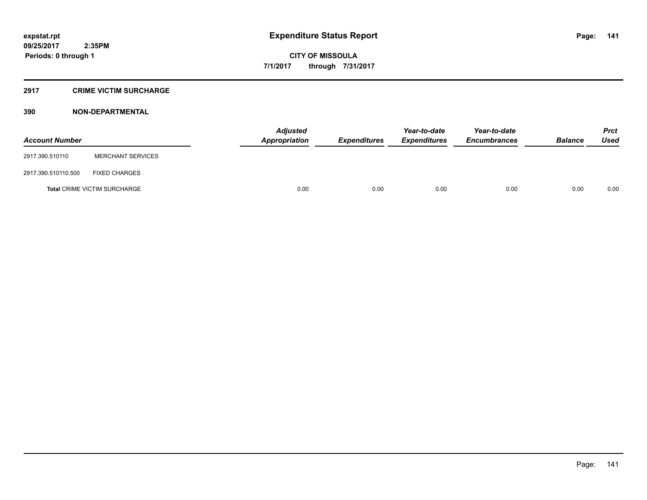#### **2917 CRIME VICTIM SURCHARGE**

| <b>Account Number</b> |                                     | Adjusted<br><b>Appropriation</b> | <b>Expenditures</b> | Year-to-date<br><b>Expenditures</b> | Year-to-date<br><b>Encumbrances</b> | <b>Balance</b> | <b>Prct</b><br><b>Used</b> |
|-----------------------|-------------------------------------|----------------------------------|---------------------|-------------------------------------|-------------------------------------|----------------|----------------------------|
| 2917.390.510110       | <b>MERCHANT SERVICES</b>            |                                  |                     |                                     |                                     |                |                            |
| 2917.390.510110.500   | <b>FIXED CHARGES</b>                |                                  |                     |                                     |                                     |                |                            |
|                       | <b>Total CRIME VICTIM SURCHARGE</b> | 0.00                             | 0.00                | 0.00                                | 0.00                                | 0.00           | 0.00                       |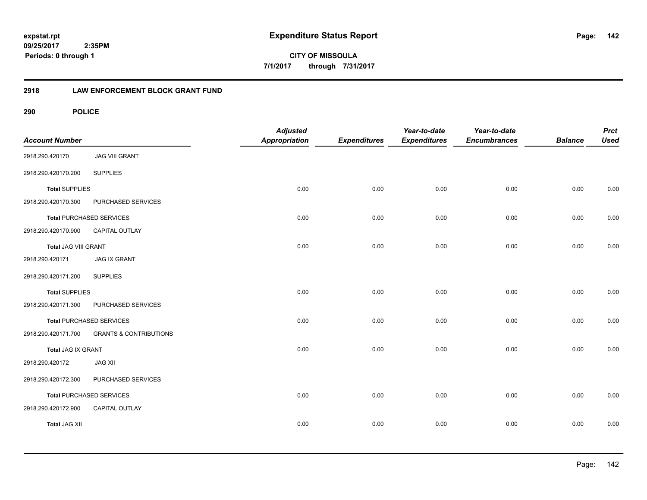**142**

**09/25/2017 2:35PM Periods: 0 through 1**

**CITY OF MISSOULA 7/1/2017 through 7/31/2017**

# **2918 LAW ENFORCEMENT BLOCK GRANT FUND**

| <b>Account Number</b> |                                   | <b>Adjusted</b><br>Appropriation | <b>Expenditures</b> | Year-to-date<br><b>Expenditures</b> | Year-to-date<br><b>Encumbrances</b> | <b>Balance</b> | <b>Prct</b><br><b>Used</b> |
|-----------------------|-----------------------------------|----------------------------------|---------------------|-------------------------------------|-------------------------------------|----------------|----------------------------|
| 2918.290.420170       | <b>JAG VIII GRANT</b>             |                                  |                     |                                     |                                     |                |                            |
| 2918.290.420170.200   | <b>SUPPLIES</b>                   |                                  |                     |                                     |                                     |                |                            |
| <b>Total SUPPLIES</b> |                                   | 0.00                             | 0.00                | 0.00                                | 0.00                                | 0.00           | 0.00                       |
| 2918.290.420170.300   | PURCHASED SERVICES                |                                  |                     |                                     |                                     |                |                            |
|                       | <b>Total PURCHASED SERVICES</b>   | 0.00                             | 0.00                | 0.00                                | 0.00                                | 0.00           | 0.00                       |
| 2918.290.420170.900   | CAPITAL OUTLAY                    |                                  |                     |                                     |                                     |                |                            |
| Total JAG VIII GRANT  |                                   | 0.00                             | 0.00                | 0.00                                | 0.00                                | 0.00           | 0.00                       |
| 2918.290.420171       | <b>JAG IX GRANT</b>               |                                  |                     |                                     |                                     |                |                            |
| 2918.290.420171.200   | <b>SUPPLIES</b>                   |                                  |                     |                                     |                                     |                |                            |
| <b>Total SUPPLIES</b> |                                   | 0.00                             | 0.00                | 0.00                                | 0.00                                | 0.00           | 0.00                       |
| 2918.290.420171.300   | PURCHASED SERVICES                |                                  |                     |                                     |                                     |                |                            |
|                       | <b>Total PURCHASED SERVICES</b>   | 0.00                             | 0.00                | 0.00                                | 0.00                                | 0.00           | 0.00                       |
| 2918.290.420171.700   | <b>GRANTS &amp; CONTRIBUTIONS</b> |                                  |                     |                                     |                                     |                |                            |
| Total JAG IX GRANT    |                                   | 0.00                             | 0.00                | 0.00                                | 0.00                                | 0.00           | 0.00                       |
| 2918.290.420172       | <b>JAG XII</b>                    |                                  |                     |                                     |                                     |                |                            |
| 2918.290.420172.300   | PURCHASED SERVICES                |                                  |                     |                                     |                                     |                |                            |
|                       | Total PURCHASED SERVICES          | 0.00                             | 0.00                | 0.00                                | 0.00                                | 0.00           | 0.00                       |
| 2918.290.420172.900   | CAPITAL OUTLAY                    |                                  |                     |                                     |                                     |                |                            |
| <b>Total JAG XII</b>  |                                   | 0.00                             | 0.00                | 0.00                                | 0.00                                | 0.00           | 0.00                       |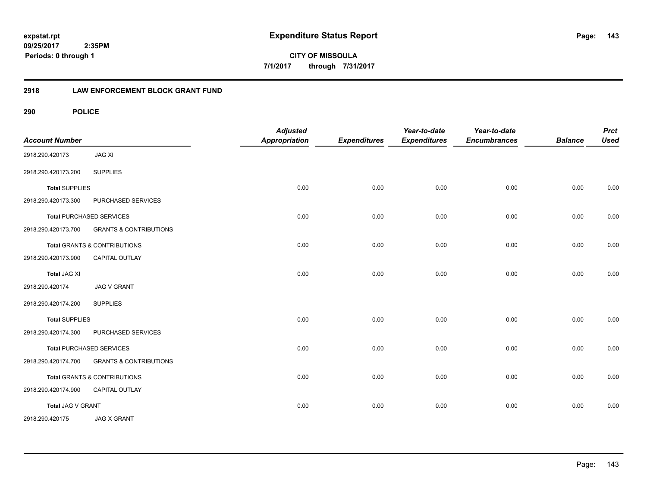**CITY OF MISSOULA 7/1/2017 through 7/31/2017**

# **2918 LAW ENFORCEMENT BLOCK GRANT FUND**

| <b>Account Number</b> |                                         | <b>Adjusted</b><br><b>Appropriation</b> | <b>Expenditures</b> | Year-to-date<br><b>Expenditures</b> | Year-to-date<br><b>Encumbrances</b> | <b>Balance</b> | <b>Prct</b><br><b>Used</b> |
|-----------------------|-----------------------------------------|-----------------------------------------|---------------------|-------------------------------------|-------------------------------------|----------------|----------------------------|
| 2918.290.420173       | <b>JAG XI</b>                           |                                         |                     |                                     |                                     |                |                            |
| 2918.290.420173.200   | <b>SUPPLIES</b>                         |                                         |                     |                                     |                                     |                |                            |
| <b>Total SUPPLIES</b> |                                         | 0.00                                    | 0.00                | 0.00                                | 0.00                                | 0.00           | 0.00                       |
| 2918.290.420173.300   | PURCHASED SERVICES                      |                                         |                     |                                     |                                     |                |                            |
|                       | <b>Total PURCHASED SERVICES</b>         | 0.00                                    | 0.00                | 0.00                                | 0.00                                | 0.00           | 0.00                       |
| 2918.290.420173.700   | <b>GRANTS &amp; CONTRIBUTIONS</b>       |                                         |                     |                                     |                                     |                |                            |
|                       | <b>Total GRANTS &amp; CONTRIBUTIONS</b> | 0.00                                    | 0.00                | 0.00                                | 0.00                                | 0.00           | 0.00                       |
| 2918.290.420173.900   | <b>CAPITAL OUTLAY</b>                   |                                         |                     |                                     |                                     |                |                            |
| <b>Total JAG XI</b>   |                                         | 0.00                                    | 0.00                | 0.00                                | 0.00                                | 0.00           | 0.00                       |
| 2918.290.420174       | <b>JAG V GRANT</b>                      |                                         |                     |                                     |                                     |                |                            |
| 2918.290.420174.200   | <b>SUPPLIES</b>                         |                                         |                     |                                     |                                     |                |                            |
| <b>Total SUPPLIES</b> |                                         | 0.00                                    | 0.00                | 0.00                                | 0.00                                | 0.00           | 0.00                       |
| 2918.290.420174.300   | PURCHASED SERVICES                      |                                         |                     |                                     |                                     |                |                            |
|                       | <b>Total PURCHASED SERVICES</b>         | 0.00                                    | 0.00                | 0.00                                | 0.00                                | 0.00           | 0.00                       |
| 2918.290.420174.700   | <b>GRANTS &amp; CONTRIBUTIONS</b>       |                                         |                     |                                     |                                     |                |                            |
|                       | Total GRANTS & CONTRIBUTIONS            | 0.00                                    | 0.00                | 0.00                                | 0.00                                | 0.00           | 0.00                       |
| 2918.290.420174.900   | CAPITAL OUTLAY                          |                                         |                     |                                     |                                     |                |                            |
| Total JAG V GRANT     |                                         | 0.00                                    | 0.00                | 0.00                                | 0.00                                | 0.00           | 0.00                       |
| 2918.290.420175       | <b>JAG X GRANT</b>                      |                                         |                     |                                     |                                     |                |                            |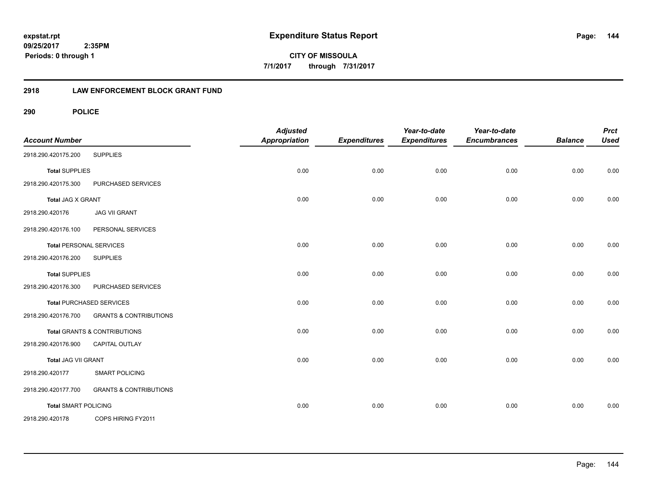**CITY OF MISSOULA 7/1/2017 through 7/31/2017**

# **2918 LAW ENFORCEMENT BLOCK GRANT FUND**

| <b>Account Number</b>       |                                         | <b>Adjusted</b><br><b>Appropriation</b> | <b>Expenditures</b> | Year-to-date<br><b>Expenditures</b> | Year-to-date<br><b>Encumbrances</b> | <b>Balance</b> | <b>Prct</b><br><b>Used</b> |
|-----------------------------|-----------------------------------------|-----------------------------------------|---------------------|-------------------------------------|-------------------------------------|----------------|----------------------------|
| 2918.290.420175.200         | <b>SUPPLIES</b>                         |                                         |                     |                                     |                                     |                |                            |
| <b>Total SUPPLIES</b>       |                                         | 0.00                                    | 0.00                | 0.00                                | 0.00                                | 0.00           | 0.00                       |
| 2918.290.420175.300         | PURCHASED SERVICES                      |                                         |                     |                                     |                                     |                |                            |
| Total JAG X GRANT           |                                         | 0.00                                    | 0.00                | 0.00                                | 0.00                                | 0.00           | 0.00                       |
| 2918.290.420176             | <b>JAG VII GRANT</b>                    |                                         |                     |                                     |                                     |                |                            |
| 2918.290.420176.100         | PERSONAL SERVICES                       |                                         |                     |                                     |                                     |                |                            |
|                             | <b>Total PERSONAL SERVICES</b>          | 0.00                                    | 0.00                | 0.00                                | 0.00                                | 0.00           | 0.00                       |
| 2918.290.420176.200         | <b>SUPPLIES</b>                         |                                         |                     |                                     |                                     |                |                            |
| <b>Total SUPPLIES</b>       |                                         | 0.00                                    | 0.00                | 0.00                                | 0.00                                | 0.00           | 0.00                       |
| 2918.290.420176.300         | PURCHASED SERVICES                      |                                         |                     |                                     |                                     |                |                            |
|                             | <b>Total PURCHASED SERVICES</b>         | 0.00                                    | 0.00                | 0.00                                | 0.00                                | 0.00           | 0.00                       |
| 2918.290.420176.700         | <b>GRANTS &amp; CONTRIBUTIONS</b>       |                                         |                     |                                     |                                     |                |                            |
|                             | <b>Total GRANTS &amp; CONTRIBUTIONS</b> | 0.00                                    | 0.00                | 0.00                                | 0.00                                | 0.00           | 0.00                       |
| 2918.290.420176.900         | CAPITAL OUTLAY                          |                                         |                     |                                     |                                     |                |                            |
| Total JAG VII GRANT         |                                         | 0.00                                    | 0.00                | 0.00                                | 0.00                                | 0.00           | 0.00                       |
| 2918.290.420177             | <b>SMART POLICING</b>                   |                                         |                     |                                     |                                     |                |                            |
| 2918.290.420177.700         | <b>GRANTS &amp; CONTRIBUTIONS</b>       |                                         |                     |                                     |                                     |                |                            |
| <b>Total SMART POLICING</b> |                                         | 0.00                                    | 0.00                | 0.00                                | 0.00                                | 0.00           | 0.00                       |
| 2918.290.420178             | COPS HIRING FY2011                      |                                         |                     |                                     |                                     |                |                            |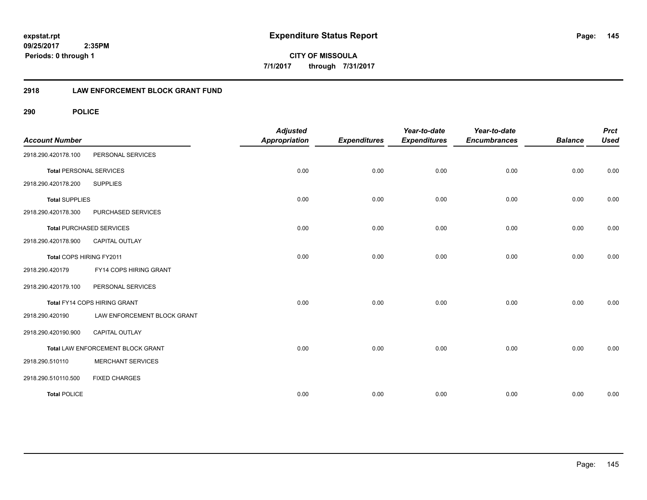**CITY OF MISSOULA 7/1/2017 through 7/31/2017**

## **2918 LAW ENFORCEMENT BLOCK GRANT FUND**

**290 POLICE**

| <b>Account Number</b>          |                                   | <b>Adjusted</b><br><b>Appropriation</b> | <b>Expenditures</b> | Year-to-date<br><b>Expenditures</b> | Year-to-date<br><b>Encumbrances</b> | <b>Balance</b> | <b>Prct</b><br><b>Used</b> |
|--------------------------------|-----------------------------------|-----------------------------------------|---------------------|-------------------------------------|-------------------------------------|----------------|----------------------------|
| 2918.290.420178.100            | PERSONAL SERVICES                 |                                         |                     |                                     |                                     |                |                            |
| <b>Total PERSONAL SERVICES</b> |                                   | 0.00                                    | 0.00                | 0.00                                | 0.00                                | 0.00           | 0.00                       |
| 2918.290.420178.200            | <b>SUPPLIES</b>                   |                                         |                     |                                     |                                     |                |                            |
| <b>Total SUPPLIES</b>          |                                   | 0.00                                    | 0.00                | 0.00                                | 0.00                                | 0.00           | 0.00                       |
| 2918.290.420178.300            | PURCHASED SERVICES                |                                         |                     |                                     |                                     |                |                            |
|                                | <b>Total PURCHASED SERVICES</b>   | 0.00                                    | 0.00                | 0.00                                | 0.00                                | 0.00           | 0.00                       |
| 2918.290.420178.900            | <b>CAPITAL OUTLAY</b>             |                                         |                     |                                     |                                     |                |                            |
| Total COPS HIRING FY2011       |                                   | 0.00                                    | 0.00                | 0.00                                | 0.00                                | 0.00           | 0.00                       |
| 2918.290.420179                | FY14 COPS HIRING GRANT            |                                         |                     |                                     |                                     |                |                            |
| 2918.290.420179.100            | PERSONAL SERVICES                 |                                         |                     |                                     |                                     |                |                            |
|                                | Total FY14 COPS HIRING GRANT      | 0.00                                    | 0.00                | 0.00                                | 0.00                                | 0.00           | 0.00                       |
| 2918.290.420190                | LAW ENFORCEMENT BLOCK GRANT       |                                         |                     |                                     |                                     |                |                            |
| 2918.290.420190.900            | <b>CAPITAL OUTLAY</b>             |                                         |                     |                                     |                                     |                |                            |
|                                | Total LAW ENFORCEMENT BLOCK GRANT | 0.00                                    | 0.00                | 0.00                                | 0.00                                | 0.00           | 0.00                       |
| 2918.290.510110                | <b>MERCHANT SERVICES</b>          |                                         |                     |                                     |                                     |                |                            |
| 2918.290.510110.500            | <b>FIXED CHARGES</b>              |                                         |                     |                                     |                                     |                |                            |
| <b>Total POLICE</b>            |                                   | 0.00                                    | 0.00                | 0.00                                | 0.00                                | 0.00           | 0.00                       |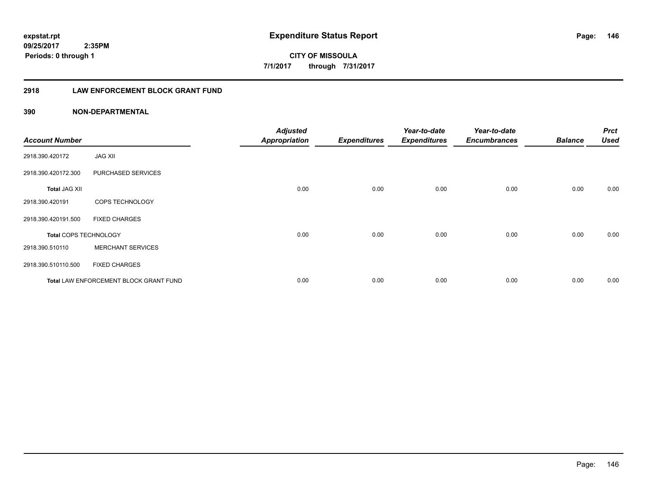**146**

**CITY OF MISSOULA 7/1/2017 through 7/31/2017**

## **2918 LAW ENFORCEMENT BLOCK GRANT FUND**

| <b>Account Number</b> |                                        | <b>Adjusted</b><br><b>Appropriation</b> | <b>Expenditures</b> | Year-to-date<br><b>Expenditures</b> | Year-to-date<br><b>Encumbrances</b> | <b>Balance</b> | <b>Prct</b><br><b>Used</b> |
|-----------------------|----------------------------------------|-----------------------------------------|---------------------|-------------------------------------|-------------------------------------|----------------|----------------------------|
| 2918.390.420172       | <b>JAG XII</b>                         |                                         |                     |                                     |                                     |                |                            |
| 2918.390.420172.300   | PURCHASED SERVICES                     |                                         |                     |                                     |                                     |                |                            |
| <b>Total JAG XII</b>  |                                        | 0.00                                    | 0.00                | 0.00                                | 0.00                                | 0.00           | 0.00                       |
| 2918.390.420191       | COPS TECHNOLOGY                        |                                         |                     |                                     |                                     |                |                            |
| 2918.390.420191.500   | <b>FIXED CHARGES</b>                   |                                         |                     |                                     |                                     |                |                            |
| Total COPS TECHNOLOGY |                                        | 0.00                                    | 0.00                | 0.00                                | 0.00                                | 0.00           | 0.00                       |
| 2918.390.510110       | <b>MERCHANT SERVICES</b>               |                                         |                     |                                     |                                     |                |                            |
| 2918.390.510110.500   | <b>FIXED CHARGES</b>                   |                                         |                     |                                     |                                     |                |                            |
|                       | Total LAW ENFORCEMENT BLOCK GRANT FUND | 0.00                                    | 0.00                | 0.00                                | 0.00                                | 0.00           | 0.00                       |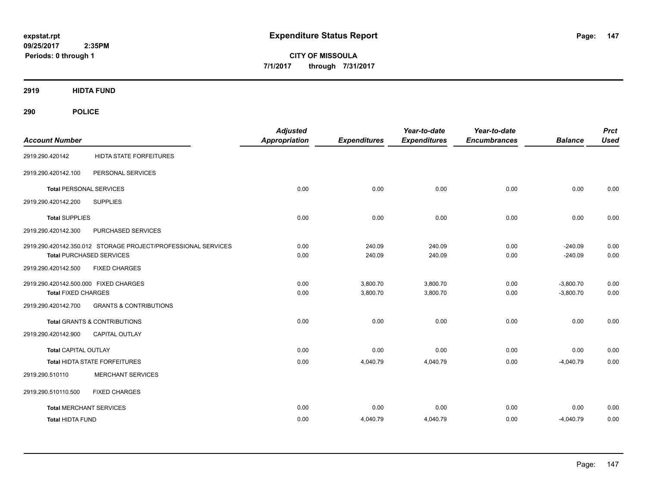**CITY OF MISSOULA 7/1/2017 through 7/31/2017**

**2919 HIDTA FUND**

**290 POLICE**

| <b>Account Number</b>                 |                                                               | <b>Adjusted</b><br><b>Appropriation</b> | <b>Expenditures</b> | Year-to-date<br><b>Expenditures</b> | Year-to-date<br><b>Encumbrances</b> | <b>Balance</b> | <b>Prct</b><br><b>Used</b> |
|---------------------------------------|---------------------------------------------------------------|-----------------------------------------|---------------------|-------------------------------------|-------------------------------------|----------------|----------------------------|
| 2919.290.420142                       | <b>HIDTA STATE FORFEITURES</b>                                |                                         |                     |                                     |                                     |                |                            |
| 2919.290.420142.100                   | PERSONAL SERVICES                                             |                                         |                     |                                     |                                     |                |                            |
| <b>Total PERSONAL SERVICES</b>        |                                                               | 0.00                                    | 0.00                | 0.00                                | 0.00                                | 0.00           | 0.00                       |
| 2919.290.420142.200                   | <b>SUPPLIES</b>                                               |                                         |                     |                                     |                                     |                |                            |
| <b>Total SUPPLIES</b>                 |                                                               | 0.00                                    | 0.00                | 0.00                                | 0.00                                | 0.00           | 0.00                       |
| 2919.290.420142.300                   | PURCHASED SERVICES                                            |                                         |                     |                                     |                                     |                |                            |
|                                       | 2919.290.420142.350.012 STORAGE PROJECT/PROFESSIONAL SERVICES | 0.00                                    | 240.09              | 240.09                              | 0.00                                | $-240.09$      | 0.00                       |
|                                       | <b>Total PURCHASED SERVICES</b>                               | 0.00                                    | 240.09              | 240.09                              | 0.00                                | $-240.09$      | 0.00                       |
| 2919.290.420142.500                   | <b>FIXED CHARGES</b>                                          |                                         |                     |                                     |                                     |                |                            |
| 2919.290.420142.500.000 FIXED CHARGES |                                                               | 0.00                                    | 3,800.70            | 3,800.70                            | 0.00                                | $-3,800.70$    | 0.00                       |
| <b>Total FIXED CHARGES</b>            |                                                               | 0.00                                    | 3,800.70            | 3,800.70                            | 0.00                                | $-3,800.70$    | 0.00                       |
| 2919.290.420142.700                   | <b>GRANTS &amp; CONTRIBUTIONS</b>                             |                                         |                     |                                     |                                     |                |                            |
|                                       | <b>Total GRANTS &amp; CONTRIBUTIONS</b>                       | 0.00                                    | 0.00                | 0.00                                | 0.00                                | 0.00           | 0.00                       |
| 2919.290.420142.900                   | <b>CAPITAL OUTLAY</b>                                         |                                         |                     |                                     |                                     |                |                            |
| <b>Total CAPITAL OUTLAY</b>           |                                                               | 0.00                                    | 0.00                | 0.00                                | 0.00                                | 0.00           | 0.00                       |
|                                       | Total HIDTA STATE FORFEITURES                                 | 0.00                                    | 4,040.79            | 4,040.79                            | 0.00                                | $-4,040.79$    | 0.00                       |
| 2919.290.510110                       | <b>MERCHANT SERVICES</b>                                      |                                         |                     |                                     |                                     |                |                            |
| 2919.290.510110.500                   | <b>FIXED CHARGES</b>                                          |                                         |                     |                                     |                                     |                |                            |
| <b>Total MERCHANT SERVICES</b>        |                                                               | 0.00                                    | 0.00                | 0.00                                | 0.00                                | 0.00           | 0.00                       |
| <b>Total HIDTA FUND</b>               |                                                               | 0.00                                    | 4,040.79            | 4,040.79                            | 0.00                                | $-4,040.79$    | 0.00                       |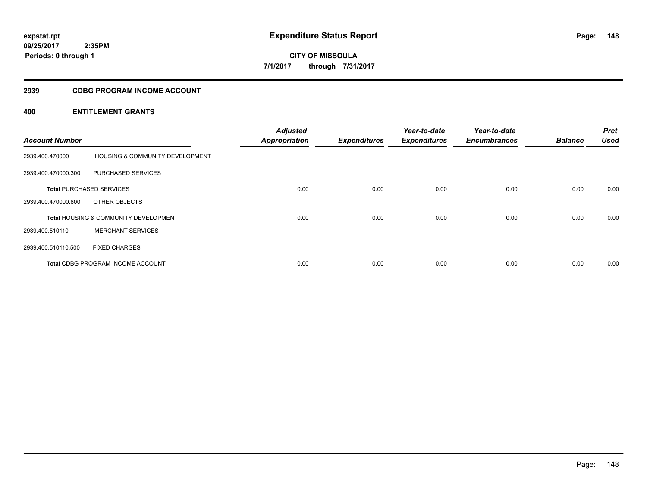**CITY OF MISSOULA 7/1/2017 through 7/31/2017**

## **2939 CDBG PROGRAM INCOME ACCOUNT**

| <b>Account Number</b> |                                                  | <b>Adjusted</b><br><b>Appropriation</b> | <b>Expenditures</b> | Year-to-date<br><b>Expenditures</b> | Year-to-date<br><b>Encumbrances</b> | <b>Balance</b> | <b>Prct</b><br><b>Used</b> |
|-----------------------|--------------------------------------------------|-----------------------------------------|---------------------|-------------------------------------|-------------------------------------|----------------|----------------------------|
| 2939.400.470000       | HOUSING & COMMUNITY DEVELOPMENT                  |                                         |                     |                                     |                                     |                |                            |
| 2939.400.470000.300   | PURCHASED SERVICES                               |                                         |                     |                                     |                                     |                |                            |
|                       | <b>Total PURCHASED SERVICES</b>                  | 0.00                                    | 0.00                | 0.00                                | 0.00                                | 0.00           | 0.00                       |
| 2939.400.470000.800   | OTHER OBJECTS                                    |                                         |                     |                                     |                                     |                |                            |
|                       | <b>Total HOUSING &amp; COMMUNITY DEVELOPMENT</b> | 0.00                                    | 0.00                | 0.00                                | 0.00                                | 0.00           | 0.00                       |
| 2939.400.510110       | <b>MERCHANT SERVICES</b>                         |                                         |                     |                                     |                                     |                |                            |
| 2939.400.510110.500   | <b>FIXED CHARGES</b>                             |                                         |                     |                                     |                                     |                |                            |
|                       | <b>Total CDBG PROGRAM INCOME ACCOUNT</b>         | 0.00                                    | 0.00                | 0.00                                | 0.00                                | 0.00           | 0.00                       |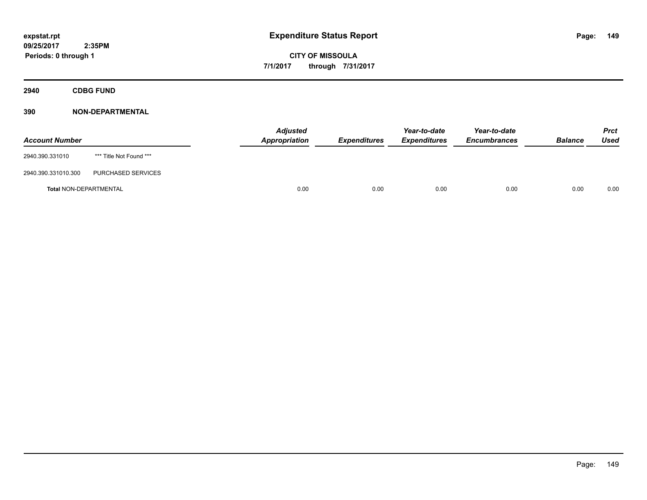**Periods: 0 through 1**

**CITY OF MISSOULA 7/1/2017 through 7/31/2017**

**2940 CDBG FUND**

## **390 NON-DEPARTMENTAL**

 **2:35PM**

| <b>Account Number</b>  |                         | <b>Adjusted</b><br>Appropriation | <b>Expenditures</b> | Year-to-date<br><b>Expenditures</b> | Year-to-date<br><b>Encumbrances</b> | <b>Balance</b> | Prct<br>Used |
|------------------------|-------------------------|----------------------------------|---------------------|-------------------------------------|-------------------------------------|----------------|--------------|
| 2940.390.331010        | *** Title Not Found *** |                                  |                     |                                     |                                     |                |              |
| 2940.390.331010.300    | PURCHASED SERVICES      |                                  |                     |                                     |                                     |                |              |
| Total NON-DEPARTMENTAL |                         | 0.00                             | 0.00                | 0.00                                | 0.00                                | 0.00           | 0.00         |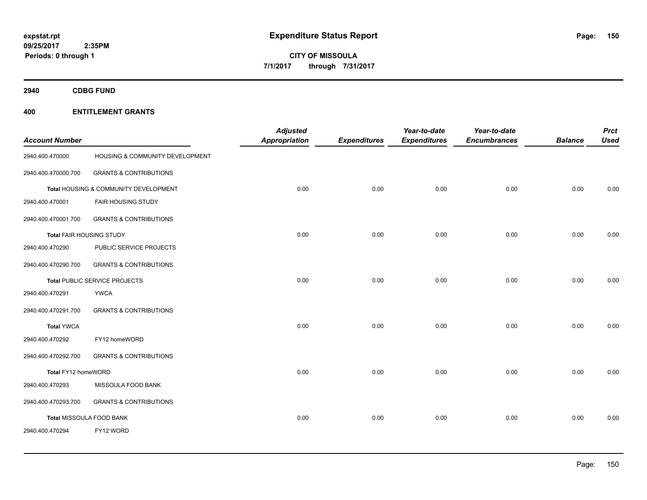**2940 CDBG FUND**

| <b>Account Number</b>    |                                       | <b>Adjusted</b><br><b>Appropriation</b> | <b>Expenditures</b> | Year-to-date<br><b>Expenditures</b> | Year-to-date<br><b>Encumbrances</b> | <b>Balance</b> | <b>Prct</b><br><b>Used</b> |
|--------------------------|---------------------------------------|-----------------------------------------|---------------------|-------------------------------------|-------------------------------------|----------------|----------------------------|
| 2940.400.470000          | HOUSING & COMMUNITY DEVELOPMENT       |                                         |                     |                                     |                                     |                |                            |
| 2940.400.470000.700      | <b>GRANTS &amp; CONTRIBUTIONS</b>     |                                         |                     |                                     |                                     |                |                            |
|                          | Total HOUSING & COMMUNITY DEVELOPMENT | 0.00                                    | 0.00                | 0.00                                | 0.00                                | 0.00           | 0.00                       |
| 2940.400.470001          | FAIR HOUSING STUDY                    |                                         |                     |                                     |                                     |                |                            |
| 2940.400.470001.700      | <b>GRANTS &amp; CONTRIBUTIONS</b>     |                                         |                     |                                     |                                     |                |                            |
| Total FAIR HOUSING STUDY |                                       | 0.00                                    | 0.00                | 0.00                                | 0.00                                | 0.00           | 0.00                       |
| 2940.400.470290          | PUBLIC SERVICE PROJECTS               |                                         |                     |                                     |                                     |                |                            |
| 2940.400.470290.700      | <b>GRANTS &amp; CONTRIBUTIONS</b>     |                                         |                     |                                     |                                     |                |                            |
|                          | Total PUBLIC SERVICE PROJECTS         | 0.00                                    | 0.00                | 0.00                                | 0.00                                | 0.00           | 0.00                       |
| 2940.400.470291          | <b>YWCA</b>                           |                                         |                     |                                     |                                     |                |                            |
| 2940.400.470291.700      | <b>GRANTS &amp; CONTRIBUTIONS</b>     |                                         |                     |                                     |                                     |                |                            |
| <b>Total YWCA</b>        |                                       | 0.00                                    | 0.00                | 0.00                                | 0.00                                | 0.00           | 0.00                       |
| 2940.400.470292          | FY12 homeWORD                         |                                         |                     |                                     |                                     |                |                            |
| 2940.400.470292.700      | <b>GRANTS &amp; CONTRIBUTIONS</b>     |                                         |                     |                                     |                                     |                |                            |
| Total FY12 homeWORD      |                                       | 0.00                                    | 0.00                | 0.00                                | 0.00                                | 0.00           | 0.00                       |
| 2940.400.470293          | MISSOULA FOOD BANK                    |                                         |                     |                                     |                                     |                |                            |
| 2940.400.470293.700      | <b>GRANTS &amp; CONTRIBUTIONS</b>     |                                         |                     |                                     |                                     |                |                            |
| Total MISSOULA FOOD BANK |                                       | 0.00                                    | 0.00                | 0.00                                | 0.00                                | 0.00           | 0.00                       |
| 2940.400.470294          | FY12 WORD                             |                                         |                     |                                     |                                     |                |                            |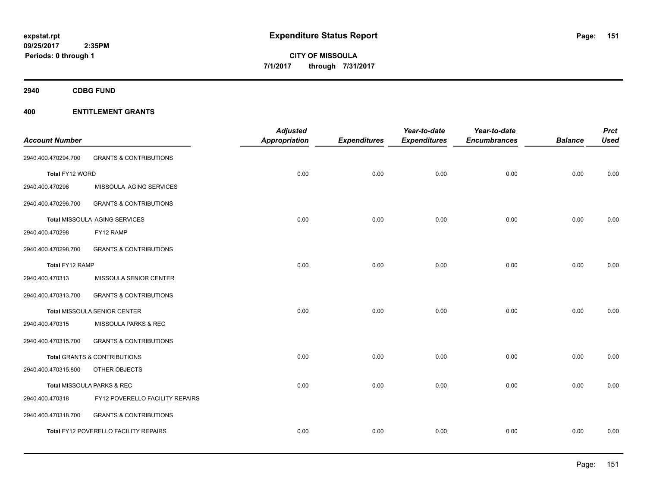**Periods: 0 through 1**

**CITY OF MISSOULA 7/1/2017 through 7/31/2017**

**2940 CDBG FUND**

## **400 ENTITLEMENT GRANTS**

 **2:35PM**

| <b>Account Number</b> |                                       | <b>Adjusted</b><br><b>Appropriation</b> | <b>Expenditures</b> | Year-to-date<br><b>Expenditures</b> | Year-to-date<br><b>Encumbrances</b> | <b>Balance</b> | <b>Prct</b><br><b>Used</b> |
|-----------------------|---------------------------------------|-----------------------------------------|---------------------|-------------------------------------|-------------------------------------|----------------|----------------------------|
| 2940.400.470294.700   | <b>GRANTS &amp; CONTRIBUTIONS</b>     |                                         |                     |                                     |                                     |                |                            |
|                       |                                       |                                         |                     |                                     |                                     |                |                            |
| Total FY12 WORD       |                                       | 0.00                                    | 0.00                | 0.00                                | 0.00                                | 0.00           | 0.00                       |
| 2940.400.470296       | MISSOULA AGING SERVICES               |                                         |                     |                                     |                                     |                |                            |
| 2940.400.470296.700   | <b>GRANTS &amp; CONTRIBUTIONS</b>     |                                         |                     |                                     |                                     |                |                            |
|                       | Total MISSOULA AGING SERVICES         | 0.00                                    | 0.00                | 0.00                                | 0.00                                | 0.00           | 0.00                       |
| 2940.400.470298       | FY12 RAMP                             |                                         |                     |                                     |                                     |                |                            |
| 2940.400.470298.700   | <b>GRANTS &amp; CONTRIBUTIONS</b>     |                                         |                     |                                     |                                     |                |                            |
| Total FY12 RAMP       |                                       | 0.00                                    | 0.00                | 0.00                                | 0.00                                | 0.00           | 0.00                       |
| 2940.400.470313       | MISSOULA SENIOR CENTER                |                                         |                     |                                     |                                     |                |                            |
| 2940.400.470313.700   | <b>GRANTS &amp; CONTRIBUTIONS</b>     |                                         |                     |                                     |                                     |                |                            |
|                       | Total MISSOULA SENIOR CENTER          | 0.00                                    | 0.00                | 0.00                                | 0.00                                | 0.00           | 0.00                       |
| 2940.400.470315       | MISSOULA PARKS & REC                  |                                         |                     |                                     |                                     |                |                            |
| 2940.400.470315.700   | <b>GRANTS &amp; CONTRIBUTIONS</b>     |                                         |                     |                                     |                                     |                |                            |
|                       | Total GRANTS & CONTRIBUTIONS          | 0.00                                    | 0.00                | 0.00                                | 0.00                                | 0.00           | 0.00                       |
| 2940.400.470315.800   | OTHER OBJECTS                         |                                         |                     |                                     |                                     |                |                            |
|                       | Total MISSOULA PARKS & REC            | 0.00                                    | 0.00                | 0.00                                | 0.00                                | 0.00           | 0.00                       |
| 2940.400.470318       | FY12 POVERELLO FACILITY REPAIRS       |                                         |                     |                                     |                                     |                |                            |
| 2940.400.470318.700   | <b>GRANTS &amp; CONTRIBUTIONS</b>     |                                         |                     |                                     |                                     |                |                            |
|                       | Total FY12 POVERELLO FACILITY REPAIRS | 0.00                                    | 0.00                | 0.00                                | 0.00                                | 0.00           | 0.00                       |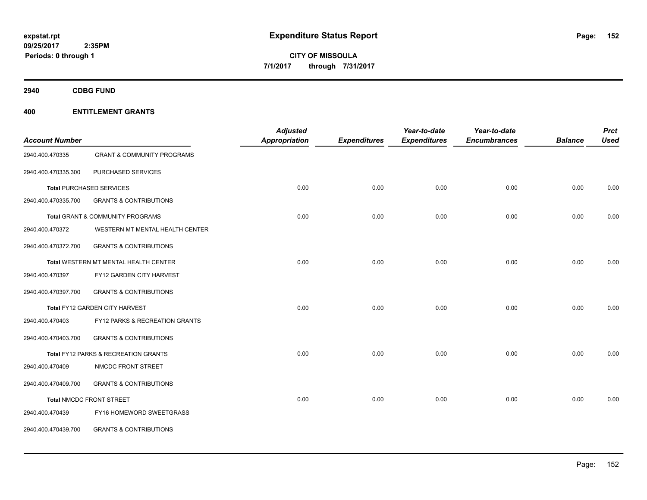**2940 CDBG FUND**

| <b>Account Number</b> |                                       | <b>Adjusted</b><br>Appropriation | <b>Expenditures</b> | Year-to-date<br><b>Expenditures</b> | Year-to-date<br><b>Encumbrances</b> | <b>Balance</b> | <b>Prct</b><br><b>Used</b> |
|-----------------------|---------------------------------------|----------------------------------|---------------------|-------------------------------------|-------------------------------------|----------------|----------------------------|
| 2940.400.470335       | <b>GRANT &amp; COMMUNITY PROGRAMS</b> |                                  |                     |                                     |                                     |                |                            |
| 2940.400.470335.300   | PURCHASED SERVICES                    |                                  |                     |                                     |                                     |                |                            |
|                       | <b>Total PURCHASED SERVICES</b>       | 0.00                             | 0.00                | 0.00                                | 0.00                                | 0.00           | 0.00                       |
| 2940.400.470335.700   | <b>GRANTS &amp; CONTRIBUTIONS</b>     |                                  |                     |                                     |                                     |                |                            |
|                       | Total GRANT & COMMUNITY PROGRAMS      | 0.00                             | 0.00                | 0.00                                | 0.00                                | 0.00           | 0.00                       |
| 2940.400.470372       | WESTERN MT MENTAL HEALTH CENTER       |                                  |                     |                                     |                                     |                |                            |
| 2940.400.470372.700   | <b>GRANTS &amp; CONTRIBUTIONS</b>     |                                  |                     |                                     |                                     |                |                            |
|                       | Total WESTERN MT MENTAL HEALTH CENTER | 0.00                             | 0.00                | 0.00                                | 0.00                                | 0.00           | 0.00                       |
| 2940.400.470397       | FY12 GARDEN CITY HARVEST              |                                  |                     |                                     |                                     |                |                            |
| 2940.400.470397.700   | <b>GRANTS &amp; CONTRIBUTIONS</b>     |                                  |                     |                                     |                                     |                |                            |
|                       | Total FY12 GARDEN CITY HARVEST        | 0.00                             | 0.00                | 0.00                                | 0.00                                | 0.00           | 0.00                       |
| 2940.400.470403       | FY12 PARKS & RECREATION GRANTS        |                                  |                     |                                     |                                     |                |                            |
| 2940.400.470403.700   | <b>GRANTS &amp; CONTRIBUTIONS</b>     |                                  |                     |                                     |                                     |                |                            |
|                       | Total FY12 PARKS & RECREATION GRANTS  | 0.00                             | 0.00                | 0.00                                | 0.00                                | 0.00           | 0.00                       |
| 2940.400.470409       | NMCDC FRONT STREET                    |                                  |                     |                                     |                                     |                |                            |
| 2940.400.470409.700   | <b>GRANTS &amp; CONTRIBUTIONS</b>     |                                  |                     |                                     |                                     |                |                            |
|                       | Total NMCDC FRONT STREET              | 0.00                             | 0.00                | 0.00                                | 0.00                                | 0.00           | 0.00                       |
| 2940.400.470439       | FY16 HOMEWORD SWEETGRASS              |                                  |                     |                                     |                                     |                |                            |
| 2940.400.470439.700   | <b>GRANTS &amp; CONTRIBUTIONS</b>     |                                  |                     |                                     |                                     |                |                            |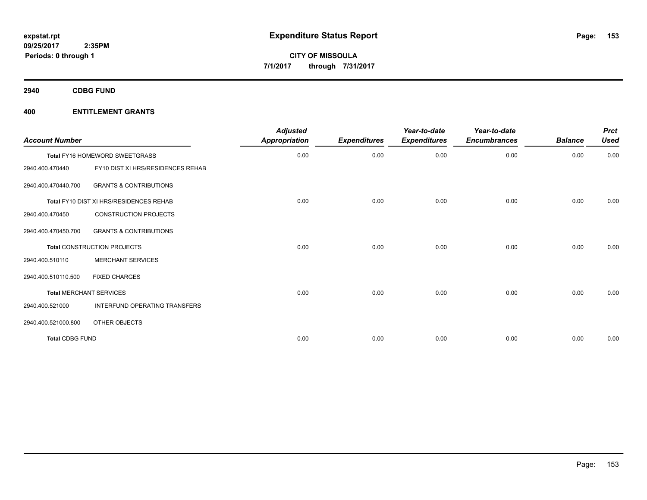**2940 CDBG FUND**

| <b>Account Number</b>  |                                         | <b>Adjusted</b><br><b>Appropriation</b> | <b>Expenditures</b> | Year-to-date<br><b>Expenditures</b> | Year-to-date<br><b>Encumbrances</b> | <b>Balance</b> | <b>Prct</b><br><b>Used</b> |
|------------------------|-----------------------------------------|-----------------------------------------|---------------------|-------------------------------------|-------------------------------------|----------------|----------------------------|
|                        | Total FY16 HOMEWORD SWEETGRASS          | 0.00                                    | 0.00                | 0.00                                | 0.00                                | 0.00           | 0.00                       |
| 2940.400.470440        | FY10 DIST XI HRS/RESIDENCES REHAB       |                                         |                     |                                     |                                     |                |                            |
| 2940.400.470440.700    | <b>GRANTS &amp; CONTRIBUTIONS</b>       |                                         |                     |                                     |                                     |                |                            |
|                        | Total FY10 DIST XI HRS/RESIDENCES REHAB | 0.00                                    | 0.00                | 0.00                                | 0.00                                | 0.00           | 0.00                       |
| 2940.400.470450        | <b>CONSTRUCTION PROJECTS</b>            |                                         |                     |                                     |                                     |                |                            |
| 2940.400.470450.700    | <b>GRANTS &amp; CONTRIBUTIONS</b>       |                                         |                     |                                     |                                     |                |                            |
|                        | Total CONSTRUCTION PROJECTS             | 0.00                                    | 0.00                | 0.00                                | 0.00                                | 0.00           | 0.00                       |
| 2940.400.510110        | <b>MERCHANT SERVICES</b>                |                                         |                     |                                     |                                     |                |                            |
| 2940.400.510110.500    | <b>FIXED CHARGES</b>                    |                                         |                     |                                     |                                     |                |                            |
|                        | <b>Total MERCHANT SERVICES</b>          | 0.00                                    | 0.00                | 0.00                                | 0.00                                | 0.00           | 0.00                       |
| 2940.400.521000        | INTERFUND OPERATING TRANSFERS           |                                         |                     |                                     |                                     |                |                            |
| 2940.400.521000.800    | OTHER OBJECTS                           |                                         |                     |                                     |                                     |                |                            |
| <b>Total CDBG FUND</b> |                                         | 0.00                                    | 0.00                | 0.00                                | 0.00                                | 0.00           | 0.00                       |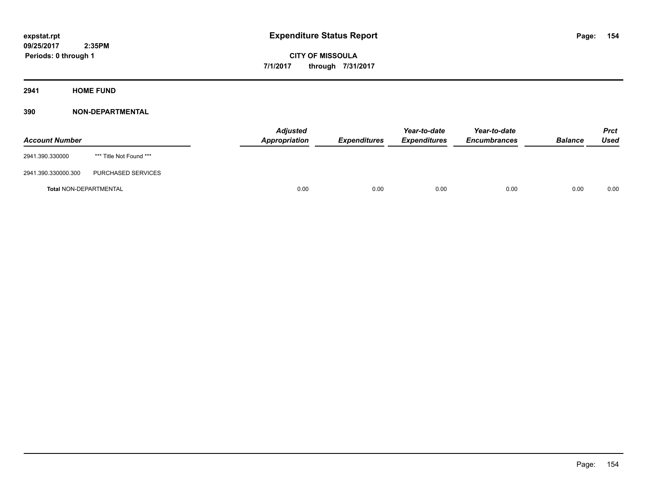**2941 HOME FUND**

| <b>Account Number</b>         |                         | <b>Adjusted</b><br>Appropriation | <b>Expenditures</b> | Year-to-date<br><b>Expenditures</b> | Year-to-date<br><b>Encumbrances</b> | <b>Balance</b> | Prct<br>Used |
|-------------------------------|-------------------------|----------------------------------|---------------------|-------------------------------------|-------------------------------------|----------------|--------------|
| 2941.390.330000               | *** Title Not Found *** |                                  |                     |                                     |                                     |                |              |
| 2941.390.330000.300           | PURCHASED SERVICES      |                                  |                     |                                     |                                     |                |              |
| <b>Total NON-DEPARTMENTAL</b> |                         | 0.00                             | 0.00                | 0.00                                | 0.00                                | 0.00           | 0.00         |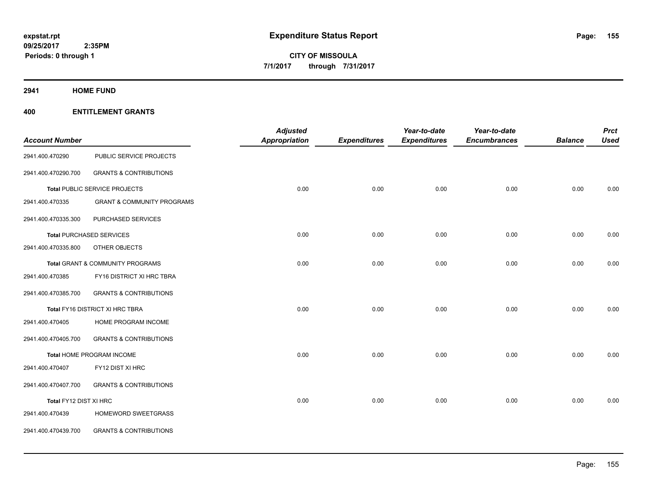**2941 HOME FUND**

|                        |                                       | <b>Adjusted</b>      |                     | Year-to-date        | Year-to-date        |                | <b>Prct</b> |
|------------------------|---------------------------------------|----------------------|---------------------|---------------------|---------------------|----------------|-------------|
| <b>Account Number</b>  |                                       | <b>Appropriation</b> | <b>Expenditures</b> | <b>Expenditures</b> | <b>Encumbrances</b> | <b>Balance</b> | <b>Used</b> |
| 2941.400.470290        | PUBLIC SERVICE PROJECTS               |                      |                     |                     |                     |                |             |
| 2941.400.470290.700    | <b>GRANTS &amp; CONTRIBUTIONS</b>     |                      |                     |                     |                     |                |             |
|                        | Total PUBLIC SERVICE PROJECTS         | 0.00                 | 0.00                | 0.00                | 0.00                | 0.00           | 0.00        |
| 2941.400.470335        | <b>GRANT &amp; COMMUNITY PROGRAMS</b> |                      |                     |                     |                     |                |             |
| 2941.400.470335.300    | PURCHASED SERVICES                    |                      |                     |                     |                     |                |             |
|                        | <b>Total PURCHASED SERVICES</b>       | 0.00                 | 0.00                | 0.00                | 0.00                | 0.00           | 0.00        |
| 2941.400.470335.800    | OTHER OBJECTS                         |                      |                     |                     |                     |                |             |
|                        | Total GRANT & COMMUNITY PROGRAMS      | 0.00                 | 0.00                | 0.00                | 0.00                | 0.00           | 0.00        |
| 2941.400.470385        | FY16 DISTRICT XI HRC TBRA             |                      |                     |                     |                     |                |             |
| 2941.400.470385.700    | <b>GRANTS &amp; CONTRIBUTIONS</b>     |                      |                     |                     |                     |                |             |
|                        | Total FY16 DISTRICT XI HRC TBRA       | 0.00                 | 0.00                | 0.00                | 0.00                | 0.00           | 0.00        |
| 2941.400.470405        | HOME PROGRAM INCOME                   |                      |                     |                     |                     |                |             |
| 2941.400.470405.700    | <b>GRANTS &amp; CONTRIBUTIONS</b>     |                      |                     |                     |                     |                |             |
|                        | Total HOME PROGRAM INCOME             | 0.00                 | 0.00                | 0.00                | 0.00                | 0.00           | 0.00        |
| 2941.400.470407        | FY12 DIST XI HRC                      |                      |                     |                     |                     |                |             |
| 2941.400.470407.700    | <b>GRANTS &amp; CONTRIBUTIONS</b>     |                      |                     |                     |                     |                |             |
| Total FY12 DIST XI HRC |                                       | 0.00                 | 0.00                | 0.00                | 0.00                | 0.00           | 0.00        |
| 2941.400.470439        | HOMEWORD SWEETGRASS                   |                      |                     |                     |                     |                |             |
| 2941.400.470439.700    | <b>GRANTS &amp; CONTRIBUTIONS</b>     |                      |                     |                     |                     |                |             |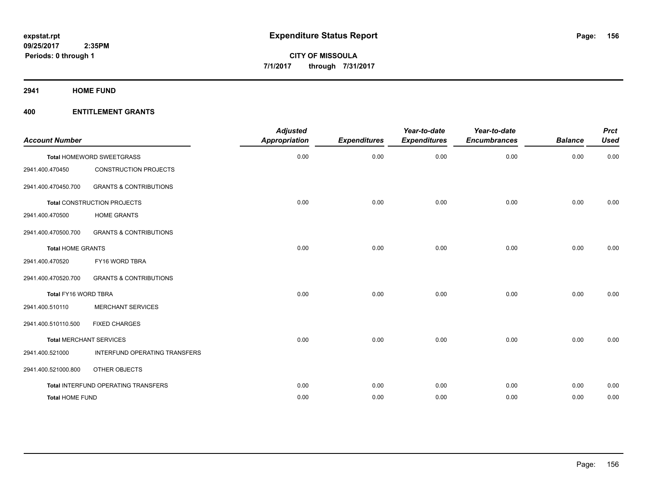**2941 HOME FUND**

| <b>Account Number</b>          |                                            | <b>Adjusted</b><br>Appropriation | <b>Expenditures</b> | Year-to-date<br><b>Expenditures</b> | Year-to-date<br><b>Encumbrances</b> | <b>Balance</b> | <b>Prct</b><br><b>Used</b> |
|--------------------------------|--------------------------------------------|----------------------------------|---------------------|-------------------------------------|-------------------------------------|----------------|----------------------------|
|                                | Total HOMEWORD SWEETGRASS                  | 0.00                             | 0.00                | 0.00                                | 0.00                                | 0.00           | 0.00                       |
| 2941.400.470450                | <b>CONSTRUCTION PROJECTS</b>               |                                  |                     |                                     |                                     |                |                            |
| 2941.400.470450.700            | <b>GRANTS &amp; CONTRIBUTIONS</b>          |                                  |                     |                                     |                                     |                |                            |
|                                | <b>Total CONSTRUCTION PROJECTS</b>         | 0.00                             | 0.00                | 0.00                                | 0.00                                | 0.00           | 0.00                       |
| 2941.400.470500                | <b>HOME GRANTS</b>                         |                                  |                     |                                     |                                     |                |                            |
| 2941.400.470500.700            | <b>GRANTS &amp; CONTRIBUTIONS</b>          |                                  |                     |                                     |                                     |                |                            |
| <b>Total HOME GRANTS</b>       |                                            | 0.00                             | 0.00                | 0.00                                | 0.00                                | 0.00           | 0.00                       |
| 2941.400.470520                | FY16 WORD TBRA                             |                                  |                     |                                     |                                     |                |                            |
| 2941.400.470520.700            | <b>GRANTS &amp; CONTRIBUTIONS</b>          |                                  |                     |                                     |                                     |                |                            |
| Total FY16 WORD TBRA           |                                            | 0.00                             | 0.00                | 0.00                                | 0.00                                | 0.00           | 0.00                       |
| 2941.400.510110                | <b>MERCHANT SERVICES</b>                   |                                  |                     |                                     |                                     |                |                            |
| 2941.400.510110.500            | <b>FIXED CHARGES</b>                       |                                  |                     |                                     |                                     |                |                            |
| <b>Total MERCHANT SERVICES</b> |                                            | 0.00                             | 0.00                | 0.00                                | 0.00                                | 0.00           | 0.00                       |
| 2941.400.521000                | INTERFUND OPERATING TRANSFERS              |                                  |                     |                                     |                                     |                |                            |
| 2941.400.521000.800            | OTHER OBJECTS                              |                                  |                     |                                     |                                     |                |                            |
|                                | <b>Total INTERFUND OPERATING TRANSFERS</b> | 0.00                             | 0.00                | 0.00                                | 0.00                                | 0.00           | 0.00                       |
| <b>Total HOME FUND</b>         |                                            | 0.00                             | 0.00                | 0.00                                | 0.00                                | 0.00           | 0.00                       |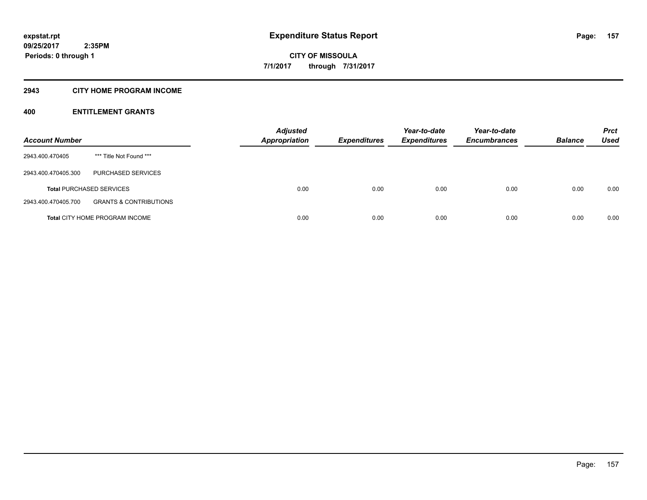## **2943 CITY HOME PROGRAM INCOME**

| <b>Account Number</b> |                                       | <b>Adjusted</b><br><b>Appropriation</b> | <b>Expenditures</b> | Year-to-date<br><b>Expenditures</b> | Year-to-date<br><b>Encumbrances</b> | <b>Balance</b> | <b>Prct</b><br>Used |
|-----------------------|---------------------------------------|-----------------------------------------|---------------------|-------------------------------------|-------------------------------------|----------------|---------------------|
| 2943.400.470405       | *** Title Not Found ***               |                                         |                     |                                     |                                     |                |                     |
| 2943.400.470405.300   | <b>PURCHASED SERVICES</b>             |                                         |                     |                                     |                                     |                |                     |
|                       | <b>Total PURCHASED SERVICES</b>       | 0.00                                    | 0.00                | 0.00                                | 0.00                                | 0.00           | 0.00                |
| 2943.400.470405.700   | <b>GRANTS &amp; CONTRIBUTIONS</b>     |                                         |                     |                                     |                                     |                |                     |
|                       | <b>Total CITY HOME PROGRAM INCOME</b> | 0.00                                    | 0.00                | 0.00                                | 0.00                                | 0.00           | 0.00                |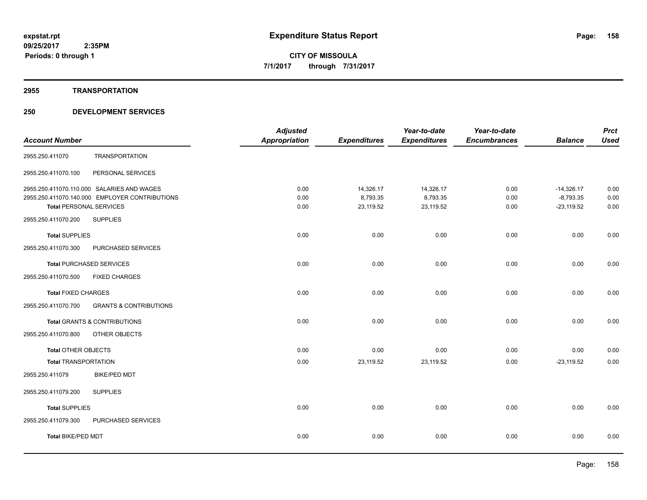## **2955 TRANSPORTATION**

|                                |                                                | <b>Adjusted</b>      |                     | Year-to-date        | Year-to-date        |                | <b>Prct</b> |
|--------------------------------|------------------------------------------------|----------------------|---------------------|---------------------|---------------------|----------------|-------------|
| <b>Account Number</b>          |                                                | <b>Appropriation</b> | <b>Expenditures</b> | <b>Expenditures</b> | <b>Encumbrances</b> | <b>Balance</b> | <b>Used</b> |
| 2955.250.411070                | <b>TRANSPORTATION</b>                          |                      |                     |                     |                     |                |             |
| 2955.250.411070.100            | PERSONAL SERVICES                              |                      |                     |                     |                     |                |             |
|                                | 2955.250.411070.110.000 SALARIES AND WAGES     | 0.00                 | 14,326.17           | 14,326.17           | 0.00                | $-14,326.17$   | 0.00        |
|                                | 2955.250.411070.140.000 EMPLOYER CONTRIBUTIONS | 0.00                 | 8,793.35            | 8,793.35            | 0.00                | $-8,793.35$    | 0.00        |
| <b>Total PERSONAL SERVICES</b> |                                                | 0.00                 | 23,119.52           | 23,119.52           | 0.00                | $-23,119.52$   | 0.00        |
| 2955.250.411070.200            | <b>SUPPLIES</b>                                |                      |                     |                     |                     |                |             |
| <b>Total SUPPLIES</b>          |                                                | 0.00                 | 0.00                | 0.00                | 0.00                | 0.00           | 0.00        |
| 2955.250.411070.300            | PURCHASED SERVICES                             |                      |                     |                     |                     |                |             |
|                                | <b>Total PURCHASED SERVICES</b>                | 0.00                 | 0.00                | 0.00                | 0.00                | 0.00           | 0.00        |
| 2955.250.411070.500            | <b>FIXED CHARGES</b>                           |                      |                     |                     |                     |                |             |
| <b>Total FIXED CHARGES</b>     |                                                | 0.00                 | 0.00                | 0.00                | 0.00                | 0.00           | 0.00        |
| 2955.250.411070.700            | <b>GRANTS &amp; CONTRIBUTIONS</b>              |                      |                     |                     |                     |                |             |
|                                | Total GRANTS & CONTRIBUTIONS                   | 0.00                 | 0.00                | 0.00                | 0.00                | 0.00           | 0.00        |
| 2955.250.411070.800            | OTHER OBJECTS                                  |                      |                     |                     |                     |                |             |
| <b>Total OTHER OBJECTS</b>     |                                                | 0.00                 | 0.00                | 0.00                | 0.00                | 0.00           | 0.00        |
| <b>Total TRANSPORTATION</b>    |                                                | 0.00                 | 23,119.52           | 23,119.52           | 0.00                | $-23,119.52$   | 0.00        |
| 2955.250.411079                | <b>BIKE/PED MDT</b>                            |                      |                     |                     |                     |                |             |
| 2955.250.411079.200            | <b>SUPPLIES</b>                                |                      |                     |                     |                     |                |             |
| <b>Total SUPPLIES</b>          |                                                | 0.00                 | 0.00                | 0.00                | 0.00                | 0.00           | 0.00        |
| 2955.250.411079.300            | PURCHASED SERVICES                             |                      |                     |                     |                     |                |             |
| Total BIKE/PED MDT             |                                                | 0.00                 | 0.00                | 0.00                | 0.00                | 0.00           | 0.00        |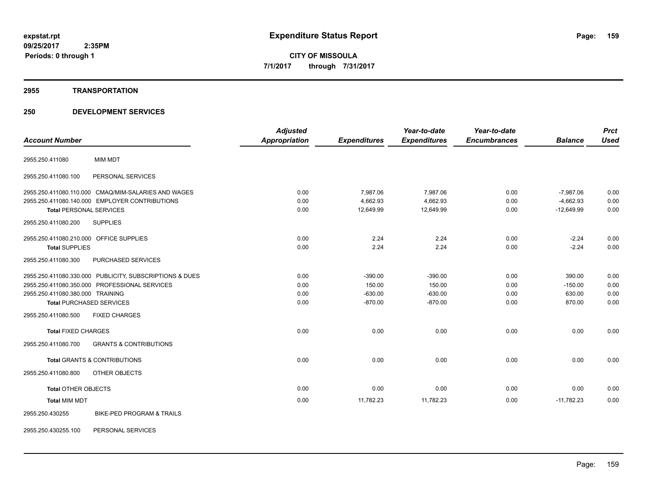## **2955 TRANSPORTATION**

| <b>Account Number</b>                                    | <b>Adjusted</b><br>Appropriation | <b>Expenditures</b> | Year-to-date<br><b>Expenditures</b> | Year-to-date<br><b>Encumbrances</b> | <b>Balance</b> | <b>Prct</b><br><b>Used</b> |
|----------------------------------------------------------|----------------------------------|---------------------|-------------------------------------|-------------------------------------|----------------|----------------------------|
| <b>MIM MDT</b><br>2955.250.411080                        |                                  |                     |                                     |                                     |                |                            |
| PERSONAL SERVICES<br>2955.250.411080.100                 |                                  |                     |                                     |                                     |                |                            |
| 2955.250.411080.110.000 CMAQ/MIM-SALARIES AND WAGES      | 0.00                             | 7,987.06            | 7,987.06                            | 0.00                                | $-7,987.06$    | 0.00                       |
| 2955.250.411080.140.000 EMPLOYER CONTRIBUTIONS           | 0.00                             | 4,662.93            | 4,662.93                            | 0.00                                | $-4,662.93$    | 0.00                       |
| <b>Total PERSONAL SERVICES</b>                           | 0.00                             | 12,649.99           | 12,649.99                           | 0.00                                | $-12,649.99$   | 0.00                       |
| <b>SUPPLIES</b><br>2955.250.411080.200                   |                                  |                     |                                     |                                     |                |                            |
| 2955.250.411080.210.000 OFFICE SUPPLIES                  | 0.00                             | 2.24                | 2.24                                | 0.00                                | $-2.24$        | 0.00                       |
| <b>Total SUPPLIES</b>                                    | 0.00                             | 2.24                | 2.24                                | 0.00                                | $-2.24$        | 0.00                       |
| 2955.250.411080.300<br><b>PURCHASED SERVICES</b>         |                                  |                     |                                     |                                     |                |                            |
| 2955.250.411080.330.000 PUBLICITY, SUBSCRIPTIONS & DUES  | 0.00                             | $-390.00$           | $-390.00$                           | 0.00                                | 390.00         | 0.00                       |
| 2955.250.411080.350.000 PROFESSIONAL SERVICES            | 0.00                             | 150.00              | 150.00                              | 0.00                                | $-150.00$      | 0.00                       |
| 2955.250.411080.380.000 TRAINING                         | 0.00                             | $-630.00$           | $-630.00$                           | 0.00                                | 630.00         | 0.00                       |
| <b>Total PURCHASED SERVICES</b>                          | 0.00                             | $-870.00$           | $-870.00$                           | 0.00                                | 870.00         | 0.00                       |
| 2955.250.411080.500<br><b>FIXED CHARGES</b>              |                                  |                     |                                     |                                     |                |                            |
| <b>Total FIXED CHARGES</b>                               | 0.00                             | 0.00                | 0.00                                | 0.00                                | 0.00           | 0.00                       |
| 2955.250.411080.700<br><b>GRANTS &amp; CONTRIBUTIONS</b> |                                  |                     |                                     |                                     |                |                            |
| <b>Total GRANTS &amp; CONTRIBUTIONS</b>                  | 0.00                             | 0.00                | 0.00                                | 0.00                                | 0.00           | 0.00                       |
| 2955.250.411080.800<br><b>OTHER OBJECTS</b>              |                                  |                     |                                     |                                     |                |                            |
| <b>Total OTHER OBJECTS</b>                               | 0.00                             | 0.00                | 0.00                                | 0.00                                | 0.00           | 0.00                       |
| <b>Total MIM MDT</b>                                     | 0.00                             | 11,782.23           | 11,782.23                           | 0.00                                | $-11,782.23$   | 0.00                       |
| BIKE-PED PROGRAM & TRAILS<br>2955.250.430255             |                                  |                     |                                     |                                     |                |                            |
| 2955.250.430255.100<br>PERSONAL SERVICES                 |                                  |                     |                                     |                                     |                |                            |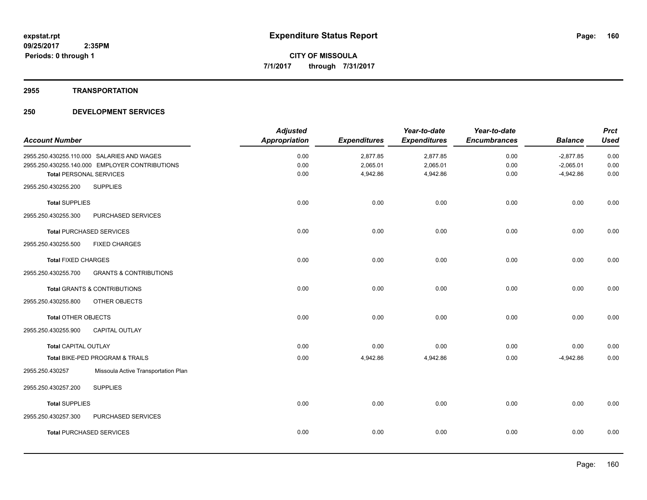### **2955 TRANSPORTATION**

| <b>Prct</b> |                | Year-to-date        | Year-to-date        |                     | <b>Adjusted</b>      |                                                |                                 |
|-------------|----------------|---------------------|---------------------|---------------------|----------------------|------------------------------------------------|---------------------------------|
| <b>Used</b> | <b>Balance</b> | <b>Encumbrances</b> | <b>Expenditures</b> | <b>Expenditures</b> | <b>Appropriation</b> |                                                | <b>Account Number</b>           |
| 0.00        | $-2,877.85$    | 0.00                | 2,877.85            | 2,877.85            | 0.00                 | 2955.250.430255.110.000 SALARIES AND WAGES     |                                 |
| 0.00        | $-2,065.01$    | 0.00                | 2,065.01            | 2,065.01            | 0.00                 | 2955.250.430255.140.000 EMPLOYER CONTRIBUTIONS |                                 |
| 0.00        | $-4,942.86$    | 0.00                | 4,942.86            | 4,942.86            | 0.00                 |                                                | <b>Total PERSONAL SERVICES</b>  |
|             |                |                     |                     |                     |                      | <b>SUPPLIES</b>                                | 2955.250.430255.200             |
| 0.00        | 0.00           | 0.00                | 0.00                | 0.00                | 0.00                 |                                                | <b>Total SUPPLIES</b>           |
|             |                |                     |                     |                     |                      | PURCHASED SERVICES                             | 2955.250.430255.300             |
| 0.00        | 0.00           | 0.00                | 0.00                | 0.00                | 0.00                 |                                                | <b>Total PURCHASED SERVICES</b> |
|             |                |                     |                     |                     |                      | <b>FIXED CHARGES</b>                           | 2955.250.430255.500             |
| 0.00        | 0.00           | 0.00                | 0.00                | 0.00                | 0.00                 |                                                | <b>Total FIXED CHARGES</b>      |
|             |                |                     |                     |                     |                      | <b>GRANTS &amp; CONTRIBUTIONS</b>              | 2955.250.430255.700             |
| 0.00        | 0.00           | 0.00                | 0.00                | 0.00                | 0.00                 | <b>Total GRANTS &amp; CONTRIBUTIONS</b>        |                                 |
|             |                |                     |                     |                     |                      | OTHER OBJECTS                                  | 2955.250.430255.800             |
| 0.00        | 0.00           | 0.00                | 0.00                | 0.00                | 0.00                 |                                                | Total OTHER OBJECTS             |
|             |                |                     |                     |                     |                      | <b>CAPITAL OUTLAY</b>                          | 2955.250.430255.900             |
| 0.00        | 0.00           | 0.00                | 0.00                | 0.00                | 0.00                 |                                                | <b>Total CAPITAL OUTLAY</b>     |
| 0.00        | $-4,942.86$    | 0.00                | 4,942.86            | 4,942.86            | 0.00                 | Total BIKE-PED PROGRAM & TRAILS                |                                 |
|             |                |                     |                     |                     |                      | Missoula Active Transportation Plan            | 2955.250.430257                 |
|             |                |                     |                     |                     |                      | <b>SUPPLIES</b>                                | 2955.250.430257.200             |
| 0.00        | 0.00           | 0.00                | 0.00                | 0.00                | 0.00                 |                                                | <b>Total SUPPLIES</b>           |
|             |                |                     |                     |                     |                      | PURCHASED SERVICES                             | 2955.250.430257.300             |
| 0.00        | 0.00           | 0.00                | 0.00                | 0.00                | 0.00                 |                                                | <b>Total PURCHASED SERVICES</b> |
|             |                |                     |                     |                     |                      |                                                |                                 |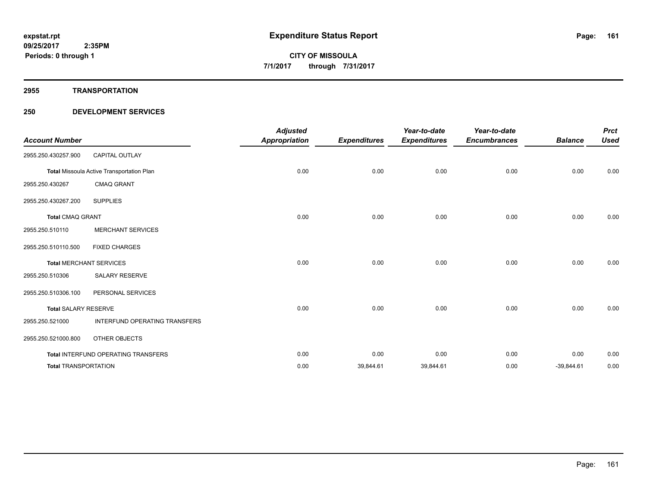#### **2955 TRANSPORTATION**

| <b>Account Number</b>       |                                           | <b>Adjusted</b><br><b>Appropriation</b> | <b>Expenditures</b> | Year-to-date<br><b>Expenditures</b> | Year-to-date<br><b>Encumbrances</b> | <b>Balance</b> | <b>Prct</b><br><b>Used</b> |
|-----------------------------|-------------------------------------------|-----------------------------------------|---------------------|-------------------------------------|-------------------------------------|----------------|----------------------------|
| 2955.250.430257.900         | <b>CAPITAL OUTLAY</b>                     |                                         |                     |                                     |                                     |                |                            |
|                             | Total Missoula Active Transportation Plan | 0.00                                    | 0.00                | 0.00                                | 0.00                                | 0.00           | 0.00                       |
| 2955.250.430267             | <b>CMAQ GRANT</b>                         |                                         |                     |                                     |                                     |                |                            |
| 2955.250.430267.200         | <b>SUPPLIES</b>                           |                                         |                     |                                     |                                     |                |                            |
| <b>Total CMAQ GRANT</b>     |                                           | 0.00                                    | 0.00                | 0.00                                | 0.00                                | 0.00           | 0.00                       |
| 2955.250.510110             | <b>MERCHANT SERVICES</b>                  |                                         |                     |                                     |                                     |                |                            |
| 2955.250.510110.500         | <b>FIXED CHARGES</b>                      |                                         |                     |                                     |                                     |                |                            |
|                             | <b>Total MERCHANT SERVICES</b>            | 0.00                                    | 0.00                | 0.00                                | 0.00                                | 0.00           | 0.00                       |
| 2955.250.510306             | <b>SALARY RESERVE</b>                     |                                         |                     |                                     |                                     |                |                            |
| 2955.250.510306.100         | PERSONAL SERVICES                         |                                         |                     |                                     |                                     |                |                            |
| <b>Total SALARY RESERVE</b> |                                           | 0.00                                    | 0.00                | 0.00                                | 0.00                                | 0.00           | 0.00                       |
| 2955.250.521000             | <b>INTERFUND OPERATING TRANSFERS</b>      |                                         |                     |                                     |                                     |                |                            |
| 2955.250.521000.800         | OTHER OBJECTS                             |                                         |                     |                                     |                                     |                |                            |
|                             | Total INTERFUND OPERATING TRANSFERS       | 0.00                                    | 0.00                | 0.00                                | 0.00                                | 0.00           | 0.00                       |
| <b>Total TRANSPORTATION</b> |                                           | 0.00                                    | 39,844.61           | 39,844.61                           | 0.00                                | $-39,844.61$   | 0.00                       |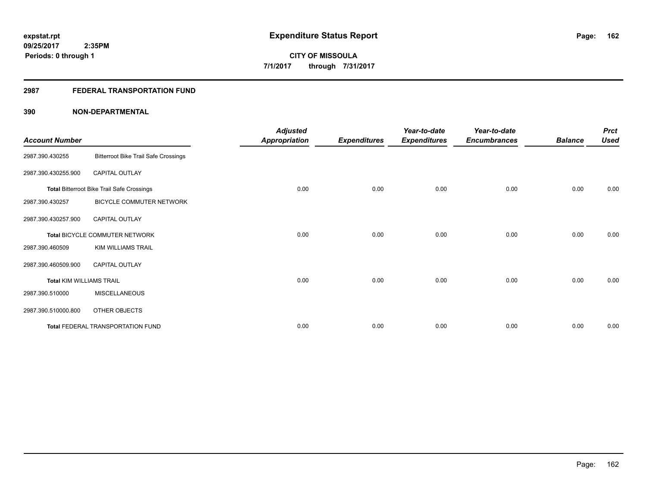## **2987 FEDERAL TRANSPORTATION FUND**

| <b>Account Number</b>           |                                                   | <b>Adjusted</b><br><b>Appropriation</b> | <b>Expenditures</b> | Year-to-date<br><b>Expenditures</b> | Year-to-date<br><b>Encumbrances</b> | <b>Balance</b> | <b>Prct</b><br><b>Used</b> |
|---------------------------------|---------------------------------------------------|-----------------------------------------|---------------------|-------------------------------------|-------------------------------------|----------------|----------------------------|
| 2987.390.430255                 | <b>Bitterroot Bike Trail Safe Crossings</b>       |                                         |                     |                                     |                                     |                |                            |
| 2987.390.430255.900             | <b>CAPITAL OUTLAY</b>                             |                                         |                     |                                     |                                     |                |                            |
|                                 | <b>Total Bitterroot Bike Trail Safe Crossings</b> | 0.00                                    | 0.00                | 0.00                                | 0.00                                | 0.00           | 0.00                       |
| 2987.390.430257                 | BICYCLE COMMUTER NETWORK                          |                                         |                     |                                     |                                     |                |                            |
| 2987.390.430257.900             | <b>CAPITAL OUTLAY</b>                             |                                         |                     |                                     |                                     |                |                            |
|                                 | Total BICYCLE COMMUTER NETWORK                    | 0.00                                    | 0.00                | 0.00                                | 0.00                                | 0.00           | 0.00                       |
| 2987.390.460509                 | KIM WILLIAMS TRAIL                                |                                         |                     |                                     |                                     |                |                            |
| 2987.390.460509.900             | <b>CAPITAL OUTLAY</b>                             |                                         |                     |                                     |                                     |                |                            |
| <b>Total KIM WILLIAMS TRAIL</b> |                                                   | 0.00                                    | 0.00                | 0.00                                | 0.00                                | 0.00           | 0.00                       |
| 2987.390.510000                 | <b>MISCELLANEOUS</b>                              |                                         |                     |                                     |                                     |                |                            |
| 2987.390.510000.800             | OTHER OBJECTS                                     |                                         |                     |                                     |                                     |                |                            |
|                                 | Total FEDERAL TRANSPORTATION FUND                 | 0.00                                    | 0.00                | 0.00                                | 0.00                                | 0.00           | 0.00                       |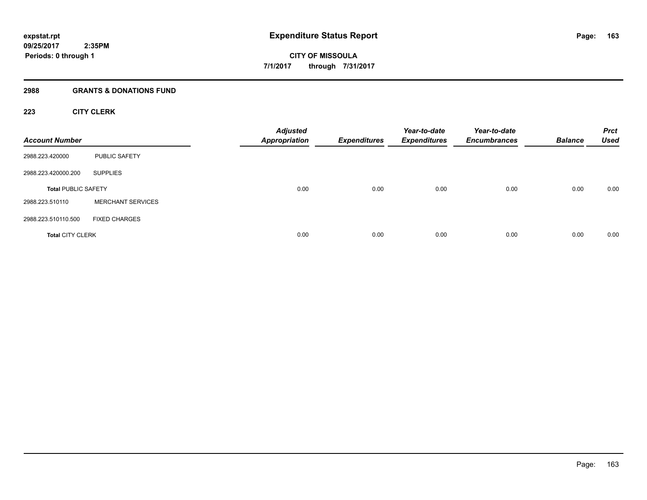## **2988 GRANTS & DONATIONS FUND**

## **223 CITY CLERK**

| <b>Account Number</b>      |                          | <b>Adjusted</b><br><b>Appropriation</b> | <b>Expenditures</b> | Year-to-date<br><b>Expenditures</b> | Year-to-date<br><b>Encumbrances</b> | <b>Balance</b> | <b>Prct</b><br><b>Used</b> |
|----------------------------|--------------------------|-----------------------------------------|---------------------|-------------------------------------|-------------------------------------|----------------|----------------------------|
| 2988.223.420000            | PUBLIC SAFETY            |                                         |                     |                                     |                                     |                |                            |
| 2988.223.420000.200        | <b>SUPPLIES</b>          |                                         |                     |                                     |                                     |                |                            |
| <b>Total PUBLIC SAFETY</b> |                          | 0.00                                    | 0.00                | 0.00                                | 0.00                                | 0.00           | 0.00                       |
| 2988.223.510110            | <b>MERCHANT SERVICES</b> |                                         |                     |                                     |                                     |                |                            |
| 2988.223.510110.500        | <b>FIXED CHARGES</b>     |                                         |                     |                                     |                                     |                |                            |
| <b>Total CITY CLERK</b>    |                          | 0.00                                    | 0.00                | 0.00                                | 0.00                                | 0.00           | 0.00                       |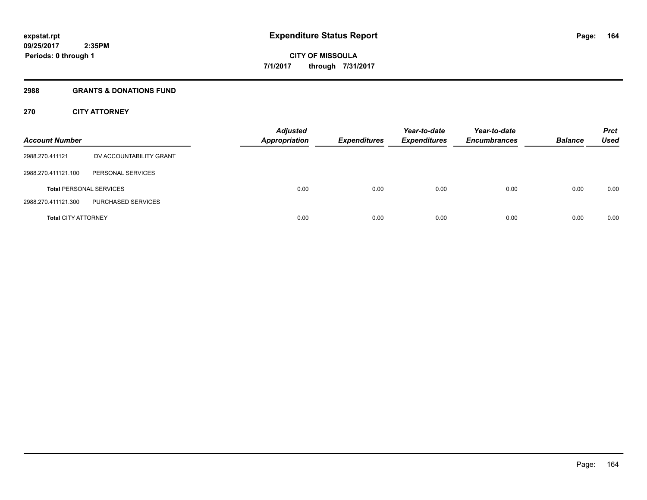## **2988 GRANTS & DONATIONS FUND**

## **270 CITY ATTORNEY**

| <b>Account Number</b>      |                                | <b>Adjusted</b><br><b>Appropriation</b> | <b>Expenditures</b> | Year-to-date<br><b>Expenditures</b> | Year-to-date<br><b>Encumbrances</b> | <b>Balance</b> | <b>Prct</b><br>Used |
|----------------------------|--------------------------------|-----------------------------------------|---------------------|-------------------------------------|-------------------------------------|----------------|---------------------|
| 2988.270.411121            | DV ACCOUNTABILITY GRANT        |                                         |                     |                                     |                                     |                |                     |
| 2988.270.411121.100        | PERSONAL SERVICES              |                                         |                     |                                     |                                     |                |                     |
|                            | <b>Total PERSONAL SERVICES</b> | 0.00                                    | 0.00                | 0.00                                | 0.00                                | 0.00           | 0.00                |
| 2988.270.411121.300        | PURCHASED SERVICES             |                                         |                     |                                     |                                     |                |                     |
| <b>Total CITY ATTORNEY</b> |                                | 0.00                                    | 0.00                | 0.00                                | 0.00                                | 0.00           | 0.00                |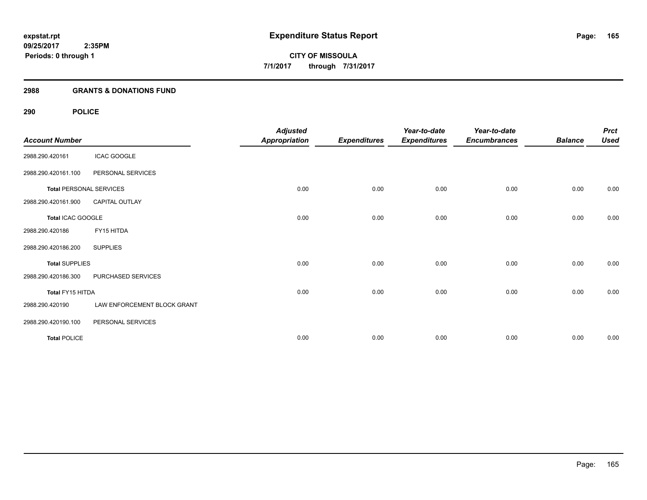## **2988 GRANTS & DONATIONS FUND**

## **290 POLICE**

| <b>Account Number</b>          |                             | <b>Adjusted</b><br><b>Appropriation</b> | <b>Expenditures</b> | Year-to-date<br><b>Expenditures</b> | Year-to-date<br><b>Encumbrances</b> | <b>Balance</b> | <b>Prct</b><br><b>Used</b> |
|--------------------------------|-----------------------------|-----------------------------------------|---------------------|-------------------------------------|-------------------------------------|----------------|----------------------------|
| 2988.290.420161                | <b>ICAC GOOGLE</b>          |                                         |                     |                                     |                                     |                |                            |
| 2988.290.420161.100            | PERSONAL SERVICES           |                                         |                     |                                     |                                     |                |                            |
| <b>Total PERSONAL SERVICES</b> |                             | 0.00                                    | 0.00                | 0.00                                | 0.00                                | 0.00           | 0.00                       |
| 2988.290.420161.900            | CAPITAL OUTLAY              |                                         |                     |                                     |                                     |                |                            |
| Total ICAC GOOGLE              |                             | 0.00                                    | 0.00                | 0.00                                | 0.00                                | 0.00           | 0.00                       |
| 2988.290.420186                | FY15 HITDA                  |                                         |                     |                                     |                                     |                |                            |
| 2988.290.420186.200            | <b>SUPPLIES</b>             |                                         |                     |                                     |                                     |                |                            |
| <b>Total SUPPLIES</b>          |                             | 0.00                                    | 0.00                | 0.00                                | 0.00                                | 0.00           | 0.00                       |
| 2988.290.420186.300            | PURCHASED SERVICES          |                                         |                     |                                     |                                     |                |                            |
| Total FY15 HITDA               |                             | 0.00                                    | 0.00                | 0.00                                | 0.00                                | 0.00           | 0.00                       |
| 2988.290.420190                | LAW ENFORCEMENT BLOCK GRANT |                                         |                     |                                     |                                     |                |                            |
| 2988.290.420190.100            | PERSONAL SERVICES           |                                         |                     |                                     |                                     |                |                            |
| <b>Total POLICE</b>            |                             | 0.00                                    | 0.00                | 0.00                                | 0.00                                | 0.00           | 0.00                       |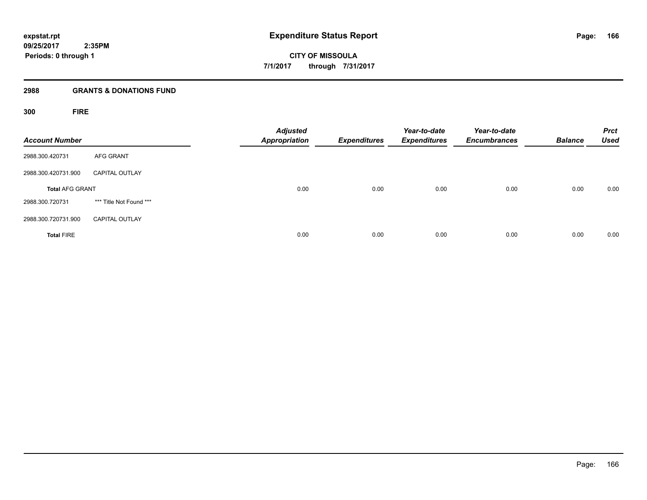**CITY OF MISSOULA 7/1/2017 through 7/31/2017**

## **2988 GRANTS & DONATIONS FUND**

**300 FIRE**

| <b>Account Number</b>  |                         | <b>Adjusted</b><br><b>Appropriation</b> | <b>Expenditures</b> | Year-to-date<br><b>Expenditures</b> | Year-to-date<br><b>Encumbrances</b> | <b>Balance</b> | <b>Prct</b><br><b>Used</b> |
|------------------------|-------------------------|-----------------------------------------|---------------------|-------------------------------------|-------------------------------------|----------------|----------------------------|
| 2988.300.420731        | <b>AFG GRANT</b>        |                                         |                     |                                     |                                     |                |                            |
| 2988.300.420731.900    | <b>CAPITAL OUTLAY</b>   |                                         |                     |                                     |                                     |                |                            |
| <b>Total AFG GRANT</b> |                         | 0.00                                    | 0.00                | 0.00                                | 0.00                                | 0.00           | 0.00                       |
| 2988.300.720731        | *** Title Not Found *** |                                         |                     |                                     |                                     |                |                            |
| 2988.300.720731.900    | <b>CAPITAL OUTLAY</b>   |                                         |                     |                                     |                                     |                |                            |
| <b>Total FIRE</b>      |                         | 0.00                                    | 0.00                | 0.00                                | 0.00                                | 0.00           | 0.00                       |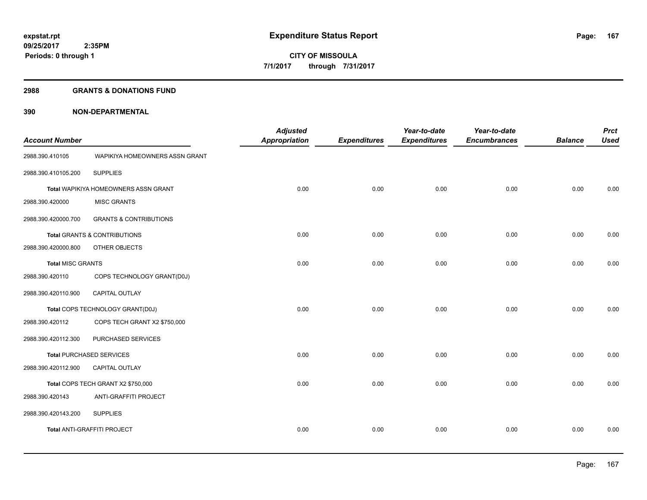#### **2988 GRANTS & DONATIONS FUND**

| <b>Account Number</b>    |                                      | <b>Adjusted</b><br><b>Appropriation</b> | <b>Expenditures</b> | Year-to-date<br><b>Expenditures</b> | Year-to-date<br><b>Encumbrances</b> | <b>Balance</b> | <b>Prct</b><br><b>Used</b> |
|--------------------------|--------------------------------------|-----------------------------------------|---------------------|-------------------------------------|-------------------------------------|----------------|----------------------------|
| 2988.390.410105          | WAPIKIYA HOMEOWNERS ASSN GRANT       |                                         |                     |                                     |                                     |                |                            |
| 2988.390.410105.200      | <b>SUPPLIES</b>                      |                                         |                     |                                     |                                     |                |                            |
|                          | Total WAPIKIYA HOMEOWNERS ASSN GRANT | 0.00                                    | 0.00                | 0.00                                | 0.00                                | 0.00           | 0.00                       |
| 2988.390.420000          | <b>MISC GRANTS</b>                   |                                         |                     |                                     |                                     |                |                            |
| 2988.390.420000.700      | <b>GRANTS &amp; CONTRIBUTIONS</b>    |                                         |                     |                                     |                                     |                |                            |
|                          | Total GRANTS & CONTRIBUTIONS         | 0.00                                    | 0.00                | 0.00                                | 0.00                                | 0.00           | 0.00                       |
| 2988.390.420000.800      | OTHER OBJECTS                        |                                         |                     |                                     |                                     |                |                            |
| <b>Total MISC GRANTS</b> |                                      | 0.00                                    | 0.00                | 0.00                                | 0.00                                | 0.00           | 0.00                       |
| 2988.390.420110          | COPS TECHNOLOGY GRANT(D0J)           |                                         |                     |                                     |                                     |                |                            |
| 2988.390.420110.900      | CAPITAL OUTLAY                       |                                         |                     |                                     |                                     |                |                            |
|                          | Total COPS TECHNOLOGY GRANT(D0J)     | 0.00                                    | 0.00                | 0.00                                | 0.00                                | 0.00           | 0.00                       |
| 2988.390.420112          | COPS TECH GRANT X2 \$750,000         |                                         |                     |                                     |                                     |                |                            |
| 2988.390.420112.300      | PURCHASED SERVICES                   |                                         |                     |                                     |                                     |                |                            |
|                          | <b>Total PURCHASED SERVICES</b>      | 0.00                                    | 0.00                | 0.00                                | 0.00                                | 0.00           | 0.00                       |
| 2988.390.420112.900      | <b>CAPITAL OUTLAY</b>                |                                         |                     |                                     |                                     |                |                            |
|                          | Total COPS TECH GRANT X2 \$750,000   | 0.00                                    | 0.00                | 0.00                                | 0.00                                | 0.00           | 0.00                       |
| 2988.390.420143          | ANTI-GRAFFITI PROJECT                |                                         |                     |                                     |                                     |                |                            |
| 2988.390.420143.200      | <b>SUPPLIES</b>                      |                                         |                     |                                     |                                     |                |                            |
|                          | Total ANTI-GRAFFITI PROJECT          | 0.00                                    | 0.00                | 0.00                                | 0.00                                | 0.00           | 0.00                       |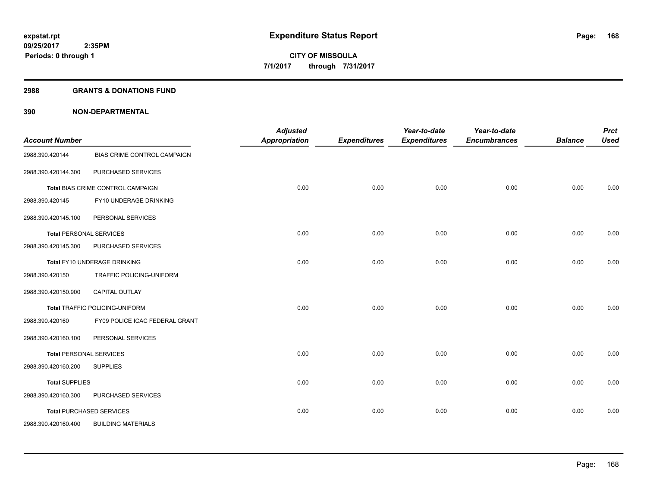#### **2988 GRANTS & DONATIONS FUND**

| <b>Account Number</b> |                                       | <b>Adjusted</b><br>Appropriation | <b>Expenditures</b> | Year-to-date<br><b>Expenditures</b> | Year-to-date<br><b>Encumbrances</b> | <b>Balance</b> | <b>Prct</b><br><b>Used</b> |
|-----------------------|---------------------------------------|----------------------------------|---------------------|-------------------------------------|-------------------------------------|----------------|----------------------------|
| 2988.390.420144       | BIAS CRIME CONTROL CAMPAIGN           |                                  |                     |                                     |                                     |                |                            |
| 2988.390.420144.300   | PURCHASED SERVICES                    |                                  |                     |                                     |                                     |                |                            |
|                       | Total BIAS CRIME CONTROL CAMPAIGN     | 0.00                             | 0.00                | 0.00                                | 0.00                                | 0.00           | 0.00                       |
| 2988.390.420145       | FY10 UNDERAGE DRINKING                |                                  |                     |                                     |                                     |                |                            |
| 2988.390.420145.100   | PERSONAL SERVICES                     |                                  |                     |                                     |                                     |                |                            |
|                       | <b>Total PERSONAL SERVICES</b>        | 0.00                             | 0.00                | 0.00                                | 0.00                                | 0.00           | 0.00                       |
| 2988.390.420145.300   | PURCHASED SERVICES                    |                                  |                     |                                     |                                     |                |                            |
|                       | Total FY10 UNDERAGE DRINKING          | 0.00                             | 0.00                | 0.00                                | 0.00                                | 0.00           | 0.00                       |
| 2988.390.420150       | TRAFFIC POLICING-UNIFORM              |                                  |                     |                                     |                                     |                |                            |
| 2988.390.420150.900   | CAPITAL OUTLAY                        |                                  |                     |                                     |                                     |                |                            |
|                       | <b>Total TRAFFIC POLICING-UNIFORM</b> | 0.00                             | 0.00                | 0.00                                | 0.00                                | 0.00           | 0.00                       |
| 2988.390.420160       | FY09 POLICE ICAC FEDERAL GRANT        |                                  |                     |                                     |                                     |                |                            |
| 2988.390.420160.100   | PERSONAL SERVICES                     |                                  |                     |                                     |                                     |                |                            |
|                       | <b>Total PERSONAL SERVICES</b>        | 0.00                             | 0.00                | 0.00                                | 0.00                                | 0.00           | 0.00                       |
| 2988.390.420160.200   | <b>SUPPLIES</b>                       |                                  |                     |                                     |                                     |                |                            |
| <b>Total SUPPLIES</b> |                                       | 0.00                             | 0.00                | 0.00                                | 0.00                                | 0.00           | 0.00                       |
| 2988.390.420160.300   | PURCHASED SERVICES                    |                                  |                     |                                     |                                     |                |                            |
|                       | <b>Total PURCHASED SERVICES</b>       | 0.00                             | 0.00                | 0.00                                | 0.00                                | 0.00           | 0.00                       |
| 2988.390.420160.400   | <b>BUILDING MATERIALS</b>             |                                  |                     |                                     |                                     |                |                            |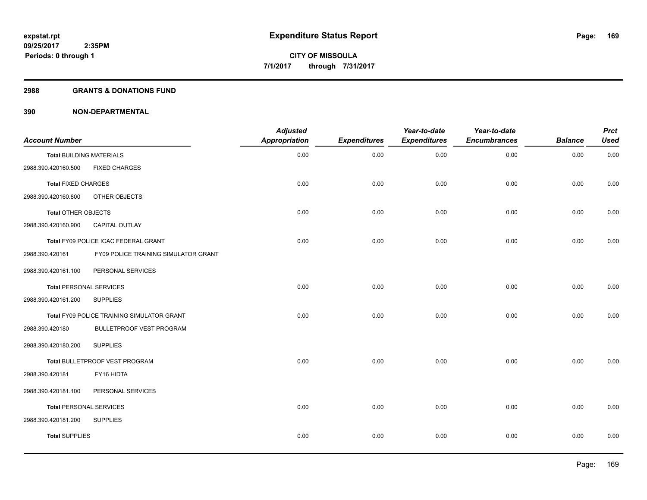## **2988 GRANTS & DONATIONS FUND**

| <b>Account Number</b>           |                                            | <b>Adjusted</b><br><b>Appropriation</b> | <b>Expenditures</b> | Year-to-date<br><b>Expenditures</b> | Year-to-date<br><b>Encumbrances</b> | <b>Balance</b> | <b>Prct</b><br><b>Used</b> |
|---------------------------------|--------------------------------------------|-----------------------------------------|---------------------|-------------------------------------|-------------------------------------|----------------|----------------------------|
| <b>Total BUILDING MATERIALS</b> |                                            | 0.00                                    | 0.00                | 0.00                                | 0.00                                | 0.00           | 0.00                       |
| 2988.390.420160.500             | <b>FIXED CHARGES</b>                       |                                         |                     |                                     |                                     |                |                            |
| <b>Total FIXED CHARGES</b>      |                                            | 0.00                                    | 0.00                | 0.00                                | 0.00                                | 0.00           | 0.00                       |
| 2988.390.420160.800             | OTHER OBJECTS                              |                                         |                     |                                     |                                     |                |                            |
| Total OTHER OBJECTS             |                                            | 0.00                                    | 0.00                | 0.00                                | 0.00                                | 0.00           | 0.00                       |
| 2988.390.420160.900             | <b>CAPITAL OUTLAY</b>                      |                                         |                     |                                     |                                     |                |                            |
|                                 | Total FY09 POLICE ICAC FEDERAL GRANT       | 0.00                                    | 0.00                | 0.00                                | 0.00                                | 0.00           | 0.00                       |
| 2988.390.420161                 | FY09 POLICE TRAINING SIMULATOR GRANT       |                                         |                     |                                     |                                     |                |                            |
| 2988.390.420161.100             | PERSONAL SERVICES                          |                                         |                     |                                     |                                     |                |                            |
| <b>Total PERSONAL SERVICES</b>  |                                            | 0.00                                    | 0.00                | 0.00                                | 0.00                                | 0.00           | 0.00                       |
| 2988.390.420161.200             | <b>SUPPLIES</b>                            |                                         |                     |                                     |                                     |                |                            |
|                                 | Total FY09 POLICE TRAINING SIMULATOR GRANT | 0.00                                    | 0.00                | 0.00                                | 0.00                                | 0.00           | 0.00                       |
| 2988.390.420180                 | BULLETPROOF VEST PROGRAM                   |                                         |                     |                                     |                                     |                |                            |
| 2988.390.420180.200             | <b>SUPPLIES</b>                            |                                         |                     |                                     |                                     |                |                            |
|                                 | Total BULLETPROOF VEST PROGRAM             | 0.00                                    | 0.00                | 0.00                                | 0.00                                | 0.00           | 0.00                       |
| 2988.390.420181                 | FY16 HIDTA                                 |                                         |                     |                                     |                                     |                |                            |
| 2988.390.420181.100             | PERSONAL SERVICES                          |                                         |                     |                                     |                                     |                |                            |
| <b>Total PERSONAL SERVICES</b>  |                                            | 0.00                                    | 0.00                | 0.00                                | 0.00                                | 0.00           | 0.00                       |
| 2988.390.420181.200             | <b>SUPPLIES</b>                            |                                         |                     |                                     |                                     |                |                            |
| <b>Total SUPPLIES</b>           |                                            | 0.00                                    | 0.00                | 0.00                                | 0.00                                | 0.00           | 0.00                       |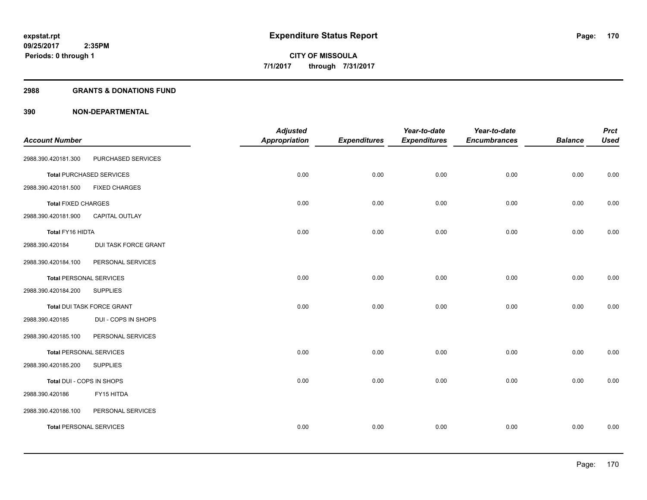## **2988 GRANTS & DONATIONS FUND**

|                            |                                 | <b>Adjusted</b>      |                     | Year-to-date        | Year-to-date        |                | <b>Prct</b> |
|----------------------------|---------------------------------|----------------------|---------------------|---------------------|---------------------|----------------|-------------|
| <b>Account Number</b>      |                                 | <b>Appropriation</b> | <b>Expenditures</b> | <b>Expenditures</b> | <b>Encumbrances</b> | <b>Balance</b> | <b>Used</b> |
| 2988.390.420181.300        | PURCHASED SERVICES              |                      |                     |                     |                     |                |             |
|                            | <b>Total PURCHASED SERVICES</b> | 0.00                 | 0.00                | 0.00                | 0.00                | 0.00           | 0.00        |
| 2988.390.420181.500        | <b>FIXED CHARGES</b>            |                      |                     |                     |                     |                |             |
| <b>Total FIXED CHARGES</b> |                                 | 0.00                 | 0.00                | 0.00                | 0.00                | 0.00           | 0.00        |
| 2988.390.420181.900        | <b>CAPITAL OUTLAY</b>           |                      |                     |                     |                     |                |             |
| Total FY16 HIDTA           |                                 | 0.00                 | 0.00                | 0.00                | 0.00                | 0.00           | 0.00        |
| 2988.390.420184            | DUI TASK FORCE GRANT            |                      |                     |                     |                     |                |             |
| 2988.390.420184.100        | PERSONAL SERVICES               |                      |                     |                     |                     |                |             |
|                            | <b>Total PERSONAL SERVICES</b>  | 0.00                 | 0.00                | 0.00                | 0.00                | 0.00           | 0.00        |
| 2988.390.420184.200        | <b>SUPPLIES</b>                 |                      |                     |                     |                     |                |             |
|                            | Total DUI TASK FORCE GRANT      | 0.00                 | 0.00                | 0.00                | 0.00                | 0.00           | 0.00        |
| 2988.390.420185            | DUI - COPS IN SHOPS             |                      |                     |                     |                     |                |             |
| 2988.390.420185.100        | PERSONAL SERVICES               |                      |                     |                     |                     |                |             |
|                            | <b>Total PERSONAL SERVICES</b>  | 0.00                 | 0.00                | 0.00                | 0.00                | 0.00           | 0.00        |
| 2988.390.420185.200        | <b>SUPPLIES</b>                 |                      |                     |                     |                     |                |             |
| Total DUI - COPS IN SHOPS  |                                 | 0.00                 | 0.00                | 0.00                | 0.00                | 0.00           | 0.00        |
| 2988.390.420186            | FY15 HITDA                      |                      |                     |                     |                     |                |             |
| 2988.390.420186.100        | PERSONAL SERVICES               |                      |                     |                     |                     |                |             |
|                            | <b>Total PERSONAL SERVICES</b>  | 0.00                 | 0.00                | 0.00                | 0.00                | 0.00           | 0.00        |
|                            |                                 |                      |                     |                     |                     |                |             |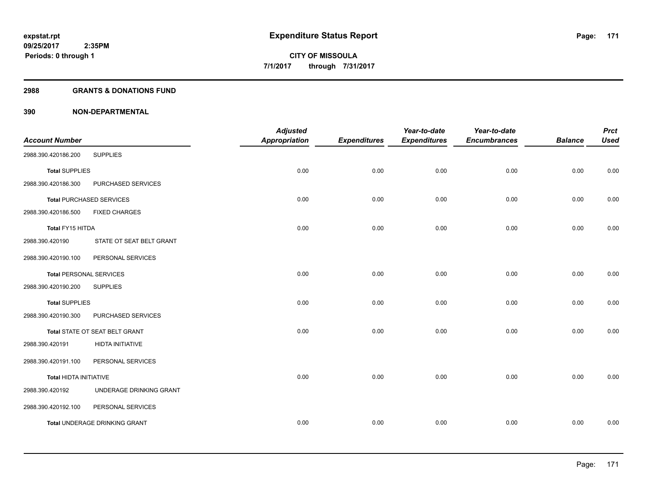## **2988 GRANTS & DONATIONS FUND**

| <b>Account Number</b>          |                                      | <b>Adjusted</b><br><b>Appropriation</b> | <b>Expenditures</b> | Year-to-date<br><b>Expenditures</b> | Year-to-date<br><b>Encumbrances</b> | <b>Balance</b> | <b>Prct</b><br><b>Used</b> |
|--------------------------------|--------------------------------------|-----------------------------------------|---------------------|-------------------------------------|-------------------------------------|----------------|----------------------------|
| 2988.390.420186.200            | <b>SUPPLIES</b>                      |                                         |                     |                                     |                                     |                |                            |
| <b>Total SUPPLIES</b>          |                                      | 0.00                                    | 0.00                | 0.00                                | 0.00                                | 0.00           | 0.00                       |
| 2988.390.420186.300            | PURCHASED SERVICES                   |                                         |                     |                                     |                                     |                |                            |
|                                | <b>Total PURCHASED SERVICES</b>      | 0.00                                    | 0.00                | 0.00                                | 0.00                                | 0.00           | 0.00                       |
| 2988.390.420186.500            | <b>FIXED CHARGES</b>                 |                                         |                     |                                     |                                     |                |                            |
| Total FY15 HITDA               |                                      | 0.00                                    | 0.00                | 0.00                                | 0.00                                | 0.00           | 0.00                       |
| 2988.390.420190                | STATE OT SEAT BELT GRANT             |                                         |                     |                                     |                                     |                |                            |
| 2988.390.420190.100            | PERSONAL SERVICES                    |                                         |                     |                                     |                                     |                |                            |
| <b>Total PERSONAL SERVICES</b> |                                      | 0.00                                    | 0.00                | 0.00                                | 0.00                                | 0.00           | 0.00                       |
| 2988.390.420190.200            | <b>SUPPLIES</b>                      |                                         |                     |                                     |                                     |                |                            |
| <b>Total SUPPLIES</b>          |                                      | 0.00                                    | 0.00                | 0.00                                | 0.00                                | 0.00           | 0.00                       |
| 2988.390.420190.300            | PURCHASED SERVICES                   |                                         |                     |                                     |                                     |                |                            |
|                                | Total STATE OT SEAT BELT GRANT       | 0.00                                    | 0.00                | 0.00                                | 0.00                                | 0.00           | 0.00                       |
| 2988.390.420191                | HIDTA INITIATIVE                     |                                         |                     |                                     |                                     |                |                            |
| 2988.390.420191.100            | PERSONAL SERVICES                    |                                         |                     |                                     |                                     |                |                            |
| <b>Total HIDTA INITIATIVE</b>  |                                      | 0.00                                    | 0.00                | 0.00                                | 0.00                                | 0.00           | 0.00                       |
| 2988.390.420192                | UNDERAGE DRINKING GRANT              |                                         |                     |                                     |                                     |                |                            |
| 2988.390.420192.100            | PERSONAL SERVICES                    |                                         |                     |                                     |                                     |                |                            |
|                                | <b>Total UNDERAGE DRINKING GRANT</b> | 0.00                                    | 0.00                | 0.00                                | 0.00                                | 0.00           | 0.00                       |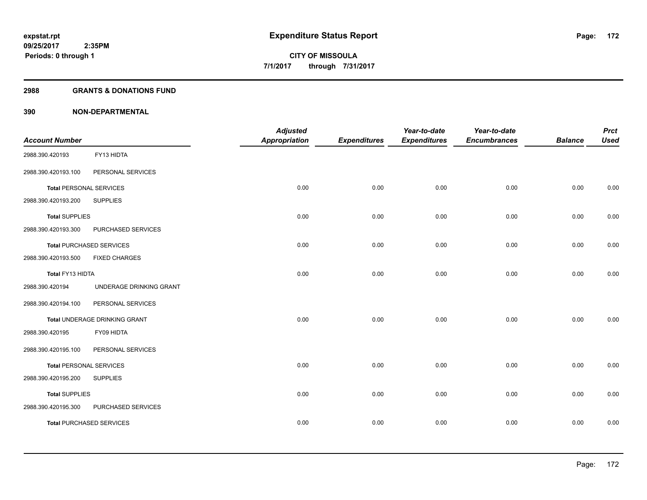## **2988 GRANTS & DONATIONS FUND**

| <b>Account Number</b>          |                                 | <b>Adjusted</b><br><b>Appropriation</b> | <b>Expenditures</b> | Year-to-date<br><b>Expenditures</b> | Year-to-date<br><b>Encumbrances</b> | <b>Balance</b> | <b>Prct</b><br><b>Used</b> |
|--------------------------------|---------------------------------|-----------------------------------------|---------------------|-------------------------------------|-------------------------------------|----------------|----------------------------|
| 2988.390.420193                | FY13 HIDTA                      |                                         |                     |                                     |                                     |                |                            |
| 2988.390.420193.100            | PERSONAL SERVICES               |                                         |                     |                                     |                                     |                |                            |
| <b>Total PERSONAL SERVICES</b> |                                 | 0.00                                    | 0.00                | 0.00                                | 0.00                                | 0.00           | 0.00                       |
| 2988.390.420193.200            | <b>SUPPLIES</b>                 |                                         |                     |                                     |                                     |                |                            |
| <b>Total SUPPLIES</b>          |                                 | 0.00                                    | 0.00                | 0.00                                | 0.00                                | 0.00           | 0.00                       |
| 2988.390.420193.300            | PURCHASED SERVICES              |                                         |                     |                                     |                                     |                |                            |
|                                | <b>Total PURCHASED SERVICES</b> | 0.00                                    | 0.00                | 0.00                                | 0.00                                | 0.00           | 0.00                       |
| 2988.390.420193.500            | <b>FIXED CHARGES</b>            |                                         |                     |                                     |                                     |                |                            |
| Total FY13 HIDTA               |                                 | 0.00                                    | 0.00                | 0.00                                | 0.00                                | 0.00           | 0.00                       |
| 2988.390.420194                | UNDERAGE DRINKING GRANT         |                                         |                     |                                     |                                     |                |                            |
| 2988.390.420194.100            | PERSONAL SERVICES               |                                         |                     |                                     |                                     |                |                            |
|                                | Total UNDERAGE DRINKING GRANT   | 0.00                                    | 0.00                | 0.00                                | 0.00                                | 0.00           | 0.00                       |
| 2988.390.420195                | FY09 HIDTA                      |                                         |                     |                                     |                                     |                |                            |
| 2988.390.420195.100            | PERSONAL SERVICES               |                                         |                     |                                     |                                     |                |                            |
| <b>Total PERSONAL SERVICES</b> |                                 | 0.00                                    | 0.00                | 0.00                                | 0.00                                | 0.00           | 0.00                       |
| 2988.390.420195.200            | <b>SUPPLIES</b>                 |                                         |                     |                                     |                                     |                |                            |
| <b>Total SUPPLIES</b>          |                                 | 0.00                                    | 0.00                | 0.00                                | 0.00                                | 0.00           | 0.00                       |
| 2988.390.420195.300            | PURCHASED SERVICES              |                                         |                     |                                     |                                     |                |                            |
|                                | <b>Total PURCHASED SERVICES</b> | 0.00                                    | 0.00                | 0.00                                | 0.00                                | 0.00           | 0.00                       |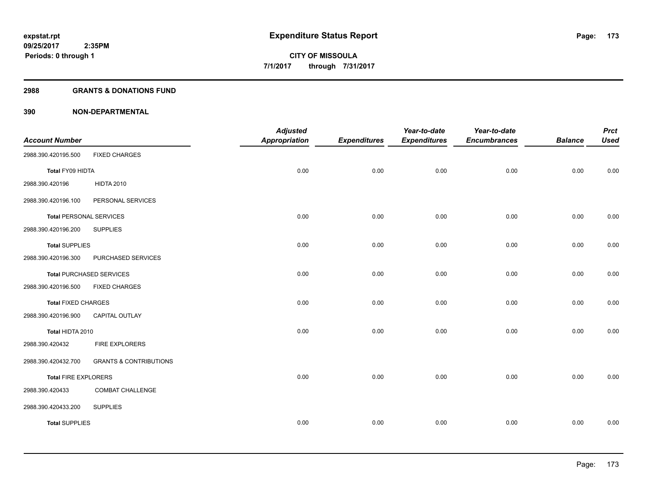## **2988 GRANTS & DONATIONS FUND**

|                                |                                   | <b>Adjusted</b>      |                     | Year-to-date        | Year-to-date        |                | <b>Prct</b> |
|--------------------------------|-----------------------------------|----------------------|---------------------|---------------------|---------------------|----------------|-------------|
| <b>Account Number</b>          |                                   | <b>Appropriation</b> | <b>Expenditures</b> | <b>Expenditures</b> | <b>Encumbrances</b> | <b>Balance</b> | <b>Used</b> |
| 2988.390.420195.500            | <b>FIXED CHARGES</b>              |                      |                     |                     |                     |                |             |
| Total FY09 HIDTA               |                                   | 0.00                 | 0.00                | 0.00                | 0.00                | 0.00           | 0.00        |
| 2988.390.420196                | <b>HIDTA 2010</b>                 |                      |                     |                     |                     |                |             |
| 2988.390.420196.100            | PERSONAL SERVICES                 |                      |                     |                     |                     |                |             |
| <b>Total PERSONAL SERVICES</b> |                                   | 0.00                 | 0.00                | 0.00                | 0.00                | 0.00           | 0.00        |
| 2988.390.420196.200            | <b>SUPPLIES</b>                   |                      |                     |                     |                     |                |             |
| <b>Total SUPPLIES</b>          |                                   | 0.00                 | 0.00                | 0.00                | 0.00                | 0.00           | 0.00        |
| 2988.390.420196.300            | PURCHASED SERVICES                |                      |                     |                     |                     |                |             |
|                                | <b>Total PURCHASED SERVICES</b>   | 0.00                 | 0.00                | 0.00                | 0.00                | 0.00           | 0.00        |
| 2988.390.420196.500            | <b>FIXED CHARGES</b>              |                      |                     |                     |                     |                |             |
| <b>Total FIXED CHARGES</b>     |                                   | 0.00                 | 0.00                | 0.00                | 0.00                | 0.00           | 0.00        |
| 2988.390.420196.900            | CAPITAL OUTLAY                    |                      |                     |                     |                     |                |             |
| Total HIDTA 2010               |                                   | 0.00                 | 0.00                | 0.00                | 0.00                | 0.00           | 0.00        |
| 2988.390.420432                | FIRE EXPLORERS                    |                      |                     |                     |                     |                |             |
| 2988.390.420432.700            | <b>GRANTS &amp; CONTRIBUTIONS</b> |                      |                     |                     |                     |                |             |
| <b>Total FIRE EXPLORERS</b>    |                                   | 0.00                 | 0.00                | 0.00                | 0.00                | 0.00           | 0.00        |
| 2988.390.420433                | COMBAT CHALLENGE                  |                      |                     |                     |                     |                |             |
| 2988.390.420433.200            | <b>SUPPLIES</b>                   |                      |                     |                     |                     |                |             |
| <b>Total SUPPLIES</b>          |                                   | 0.00                 | 0.00                | 0.00                | 0.00                | 0.00           | 0.00        |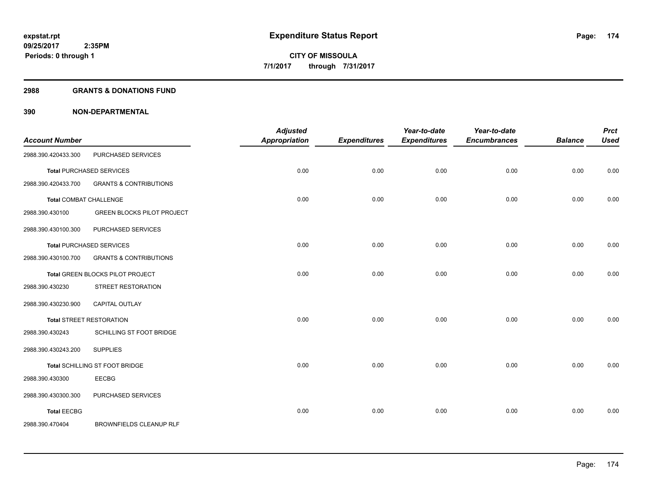## **2988 GRANTS & DONATIONS FUND**

| <b>Account Number</b>         |                                   | <b>Adjusted</b><br><b>Appropriation</b> | <b>Expenditures</b> | Year-to-date<br><b>Expenditures</b> | Year-to-date<br><b>Encumbrances</b> | <b>Balance</b> | <b>Prct</b><br><b>Used</b> |
|-------------------------------|-----------------------------------|-----------------------------------------|---------------------|-------------------------------------|-------------------------------------|----------------|----------------------------|
| 2988.390.420433.300           | PURCHASED SERVICES                |                                         |                     |                                     |                                     |                |                            |
|                               | <b>Total PURCHASED SERVICES</b>   | 0.00                                    | 0.00                | 0.00                                | 0.00                                | 0.00           | 0.00                       |
| 2988.390.420433.700           | <b>GRANTS &amp; CONTRIBUTIONS</b> |                                         |                     |                                     |                                     |                |                            |
| <b>Total COMBAT CHALLENGE</b> |                                   | 0.00                                    | 0.00                | 0.00                                | 0.00                                | 0.00           | 0.00                       |
| 2988.390.430100               | <b>GREEN BLOCKS PILOT PROJECT</b> |                                         |                     |                                     |                                     |                |                            |
| 2988.390.430100.300           | PURCHASED SERVICES                |                                         |                     |                                     |                                     |                |                            |
|                               | <b>Total PURCHASED SERVICES</b>   | 0.00                                    | 0.00                | 0.00                                | 0.00                                | 0.00           | 0.00                       |
| 2988.390.430100.700           | <b>GRANTS &amp; CONTRIBUTIONS</b> |                                         |                     |                                     |                                     |                |                            |
|                               | Total GREEN BLOCKS PILOT PROJECT  | 0.00                                    | 0.00                | 0.00                                | 0.00                                | 0.00           | 0.00                       |
| 2988.390.430230               | STREET RESTORATION                |                                         |                     |                                     |                                     |                |                            |
| 2988.390.430230.900           | CAPITAL OUTLAY                    |                                         |                     |                                     |                                     |                |                            |
|                               | <b>Total STREET RESTORATION</b>   | 0.00                                    | 0.00                | 0.00                                | 0.00                                | 0.00           | 0.00                       |
| 2988.390.430243               | SCHILLING ST FOOT BRIDGE          |                                         |                     |                                     |                                     |                |                            |
| 2988.390.430243.200           | <b>SUPPLIES</b>                   |                                         |                     |                                     |                                     |                |                            |
|                               | Total SCHILLING ST FOOT BRIDGE    | 0.00                                    | 0.00                | 0.00                                | 0.00                                | 0.00           | 0.00                       |
| 2988.390.430300               | <b>EECBG</b>                      |                                         |                     |                                     |                                     |                |                            |
| 2988.390.430300.300           | PURCHASED SERVICES                |                                         |                     |                                     |                                     |                |                            |
| <b>Total EECBG</b>            |                                   | 0.00                                    | 0.00                | 0.00                                | 0.00                                | 0.00           | 0.00                       |
| 2988.390.470404               | BROWNFIELDS CLEANUP RLF           |                                         |                     |                                     |                                     |                |                            |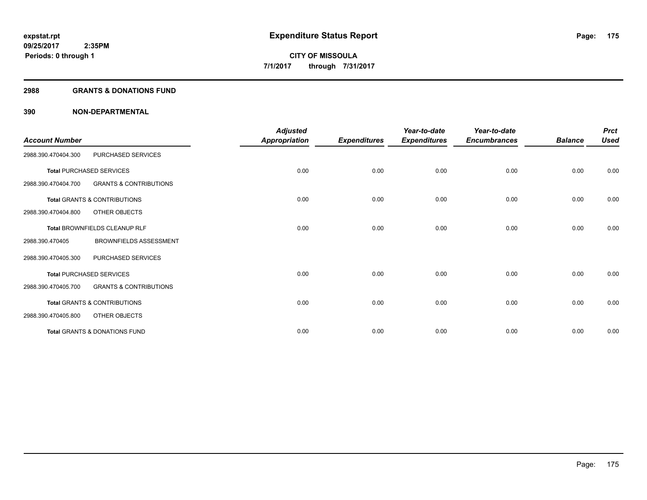## **2988 GRANTS & DONATIONS FUND**

| <b>Account Number</b> |                                          | <b>Adjusted</b><br>Appropriation | <b>Expenditures</b> | Year-to-date<br><b>Expenditures</b> | Year-to-date<br><b>Encumbrances</b> | <b>Balance</b> | <b>Prct</b><br><b>Used</b> |
|-----------------------|------------------------------------------|----------------------------------|---------------------|-------------------------------------|-------------------------------------|----------------|----------------------------|
| 2988.390.470404.300   | PURCHASED SERVICES                       |                                  |                     |                                     |                                     |                |                            |
|                       | <b>Total PURCHASED SERVICES</b>          | 0.00                             | 0.00                | 0.00                                | 0.00                                | 0.00           | 0.00                       |
| 2988.390.470404.700   | <b>GRANTS &amp; CONTRIBUTIONS</b>        |                                  |                     |                                     |                                     |                |                            |
|                       | <b>Total GRANTS &amp; CONTRIBUTIONS</b>  | 0.00                             | 0.00                | 0.00                                | 0.00                                | 0.00           | 0.00                       |
| 2988.390.470404.800   | OTHER OBJECTS                            |                                  |                     |                                     |                                     |                |                            |
|                       | Total BROWNFIELDS CLEANUP RLF            | 0.00                             | 0.00                | 0.00                                | 0.00                                | 0.00           | 0.00                       |
| 2988.390.470405       | <b>BROWNFIELDS ASSESSMENT</b>            |                                  |                     |                                     |                                     |                |                            |
| 2988.390.470405.300   | PURCHASED SERVICES                       |                                  |                     |                                     |                                     |                |                            |
|                       | <b>Total PURCHASED SERVICES</b>          | 0.00                             | 0.00                | 0.00                                | 0.00                                | 0.00           | 0.00                       |
| 2988.390.470405.700   | <b>GRANTS &amp; CONTRIBUTIONS</b>        |                                  |                     |                                     |                                     |                |                            |
|                       | <b>Total GRANTS &amp; CONTRIBUTIONS</b>  | 0.00                             | 0.00                | 0.00                                | 0.00                                | 0.00           | 0.00                       |
| 2988.390.470405.800   | OTHER OBJECTS                            |                                  |                     |                                     |                                     |                |                            |
|                       | <b>Total GRANTS &amp; DONATIONS FUND</b> | 0.00                             | 0.00                | 0.00                                | 0.00                                | 0.00           | 0.00                       |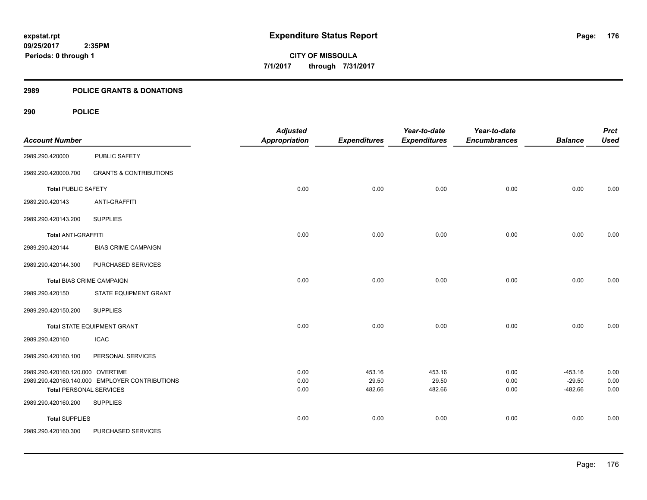## **2989 POLICE GRANTS & DONATIONS**

## **290 POLICE**

| <b>Account Number</b>            |                                                | <b>Adjusted</b><br>Appropriation | <b>Expenditures</b> | Year-to-date<br><b>Expenditures</b> | Year-to-date<br><b>Encumbrances</b> | <b>Balance</b> | <b>Prct</b><br><b>Used</b> |
|----------------------------------|------------------------------------------------|----------------------------------|---------------------|-------------------------------------|-------------------------------------|----------------|----------------------------|
| 2989.290.420000                  | PUBLIC SAFETY                                  |                                  |                     |                                     |                                     |                |                            |
| 2989.290.420000.700              | <b>GRANTS &amp; CONTRIBUTIONS</b>              |                                  |                     |                                     |                                     |                |                            |
| <b>Total PUBLIC SAFETY</b>       |                                                | 0.00                             | 0.00                | 0.00                                | 0.00                                | 0.00           | 0.00                       |
| 2989.290.420143                  | <b>ANTI-GRAFFITI</b>                           |                                  |                     |                                     |                                     |                |                            |
| 2989.290.420143.200              | <b>SUPPLIES</b>                                |                                  |                     |                                     |                                     |                |                            |
| <b>Total ANTI-GRAFFITI</b>       |                                                | 0.00                             | 0.00                | 0.00                                | 0.00                                | 0.00           | 0.00                       |
| 2989.290.420144                  | <b>BIAS CRIME CAMPAIGN</b>                     |                                  |                     |                                     |                                     |                |                            |
| 2989.290.420144.300              | PURCHASED SERVICES                             |                                  |                     |                                     |                                     |                |                            |
| <b>Total BIAS CRIME CAMPAIGN</b> |                                                | 0.00                             | 0.00                | 0.00                                | 0.00                                | 0.00           | 0.00                       |
| 2989.290.420150                  | STATE EQUIPMENT GRANT                          |                                  |                     |                                     |                                     |                |                            |
| 2989.290.420150.200              | <b>SUPPLIES</b>                                |                                  |                     |                                     |                                     |                |                            |
|                                  | Total STATE EQUIPMENT GRANT                    | 0.00                             | 0.00                | 0.00                                | 0.00                                | 0.00           | 0.00                       |
| 2989.290.420160                  | <b>ICAC</b>                                    |                                  |                     |                                     |                                     |                |                            |
| 2989.290.420160.100              | PERSONAL SERVICES                              |                                  |                     |                                     |                                     |                |                            |
| 2989.290.420160.120.000 OVERTIME |                                                | 0.00                             | 453.16              | 453.16                              | 0.00                                | $-453.16$      | 0.00                       |
|                                  | 2989.290.420160.140.000 EMPLOYER CONTRIBUTIONS | 0.00                             | 29.50               | 29.50                               | 0.00                                | $-29.50$       | 0.00                       |
| <b>Total PERSONAL SERVICES</b>   |                                                | 0.00                             | 482.66              | 482.66                              | 0.00                                | $-482.66$      | 0.00                       |
| 2989.290.420160.200              | <b>SUPPLIES</b>                                |                                  |                     |                                     |                                     |                |                            |
| <b>Total SUPPLIES</b>            |                                                | 0.00                             | 0.00                | 0.00                                | 0.00                                | 0.00           | 0.00                       |
| 2989.290.420160.300              | PURCHASED SERVICES                             |                                  |                     |                                     |                                     |                |                            |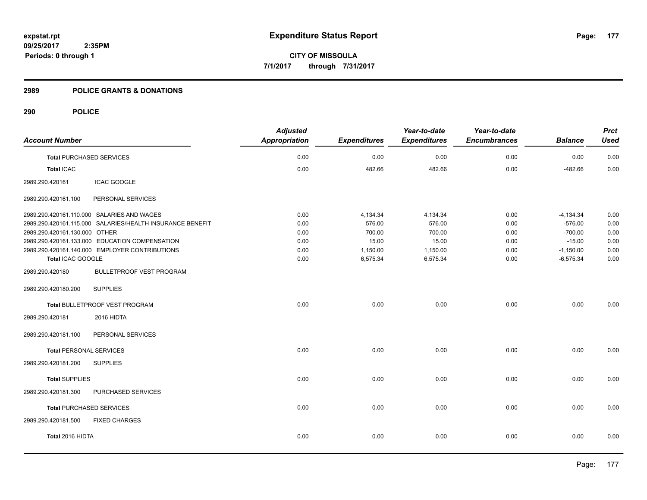**CITY OF MISSOULA 7/1/2017 through 7/31/2017**

## **2989 POLICE GRANTS & DONATIONS**

## **290 POLICE**

| <b>Account Number</b>           |                                                           | <b>Adjusted</b><br><b>Appropriation</b> | <b>Expenditures</b> | Year-to-date<br><b>Expenditures</b> | Year-to-date<br><b>Encumbrances</b> | <b>Balance</b> | <b>Prct</b><br><b>Used</b> |
|---------------------------------|-----------------------------------------------------------|-----------------------------------------|---------------------|-------------------------------------|-------------------------------------|----------------|----------------------------|
|                                 |                                                           |                                         |                     |                                     |                                     |                |                            |
| <b>Total PURCHASED SERVICES</b> |                                                           | 0.00                                    | 0.00                | 0.00                                | 0.00                                | 0.00           | 0.00                       |
| <b>Total ICAC</b>               |                                                           | 0.00                                    | 482.66              | 482.66                              | 0.00                                | $-482.66$      | 0.00                       |
| 2989.290.420161                 | ICAC GOOGLE                                               |                                         |                     |                                     |                                     |                |                            |
| 2989.290.420161.100             | PERSONAL SERVICES                                         |                                         |                     |                                     |                                     |                |                            |
|                                 | 2989.290.420161.110.000 SALARIES AND WAGES                | 0.00                                    | 4,134.34            | 4,134.34                            | 0.00                                | $-4, 134.34$   | 0.00                       |
|                                 | 2989.290.420161.115.000 SALARIES/HEALTH INSURANCE BENEFIT | 0.00                                    | 576.00              | 576.00                              | 0.00                                | $-576.00$      | 0.00                       |
| 2989.290.420161.130.000 OTHER   |                                                           | 0.00                                    | 700.00              | 700.00                              | 0.00                                | $-700.00$      | 0.00                       |
|                                 | 2989.290.420161.133.000 EDUCATION COMPENSATION            | 0.00                                    | 15.00               | 15.00                               | 0.00                                | $-15.00$       | 0.00                       |
|                                 | 2989.290.420161.140.000 EMPLOYER CONTRIBUTIONS            | 0.00                                    | 1,150.00            | 1,150.00                            | 0.00                                | $-1,150.00$    | 0.00                       |
| Total ICAC GOOGLE               |                                                           | 0.00                                    | 6,575.34            | 6,575.34                            | 0.00                                | $-6,575.34$    | 0.00                       |
| 2989.290.420180                 | <b>BULLETPROOF VEST PROGRAM</b>                           |                                         |                     |                                     |                                     |                |                            |
| 2989.290.420180.200             | <b>SUPPLIES</b>                                           |                                         |                     |                                     |                                     |                |                            |
|                                 | Total BULLETPROOF VEST PROGRAM                            | 0.00                                    | 0.00                | 0.00                                | 0.00                                | 0.00           | 0.00                       |
| 2989.290.420181                 | 2016 HIDTA                                                |                                         |                     |                                     |                                     |                |                            |
| 2989.290.420181.100             | PERSONAL SERVICES                                         |                                         |                     |                                     |                                     |                |                            |
| <b>Total PERSONAL SERVICES</b>  |                                                           | 0.00                                    | 0.00                | 0.00                                | 0.00                                | 0.00           | 0.00                       |
| 2989.290.420181.200             | <b>SUPPLIES</b>                                           |                                         |                     |                                     |                                     |                |                            |
| <b>Total SUPPLIES</b>           |                                                           | 0.00                                    | 0.00                | 0.00                                | 0.00                                | 0.00           | 0.00                       |
| 2989.290.420181.300             | PURCHASED SERVICES                                        |                                         |                     |                                     |                                     |                |                            |
| <b>Total PURCHASED SERVICES</b> |                                                           | 0.00                                    | 0.00                | 0.00                                | 0.00                                | 0.00           | 0.00                       |
| 2989.290.420181.500             | <b>FIXED CHARGES</b>                                      |                                         |                     |                                     |                                     |                |                            |
| Total 2016 HIDTA                |                                                           | 0.00                                    | 0.00                | 0.00                                | 0.00                                | 0.00           | 0.00                       |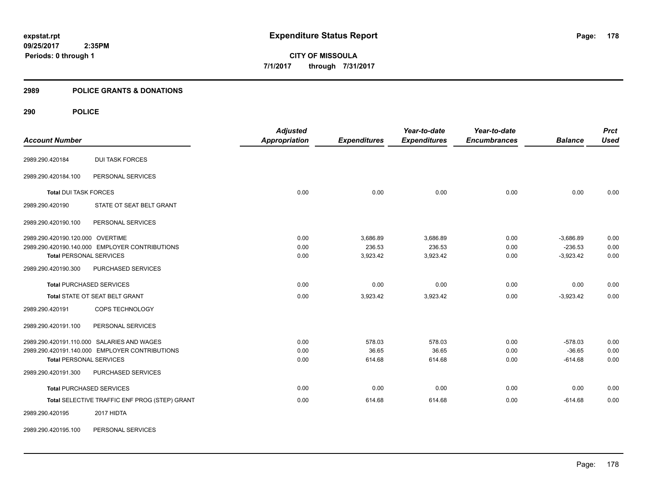## **2989 POLICE GRANTS & DONATIONS**

## **290 POLICE**

| <b>Account Number</b>            |                                                | <b>Adjusted</b><br><b>Appropriation</b> | <b>Expenditures</b> | Year-to-date<br><b>Expenditures</b> | Year-to-date<br><b>Encumbrances</b> | <b>Balance</b> | <b>Prct</b><br><b>Used</b> |
|----------------------------------|------------------------------------------------|-----------------------------------------|---------------------|-------------------------------------|-------------------------------------|----------------|----------------------------|
| 2989.290.420184                  | <b>DUI TASK FORCES</b>                         |                                         |                     |                                     |                                     |                |                            |
|                                  |                                                |                                         |                     |                                     |                                     |                |                            |
| 2989.290.420184.100              | PERSONAL SERVICES                              |                                         |                     |                                     |                                     |                |                            |
| <b>Total DUI TASK FORCES</b>     |                                                | 0.00                                    | 0.00                | 0.00                                | 0.00                                | 0.00           | 0.00                       |
| 2989.290.420190                  | STATE OT SEAT BELT GRANT                       |                                         |                     |                                     |                                     |                |                            |
| 2989.290.420190.100              | PERSONAL SERVICES                              |                                         |                     |                                     |                                     |                |                            |
| 2989.290.420190.120.000 OVERTIME |                                                | 0.00                                    | 3,686.89            | 3,686.89                            | 0.00                                | $-3,686.89$    | 0.00                       |
|                                  | 2989.290.420190.140.000 EMPLOYER CONTRIBUTIONS | 0.00                                    | 236.53              | 236.53                              | 0.00                                | $-236.53$      | 0.00                       |
| <b>Total PERSONAL SERVICES</b>   |                                                | 0.00                                    | 3,923.42            | 3,923.42                            | 0.00                                | $-3,923.42$    | 0.00                       |
| 2989.290.420190.300              | PURCHASED SERVICES                             |                                         |                     |                                     |                                     |                |                            |
|                                  | <b>Total PURCHASED SERVICES</b>                | 0.00                                    | 0.00                | 0.00                                | 0.00                                | 0.00           | 0.00                       |
|                                  | Total STATE OT SEAT BELT GRANT                 | 0.00                                    | 3,923.42            | 3,923.42                            | 0.00                                | $-3,923.42$    | 0.00                       |
| 2989.290.420191                  | COPS TECHNOLOGY                                |                                         |                     |                                     |                                     |                |                            |
| 2989.290.420191.100              | PERSONAL SERVICES                              |                                         |                     |                                     |                                     |                |                            |
|                                  | 2989.290.420191.110.000 SALARIES AND WAGES     | 0.00                                    | 578.03              | 578.03                              | 0.00                                | $-578.03$      | 0.00                       |
|                                  | 2989.290.420191.140.000 EMPLOYER CONTRIBUTIONS | 0.00                                    | 36.65               | 36.65                               | 0.00                                | $-36.65$       | 0.00                       |
| <b>Total PERSONAL SERVICES</b>   |                                                | 0.00                                    | 614.68              | 614.68                              | 0.00                                | $-614.68$      | 0.00                       |
| 2989.290.420191.300              | PURCHASED SERVICES                             |                                         |                     |                                     |                                     |                |                            |
|                                  | <b>Total PURCHASED SERVICES</b>                | 0.00                                    | 0.00                | 0.00                                | 0.00                                | 0.00           | 0.00                       |
|                                  | Total SELECTIVE TRAFFIC ENF PROG (STEP) GRANT  | 0.00                                    | 614.68              | 614.68                              | 0.00                                | $-614.68$      | 0.00                       |
| 2989.290.420195                  | 2017 HIDTA                                     |                                         |                     |                                     |                                     |                |                            |

2989.290.420195.100 PERSONAL SERVICES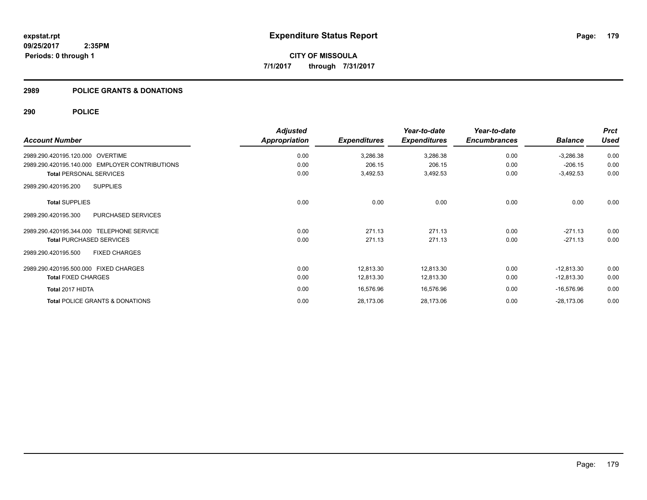## **2989 POLICE GRANTS & DONATIONS**

## **290 POLICE**

|                                                | <b>Adjusted</b> |                     | Year-to-date        | Year-to-date        |                | <b>Prct</b> |
|------------------------------------------------|-----------------|---------------------|---------------------|---------------------|----------------|-------------|
| <b>Account Number</b>                          | Appropriation   | <b>Expenditures</b> | <b>Expenditures</b> | <b>Encumbrances</b> | <b>Balance</b> | <b>Used</b> |
| 2989.290.420195.120.000 OVERTIME               | 0.00            | 3,286.38            | 3,286.38            | 0.00                | $-3,286.38$    | 0.00        |
| 2989.290.420195.140.000 EMPLOYER CONTRIBUTIONS | 0.00            | 206.15              | 206.15              | 0.00                | $-206.15$      | 0.00        |
| <b>Total PERSONAL SERVICES</b>                 | 0.00            | 3,492.53            | 3,492.53            | 0.00                | $-3,492.53$    | 0.00        |
| <b>SUPPLIES</b><br>2989.290.420195.200         |                 |                     |                     |                     |                |             |
| <b>Total SUPPLIES</b>                          | 0.00            | 0.00                | 0.00                | 0.00                | 0.00           | 0.00        |
| PURCHASED SERVICES<br>2989.290.420195.300      |                 |                     |                     |                     |                |             |
| 2989.290.420195.344.000 TELEPHONE SERVICE      | 0.00            | 271.13              | 271.13              | 0.00                | $-271.13$      | 0.00        |
| <b>Total PURCHASED SERVICES</b>                | 0.00            | 271.13              | 271.13              | 0.00                | $-271.13$      | 0.00        |
| 2989.290.420195.500<br><b>FIXED CHARGES</b>    |                 |                     |                     |                     |                |             |
| 2989.290.420195.500.000 FIXED CHARGES          | 0.00            | 12,813.30           | 12,813.30           | 0.00                | $-12,813.30$   | 0.00        |
| <b>Total FIXED CHARGES</b>                     | 0.00            | 12,813.30           | 12,813.30           | 0.00                | $-12,813.30$   | 0.00        |
| Total 2017 HIDTA                               | 0.00            | 16,576.96           | 16,576.96           | 0.00                | $-16,576.96$   | 0.00        |
| <b>Total POLICE GRANTS &amp; DONATIONS</b>     | 0.00            | 28,173.06           | 28,173.06           | 0.00                | $-28,173.06$   | 0.00        |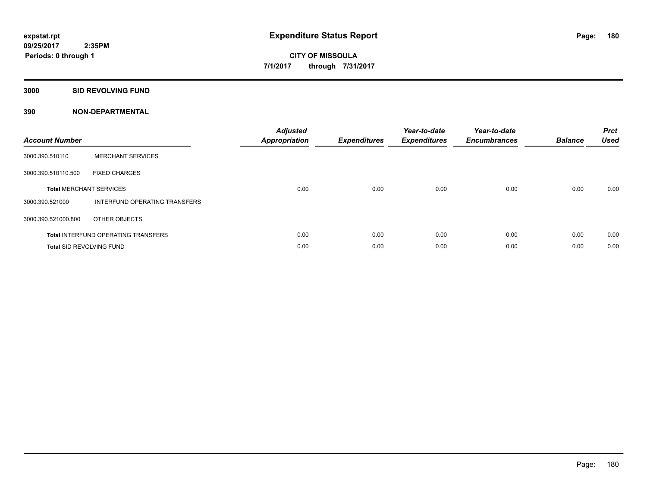## **3000 SID REVOLVING FUND**

| <b>Account Number</b>           |                                            | <b>Adjusted</b><br>Appropriation | <b>Expenditures</b> | Year-to-date<br><b>Expenditures</b> | Year-to-date<br><b>Encumbrances</b> | <b>Balance</b> | <b>Prct</b><br><b>Used</b> |
|---------------------------------|--------------------------------------------|----------------------------------|---------------------|-------------------------------------|-------------------------------------|----------------|----------------------------|
| 3000.390.510110                 | <b>MERCHANT SERVICES</b>                   |                                  |                     |                                     |                                     |                |                            |
| 3000.390.510110.500             | <b>FIXED CHARGES</b>                       |                                  |                     |                                     |                                     |                |                            |
|                                 | <b>Total MERCHANT SERVICES</b>             | 0.00                             | 0.00                | 0.00                                | 0.00                                | 0.00           | 0.00                       |
| 3000.390.521000                 | INTERFUND OPERATING TRANSFERS              |                                  |                     |                                     |                                     |                |                            |
| 3000.390.521000.800             | OTHER OBJECTS                              |                                  |                     |                                     |                                     |                |                            |
|                                 | <b>Total INTERFUND OPERATING TRANSFERS</b> | 0.00                             | 0.00                | 0.00                                | 0.00                                | 0.00           | 0.00                       |
| <b>Total SID REVOLVING FUND</b> |                                            | 0.00                             | 0.00                | 0.00                                | 0.00                                | 0.00           | 0.00                       |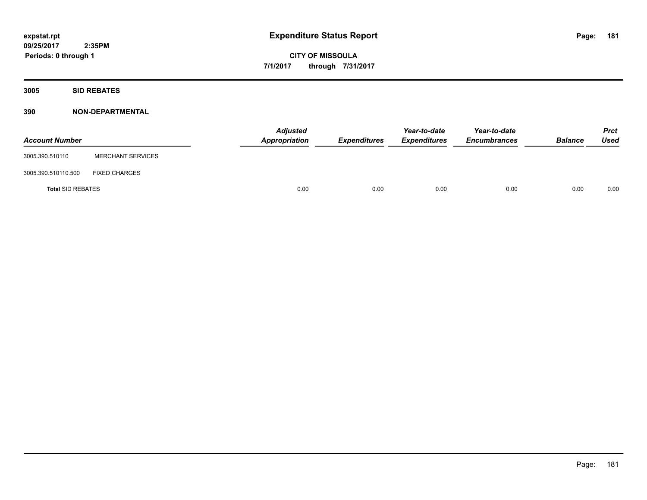**Periods: 0 through 1**

**CITY OF MISSOULA 7/1/2017 through 7/31/2017**

**3005 SID REBATES**

#### **390 NON-DEPARTMENTAL**

 **2:35PM**

| <b>Account Number</b>    |                          | <b>Adjusted</b><br>Appropriation | <b>Expenditures</b> | Year-to-date<br><b>Expenditures</b> | Year-to-date<br><b>Encumbrances</b> | <b>Balance</b> | <b>Prct</b><br>Used |
|--------------------------|--------------------------|----------------------------------|---------------------|-------------------------------------|-------------------------------------|----------------|---------------------|
| 3005.390.510110          | <b>MERCHANT SERVICES</b> |                                  |                     |                                     |                                     |                |                     |
| 3005.390.510110.500      | <b>FIXED CHARGES</b>     |                                  |                     |                                     |                                     |                |                     |
| <b>Total SID REBATES</b> |                          | 0.00                             | 0.00                | 0.00                                | 0.00                                | 0.00           | 0.00                |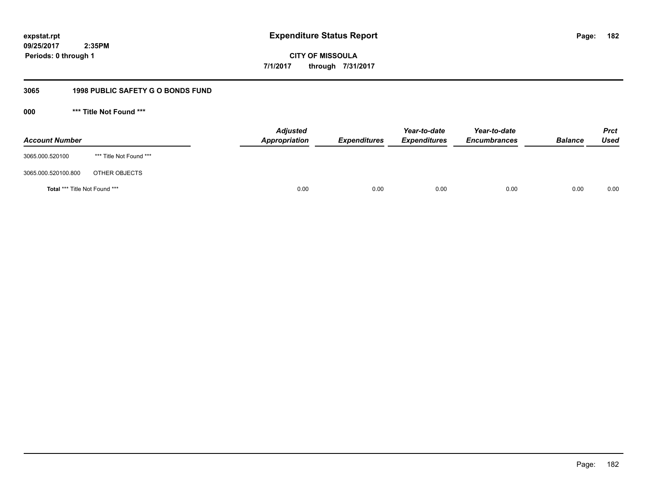**CITY OF MISSOULA 7/1/2017 through 7/31/2017**

#### **3065 1998 PUBLIC SAFETY G O BONDS FUND**

**000 \*\*\* Title Not Found \*\*\***

| <b>Account Number</b>         |                         | <b>Adjusted</b><br>Appropriation | <b>Expenditures</b> | Year-to-date<br><b>Expenditures</b> | Year-to-date<br><b>Encumbrances</b> | <b>Balance</b> | <b>Prct</b><br><b>Used</b> |
|-------------------------------|-------------------------|----------------------------------|---------------------|-------------------------------------|-------------------------------------|----------------|----------------------------|
| 3065.000.520100               | *** Title Not Found *** |                                  |                     |                                     |                                     |                |                            |
| 3065.000.520100.800           | OTHER OBJECTS           |                                  |                     |                                     |                                     |                |                            |
| Total *** Title Not Found *** |                         | 0.00                             | 0.00                | 0.00                                | 0.00                                | 0.00           | 0.00                       |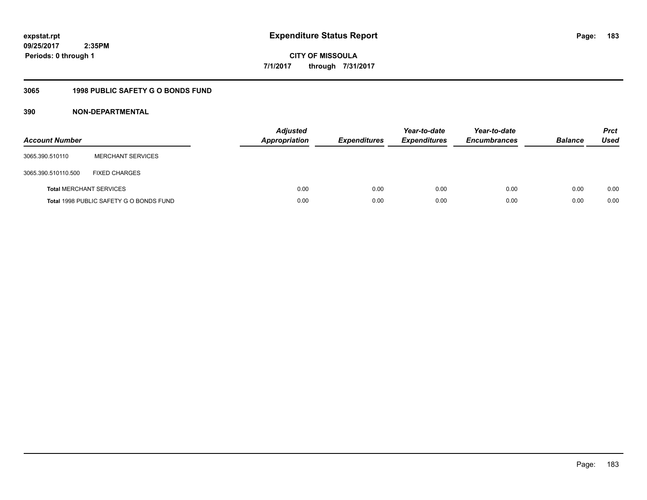**CITY OF MISSOULA 7/1/2017 through 7/31/2017**

## **3065 1998 PUBLIC SAFETY G O BONDS FUND**

| <b>Account Number</b>          |                                         | <b>Adjusted</b><br><b>Appropriation</b> | <b>Expenditures</b> | Year-to-date<br><b>Expenditures</b> | Year-to-date<br><b>Encumbrances</b> | <b>Balance</b> | <b>Prct</b><br>Used |
|--------------------------------|-----------------------------------------|-----------------------------------------|---------------------|-------------------------------------|-------------------------------------|----------------|---------------------|
| 3065.390.510110                | <b>MERCHANT SERVICES</b>                |                                         |                     |                                     |                                     |                |                     |
| 3065.390.510110.500            | <b>FIXED CHARGES</b>                    |                                         |                     |                                     |                                     |                |                     |
| <b>Total MERCHANT SERVICES</b> |                                         | 0.00                                    | 0.00                | 0.00                                | 0.00                                | 0.00           | 0.00                |
|                                | Total 1998 PUBLIC SAFETY G O BONDS FUND | 0.00                                    | 0.00                | 0.00                                | 0.00                                | 0.00           | 0.00                |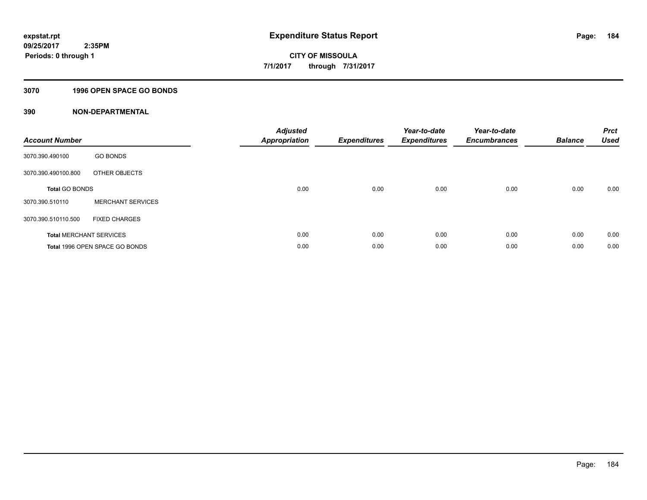#### **3070 1996 OPEN SPACE GO BONDS**

| <b>Account Number</b>          |                                | <b>Adjusted</b><br><b>Appropriation</b> | <b>Expenditures</b> | Year-to-date<br><b>Expenditures</b> | Year-to-date<br><b>Encumbrances</b> | <b>Balance</b> | <b>Prct</b><br><b>Used</b> |
|--------------------------------|--------------------------------|-----------------------------------------|---------------------|-------------------------------------|-------------------------------------|----------------|----------------------------|
| 3070.390.490100                | <b>GO BONDS</b>                |                                         |                     |                                     |                                     |                |                            |
| 3070.390.490100.800            | OTHER OBJECTS                  |                                         |                     |                                     |                                     |                |                            |
| <b>Total GO BONDS</b>          |                                | 0.00                                    | 0.00                | 0.00                                | 0.00                                | 0.00           | 0.00                       |
| 3070.390.510110                | <b>MERCHANT SERVICES</b>       |                                         |                     |                                     |                                     |                |                            |
| 3070.390.510110.500            | <b>FIXED CHARGES</b>           |                                         |                     |                                     |                                     |                |                            |
| <b>Total MERCHANT SERVICES</b> |                                | 0.00                                    | 0.00                | 0.00                                | 0.00                                | 0.00           | 0.00                       |
|                                | Total 1996 OPEN SPACE GO BONDS | 0.00                                    | 0.00                | 0.00                                | 0.00                                | 0.00           | 0.00                       |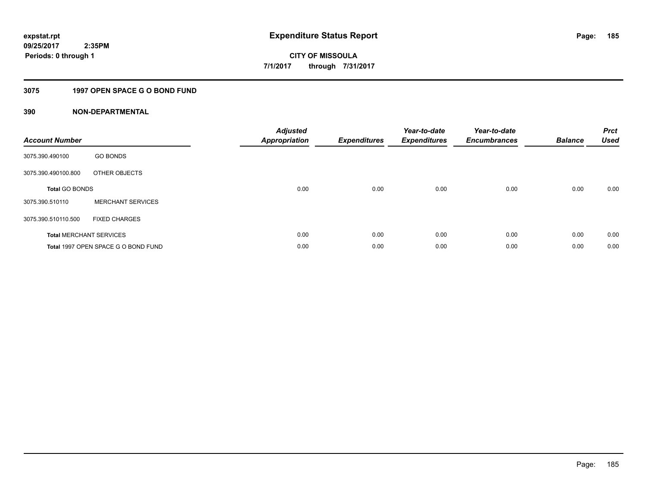## **3075 1997 OPEN SPACE G O BOND FUND**

| <b>Account Number</b> |                                     | <b>Adjusted</b><br><b>Appropriation</b> | <b>Expenditures</b> | Year-to-date<br><b>Expenditures</b> | Year-to-date<br><b>Encumbrances</b> | <b>Balance</b> | <b>Prct</b><br><b>Used</b> |
|-----------------------|-------------------------------------|-----------------------------------------|---------------------|-------------------------------------|-------------------------------------|----------------|----------------------------|
| 3075.390.490100       | <b>GO BONDS</b>                     |                                         |                     |                                     |                                     |                |                            |
| 3075.390.490100.800   | OTHER OBJECTS                       |                                         |                     |                                     |                                     |                |                            |
| <b>Total GO BONDS</b> |                                     | 0.00                                    | 0.00                | 0.00                                | 0.00                                | 0.00           | 0.00                       |
| 3075.390.510110       | <b>MERCHANT SERVICES</b>            |                                         |                     |                                     |                                     |                |                            |
| 3075.390.510110.500   | <b>FIXED CHARGES</b>                |                                         |                     |                                     |                                     |                |                            |
|                       | <b>Total MERCHANT SERVICES</b>      | 0.00                                    | 0.00                | 0.00                                | 0.00                                | 0.00           | 0.00                       |
|                       | Total 1997 OPEN SPACE G O BOND FUND | 0.00                                    | 0.00                | 0.00                                | 0.00                                | 0.00           | 0.00                       |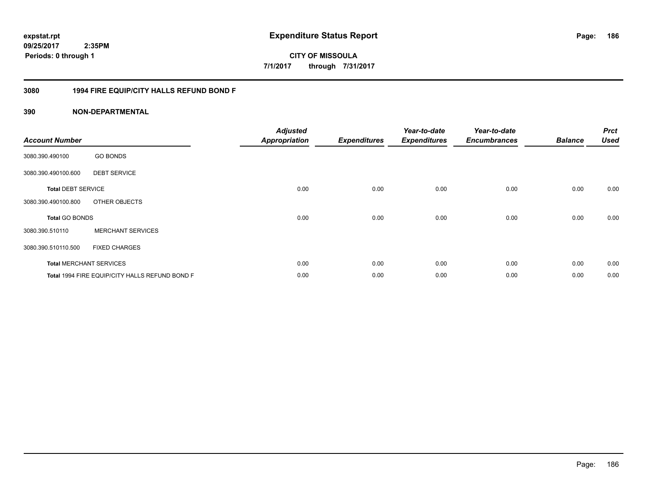**CITY OF MISSOULA 7/1/2017 through 7/31/2017**

#### **3080 1994 FIRE EQUIP/CITY HALLS REFUND BOND F**

| <b>Account Number</b>     |                                                | <b>Adjusted</b><br><b>Appropriation</b> | <b>Expenditures</b> | Year-to-date<br><b>Expenditures</b> | Year-to-date<br><b>Encumbrances</b> | <b>Balance</b> | <b>Prct</b><br><b>Used</b> |
|---------------------------|------------------------------------------------|-----------------------------------------|---------------------|-------------------------------------|-------------------------------------|----------------|----------------------------|
| 3080.390.490100           | <b>GO BONDS</b>                                |                                         |                     |                                     |                                     |                |                            |
| 3080.390.490100.600       | <b>DEBT SERVICE</b>                            |                                         |                     |                                     |                                     |                |                            |
| <b>Total DEBT SERVICE</b> |                                                | 0.00                                    | 0.00                | 0.00                                | 0.00                                | 0.00           | 0.00                       |
| 3080.390.490100.800       | OTHER OBJECTS                                  |                                         |                     |                                     |                                     |                |                            |
| <b>Total GO BONDS</b>     |                                                | 0.00                                    | 0.00                | 0.00                                | 0.00                                | 0.00           | 0.00                       |
| 3080.390.510110           | <b>MERCHANT SERVICES</b>                       |                                         |                     |                                     |                                     |                |                            |
| 3080.390.510110.500       | <b>FIXED CHARGES</b>                           |                                         |                     |                                     |                                     |                |                            |
|                           | <b>Total MERCHANT SERVICES</b>                 | 0.00                                    | 0.00                | 0.00                                | 0.00                                | 0.00           | 0.00                       |
|                           | Total 1994 FIRE EQUIP/CITY HALLS REFUND BOND F | 0.00                                    | 0.00                | 0.00                                | 0.00                                | 0.00           | 0.00                       |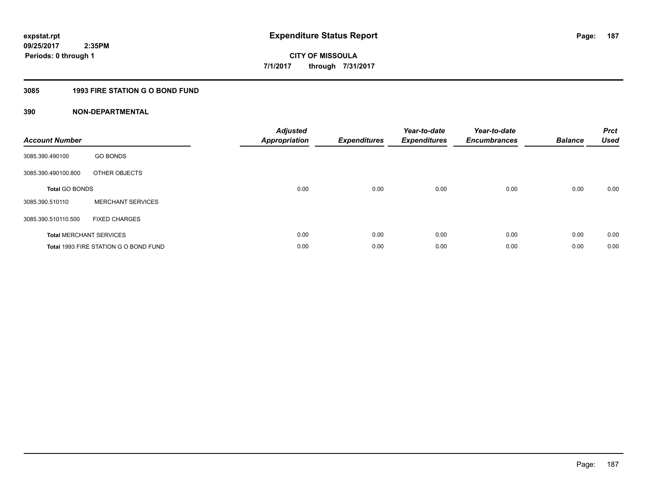## **3085 1993 FIRE STATION G O BOND FUND**

| <b>Account Number</b> |                                       | <b>Adjusted</b><br>Appropriation | <b>Expenditures</b> | Year-to-date<br><b>Expenditures</b> | Year-to-date<br><b>Encumbrances</b> | <b>Balance</b> | <b>Prct</b><br><b>Used</b> |
|-----------------------|---------------------------------------|----------------------------------|---------------------|-------------------------------------|-------------------------------------|----------------|----------------------------|
| 3085.390.490100       | <b>GO BONDS</b>                       |                                  |                     |                                     |                                     |                |                            |
| 3085.390.490100.800   | OTHER OBJECTS                         |                                  |                     |                                     |                                     |                |                            |
| <b>Total GO BONDS</b> |                                       | 0.00                             | 0.00                | 0.00                                | 0.00                                | 0.00           | 0.00                       |
| 3085.390.510110       | <b>MERCHANT SERVICES</b>              |                                  |                     |                                     |                                     |                |                            |
| 3085.390.510110.500   | <b>FIXED CHARGES</b>                  |                                  |                     |                                     |                                     |                |                            |
|                       | <b>Total MERCHANT SERVICES</b>        | 0.00                             | 0.00                | 0.00                                | 0.00                                | 0.00           | 0.00                       |
|                       | Total 1993 FIRE STATION G O BOND FUND | 0.00                             | 0.00                | 0.00                                | 0.00                                | 0.00           | 0.00                       |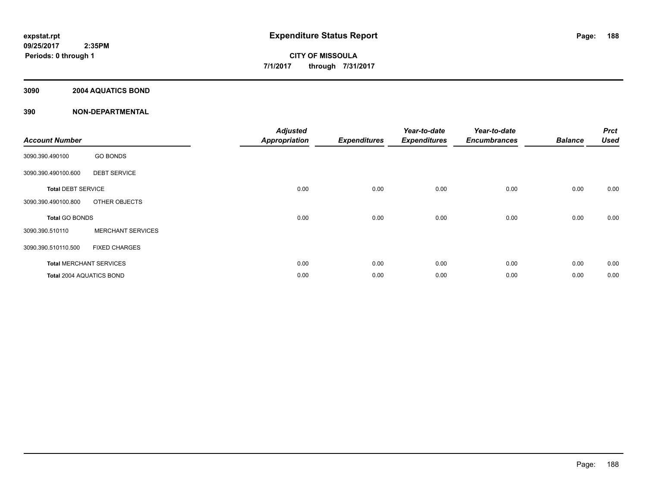#### **3090 2004 AQUATICS BOND**

| <b>Account Number</b>     |                                | <b>Adjusted</b><br><b>Appropriation</b> | <b>Expenditures</b> | Year-to-date<br><b>Expenditures</b> | Year-to-date<br><b>Encumbrances</b> | <b>Balance</b> | <b>Prct</b><br><b>Used</b> |
|---------------------------|--------------------------------|-----------------------------------------|---------------------|-------------------------------------|-------------------------------------|----------------|----------------------------|
| 3090.390.490100           | <b>GO BONDS</b>                |                                         |                     |                                     |                                     |                |                            |
| 3090.390.490100.600       | <b>DEBT SERVICE</b>            |                                         |                     |                                     |                                     |                |                            |
| <b>Total DEBT SERVICE</b> |                                | 0.00                                    | 0.00                | 0.00                                | 0.00                                | 0.00           | 0.00                       |
| 3090.390.490100.800       | OTHER OBJECTS                  |                                         |                     |                                     |                                     |                |                            |
| <b>Total GO BONDS</b>     |                                | 0.00                                    | 0.00                | 0.00                                | 0.00                                | 0.00           | 0.00                       |
| 3090.390.510110           | <b>MERCHANT SERVICES</b>       |                                         |                     |                                     |                                     |                |                            |
| 3090.390.510110.500       | <b>FIXED CHARGES</b>           |                                         |                     |                                     |                                     |                |                            |
|                           | <b>Total MERCHANT SERVICES</b> | 0.00                                    | 0.00                | 0.00                                | 0.00                                | 0.00           | 0.00                       |
| Total 2004 AQUATICS BOND  |                                | 0.00                                    | 0.00                | 0.00                                | 0.00                                | 0.00           | 0.00                       |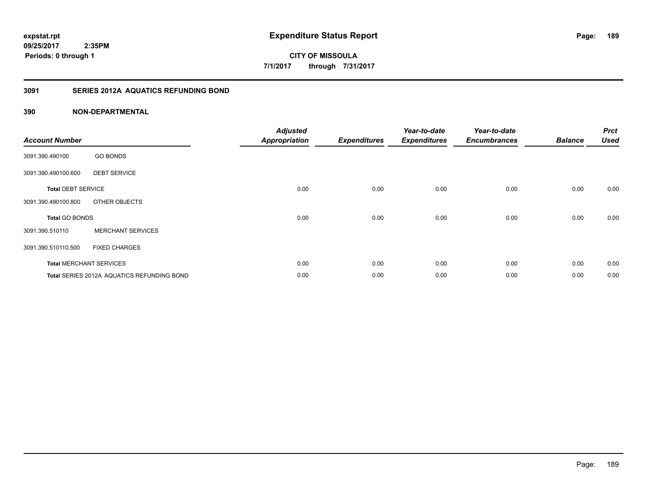**CITY OF MISSOULA 7/1/2017 through 7/31/2017**

#### **3091 SERIES 2012A AQUATICS REFUNDING BOND**

| <b>Account Number</b>     |                                            | <b>Adjusted</b><br><b>Appropriation</b> | <b>Expenditures</b> | Year-to-date<br><b>Expenditures</b> | Year-to-date<br><b>Encumbrances</b> | <b>Balance</b> | <b>Prct</b><br><b>Used</b> |
|---------------------------|--------------------------------------------|-----------------------------------------|---------------------|-------------------------------------|-------------------------------------|----------------|----------------------------|
| 3091.390.490100           | <b>GO BONDS</b>                            |                                         |                     |                                     |                                     |                |                            |
| 3091.390.490100.600       | <b>DEBT SERVICE</b>                        |                                         |                     |                                     |                                     |                |                            |
| <b>Total DEBT SERVICE</b> |                                            | 0.00                                    | 0.00                | 0.00                                | 0.00                                | 0.00           | 0.00                       |
| 3091.390.490100.800       | OTHER OBJECTS                              |                                         |                     |                                     |                                     |                |                            |
| <b>Total GO BONDS</b>     |                                            | 0.00                                    | 0.00                | 0.00                                | 0.00                                | 0.00           | 0.00                       |
| 3091.390.510110           | <b>MERCHANT SERVICES</b>                   |                                         |                     |                                     |                                     |                |                            |
| 3091.390.510110.500       | <b>FIXED CHARGES</b>                       |                                         |                     |                                     |                                     |                |                            |
|                           | <b>Total MERCHANT SERVICES</b>             | 0.00                                    | 0.00                | 0.00                                | 0.00                                | 0.00           | 0.00                       |
|                           | Total SERIES 2012A AQUATICS REFUNDING BOND | 0.00                                    | 0.00                | 0.00                                | 0.00                                | 0.00           | 0.00                       |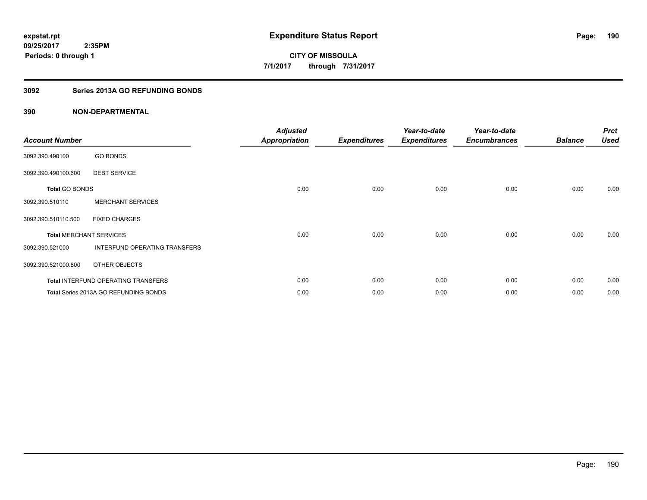## **3092 Series 2013A GO REFUNDING BONDS**

| <b>Account Number</b>          |                                       | <b>Adjusted</b><br><b>Appropriation</b> | <b>Expenditures</b> | Year-to-date<br><b>Expenditures</b> | Year-to-date<br><b>Encumbrances</b> | <b>Balance</b> | <b>Prct</b><br><b>Used</b> |
|--------------------------------|---------------------------------------|-----------------------------------------|---------------------|-------------------------------------|-------------------------------------|----------------|----------------------------|
| 3092.390.490100                | <b>GO BONDS</b>                       |                                         |                     |                                     |                                     |                |                            |
| 3092.390.490100.600            | <b>DEBT SERVICE</b>                   |                                         |                     |                                     |                                     |                |                            |
| <b>Total GO BONDS</b>          |                                       | 0.00                                    | 0.00                | 0.00                                | 0.00                                | 0.00           | 0.00                       |
| 3092.390.510110                | <b>MERCHANT SERVICES</b>              |                                         |                     |                                     |                                     |                |                            |
| 3092.390.510110.500            | <b>FIXED CHARGES</b>                  |                                         |                     |                                     |                                     |                |                            |
| <b>Total MERCHANT SERVICES</b> |                                       | 0.00                                    | 0.00                | 0.00                                | 0.00                                | 0.00           | 0.00                       |
| 3092.390.521000                | INTERFUND OPERATING TRANSFERS         |                                         |                     |                                     |                                     |                |                            |
| 3092.390.521000.800            | OTHER OBJECTS                         |                                         |                     |                                     |                                     |                |                            |
|                                | Total INTERFUND OPERATING TRANSFERS   | 0.00                                    | 0.00                | 0.00                                | 0.00                                | 0.00           | 0.00                       |
|                                | Total Series 2013A GO REFUNDING BONDS | 0.00                                    | 0.00                | 0.00                                | 0.00                                | 0.00           | 0.00                       |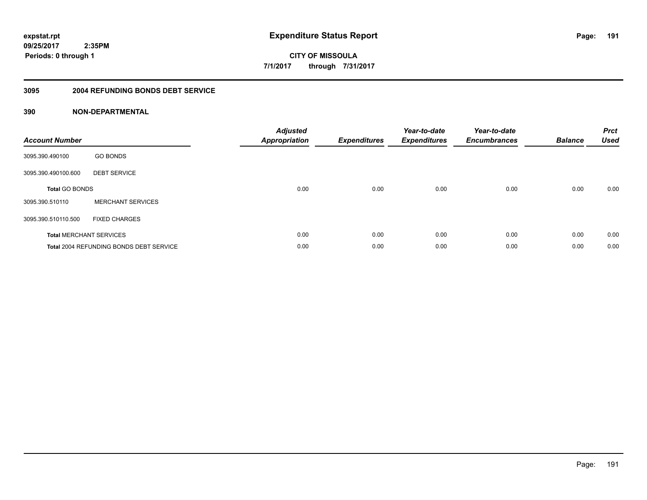**CITY OF MISSOULA 7/1/2017 through 7/31/2017**

#### **3095 2004 REFUNDING BONDS DEBT SERVICE**

| <b>Account Number</b>          |                                                | <b>Adjusted</b><br><b>Appropriation</b> | <b>Expenditures</b> | Year-to-date<br><b>Expenditures</b> | Year-to-date<br><b>Encumbrances</b> | <b>Balance</b> | <b>Prct</b><br><b>Used</b> |
|--------------------------------|------------------------------------------------|-----------------------------------------|---------------------|-------------------------------------|-------------------------------------|----------------|----------------------------|
| 3095.390.490100                | <b>GO BONDS</b>                                |                                         |                     |                                     |                                     |                |                            |
| 3095.390.490100.600            | <b>DEBT SERVICE</b>                            |                                         |                     |                                     |                                     |                |                            |
| <b>Total GO BONDS</b>          |                                                | 0.00                                    | 0.00                | 0.00                                | 0.00                                | 0.00           | 0.00                       |
| 3095.390.510110                | <b>MERCHANT SERVICES</b>                       |                                         |                     |                                     |                                     |                |                            |
| 3095.390.510110.500            | <b>FIXED CHARGES</b>                           |                                         |                     |                                     |                                     |                |                            |
| <b>Total MERCHANT SERVICES</b> |                                                | 0.00                                    | 0.00                | 0.00                                | 0.00                                | 0.00           | 0.00                       |
|                                | <b>Total 2004 REFUNDING BONDS DEBT SERVICE</b> | 0.00                                    | 0.00                | 0.00                                | 0.00                                | 0.00           | 0.00                       |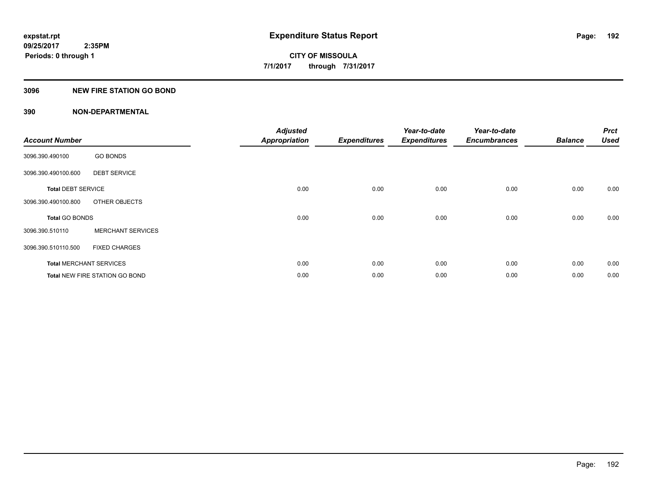#### **3096 NEW FIRE STATION GO BOND**

| <b>Account Number</b>          |                                       | <b>Adjusted</b><br><b>Appropriation</b> | <b>Expenditures</b> | Year-to-date<br><b>Expenditures</b> | Year-to-date<br><b>Encumbrances</b> | <b>Balance</b> | <b>Prct</b><br><b>Used</b> |
|--------------------------------|---------------------------------------|-----------------------------------------|---------------------|-------------------------------------|-------------------------------------|----------------|----------------------------|
| 3096.390.490100                | <b>GO BONDS</b>                       |                                         |                     |                                     |                                     |                |                            |
| 3096.390.490100.600            | <b>DEBT SERVICE</b>                   |                                         |                     |                                     |                                     |                |                            |
| <b>Total DEBT SERVICE</b>      |                                       | 0.00                                    | 0.00                | 0.00                                | 0.00                                | 0.00           | 0.00                       |
| 3096.390.490100.800            | OTHER OBJECTS                         |                                         |                     |                                     |                                     |                |                            |
| Total GO BONDS                 |                                       | 0.00                                    | 0.00                | 0.00                                | 0.00                                | 0.00           | 0.00                       |
| 3096.390.510110                | <b>MERCHANT SERVICES</b>              |                                         |                     |                                     |                                     |                |                            |
| 3096.390.510110.500            | <b>FIXED CHARGES</b>                  |                                         |                     |                                     |                                     |                |                            |
| <b>Total MERCHANT SERVICES</b> |                                       | 0.00                                    | 0.00                | 0.00                                | 0.00                                | 0.00           | 0.00                       |
|                                | <b>Total NEW FIRE STATION GO BOND</b> | 0.00                                    | 0.00                | 0.00                                | 0.00                                | 0.00           | 0.00                       |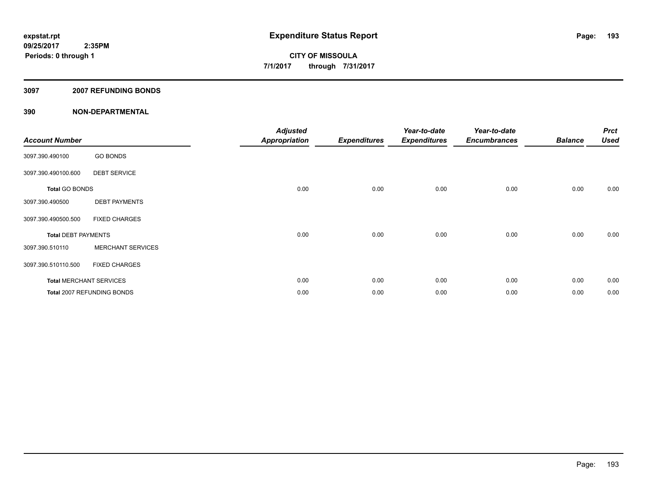#### **3097 2007 REFUNDING BONDS**

| <b>Account Number</b>      |                                | <b>Adjusted</b><br><b>Appropriation</b> | <b>Expenditures</b> | Year-to-date<br><b>Expenditures</b> | Year-to-date<br><b>Encumbrances</b> | <b>Balance</b> | <b>Prct</b><br><b>Used</b> |
|----------------------------|--------------------------------|-----------------------------------------|---------------------|-------------------------------------|-------------------------------------|----------------|----------------------------|
| 3097.390.490100            | <b>GO BONDS</b>                |                                         |                     |                                     |                                     |                |                            |
| 3097.390.490100.600        | <b>DEBT SERVICE</b>            |                                         |                     |                                     |                                     |                |                            |
| <b>Total GO BONDS</b>      |                                | 0.00                                    | 0.00                | 0.00                                | 0.00                                | 0.00           | 0.00                       |
| 3097.390.490500            | <b>DEBT PAYMENTS</b>           |                                         |                     |                                     |                                     |                |                            |
| 3097.390.490500.500        | <b>FIXED CHARGES</b>           |                                         |                     |                                     |                                     |                |                            |
| <b>Total DEBT PAYMENTS</b> |                                | 0.00                                    | 0.00                | 0.00                                | 0.00                                | 0.00           | 0.00                       |
| 3097.390.510110            | <b>MERCHANT SERVICES</b>       |                                         |                     |                                     |                                     |                |                            |
| 3097.390.510110.500        | <b>FIXED CHARGES</b>           |                                         |                     |                                     |                                     |                |                            |
|                            | <b>Total MERCHANT SERVICES</b> | 0.00                                    | 0.00                | 0.00                                | 0.00                                | 0.00           | 0.00                       |
|                            | Total 2007 REFUNDING BONDS     | 0.00                                    | 0.00                | 0.00                                | 0.00                                | 0.00           | 0.00                       |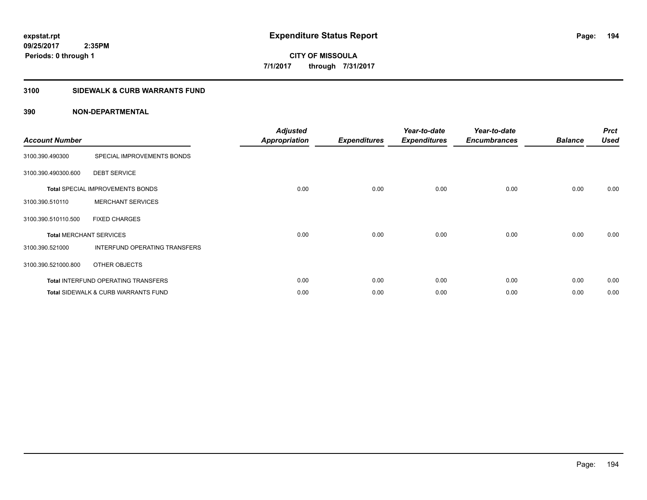## **3100 SIDEWALK & CURB WARRANTS FUND**

| <b>Account Number</b>          |                                            | <b>Adjusted</b><br><b>Appropriation</b> | <b>Expenditures</b> | Year-to-date<br><b>Expenditures</b> | Year-to-date<br><b>Encumbrances</b> | <b>Balance</b> | <b>Prct</b><br><b>Used</b> |
|--------------------------------|--------------------------------------------|-----------------------------------------|---------------------|-------------------------------------|-------------------------------------|----------------|----------------------------|
| 3100.390.490300                | SPECIAL IMPROVEMENTS BONDS                 |                                         |                     |                                     |                                     |                |                            |
| 3100.390.490300.600            | <b>DEBT SERVICE</b>                        |                                         |                     |                                     |                                     |                |                            |
|                                | <b>Total SPECIAL IMPROVEMENTS BONDS</b>    | 0.00                                    | 0.00                | 0.00                                | 0.00                                | 0.00           | 0.00                       |
| 3100.390.510110                | <b>MERCHANT SERVICES</b>                   |                                         |                     |                                     |                                     |                |                            |
| 3100.390.510110.500            | <b>FIXED CHARGES</b>                       |                                         |                     |                                     |                                     |                |                            |
| <b>Total MERCHANT SERVICES</b> |                                            | 0.00                                    | 0.00                | 0.00                                | 0.00                                | 0.00           | 0.00                       |
| 3100.390.521000                | INTERFUND OPERATING TRANSFERS              |                                         |                     |                                     |                                     |                |                            |
| 3100.390.521000.800            | OTHER OBJECTS                              |                                         |                     |                                     |                                     |                |                            |
|                                | <b>Total INTERFUND OPERATING TRANSFERS</b> | 0.00                                    | 0.00                | 0.00                                | 0.00                                | 0.00           | 0.00                       |
|                                | Total SIDEWALK & CURB WARRANTS FUND        | 0.00                                    | 0.00                | 0.00                                | 0.00                                | 0.00           | 0.00                       |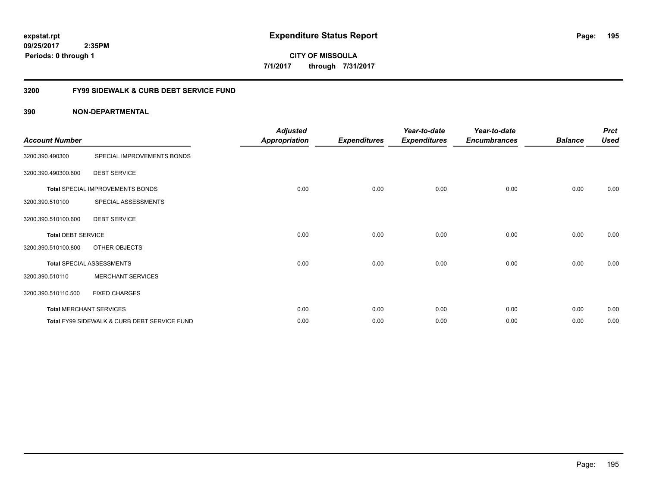**195**

**09/25/2017 2:35PM Periods: 0 through 1**

**CITY OF MISSOULA 7/1/2017 through 7/31/2017**

#### **3200 FY99 SIDEWALK & CURB DEBT SERVICE FUND**

| <b>Account Number</b>     |                                              | <b>Adjusted</b><br><b>Appropriation</b> | <b>Expenditures</b> | Year-to-date<br><b>Expenditures</b> | Year-to-date<br><b>Encumbrances</b> | <b>Balance</b> | <b>Prct</b><br><b>Used</b> |
|---------------------------|----------------------------------------------|-----------------------------------------|---------------------|-------------------------------------|-------------------------------------|----------------|----------------------------|
| 3200.390.490300           | SPECIAL IMPROVEMENTS BONDS                   |                                         |                     |                                     |                                     |                |                            |
| 3200.390.490300.600       | <b>DEBT SERVICE</b>                          |                                         |                     |                                     |                                     |                |                            |
|                           | Total SPECIAL IMPROVEMENTS BONDS             | 0.00                                    | 0.00                | 0.00                                | 0.00                                | 0.00           | 0.00                       |
| 3200.390.510100           | SPECIAL ASSESSMENTS                          |                                         |                     |                                     |                                     |                |                            |
| 3200.390.510100.600       | <b>DEBT SERVICE</b>                          |                                         |                     |                                     |                                     |                |                            |
| <b>Total DEBT SERVICE</b> |                                              | 0.00                                    | 0.00                | 0.00                                | 0.00                                | 0.00           | 0.00                       |
| 3200.390.510100.800       | OTHER OBJECTS                                |                                         |                     |                                     |                                     |                |                            |
|                           | <b>Total SPECIAL ASSESSMENTS</b>             | 0.00                                    | 0.00                | 0.00                                | 0.00                                | 0.00           | 0.00                       |
| 3200.390.510110           | <b>MERCHANT SERVICES</b>                     |                                         |                     |                                     |                                     |                |                            |
| 3200.390.510110.500       | <b>FIXED CHARGES</b>                         |                                         |                     |                                     |                                     |                |                            |
|                           | <b>Total MERCHANT SERVICES</b>               | 0.00                                    | 0.00                | 0.00                                | 0.00                                | 0.00           | 0.00                       |
|                           | Total FY99 SIDEWALK & CURB DEBT SERVICE FUND | 0.00                                    | 0.00                | 0.00                                | 0.00                                | 0.00           | 0.00                       |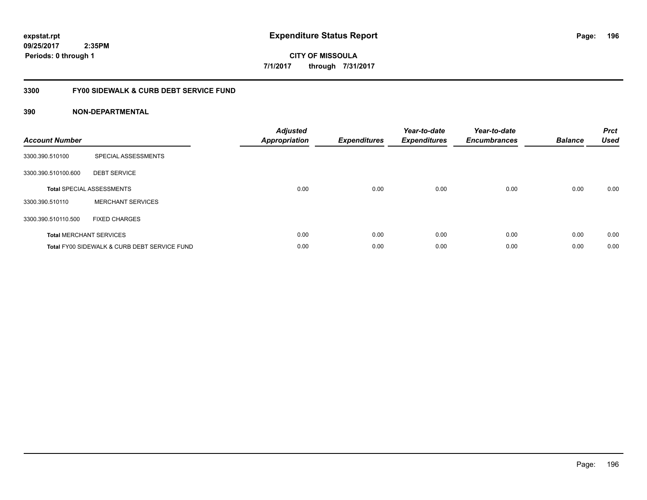**196**

**09/25/2017 2:35PM Periods: 0 through 1**

**CITY OF MISSOULA 7/1/2017 through 7/31/2017**

#### **3300 FY00 SIDEWALK & CURB DEBT SERVICE FUND**

| <b>Account Number</b> |                                              | <b>Adjusted</b><br>Appropriation | <b>Expenditures</b> | Year-to-date<br><b>Expenditures</b> | Year-to-date<br><b>Encumbrances</b> | <b>Balance</b> | <b>Prct</b><br><b>Used</b> |
|-----------------------|----------------------------------------------|----------------------------------|---------------------|-------------------------------------|-------------------------------------|----------------|----------------------------|
| 3300.390.510100       | SPECIAL ASSESSMENTS                          |                                  |                     |                                     |                                     |                |                            |
| 3300.390.510100.600   | <b>DEBT SERVICE</b>                          |                                  |                     |                                     |                                     |                |                            |
|                       | <b>Total SPECIAL ASSESSMENTS</b>             | 0.00                             | 0.00                | 0.00                                | 0.00                                | 0.00           | 0.00                       |
| 3300.390.510110       | <b>MERCHANT SERVICES</b>                     |                                  |                     |                                     |                                     |                |                            |
| 3300.390.510110.500   | <b>FIXED CHARGES</b>                         |                                  |                     |                                     |                                     |                |                            |
|                       | <b>Total MERCHANT SERVICES</b>               | 0.00                             | 0.00                | 0.00                                | 0.00                                | 0.00           | 0.00                       |
|                       | Total FY00 SIDEWALK & CURB DEBT SERVICE FUND | 0.00                             | 0.00                | 0.00                                | 0.00                                | 0.00           | 0.00                       |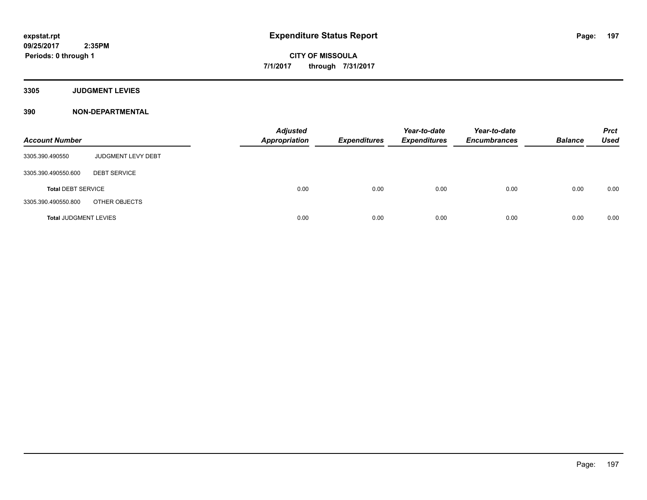**3305 JUDGMENT LEVIES**

| <b>Account Number</b>        |                     | <b>Adjusted</b><br><b>Appropriation</b> | <b>Expenditures</b> | Year-to-date<br><b>Expenditures</b> | Year-to-date<br><b>Encumbrances</b> | <b>Balance</b> | <b>Prct</b><br>Used |
|------------------------------|---------------------|-----------------------------------------|---------------------|-------------------------------------|-------------------------------------|----------------|---------------------|
| 3305.390.490550              | JUDGMENT LEVY DEBT  |                                         |                     |                                     |                                     |                |                     |
| 3305.390.490550.600          | <b>DEBT SERVICE</b> |                                         |                     |                                     |                                     |                |                     |
| <b>Total DEBT SERVICE</b>    |                     | 0.00                                    | 0.00                | 0.00                                | 0.00                                | 0.00           | 0.00                |
| 3305.390.490550.800          | OTHER OBJECTS       |                                         |                     |                                     |                                     |                |                     |
| <b>Total JUDGMENT LEVIES</b> |                     | 0.00                                    | 0.00                | 0.00                                | 0.00                                | 0.00           | 0.00                |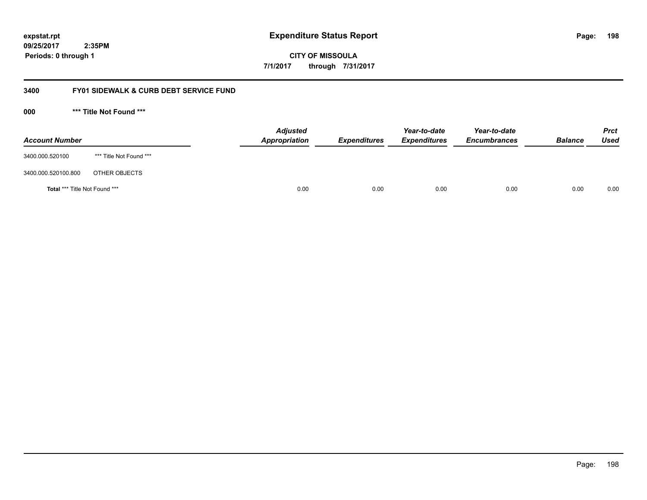**CITY OF MISSOULA 7/1/2017 through 7/31/2017**

#### **3400 FY01 SIDEWALK & CURB DEBT SERVICE FUND**

**000 \*\*\* Title Not Found \*\*\***

| <b>Account Number</b>                |                         | <b>Adjusted</b><br>Appropriation | <b>Expenditures</b> | Year-to-date<br><b>Expenditures</b> | Year-to-date<br><b>Encumbrances</b> | <b>Balance</b> | <b>Prct</b><br><b>Used</b> |
|--------------------------------------|-------------------------|----------------------------------|---------------------|-------------------------------------|-------------------------------------|----------------|----------------------------|
| 3400.000.520100                      | *** Title Not Found *** |                                  |                     |                                     |                                     |                |                            |
| 3400.000.520100.800                  | OTHER OBJECTS           |                                  |                     |                                     |                                     |                |                            |
| <b>Total *** Title Not Found ***</b> |                         |                                  | 0.00<br>0.00        | 0.00                                | 0.00                                | 0.00           | 0.00                       |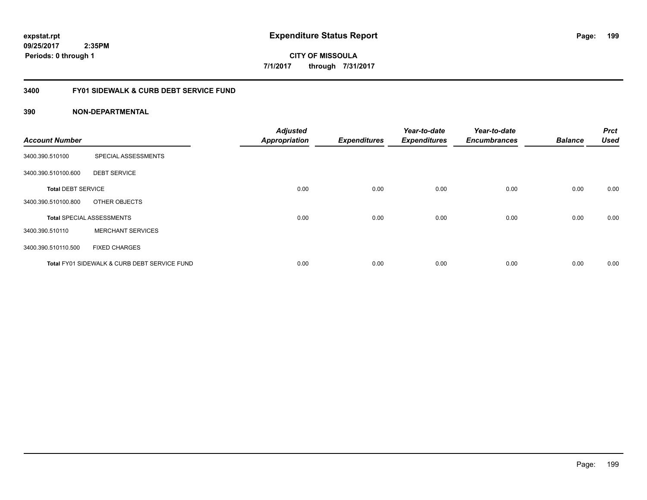Page: 199

**CITY OF MISSOULA 7/1/2017 through 7/31/2017**

#### **3400 FY01 SIDEWALK & CURB DEBT SERVICE FUND**

| <b>Account Number</b>     |                                              | <b>Adjusted</b><br><b>Appropriation</b> | <b>Expenditures</b> | Year-to-date<br><b>Expenditures</b> | Year-to-date<br><b>Encumbrances</b> | <b>Balance</b> | <b>Prct</b><br><b>Used</b> |
|---------------------------|----------------------------------------------|-----------------------------------------|---------------------|-------------------------------------|-------------------------------------|----------------|----------------------------|
|                           |                                              |                                         |                     |                                     |                                     |                |                            |
| 3400.390.510100           | SPECIAL ASSESSMENTS                          |                                         |                     |                                     |                                     |                |                            |
| 3400.390.510100.600       | <b>DEBT SERVICE</b>                          |                                         |                     |                                     |                                     |                |                            |
| <b>Total DEBT SERVICE</b> |                                              | 0.00                                    | 0.00                | 0.00                                | 0.00                                | 0.00           | 0.00                       |
| 3400.390.510100.800       | OTHER OBJECTS                                |                                         |                     |                                     |                                     |                |                            |
|                           | <b>Total SPECIAL ASSESSMENTS</b>             | 0.00                                    | 0.00                | 0.00                                | 0.00                                | 0.00           | 0.00                       |
| 3400.390.510110           | <b>MERCHANT SERVICES</b>                     |                                         |                     |                                     |                                     |                |                            |
| 3400.390.510110.500       | <b>FIXED CHARGES</b>                         |                                         |                     |                                     |                                     |                |                            |
|                           | Total FY01 SIDEWALK & CURB DEBT SERVICE FUND | 0.00                                    | 0.00                | 0.00                                | 0.00                                | 0.00           | 0.00                       |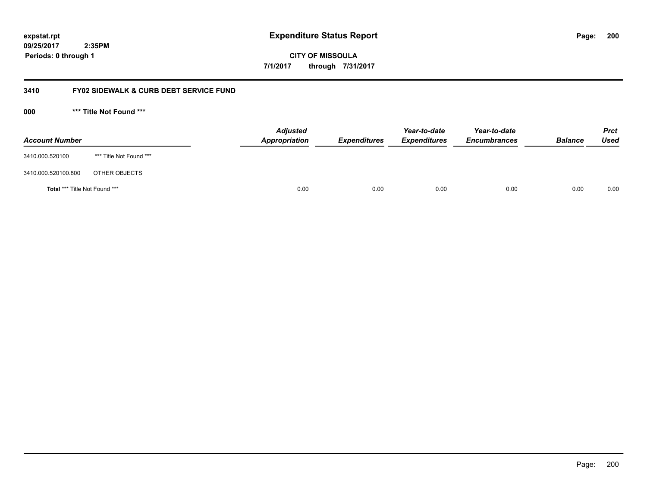**CITY OF MISSOULA 7/1/2017 through 7/31/2017**

#### **3410 FY02 SIDEWALK & CURB DEBT SERVICE FUND**

**000 \*\*\* Title Not Found \*\*\***

| <b>Account Number</b>                |                         | <b>Adjusted</b><br>Appropriation | <b>Expenditures</b> | Year-to-date<br><b>Expenditures</b> | Year-to-date<br><b>Encumbrances</b> | <b>Balance</b> | Prct<br><b>Used</b> |
|--------------------------------------|-------------------------|----------------------------------|---------------------|-------------------------------------|-------------------------------------|----------------|---------------------|
| 3410.000.520100                      | *** Title Not Found *** |                                  |                     |                                     |                                     |                |                     |
| 3410.000.520100.800                  | OTHER OBJECTS           |                                  |                     |                                     |                                     |                |                     |
| <b>Total *** Title Not Found ***</b> |                         | 0.00                             | 0.00                | 0.00                                | 0.00                                | 0.00           | 0.00                |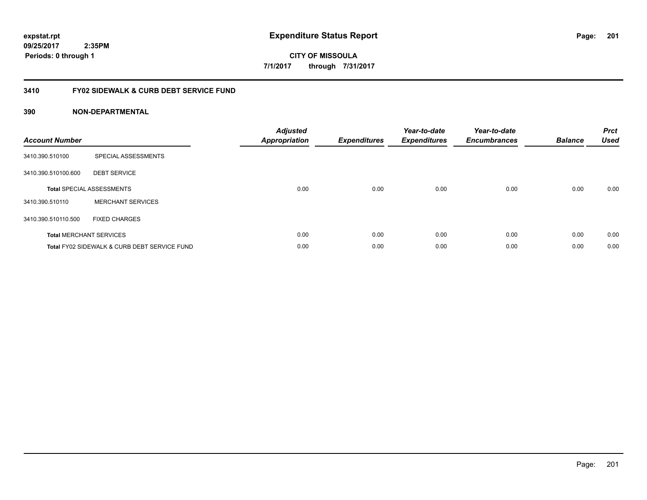**201**

**CITY OF MISSOULA 7/1/2017 through 7/31/2017**

#### **3410 FY02 SIDEWALK & CURB DEBT SERVICE FUND**

| <b>Account Number</b> |                                              | <b>Adjusted</b><br><b>Appropriation</b> | <b>Expenditures</b> | Year-to-date<br><b>Expenditures</b> | Year-to-date<br><b>Encumbrances</b> | <b>Balance</b> | <b>Prct</b><br><b>Used</b> |
|-----------------------|----------------------------------------------|-----------------------------------------|---------------------|-------------------------------------|-------------------------------------|----------------|----------------------------|
| 3410.390.510100       | SPECIAL ASSESSMENTS                          |                                         |                     |                                     |                                     |                |                            |
| 3410.390.510100.600   | <b>DEBT SERVICE</b>                          |                                         |                     |                                     |                                     |                |                            |
|                       | <b>Total SPECIAL ASSESSMENTS</b>             | 0.00                                    | 0.00                | 0.00                                | 0.00                                | 0.00           | 0.00                       |
| 3410.390.510110       | <b>MERCHANT SERVICES</b>                     |                                         |                     |                                     |                                     |                |                            |
| 3410.390.510110.500   | <b>FIXED CHARGES</b>                         |                                         |                     |                                     |                                     |                |                            |
|                       | <b>Total MERCHANT SERVICES</b>               | 0.00                                    | 0.00                | 0.00                                | 0.00                                | 0.00           | 0.00                       |
|                       | Total FY02 SIDEWALK & CURB DEBT SERVICE FUND | 0.00                                    | 0.00                | 0.00                                | 0.00                                | 0.00           | 0.00                       |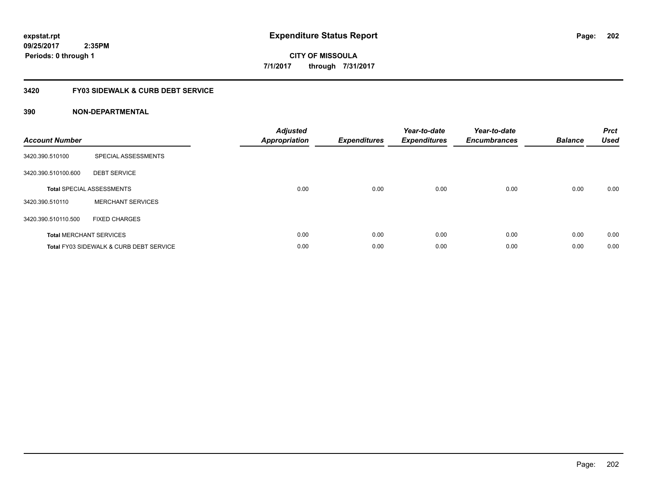**202**

**CITY OF MISSOULA 7/1/2017 through 7/31/2017**

#### **3420 FY03 SIDEWALK & CURB DEBT SERVICE**

| <b>Account Number</b> |                                                    | <b>Adjusted</b><br>Appropriation | <b>Expenditures</b> | Year-to-date<br><b>Expenditures</b> | Year-to-date<br><b>Encumbrances</b> | <b>Balance</b> | <b>Prct</b><br><b>Used</b> |
|-----------------------|----------------------------------------------------|----------------------------------|---------------------|-------------------------------------|-------------------------------------|----------------|----------------------------|
| 3420.390.510100       | SPECIAL ASSESSMENTS                                |                                  |                     |                                     |                                     |                |                            |
| 3420.390.510100.600   | <b>DEBT SERVICE</b>                                |                                  |                     |                                     |                                     |                |                            |
|                       | <b>Total SPECIAL ASSESSMENTS</b>                   | 0.00                             | 0.00                | 0.00                                | 0.00                                | 0.00           | 0.00                       |
| 3420.390.510110       | <b>MERCHANT SERVICES</b>                           |                                  |                     |                                     |                                     |                |                            |
| 3420.390.510110.500   | <b>FIXED CHARGES</b>                               |                                  |                     |                                     |                                     |                |                            |
|                       | <b>Total MERCHANT SERVICES</b>                     | 0.00                             | 0.00                | 0.00                                | 0.00                                | 0.00           | 0.00                       |
|                       | <b>Total FY03 SIDEWALK &amp; CURB DEBT SERVICE</b> | 0.00                             | 0.00                | 0.00                                | 0.00                                | 0.00           | 0.00                       |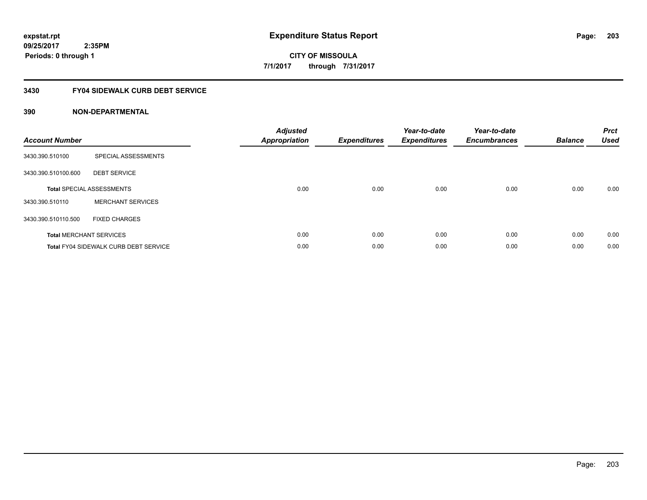# **CITY OF MISSOULA 7/1/2017 through 7/31/2017**

# **3430 FY04 SIDEWALK CURB DEBT SERVICE**

| <b>Account Number</b> |                                              | <b>Adjusted</b><br>Appropriation | <b>Expenditures</b> | Year-to-date<br><b>Expenditures</b> | Year-to-date<br><b>Encumbrances</b> | <b>Balance</b> | <b>Prct</b><br><b>Used</b> |
|-----------------------|----------------------------------------------|----------------------------------|---------------------|-------------------------------------|-------------------------------------|----------------|----------------------------|
| 3430.390.510100       | SPECIAL ASSESSMENTS                          |                                  |                     |                                     |                                     |                |                            |
| 3430.390.510100.600   | <b>DEBT SERVICE</b>                          |                                  |                     |                                     |                                     |                |                            |
|                       | <b>Total SPECIAL ASSESSMENTS</b>             | 0.00                             | 0.00                | 0.00                                | 0.00                                | 0.00           | 0.00                       |
| 3430.390.510110       | <b>MERCHANT SERVICES</b>                     |                                  |                     |                                     |                                     |                |                            |
| 3430.390.510110.500   | <b>FIXED CHARGES</b>                         |                                  |                     |                                     |                                     |                |                            |
|                       | <b>Total MERCHANT SERVICES</b>               | 0.00                             | 0.00                | 0.00                                | 0.00                                | 0.00           | 0.00                       |
|                       | <b>Total FY04 SIDEWALK CURB DEBT SERVICE</b> | 0.00                             | 0.00                | 0.00                                | 0.00                                | 0.00           | 0.00                       |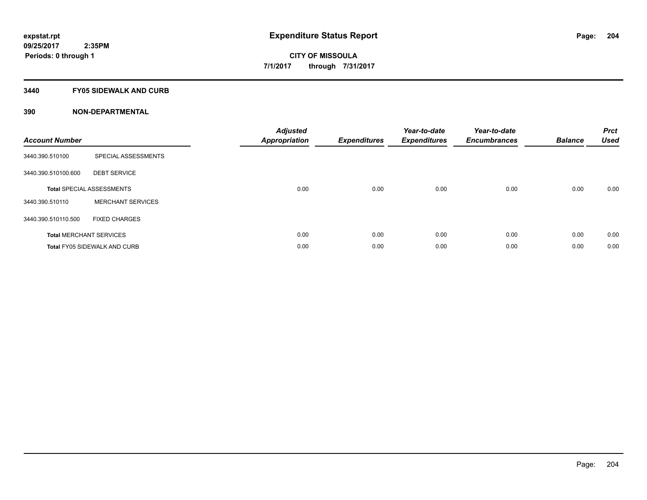#### **3440 FY05 SIDEWALK AND CURB**

| <b>Account Number</b> |                                     | <b>Adjusted</b><br>Appropriation | <b>Expenditures</b> | Year-to-date<br><b>Expenditures</b> | Year-to-date<br><b>Encumbrances</b> | <b>Balance</b> | <b>Prct</b><br><b>Used</b> |
|-----------------------|-------------------------------------|----------------------------------|---------------------|-------------------------------------|-------------------------------------|----------------|----------------------------|
| 3440.390.510100       | SPECIAL ASSESSMENTS                 |                                  |                     |                                     |                                     |                |                            |
| 3440.390.510100.600   | <b>DEBT SERVICE</b>                 |                                  |                     |                                     |                                     |                |                            |
|                       | <b>Total SPECIAL ASSESSMENTS</b>    | 0.00                             | 0.00                | 0.00                                | 0.00                                | 0.00           | 0.00                       |
| 3440.390.510110       | <b>MERCHANT SERVICES</b>            |                                  |                     |                                     |                                     |                |                            |
| 3440.390.510110.500   | <b>FIXED CHARGES</b>                |                                  |                     |                                     |                                     |                |                            |
|                       | <b>Total MERCHANT SERVICES</b>      | 0.00                             | 0.00                | 0.00                                | 0.00                                | 0.00           | 0.00                       |
|                       | <b>Total FY05 SIDEWALK AND CURB</b> | 0.00                             | 0.00                | 0.00                                | 0.00                                | 0.00           | 0.00                       |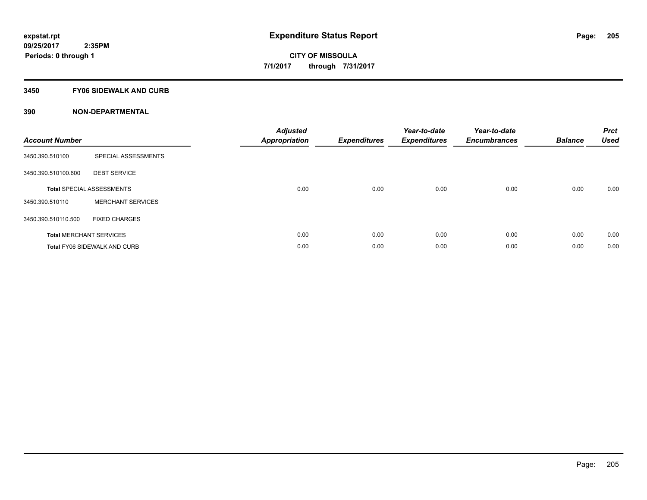#### **3450 FY06 SIDEWALK AND CURB**

| <b>Account Number</b> |                                     | <b>Adjusted</b><br>Appropriation | <b>Expenditures</b> | Year-to-date<br><b>Expenditures</b> | Year-to-date<br><b>Encumbrances</b> | <b>Balance</b> | <b>Prct</b><br><b>Used</b> |
|-----------------------|-------------------------------------|----------------------------------|---------------------|-------------------------------------|-------------------------------------|----------------|----------------------------|
| 3450.390.510100       | SPECIAL ASSESSMENTS                 |                                  |                     |                                     |                                     |                |                            |
| 3450.390.510100.600   | <b>DEBT SERVICE</b>                 |                                  |                     |                                     |                                     |                |                            |
|                       | <b>Total SPECIAL ASSESSMENTS</b>    | 0.00                             | 0.00                | 0.00                                | 0.00                                | 0.00           | 0.00                       |
| 3450.390.510110       | <b>MERCHANT SERVICES</b>            |                                  |                     |                                     |                                     |                |                            |
| 3450.390.510110.500   | <b>FIXED CHARGES</b>                |                                  |                     |                                     |                                     |                |                            |
|                       | <b>Total MERCHANT SERVICES</b>      | 0.00                             | 0.00                | 0.00                                | 0.00                                | 0.00           | 0.00                       |
|                       | <b>Total FY06 SIDEWALK AND CURB</b> | 0.00                             | 0.00                | 0.00                                | 0.00                                | 0.00           | 0.00                       |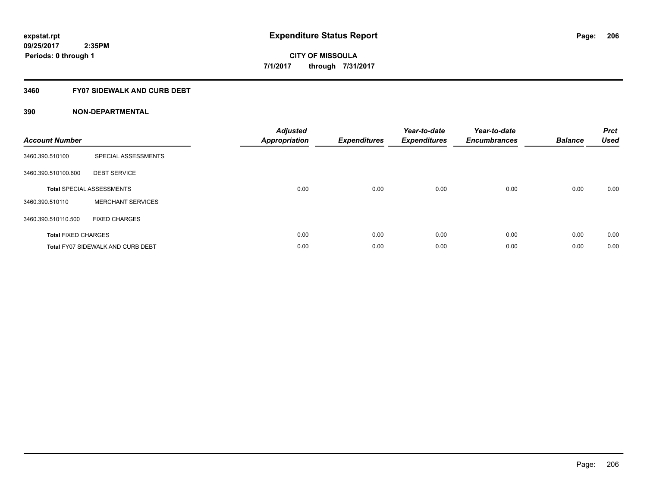#### **3460 FY07 SIDEWALK AND CURB DEBT**

| <b>Account Number</b>      |                                          | <b>Adjusted</b><br>Appropriation | <b>Expenditures</b> | Year-to-date<br><b>Expenditures</b> | Year-to-date<br><b>Encumbrances</b> | <b>Balance</b> | <b>Prct</b><br><b>Used</b> |
|----------------------------|------------------------------------------|----------------------------------|---------------------|-------------------------------------|-------------------------------------|----------------|----------------------------|
| 3460.390.510100            | SPECIAL ASSESSMENTS                      |                                  |                     |                                     |                                     |                |                            |
| 3460.390.510100.600        | <b>DEBT SERVICE</b>                      |                                  |                     |                                     |                                     |                |                            |
|                            | <b>Total SPECIAL ASSESSMENTS</b>         | 0.00                             | 0.00                | 0.00                                | 0.00                                | 0.00           | 0.00                       |
| 3460.390.510110            | <b>MERCHANT SERVICES</b>                 |                                  |                     |                                     |                                     |                |                            |
| 3460.390.510110.500        | <b>FIXED CHARGES</b>                     |                                  |                     |                                     |                                     |                |                            |
| <b>Total FIXED CHARGES</b> |                                          | 0.00                             | 0.00                | 0.00                                | 0.00                                | 0.00           | 0.00                       |
|                            | <b>Total FY07 SIDEWALK AND CURB DEBT</b> | 0.00                             | 0.00                | 0.00                                | 0.00                                | 0.00           | 0.00                       |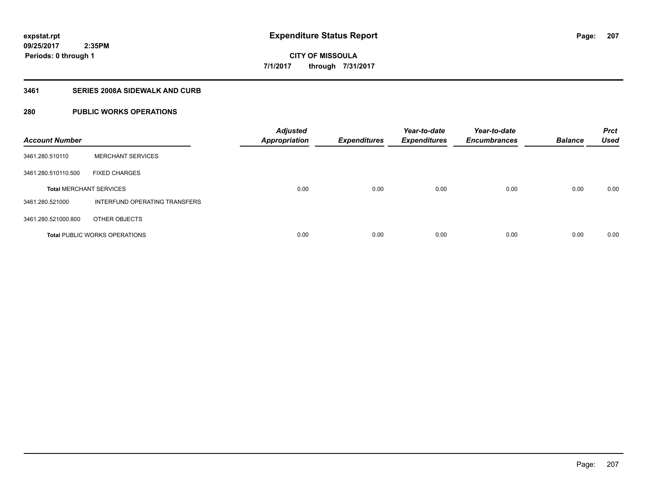# **CITY OF MISSOULA 7/1/2017 through 7/31/2017**

## **3461 SERIES 2008A SIDEWALK AND CURB**

## **280 PUBLIC WORKS OPERATIONS**

| <b>Account Number</b>          |                                      | <b>Adjusted</b><br><b>Appropriation</b> | <b>Expenditures</b> | Year-to-date<br><b>Expenditures</b> | Year-to-date<br><b>Encumbrances</b> | <b>Balance</b> | <b>Prct</b><br><b>Used</b> |
|--------------------------------|--------------------------------------|-----------------------------------------|---------------------|-------------------------------------|-------------------------------------|----------------|----------------------------|
| 3461.280.510110                | <b>MERCHANT SERVICES</b>             |                                         |                     |                                     |                                     |                |                            |
| 3461.280.510110.500            | <b>FIXED CHARGES</b>                 |                                         |                     |                                     |                                     |                |                            |
| <b>Total MERCHANT SERVICES</b> |                                      | 0.00                                    | 0.00                | 0.00                                | 0.00                                | 0.00           | 0.00                       |
| 3461.280.521000                | INTERFUND OPERATING TRANSFERS        |                                         |                     |                                     |                                     |                |                            |
| 3461.280.521000.800            | OTHER OBJECTS                        |                                         |                     |                                     |                                     |                |                            |
|                                | <b>Total PUBLIC WORKS OPERATIONS</b> | 0.00                                    | 0.00                | 0.00                                | 0.00                                | 0.00           | 0.00                       |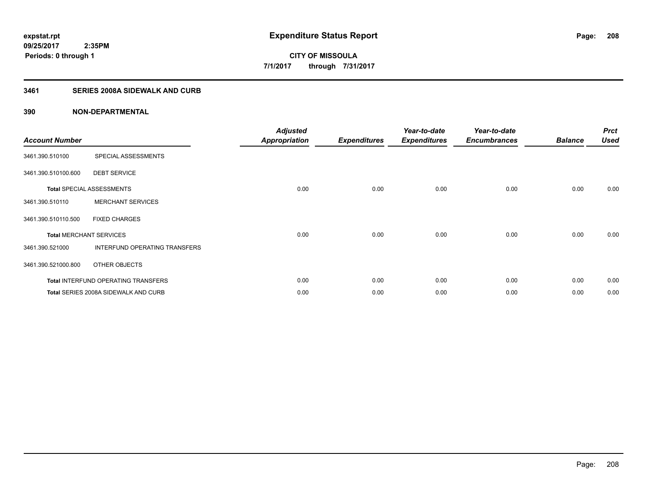## **3461 SERIES 2008A SIDEWALK AND CURB**

| <b>Account Number</b>          |                                            | <b>Adjusted</b><br><b>Appropriation</b> | <b>Expenditures</b> | Year-to-date<br><b>Expenditures</b> | Year-to-date<br><b>Encumbrances</b> | <b>Balance</b> | <b>Prct</b><br><b>Used</b> |
|--------------------------------|--------------------------------------------|-----------------------------------------|---------------------|-------------------------------------|-------------------------------------|----------------|----------------------------|
| 3461.390.510100                | SPECIAL ASSESSMENTS                        |                                         |                     |                                     |                                     |                |                            |
| 3461.390.510100.600            | <b>DEBT SERVICE</b>                        |                                         |                     |                                     |                                     |                |                            |
|                                | <b>Total SPECIAL ASSESSMENTS</b>           | 0.00                                    | 0.00                | 0.00                                | 0.00                                | 0.00           | 0.00                       |
| 3461.390.510110                | <b>MERCHANT SERVICES</b>                   |                                         |                     |                                     |                                     |                |                            |
| 3461.390.510110.500            | <b>FIXED CHARGES</b>                       |                                         |                     |                                     |                                     |                |                            |
| <b>Total MERCHANT SERVICES</b> |                                            | 0.00                                    | 0.00                | 0.00                                | 0.00                                | 0.00           | 0.00                       |
| 3461.390.521000                | INTERFUND OPERATING TRANSFERS              |                                         |                     |                                     |                                     |                |                            |
| 3461.390.521000.800            | OTHER OBJECTS                              |                                         |                     |                                     |                                     |                |                            |
|                                | <b>Total INTERFUND OPERATING TRANSFERS</b> | 0.00                                    | 0.00                | 0.00                                | 0.00                                | 0.00           | 0.00                       |
|                                | Total SERIES 2008A SIDEWALK AND CURB       | 0.00                                    | 0.00                | 0.00                                | 0.00                                | 0.00           | 0.00                       |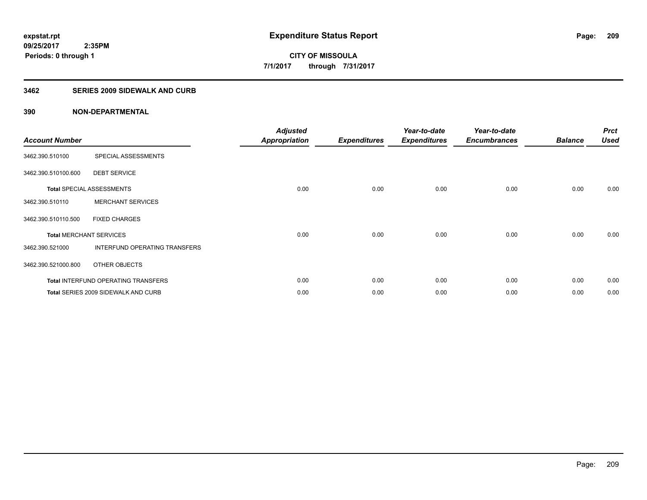#### **3462 SERIES 2009 SIDEWALK AND CURB**

| <b>Account Number</b>          |                                     | <b>Adjusted</b><br><b>Appropriation</b> | <b>Expenditures</b> | Year-to-date<br><b>Expenditures</b> | Year-to-date<br><b>Encumbrances</b> | <b>Balance</b> | <b>Prct</b><br><b>Used</b> |
|--------------------------------|-------------------------------------|-----------------------------------------|---------------------|-------------------------------------|-------------------------------------|----------------|----------------------------|
| 3462.390.510100                | SPECIAL ASSESSMENTS                 |                                         |                     |                                     |                                     |                |                            |
| 3462.390.510100.600            | <b>DEBT SERVICE</b>                 |                                         |                     |                                     |                                     |                |                            |
|                                | <b>Total SPECIAL ASSESSMENTS</b>    | 0.00                                    | 0.00                | 0.00                                | 0.00                                | 0.00           | 0.00                       |
| 3462.390.510110                | <b>MERCHANT SERVICES</b>            |                                         |                     |                                     |                                     |                |                            |
| 3462.390.510110.500            | <b>FIXED CHARGES</b>                |                                         |                     |                                     |                                     |                |                            |
| <b>Total MERCHANT SERVICES</b> |                                     | 0.00                                    | 0.00                | 0.00                                | 0.00                                | 0.00           | 0.00                       |
| 3462.390.521000                | INTERFUND OPERATING TRANSFERS       |                                         |                     |                                     |                                     |                |                            |
| 3462.390.521000.800            | OTHER OBJECTS                       |                                         |                     |                                     |                                     |                |                            |
|                                | Total INTERFUND OPERATING TRANSFERS | 0.00                                    | 0.00                | 0.00                                | 0.00                                | 0.00           | 0.00                       |
|                                | Total SERIES 2009 SIDEWALK AND CURB | 0.00                                    | 0.00                | 0.00                                | 0.00                                | 0.00           | 0.00                       |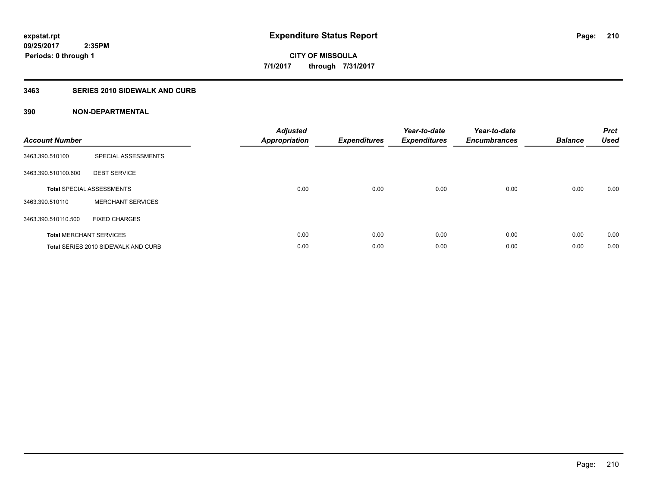#### **3463 SERIES 2010 SIDEWALK AND CURB**

| <b>Account Number</b> |                                     | <b>Adjusted</b><br><b>Appropriation</b> | <b>Expenditures</b> | Year-to-date<br><b>Expenditures</b> | Year-to-date<br><b>Encumbrances</b> | <b>Balance</b> | <b>Prct</b><br><b>Used</b> |
|-----------------------|-------------------------------------|-----------------------------------------|---------------------|-------------------------------------|-------------------------------------|----------------|----------------------------|
| 3463.390.510100       | SPECIAL ASSESSMENTS                 |                                         |                     |                                     |                                     |                |                            |
| 3463.390.510100.600   | <b>DEBT SERVICE</b>                 |                                         |                     |                                     |                                     |                |                            |
|                       | <b>Total SPECIAL ASSESSMENTS</b>    | 0.00                                    | 0.00                | 0.00                                | 0.00                                | 0.00           | 0.00                       |
| 3463.390.510110       | <b>MERCHANT SERVICES</b>            |                                         |                     |                                     |                                     |                |                            |
| 3463.390.510110.500   | <b>FIXED CHARGES</b>                |                                         |                     |                                     |                                     |                |                            |
|                       | <b>Total MERCHANT SERVICES</b>      | 0.00                                    | 0.00                | 0.00                                | 0.00                                | 0.00           | 0.00                       |
|                       | Total SERIES 2010 SIDEWALK AND CURB | 0.00                                    | 0.00                | 0.00                                | 0.00                                | 0.00           | 0.00                       |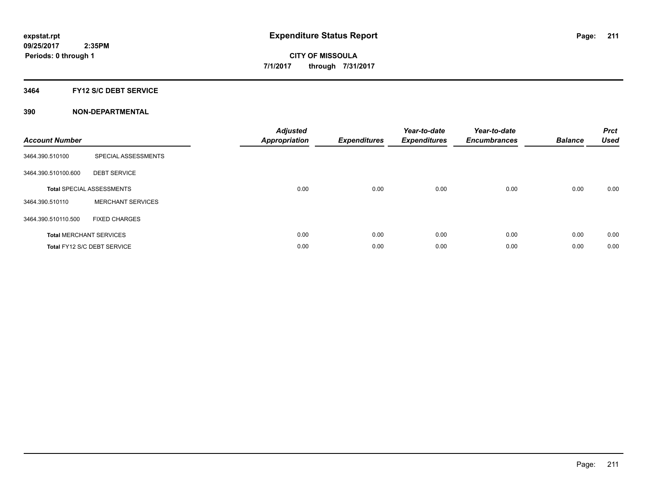#### **3464 FY12 S/C DEBT SERVICE**

| <b>Account Number</b> |                                  | <b>Adjusted</b><br><b>Appropriation</b> | <b>Expenditures</b> | Year-to-date<br><b>Expenditures</b> | Year-to-date<br><b>Encumbrances</b> | <b>Balance</b> | <b>Prct</b><br><b>Used</b> |
|-----------------------|----------------------------------|-----------------------------------------|---------------------|-------------------------------------|-------------------------------------|----------------|----------------------------|
| 3464.390.510100       | SPECIAL ASSESSMENTS              |                                         |                     |                                     |                                     |                |                            |
| 3464.390.510100.600   | <b>DEBT SERVICE</b>              |                                         |                     |                                     |                                     |                |                            |
|                       | <b>Total SPECIAL ASSESSMENTS</b> | 0.00                                    | 0.00                | 0.00                                | 0.00                                | 0.00           | 0.00                       |
| 3464.390.510110       | <b>MERCHANT SERVICES</b>         |                                         |                     |                                     |                                     |                |                            |
| 3464.390.510110.500   | <b>FIXED CHARGES</b>             |                                         |                     |                                     |                                     |                |                            |
|                       | <b>Total MERCHANT SERVICES</b>   | 0.00                                    | 0.00                | 0.00                                | 0.00                                | 0.00           | 0.00                       |
|                       | Total FY12 S/C DEBT SERVICE      | 0.00                                    | 0.00                | 0.00                                | 0.00                                | 0.00           | 0.00                       |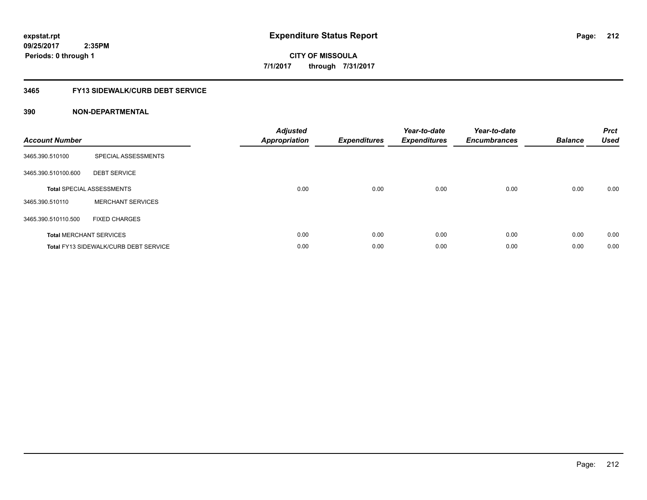**CITY OF MISSOULA 7/1/2017 through 7/31/2017**

# **3465 FY13 SIDEWALK/CURB DEBT SERVICE**

| <b>Account Number</b> |                                              | <b>Adjusted</b><br>Appropriation | <b>Expenditures</b> | Year-to-date<br><b>Expenditures</b> | Year-to-date<br><b>Encumbrances</b> | <b>Balance</b> | <b>Prct</b><br><b>Used</b> |
|-----------------------|----------------------------------------------|----------------------------------|---------------------|-------------------------------------|-------------------------------------|----------------|----------------------------|
| 3465.390.510100       | SPECIAL ASSESSMENTS                          |                                  |                     |                                     |                                     |                |                            |
| 3465.390.510100.600   | <b>DEBT SERVICE</b>                          |                                  |                     |                                     |                                     |                |                            |
|                       | <b>Total SPECIAL ASSESSMENTS</b>             | 0.00                             | 0.00                | 0.00                                | 0.00                                | 0.00           | 0.00                       |
| 3465.390.510110       | <b>MERCHANT SERVICES</b>                     |                                  |                     |                                     |                                     |                |                            |
| 3465.390.510110.500   | <b>FIXED CHARGES</b>                         |                                  |                     |                                     |                                     |                |                            |
|                       | <b>Total MERCHANT SERVICES</b>               | 0.00                             | 0.00                | 0.00                                | 0.00                                | 0.00           | 0.00                       |
|                       | <b>Total FY13 SIDEWALK/CURB DEBT SERVICE</b> | 0.00                             | 0.00                | 0.00                                | 0.00                                | 0.00           | 0.00                       |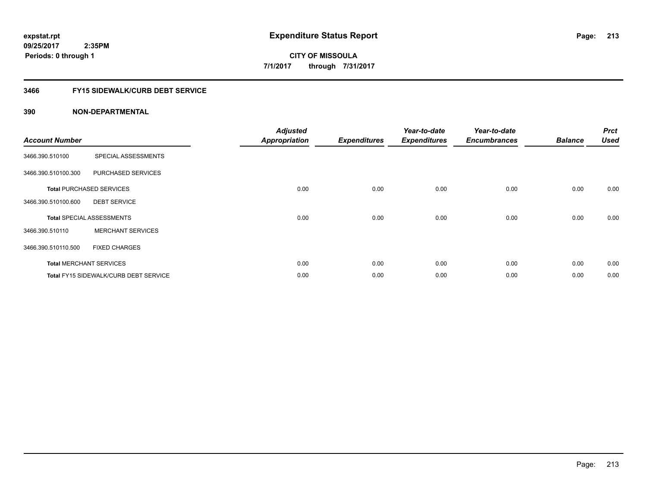## **3466 FY15 SIDEWALK/CURB DEBT SERVICE**

| <b>Account Number</b> |                                              | <b>Adjusted</b><br><b>Appropriation</b> | <b>Expenditures</b> | Year-to-date<br><b>Expenditures</b> | Year-to-date<br><b>Encumbrances</b> | <b>Balance</b> | <b>Prct</b><br><b>Used</b> |
|-----------------------|----------------------------------------------|-----------------------------------------|---------------------|-------------------------------------|-------------------------------------|----------------|----------------------------|
| 3466.390.510100       | SPECIAL ASSESSMENTS                          |                                         |                     |                                     |                                     |                |                            |
| 3466.390.510100.300   | PURCHASED SERVICES                           |                                         |                     |                                     |                                     |                |                            |
|                       | <b>Total PURCHASED SERVICES</b>              | 0.00                                    | 0.00                | 0.00                                | 0.00                                | 0.00           | 0.00                       |
| 3466.390.510100.600   | <b>DEBT SERVICE</b>                          |                                         |                     |                                     |                                     |                |                            |
|                       | <b>Total SPECIAL ASSESSMENTS</b>             | 0.00                                    | 0.00                | 0.00                                | 0.00                                | 0.00           | 0.00                       |
| 3466.390.510110       | <b>MERCHANT SERVICES</b>                     |                                         |                     |                                     |                                     |                |                            |
| 3466.390.510110.500   | <b>FIXED CHARGES</b>                         |                                         |                     |                                     |                                     |                |                            |
|                       | <b>Total MERCHANT SERVICES</b>               | 0.00                                    | 0.00                | 0.00                                | 0.00                                | 0.00           | 0.00                       |
|                       | <b>Total FY15 SIDEWALK/CURB DEBT SERVICE</b> | 0.00                                    | 0.00                | 0.00                                | 0.00                                | 0.00           | 0.00                       |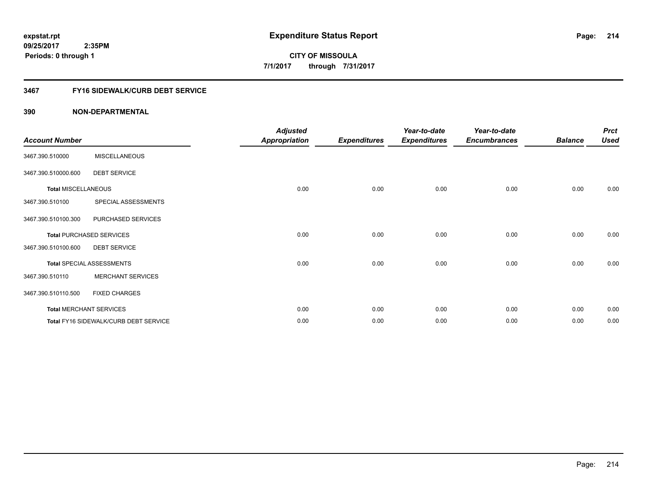# **3467 FY16 SIDEWALK/CURB DEBT SERVICE**

| <b>Account Number</b>      |                                       | <b>Adjusted</b><br><b>Appropriation</b> | <b>Expenditures</b> | Year-to-date<br><b>Expenditures</b> | Year-to-date<br><b>Encumbrances</b> | <b>Balance</b> | <b>Prct</b><br><b>Used</b> |
|----------------------------|---------------------------------------|-----------------------------------------|---------------------|-------------------------------------|-------------------------------------|----------------|----------------------------|
| 3467.390.510000            | <b>MISCELLANEOUS</b>                  |                                         |                     |                                     |                                     |                |                            |
| 3467.390.510000.600        | <b>DEBT SERVICE</b>                   |                                         |                     |                                     |                                     |                |                            |
| <b>Total MISCELLANEOUS</b> |                                       | 0.00                                    | 0.00                | 0.00                                | 0.00                                | 0.00           | 0.00                       |
| 3467.390.510100            | SPECIAL ASSESSMENTS                   |                                         |                     |                                     |                                     |                |                            |
| 3467.390.510100.300        | PURCHASED SERVICES                    |                                         |                     |                                     |                                     |                |                            |
|                            | <b>Total PURCHASED SERVICES</b>       | 0.00                                    | 0.00                | 0.00                                | 0.00                                | 0.00           | 0.00                       |
| 3467.390.510100.600        | <b>DEBT SERVICE</b>                   |                                         |                     |                                     |                                     |                |                            |
|                            | <b>Total SPECIAL ASSESSMENTS</b>      | 0.00                                    | 0.00                | 0.00                                | 0.00                                | 0.00           | 0.00                       |
| 3467.390.510110            | <b>MERCHANT SERVICES</b>              |                                         |                     |                                     |                                     |                |                            |
| 3467.390.510110.500        | <b>FIXED CHARGES</b>                  |                                         |                     |                                     |                                     |                |                            |
|                            | <b>Total MERCHANT SERVICES</b>        | 0.00                                    | 0.00                | 0.00                                | 0.00                                | 0.00           | 0.00                       |
|                            | Total FY16 SIDEWALK/CURB DEBT SERVICE | 0.00                                    | 0.00                | 0.00                                | 0.00                                | 0.00           | 0.00                       |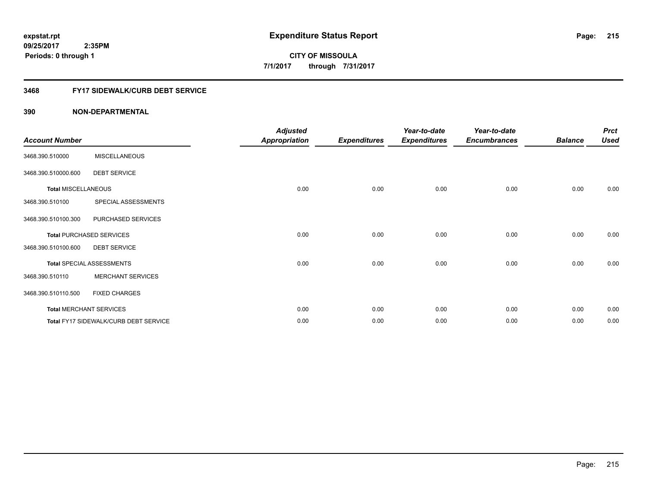#### **3468 FY17 SIDEWALK/CURB DEBT SERVICE**

| <b>Account Number</b>      |                                       | <b>Adjusted</b><br><b>Appropriation</b> | <b>Expenditures</b> | Year-to-date<br><b>Expenditures</b> | Year-to-date<br><b>Encumbrances</b> | <b>Balance</b> | <b>Prct</b><br><b>Used</b> |
|----------------------------|---------------------------------------|-----------------------------------------|---------------------|-------------------------------------|-------------------------------------|----------------|----------------------------|
|                            |                                       |                                         |                     |                                     |                                     |                |                            |
| 3468.390.510000            | <b>MISCELLANEOUS</b>                  |                                         |                     |                                     |                                     |                |                            |
| 3468.390.510000.600        | <b>DEBT SERVICE</b>                   |                                         |                     |                                     |                                     |                |                            |
| <b>Total MISCELLANEOUS</b> |                                       | 0.00                                    | 0.00                | 0.00                                | 0.00                                | 0.00           | 0.00                       |
| 3468.390.510100            | SPECIAL ASSESSMENTS                   |                                         |                     |                                     |                                     |                |                            |
| 3468.390.510100.300        | PURCHASED SERVICES                    |                                         |                     |                                     |                                     |                |                            |
|                            | <b>Total PURCHASED SERVICES</b>       | 0.00                                    | 0.00                | 0.00                                | 0.00                                | 0.00           | 0.00                       |
| 3468.390.510100.600        | <b>DEBT SERVICE</b>                   |                                         |                     |                                     |                                     |                |                            |
|                            | <b>Total SPECIAL ASSESSMENTS</b>      | 0.00                                    | 0.00                | 0.00                                | 0.00                                | 0.00           | 0.00                       |
| 3468.390.510110            | <b>MERCHANT SERVICES</b>              |                                         |                     |                                     |                                     |                |                            |
| 3468.390.510110.500        | <b>FIXED CHARGES</b>                  |                                         |                     |                                     |                                     |                |                            |
|                            | <b>Total MERCHANT SERVICES</b>        | 0.00                                    | 0.00                | 0.00                                | 0.00                                | 0.00           | 0.00                       |
|                            | Total FY17 SIDEWALK/CURB DEBT SERVICE | 0.00                                    | 0.00                | 0.00                                | 0.00                                | 0.00           | 0.00                       |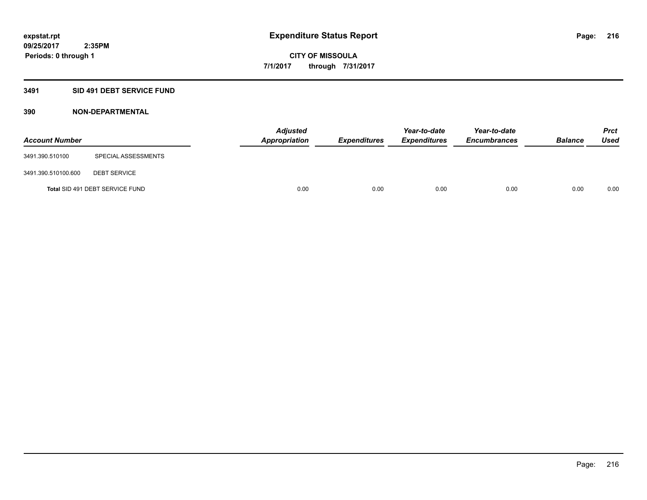#### **3491 SID 491 DEBT SERVICE FUND**

| <b>Account Number</b> |                                 | <b>Adjusted</b><br><b>Appropriation</b> | <b>Expenditures</b> | Year-to-date<br><b>Expenditures</b> | Year-to-date<br><b>Encumbrances</b> | <b>Balance</b> | <b>Prct</b><br><b>Used</b> |
|-----------------------|---------------------------------|-----------------------------------------|---------------------|-------------------------------------|-------------------------------------|----------------|----------------------------|
| 3491.390.510100       | SPECIAL ASSESSMENTS             |                                         |                     |                                     |                                     |                |                            |
| 3491.390.510100.600   | <b>DEBT SERVICE</b>             |                                         |                     |                                     |                                     |                |                            |
|                       | Total SID 491 DEBT SERVICE FUND | 0.00                                    | 0.00                | 0.00                                | 0.00                                | 0.00           | 0.00                       |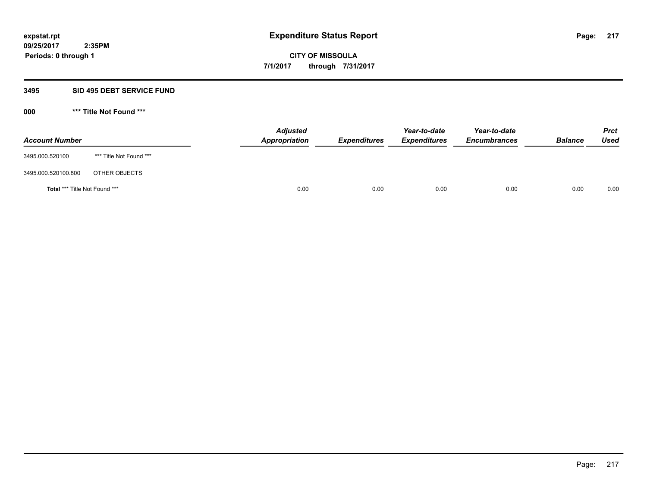### **3495 SID 495 DEBT SERVICE FUND**

| <b>Account Number</b>                |                         | <b>Adjusted</b><br>Appropriation | <b>Expenditures</b> | Year-to-date<br><b>Expenditures</b> | Year-to-date<br><b>Encumbrances</b> | <b>Balance</b> | <b>Prct</b><br>Used |
|--------------------------------------|-------------------------|----------------------------------|---------------------|-------------------------------------|-------------------------------------|----------------|---------------------|
| 3495.000.520100                      | *** Title Not Found *** |                                  |                     |                                     |                                     |                |                     |
| 3495.000.520100.800                  | OTHER OBJECTS           |                                  |                     |                                     |                                     |                |                     |
| <b>Total *** Title Not Found ***</b> |                         | 0.00                             | 0.00                | 0.00                                | 0.00                                | 0.00           | 0.00                |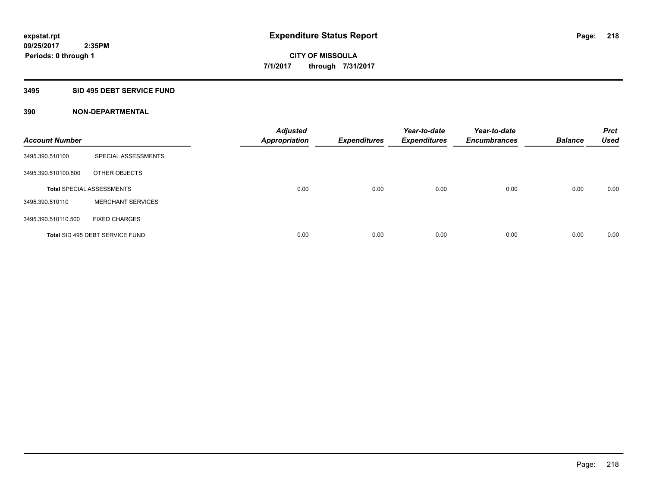### **3495 SID 495 DEBT SERVICE FUND**

| <b>Account Number</b> |                                  | <b>Adjusted</b><br><b>Appropriation</b> | <b>Expenditures</b> | Year-to-date<br><b>Expenditures</b> | Year-to-date<br><b>Encumbrances</b> | <b>Balance</b> | <b>Prct</b><br><b>Used</b> |
|-----------------------|----------------------------------|-----------------------------------------|---------------------|-------------------------------------|-------------------------------------|----------------|----------------------------|
| 3495.390.510100       | SPECIAL ASSESSMENTS              |                                         |                     |                                     |                                     |                |                            |
| 3495.390.510100.800   | OTHER OBJECTS                    |                                         |                     |                                     |                                     |                |                            |
|                       | <b>Total SPECIAL ASSESSMENTS</b> | 0.00                                    | 0.00                | 0.00                                | 0.00                                | 0.00           | 0.00                       |
| 3495.390.510110       | <b>MERCHANT SERVICES</b>         |                                         |                     |                                     |                                     |                |                            |
| 3495.390.510110.500   | <b>FIXED CHARGES</b>             |                                         |                     |                                     |                                     |                |                            |
|                       | Total SID 495 DEBT SERVICE FUND  | 0.00                                    | 0.00                | 0.00                                | 0.00                                | 0.00           | 0.00                       |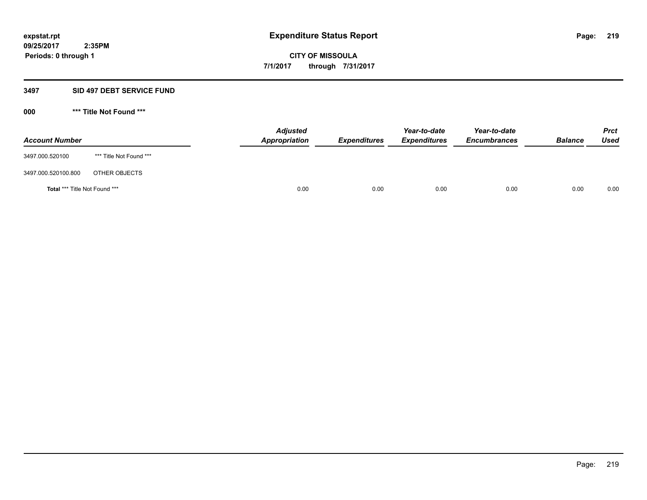### **3497 SID 497 DEBT SERVICE FUND**

| <b>Account Number</b>                |                         | <b>Adjusted</b><br>Appropriation | <b>Expenditures</b> | Year-to-date<br><b>Expenditures</b> | Year-to-date<br><b>Encumbrances</b> | <b>Balance</b> | <b>Prct</b><br>Used |
|--------------------------------------|-------------------------|----------------------------------|---------------------|-------------------------------------|-------------------------------------|----------------|---------------------|
| 3497.000.520100                      | *** Title Not Found *** |                                  |                     |                                     |                                     |                |                     |
| 3497.000.520100.800                  | OTHER OBJECTS           |                                  |                     |                                     |                                     |                |                     |
| <b>Total *** Title Not Found ***</b> |                         | 0.00                             | 0.00                | 0.00                                | 0.00                                | 0.00           | 0.00                |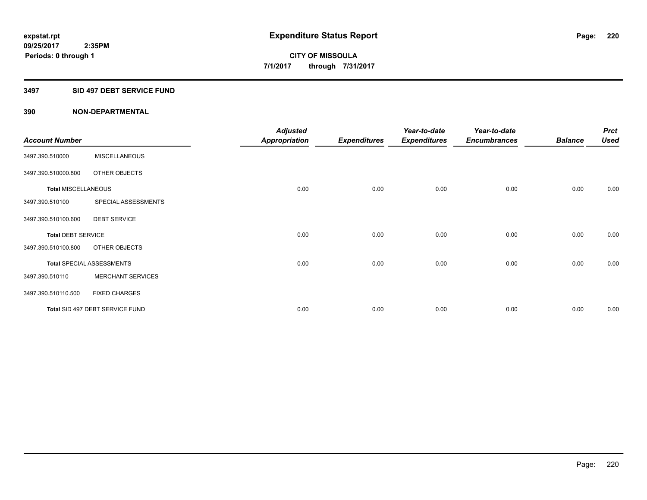### **3497 SID 497 DEBT SERVICE FUND**

|                            |                                  | <b>Adjusted</b>      |                     | Year-to-date        | Year-to-date        |                | <b>Prct</b> |
|----------------------------|----------------------------------|----------------------|---------------------|---------------------|---------------------|----------------|-------------|
| <b>Account Number</b>      |                                  | <b>Appropriation</b> | <b>Expenditures</b> | <b>Expenditures</b> | <b>Encumbrances</b> | <b>Balance</b> | <b>Used</b> |
| 3497.390.510000            | <b>MISCELLANEOUS</b>             |                      |                     |                     |                     |                |             |
| 3497.390.510000.800        | OTHER OBJECTS                    |                      |                     |                     |                     |                |             |
| <b>Total MISCELLANEOUS</b> |                                  | 0.00                 | 0.00                | 0.00                | 0.00                | 0.00           | 0.00        |
| 3497.390.510100            | SPECIAL ASSESSMENTS              |                      |                     |                     |                     |                |             |
| 3497.390.510100.600        | <b>DEBT SERVICE</b>              |                      |                     |                     |                     |                |             |
| <b>Total DEBT SERVICE</b>  |                                  | 0.00                 | 0.00                | 0.00                | 0.00                | 0.00           | 0.00        |
| 3497.390.510100.800        | OTHER OBJECTS                    |                      |                     |                     |                     |                |             |
|                            | <b>Total SPECIAL ASSESSMENTS</b> | 0.00                 | 0.00                | 0.00                | 0.00                | 0.00           | 0.00        |
| 3497.390.510110            | <b>MERCHANT SERVICES</b>         |                      |                     |                     |                     |                |             |
| 3497.390.510110.500        | <b>FIXED CHARGES</b>             |                      |                     |                     |                     |                |             |
|                            | Total SID 497 DEBT SERVICE FUND  | 0.00                 | 0.00                | 0.00                | 0.00                | 0.00           | 0.00        |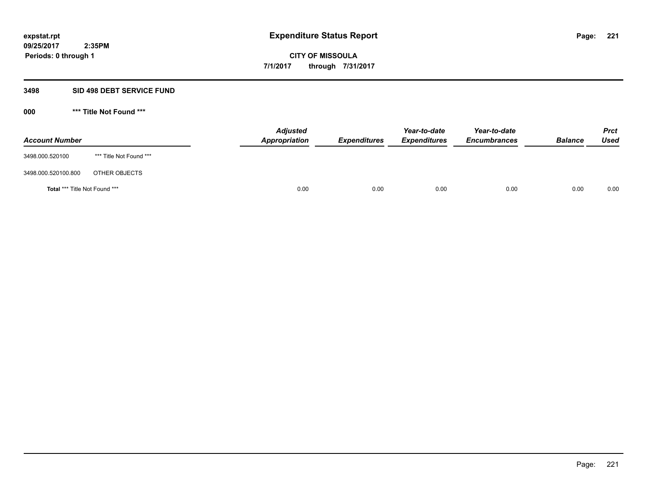### **3498 SID 498 DEBT SERVICE FUND**

| <b>Account Number</b>         |                         | <b>Adjusted</b><br>Appropriation | <b>Expenditures</b> | Year-to-date<br><b>Expenditures</b> | Year-to-date<br><b>Encumbrances</b> | <b>Balance</b> | <b>Prct</b><br>Used |
|-------------------------------|-------------------------|----------------------------------|---------------------|-------------------------------------|-------------------------------------|----------------|---------------------|
| 3498.000.520100               | *** Title Not Found *** |                                  |                     |                                     |                                     |                |                     |
| 3498.000.520100.800           | OTHER OBJECTS           |                                  |                     |                                     |                                     |                |                     |
| Total *** Title Not Found *** |                         | 0.00                             | 0.00                | 0.00                                | 0.00                                | 0.00           | 0.00                |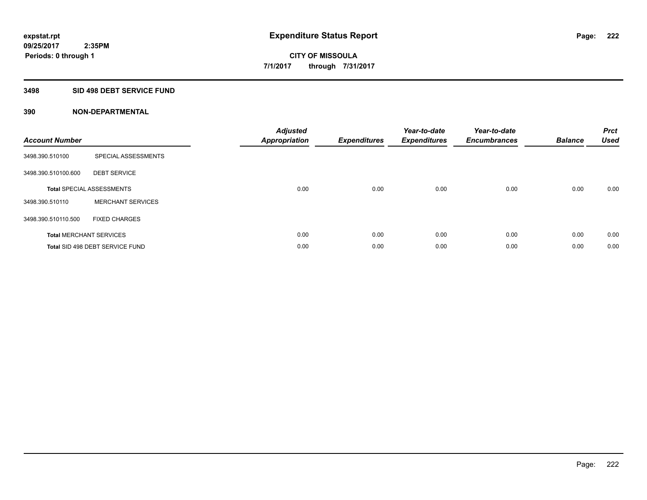### **3498 SID 498 DEBT SERVICE FUND**

| <b>Account Number</b> |                                  | <b>Adjusted</b><br>Appropriation | <b>Expenditures</b> | Year-to-date<br><b>Expenditures</b> | Year-to-date<br><b>Encumbrances</b> | <b>Balance</b> | <b>Prct</b><br><b>Used</b> |
|-----------------------|----------------------------------|----------------------------------|---------------------|-------------------------------------|-------------------------------------|----------------|----------------------------|
| 3498.390.510100       | SPECIAL ASSESSMENTS              |                                  |                     |                                     |                                     |                |                            |
| 3498.390.510100.600   | <b>DEBT SERVICE</b>              |                                  |                     |                                     |                                     |                |                            |
|                       | <b>Total SPECIAL ASSESSMENTS</b> | 0.00                             | 0.00                | 0.00                                | 0.00                                | 0.00           | 0.00                       |
| 3498.390.510110       | <b>MERCHANT SERVICES</b>         |                                  |                     |                                     |                                     |                |                            |
| 3498.390.510110.500   | <b>FIXED CHARGES</b>             |                                  |                     |                                     |                                     |                |                            |
|                       | <b>Total MERCHANT SERVICES</b>   | 0.00                             | 0.00                | 0.00                                | 0.00                                | 0.00           | 0.00                       |
|                       | Total SID 498 DEBT SERVICE FUND  | 0.00                             | 0.00                | 0.00                                | 0.00                                | 0.00           | 0.00                       |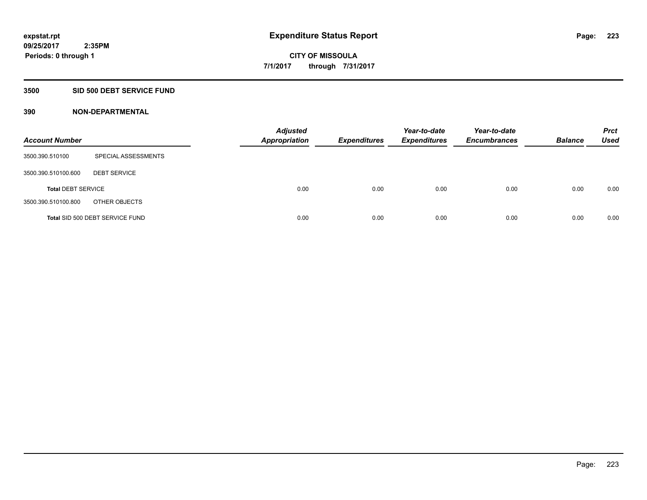## **3500 SID 500 DEBT SERVICE FUND**

| <b>Account Number</b>     |                                 | <b>Adjusted</b><br><b>Appropriation</b> | <b>Expenditures</b> | Year-to-date<br><b>Expenditures</b> | Year-to-date<br><b>Encumbrances</b> | <b>Balance</b> | <b>Prct</b><br><b>Used</b> |
|---------------------------|---------------------------------|-----------------------------------------|---------------------|-------------------------------------|-------------------------------------|----------------|----------------------------|
| 3500.390.510100           | SPECIAL ASSESSMENTS             |                                         |                     |                                     |                                     |                |                            |
| 3500.390.510100.600       | <b>DEBT SERVICE</b>             |                                         |                     |                                     |                                     |                |                            |
| <b>Total DEBT SERVICE</b> |                                 | 0.00                                    | 0.00                | 0.00                                | 0.00                                | 0.00           | 0.00                       |
| 3500.390.510100.800       | OTHER OBJECTS                   |                                         |                     |                                     |                                     |                |                            |
|                           | Total SID 500 DEBT SERVICE FUND | 0.00                                    | 0.00                | 0.00                                | 0.00                                | 0.00           | 0.00                       |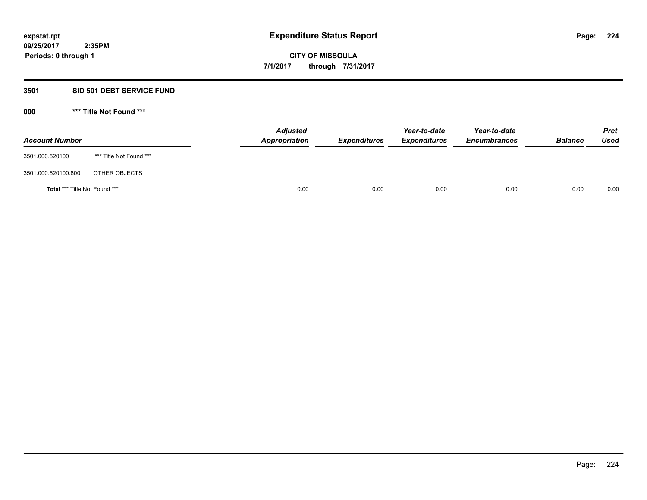## **3501 SID 501 DEBT SERVICE FUND**

| <b>Account Number</b>                |                         | <b>Adjusted</b><br>Appropriation | <b>Expenditures</b> | Year-to-date<br><b>Expenditures</b> | Year-to-date<br><b>Encumbrances</b> | <b>Balance</b> | <b>Prct</b><br>Used |
|--------------------------------------|-------------------------|----------------------------------|---------------------|-------------------------------------|-------------------------------------|----------------|---------------------|
| 3501.000.520100                      | *** Title Not Found *** |                                  |                     |                                     |                                     |                |                     |
| 3501.000.520100.800                  | OTHER OBJECTS           |                                  |                     |                                     |                                     |                |                     |
| <b>Total *** Title Not Found ***</b> |                         |                                  | 0.00<br>0.00        | 0.00                                | 0.00                                | 0.00           | 0.00                |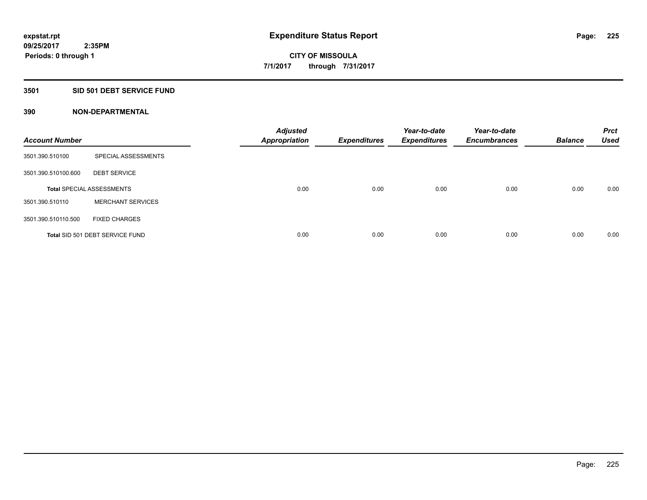### **3501 SID 501 DEBT SERVICE FUND**

| <b>Account Number</b> |                                  | <b>Adjusted</b><br><b>Appropriation</b> | <b>Expenditures</b> | Year-to-date<br><b>Expenditures</b> | Year-to-date<br><b>Encumbrances</b> | <b>Balance</b> | <b>Prct</b><br><b>Used</b> |
|-----------------------|----------------------------------|-----------------------------------------|---------------------|-------------------------------------|-------------------------------------|----------------|----------------------------|
| 3501.390.510100       | SPECIAL ASSESSMENTS              |                                         |                     |                                     |                                     |                |                            |
| 3501.390.510100.600   | <b>DEBT SERVICE</b>              |                                         |                     |                                     |                                     |                |                            |
|                       | <b>Total SPECIAL ASSESSMENTS</b> | 0.00                                    | 0.00                | 0.00                                | 0.00                                | 0.00           | 0.00                       |
| 3501.390.510110       | <b>MERCHANT SERVICES</b>         |                                         |                     |                                     |                                     |                |                            |
| 3501.390.510110.500   | <b>FIXED CHARGES</b>             |                                         |                     |                                     |                                     |                |                            |
|                       | Total SID 501 DEBT SERVICE FUND  | 0.00                                    | 0.00                | 0.00                                | 0.00                                | 0.00           | 0.00                       |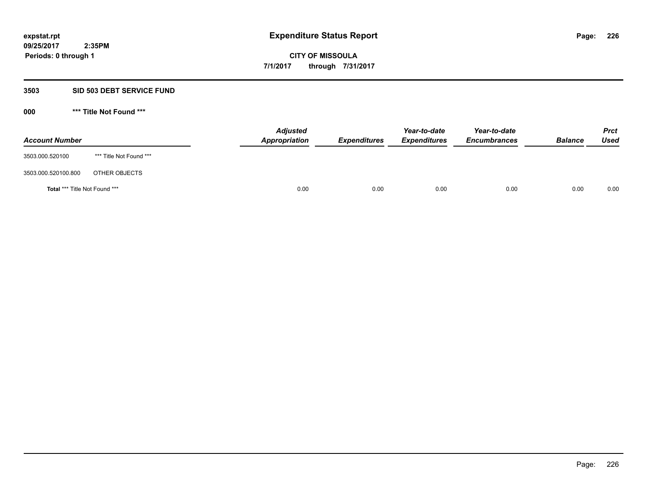### **3503 SID 503 DEBT SERVICE FUND**

| <b>Account Number</b>                |                         | <b>Adjusted</b><br>Appropriation | <b>Expenditures</b> | Year-to-date<br><b>Expenditures</b> | Year-to-date<br><b>Encumbrances</b> | <b>Balance</b> | <b>Prct</b><br>Used |
|--------------------------------------|-------------------------|----------------------------------|---------------------|-------------------------------------|-------------------------------------|----------------|---------------------|
| 3503.000.520100                      | *** Title Not Found *** |                                  |                     |                                     |                                     |                |                     |
| 3503.000.520100.800                  | OTHER OBJECTS           |                                  |                     |                                     |                                     |                |                     |
| <b>Total *** Title Not Found ***</b> |                         |                                  | 0.00<br>0.00        | 0.00                                | 0.00                                | 0.00           | 0.00                |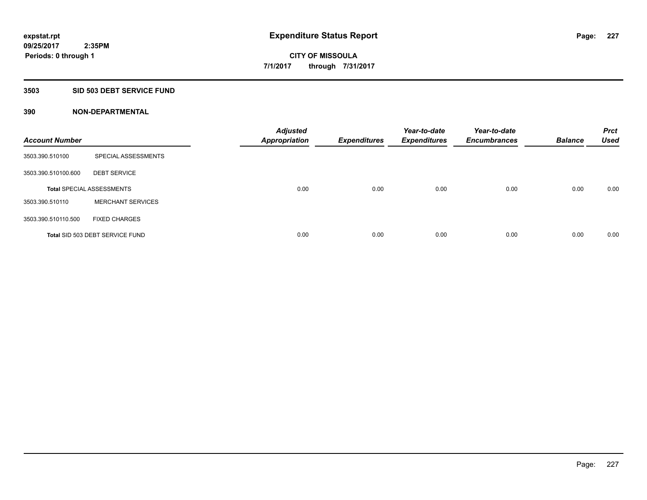### **3503 SID 503 DEBT SERVICE FUND**

| <b>Account Number</b> |                                  | <b>Adjusted</b><br><b>Appropriation</b> | <b>Expenditures</b> | Year-to-date<br><b>Expenditures</b> | Year-to-date<br><b>Encumbrances</b> | <b>Balance</b> | <b>Prct</b><br><b>Used</b> |
|-----------------------|----------------------------------|-----------------------------------------|---------------------|-------------------------------------|-------------------------------------|----------------|----------------------------|
| 3503.390.510100       | SPECIAL ASSESSMENTS              |                                         |                     |                                     |                                     |                |                            |
| 3503.390.510100.600   | <b>DEBT SERVICE</b>              |                                         |                     |                                     |                                     |                |                            |
|                       | <b>Total SPECIAL ASSESSMENTS</b> | 0.00                                    | 0.00                | 0.00                                | 0.00                                | 0.00           | 0.00                       |
| 3503.390.510110       | <b>MERCHANT SERVICES</b>         |                                         |                     |                                     |                                     |                |                            |
| 3503.390.510110.500   | <b>FIXED CHARGES</b>             |                                         |                     |                                     |                                     |                |                            |
|                       | Total SID 503 DEBT SERVICE FUND  | 0.00                                    | 0.00                | 0.00                                | 0.00                                | 0.00           | 0.00                       |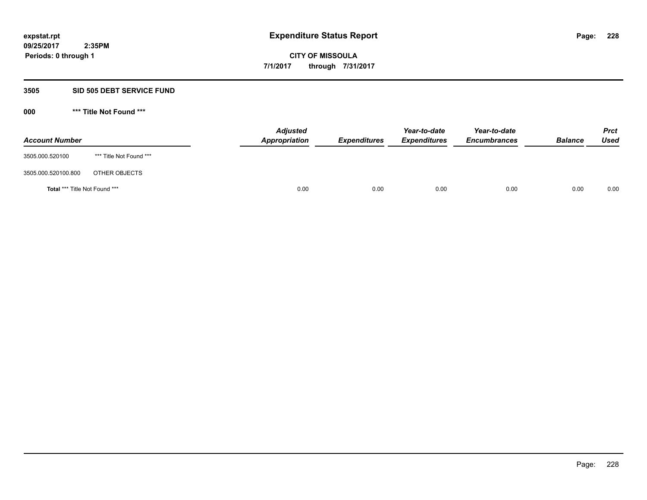#### **3505 SID 505 DEBT SERVICE FUND**

| <b>Account Number</b>         |                         | <b>Adjusted</b><br>Appropriation | <b>Expenditures</b> | Year-to-date<br><b>Expenditures</b> | Year-to-date<br><b>Encumbrances</b> | <b>Balance</b> | <b>Prct</b><br>Used |
|-------------------------------|-------------------------|----------------------------------|---------------------|-------------------------------------|-------------------------------------|----------------|---------------------|
| 3505.000.520100               | *** Title Not Found *** |                                  |                     |                                     |                                     |                |                     |
| 3505.000.520100.800           | OTHER OBJECTS           |                                  |                     |                                     |                                     |                |                     |
| Total *** Title Not Found *** |                         | 0.00                             | 0.00                | 0.00                                | 0.00                                | 0.00           | 0.00                |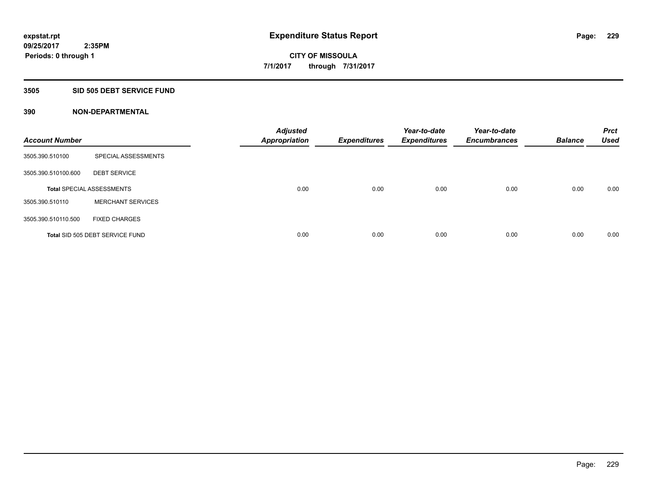#### **3505 SID 505 DEBT SERVICE FUND**

| <b>Account Number</b> |                                  | <b>Adjusted</b><br><b>Appropriation</b> | <b>Expenditures</b> | Year-to-date<br><b>Expenditures</b> | Year-to-date<br><b>Encumbrances</b> | <b>Balance</b> | <b>Prct</b><br><b>Used</b> |
|-----------------------|----------------------------------|-----------------------------------------|---------------------|-------------------------------------|-------------------------------------|----------------|----------------------------|
| 3505.390.510100       | SPECIAL ASSESSMENTS              |                                         |                     |                                     |                                     |                |                            |
| 3505.390.510100.600   | <b>DEBT SERVICE</b>              |                                         |                     |                                     |                                     |                |                            |
|                       | <b>Total SPECIAL ASSESSMENTS</b> | 0.00                                    | 0.00                | 0.00                                | 0.00                                | 0.00           | 0.00                       |
| 3505.390.510110       | <b>MERCHANT SERVICES</b>         |                                         |                     |                                     |                                     |                |                            |
| 3505.390.510110.500   | <b>FIXED CHARGES</b>             |                                         |                     |                                     |                                     |                |                            |
|                       | Total SID 505 DEBT SERVICE FUND  | 0.00                                    | 0.00                | 0.00                                | 0.00                                | 0.00           | 0.00                       |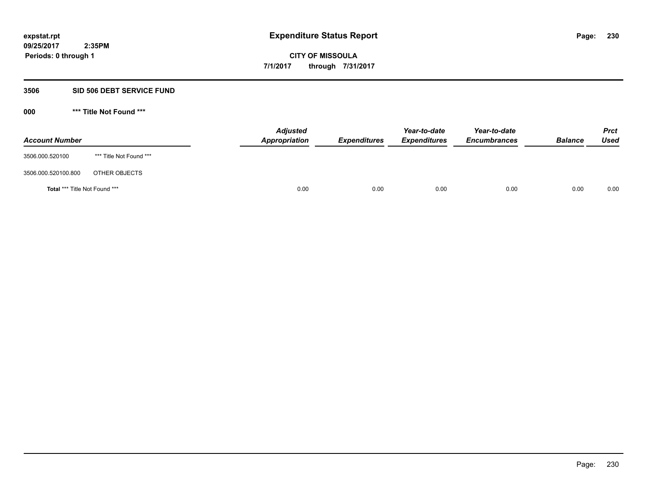### **3506 SID 506 DEBT SERVICE FUND**

| <b>Account Number</b>                |                         | <b>Adjusted</b><br>Appropriation | <b>Expenditures</b> | Year-to-date<br><b>Expenditures</b> | Year-to-date<br><b>Encumbrances</b> | <b>Balance</b> | <b>Prct</b><br><b>Used</b> |
|--------------------------------------|-------------------------|----------------------------------|---------------------|-------------------------------------|-------------------------------------|----------------|----------------------------|
| 3506.000.520100                      | *** Title Not Found *** |                                  |                     |                                     |                                     |                |                            |
| 3506.000.520100.800                  | OTHER OBJECTS           |                                  |                     |                                     |                                     |                |                            |
| <b>Total *** Title Not Found ***</b> |                         | 0.00                             | 0.00                | 0.00                                | 0.00                                | 0.00           | 0.00                       |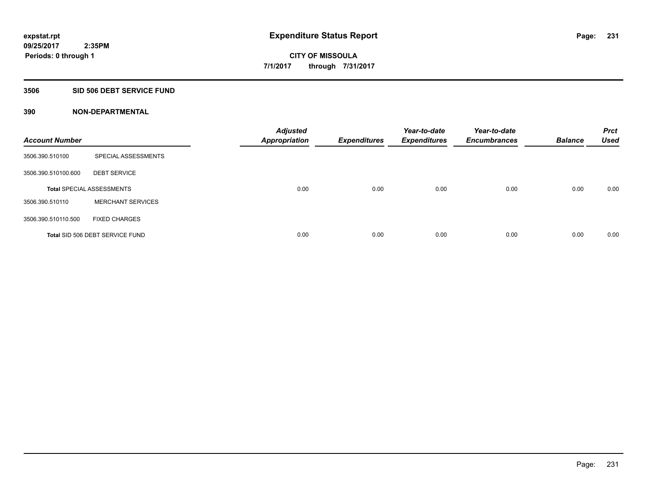### **3506 SID 506 DEBT SERVICE FUND**

| <b>Account Number</b> |                                  | <b>Adjusted</b><br><b>Appropriation</b> | <b>Expenditures</b> | Year-to-date<br><b>Expenditures</b> | Year-to-date<br><b>Encumbrances</b> | <b>Balance</b> | <b>Prct</b><br><b>Used</b> |
|-----------------------|----------------------------------|-----------------------------------------|---------------------|-------------------------------------|-------------------------------------|----------------|----------------------------|
| 3506.390.510100       | SPECIAL ASSESSMENTS              |                                         |                     |                                     |                                     |                |                            |
| 3506.390.510100.600   | <b>DEBT SERVICE</b>              |                                         |                     |                                     |                                     |                |                            |
|                       | <b>Total SPECIAL ASSESSMENTS</b> | 0.00                                    | 0.00                | 0.00                                | 0.00                                | 0.00           | 0.00                       |
| 3506.390.510110       | <b>MERCHANT SERVICES</b>         |                                         |                     |                                     |                                     |                |                            |
| 3506.390.510110.500   | <b>FIXED CHARGES</b>             |                                         |                     |                                     |                                     |                |                            |
|                       | Total SID 506 DEBT SERVICE FUND  | 0.00                                    | 0.00                | 0.00                                | 0.00                                | 0.00           | 0.00                       |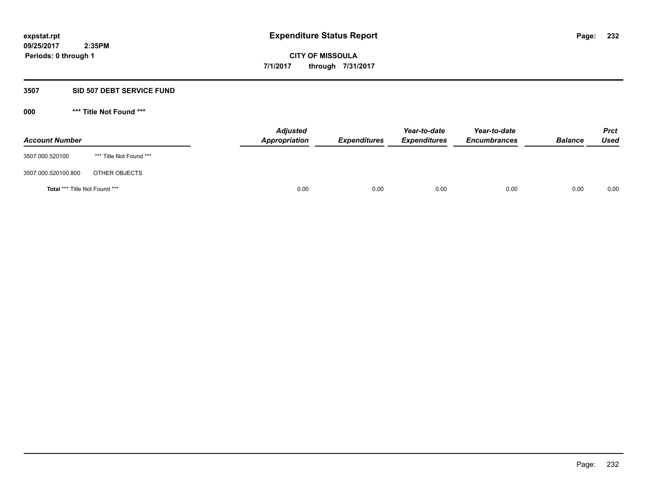## **3507 SID 507 DEBT SERVICE FUND**

| <b>Account Number</b>                |                         | <b>Adjusted</b><br>Appropriation | <b>Expenditures</b> | Year-to-date<br><b>Expenditures</b> | Year-to-date<br><b>Encumbrances</b> | <b>Balance</b> | <b>Prct</b><br>Used |
|--------------------------------------|-------------------------|----------------------------------|---------------------|-------------------------------------|-------------------------------------|----------------|---------------------|
| 3507.000.520100                      | *** Title Not Found *** |                                  |                     |                                     |                                     |                |                     |
| 3507.000.520100.800                  | OTHER OBJECTS           |                                  |                     |                                     |                                     |                |                     |
| <b>Total *** Title Not Found ***</b> |                         |                                  | 0.00<br>0.00        | 0.00                                | 0.00                                | 0.00           | 0.00                |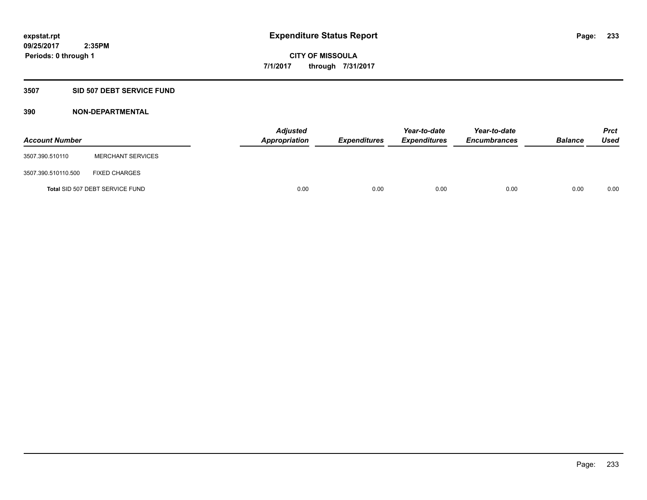### **3507 SID 507 DEBT SERVICE FUND**

| <b>Account Number</b> |                                 | <b>Adjusted</b><br>Appropriation | <b>Expenditures</b> | Year-to-date<br><b>Expenditures</b> | Year-to-date<br><b>Encumbrances</b> | <b>Balance</b> | <b>Prct</b><br><b>Used</b> |
|-----------------------|---------------------------------|----------------------------------|---------------------|-------------------------------------|-------------------------------------|----------------|----------------------------|
| 3507.390.510110       | <b>MERCHANT SERVICES</b>        |                                  |                     |                                     |                                     |                |                            |
| 3507.390.510110.500   | <b>FIXED CHARGES</b>            |                                  |                     |                                     |                                     |                |                            |
|                       | Total SID 507 DEBT SERVICE FUND | 0.00                             | 0.00                | 0.00                                | 0.00                                | 0.00           | 0.00                       |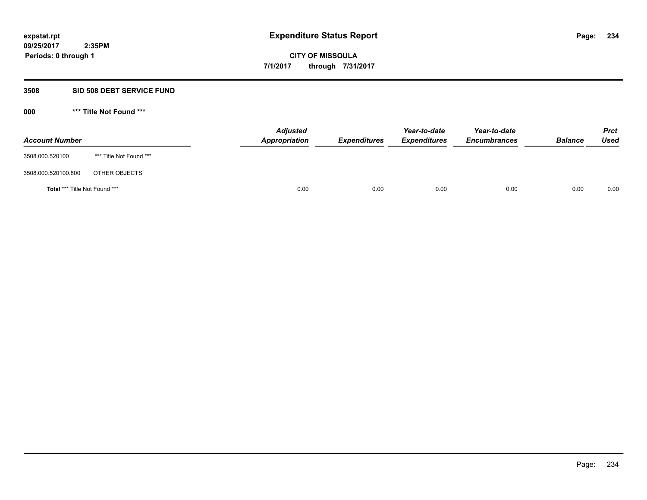### **3508 SID 508 DEBT SERVICE FUND**

| <b>Account Number</b>                |                         | <b>Adjusted</b><br>Appropriation | <b>Expenditures</b> | Year-to-date<br><b>Expenditures</b> | Year-to-date<br><b>Encumbrances</b> | <b>Balance</b> | <b>Prct</b><br><b>Used</b> |
|--------------------------------------|-------------------------|----------------------------------|---------------------|-------------------------------------|-------------------------------------|----------------|----------------------------|
| 3508.000.520100                      | *** Title Not Found *** |                                  |                     |                                     |                                     |                |                            |
| 3508.000.520100.800                  | OTHER OBJECTS           |                                  |                     |                                     |                                     |                |                            |
| <b>Total *** Title Not Found ***</b> |                         | 0.00                             | 0.00                | 0.00                                | 0.00                                | 0.00           | 0.00                       |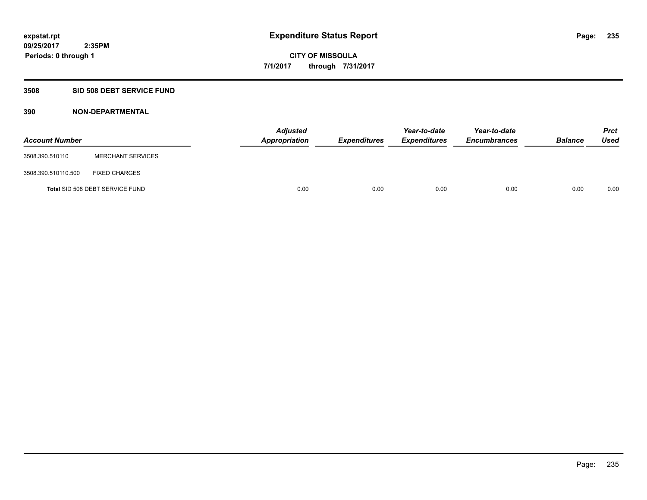#### **3508 SID 508 DEBT SERVICE FUND**

| <b>Account Number</b> |                                 | <b>Adjusted</b><br>Appropriation | <b>Expenditures</b> | Year-to-date<br><b>Expenditures</b> | Year-to-date<br><b>Encumbrances</b> | <b>Balance</b> | <b>Prct</b><br><b>Used</b> |
|-----------------------|---------------------------------|----------------------------------|---------------------|-------------------------------------|-------------------------------------|----------------|----------------------------|
| 3508.390.510110       | <b>MERCHANT SERVICES</b>        |                                  |                     |                                     |                                     |                |                            |
| 3508.390.510110.500   | <b>FIXED CHARGES</b>            |                                  |                     |                                     |                                     |                |                            |
|                       | Total SID 508 DEBT SERVICE FUND | 0.00                             | 0.00                | 0.00                                | 0.00                                | 0.00           | 0.00                       |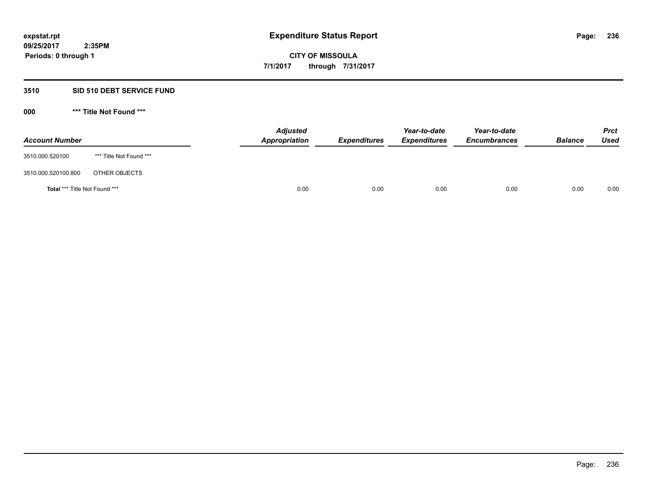## **3510 SID 510 DEBT SERVICE FUND**

| <b>Account Number</b>                |                         | <b>Adjusted</b><br>Appropriation | <b>Expenditures</b> | Year-to-date<br><b>Expenditures</b> | Year-to-date<br><b>Encumbrances</b> | <b>Balance</b> | <b>Prct</b><br><b>Used</b> |
|--------------------------------------|-------------------------|----------------------------------|---------------------|-------------------------------------|-------------------------------------|----------------|----------------------------|
| 3510.000.520100                      | *** Title Not Found *** |                                  |                     |                                     |                                     |                |                            |
| 3510.000.520100.800                  | OTHER OBJECTS           |                                  |                     |                                     |                                     |                |                            |
| <b>Total *** Title Not Found ***</b> |                         | 0.00                             | 0.00                | 0.00                                | 0.00                                | 0.00           | 0.00                       |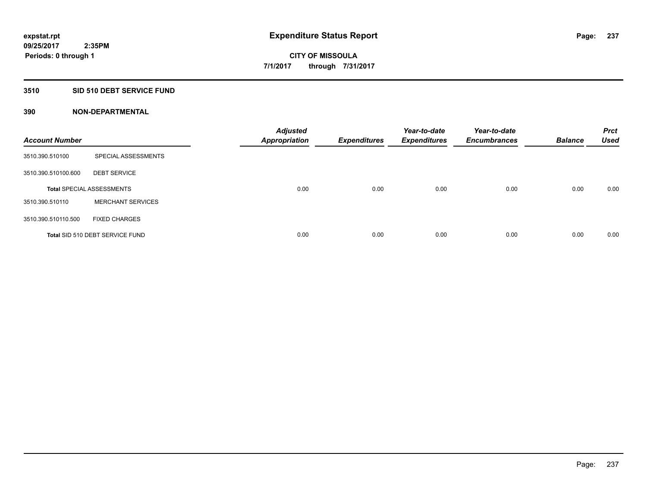### **3510 SID 510 DEBT SERVICE FUND**

| <b>Account Number</b> |                                  | <b>Adjusted</b><br><b>Appropriation</b> | <b>Expenditures</b> | Year-to-date<br><b>Expenditures</b> | Year-to-date<br><b>Encumbrances</b> | <b>Balance</b> | <b>Prct</b><br><b>Used</b> |
|-----------------------|----------------------------------|-----------------------------------------|---------------------|-------------------------------------|-------------------------------------|----------------|----------------------------|
| 3510.390.510100       | SPECIAL ASSESSMENTS              |                                         |                     |                                     |                                     |                |                            |
| 3510.390.510100.600   | <b>DEBT SERVICE</b>              |                                         |                     |                                     |                                     |                |                            |
|                       | <b>Total SPECIAL ASSESSMENTS</b> | 0.00                                    | 0.00                | 0.00                                | 0.00                                | 0.00           | 0.00                       |
| 3510.390.510110       | <b>MERCHANT SERVICES</b>         |                                         |                     |                                     |                                     |                |                            |
| 3510.390.510110.500   | <b>FIXED CHARGES</b>             |                                         |                     |                                     |                                     |                |                            |
|                       | Total SID 510 DEBT SERVICE FUND  | 0.00                                    | 0.00                | 0.00                                | 0.00                                | 0.00           | 0.00                       |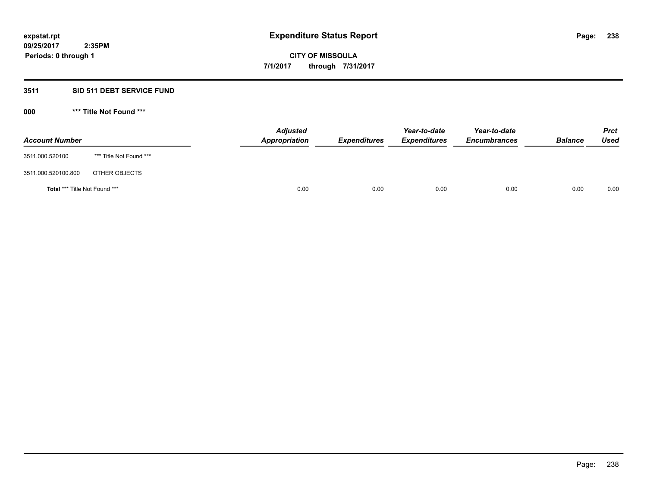## **3511 SID 511 DEBT SERVICE FUND**

| <b>Account Number</b>                |                         | <b>Adjusted</b><br><b>Appropriation</b> | <b>Expenditures</b> | Year-to-date<br><b>Expenditures</b> | Year-to-date<br><b>Encumbrances</b> | <b>Balance</b> | <b>Prct</b><br><b>Used</b> |
|--------------------------------------|-------------------------|-----------------------------------------|---------------------|-------------------------------------|-------------------------------------|----------------|----------------------------|
| 3511.000.520100                      | *** Title Not Found *** |                                         |                     |                                     |                                     |                |                            |
| 3511.000.520100.800                  | OTHER OBJECTS           |                                         |                     |                                     |                                     |                |                            |
| <b>Total *** Title Not Found ***</b> |                         | 0.00                                    | 0.00                | 0.00                                | 0.00                                | 0.00           | 0.00                       |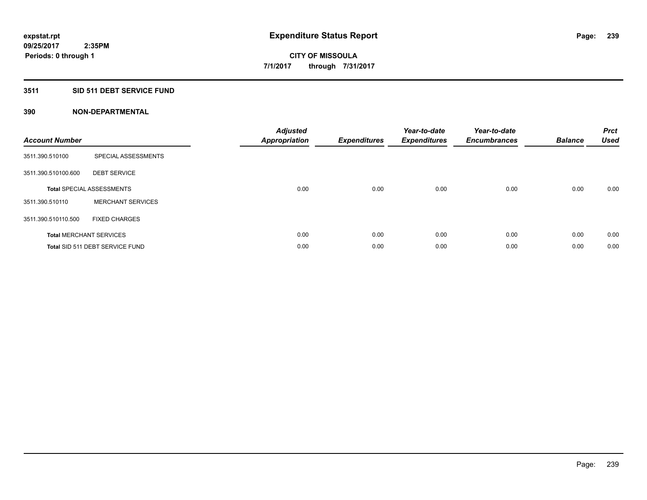## **3511 SID 511 DEBT SERVICE FUND**

| <b>Account Number</b> |                                  | <b>Adjusted</b><br>Appropriation | <b>Expenditures</b> | Year-to-date<br><b>Expenditures</b> | Year-to-date<br><b>Encumbrances</b> | <b>Balance</b> | <b>Prct</b><br><b>Used</b> |
|-----------------------|----------------------------------|----------------------------------|---------------------|-------------------------------------|-------------------------------------|----------------|----------------------------|
| 3511.390.510100       | SPECIAL ASSESSMENTS              |                                  |                     |                                     |                                     |                |                            |
| 3511.390.510100.600   | <b>DEBT SERVICE</b>              |                                  |                     |                                     |                                     |                |                            |
|                       | <b>Total SPECIAL ASSESSMENTS</b> | 0.00                             | 0.00                | 0.00                                | 0.00                                | 0.00           | 0.00                       |
| 3511.390.510110       | <b>MERCHANT SERVICES</b>         |                                  |                     |                                     |                                     |                |                            |
| 3511.390.510110.500   | <b>FIXED CHARGES</b>             |                                  |                     |                                     |                                     |                |                            |
|                       | <b>Total MERCHANT SERVICES</b>   | 0.00                             | 0.00                | 0.00                                | 0.00                                | 0.00           | 0.00                       |
|                       | Total SID 511 DEBT SERVICE FUND  | 0.00                             | 0.00                | 0.00                                | 0.00                                | 0.00           | 0.00                       |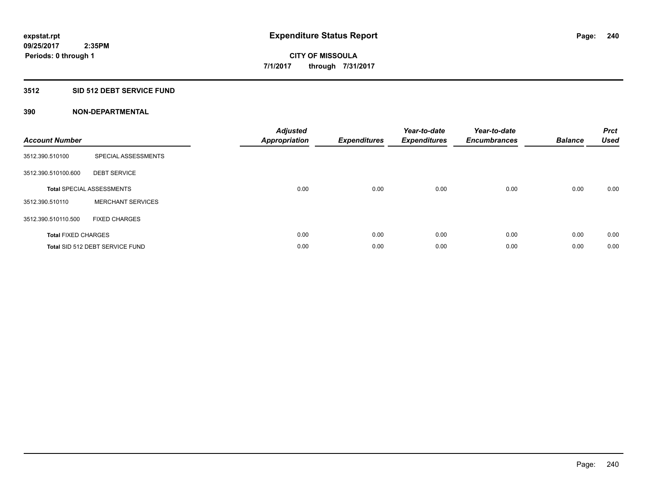## **3512 SID 512 DEBT SERVICE FUND**

| <b>Account Number</b>      |                                  | <b>Adjusted</b><br>Appropriation | <b>Expenditures</b> | Year-to-date<br><b>Expenditures</b> | Year-to-date<br><b>Encumbrances</b> | <b>Balance</b> | <b>Prct</b><br><b>Used</b> |
|----------------------------|----------------------------------|----------------------------------|---------------------|-------------------------------------|-------------------------------------|----------------|----------------------------|
| 3512.390.510100            | SPECIAL ASSESSMENTS              |                                  |                     |                                     |                                     |                |                            |
| 3512.390.510100.600        | <b>DEBT SERVICE</b>              |                                  |                     |                                     |                                     |                |                            |
|                            | <b>Total SPECIAL ASSESSMENTS</b> | 0.00                             | 0.00                | 0.00                                | 0.00                                | 0.00           | 0.00                       |
| 3512.390.510110            | <b>MERCHANT SERVICES</b>         |                                  |                     |                                     |                                     |                |                            |
| 3512.390.510110.500        | <b>FIXED CHARGES</b>             |                                  |                     |                                     |                                     |                |                            |
| <b>Total FIXED CHARGES</b> |                                  | 0.00                             | 0.00                | 0.00                                | 0.00                                | 0.00           | 0.00                       |
|                            | Total SID 512 DEBT SERVICE FUND  | 0.00                             | 0.00                | 0.00                                | 0.00                                | 0.00           | 0.00                       |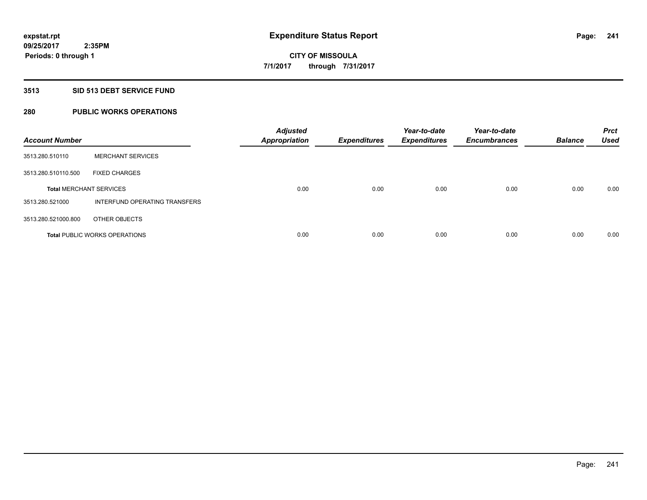## **3513 SID 513 DEBT SERVICE FUND**

# **280 PUBLIC WORKS OPERATIONS**

| <b>Account Number</b>          |                                      | <b>Adjusted</b><br><b>Appropriation</b> | <b>Expenditures</b> | Year-to-date<br><b>Expenditures</b> | Year-to-date<br><b>Encumbrances</b> | <b>Balance</b> | <b>Prct</b><br><b>Used</b> |
|--------------------------------|--------------------------------------|-----------------------------------------|---------------------|-------------------------------------|-------------------------------------|----------------|----------------------------|
| 3513.280.510110                | <b>MERCHANT SERVICES</b>             |                                         |                     |                                     |                                     |                |                            |
| 3513.280.510110.500            | <b>FIXED CHARGES</b>                 |                                         |                     |                                     |                                     |                |                            |
| <b>Total MERCHANT SERVICES</b> |                                      | 0.00                                    | 0.00                | 0.00                                | 0.00                                | 0.00           | 0.00                       |
| 3513.280.521000                | INTERFUND OPERATING TRANSFERS        |                                         |                     |                                     |                                     |                |                            |
| 3513.280.521000.800            | OTHER OBJECTS                        |                                         |                     |                                     |                                     |                |                            |
|                                | <b>Total PUBLIC WORKS OPERATIONS</b> | 0.00                                    | 0.00                | 0.00                                | 0.00                                | 0.00           | 0.00                       |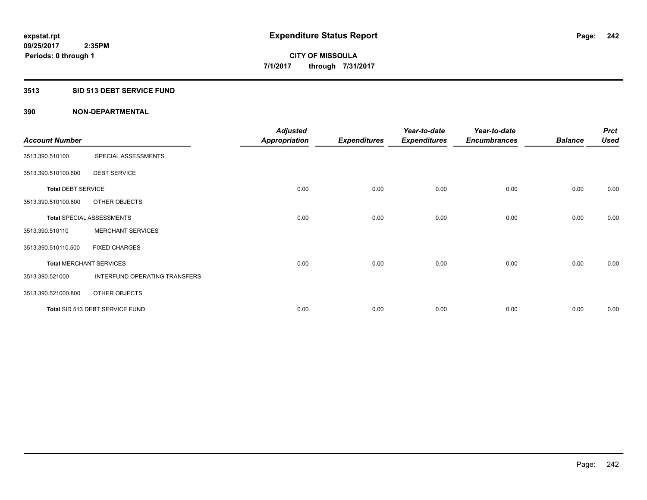#### **3513 SID 513 DEBT SERVICE FUND**

|                                |                                  | <b>Adjusted</b>      |                     | Year-to-date        | Year-to-date        |                | <b>Prct</b> |
|--------------------------------|----------------------------------|----------------------|---------------------|---------------------|---------------------|----------------|-------------|
| <b>Account Number</b>          |                                  | <b>Appropriation</b> | <b>Expenditures</b> | <b>Expenditures</b> | <b>Encumbrances</b> | <b>Balance</b> | <b>Used</b> |
| 3513.390.510100                | SPECIAL ASSESSMENTS              |                      |                     |                     |                     |                |             |
| 3513.390.510100.600            | <b>DEBT SERVICE</b>              |                      |                     |                     |                     |                |             |
| <b>Total DEBT SERVICE</b>      |                                  | 0.00                 | 0.00                | 0.00                | 0.00                | 0.00           | 0.00        |
| 3513.390.510100.800            | OTHER OBJECTS                    |                      |                     |                     |                     |                |             |
|                                | <b>Total SPECIAL ASSESSMENTS</b> | 0.00                 | 0.00                | 0.00                | 0.00                | 0.00           | 0.00        |
| 3513.390.510110                | <b>MERCHANT SERVICES</b>         |                      |                     |                     |                     |                |             |
| 3513.390.510110.500            | <b>FIXED CHARGES</b>             |                      |                     |                     |                     |                |             |
| <b>Total MERCHANT SERVICES</b> |                                  | 0.00                 | 0.00                | 0.00                | 0.00                | 0.00           | 0.00        |
| 3513.390.521000                | INTERFUND OPERATING TRANSFERS    |                      |                     |                     |                     |                |             |
| 3513.390.521000.800            | OTHER OBJECTS                    |                      |                     |                     |                     |                |             |
|                                | Total SID 513 DEBT SERVICE FUND  | 0.00                 | 0.00                | 0.00                | 0.00                | 0.00           | 0.00        |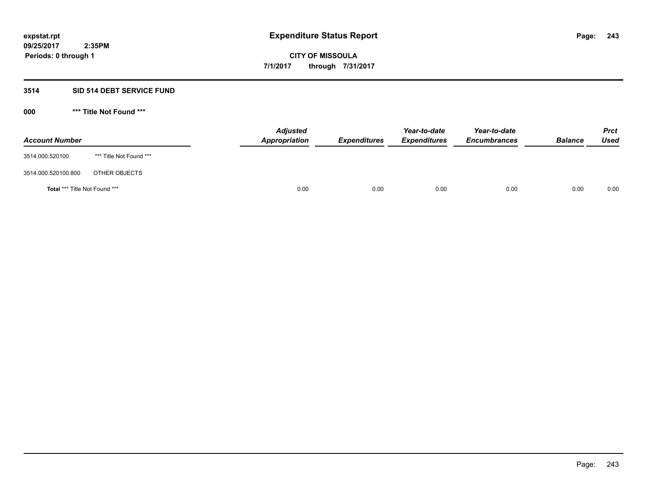## **3514 SID 514 DEBT SERVICE FUND**

| <b>Account Number</b>                |                         | <b>Adjusted</b><br><b>Appropriation</b> | <b>Expenditures</b> | Year-to-date<br><b>Expenditures</b> | Year-to-date<br><b>Encumbrances</b> | <b>Balance</b> | <b>Prct</b><br><b>Used</b> |
|--------------------------------------|-------------------------|-----------------------------------------|---------------------|-------------------------------------|-------------------------------------|----------------|----------------------------|
| 3514.000.520100                      | *** Title Not Found *** |                                         |                     |                                     |                                     |                |                            |
| 3514.000.520100.800                  | OTHER OBJECTS           |                                         |                     |                                     |                                     |                |                            |
| <b>Total *** Title Not Found ***</b> |                         | 0.00                                    | 0.00                | 0.00                                | 0.00                                | 0.00           | 0.00                       |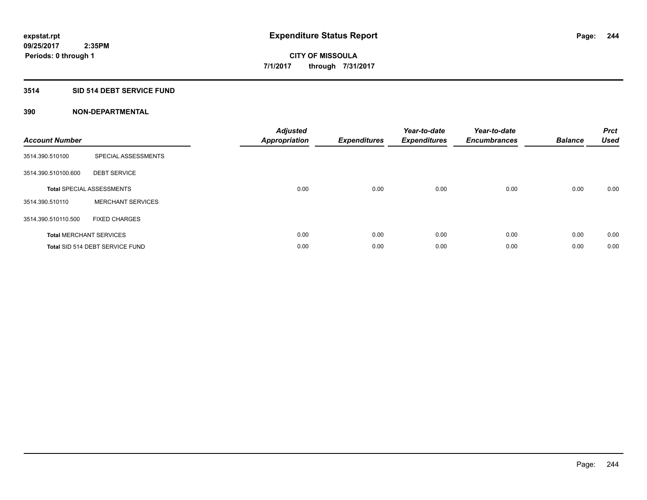## **3514 SID 514 DEBT SERVICE FUND**

| <b>Account Number</b> |                                  | <b>Adjusted</b><br>Appropriation | <b>Expenditures</b> | Year-to-date<br><b>Expenditures</b> | Year-to-date<br><b>Encumbrances</b> | <b>Balance</b> | <b>Prct</b><br><b>Used</b> |
|-----------------------|----------------------------------|----------------------------------|---------------------|-------------------------------------|-------------------------------------|----------------|----------------------------|
| 3514.390.510100       | SPECIAL ASSESSMENTS              |                                  |                     |                                     |                                     |                |                            |
| 3514.390.510100.600   | <b>DEBT SERVICE</b>              |                                  |                     |                                     |                                     |                |                            |
|                       | <b>Total SPECIAL ASSESSMENTS</b> | 0.00                             | 0.00                | 0.00                                | 0.00                                | 0.00           | 0.00                       |
| 3514.390.510110       | <b>MERCHANT SERVICES</b>         |                                  |                     |                                     |                                     |                |                            |
| 3514.390.510110.500   | <b>FIXED CHARGES</b>             |                                  |                     |                                     |                                     |                |                            |
|                       | <b>Total MERCHANT SERVICES</b>   | 0.00                             | 0.00                | 0.00                                | 0.00                                | 0.00           | 0.00                       |
|                       | Total SID 514 DEBT SERVICE FUND  | 0.00                             | 0.00                | 0.00                                | 0.00                                | 0.00           | 0.00                       |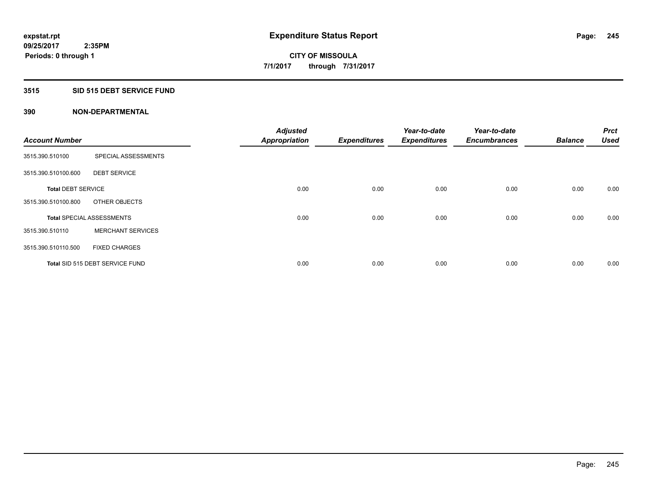### **3515 SID 515 DEBT SERVICE FUND**

| <b>Account Number</b>     |                                  | <b>Adjusted</b>      |                     | Year-to-date        | Year-to-date<br><b>Encumbrances</b> | <b>Balance</b> | <b>Prct</b><br><b>Used</b> |
|---------------------------|----------------------------------|----------------------|---------------------|---------------------|-------------------------------------|----------------|----------------------------|
|                           |                                  | <b>Appropriation</b> | <b>Expenditures</b> | <b>Expenditures</b> |                                     |                |                            |
| 3515.390.510100           | SPECIAL ASSESSMENTS              |                      |                     |                     |                                     |                |                            |
| 3515.390.510100.600       | <b>DEBT SERVICE</b>              |                      |                     |                     |                                     |                |                            |
| <b>Total DEBT SERVICE</b> |                                  | 0.00                 | 0.00                | 0.00                | 0.00                                | 0.00           | 0.00                       |
| 3515.390.510100.800       | OTHER OBJECTS                    |                      |                     |                     |                                     |                |                            |
|                           | <b>Total SPECIAL ASSESSMENTS</b> | 0.00                 | 0.00                | 0.00                | 0.00                                | 0.00           | 0.00                       |
| 3515.390.510110           | <b>MERCHANT SERVICES</b>         |                      |                     |                     |                                     |                |                            |
| 3515.390.510110.500       | <b>FIXED CHARGES</b>             |                      |                     |                     |                                     |                |                            |
|                           | Total SID 515 DEBT SERVICE FUND  | 0.00                 | 0.00                | 0.00                | 0.00                                | 0.00           | 0.00                       |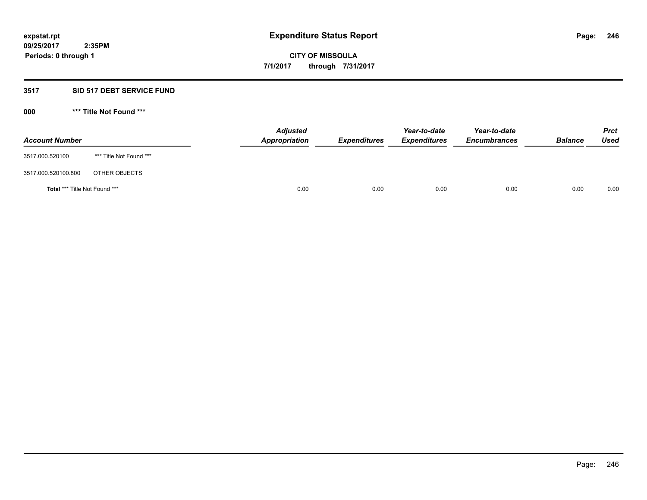## **3517 SID 517 DEBT SERVICE FUND**

| <b>Account Number</b>                |                         | <b>Adjusted</b><br><b>Appropriation</b> | <b>Expenditures</b> | Year-to-date<br><b>Expenditures</b> | Year-to-date<br><b>Encumbrances</b> | <b>Balance</b> | <b>Prct</b><br><b>Used</b> |
|--------------------------------------|-------------------------|-----------------------------------------|---------------------|-------------------------------------|-------------------------------------|----------------|----------------------------|
| 3517.000.520100                      | *** Title Not Found *** |                                         |                     |                                     |                                     |                |                            |
| 3517.000.520100.800                  | OTHER OBJECTS           |                                         |                     |                                     |                                     |                |                            |
| <b>Total *** Title Not Found ***</b> |                         | 0.00                                    | 0.00                | 0.00                                | 0.00                                | 0.00           | 0.00                       |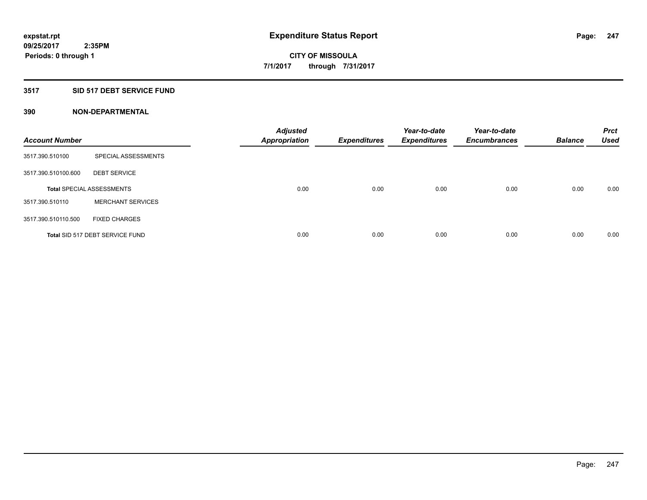### **3517 SID 517 DEBT SERVICE FUND**

| <b>Account Number</b> |                                  | <b>Adjusted</b><br><b>Appropriation</b> | <b>Expenditures</b> | Year-to-date<br><b>Expenditures</b> | Year-to-date<br><b>Encumbrances</b> | <b>Balance</b> | <b>Prct</b><br>Used |
|-----------------------|----------------------------------|-----------------------------------------|---------------------|-------------------------------------|-------------------------------------|----------------|---------------------|
| 3517.390.510100       | SPECIAL ASSESSMENTS              |                                         |                     |                                     |                                     |                |                     |
| 3517.390.510100.600   | <b>DEBT SERVICE</b>              |                                         |                     |                                     |                                     |                |                     |
|                       | <b>Total SPECIAL ASSESSMENTS</b> | 0.00                                    | 0.00                | 0.00                                | 0.00                                | 0.00           | 0.00                |
| 3517.390.510110       | <b>MERCHANT SERVICES</b>         |                                         |                     |                                     |                                     |                |                     |
| 3517.390.510110.500   | <b>FIXED CHARGES</b>             |                                         |                     |                                     |                                     |                |                     |
|                       | Total SID 517 DEBT SERVICE FUND  | 0.00                                    | 0.00                | 0.00                                | 0.00                                | 0.00           | 0.00                |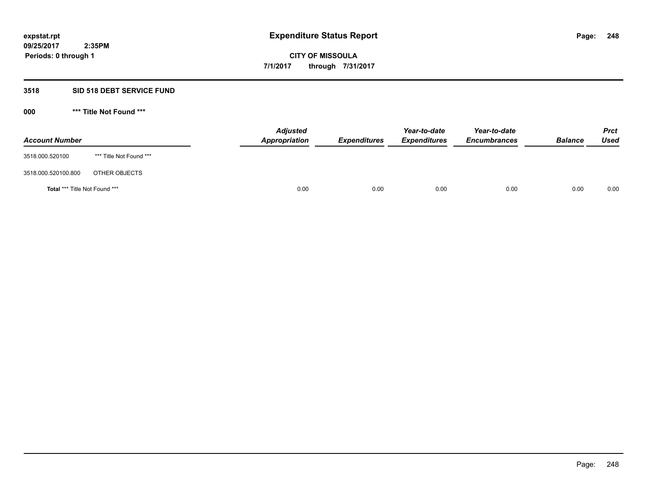## **3518 SID 518 DEBT SERVICE FUND**

| <b>Account Number</b>         |                         | <b>Adjusted</b><br>Appropriation | <b>Expenditures</b> | Year-to-date<br><b>Expenditures</b> | Year-to-date<br><b>Encumbrances</b> | <b>Balance</b> | <b>Prct</b><br>Used |
|-------------------------------|-------------------------|----------------------------------|---------------------|-------------------------------------|-------------------------------------|----------------|---------------------|
| 3518.000.520100               | *** Title Not Found *** |                                  |                     |                                     |                                     |                |                     |
| 3518.000.520100.800           | OTHER OBJECTS           |                                  |                     |                                     |                                     |                |                     |
| Total *** Title Not Found *** |                         | 0.00                             | 0.00                | 0.00                                | 0.00                                | 0.00           | 0.00                |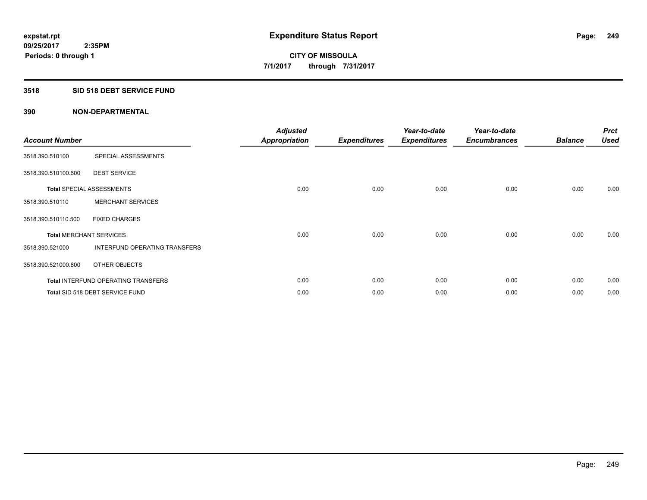### **3518 SID 518 DEBT SERVICE FUND**

| <b>Account Number</b>          |                                        | <b>Adjusted</b><br><b>Appropriation</b> | <b>Expenditures</b> | Year-to-date<br><b>Expenditures</b> | Year-to-date<br><b>Encumbrances</b> | <b>Balance</b> | <b>Prct</b><br><b>Used</b> |
|--------------------------------|----------------------------------------|-----------------------------------------|---------------------|-------------------------------------|-------------------------------------|----------------|----------------------------|
| 3518.390.510100                | SPECIAL ASSESSMENTS                    |                                         |                     |                                     |                                     |                |                            |
| 3518.390.510100.600            | <b>DEBT SERVICE</b>                    |                                         |                     |                                     |                                     |                |                            |
|                                | <b>Total SPECIAL ASSESSMENTS</b>       | 0.00                                    | 0.00                | 0.00                                | 0.00                                | 0.00           | 0.00                       |
| 3518.390.510110                | <b>MERCHANT SERVICES</b>               |                                         |                     |                                     |                                     |                |                            |
| 3518.390.510110.500            | <b>FIXED CHARGES</b>                   |                                         |                     |                                     |                                     |                |                            |
| <b>Total MERCHANT SERVICES</b> |                                        | 0.00                                    | 0.00                | 0.00                                | 0.00                                | 0.00           | 0.00                       |
| 3518.390.521000                | INTERFUND OPERATING TRANSFERS          |                                         |                     |                                     |                                     |                |                            |
| 3518.390.521000.800            | OTHER OBJECTS                          |                                         |                     |                                     |                                     |                |                            |
|                                | Total INTERFUND OPERATING TRANSFERS    | 0.00                                    | 0.00                | 0.00                                | 0.00                                | 0.00           | 0.00                       |
|                                | <b>Total SID 518 DEBT SERVICE FUND</b> | 0.00                                    | 0.00                | 0.00                                | 0.00                                | 0.00           | 0.00                       |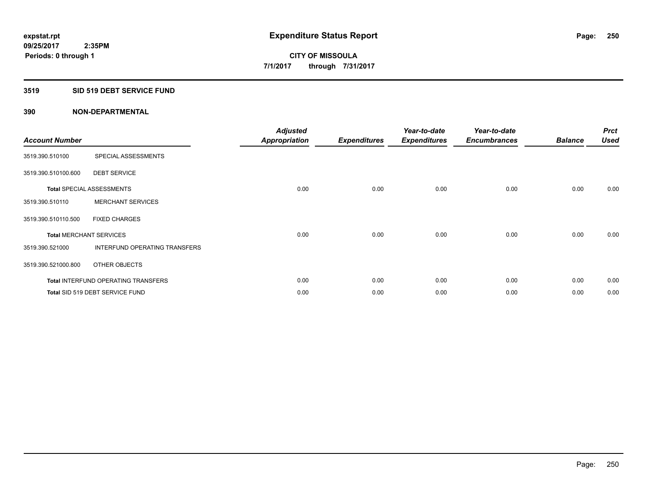#### **3519 SID 519 DEBT SERVICE FUND**

| <b>Account Number</b>          |                                            | <b>Adjusted</b><br><b>Appropriation</b> | <b>Expenditures</b> | Year-to-date<br><b>Expenditures</b> | Year-to-date<br><b>Encumbrances</b> | <b>Balance</b> | <b>Prct</b><br><b>Used</b> |
|--------------------------------|--------------------------------------------|-----------------------------------------|---------------------|-------------------------------------|-------------------------------------|----------------|----------------------------|
| 3519.390.510100                | SPECIAL ASSESSMENTS                        |                                         |                     |                                     |                                     |                |                            |
| 3519.390.510100.600            | <b>DEBT SERVICE</b>                        |                                         |                     |                                     |                                     |                |                            |
|                                | <b>Total SPECIAL ASSESSMENTS</b>           | 0.00                                    | 0.00                | 0.00                                | 0.00                                | 0.00           | 0.00                       |
| 3519.390.510110                | <b>MERCHANT SERVICES</b>                   |                                         |                     |                                     |                                     |                |                            |
| 3519.390.510110.500            | <b>FIXED CHARGES</b>                       |                                         |                     |                                     |                                     |                |                            |
| <b>Total MERCHANT SERVICES</b> |                                            | 0.00                                    | 0.00                | 0.00                                | 0.00                                | 0.00           | 0.00                       |
| 3519.390.521000                | INTERFUND OPERATING TRANSFERS              |                                         |                     |                                     |                                     |                |                            |
| 3519.390.521000.800            | OTHER OBJECTS                              |                                         |                     |                                     |                                     |                |                            |
|                                | <b>Total INTERFUND OPERATING TRANSFERS</b> | 0.00                                    | 0.00                | 0.00                                | 0.00                                | 0.00           | 0.00                       |
|                                | Total SID 519 DEBT SERVICE FUND            | 0.00                                    | 0.00                | 0.00                                | 0.00                                | 0.00           | 0.00                       |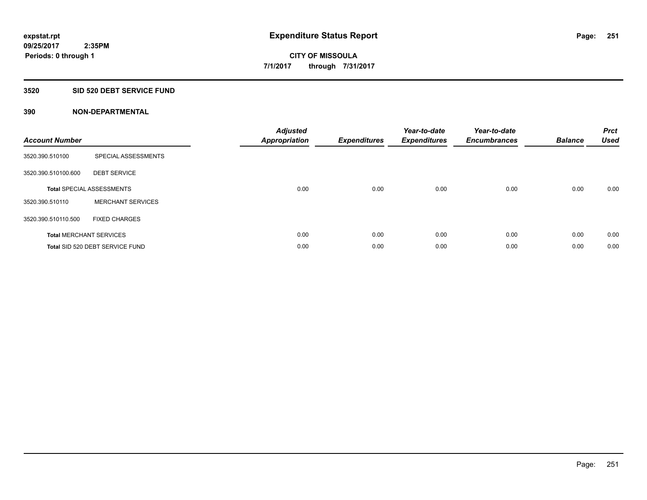## **3520 SID 520 DEBT SERVICE FUND**

| <b>Account Number</b> |                                  | <b>Adjusted</b><br>Appropriation | <b>Expenditures</b> | Year-to-date<br><b>Expenditures</b> | Year-to-date<br><b>Encumbrances</b> | <b>Balance</b> | <b>Prct</b><br><b>Used</b> |
|-----------------------|----------------------------------|----------------------------------|---------------------|-------------------------------------|-------------------------------------|----------------|----------------------------|
| 3520.390.510100       | SPECIAL ASSESSMENTS              |                                  |                     |                                     |                                     |                |                            |
| 3520.390.510100.600   | <b>DEBT SERVICE</b>              |                                  |                     |                                     |                                     |                |                            |
|                       | <b>Total SPECIAL ASSESSMENTS</b> | 0.00                             | 0.00                | 0.00                                | 0.00                                | 0.00           | 0.00                       |
| 3520.390.510110       | <b>MERCHANT SERVICES</b>         |                                  |                     |                                     |                                     |                |                            |
| 3520.390.510110.500   | <b>FIXED CHARGES</b>             |                                  |                     |                                     |                                     |                |                            |
|                       | <b>Total MERCHANT SERVICES</b>   | 0.00                             | 0.00                | 0.00                                | 0.00                                | 0.00           | 0.00                       |
|                       | Total SID 520 DEBT SERVICE FUND  | 0.00                             | 0.00                | 0.00                                | 0.00                                | 0.00           | 0.00                       |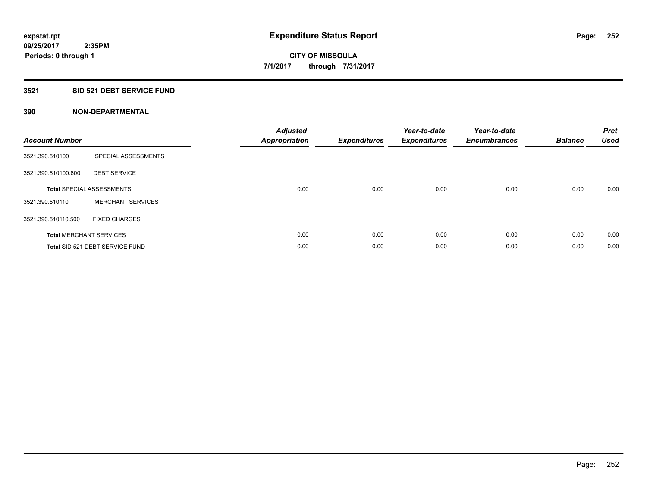## **3521 SID 521 DEBT SERVICE FUND**

| <b>Account Number</b> |                                  | <b>Adjusted</b><br>Appropriation | <b>Expenditures</b> | Year-to-date<br><b>Expenditures</b> | Year-to-date<br><b>Encumbrances</b> | <b>Balance</b> | <b>Prct</b><br><b>Used</b> |
|-----------------------|----------------------------------|----------------------------------|---------------------|-------------------------------------|-------------------------------------|----------------|----------------------------|
| 3521.390.510100       | SPECIAL ASSESSMENTS              |                                  |                     |                                     |                                     |                |                            |
| 3521.390.510100.600   | <b>DEBT SERVICE</b>              |                                  |                     |                                     |                                     |                |                            |
|                       | <b>Total SPECIAL ASSESSMENTS</b> | 0.00                             | 0.00                | 0.00                                | 0.00                                | 0.00           | 0.00                       |
| 3521.390.510110       | <b>MERCHANT SERVICES</b>         |                                  |                     |                                     |                                     |                |                            |
| 3521.390.510110.500   | <b>FIXED CHARGES</b>             |                                  |                     |                                     |                                     |                |                            |
|                       | <b>Total MERCHANT SERVICES</b>   | 0.00                             | 0.00                | 0.00                                | 0.00                                | 0.00           | 0.00                       |
|                       | Total SID 521 DEBT SERVICE FUND  | 0.00                             | 0.00                | 0.00                                | 0.00                                | 0.00           | 0.00                       |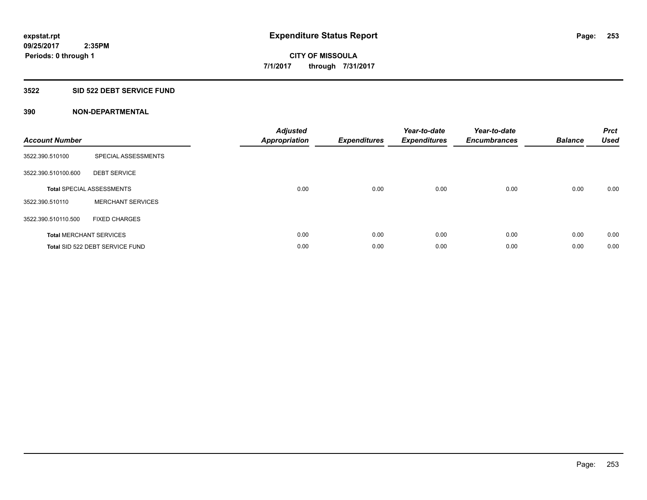#### **3522 SID 522 DEBT SERVICE FUND**

| <b>Account Number</b> |                                  | <b>Adjusted</b><br>Appropriation | <b>Expenditures</b> | Year-to-date<br><b>Expenditures</b> | Year-to-date<br><b>Encumbrances</b> | <b>Balance</b> | <b>Prct</b><br><b>Used</b> |
|-----------------------|----------------------------------|----------------------------------|---------------------|-------------------------------------|-------------------------------------|----------------|----------------------------|
| 3522.390.510100       | SPECIAL ASSESSMENTS              |                                  |                     |                                     |                                     |                |                            |
| 3522.390.510100.600   | <b>DEBT SERVICE</b>              |                                  |                     |                                     |                                     |                |                            |
|                       | <b>Total SPECIAL ASSESSMENTS</b> | 0.00                             | 0.00                | 0.00                                | 0.00                                | 0.00           | 0.00                       |
| 3522.390.510110       | <b>MERCHANT SERVICES</b>         |                                  |                     |                                     |                                     |                |                            |
| 3522.390.510110.500   | <b>FIXED CHARGES</b>             |                                  |                     |                                     |                                     |                |                            |
|                       | <b>Total MERCHANT SERVICES</b>   | 0.00                             | 0.00                | 0.00                                | 0.00                                | 0.00           | 0.00                       |
|                       | Total SID 522 DEBT SERVICE FUND  | 0.00                             | 0.00                | 0.00                                | 0.00                                | 0.00           | 0.00                       |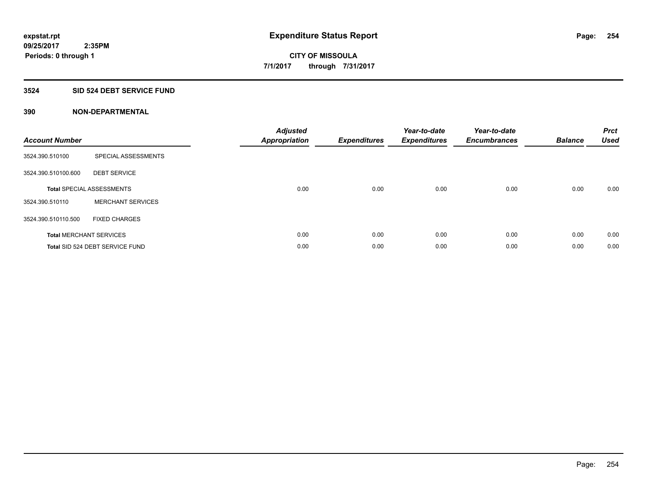#### **3524 SID 524 DEBT SERVICE FUND**

| <b>Account Number</b> |                                  | <b>Adjusted</b><br>Appropriation | <b>Expenditures</b> | Year-to-date<br><b>Expenditures</b> | Year-to-date<br><b>Encumbrances</b> | <b>Balance</b> | <b>Prct</b><br><b>Used</b> |
|-----------------------|----------------------------------|----------------------------------|---------------------|-------------------------------------|-------------------------------------|----------------|----------------------------|
| 3524.390.510100       | SPECIAL ASSESSMENTS              |                                  |                     |                                     |                                     |                |                            |
| 3524.390.510100.600   | <b>DEBT SERVICE</b>              |                                  |                     |                                     |                                     |                |                            |
|                       | <b>Total SPECIAL ASSESSMENTS</b> | 0.00                             | 0.00                | 0.00                                | 0.00                                | 0.00           | 0.00                       |
| 3524.390.510110       | <b>MERCHANT SERVICES</b>         |                                  |                     |                                     |                                     |                |                            |
| 3524.390.510110.500   | <b>FIXED CHARGES</b>             |                                  |                     |                                     |                                     |                |                            |
|                       | <b>Total MERCHANT SERVICES</b>   | 0.00                             | 0.00                | 0.00                                | 0.00                                | 0.00           | 0.00                       |
|                       | Total SID 524 DEBT SERVICE FUND  | 0.00                             | 0.00                | 0.00                                | 0.00                                | 0.00           | 0.00                       |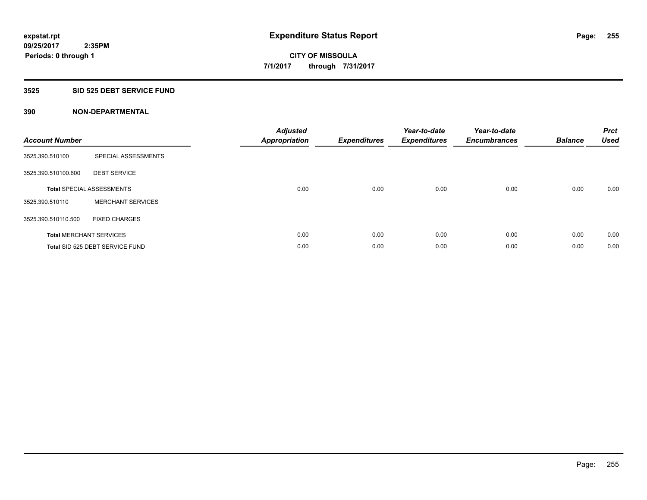#### **3525 SID 525 DEBT SERVICE FUND**

| <b>Account Number</b> |                                  | <b>Adjusted</b><br>Appropriation | <b>Expenditures</b> | Year-to-date<br><b>Expenditures</b> | Year-to-date<br><b>Encumbrances</b> | <b>Balance</b> | <b>Prct</b><br><b>Used</b> |
|-----------------------|----------------------------------|----------------------------------|---------------------|-------------------------------------|-------------------------------------|----------------|----------------------------|
| 3525.390.510100       | SPECIAL ASSESSMENTS              |                                  |                     |                                     |                                     |                |                            |
| 3525.390.510100.600   | <b>DEBT SERVICE</b>              |                                  |                     |                                     |                                     |                |                            |
|                       | <b>Total SPECIAL ASSESSMENTS</b> | 0.00                             | 0.00                | 0.00                                | 0.00                                | 0.00           | 0.00                       |
| 3525.390.510110       | <b>MERCHANT SERVICES</b>         |                                  |                     |                                     |                                     |                |                            |
| 3525.390.510110.500   | <b>FIXED CHARGES</b>             |                                  |                     |                                     |                                     |                |                            |
|                       | <b>Total MERCHANT SERVICES</b>   | 0.00                             | 0.00                | 0.00                                | 0.00                                | 0.00           | 0.00                       |
|                       | Total SID 525 DEBT SERVICE FUND  | 0.00                             | 0.00                | 0.00                                | 0.00                                | 0.00           | 0.00                       |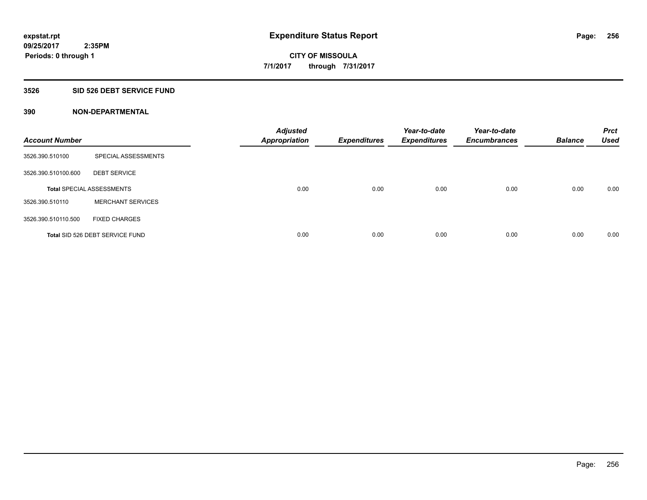#### **3526 SID 526 DEBT SERVICE FUND**

| <b>Account Number</b> |                                  | <b>Adjusted</b><br><b>Appropriation</b> | <b>Expenditures</b> | Year-to-date<br><b>Expenditures</b> | Year-to-date<br><b>Encumbrances</b> | <b>Balance</b> | <b>Prct</b><br><b>Used</b> |
|-----------------------|----------------------------------|-----------------------------------------|---------------------|-------------------------------------|-------------------------------------|----------------|----------------------------|
| 3526.390.510100       | SPECIAL ASSESSMENTS              |                                         |                     |                                     |                                     |                |                            |
| 3526.390.510100.600   | <b>DEBT SERVICE</b>              |                                         |                     |                                     |                                     |                |                            |
|                       | <b>Total SPECIAL ASSESSMENTS</b> | 0.00                                    | 0.00                | 0.00                                | 0.00                                | 0.00           | 0.00                       |
| 3526.390.510110       | <b>MERCHANT SERVICES</b>         |                                         |                     |                                     |                                     |                |                            |
| 3526.390.510110.500   | <b>FIXED CHARGES</b>             |                                         |                     |                                     |                                     |                |                            |
|                       | Total SID 526 DEBT SERVICE FUND  | 0.00                                    | 0.00                | 0.00                                | 0.00                                | 0.00           | 0.00                       |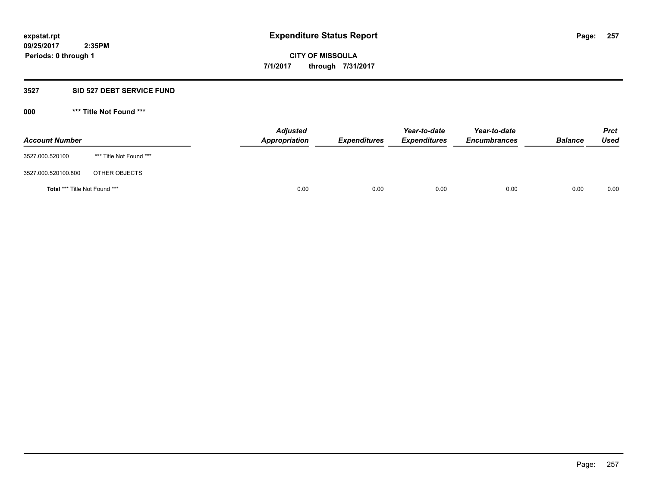#### **3527 SID 527 DEBT SERVICE FUND**

**000 \*\*\* Title Not Found \*\*\***

| <b>Account Number</b>         |                         | <b>Adjusted</b><br>Appropriation | <b>Expenditures</b> | Year-to-date<br><b>Expenditures</b> | Year-to-date<br><b>Encumbrances</b> | <b>Balance</b> | <b>Prct</b><br>Used |
|-------------------------------|-------------------------|----------------------------------|---------------------|-------------------------------------|-------------------------------------|----------------|---------------------|
| 3527.000.520100               | *** Title Not Found *** |                                  |                     |                                     |                                     |                |                     |
| 3527.000.520100.800           | OTHER OBJECTS           |                                  |                     |                                     |                                     |                |                     |
| Total *** Title Not Found *** |                         | 0.00                             | 0.00                | 0.00                                | 0.00                                | 0.00           | 0.00                |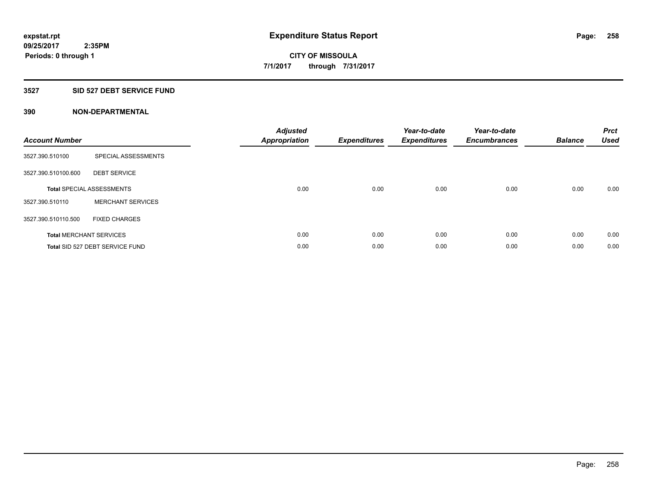### **3527 SID 527 DEBT SERVICE FUND**

| <b>Account Number</b> |                                  | <b>Adjusted</b><br>Appropriation | <b>Expenditures</b> | Year-to-date<br><b>Expenditures</b> | Year-to-date<br><b>Encumbrances</b> | <b>Balance</b> | <b>Prct</b><br><b>Used</b> |
|-----------------------|----------------------------------|----------------------------------|---------------------|-------------------------------------|-------------------------------------|----------------|----------------------------|
| 3527.390.510100       | SPECIAL ASSESSMENTS              |                                  |                     |                                     |                                     |                |                            |
| 3527.390.510100.600   | <b>DEBT SERVICE</b>              |                                  |                     |                                     |                                     |                |                            |
|                       | <b>Total SPECIAL ASSESSMENTS</b> | 0.00                             | 0.00                | 0.00                                | 0.00                                | 0.00           | 0.00                       |
| 3527.390.510110       | <b>MERCHANT SERVICES</b>         |                                  |                     |                                     |                                     |                |                            |
| 3527.390.510110.500   | <b>FIXED CHARGES</b>             |                                  |                     |                                     |                                     |                |                            |
|                       | <b>Total MERCHANT SERVICES</b>   | 0.00                             | 0.00                | 0.00                                | 0.00                                | 0.00           | 0.00                       |
|                       | Total SID 527 DEBT SERVICE FUND  | 0.00                             | 0.00                | 0.00                                | 0.00                                | 0.00           | 0.00                       |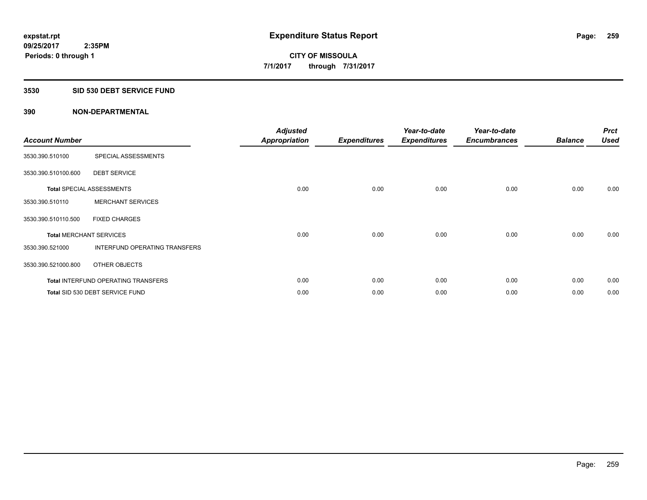#### **3530 SID 530 DEBT SERVICE FUND**

| <b>Account Number</b> |                                            | <b>Adjusted</b><br><b>Appropriation</b> | <b>Expenditures</b> | Year-to-date<br><b>Expenditures</b> | Year-to-date<br><b>Encumbrances</b> | <b>Balance</b> | <b>Prct</b><br><b>Used</b> |
|-----------------------|--------------------------------------------|-----------------------------------------|---------------------|-------------------------------------|-------------------------------------|----------------|----------------------------|
| 3530.390.510100       | SPECIAL ASSESSMENTS                        |                                         |                     |                                     |                                     |                |                            |
| 3530.390.510100.600   | <b>DEBT SERVICE</b>                        |                                         |                     |                                     |                                     |                |                            |
|                       | <b>Total SPECIAL ASSESSMENTS</b>           | 0.00                                    | 0.00                | 0.00                                | 0.00                                | 0.00           | 0.00                       |
| 3530.390.510110       | <b>MERCHANT SERVICES</b>                   |                                         |                     |                                     |                                     |                |                            |
| 3530.390.510110.500   | <b>FIXED CHARGES</b>                       |                                         |                     |                                     |                                     |                |                            |
|                       | <b>Total MERCHANT SERVICES</b>             | 0.00                                    | 0.00                | 0.00                                | 0.00                                | 0.00           | 0.00                       |
| 3530.390.521000       | INTERFUND OPERATING TRANSFERS              |                                         |                     |                                     |                                     |                |                            |
| 3530.390.521000.800   | OTHER OBJECTS                              |                                         |                     |                                     |                                     |                |                            |
|                       | <b>Total INTERFUND OPERATING TRANSFERS</b> | 0.00                                    | 0.00                | 0.00                                | 0.00                                | 0.00           | 0.00                       |
|                       | Total SID 530 DEBT SERVICE FUND            | 0.00                                    | 0.00                | 0.00                                | 0.00                                | 0.00           | 0.00                       |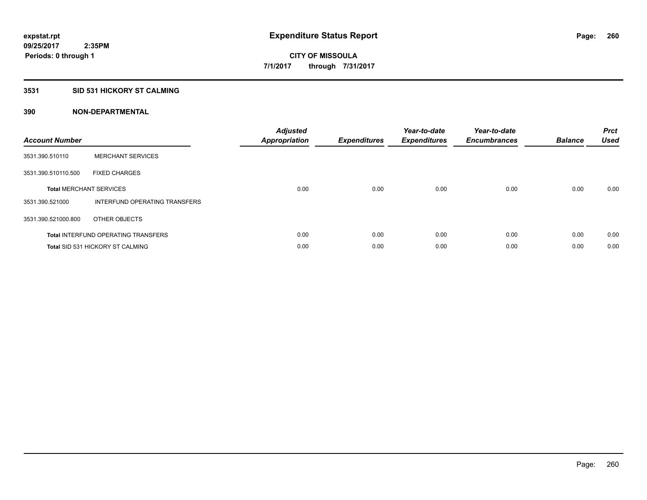#### **3531 SID 531 HICKORY ST CALMING**

| <b>Account Number</b> |                                            | <b>Adjusted</b><br>Appropriation | <b>Expenditures</b> | Year-to-date<br><b>Expenditures</b> | Year-to-date<br><b>Encumbrances</b> | <b>Balance</b> | <b>Prct</b><br><b>Used</b> |
|-----------------------|--------------------------------------------|----------------------------------|---------------------|-------------------------------------|-------------------------------------|----------------|----------------------------|
| 3531.390.510110       | <b>MERCHANT SERVICES</b>                   |                                  |                     |                                     |                                     |                |                            |
| 3531.390.510110.500   | <b>FIXED CHARGES</b>                       |                                  |                     |                                     |                                     |                |                            |
|                       | <b>Total MERCHANT SERVICES</b>             | 0.00                             | 0.00                | 0.00                                | 0.00                                | 0.00           | 0.00                       |
| 3531.390.521000       | INTERFUND OPERATING TRANSFERS              |                                  |                     |                                     |                                     |                |                            |
| 3531.390.521000.800   | OTHER OBJECTS                              |                                  |                     |                                     |                                     |                |                            |
|                       | <b>Total INTERFUND OPERATING TRANSFERS</b> | 0.00                             | 0.00                | 0.00                                | 0.00                                | 0.00           | 0.00                       |
|                       | <b>Total SID 531 HICKORY ST CALMING</b>    | 0.00                             | 0.00                | 0.00                                | 0.00                                | 0.00           | 0.00                       |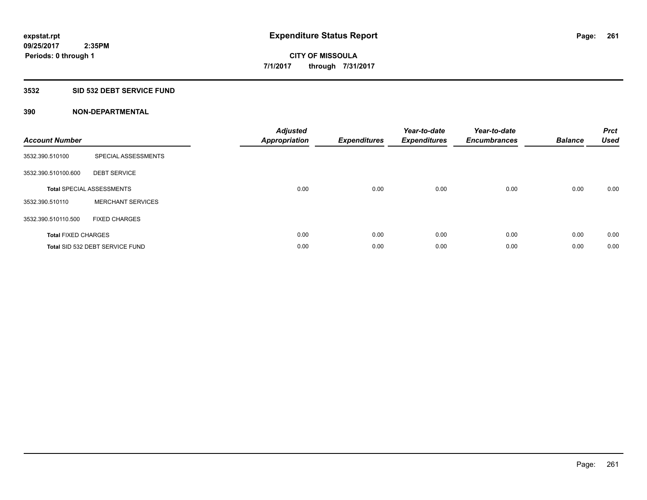### **3532 SID 532 DEBT SERVICE FUND**

| <b>Account Number</b>      |                                  | <b>Adjusted</b><br>Appropriation | <b>Expenditures</b> | Year-to-date<br><b>Expenditures</b> | Year-to-date<br><b>Encumbrances</b> | <b>Balance</b> | <b>Prct</b><br><b>Used</b> |
|----------------------------|----------------------------------|----------------------------------|---------------------|-------------------------------------|-------------------------------------|----------------|----------------------------|
| 3532.390.510100            | SPECIAL ASSESSMENTS              |                                  |                     |                                     |                                     |                |                            |
| 3532.390.510100.600        | <b>DEBT SERVICE</b>              |                                  |                     |                                     |                                     |                |                            |
|                            | <b>Total SPECIAL ASSESSMENTS</b> | 0.00                             | 0.00                | 0.00                                | 0.00                                | 0.00           | 0.00                       |
| 3532.390.510110            | <b>MERCHANT SERVICES</b>         |                                  |                     |                                     |                                     |                |                            |
| 3532.390.510110.500        | <b>FIXED CHARGES</b>             |                                  |                     |                                     |                                     |                |                            |
| <b>Total FIXED CHARGES</b> |                                  | 0.00                             | 0.00                | 0.00                                | 0.00                                | 0.00           | 0.00                       |
|                            | Total SID 532 DEBT SERVICE FUND  | 0.00                             | 0.00                | 0.00                                | 0.00                                | 0.00           | 0.00                       |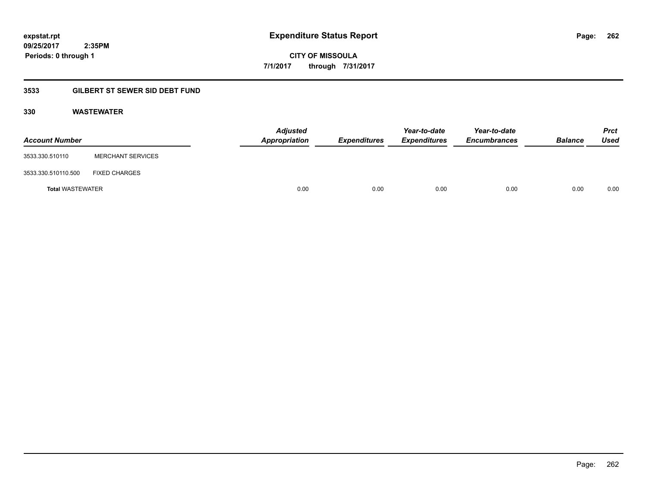**CITY OF MISSOULA 7/1/2017 through 7/31/2017**

## **3533 GILBERT ST SEWER SID DEBT FUND**

### **330 WASTEWATER**

| <b>Account Number</b>   |                          | <b>Adjusted</b><br>Appropriation | Expenditures | Year-to-date<br><b>Expenditures</b> | Year-to-date<br><b>Encumbrances</b> | <b>Balance</b> | <b>Prct</b><br>Used |
|-------------------------|--------------------------|----------------------------------|--------------|-------------------------------------|-------------------------------------|----------------|---------------------|
| 3533.330.510110         | <b>MERCHANT SERVICES</b> |                                  |              |                                     |                                     |                |                     |
| 3533.330.510110.500     | <b>FIXED CHARGES</b>     |                                  |              |                                     |                                     |                |                     |
| <b>Total WASTEWATER</b> |                          | 0.00                             | 0.00         | 0.00                                | 0.00                                | 0.00           | 0.00                |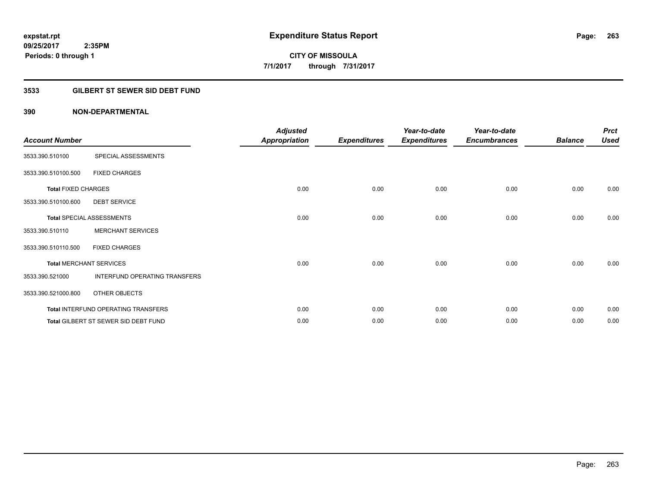## **3533 GILBERT ST SEWER SID DEBT FUND**

| <b>Account Number</b>      |                                      | <b>Adjusted</b><br><b>Appropriation</b> | <b>Expenditures</b> | Year-to-date<br><b>Expenditures</b> | Year-to-date<br><b>Encumbrances</b> | <b>Balance</b> | <b>Prct</b><br><b>Used</b> |
|----------------------------|--------------------------------------|-----------------------------------------|---------------------|-------------------------------------|-------------------------------------|----------------|----------------------------|
| 3533.390.510100            | SPECIAL ASSESSMENTS                  |                                         |                     |                                     |                                     |                |                            |
| 3533.390.510100.500        | <b>FIXED CHARGES</b>                 |                                         |                     |                                     |                                     |                |                            |
| <b>Total FIXED CHARGES</b> |                                      | 0.00                                    | 0.00                | 0.00                                | 0.00                                | 0.00           | 0.00                       |
| 3533.390.510100.600        | <b>DEBT SERVICE</b>                  |                                         |                     |                                     |                                     |                |                            |
|                            | <b>Total SPECIAL ASSESSMENTS</b>     | 0.00                                    | 0.00                | 0.00                                | 0.00                                | 0.00           | 0.00                       |
| 3533.390.510110            | <b>MERCHANT SERVICES</b>             |                                         |                     |                                     |                                     |                |                            |
| 3533.390.510110.500        | <b>FIXED CHARGES</b>                 |                                         |                     |                                     |                                     |                |                            |
|                            | <b>Total MERCHANT SERVICES</b>       | 0.00                                    | 0.00                | 0.00                                | 0.00                                | 0.00           | 0.00                       |
| 3533.390.521000            | INTERFUND OPERATING TRANSFERS        |                                         |                     |                                     |                                     |                |                            |
| 3533.390.521000.800        | OTHER OBJECTS                        |                                         |                     |                                     |                                     |                |                            |
|                            | Total INTERFUND OPERATING TRANSFERS  | 0.00                                    | 0.00                | 0.00                                | 0.00                                | 0.00           | 0.00                       |
|                            | Total GILBERT ST SEWER SID DEBT FUND | 0.00                                    | 0.00                | 0.00                                | 0.00                                | 0.00           | 0.00                       |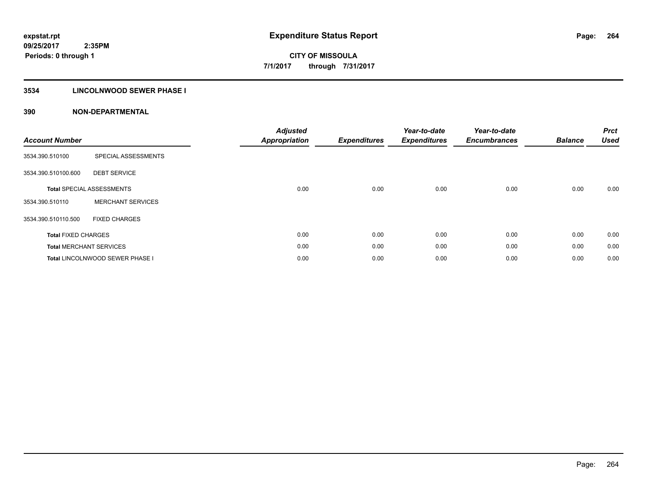## **3534 LINCOLNWOOD SEWER PHASE I**

| <b>Account Number</b>      |                                  | <b>Adjusted</b><br><b>Appropriation</b> | <b>Expenditures</b> | Year-to-date<br><b>Expenditures</b> | Year-to-date<br><b>Encumbrances</b> | <b>Balance</b> | <b>Prct</b><br><b>Used</b> |
|----------------------------|----------------------------------|-----------------------------------------|---------------------|-------------------------------------|-------------------------------------|----------------|----------------------------|
| 3534.390.510100            | SPECIAL ASSESSMENTS              |                                         |                     |                                     |                                     |                |                            |
| 3534.390.510100.600        | <b>DEBT SERVICE</b>              |                                         |                     |                                     |                                     |                |                            |
|                            | <b>Total SPECIAL ASSESSMENTS</b> | 0.00                                    | 0.00                | 0.00                                | 0.00                                | 0.00           | 0.00                       |
| 3534.390.510110            | <b>MERCHANT SERVICES</b>         |                                         |                     |                                     |                                     |                |                            |
| 3534.390.510110.500        | <b>FIXED CHARGES</b>             |                                         |                     |                                     |                                     |                |                            |
| <b>Total FIXED CHARGES</b> |                                  | 0.00                                    | 0.00                | 0.00                                | 0.00                                | 0.00           | 0.00                       |
|                            | <b>Total MERCHANT SERVICES</b>   | 0.00                                    | 0.00                | 0.00                                | 0.00                                | 0.00           | 0.00                       |
|                            | Total LINCOLNWOOD SEWER PHASE I  | 0.00                                    | 0.00                | 0.00                                | 0.00                                | 0.00           | 0.00                       |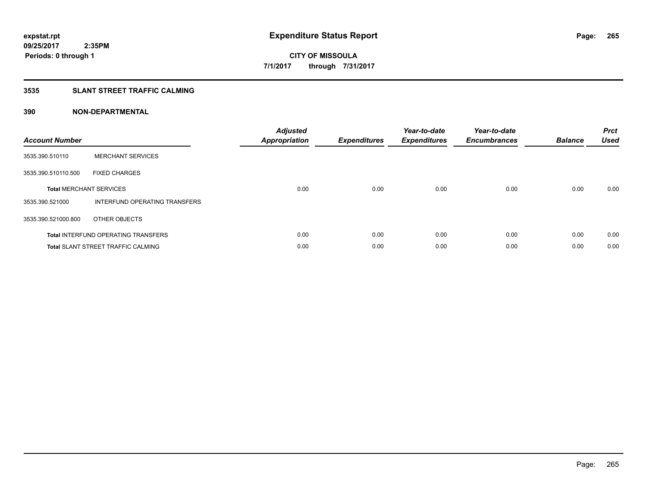## **3535 SLANT STREET TRAFFIC CALMING**

| <b>Account Number</b> |                                            | <b>Adjusted</b><br><b>Appropriation</b> | <b>Expenditures</b> | Year-to-date<br><b>Expenditures</b> | Year-to-date<br><b>Encumbrances</b> | <b>Balance</b> | <b>Prct</b><br><b>Used</b> |
|-----------------------|--------------------------------------------|-----------------------------------------|---------------------|-------------------------------------|-------------------------------------|----------------|----------------------------|
| 3535.390.510110       | <b>MERCHANT SERVICES</b>                   |                                         |                     |                                     |                                     |                |                            |
| 3535.390.510110.500   | <b>FIXED CHARGES</b>                       |                                         |                     |                                     |                                     |                |                            |
|                       | <b>Total MERCHANT SERVICES</b>             | 0.00                                    | 0.00                | 0.00                                | 0.00                                | 0.00           | 0.00                       |
| 3535.390.521000       | <b>INTERFUND OPERATING TRANSFERS</b>       |                                         |                     |                                     |                                     |                |                            |
| 3535.390.521000.800   | OTHER OBJECTS                              |                                         |                     |                                     |                                     |                |                            |
|                       | <b>Total INTERFUND OPERATING TRANSFERS</b> | 0.00                                    | 0.00                | 0.00                                | 0.00                                | 0.00           | 0.00                       |
|                       | <b>Total SLANT STREET TRAFFIC CALMING</b>  | 0.00                                    | 0.00                | 0.00                                | 0.00                                | 0.00           | 0.00                       |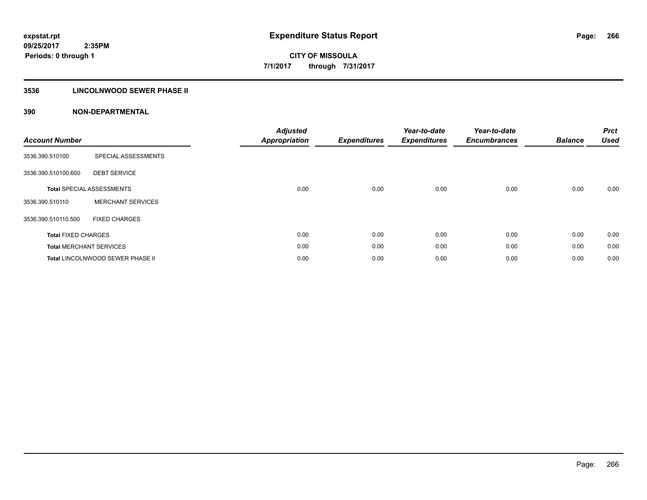## **3536 LINCOLNWOOD SEWER PHASE II**

| <b>Account Number</b>      |                                  | <b>Adjusted</b><br><b>Appropriation</b> | <b>Expenditures</b> | Year-to-date<br><b>Expenditures</b> | Year-to-date<br><b>Encumbrances</b> | <b>Balance</b> | <b>Prct</b><br><b>Used</b> |
|----------------------------|----------------------------------|-----------------------------------------|---------------------|-------------------------------------|-------------------------------------|----------------|----------------------------|
| 3536.390.510100            | SPECIAL ASSESSMENTS              |                                         |                     |                                     |                                     |                |                            |
| 3536.390.510100.600        | <b>DEBT SERVICE</b>              |                                         |                     |                                     |                                     |                |                            |
|                            | <b>Total SPECIAL ASSESSMENTS</b> | 0.00                                    | 0.00                | 0.00                                | 0.00                                | 0.00           | 0.00                       |
| 3536.390.510110            | <b>MERCHANT SERVICES</b>         |                                         |                     |                                     |                                     |                |                            |
| 3536.390.510110.500        | <b>FIXED CHARGES</b>             |                                         |                     |                                     |                                     |                |                            |
| <b>Total FIXED CHARGES</b> |                                  | 0.00                                    | 0.00                | 0.00                                | 0.00                                | 0.00           | 0.00                       |
|                            | <b>Total MERCHANT SERVICES</b>   | 0.00                                    | 0.00                | 0.00                                | 0.00                                | 0.00           | 0.00                       |
|                            | Total LINCOLNWOOD SEWER PHASE II | 0.00                                    | 0.00                | 0.00                                | 0.00                                | 0.00           | 0.00                       |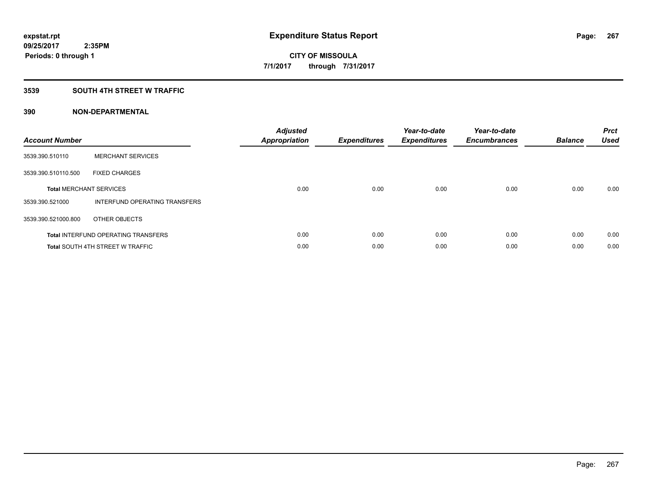### **3539 SOUTH 4TH STREET W TRAFFIC**

| <b>Account Number</b> |                                            | <b>Adjusted</b><br>Appropriation | <b>Expenditures</b> | Year-to-date<br><b>Expenditures</b> | Year-to-date<br><b>Encumbrances</b> | <b>Balance</b> | <b>Prct</b><br><b>Used</b> |
|-----------------------|--------------------------------------------|----------------------------------|---------------------|-------------------------------------|-------------------------------------|----------------|----------------------------|
| 3539.390.510110       | <b>MERCHANT SERVICES</b>                   |                                  |                     |                                     |                                     |                |                            |
| 3539.390.510110.500   | <b>FIXED CHARGES</b>                       |                                  |                     |                                     |                                     |                |                            |
|                       | <b>Total MERCHANT SERVICES</b>             | 0.00                             | 0.00                | 0.00                                | 0.00                                | 0.00           | 0.00                       |
| 3539.390.521000       | INTERFUND OPERATING TRANSFERS              |                                  |                     |                                     |                                     |                |                            |
| 3539.390.521000.800   | OTHER OBJECTS                              |                                  |                     |                                     |                                     |                |                            |
|                       | <b>Total INTERFUND OPERATING TRANSFERS</b> | 0.00                             | 0.00                | 0.00                                | 0.00                                | 0.00           | 0.00                       |
|                       | <b>Total SOUTH 4TH STREET W TRAFFIC</b>    | 0.00                             | 0.00                | 0.00                                | 0.00                                | 0.00           | 0.00                       |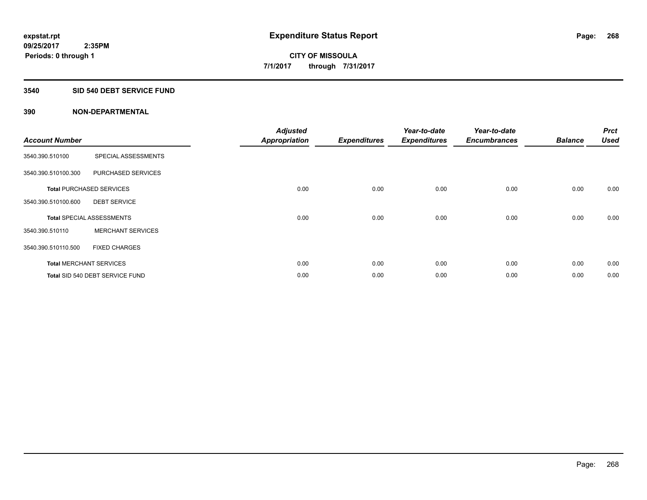#### **3540 SID 540 DEBT SERVICE FUND**

| <b>Account Number</b> |                                  | <b>Adjusted</b><br><b>Appropriation</b> | <b>Expenditures</b> | Year-to-date<br><b>Expenditures</b> | Year-to-date<br><b>Encumbrances</b> | <b>Balance</b> | <b>Prct</b><br><b>Used</b> |
|-----------------------|----------------------------------|-----------------------------------------|---------------------|-------------------------------------|-------------------------------------|----------------|----------------------------|
| 3540.390.510100       | SPECIAL ASSESSMENTS              |                                         |                     |                                     |                                     |                |                            |
| 3540.390.510100.300   | PURCHASED SERVICES               |                                         |                     |                                     |                                     |                |                            |
|                       | <b>Total PURCHASED SERVICES</b>  | 0.00                                    | 0.00                | 0.00                                | 0.00                                | 0.00           | 0.00                       |
| 3540.390.510100.600   | <b>DEBT SERVICE</b>              |                                         |                     |                                     |                                     |                |                            |
|                       | <b>Total SPECIAL ASSESSMENTS</b> | 0.00                                    | 0.00                | 0.00                                | 0.00                                | 0.00           | 0.00                       |
| 3540.390.510110       | <b>MERCHANT SERVICES</b>         |                                         |                     |                                     |                                     |                |                            |
| 3540.390.510110.500   | <b>FIXED CHARGES</b>             |                                         |                     |                                     |                                     |                |                            |
|                       | <b>Total MERCHANT SERVICES</b>   | 0.00                                    | 0.00                | 0.00                                | 0.00                                | 0.00           | 0.00                       |
|                       | Total SID 540 DEBT SERVICE FUND  | 0.00                                    | 0.00                | 0.00                                | 0.00                                | 0.00           | 0.00                       |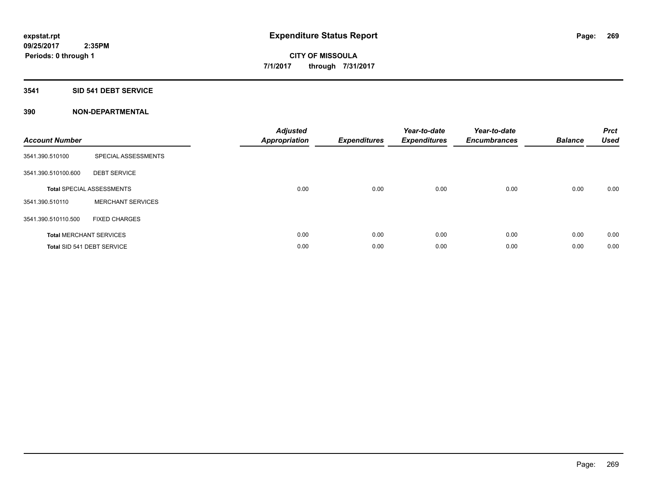#### **3541 SID 541 DEBT SERVICE**

| <b>Account Number</b> |                                  | <b>Adjusted</b><br><b>Appropriation</b> | <b>Expenditures</b> | Year-to-date<br><b>Expenditures</b> | Year-to-date<br><b>Encumbrances</b> | <b>Balance</b> | <b>Prct</b><br><b>Used</b> |
|-----------------------|----------------------------------|-----------------------------------------|---------------------|-------------------------------------|-------------------------------------|----------------|----------------------------|
| 3541.390.510100       | SPECIAL ASSESSMENTS              |                                         |                     |                                     |                                     |                |                            |
| 3541.390.510100.600   | <b>DEBT SERVICE</b>              |                                         |                     |                                     |                                     |                |                            |
|                       | <b>Total SPECIAL ASSESSMENTS</b> | 0.00                                    | 0.00                | 0.00                                | 0.00                                | 0.00           | 0.00                       |
| 3541.390.510110       | <b>MERCHANT SERVICES</b>         |                                         |                     |                                     |                                     |                |                            |
| 3541.390.510110.500   | <b>FIXED CHARGES</b>             |                                         |                     |                                     |                                     |                |                            |
|                       | <b>Total MERCHANT SERVICES</b>   | 0.00                                    | 0.00                | 0.00                                | 0.00                                | 0.00           | 0.00                       |
|                       | Total SID 541 DEBT SERVICE       | 0.00                                    | 0.00                | 0.00                                | 0.00                                | 0.00           | 0.00                       |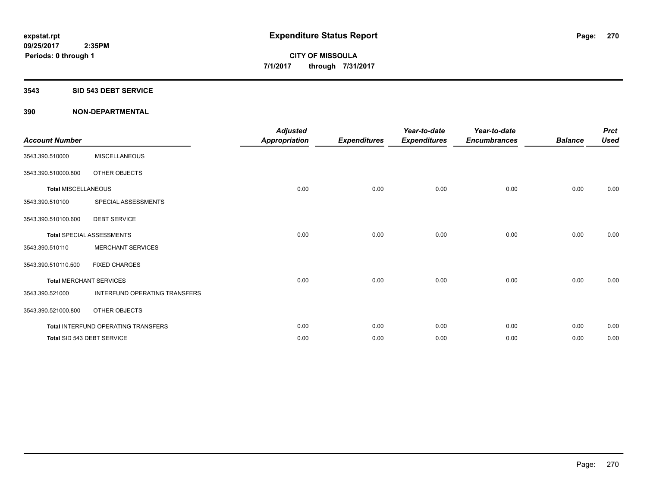#### **3543 SID 543 DEBT SERVICE**

| <b>Account Number</b>      |                                     | <b>Adjusted</b><br><b>Appropriation</b> | <b>Expenditures</b> | Year-to-date<br><b>Expenditures</b> | Year-to-date<br><b>Encumbrances</b> | <b>Balance</b> | <b>Prct</b><br><b>Used</b> |
|----------------------------|-------------------------------------|-----------------------------------------|---------------------|-------------------------------------|-------------------------------------|----------------|----------------------------|
| 3543.390.510000            | <b>MISCELLANEOUS</b>                |                                         |                     |                                     |                                     |                |                            |
| 3543.390.510000.800        | OTHER OBJECTS                       |                                         |                     |                                     |                                     |                |                            |
| <b>Total MISCELLANEOUS</b> |                                     | 0.00                                    | 0.00                | 0.00                                | 0.00                                | 0.00           | 0.00                       |
| 3543.390.510100            | SPECIAL ASSESSMENTS                 |                                         |                     |                                     |                                     |                |                            |
| 3543.390.510100.600        | <b>DEBT SERVICE</b>                 |                                         |                     |                                     |                                     |                |                            |
|                            | <b>Total SPECIAL ASSESSMENTS</b>    | 0.00                                    | 0.00                | 0.00                                | 0.00                                | 0.00           | 0.00                       |
| 3543.390.510110            | <b>MERCHANT SERVICES</b>            |                                         |                     |                                     |                                     |                |                            |
| 3543.390.510110.500        | <b>FIXED CHARGES</b>                |                                         |                     |                                     |                                     |                |                            |
|                            | <b>Total MERCHANT SERVICES</b>      | 0.00                                    | 0.00                | 0.00                                | 0.00                                | 0.00           | 0.00                       |
| 3543.390.521000            | INTERFUND OPERATING TRANSFERS       |                                         |                     |                                     |                                     |                |                            |
| 3543.390.521000.800        | OTHER OBJECTS                       |                                         |                     |                                     |                                     |                |                            |
|                            | Total INTERFUND OPERATING TRANSFERS | 0.00                                    | 0.00                | 0.00                                | 0.00                                | 0.00           | 0.00                       |
|                            | Total SID 543 DEBT SERVICE          | 0.00                                    | 0.00                | 0.00                                | 0.00                                | 0.00           | 0.00                       |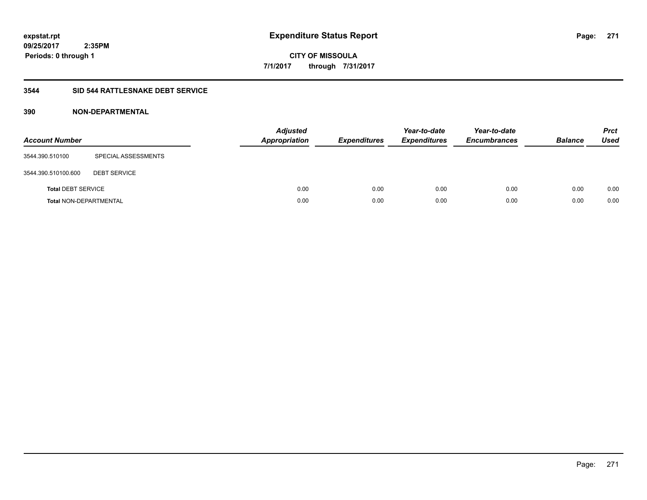**CITY OF MISSOULA 7/1/2017 through 7/31/2017**

### **3544 SID 544 RATTLESNAKE DEBT SERVICE**

| <b>Account Number</b>         |                     | Adjusted<br><b>Appropriation</b> | <b>Expenditures</b> | Year-to-date<br><b>Expenditures</b> | Year-to-date<br><b>Encumbrances</b> | <b>Balance</b> | <b>Prct</b><br><b>Used</b> |
|-------------------------------|---------------------|----------------------------------|---------------------|-------------------------------------|-------------------------------------|----------------|----------------------------|
| 3544.390.510100               | SPECIAL ASSESSMENTS |                                  |                     |                                     |                                     |                |                            |
| 3544.390.510100.600           | <b>DEBT SERVICE</b> |                                  |                     |                                     |                                     |                |                            |
| <b>Total DEBT SERVICE</b>     |                     | 0.00                             | 0.00                | 0.00                                | 0.00                                | 0.00           | 0.00                       |
| <b>Total NON-DEPARTMENTAL</b> |                     | 0.00                             | 0.00                | 0.00                                | 0.00                                | 0.00           | 0.00                       |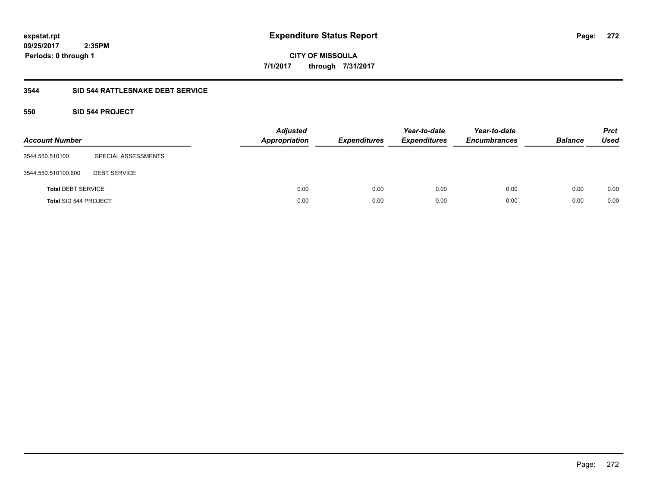**272**

**CITY OF MISSOULA 7/1/2017 through 7/31/2017**

### **3544 SID 544 RATTLESNAKE DEBT SERVICE**

## **550 SID 544 PROJECT**

| <b>Account Number</b>        |                     | <b>Adjusted</b><br><b>Appropriation</b> | <b>Expenditures</b> | Year-to-date<br><b>Expenditures</b> | Year-to-date<br><b>Encumbrances</b> | <b>Balance</b> | <b>Prct</b><br><b>Used</b> |
|------------------------------|---------------------|-----------------------------------------|---------------------|-------------------------------------|-------------------------------------|----------------|----------------------------|
| 3544.550.510100              | SPECIAL ASSESSMENTS |                                         |                     |                                     |                                     |                |                            |
| 3544.550.510100.600          | <b>DEBT SERVICE</b> |                                         |                     |                                     |                                     |                |                            |
| <b>Total DEBT SERVICE</b>    |                     | 0.00                                    | 0.00                | 0.00                                | 0.00                                | 0.00           | 0.00                       |
| <b>Total SID 544 PROJECT</b> |                     | 0.00                                    | 0.00                | 0.00                                | 0.00                                | 0.00           | 0.00                       |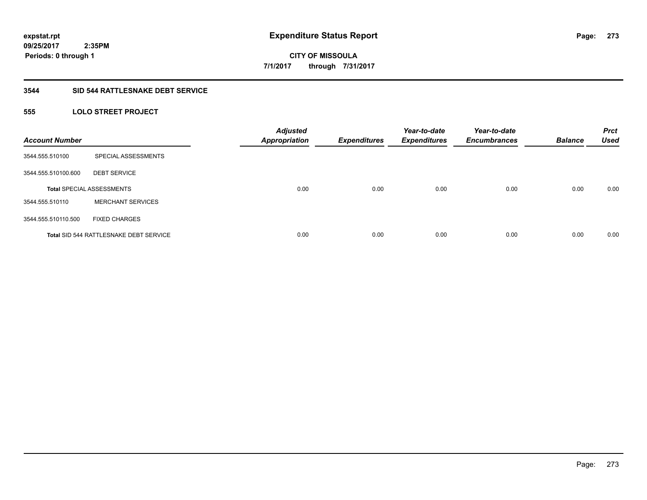**CITY OF MISSOULA 7/1/2017 through 7/31/2017**

#### **3544 SID 544 RATTLESNAKE DEBT SERVICE**

## **555 LOLO STREET PROJECT**

| <b>Account Number</b> |                                               | <b>Adjusted</b><br><b>Appropriation</b> | <b>Expenditures</b> | Year-to-date<br><b>Expenditures</b> | Year-to-date<br><b>Encumbrances</b> | <b>Balance</b> | <b>Prct</b><br><b>Used</b> |
|-----------------------|-----------------------------------------------|-----------------------------------------|---------------------|-------------------------------------|-------------------------------------|----------------|----------------------------|
| 3544.555.510100       | SPECIAL ASSESSMENTS                           |                                         |                     |                                     |                                     |                |                            |
| 3544.555.510100.600   | <b>DEBT SERVICE</b>                           |                                         |                     |                                     |                                     |                |                            |
|                       | <b>Total SPECIAL ASSESSMENTS</b>              | 0.00                                    | 0.00                | 0.00                                | 0.00                                | 0.00           | 0.00                       |
| 3544.555.510110       | <b>MERCHANT SERVICES</b>                      |                                         |                     |                                     |                                     |                |                            |
| 3544.555.510110.500   | <b>FIXED CHARGES</b>                          |                                         |                     |                                     |                                     |                |                            |
|                       | <b>Total SID 544 RATTLESNAKE DEBT SERVICE</b> | 0.00                                    | 0.00                | 0.00                                | 0.00                                | 0.00           | 0.00                       |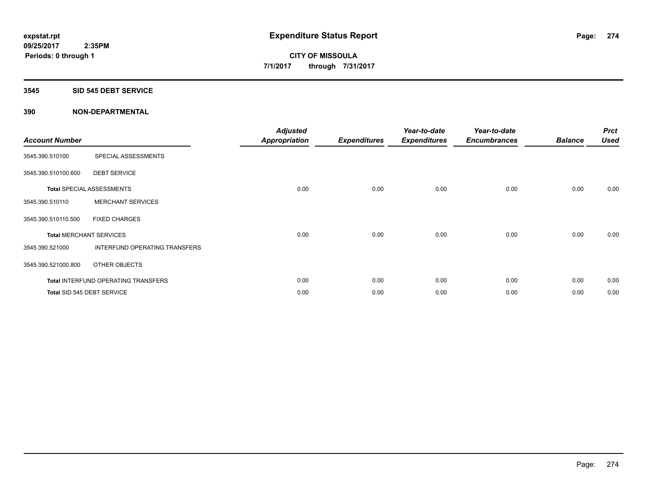#### **3545 SID 545 DEBT SERVICE**

| <b>Account Number</b> |                                     | <b>Adjusted</b><br>Appropriation | <b>Expenditures</b> | Year-to-date<br><b>Expenditures</b> | Year-to-date<br><b>Encumbrances</b> | <b>Balance</b> | <b>Prct</b><br><b>Used</b> |
|-----------------------|-------------------------------------|----------------------------------|---------------------|-------------------------------------|-------------------------------------|----------------|----------------------------|
| 3545.390.510100       | SPECIAL ASSESSMENTS                 |                                  |                     |                                     |                                     |                |                            |
| 3545.390.510100.600   | <b>DEBT SERVICE</b>                 |                                  |                     |                                     |                                     |                |                            |
|                       | <b>Total SPECIAL ASSESSMENTS</b>    | 0.00                             | 0.00                | 0.00                                | 0.00                                | 0.00           | 0.00                       |
| 3545.390.510110       | <b>MERCHANT SERVICES</b>            |                                  |                     |                                     |                                     |                |                            |
| 3545.390.510110.500   | <b>FIXED CHARGES</b>                |                                  |                     |                                     |                                     |                |                            |
|                       | <b>Total MERCHANT SERVICES</b>      | 0.00                             | 0.00                | 0.00                                | 0.00                                | 0.00           | 0.00                       |
| 3545.390.521000       | INTERFUND OPERATING TRANSFERS       |                                  |                     |                                     |                                     |                |                            |
| 3545.390.521000.800   | OTHER OBJECTS                       |                                  |                     |                                     |                                     |                |                            |
|                       | Total INTERFUND OPERATING TRANSFERS | 0.00                             | 0.00                | 0.00                                | 0.00                                | 0.00           | 0.00                       |
|                       | Total SID 545 DEBT SERVICE          | 0.00                             | 0.00                | 0.00                                | 0.00                                | 0.00           | 0.00                       |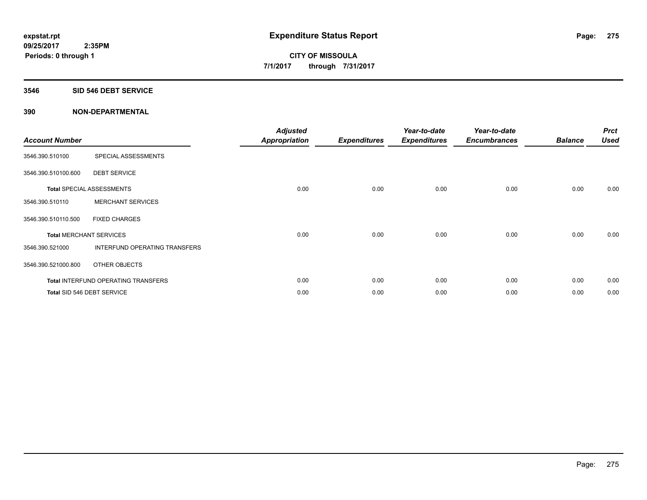#### **3546 SID 546 DEBT SERVICE**

| <b>Account Number</b> |                                            | <b>Adjusted</b><br><b>Appropriation</b> | <b>Expenditures</b> | Year-to-date<br><b>Expenditures</b> | Year-to-date<br><b>Encumbrances</b> | <b>Balance</b> | <b>Prct</b><br><b>Used</b> |
|-----------------------|--------------------------------------------|-----------------------------------------|---------------------|-------------------------------------|-------------------------------------|----------------|----------------------------|
| 3546.390.510100       | SPECIAL ASSESSMENTS                        |                                         |                     |                                     |                                     |                |                            |
| 3546.390.510100.600   | <b>DEBT SERVICE</b>                        |                                         |                     |                                     |                                     |                |                            |
|                       | <b>Total SPECIAL ASSESSMENTS</b>           | 0.00                                    | 0.00                | 0.00                                | 0.00                                | 0.00           | 0.00                       |
| 3546.390.510110       | <b>MERCHANT SERVICES</b>                   |                                         |                     |                                     |                                     |                |                            |
| 3546.390.510110.500   | <b>FIXED CHARGES</b>                       |                                         |                     |                                     |                                     |                |                            |
|                       | <b>Total MERCHANT SERVICES</b>             | 0.00                                    | 0.00                | 0.00                                | 0.00                                | 0.00           | 0.00                       |
| 3546.390.521000       | INTERFUND OPERATING TRANSFERS              |                                         |                     |                                     |                                     |                |                            |
| 3546.390.521000.800   | OTHER OBJECTS                              |                                         |                     |                                     |                                     |                |                            |
|                       | <b>Total INTERFUND OPERATING TRANSFERS</b> | 0.00                                    | 0.00                | 0.00                                | 0.00                                | 0.00           | 0.00                       |
|                       | Total SID 546 DEBT SERVICE                 | 0.00                                    | 0.00                | 0.00                                | 0.00                                | 0.00           | 0.00                       |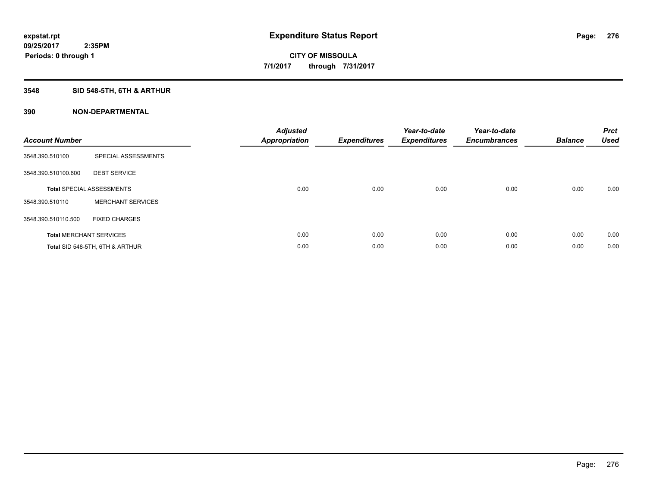## **3548 SID 548-5TH, 6TH & ARTHUR**

| <b>Account Number</b> |                                  | <b>Adjusted</b><br>Appropriation | <b>Expenditures</b> | Year-to-date<br><b>Expenditures</b> | Year-to-date<br><b>Encumbrances</b> | <b>Balance</b> | <b>Prct</b><br><b>Used</b> |
|-----------------------|----------------------------------|----------------------------------|---------------------|-------------------------------------|-------------------------------------|----------------|----------------------------|
| 3548.390.510100       | SPECIAL ASSESSMENTS              |                                  |                     |                                     |                                     |                |                            |
| 3548.390.510100.600   | <b>DEBT SERVICE</b>              |                                  |                     |                                     |                                     |                |                            |
|                       | <b>Total SPECIAL ASSESSMENTS</b> | 0.00                             | 0.00                | 0.00                                | 0.00                                | 0.00           | 0.00                       |
| 3548.390.510110       | <b>MERCHANT SERVICES</b>         |                                  |                     |                                     |                                     |                |                            |
| 3548.390.510110.500   | <b>FIXED CHARGES</b>             |                                  |                     |                                     |                                     |                |                            |
|                       | <b>Total MERCHANT SERVICES</b>   | 0.00                             | 0.00                | 0.00                                | 0.00                                | 0.00           | 0.00                       |
|                       | Total SID 548-5TH, 6TH & ARTHUR  | 0.00                             | 0.00                | 0.00                                | 0.00                                | 0.00           | 0.00                       |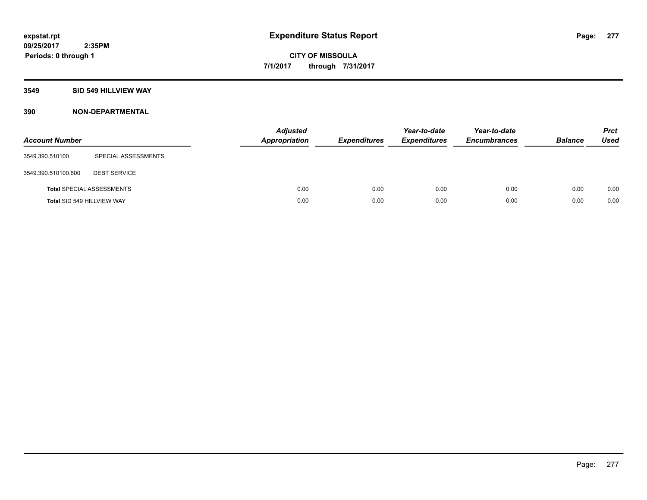#### **3549 SID 549 HILLVIEW WAY**

| <b>Account Number</b> |                                  | <b>Adjusted</b><br>Appropriation | <b>Expenditures</b> | Year-to-date<br><b>Expenditures</b> | Year-to-date<br><b>Encumbrances</b> | <b>Balance</b> | <b>Prct</b><br><b>Used</b> |
|-----------------------|----------------------------------|----------------------------------|---------------------|-------------------------------------|-------------------------------------|----------------|----------------------------|
| 3549.390.510100       | SPECIAL ASSESSMENTS              |                                  |                     |                                     |                                     |                |                            |
| 3549.390.510100.600   | <b>DEBT SERVICE</b>              |                                  |                     |                                     |                                     |                |                            |
|                       | <b>Total SPECIAL ASSESSMENTS</b> | 0.00                             | 0.00                | 0.00                                | 0.00                                | 0.00           | 0.00                       |
|                       | Total SID 549 HILLVIEW WAY       | 0.00                             | 0.00                | 0.00                                | 0.00                                | 0.00           | 0.00                       |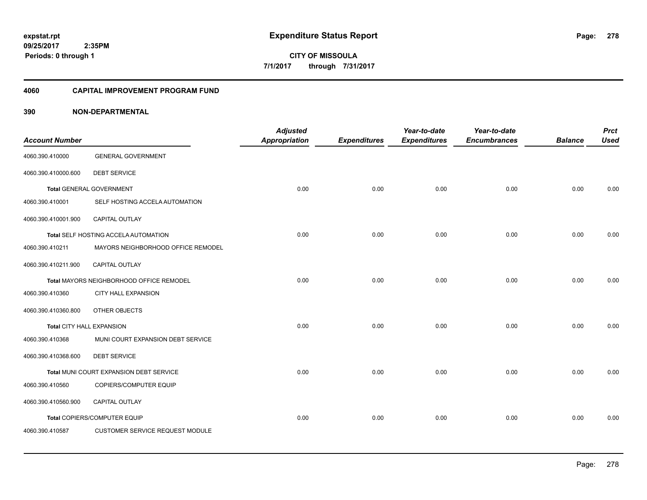#### **4060 CAPITAL IMPROVEMENT PROGRAM FUND**

|                           |                                          | <b>Adjusted</b>      |                     | Year-to-date        | Year-to-date        |                | <b>Prct</b> |
|---------------------------|------------------------------------------|----------------------|---------------------|---------------------|---------------------|----------------|-------------|
| <b>Account Number</b>     |                                          | <b>Appropriation</b> | <b>Expenditures</b> | <b>Expenditures</b> | <b>Encumbrances</b> | <b>Balance</b> | <b>Used</b> |
| 4060.390.410000           | <b>GENERAL GOVERNMENT</b>                |                      |                     |                     |                     |                |             |
| 4060.390.410000.600       | <b>DEBT SERVICE</b>                      |                      |                     |                     |                     |                |             |
|                           | <b>Total GENERAL GOVERNMENT</b>          | 0.00                 | 0.00                | 0.00                | 0.00                | 0.00           | 0.00        |
| 4060.390.410001           | SELF HOSTING ACCELA AUTOMATION           |                      |                     |                     |                     |                |             |
| 4060.390.410001.900       | CAPITAL OUTLAY                           |                      |                     |                     |                     |                |             |
|                           | Total SELF HOSTING ACCELA AUTOMATION     | 0.00                 | 0.00                | 0.00                | 0.00                | 0.00           | 0.00        |
| 4060.390.410211           | MAYORS NEIGHBORHOOD OFFICE REMODEL       |                      |                     |                     |                     |                |             |
| 4060.390.410211.900       | CAPITAL OUTLAY                           |                      |                     |                     |                     |                |             |
|                           | Total MAYORS NEIGHBORHOOD OFFICE REMODEL | 0.00                 | 0.00                | 0.00                | 0.00                | 0.00           | 0.00        |
| 4060.390.410360           | <b>CITY HALL EXPANSION</b>               |                      |                     |                     |                     |                |             |
| 4060.390.410360.800       | OTHER OBJECTS                            |                      |                     |                     |                     |                |             |
| Total CITY HALL EXPANSION |                                          | 0.00                 | 0.00                | 0.00                | 0.00                | 0.00           | 0.00        |
| 4060.390.410368           | MUNI COURT EXPANSION DEBT SERVICE        |                      |                     |                     |                     |                |             |
| 4060.390.410368.600       | <b>DEBT SERVICE</b>                      |                      |                     |                     |                     |                |             |
|                           | Total MUNI COURT EXPANSION DEBT SERVICE  | 0.00                 | 0.00                | 0.00                | 0.00                | 0.00           | 0.00        |
| 4060.390.410560           | COPIERS/COMPUTER EQUIP                   |                      |                     |                     |                     |                |             |
| 4060.390.410560.900       | CAPITAL OUTLAY                           |                      |                     |                     |                     |                |             |
|                           | Total COPIERS/COMPUTER EQUIP             | 0.00                 | 0.00                | 0.00                | 0.00                | 0.00           | 0.00        |
| 4060.390.410587           | <b>CUSTOMER SERVICE REQUEST MODULE</b>   |                      |                     |                     |                     |                |             |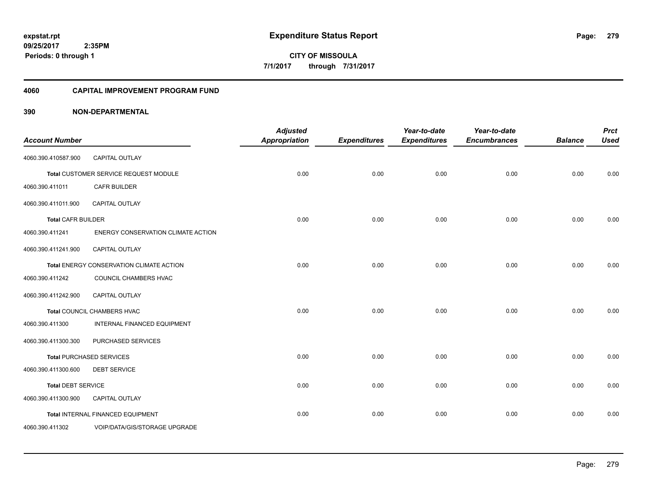#### **4060 CAPITAL IMPROVEMENT PROGRAM FUND**

| <b>Account Number</b>     |                                          | <b>Adjusted</b><br>Appropriation | <b>Expenditures</b> | Year-to-date<br><b>Expenditures</b> | Year-to-date<br><b>Encumbrances</b> | <b>Balance</b> | <b>Prct</b><br><b>Used</b> |
|---------------------------|------------------------------------------|----------------------------------|---------------------|-------------------------------------|-------------------------------------|----------------|----------------------------|
| 4060.390.410587.900       | <b>CAPITAL OUTLAY</b>                    |                                  |                     |                                     |                                     |                |                            |
|                           | Total CUSTOMER SERVICE REQUEST MODULE    | 0.00                             | 0.00                | 0.00                                | 0.00                                | 0.00           | 0.00                       |
| 4060.390.411011           | <b>CAFR BUILDER</b>                      |                                  |                     |                                     |                                     |                |                            |
| 4060.390.411011.900       | <b>CAPITAL OUTLAY</b>                    |                                  |                     |                                     |                                     |                |                            |
| <b>Total CAFR BUILDER</b> |                                          | 0.00                             | 0.00                | 0.00                                | 0.00                                | 0.00           | 0.00                       |
| 4060.390.411241           | ENERGY CONSERVATION CLIMATE ACTION       |                                  |                     |                                     |                                     |                |                            |
| 4060.390.411241.900       | CAPITAL OUTLAY                           |                                  |                     |                                     |                                     |                |                            |
|                           | Total ENERGY CONSERVATION CLIMATE ACTION | 0.00                             | 0.00                | 0.00                                | 0.00                                | 0.00           | 0.00                       |
| 4060.390.411242           | COUNCIL CHAMBERS HVAC                    |                                  |                     |                                     |                                     |                |                            |
| 4060.390.411242.900       | <b>CAPITAL OUTLAY</b>                    |                                  |                     |                                     |                                     |                |                            |
|                           | Total COUNCIL CHAMBERS HVAC              | 0.00                             | 0.00                | 0.00                                | 0.00                                | 0.00           | 0.00                       |
| 4060.390.411300           | INTERNAL FINANCED EQUIPMENT              |                                  |                     |                                     |                                     |                |                            |
| 4060.390.411300.300       | PURCHASED SERVICES                       |                                  |                     |                                     |                                     |                |                            |
|                           | <b>Total PURCHASED SERVICES</b>          | 0.00                             | 0.00                | 0.00                                | 0.00                                | 0.00           | 0.00                       |
| 4060.390.411300.600       | <b>DEBT SERVICE</b>                      |                                  |                     |                                     |                                     |                |                            |
| <b>Total DEBT SERVICE</b> |                                          | 0.00                             | 0.00                | 0.00                                | 0.00                                | 0.00           | 0.00                       |
| 4060.390.411300.900       | <b>CAPITAL OUTLAY</b>                    |                                  |                     |                                     |                                     |                |                            |
|                           | Total INTERNAL FINANCED EQUIPMENT        | 0.00                             | 0.00                | 0.00                                | 0.00                                | 0.00           | 0.00                       |
| 4060.390.411302           | VOIP/DATA/GIS/STORAGE UPGRADE            |                                  |                     |                                     |                                     |                |                            |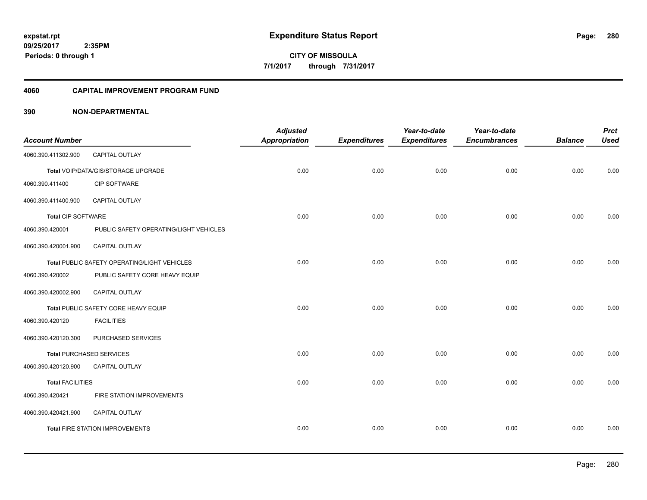#### **4060 CAPITAL IMPROVEMENT PROGRAM FUND**

|                           |                                              | <b>Adjusted</b>      |                     | Year-to-date        | Year-to-date        |                | <b>Prct</b> |
|---------------------------|----------------------------------------------|----------------------|---------------------|---------------------|---------------------|----------------|-------------|
| <b>Account Number</b>     |                                              | <b>Appropriation</b> | <b>Expenditures</b> | <b>Expenditures</b> | <b>Encumbrances</b> | <b>Balance</b> | <b>Used</b> |
| 4060.390.411302.900       | CAPITAL OUTLAY                               |                      |                     |                     |                     |                |             |
|                           | Total VOIP/DATA/GIS/STORAGE UPGRADE          | 0.00                 | 0.00                | 0.00                | 0.00                | 0.00           | 0.00        |
| 4060.390.411400           | CIP SOFTWARE                                 |                      |                     |                     |                     |                |             |
| 4060.390.411400.900       | CAPITAL OUTLAY                               |                      |                     |                     |                     |                |             |
| <b>Total CIP SOFTWARE</b> |                                              | 0.00                 | 0.00                | 0.00                | 0.00                | 0.00           | 0.00        |
| 4060.390.420001           | PUBLIC SAFETY OPERATING/LIGHT VEHICLES       |                      |                     |                     |                     |                |             |
| 4060.390.420001.900       | CAPITAL OUTLAY                               |                      |                     |                     |                     |                |             |
|                           | Total PUBLIC SAFETY OPERATING/LIGHT VEHICLES | 0.00                 | 0.00                | 0.00                | 0.00                | 0.00           | 0.00        |
| 4060.390.420002           | PUBLIC SAFETY CORE HEAVY EQUIP               |                      |                     |                     |                     |                |             |
| 4060.390.420002.900       | <b>CAPITAL OUTLAY</b>                        |                      |                     |                     |                     |                |             |
|                           | Total PUBLIC SAFETY CORE HEAVY EQUIP         | 0.00                 | 0.00                | 0.00                | 0.00                | 0.00           | 0.00        |
| 4060.390.420120           | <b>FACILITIES</b>                            |                      |                     |                     |                     |                |             |
| 4060.390.420120.300       | PURCHASED SERVICES                           |                      |                     |                     |                     |                |             |
|                           | <b>Total PURCHASED SERVICES</b>              | 0.00                 | 0.00                | 0.00                | 0.00                | 0.00           | 0.00        |
| 4060.390.420120.900       | <b>CAPITAL OUTLAY</b>                        |                      |                     |                     |                     |                |             |
| <b>Total FACILITIES</b>   |                                              | 0.00                 | 0.00                | 0.00                | 0.00                | 0.00           | 0.00        |
| 4060.390.420421           | FIRE STATION IMPROVEMENTS                    |                      |                     |                     |                     |                |             |
| 4060.390.420421.900       | CAPITAL OUTLAY                               |                      |                     |                     |                     |                |             |
|                           | <b>Total FIRE STATION IMPROVEMENTS</b>       | 0.00                 | 0.00                | 0.00                | 0.00                | 0.00           | 0.00        |
|                           |                                              |                      |                     |                     |                     |                |             |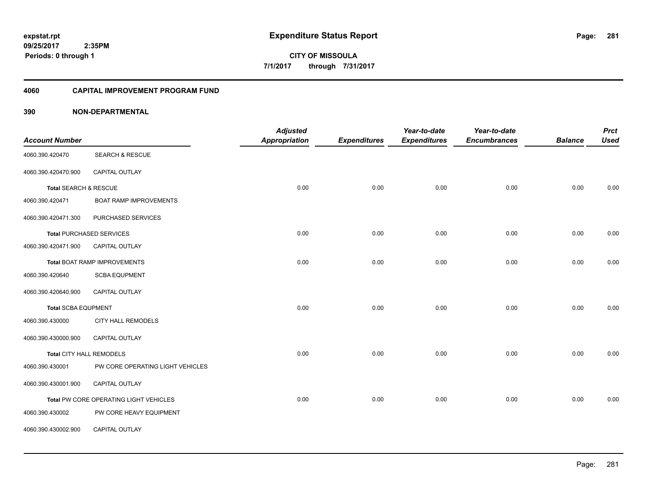**281**

**CITY OF MISSOULA 7/1/2017 through 7/31/2017**

#### **4060 CAPITAL IMPROVEMENT PROGRAM FUND**

| <b>Account Number</b>           |                                        | <b>Adjusted</b><br>Appropriation | <b>Expenditures</b> | Year-to-date<br><b>Expenditures</b> | Year-to-date<br><b>Encumbrances</b> | <b>Balance</b> | <b>Prct</b><br><b>Used</b> |
|---------------------------------|----------------------------------------|----------------------------------|---------------------|-------------------------------------|-------------------------------------|----------------|----------------------------|
| 4060.390.420470                 | <b>SEARCH &amp; RESCUE</b>             |                                  |                     |                                     |                                     |                |                            |
| 4060.390.420470.900             | <b>CAPITAL OUTLAY</b>                  |                                  |                     |                                     |                                     |                |                            |
| Total SEARCH & RESCUE           |                                        | 0.00                             | 0.00                | 0.00                                | 0.00                                | 0.00           | 0.00                       |
| 4060.390.420471                 | <b>BOAT RAMP IMPROVEMENTS</b>          |                                  |                     |                                     |                                     |                |                            |
| 4060.390.420471.300             | PURCHASED SERVICES                     |                                  |                     |                                     |                                     |                |                            |
|                                 | <b>Total PURCHASED SERVICES</b>        | 0.00                             | 0.00                | 0.00                                | 0.00                                | 0.00           | 0.00                       |
| 4060.390.420471.900             | <b>CAPITAL OUTLAY</b>                  |                                  |                     |                                     |                                     |                |                            |
|                                 | <b>Total BOAT RAMP IMPROVEMENTS</b>    | 0.00                             | 0.00                | 0.00                                | 0.00                                | 0.00           | 0.00                       |
| 4060.390.420640                 | <b>SCBA EQUPMENT</b>                   |                                  |                     |                                     |                                     |                |                            |
| 4060.390.420640.900             | CAPITAL OUTLAY                         |                                  |                     |                                     |                                     |                |                            |
| <b>Total SCBA EQUPMENT</b>      |                                        | 0.00                             | 0.00                | 0.00                                | 0.00                                | 0.00           | 0.00                       |
| 4060.390.430000                 | <b>CITY HALL REMODELS</b>              |                                  |                     |                                     |                                     |                |                            |
| 4060.390.430000.900             | CAPITAL OUTLAY                         |                                  |                     |                                     |                                     |                |                            |
| <b>Total CITY HALL REMODELS</b> |                                        | 0.00                             | 0.00                | 0.00                                | 0.00                                | 0.00           | 0.00                       |
| 4060.390.430001                 | PW CORE OPERATING LIGHT VEHICLES       |                                  |                     |                                     |                                     |                |                            |
| 4060.390.430001.900             | CAPITAL OUTLAY                         |                                  |                     |                                     |                                     |                |                            |
|                                 | Total PW CORE OPERATING LIGHT VEHICLES | 0.00                             | 0.00                | 0.00                                | 0.00                                | 0.00           | 0.00                       |
| 4060.390.430002                 | PW CORE HEAVY EQUIPMENT                |                                  |                     |                                     |                                     |                |                            |
| 4060.390.430002.900             | CAPITAL OUTLAY                         |                                  |                     |                                     |                                     |                |                            |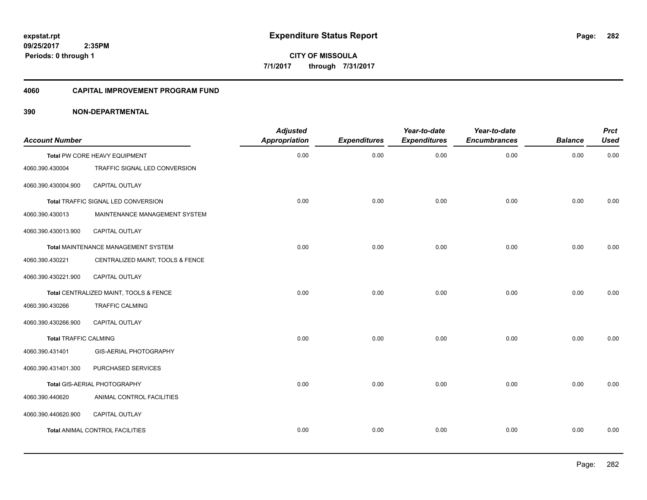#### **4060 CAPITAL IMPROVEMENT PROGRAM FUND**

| <b>Account Number</b>        |                                        | <b>Adjusted</b><br><b>Appropriation</b> | <b>Expenditures</b> | Year-to-date<br><b>Expenditures</b> | Year-to-date<br><b>Encumbrances</b> | <b>Balance</b> | <b>Prct</b><br><b>Used</b> |
|------------------------------|----------------------------------------|-----------------------------------------|---------------------|-------------------------------------|-------------------------------------|----------------|----------------------------|
|                              | Total PW CORE HEAVY EQUIPMENT          | 0.00                                    | 0.00                | 0.00                                | 0.00                                | 0.00           | 0.00                       |
| 4060.390.430004              | TRAFFIC SIGNAL LED CONVERSION          |                                         |                     |                                     |                                     |                |                            |
| 4060.390.430004.900          | CAPITAL OUTLAY                         |                                         |                     |                                     |                                     |                |                            |
|                              | Total TRAFFIC SIGNAL LED CONVERSION    | 0.00                                    | 0.00                | 0.00                                | 0.00                                | 0.00           | 0.00                       |
| 4060.390.430013              | MAINTENANCE MANAGEMENT SYSTEM          |                                         |                     |                                     |                                     |                |                            |
| 4060.390.430013.900          | CAPITAL OUTLAY                         |                                         |                     |                                     |                                     |                |                            |
|                              | Total MAINTENANCE MANAGEMENT SYSTEM    | 0.00                                    | 0.00                | 0.00                                | 0.00                                | 0.00           | 0.00                       |
| 4060.390.430221              | CENTRALIZED MAINT, TOOLS & FENCE       |                                         |                     |                                     |                                     |                |                            |
| 4060.390.430221.900          | CAPITAL OUTLAY                         |                                         |                     |                                     |                                     |                |                            |
|                              | Total CENTRALIZED MAINT, TOOLS & FENCE | 0.00                                    | 0.00                | 0.00                                | 0.00                                | 0.00           | 0.00                       |
| 4060.390.430266              | <b>TRAFFIC CALMING</b>                 |                                         |                     |                                     |                                     |                |                            |
| 4060.390.430266.900          | CAPITAL OUTLAY                         |                                         |                     |                                     |                                     |                |                            |
| <b>Total TRAFFIC CALMING</b> |                                        | 0.00                                    | 0.00                | 0.00                                | 0.00                                | 0.00           | 0.00                       |
| 4060.390.431401              | <b>GIS-AERIAL PHOTOGRAPHY</b>          |                                         |                     |                                     |                                     |                |                            |
| 4060.390.431401.300          | PURCHASED SERVICES                     |                                         |                     |                                     |                                     |                |                            |
|                              | Total GIS-AERIAL PHOTOGRAPHY           | 0.00                                    | 0.00                | 0.00                                | 0.00                                | 0.00           | 0.00                       |
| 4060.390.440620              | ANIMAL CONTROL FACILITIES              |                                         |                     |                                     |                                     |                |                            |
| 4060.390.440620.900          | <b>CAPITAL OUTLAY</b>                  |                                         |                     |                                     |                                     |                |                            |
|                              | Total ANIMAL CONTROL FACILITIES        | 0.00                                    | 0.00                | 0.00                                | 0.00                                | 0.00           | 0.00                       |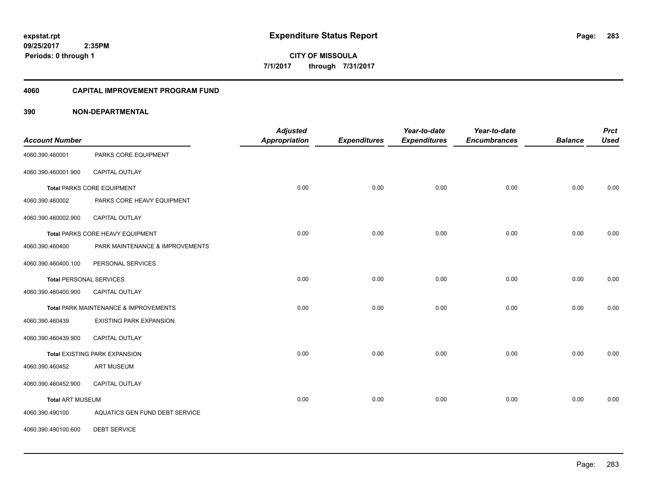**CITY OF MISSOULA 7/1/2017 through 7/31/2017**

#### **4060 CAPITAL IMPROVEMENT PROGRAM FUND**

### **390 NON-DEPARTMENTAL**

| <b>Account Number</b>          |                                       | <b>Adjusted</b><br><b>Appropriation</b> | <b>Expenditures</b> | Year-to-date<br><b>Expenditures</b> | Year-to-date<br><b>Encumbrances</b> | <b>Balance</b> | <b>Prct</b><br><b>Used</b> |
|--------------------------------|---------------------------------------|-----------------------------------------|---------------------|-------------------------------------|-------------------------------------|----------------|----------------------------|
| 4060.390.460001                | PARKS CORE EQUIPMENT                  |                                         |                     |                                     |                                     |                |                            |
| 4060.390.460001.900            | <b>CAPITAL OUTLAY</b>                 |                                         |                     |                                     |                                     |                |                            |
|                                | <b>Total PARKS CORE EQUIPMENT</b>     | 0.00                                    | 0.00                | 0.00                                | 0.00                                | 0.00           | 0.00                       |
| 4060.390.460002                | PARKS CORE HEAVY EQUIPMENT            |                                         |                     |                                     |                                     |                |                            |
| 4060.390.460002.900            | CAPITAL OUTLAY                        |                                         |                     |                                     |                                     |                |                            |
|                                | Total PARKS CORE HEAVY EQUIPMENT      | 0.00                                    | 0.00                | 0.00                                | 0.00                                | 0.00           | 0.00                       |
| 4060.390.460400                | PARK MAINTENANCE & IMPROVEMENTS       |                                         |                     |                                     |                                     |                |                            |
| 4060.390.460400.100            | PERSONAL SERVICES                     |                                         |                     |                                     |                                     |                |                            |
| <b>Total PERSONAL SERVICES</b> |                                       | 0.00                                    | 0.00                | 0.00                                | 0.00                                | 0.00           | 0.00                       |
| 4060.390.460400.900            | <b>CAPITAL OUTLAY</b>                 |                                         |                     |                                     |                                     |                |                            |
|                                | Total PARK MAINTENANCE & IMPROVEMENTS | 0.00                                    | 0.00                | 0.00                                | 0.00                                | 0.00           | 0.00                       |
| 4060.390.460439                | <b>EXISTING PARK EXPANSION</b>        |                                         |                     |                                     |                                     |                |                            |
| 4060.390.460439.900            | <b>CAPITAL OUTLAY</b>                 |                                         |                     |                                     |                                     |                |                            |
|                                | <b>Total EXISTING PARK EXPANSION</b>  | 0.00                                    | 0.00                | 0.00                                | 0.00                                | 0.00           | 0.00                       |
| 4060.390.460452                | <b>ART MUSEUM</b>                     |                                         |                     |                                     |                                     |                |                            |
| 4060.390.460452.900            | <b>CAPITAL OUTLAY</b>                 |                                         |                     |                                     |                                     |                |                            |
| <b>Total ART MUSEUM</b>        |                                       | 0.00                                    | 0.00                | 0.00                                | 0.00                                | 0.00           | 0.00                       |
| 4060.390.490100                | AQUATICS GEN FUND DEBT SERVICE        |                                         |                     |                                     |                                     |                |                            |

4060.390.490100.600 DEBT SERVICE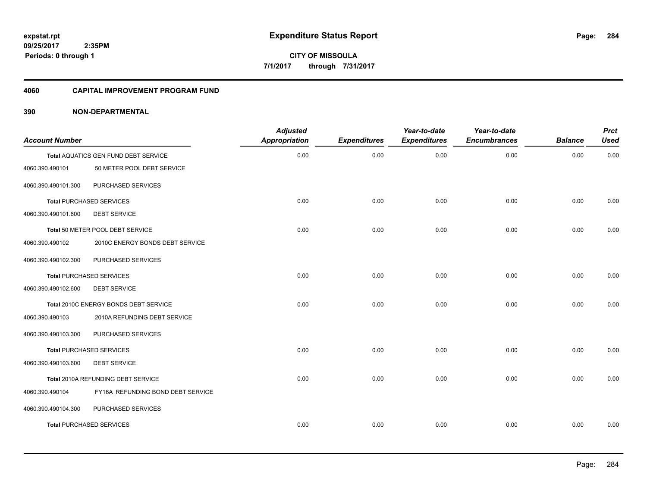#### **4060 CAPITAL IMPROVEMENT PROGRAM FUND**

| <b>Account Number</b> |                                       | <b>Adjusted</b><br><b>Appropriation</b> | <b>Expenditures</b> | Year-to-date<br><b>Expenditures</b> | Year-to-date<br><b>Encumbrances</b> | <b>Balance</b> | <b>Prct</b><br><b>Used</b> |
|-----------------------|---------------------------------------|-----------------------------------------|---------------------|-------------------------------------|-------------------------------------|----------------|----------------------------|
|                       | Total AQUATICS GEN FUND DEBT SERVICE  | 0.00                                    | 0.00                | 0.00                                | 0.00                                | 0.00           | 0.00                       |
| 4060.390.490101       | 50 METER POOL DEBT SERVICE            |                                         |                     |                                     |                                     |                |                            |
| 4060.390.490101.300   | PURCHASED SERVICES                    |                                         |                     |                                     |                                     |                |                            |
|                       | <b>Total PURCHASED SERVICES</b>       | 0.00                                    | 0.00                | 0.00                                | 0.00                                | 0.00           | 0.00                       |
| 4060.390.490101.600   | <b>DEBT SERVICE</b>                   |                                         |                     |                                     |                                     |                |                            |
|                       | Total 50 METER POOL DEBT SERVICE      | 0.00                                    | 0.00                | 0.00                                | 0.00                                | 0.00           | 0.00                       |
| 4060.390.490102       | 2010C ENERGY BONDS DEBT SERVICE       |                                         |                     |                                     |                                     |                |                            |
| 4060.390.490102.300   | PURCHASED SERVICES                    |                                         |                     |                                     |                                     |                |                            |
|                       | <b>Total PURCHASED SERVICES</b>       | 0.00                                    | 0.00                | 0.00                                | 0.00                                | 0.00           | 0.00                       |
| 4060.390.490102.600   | <b>DEBT SERVICE</b>                   |                                         |                     |                                     |                                     |                |                            |
|                       | Total 2010C ENERGY BONDS DEBT SERVICE | 0.00                                    | 0.00                | 0.00                                | 0.00                                | 0.00           | 0.00                       |
| 4060.390.490103       | 2010A REFUNDING DEBT SERVICE          |                                         |                     |                                     |                                     |                |                            |
| 4060.390.490103.300   | PURCHASED SERVICES                    |                                         |                     |                                     |                                     |                |                            |
|                       | <b>Total PURCHASED SERVICES</b>       | 0.00                                    | 0.00                | 0.00                                | 0.00                                | 0.00           | 0.00                       |
| 4060.390.490103.600   | <b>DEBT SERVICE</b>                   |                                         |                     |                                     |                                     |                |                            |
|                       | Total 2010A REFUNDING DEBT SERVICE    | 0.00                                    | 0.00                | 0.00                                | 0.00                                | 0.00           | 0.00                       |
| 4060.390.490104       | FY16A REFUNDING BOND DEBT SERVICE     |                                         |                     |                                     |                                     |                |                            |
| 4060.390.490104.300   | PURCHASED SERVICES                    |                                         |                     |                                     |                                     |                |                            |
|                       | <b>Total PURCHASED SERVICES</b>       | 0.00                                    | 0.00                | 0.00                                | 0.00                                | 0.00           | 0.00                       |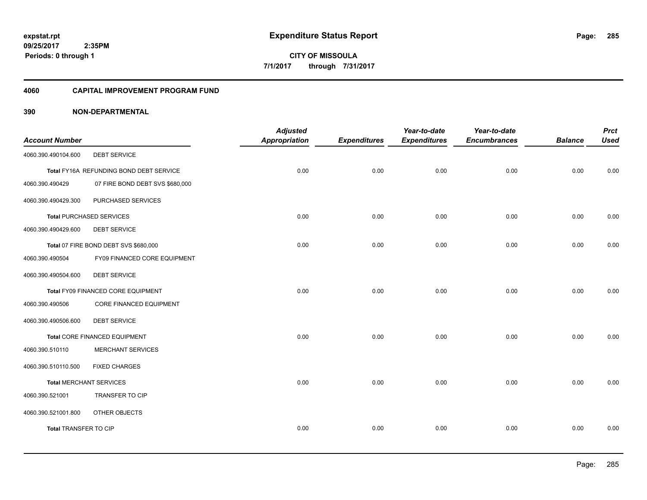#### **4060 CAPITAL IMPROVEMENT PROGRAM FUND**

| <b>Account Number</b>          |                                         | <b>Adjusted</b><br><b>Appropriation</b> | <b>Expenditures</b> | Year-to-date<br><b>Expenditures</b> | Year-to-date<br><b>Encumbrances</b> | <b>Balance</b> | <b>Prct</b><br><b>Used</b> |
|--------------------------------|-----------------------------------------|-----------------------------------------|---------------------|-------------------------------------|-------------------------------------|----------------|----------------------------|
| 4060.390.490104.600            | <b>DEBT SERVICE</b>                     |                                         |                     |                                     |                                     |                |                            |
|                                | Total FY16A REFUNDING BOND DEBT SERVICE | 0.00                                    | 0.00                | 0.00                                | 0.00                                | 0.00           | 0.00                       |
| 4060.390.490429                | 07 FIRE BOND DEBT SVS \$680,000         |                                         |                     |                                     |                                     |                |                            |
| 4060.390.490429.300            | PURCHASED SERVICES                      |                                         |                     |                                     |                                     |                |                            |
|                                | <b>Total PURCHASED SERVICES</b>         | 0.00                                    | 0.00                | 0.00                                | 0.00                                | 0.00           | 0.00                       |
| 4060.390.490429.600            | <b>DEBT SERVICE</b>                     |                                         |                     |                                     |                                     |                |                            |
|                                | Total 07 FIRE BOND DEBT SVS \$680,000   | 0.00                                    | 0.00                | 0.00                                | 0.00                                | 0.00           | 0.00                       |
| 4060.390.490504                | FY09 FINANCED CORE EQUIPMENT            |                                         |                     |                                     |                                     |                |                            |
| 4060.390.490504.600            | <b>DEBT SERVICE</b>                     |                                         |                     |                                     |                                     |                |                            |
|                                | Total FY09 FINANCED CORE EQUIPMENT      | 0.00                                    | 0.00                | 0.00                                | 0.00                                | 0.00           | 0.00                       |
| 4060.390.490506                | CORE FINANCED EQUIPMENT                 |                                         |                     |                                     |                                     |                |                            |
| 4060.390.490506.600            | <b>DEBT SERVICE</b>                     |                                         |                     |                                     |                                     |                |                            |
|                                | Total CORE FINANCED EQUIPMENT           | 0.00                                    | 0.00                | 0.00                                | 0.00                                | 0.00           | 0.00                       |
| 4060.390.510110                | <b>MERCHANT SERVICES</b>                |                                         |                     |                                     |                                     |                |                            |
| 4060.390.510110.500            | <b>FIXED CHARGES</b>                    |                                         |                     |                                     |                                     |                |                            |
| <b>Total MERCHANT SERVICES</b> |                                         | 0.00                                    | 0.00                | 0.00                                | 0.00                                | 0.00           | 0.00                       |
| 4060.390.521001                | <b>TRANSFER TO CIP</b>                  |                                         |                     |                                     |                                     |                |                            |
| 4060.390.521001.800            | OTHER OBJECTS                           |                                         |                     |                                     |                                     |                |                            |
| <b>Total TRANSFER TO CIP</b>   |                                         | 0.00                                    | 0.00                | 0.00                                | 0.00                                | 0.00           | 0.00                       |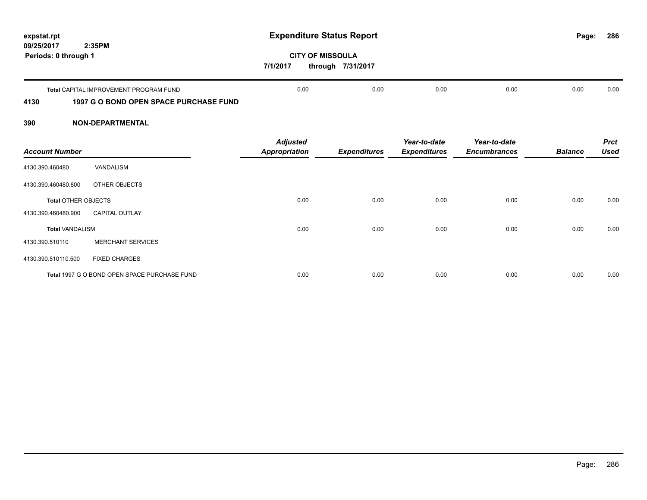| 09/25/2017           | expstat.rpt<br>2:35PM                         | <b>Expenditure Status Report</b>                         |      |      |      |      |      |  |  |
|----------------------|-----------------------------------------------|----------------------------------------------------------|------|------|------|------|------|--|--|
| Periods: 0 through 1 |                                               | <b>CITY OF MISSOULA</b><br>7/1/2017<br>through 7/31/2017 |      |      |      |      |      |  |  |
|                      | <b>Total CAPITAL IMPROVEMENT PROGRAM FUND</b> | 0.00                                                     | 0.00 | 0.00 | 0.00 | 0.00 | 0.00 |  |  |
| 4130                 | <b>1997 G O BOND OPEN SPACE PURCHASE FUND</b> |                                                          |      |      |      |      |      |  |  |

| <b>Account Number</b>      |                                              | <b>Adjusted</b><br><b>Appropriation</b> | <b>Expenditures</b> | Year-to-date<br><b>Expenditures</b> | Year-to-date<br><b>Encumbrances</b> | <b>Balance</b> | <b>Prct</b><br><b>Used</b> |
|----------------------------|----------------------------------------------|-----------------------------------------|---------------------|-------------------------------------|-------------------------------------|----------------|----------------------------|
| 4130.390.460480            | <b>VANDALISM</b>                             |                                         |                     |                                     |                                     |                |                            |
| 4130.390.460480.800        | OTHER OBJECTS                                |                                         |                     |                                     |                                     |                |                            |
| <b>Total OTHER OBJECTS</b> |                                              | 0.00                                    | 0.00                | 0.00                                | 0.00                                | 0.00           | 0.00                       |
| 4130.390.460480.900        | <b>CAPITAL OUTLAY</b>                        |                                         |                     |                                     |                                     |                |                            |
| <b>Total VANDALISM</b>     |                                              | 0.00                                    | 0.00                | 0.00                                | 0.00                                | 0.00           | 0.00                       |
| 4130.390.510110            | <b>MERCHANT SERVICES</b>                     |                                         |                     |                                     |                                     |                |                            |
| 4130.390.510110.500        | <b>FIXED CHARGES</b>                         |                                         |                     |                                     |                                     |                |                            |
|                            | Total 1997 G O BOND OPEN SPACE PURCHASE FUND | 0.00                                    | 0.00                | 0.00                                | 0.00                                | 0.00           | 0.00                       |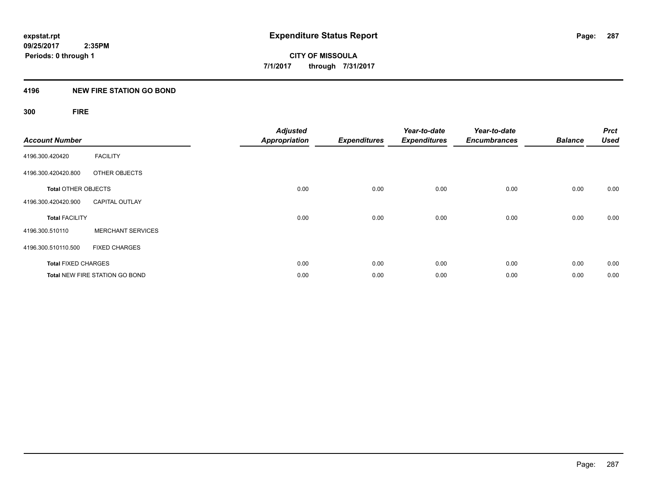## **4196 NEW FIRE STATION GO BOND**

## **300 FIRE**

| <b>Account Number</b>      |                                       | <b>Adjusted</b><br><b>Appropriation</b> | <b>Expenditures</b> | Year-to-date<br><b>Expenditures</b> | Year-to-date<br><b>Encumbrances</b> | <b>Balance</b> | <b>Prct</b><br><b>Used</b> |
|----------------------------|---------------------------------------|-----------------------------------------|---------------------|-------------------------------------|-------------------------------------|----------------|----------------------------|
| 4196.300.420420            | <b>FACILITY</b>                       |                                         |                     |                                     |                                     |                |                            |
| 4196.300.420420.800        | OTHER OBJECTS                         |                                         |                     |                                     |                                     |                |                            |
| <b>Total OTHER OBJECTS</b> |                                       | 0.00                                    | 0.00                | 0.00                                | 0.00                                | 0.00           | 0.00                       |
| 4196.300.420420.900        | <b>CAPITAL OUTLAY</b>                 |                                         |                     |                                     |                                     |                |                            |
| <b>Total FACILITY</b>      |                                       | 0.00                                    | 0.00                | 0.00                                | 0.00                                | 0.00           | 0.00                       |
| 4196.300.510110            | <b>MERCHANT SERVICES</b>              |                                         |                     |                                     |                                     |                |                            |
| 4196.300.510110.500        | <b>FIXED CHARGES</b>                  |                                         |                     |                                     |                                     |                |                            |
| <b>Total FIXED CHARGES</b> |                                       | 0.00                                    | 0.00                | 0.00                                | 0.00                                | 0.00           | 0.00                       |
|                            | <b>Total NEW FIRE STATION GO BOND</b> | 0.00                                    | 0.00                | 0.00                                | 0.00                                | 0.00           | 0.00                       |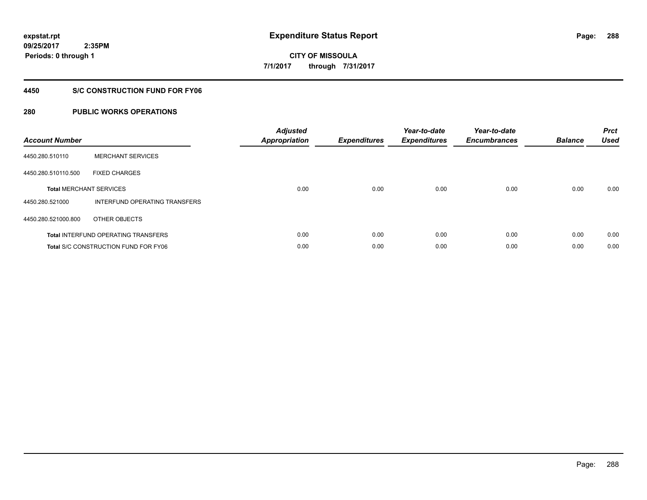## **4450 S/C CONSTRUCTION FUND FOR FY06**

## **280 PUBLIC WORKS OPERATIONS**

| <b>Account Number</b>                       |                               | <b>Adjusted</b><br>Appropriation | <b>Expenditures</b> | Year-to-date<br><b>Expenditures</b> | Year-to-date<br><b>Encumbrances</b> | <b>Balance</b> | <b>Prct</b><br><b>Used</b> |
|---------------------------------------------|-------------------------------|----------------------------------|---------------------|-------------------------------------|-------------------------------------|----------------|----------------------------|
| 4450.280.510110                             | <b>MERCHANT SERVICES</b>      |                                  |                     |                                     |                                     |                |                            |
| 4450.280.510110.500                         | <b>FIXED CHARGES</b>          |                                  |                     |                                     |                                     |                |                            |
| <b>Total MERCHANT SERVICES</b>              |                               | 0.00                             | 0.00                | 0.00                                | 0.00                                | 0.00           | 0.00                       |
| 4450.280.521000                             | INTERFUND OPERATING TRANSFERS |                                  |                     |                                     |                                     |                |                            |
| 4450.280.521000.800                         | OTHER OBJECTS                 |                                  |                     |                                     |                                     |                |                            |
| <b>Total INTERFUND OPERATING TRANSFERS</b>  |                               | 0.00                             | 0.00                | 0.00                                | 0.00                                | 0.00           | 0.00                       |
| <b>Total S/C CONSTRUCTION FUND FOR FY06</b> |                               | 0.00                             | 0.00                | 0.00                                | 0.00                                | 0.00           | 0.00                       |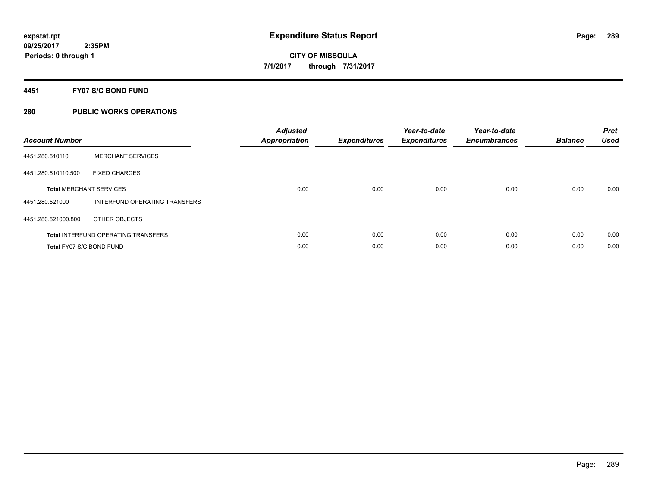### **4451 FY07 S/C BOND FUND**

| <b>Account Number</b>    |                                            | <b>Adjusted</b><br>Appropriation | <b>Expenditures</b> | Year-to-date<br><b>Expenditures</b> | Year-to-date<br><b>Encumbrances</b> | <b>Balance</b> | <b>Prct</b><br><b>Used</b> |
|--------------------------|--------------------------------------------|----------------------------------|---------------------|-------------------------------------|-------------------------------------|----------------|----------------------------|
| 4451.280.510110          | <b>MERCHANT SERVICES</b>                   |                                  |                     |                                     |                                     |                |                            |
| 4451.280.510110.500      | <b>FIXED CHARGES</b>                       |                                  |                     |                                     |                                     |                |                            |
|                          | <b>Total MERCHANT SERVICES</b>             | 0.00                             | 0.00                | 0.00                                | 0.00                                | 0.00           | 0.00                       |
| 4451.280.521000          | INTERFUND OPERATING TRANSFERS              |                                  |                     |                                     |                                     |                |                            |
| 4451.280.521000.800      | OTHER OBJECTS                              |                                  |                     |                                     |                                     |                |                            |
|                          | <b>Total INTERFUND OPERATING TRANSFERS</b> | 0.00                             | 0.00                | 0.00                                | 0.00                                | 0.00           | 0.00                       |
| Total FY07 S/C BOND FUND |                                            | 0.00                             | 0.00                | 0.00                                | 0.00                                | 0.00           | 0.00                       |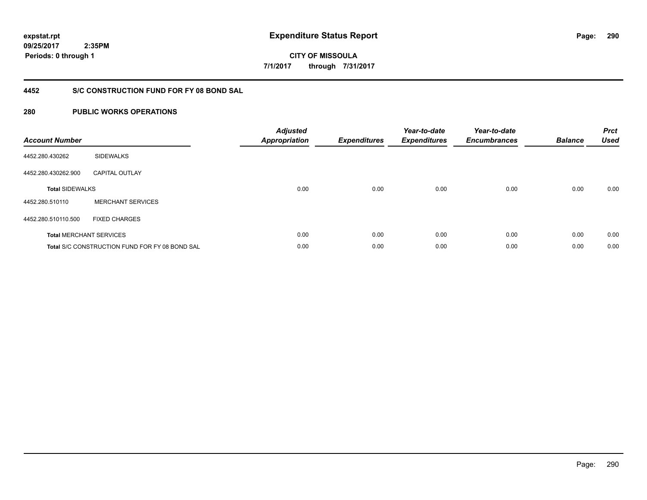**09/25/2017 2:35PM**

**Periods: 0 through 1**

**290**

**CITY OF MISSOULA 7/1/2017 through 7/31/2017**

## **4452 S/C CONSTRUCTION FUND FOR FY 08 BOND SAL**

| <b>Account Number</b>  |                                                       | <b>Adjusted</b><br>Appropriation | <b>Expenditures</b> | Year-to-date<br><b>Expenditures</b> | Year-to-date<br><b>Encumbrances</b> | <b>Balance</b> | <b>Prct</b><br><b>Used</b> |
|------------------------|-------------------------------------------------------|----------------------------------|---------------------|-------------------------------------|-------------------------------------|----------------|----------------------------|
| 4452.280.430262        | <b>SIDEWALKS</b>                                      |                                  |                     |                                     |                                     |                |                            |
| 4452.280.430262.900    | <b>CAPITAL OUTLAY</b>                                 |                                  |                     |                                     |                                     |                |                            |
| <b>Total SIDEWALKS</b> |                                                       | 0.00                             | 0.00                | 0.00                                | 0.00                                | 0.00           | 0.00                       |
| 4452.280.510110        | <b>MERCHANT SERVICES</b>                              |                                  |                     |                                     |                                     |                |                            |
| 4452.280.510110.500    | <b>FIXED CHARGES</b>                                  |                                  |                     |                                     |                                     |                |                            |
|                        | <b>Total MERCHANT SERVICES</b>                        | 0.00                             | 0.00                | 0.00                                | 0.00                                | 0.00           | 0.00                       |
|                        | <b>Total S/C CONSTRUCTION FUND FOR FY 08 BOND SAL</b> | 0.00                             | 0.00                | 0.00                                | 0.00                                | 0.00           | 0.00                       |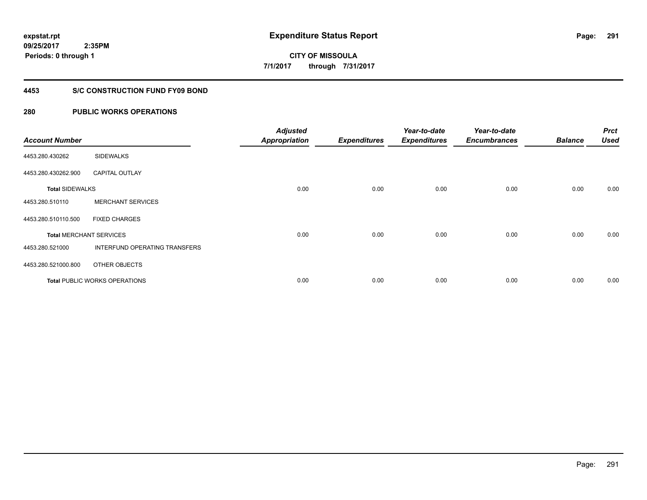### **4453 S/C CONSTRUCTION FUND FY09 BOND**

| <b>Account Number</b>  |                                | <b>Adjusted</b><br><b>Appropriation</b> | <b>Expenditures</b> | Year-to-date<br><b>Expenditures</b> | Year-to-date<br><b>Encumbrances</b> | <b>Balance</b> | <b>Prct</b><br><b>Used</b> |
|------------------------|--------------------------------|-----------------------------------------|---------------------|-------------------------------------|-------------------------------------|----------------|----------------------------|
| 4453.280.430262        | <b>SIDEWALKS</b>               |                                         |                     |                                     |                                     |                |                            |
| 4453.280.430262.900    | <b>CAPITAL OUTLAY</b>          |                                         |                     |                                     |                                     |                |                            |
| <b>Total SIDEWALKS</b> |                                | 0.00                                    | 0.00                | 0.00                                | 0.00                                | 0.00           | 0.00                       |
| 4453.280.510110        | <b>MERCHANT SERVICES</b>       |                                         |                     |                                     |                                     |                |                            |
| 4453.280.510110.500    | <b>FIXED CHARGES</b>           |                                         |                     |                                     |                                     |                |                            |
|                        | <b>Total MERCHANT SERVICES</b> | 0.00                                    | 0.00                | 0.00                                | 0.00                                | 0.00           | 0.00                       |
| 4453.280.521000        | INTERFUND OPERATING TRANSFERS  |                                         |                     |                                     |                                     |                |                            |
| 4453.280.521000.800    | OTHER OBJECTS                  |                                         |                     |                                     |                                     |                |                            |
|                        | Total PUBLIC WORKS OPERATIONS  | 0.00                                    | 0.00                | 0.00                                | 0.00                                | 0.00           | 0.00                       |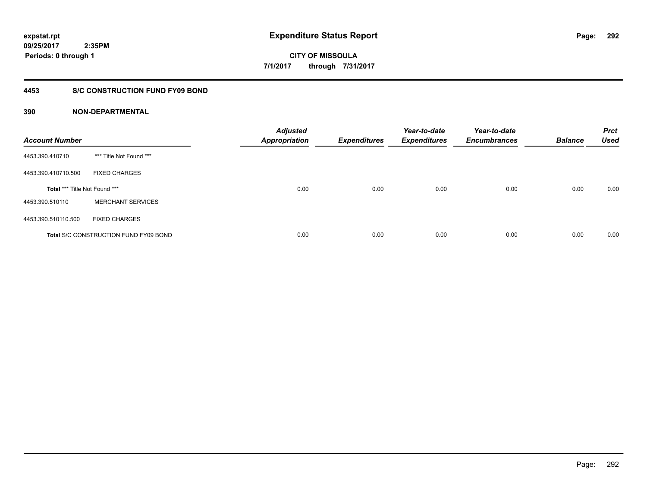**CITY OF MISSOULA 7/1/2017 through 7/31/2017**

#### **4453 S/C CONSTRUCTION FUND FY09 BOND**

| <b>Account Number</b>         |                                              | <b>Adjusted</b><br><b>Appropriation</b> | <b>Expenditures</b> | Year-to-date<br><b>Expenditures</b> | Year-to-date<br><b>Encumbrances</b> | <b>Balance</b> | <b>Prct</b><br><b>Used</b> |
|-------------------------------|----------------------------------------------|-----------------------------------------|---------------------|-------------------------------------|-------------------------------------|----------------|----------------------------|
| 4453.390.410710               | *** Title Not Found ***                      |                                         |                     |                                     |                                     |                |                            |
| 4453.390.410710.500           | <b>FIXED CHARGES</b>                         |                                         |                     |                                     |                                     |                |                            |
| Total *** Title Not Found *** |                                              | 0.00                                    | 0.00                | 0.00                                | 0.00                                | 0.00           | 0.00                       |
| 4453.390.510110               | <b>MERCHANT SERVICES</b>                     |                                         |                     |                                     |                                     |                |                            |
| 4453.390.510110.500           | <b>FIXED CHARGES</b>                         |                                         |                     |                                     |                                     |                |                            |
|                               | <b>Total S/C CONSTRUCTION FUND FY09 BOND</b> | 0.00                                    | 0.00                | 0.00                                | 0.00                                | 0.00           | 0.00                       |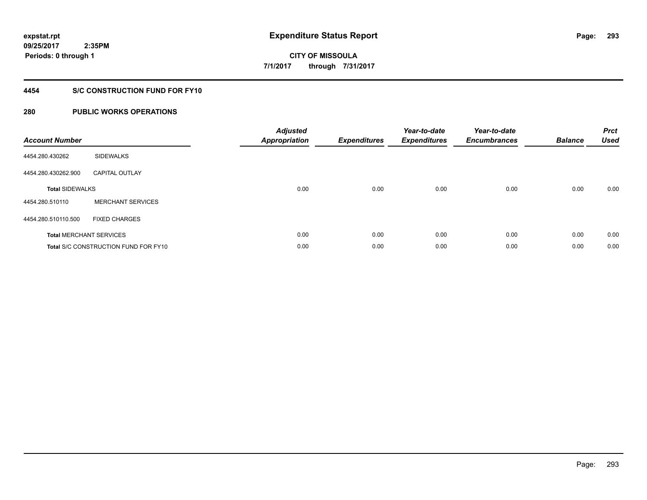## **4454 S/C CONSTRUCTION FUND FOR FY10**

| <b>Account Number</b>  |                                             | <b>Adjusted</b><br>Appropriation | <b>Expenditures</b> | Year-to-date<br><b>Expenditures</b> | Year-to-date<br><b>Encumbrances</b> | <b>Balance</b> | <b>Prct</b><br><b>Used</b> |
|------------------------|---------------------------------------------|----------------------------------|---------------------|-------------------------------------|-------------------------------------|----------------|----------------------------|
| 4454.280.430262        | <b>SIDEWALKS</b>                            |                                  |                     |                                     |                                     |                |                            |
| 4454.280.430262.900    | <b>CAPITAL OUTLAY</b>                       |                                  |                     |                                     |                                     |                |                            |
| <b>Total SIDEWALKS</b> |                                             | 0.00                             | 0.00                | 0.00                                | 0.00                                | 0.00           | 0.00                       |
| 4454.280.510110        | <b>MERCHANT SERVICES</b>                    |                                  |                     |                                     |                                     |                |                            |
| 4454.280.510110.500    | <b>FIXED CHARGES</b>                        |                                  |                     |                                     |                                     |                |                            |
|                        | <b>Total MERCHANT SERVICES</b>              | 0.00                             | 0.00                | 0.00                                | 0.00                                | 0.00           | 0.00                       |
|                        | <b>Total S/C CONSTRUCTION FUND FOR FY10</b> | 0.00                             | 0.00                | 0.00                                | 0.00                                | 0.00           | 0.00                       |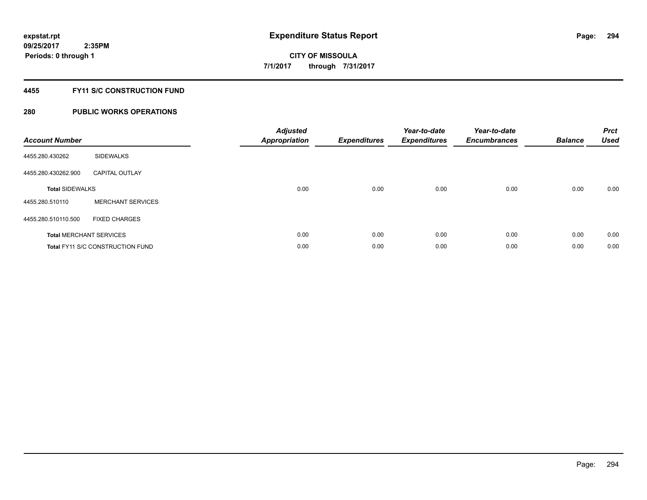## **4455 FY11 S/C CONSTRUCTION FUND**

| <b>Account Number</b>  |                                         | <b>Adjusted</b><br>Appropriation | <b>Expenditures</b> | Year-to-date<br><b>Expenditures</b> | Year-to-date<br><b>Encumbrances</b> | <b>Balance</b> | <b>Prct</b><br>Used |
|------------------------|-----------------------------------------|----------------------------------|---------------------|-------------------------------------|-------------------------------------|----------------|---------------------|
| 4455.280.430262        | <b>SIDEWALKS</b>                        |                                  |                     |                                     |                                     |                |                     |
| 4455.280.430262.900    | <b>CAPITAL OUTLAY</b>                   |                                  |                     |                                     |                                     |                |                     |
| <b>Total SIDEWALKS</b> |                                         | 0.00                             | 0.00                | 0.00                                | 0.00                                | 0.00           | 0.00                |
| 4455.280.510110        | <b>MERCHANT SERVICES</b>                |                                  |                     |                                     |                                     |                |                     |
| 4455.280.510110.500    | <b>FIXED CHARGES</b>                    |                                  |                     |                                     |                                     |                |                     |
|                        | <b>Total MERCHANT SERVICES</b>          | 0.00                             | 0.00                | 0.00                                | 0.00                                | 0.00           | 0.00                |
|                        | <b>Total FY11 S/C CONSTRUCTION FUND</b> | 0.00                             | 0.00                | 0.00                                | 0.00                                | 0.00           | 0.00                |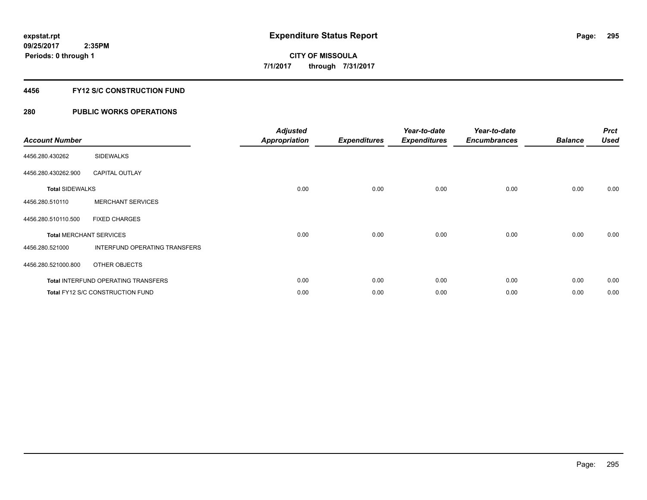## **4456 FY12 S/C CONSTRUCTION FUND**

| <b>Account Number</b>          |                                            | <b>Adjusted</b><br><b>Appropriation</b> | <b>Expenditures</b> | Year-to-date<br><b>Expenditures</b> | Year-to-date<br><b>Encumbrances</b> | <b>Balance</b> | <b>Prct</b><br><b>Used</b> |
|--------------------------------|--------------------------------------------|-----------------------------------------|---------------------|-------------------------------------|-------------------------------------|----------------|----------------------------|
| 4456.280.430262                | <b>SIDEWALKS</b>                           |                                         |                     |                                     |                                     |                |                            |
| 4456.280.430262.900            | <b>CAPITAL OUTLAY</b>                      |                                         |                     |                                     |                                     |                |                            |
| <b>Total SIDEWALKS</b>         |                                            | 0.00                                    | 0.00                | 0.00                                | 0.00                                | 0.00           | 0.00                       |
| 4456.280.510110                | <b>MERCHANT SERVICES</b>                   |                                         |                     |                                     |                                     |                |                            |
| 4456.280.510110.500            | <b>FIXED CHARGES</b>                       |                                         |                     |                                     |                                     |                |                            |
| <b>Total MERCHANT SERVICES</b> |                                            | 0.00                                    | 0.00                | 0.00                                | 0.00                                | 0.00           | 0.00                       |
| 4456.280.521000                | INTERFUND OPERATING TRANSFERS              |                                         |                     |                                     |                                     |                |                            |
| 4456.280.521000.800            | OTHER OBJECTS                              |                                         |                     |                                     |                                     |                |                            |
|                                | <b>Total INTERFUND OPERATING TRANSFERS</b> | 0.00                                    | 0.00                | 0.00                                | 0.00                                | 0.00           | 0.00                       |
|                                | Total FY12 S/C CONSTRUCTION FUND           | 0.00                                    | 0.00                | 0.00                                | 0.00                                | 0.00           | 0.00                       |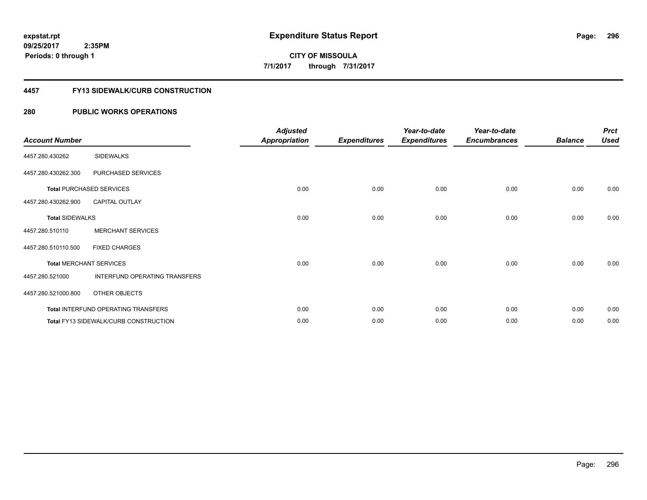#### **4457 FY13 SIDEWALK/CURB CONSTRUCTION**

| <b>Account Number</b>  |                                       | <b>Adjusted</b><br><b>Appropriation</b> | <b>Expenditures</b> | Year-to-date<br><b>Expenditures</b> | Year-to-date<br><b>Encumbrances</b> | <b>Balance</b> | <b>Prct</b><br><b>Used</b> |
|------------------------|---------------------------------------|-----------------------------------------|---------------------|-------------------------------------|-------------------------------------|----------------|----------------------------|
| 4457.280.430262        | <b>SIDEWALKS</b>                      |                                         |                     |                                     |                                     |                |                            |
| 4457.280.430262.300    | PURCHASED SERVICES                    |                                         |                     |                                     |                                     |                |                            |
|                        | <b>Total PURCHASED SERVICES</b>       | 0.00                                    | 0.00                | 0.00                                | 0.00                                | 0.00           | 0.00                       |
| 4457.280.430262.900    | CAPITAL OUTLAY                        |                                         |                     |                                     |                                     |                |                            |
| <b>Total SIDEWALKS</b> |                                       | 0.00                                    | 0.00                | 0.00                                | 0.00                                | 0.00           | 0.00                       |
| 4457.280.510110        | <b>MERCHANT SERVICES</b>              |                                         |                     |                                     |                                     |                |                            |
| 4457.280.510110.500    | <b>FIXED CHARGES</b>                  |                                         |                     |                                     |                                     |                |                            |
|                        | <b>Total MERCHANT SERVICES</b>        | 0.00                                    | 0.00                | 0.00                                | 0.00                                | 0.00           | 0.00                       |
| 4457.280.521000        | INTERFUND OPERATING TRANSFERS         |                                         |                     |                                     |                                     |                |                            |
| 4457.280.521000.800    | OTHER OBJECTS                         |                                         |                     |                                     |                                     |                |                            |
|                        | Total INTERFUND OPERATING TRANSFERS   | 0.00                                    | 0.00                | 0.00                                | 0.00                                | 0.00           | 0.00                       |
|                        | Total FY13 SIDEWALK/CURB CONSTRUCTION | 0.00                                    | 0.00                | 0.00                                | 0.00                                | 0.00           | 0.00                       |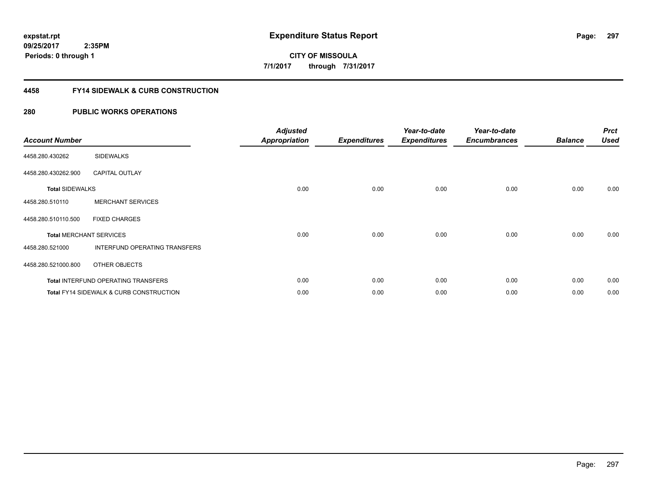### **4458 FY14 SIDEWALK & CURB CONSTRUCTION**

| <b>Account Number</b>  |                                                    | <b>Adjusted</b><br><b>Appropriation</b> | <b>Expenditures</b> | Year-to-date<br><b>Expenditures</b> | Year-to-date<br><b>Encumbrances</b> | <b>Balance</b> | <b>Prct</b><br><b>Used</b> |
|------------------------|----------------------------------------------------|-----------------------------------------|---------------------|-------------------------------------|-------------------------------------|----------------|----------------------------|
| 4458.280.430262        | <b>SIDEWALKS</b>                                   |                                         |                     |                                     |                                     |                |                            |
| 4458.280.430262.900    | <b>CAPITAL OUTLAY</b>                              |                                         |                     |                                     |                                     |                |                            |
| <b>Total SIDEWALKS</b> |                                                    | 0.00                                    | 0.00                | 0.00                                | 0.00                                | 0.00           | 0.00                       |
| 4458.280.510110        | <b>MERCHANT SERVICES</b>                           |                                         |                     |                                     |                                     |                |                            |
| 4458.280.510110.500    | <b>FIXED CHARGES</b>                               |                                         |                     |                                     |                                     |                |                            |
|                        | <b>Total MERCHANT SERVICES</b>                     | 0.00                                    | 0.00                | 0.00                                | 0.00                                | 0.00           | 0.00                       |
| 4458.280.521000        | INTERFUND OPERATING TRANSFERS                      |                                         |                     |                                     |                                     |                |                            |
| 4458.280.521000.800    | OTHER OBJECTS                                      |                                         |                     |                                     |                                     |                |                            |
|                        | <b>Total INTERFUND OPERATING TRANSFERS</b>         | 0.00                                    | 0.00                | 0.00                                | 0.00                                | 0.00           | 0.00                       |
|                        | <b>Total FY14 SIDEWALK &amp; CURB CONSTRUCTION</b> | 0.00                                    | 0.00                | 0.00                                | 0.00                                | 0.00           | 0.00                       |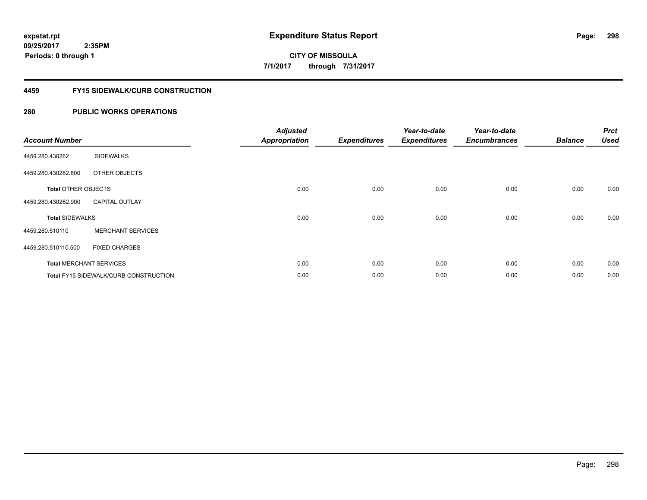### **4459 FY15 SIDEWALK/CURB CONSTRUCTION**

| <b>Account Number</b>      |                                       | <b>Adjusted</b><br><b>Appropriation</b> | <b>Expenditures</b> | Year-to-date<br><b>Expenditures</b> | Year-to-date<br><b>Encumbrances</b> | <b>Balance</b> | <b>Prct</b><br><b>Used</b> |
|----------------------------|---------------------------------------|-----------------------------------------|---------------------|-------------------------------------|-------------------------------------|----------------|----------------------------|
| 4459.280.430262            | <b>SIDEWALKS</b>                      |                                         |                     |                                     |                                     |                |                            |
| 4459.280.430262.800        | OTHER OBJECTS                         |                                         |                     |                                     |                                     |                |                            |
| <b>Total OTHER OBJECTS</b> |                                       | 0.00                                    | 0.00                | 0.00                                | 0.00                                | 0.00           | 0.00                       |
| 4459.280.430262.900        | <b>CAPITAL OUTLAY</b>                 |                                         |                     |                                     |                                     |                |                            |
| <b>Total SIDEWALKS</b>     |                                       | 0.00                                    | 0.00                | 0.00                                | 0.00                                | 0.00           | 0.00                       |
| 4459.280.510110            | <b>MERCHANT SERVICES</b>              |                                         |                     |                                     |                                     |                |                            |
| 4459.280.510110.500        | <b>FIXED CHARGES</b>                  |                                         |                     |                                     |                                     |                |                            |
|                            | <b>Total MERCHANT SERVICES</b>        | 0.00                                    | 0.00                | 0.00                                | 0.00                                | 0.00           | 0.00                       |
|                            | Total FY15 SIDEWALK/CURB CONSTRUCTION | 0.00                                    | 0.00                | 0.00                                | 0.00                                | 0.00           | 0.00                       |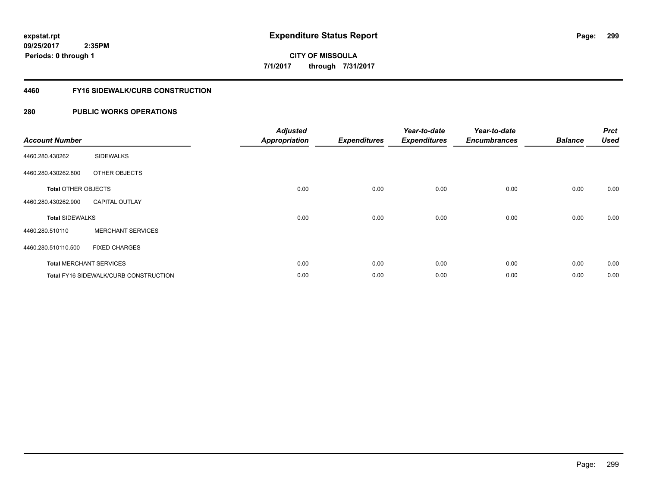# **CITY OF MISSOULA 7/1/2017 through 7/31/2017**

#### **4460 FY16 SIDEWALK/CURB CONSTRUCTION**

| <b>Account Number</b>      |                                       | <b>Adjusted</b><br><b>Appropriation</b> | <b>Expenditures</b> | Year-to-date<br><b>Expenditures</b> | Year-to-date<br><b>Encumbrances</b> | <b>Balance</b> | <b>Prct</b><br><b>Used</b> |
|----------------------------|---------------------------------------|-----------------------------------------|---------------------|-------------------------------------|-------------------------------------|----------------|----------------------------|
| 4460.280.430262            | <b>SIDEWALKS</b>                      |                                         |                     |                                     |                                     |                |                            |
| 4460.280.430262.800        | OTHER OBJECTS                         |                                         |                     |                                     |                                     |                |                            |
| <b>Total OTHER OBJECTS</b> |                                       | 0.00                                    | 0.00                | 0.00                                | 0.00                                | 0.00           | 0.00                       |
| 4460.280.430262.900        | <b>CAPITAL OUTLAY</b>                 |                                         |                     |                                     |                                     |                |                            |
| <b>Total SIDEWALKS</b>     |                                       | 0.00                                    | 0.00                | 0.00                                | 0.00                                | 0.00           | 0.00                       |
| 4460.280.510110            | <b>MERCHANT SERVICES</b>              |                                         |                     |                                     |                                     |                |                            |
| 4460.280.510110.500        | <b>FIXED CHARGES</b>                  |                                         |                     |                                     |                                     |                |                            |
|                            | <b>Total MERCHANT SERVICES</b>        | 0.00                                    | 0.00                | 0.00                                | 0.00                                | 0.00           | 0.00                       |
|                            | Total FY16 SIDEWALK/CURB CONSTRUCTION | 0.00                                    | 0.00                | 0.00                                | 0.00                                | 0.00           | 0.00                       |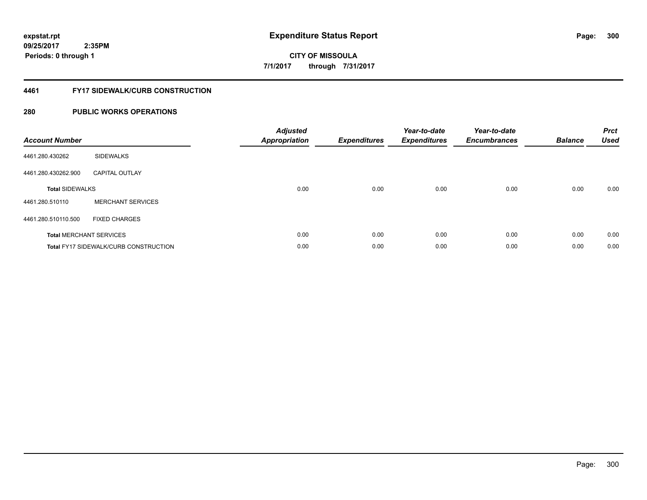# **CITY OF MISSOULA 7/1/2017 through 7/31/2017**

#### **4461 FY17 SIDEWALK/CURB CONSTRUCTION**

| <b>Account Number</b>  |                                              | <b>Adjusted</b><br>Appropriation | <b>Expenditures</b> | Year-to-date<br><b>Expenditures</b> | Year-to-date<br><b>Encumbrances</b> | <b>Balance</b> | <b>Prct</b><br>Used |
|------------------------|----------------------------------------------|----------------------------------|---------------------|-------------------------------------|-------------------------------------|----------------|---------------------|
| 4461.280.430262        | <b>SIDEWALKS</b>                             |                                  |                     |                                     |                                     |                |                     |
| 4461.280.430262.900    | <b>CAPITAL OUTLAY</b>                        |                                  |                     |                                     |                                     |                |                     |
| <b>Total SIDEWALKS</b> |                                              | 0.00                             | 0.00                | 0.00                                | 0.00                                | 0.00           | 0.00                |
| 4461.280.510110        | <b>MERCHANT SERVICES</b>                     |                                  |                     |                                     |                                     |                |                     |
| 4461.280.510110.500    | <b>FIXED CHARGES</b>                         |                                  |                     |                                     |                                     |                |                     |
|                        | <b>Total MERCHANT SERVICES</b>               | 0.00                             | 0.00                | 0.00                                | 0.00                                | 0.00           | 0.00                |
|                        | <b>Total FY17 SIDEWALK/CURB CONSTRUCTION</b> | 0.00                             | 0.00                | 0.00                                | 0.00                                | 0.00           | 0.00                |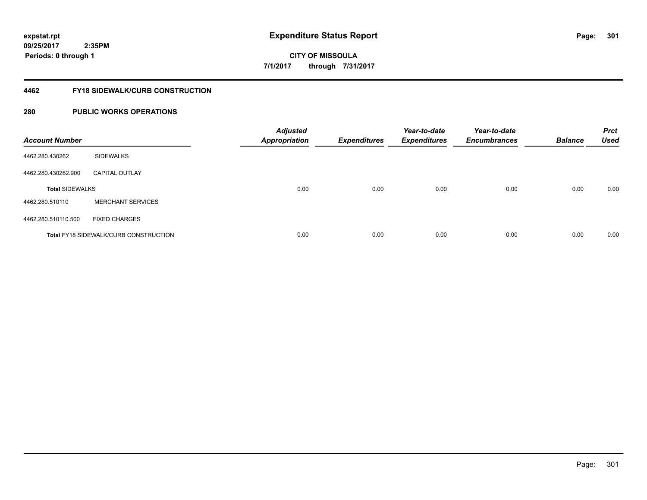# **CITY OF MISSOULA 7/1/2017 through 7/31/2017**

#### **4462 FY18 SIDEWALK/CURB CONSTRUCTION**

| <b>Account Number</b>  |                                              | <b>Adjusted</b><br><b>Appropriation</b> | <b>Expenditures</b> | Year-to-date<br><b>Expenditures</b> | Year-to-date<br><b>Encumbrances</b> | <b>Balance</b> | <b>Prct</b><br><b>Used</b> |
|------------------------|----------------------------------------------|-----------------------------------------|---------------------|-------------------------------------|-------------------------------------|----------------|----------------------------|
| 4462.280.430262        | <b>SIDEWALKS</b>                             |                                         |                     |                                     |                                     |                |                            |
| 4462.280.430262.900    | <b>CAPITAL OUTLAY</b>                        |                                         |                     |                                     |                                     |                |                            |
| <b>Total SIDEWALKS</b> |                                              | 0.00                                    | 0.00                | 0.00                                | 0.00                                | 0.00           | 0.00                       |
| 4462.280.510110        | <b>MERCHANT SERVICES</b>                     |                                         |                     |                                     |                                     |                |                            |
| 4462.280.510110.500    | <b>FIXED CHARGES</b>                         |                                         |                     |                                     |                                     |                |                            |
|                        | <b>Total FY18 SIDEWALK/CURB CONSTRUCTION</b> | 0.00                                    | 0.00                | 0.00                                | 0.00                                | 0.00           | 0.00                       |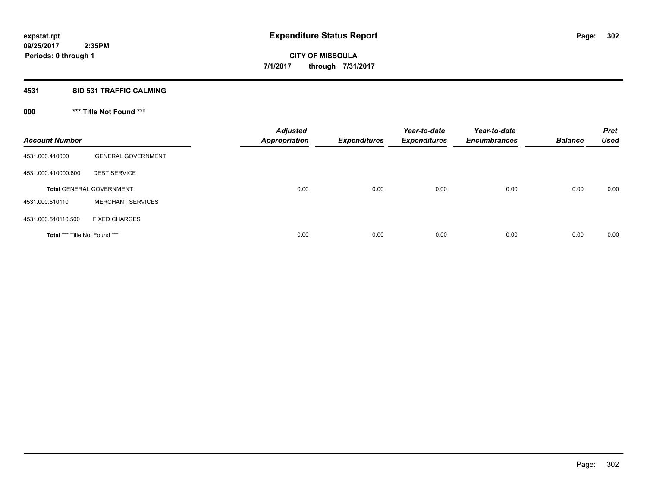### **4531 SID 531 TRAFFIC CALMING**

# **000 \*\*\* Title Not Found \*\*\***

| <b>Account Number</b>         |                                 | <b>Adjusted</b><br><b>Appropriation</b> | <b>Expenditures</b> | Year-to-date<br><b>Expenditures</b> | Year-to-date<br><b>Encumbrances</b> | <b>Balance</b> | <b>Prct</b><br><b>Used</b> |
|-------------------------------|---------------------------------|-----------------------------------------|---------------------|-------------------------------------|-------------------------------------|----------------|----------------------------|
| 4531.000.410000               | <b>GENERAL GOVERNMENT</b>       |                                         |                     |                                     |                                     |                |                            |
| 4531.000.410000.600           | <b>DEBT SERVICE</b>             |                                         |                     |                                     |                                     |                |                            |
|                               | <b>Total GENERAL GOVERNMENT</b> | 0.00                                    | 0.00                | 0.00                                | 0.00                                | 0.00           | 0.00                       |
| 4531.000.510110               | <b>MERCHANT SERVICES</b>        |                                         |                     |                                     |                                     |                |                            |
| 4531.000.510110.500           | <b>FIXED CHARGES</b>            |                                         |                     |                                     |                                     |                |                            |
| Total *** Title Not Found *** |                                 | 0.00                                    | 0.00                | 0.00                                | 0.00                                | 0.00           | 0.00                       |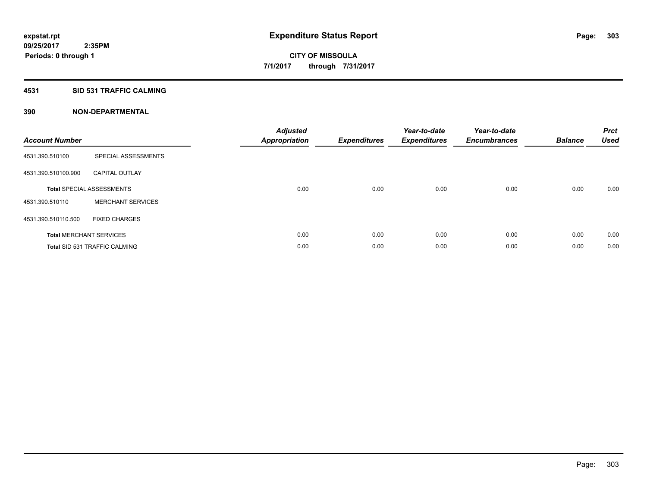#### **4531 SID 531 TRAFFIC CALMING**

| <b>Account Number</b> |                                      | <b>Adjusted</b><br><b>Appropriation</b> | <b>Expenditures</b> | Year-to-date<br><b>Expenditures</b> | Year-to-date<br><b>Encumbrances</b> | <b>Balance</b> | <b>Prct</b><br><b>Used</b> |
|-----------------------|--------------------------------------|-----------------------------------------|---------------------|-------------------------------------|-------------------------------------|----------------|----------------------------|
| 4531.390.510100       | SPECIAL ASSESSMENTS                  |                                         |                     |                                     |                                     |                |                            |
| 4531.390.510100.900   | <b>CAPITAL OUTLAY</b>                |                                         |                     |                                     |                                     |                |                            |
|                       | <b>Total SPECIAL ASSESSMENTS</b>     | 0.00                                    | 0.00                | 0.00                                | 0.00                                | 0.00           | 0.00                       |
| 4531.390.510110       | <b>MERCHANT SERVICES</b>             |                                         |                     |                                     |                                     |                |                            |
| 4531.390.510110.500   | <b>FIXED CHARGES</b>                 |                                         |                     |                                     |                                     |                |                            |
|                       | <b>Total MERCHANT SERVICES</b>       | 0.00                                    | 0.00                | 0.00                                | 0.00                                | 0.00           | 0.00                       |
|                       | <b>Total SID 531 TRAFFIC CALMING</b> | 0.00                                    | 0.00                | 0.00                                | 0.00                                | 0.00           | 0.00                       |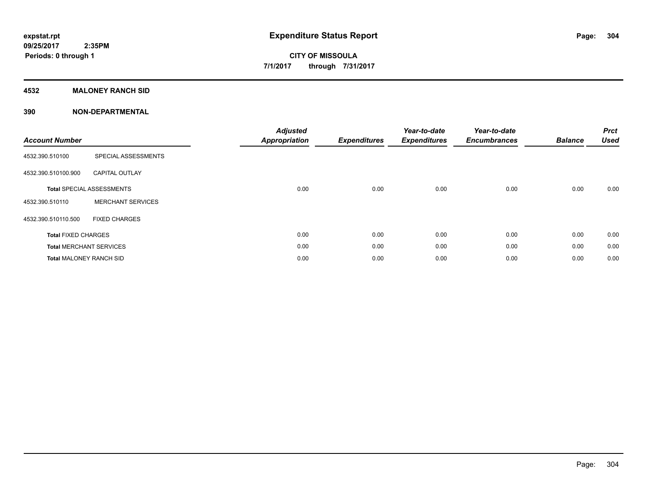# **4532 MALONEY RANCH SID**

| <b>Account Number</b>          |                                  | <b>Adjusted</b><br><b>Appropriation</b> | <b>Expenditures</b> | Year-to-date<br><b>Expenditures</b> | Year-to-date<br><b>Encumbrances</b> | <b>Balance</b> | <b>Prct</b><br><b>Used</b> |
|--------------------------------|----------------------------------|-----------------------------------------|---------------------|-------------------------------------|-------------------------------------|----------------|----------------------------|
| 4532.390.510100                | SPECIAL ASSESSMENTS              |                                         |                     |                                     |                                     |                |                            |
| 4532.390.510100.900            | <b>CAPITAL OUTLAY</b>            |                                         |                     |                                     |                                     |                |                            |
|                                | <b>Total SPECIAL ASSESSMENTS</b> | 0.00                                    | 0.00                | 0.00                                | 0.00                                | 0.00           | 0.00                       |
| 4532.390.510110                | <b>MERCHANT SERVICES</b>         |                                         |                     |                                     |                                     |                |                            |
| 4532.390.510110.500            | <b>FIXED CHARGES</b>             |                                         |                     |                                     |                                     |                |                            |
| <b>Total FIXED CHARGES</b>     |                                  | 0.00                                    | 0.00                | 0.00                                | 0.00                                | 0.00           | 0.00                       |
|                                | <b>Total MERCHANT SERVICES</b>   | 0.00                                    | 0.00                | 0.00                                | 0.00                                | 0.00           | 0.00                       |
| <b>Total MALONEY RANCH SID</b> |                                  | 0.00                                    | 0.00                | 0.00                                | 0.00                                | 0.00           | 0.00                       |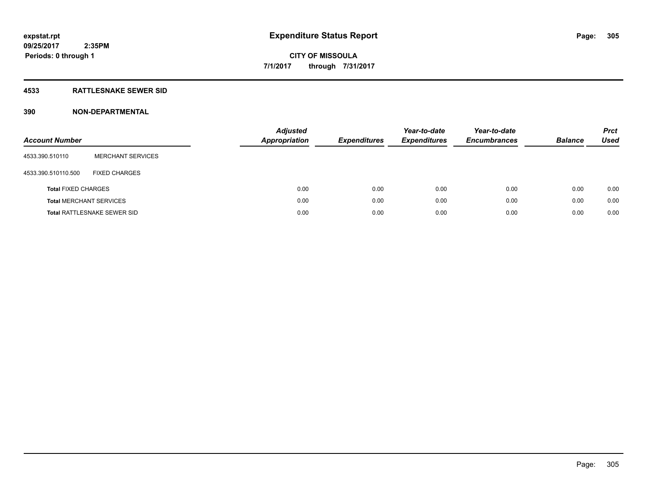#### **4533 RATTLESNAKE SEWER SID**

| <b>Account Number</b>          |                                    | <b>Adjusted</b><br><b>Appropriation</b> | <b>Expenditures</b> | Year-to-date<br><b>Expenditures</b> | Year-to-date<br><b>Encumbrances</b> | <b>Balance</b> | <b>Prct</b><br>Used |
|--------------------------------|------------------------------------|-----------------------------------------|---------------------|-------------------------------------|-------------------------------------|----------------|---------------------|
| 4533.390.510110                | <b>MERCHANT SERVICES</b>           |                                         |                     |                                     |                                     |                |                     |
| 4533.390.510110.500            | <b>FIXED CHARGES</b>               |                                         |                     |                                     |                                     |                |                     |
| <b>Total FIXED CHARGES</b>     |                                    | 0.00                                    | 0.00                | 0.00                                | 0.00                                | 0.00           | 0.00                |
| <b>Total MERCHANT SERVICES</b> |                                    | 0.00                                    | 0.00                | 0.00                                | 0.00                                | 0.00           | 0.00                |
|                                | <b>Total RATTLESNAKE SEWER SID</b> | 0.00                                    | 0.00                | 0.00                                | 0.00                                | 0.00           | 0.00                |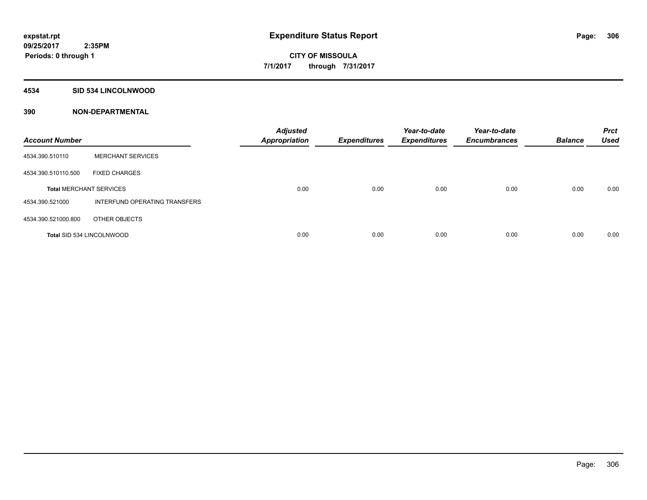#### **4534 SID 534 LINCOLNWOOD**

| <b>Account Number</b>          |                               | <b>Adjusted</b><br><b>Appropriation</b> | <b>Expenditures</b> | Year-to-date<br><b>Expenditures</b> | Year-to-date<br><b>Encumbrances</b> | <b>Balance</b> | <b>Prct</b><br><b>Used</b> |
|--------------------------------|-------------------------------|-----------------------------------------|---------------------|-------------------------------------|-------------------------------------|----------------|----------------------------|
| 4534.390.510110                | <b>MERCHANT SERVICES</b>      |                                         |                     |                                     |                                     |                |                            |
| 4534.390.510110.500            | <b>FIXED CHARGES</b>          |                                         |                     |                                     |                                     |                |                            |
| <b>Total MERCHANT SERVICES</b> |                               | 0.00                                    | 0.00                | 0.00                                | 0.00                                | 0.00           | 0.00                       |
| 4534.390.521000                | INTERFUND OPERATING TRANSFERS |                                         |                     |                                     |                                     |                |                            |
| 4534.390.521000.800            | OTHER OBJECTS                 |                                         |                     |                                     |                                     |                |                            |
| Total SID 534 LINCOLNWOOD      |                               | 0.00                                    | 0.00                | 0.00                                | 0.00                                | 0.00           | 0.00                       |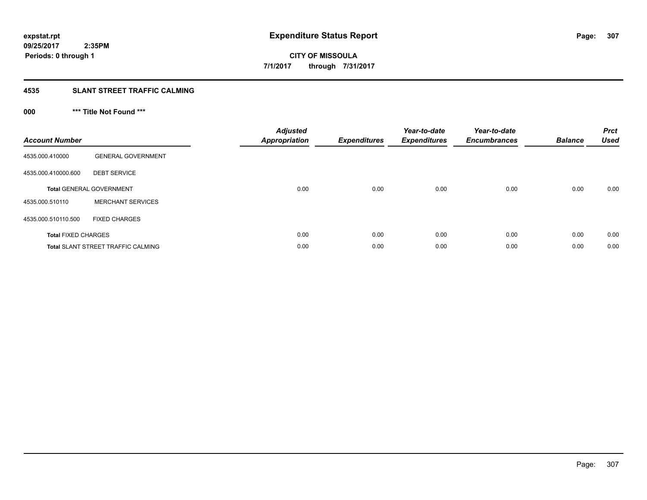## **4535 SLANT STREET TRAFFIC CALMING**

# **000 \*\*\* Title Not Found \*\*\***

| <b>Account Number</b>      |                                           | <b>Adjusted</b><br>Appropriation | <b>Expenditures</b> | Year-to-date<br><b>Expenditures</b> | Year-to-date<br><b>Encumbrances</b> | <b>Balance</b> | <b>Prct</b><br><b>Used</b> |
|----------------------------|-------------------------------------------|----------------------------------|---------------------|-------------------------------------|-------------------------------------|----------------|----------------------------|
| 4535.000.410000            | <b>GENERAL GOVERNMENT</b>                 |                                  |                     |                                     |                                     |                |                            |
| 4535.000.410000.600        | <b>DEBT SERVICE</b>                       |                                  |                     |                                     |                                     |                |                            |
|                            | <b>Total GENERAL GOVERNMENT</b>           | 0.00                             | 0.00                | 0.00                                | 0.00                                | 0.00           | 0.00                       |
| 4535.000.510110            | <b>MERCHANT SERVICES</b>                  |                                  |                     |                                     |                                     |                |                            |
| 4535.000.510110.500        | <b>FIXED CHARGES</b>                      |                                  |                     |                                     |                                     |                |                            |
| <b>Total FIXED CHARGES</b> |                                           | 0.00                             | 0.00                | 0.00                                | 0.00                                | 0.00           | 0.00                       |
|                            | <b>Total SLANT STREET TRAFFIC CALMING</b> | 0.00                             | 0.00                | 0.00                                | 0.00                                | 0.00           | 0.00                       |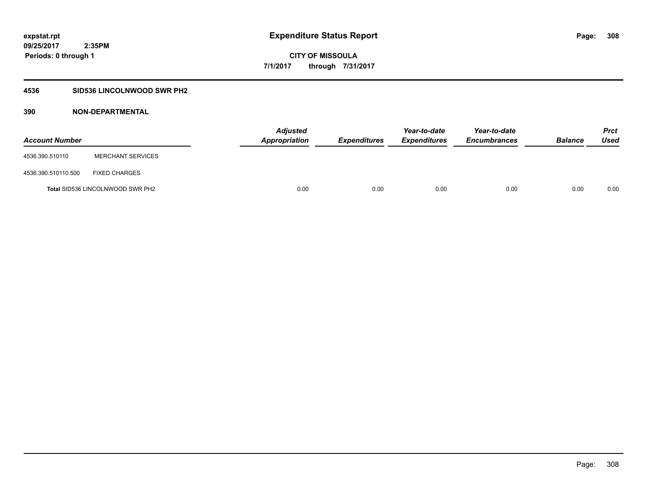# **4536 SID536 LINCOLNWOOD SWR PH2**

| <b>Account Number</b> |                                         | <b>Adjusted</b><br>Appropriation | <b>Expenditures</b> | Year-to-date<br><b>Expenditures</b> | Year-to-date<br><b>Encumbrances</b> | <b>Balance</b> | Prct<br><b>Used</b> |
|-----------------------|-----------------------------------------|----------------------------------|---------------------|-------------------------------------|-------------------------------------|----------------|---------------------|
| 4536.390.510110       | <b>MERCHANT SERVICES</b>                |                                  |                     |                                     |                                     |                |                     |
| 4536.390.510110.500   | <b>FIXED CHARGES</b>                    |                                  |                     |                                     |                                     |                |                     |
|                       | <b>Total SID536 LINCOLNWOOD SWR PH2</b> | 0.00                             | 0.00                | 0.00                                | 0.00                                | 0.00           | 0.00                |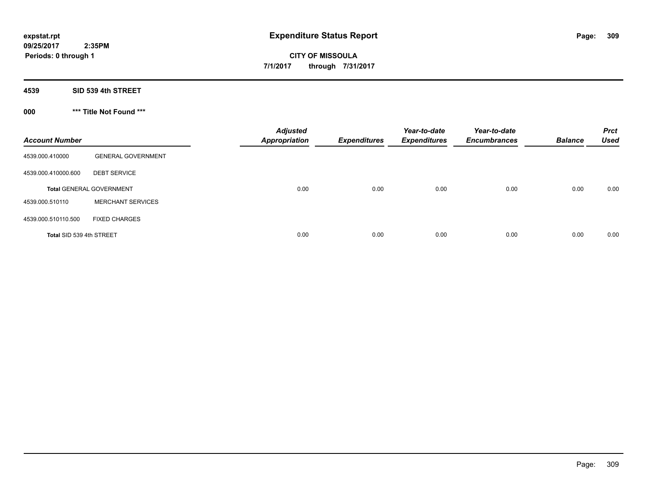**4539 SID 539 4th STREET**

**000 \*\*\* Title Not Found \*\*\***

| <b>Account Number</b>    |                                 | <b>Adjusted</b><br><b>Appropriation</b> | <b>Expenditures</b> | Year-to-date<br><b>Expenditures</b> | Year-to-date<br><b>Encumbrances</b> | <b>Balance</b> | <b>Prct</b><br><b>Used</b> |
|--------------------------|---------------------------------|-----------------------------------------|---------------------|-------------------------------------|-------------------------------------|----------------|----------------------------|
| 4539.000.410000          | <b>GENERAL GOVERNMENT</b>       |                                         |                     |                                     |                                     |                |                            |
| 4539.000.410000.600      | <b>DEBT SERVICE</b>             |                                         |                     |                                     |                                     |                |                            |
|                          | <b>Total GENERAL GOVERNMENT</b> | 0.00                                    | 0.00                | 0.00                                | 0.00                                | 0.00           | 0.00                       |
| 4539.000.510110          | <b>MERCHANT SERVICES</b>        |                                         |                     |                                     |                                     |                |                            |
| 4539.000.510110.500      | <b>FIXED CHARGES</b>            |                                         |                     |                                     |                                     |                |                            |
| Total SID 539 4th STREET |                                 | 0.00                                    | 0.00                | 0.00                                | 0.00                                | 0.00           | 0.00                       |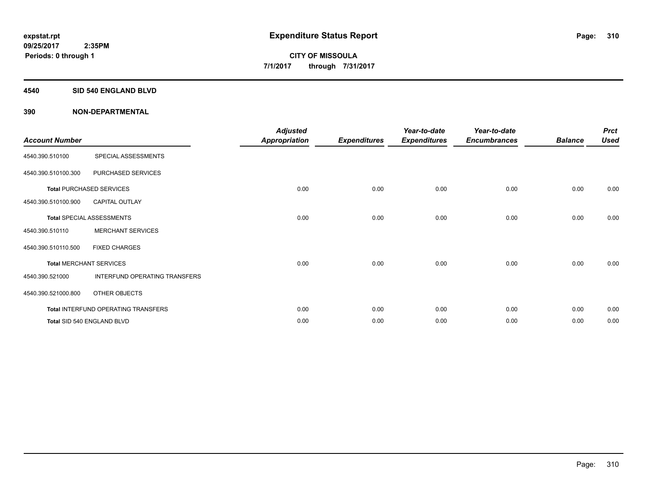#### **4540 SID 540 ENGLAND BLVD**

| <b>Account Number</b> |                                     | <b>Adjusted</b><br><b>Appropriation</b> | <b>Expenditures</b> | Year-to-date<br><b>Expenditures</b> | Year-to-date<br><b>Encumbrances</b> | <b>Balance</b> | <b>Prct</b><br><b>Used</b> |
|-----------------------|-------------------------------------|-----------------------------------------|---------------------|-------------------------------------|-------------------------------------|----------------|----------------------------|
| 4540.390.510100       | SPECIAL ASSESSMENTS                 |                                         |                     |                                     |                                     |                |                            |
| 4540.390.510100.300   | PURCHASED SERVICES                  |                                         |                     |                                     |                                     |                |                            |
|                       | <b>Total PURCHASED SERVICES</b>     | 0.00                                    | 0.00                | 0.00                                | 0.00                                | 0.00           | 0.00                       |
| 4540.390.510100.900   | <b>CAPITAL OUTLAY</b>               |                                         |                     |                                     |                                     |                |                            |
|                       | <b>Total SPECIAL ASSESSMENTS</b>    | 0.00                                    | 0.00                | 0.00                                | 0.00                                | 0.00           | 0.00                       |
| 4540.390.510110       | <b>MERCHANT SERVICES</b>            |                                         |                     |                                     |                                     |                |                            |
| 4540.390.510110.500   | <b>FIXED CHARGES</b>                |                                         |                     |                                     |                                     |                |                            |
|                       | <b>Total MERCHANT SERVICES</b>      | 0.00                                    | 0.00                | 0.00                                | 0.00                                | 0.00           | 0.00                       |
| 4540.390.521000       | INTERFUND OPERATING TRANSFERS       |                                         |                     |                                     |                                     |                |                            |
| 4540.390.521000.800   | OTHER OBJECTS                       |                                         |                     |                                     |                                     |                |                            |
|                       | Total INTERFUND OPERATING TRANSFERS | 0.00                                    | 0.00                | 0.00                                | 0.00                                | 0.00           | 0.00                       |
|                       | Total SID 540 ENGLAND BLVD          | 0.00                                    | 0.00                | 0.00                                | 0.00                                | 0.00           | 0.00                       |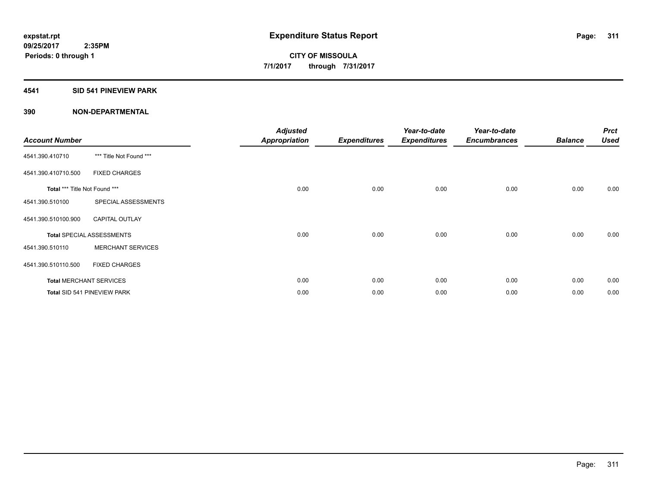#### **4541 SID 541 PINEVIEW PARK**

| <b>Account Number</b>         |                                  | <b>Adjusted</b><br>Appropriation | <b>Expenditures</b> | Year-to-date<br><b>Expenditures</b> | Year-to-date<br><b>Encumbrances</b> | <b>Balance</b> | <b>Prct</b><br><b>Used</b> |
|-------------------------------|----------------------------------|----------------------------------|---------------------|-------------------------------------|-------------------------------------|----------------|----------------------------|
| 4541.390.410710               | *** Title Not Found ***          |                                  |                     |                                     |                                     |                |                            |
| 4541.390.410710.500           | <b>FIXED CHARGES</b>             |                                  |                     |                                     |                                     |                |                            |
| Total *** Title Not Found *** |                                  | 0.00                             | 0.00                | 0.00                                | 0.00                                | 0.00           | 0.00                       |
| 4541.390.510100               | SPECIAL ASSESSMENTS              |                                  |                     |                                     |                                     |                |                            |
| 4541.390.510100.900           | <b>CAPITAL OUTLAY</b>            |                                  |                     |                                     |                                     |                |                            |
|                               | <b>Total SPECIAL ASSESSMENTS</b> | 0.00                             | 0.00                | 0.00                                | 0.00                                | 0.00           | 0.00                       |
| 4541.390.510110               | <b>MERCHANT SERVICES</b>         |                                  |                     |                                     |                                     |                |                            |
| 4541.390.510110.500           | <b>FIXED CHARGES</b>             |                                  |                     |                                     |                                     |                |                            |
|                               | <b>Total MERCHANT SERVICES</b>   | 0.00                             | 0.00                | 0.00                                | 0.00                                | 0.00           | 0.00                       |
|                               | Total SID 541 PINEVIEW PARK      | 0.00                             | 0.00                | 0.00                                | 0.00                                | 0.00           | 0.00                       |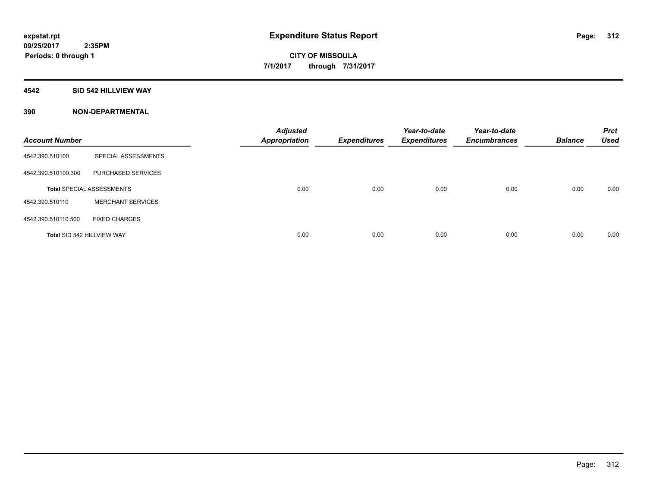#### **4542 SID 542 HILLVIEW WAY**

| <b>Account Number</b>      |                                  | <b>Adjusted</b><br><b>Appropriation</b> | <b>Expenditures</b> | Year-to-date<br><b>Expenditures</b> | Year-to-date<br><b>Encumbrances</b> | <b>Balance</b> | <b>Prct</b><br><b>Used</b> |
|----------------------------|----------------------------------|-----------------------------------------|---------------------|-------------------------------------|-------------------------------------|----------------|----------------------------|
| 4542.390.510100            | SPECIAL ASSESSMENTS              |                                         |                     |                                     |                                     |                |                            |
| 4542.390.510100.300        | PURCHASED SERVICES               |                                         |                     |                                     |                                     |                |                            |
|                            | <b>Total SPECIAL ASSESSMENTS</b> | 0.00                                    | 0.00                | 0.00                                | 0.00                                | 0.00           | 0.00                       |
| 4542.390.510110            | <b>MERCHANT SERVICES</b>         |                                         |                     |                                     |                                     |                |                            |
| 4542.390.510110.500        | <b>FIXED CHARGES</b>             |                                         |                     |                                     |                                     |                |                            |
| Total SID 542 HILLVIEW WAY |                                  | 0.00                                    | 0.00                | 0.00                                | 0.00                                | 0.00           | 0.00                       |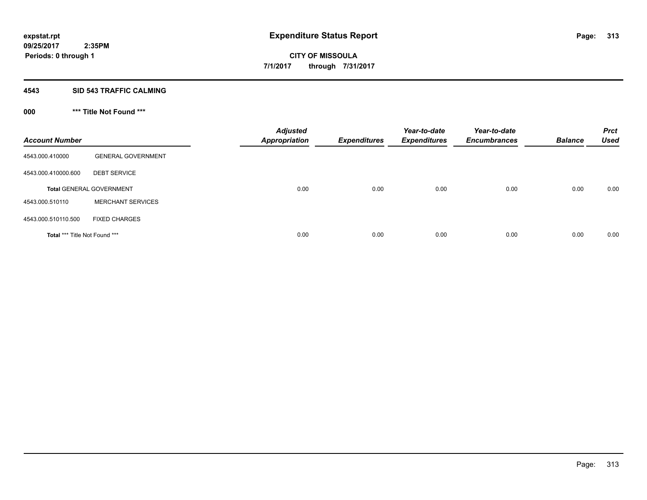### **4543 SID 543 TRAFFIC CALMING**

# **000 \*\*\* Title Not Found \*\*\***

| <b>Account Number</b>                |                                 | <b>Adjusted</b><br><b>Appropriation</b> | <b>Expenditures</b> | Year-to-date<br><b>Expenditures</b> | Year-to-date<br><b>Encumbrances</b> | <b>Balance</b> | <b>Prct</b><br><b>Used</b> |
|--------------------------------------|---------------------------------|-----------------------------------------|---------------------|-------------------------------------|-------------------------------------|----------------|----------------------------|
| 4543.000.410000                      | <b>GENERAL GOVERNMENT</b>       |                                         |                     |                                     |                                     |                |                            |
| 4543.000.410000.600                  | <b>DEBT SERVICE</b>             |                                         |                     |                                     |                                     |                |                            |
|                                      | <b>Total GENERAL GOVERNMENT</b> | 0.00                                    | 0.00                | 0.00                                | 0.00                                | 0.00           | 0.00                       |
| 4543.000.510110                      | <b>MERCHANT SERVICES</b>        |                                         |                     |                                     |                                     |                |                            |
| 4543.000.510110.500                  | <b>FIXED CHARGES</b>            |                                         |                     |                                     |                                     |                |                            |
| <b>Total *** Title Not Found ***</b> |                                 | 0.00                                    | 0.00                | 0.00                                | 0.00                                | 0.00           | 0.00                       |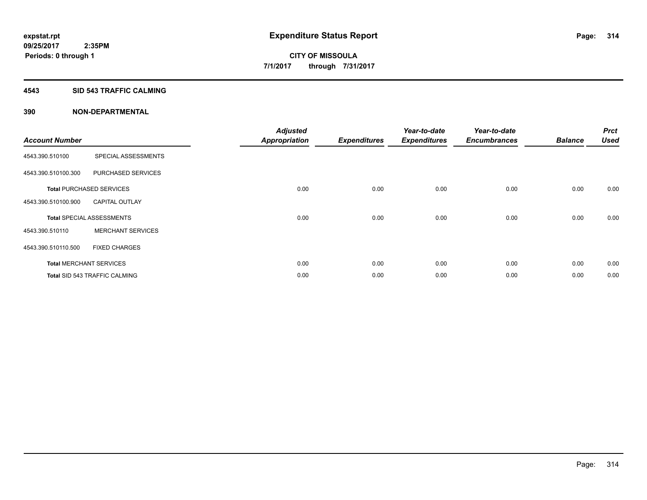#### **4543 SID 543 TRAFFIC CALMING**

|                       |                                  | <b>Adjusted</b>      |                     | Year-to-date        | Year-to-date        |                | <b>Prct</b> |
|-----------------------|----------------------------------|----------------------|---------------------|---------------------|---------------------|----------------|-------------|
| <b>Account Number</b> |                                  | <b>Appropriation</b> | <b>Expenditures</b> | <b>Expenditures</b> | <b>Encumbrances</b> | <b>Balance</b> | <b>Used</b> |
| 4543.390.510100       | SPECIAL ASSESSMENTS              |                      |                     |                     |                     |                |             |
| 4543.390.510100.300   | PURCHASED SERVICES               |                      |                     |                     |                     |                |             |
|                       | <b>Total PURCHASED SERVICES</b>  | 0.00                 | 0.00                | 0.00                | 0.00                | 0.00           | 0.00        |
| 4543.390.510100.900   | <b>CAPITAL OUTLAY</b>            |                      |                     |                     |                     |                |             |
|                       | <b>Total SPECIAL ASSESSMENTS</b> | 0.00                 | 0.00                | 0.00                | 0.00                | 0.00           | 0.00        |
| 4543.390.510110       | <b>MERCHANT SERVICES</b>         |                      |                     |                     |                     |                |             |
| 4543.390.510110.500   | <b>FIXED CHARGES</b>             |                      |                     |                     |                     |                |             |
|                       | <b>Total MERCHANT SERVICES</b>   | 0.00                 | 0.00                | 0.00                | 0.00                | 0.00           | 0.00        |
|                       | Total SID 543 TRAFFIC CALMING    | 0.00                 | 0.00                | 0.00                | 0.00                | 0.00           | 0.00        |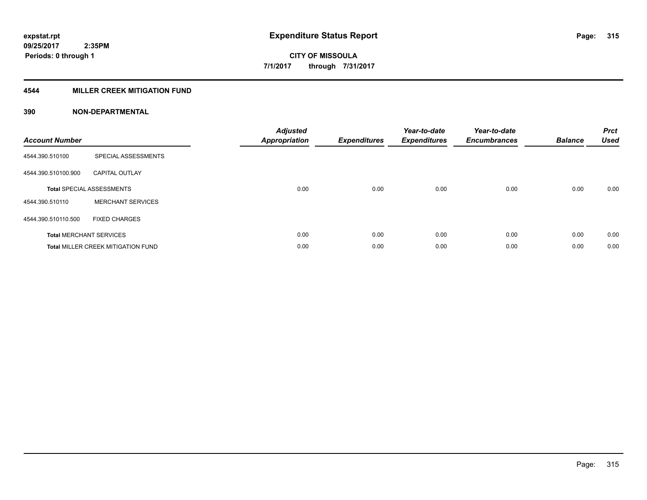## **4544 MILLER CREEK MITIGATION FUND**

| <b>Account Number</b> |                                           | <b>Adjusted</b><br><b>Appropriation</b> | <b>Expenditures</b> | Year-to-date<br><b>Expenditures</b> | Year-to-date<br><b>Encumbrances</b> | <b>Balance</b> | <b>Prct</b><br><b>Used</b> |
|-----------------------|-------------------------------------------|-----------------------------------------|---------------------|-------------------------------------|-------------------------------------|----------------|----------------------------|
| 4544.390.510100       | SPECIAL ASSESSMENTS                       |                                         |                     |                                     |                                     |                |                            |
| 4544.390.510100.900   | <b>CAPITAL OUTLAY</b>                     |                                         |                     |                                     |                                     |                |                            |
|                       | <b>Total SPECIAL ASSESSMENTS</b>          | 0.00                                    | 0.00                | 0.00                                | 0.00                                | 0.00           | 0.00                       |
| 4544.390.510110       | <b>MERCHANT SERVICES</b>                  |                                         |                     |                                     |                                     |                |                            |
| 4544.390.510110.500   | <b>FIXED CHARGES</b>                      |                                         |                     |                                     |                                     |                |                            |
|                       | <b>Total MERCHANT SERVICES</b>            | 0.00                                    | 0.00                | 0.00                                | 0.00                                | 0.00           | 0.00                       |
|                       | <b>Total MILLER CREEK MITIGATION FUND</b> | 0.00                                    | 0.00                | 0.00                                | 0.00                                | 0.00           | 0.00                       |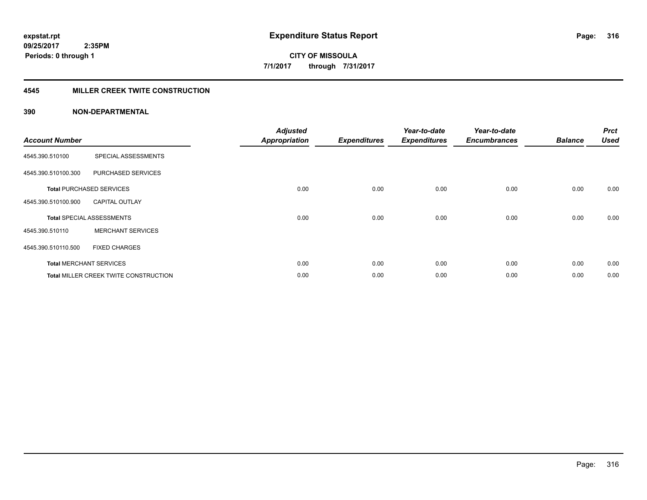## **4545 MILLER CREEK TWITE CONSTRUCTION**

| <b>Account Number</b> |                                       | <b>Adjusted</b><br><b>Appropriation</b> | <b>Expenditures</b> | Year-to-date<br><b>Expenditures</b> | Year-to-date<br><b>Encumbrances</b> | <b>Balance</b> | <b>Prct</b><br><b>Used</b> |
|-----------------------|---------------------------------------|-----------------------------------------|---------------------|-------------------------------------|-------------------------------------|----------------|----------------------------|
| 4545.390.510100       | SPECIAL ASSESSMENTS                   |                                         |                     |                                     |                                     |                |                            |
| 4545.390.510100.300   | PURCHASED SERVICES                    |                                         |                     |                                     |                                     |                |                            |
|                       | <b>Total PURCHASED SERVICES</b>       | 0.00                                    | 0.00                | 0.00                                | 0.00                                | 0.00           | 0.00                       |
| 4545.390.510100.900   | <b>CAPITAL OUTLAY</b>                 |                                         |                     |                                     |                                     |                |                            |
|                       | <b>Total SPECIAL ASSESSMENTS</b>      | 0.00                                    | 0.00                | 0.00                                | 0.00                                | 0.00           | 0.00                       |
| 4545.390.510110       | <b>MERCHANT SERVICES</b>              |                                         |                     |                                     |                                     |                |                            |
| 4545.390.510110.500   | <b>FIXED CHARGES</b>                  |                                         |                     |                                     |                                     |                |                            |
|                       | <b>Total MERCHANT SERVICES</b>        | 0.00                                    | 0.00                | 0.00                                | 0.00                                | 0.00           | 0.00                       |
|                       | Total MILLER CREEK TWITE CONSTRUCTION | 0.00                                    | 0.00                | 0.00                                | 0.00                                | 0.00           | 0.00                       |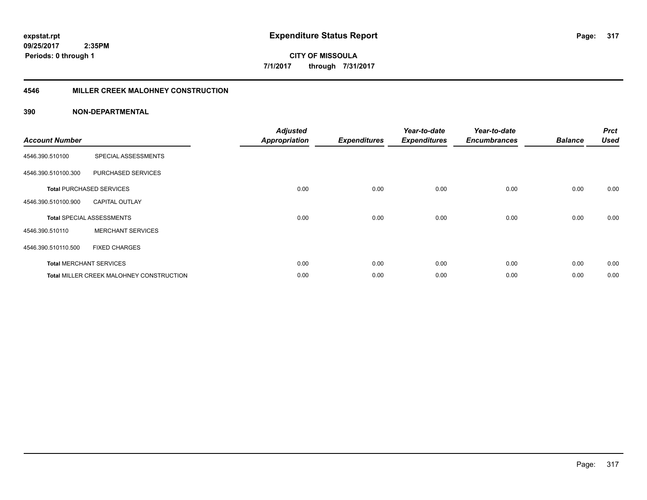**CITY OF MISSOULA 7/1/2017 through 7/31/2017**

#### **4546 MILLER CREEK MALOHNEY CONSTRUCTION**

| <b>Account Number</b> |                                          | <b>Adjusted</b><br><b>Appropriation</b> | <b>Expenditures</b> | Year-to-date<br><b>Expenditures</b> | Year-to-date<br><b>Encumbrances</b> | <b>Balance</b> | <b>Prct</b><br><b>Used</b> |
|-----------------------|------------------------------------------|-----------------------------------------|---------------------|-------------------------------------|-------------------------------------|----------------|----------------------------|
| 4546.390.510100       | SPECIAL ASSESSMENTS                      |                                         |                     |                                     |                                     |                |                            |
| 4546.390.510100.300   | PURCHASED SERVICES                       |                                         |                     |                                     |                                     |                |                            |
|                       | <b>Total PURCHASED SERVICES</b>          | 0.00                                    | 0.00                | 0.00                                | 0.00                                | 0.00           | 0.00                       |
| 4546.390.510100.900   | <b>CAPITAL OUTLAY</b>                    |                                         |                     |                                     |                                     |                |                            |
|                       | <b>Total SPECIAL ASSESSMENTS</b>         | 0.00                                    | 0.00                | 0.00                                | 0.00                                | 0.00           | 0.00                       |
| 4546.390.510110       | <b>MERCHANT SERVICES</b>                 |                                         |                     |                                     |                                     |                |                            |
| 4546.390.510110.500   | <b>FIXED CHARGES</b>                     |                                         |                     |                                     |                                     |                |                            |
|                       | <b>Total MERCHANT SERVICES</b>           | 0.00                                    | 0.00                | 0.00                                | 0.00                                | 0.00           | 0.00                       |
|                       | Total MILLER CREEK MALOHNEY CONSTRUCTION | 0.00                                    | 0.00                | 0.00                                | 0.00                                | 0.00           | 0.00                       |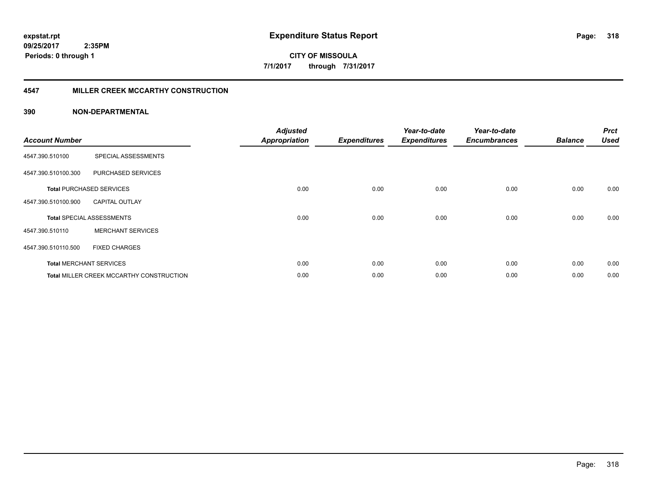**CITY OF MISSOULA 7/1/2017 through 7/31/2017**

### **4547 MILLER CREEK MCCARTHY CONSTRUCTION**

| <b>Account Number</b> |                                                 | <b>Adjusted</b><br><b>Appropriation</b> | <b>Expenditures</b> | Year-to-date<br><b>Expenditures</b> | Year-to-date<br><b>Encumbrances</b> | <b>Balance</b> | <b>Prct</b><br><b>Used</b> |
|-----------------------|-------------------------------------------------|-----------------------------------------|---------------------|-------------------------------------|-------------------------------------|----------------|----------------------------|
| 4547.390.510100       | SPECIAL ASSESSMENTS                             |                                         |                     |                                     |                                     |                |                            |
| 4547.390.510100.300   | PURCHASED SERVICES                              |                                         |                     |                                     |                                     |                |                            |
|                       | <b>Total PURCHASED SERVICES</b>                 | 0.00                                    | 0.00                | 0.00                                | 0.00                                | 0.00           | 0.00                       |
| 4547.390.510100.900   | <b>CAPITAL OUTLAY</b>                           |                                         |                     |                                     |                                     |                |                            |
|                       | <b>Total SPECIAL ASSESSMENTS</b>                | 0.00                                    | 0.00                | 0.00                                | 0.00                                | 0.00           | 0.00                       |
| 4547.390.510110       | <b>MERCHANT SERVICES</b>                        |                                         |                     |                                     |                                     |                |                            |
| 4547.390.510110.500   | <b>FIXED CHARGES</b>                            |                                         |                     |                                     |                                     |                |                            |
|                       | <b>Total MERCHANT SERVICES</b>                  | 0.00                                    | 0.00                | 0.00                                | 0.00                                | 0.00           | 0.00                       |
|                       | <b>Total MILLER CREEK MCCARTHY CONSTRUCTION</b> | 0.00                                    | 0.00                | 0.00                                | 0.00                                | 0.00           | 0.00                       |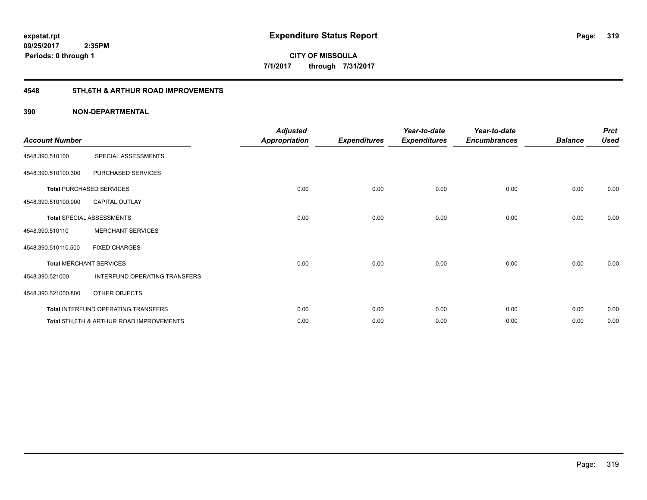# **4548 5TH,6TH & ARTHUR ROAD IMPROVEMENTS**

| <b>Account Number</b> |                                                     | <b>Adjusted</b><br><b>Appropriation</b> | <b>Expenditures</b> | Year-to-date<br><b>Expenditures</b> | Year-to-date<br><b>Encumbrances</b> | <b>Balance</b> | <b>Prct</b><br><b>Used</b> |
|-----------------------|-----------------------------------------------------|-----------------------------------------|---------------------|-------------------------------------|-------------------------------------|----------------|----------------------------|
| 4548.390.510100       | SPECIAL ASSESSMENTS                                 |                                         |                     |                                     |                                     |                |                            |
| 4548.390.510100.300   | PURCHASED SERVICES                                  |                                         |                     |                                     |                                     |                |                            |
|                       | <b>Total PURCHASED SERVICES</b>                     | 0.00                                    | 0.00                | 0.00                                | 0.00                                | 0.00           | 0.00                       |
| 4548.390.510100.900   | <b>CAPITAL OUTLAY</b>                               |                                         |                     |                                     |                                     |                |                            |
|                       | <b>Total SPECIAL ASSESSMENTS</b>                    | 0.00                                    | 0.00                | 0.00                                | 0.00                                | 0.00           | 0.00                       |
| 4548.390.510110       | <b>MERCHANT SERVICES</b>                            |                                         |                     |                                     |                                     |                |                            |
| 4548.390.510110.500   | <b>FIXED CHARGES</b>                                |                                         |                     |                                     |                                     |                |                            |
|                       | <b>Total MERCHANT SERVICES</b>                      | 0.00                                    | 0.00                | 0.00                                | 0.00                                | 0.00           | 0.00                       |
| 4548.390.521000       | INTERFUND OPERATING TRANSFERS                       |                                         |                     |                                     |                                     |                |                            |
| 4548.390.521000.800   | OTHER OBJECTS                                       |                                         |                     |                                     |                                     |                |                            |
|                       | Total INTERFUND OPERATING TRANSFERS                 | 0.00                                    | 0.00                | 0.00                                | 0.00                                | 0.00           | 0.00                       |
|                       | <b>Total 5TH.6TH &amp; ARTHUR ROAD IMPROVEMENTS</b> | 0.00                                    | 0.00                | 0.00                                | 0.00                                | 0.00           | 0.00                       |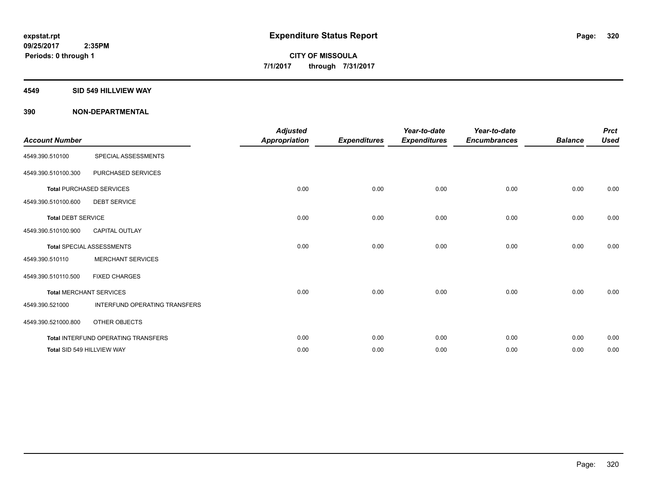#### **4549 SID 549 HILLVIEW WAY**

| <b>Account Number</b>     |                                            | <b>Adjusted</b><br><b>Appropriation</b> |                     | Year-to-date        | Year-to-date        | <b>Balance</b> | <b>Prct</b><br><b>Used</b> |
|---------------------------|--------------------------------------------|-----------------------------------------|---------------------|---------------------|---------------------|----------------|----------------------------|
|                           |                                            |                                         | <b>Expenditures</b> | <b>Expenditures</b> | <b>Encumbrances</b> |                |                            |
| 4549.390.510100           | SPECIAL ASSESSMENTS                        |                                         |                     |                     |                     |                |                            |
| 4549.390.510100.300       | PURCHASED SERVICES                         |                                         |                     |                     |                     |                |                            |
|                           | <b>Total PURCHASED SERVICES</b>            | 0.00                                    | 0.00                | 0.00                | 0.00                | 0.00           | 0.00                       |
| 4549.390.510100.600       | <b>DEBT SERVICE</b>                        |                                         |                     |                     |                     |                |                            |
| <b>Total DEBT SERVICE</b> |                                            | 0.00                                    | 0.00                | 0.00                | 0.00                | 0.00           | 0.00                       |
| 4549.390.510100.900       | <b>CAPITAL OUTLAY</b>                      |                                         |                     |                     |                     |                |                            |
|                           | <b>Total SPECIAL ASSESSMENTS</b>           | 0.00                                    | 0.00                | 0.00                | 0.00                | 0.00           | 0.00                       |
| 4549.390.510110           | <b>MERCHANT SERVICES</b>                   |                                         |                     |                     |                     |                |                            |
| 4549.390.510110.500       | <b>FIXED CHARGES</b>                       |                                         |                     |                     |                     |                |                            |
|                           | <b>Total MERCHANT SERVICES</b>             | 0.00                                    | 0.00                | 0.00                | 0.00                | 0.00           | 0.00                       |
| 4549.390.521000           | INTERFUND OPERATING TRANSFERS              |                                         |                     |                     |                     |                |                            |
| 4549.390.521000.800       | OTHER OBJECTS                              |                                         |                     |                     |                     |                |                            |
|                           | <b>Total INTERFUND OPERATING TRANSFERS</b> | 0.00                                    | 0.00                | 0.00                | 0.00                | 0.00           | 0.00                       |
|                           | Total SID 549 HILLVIEW WAY                 | 0.00                                    | 0.00                | 0.00                | 0.00                | 0.00           | 0.00                       |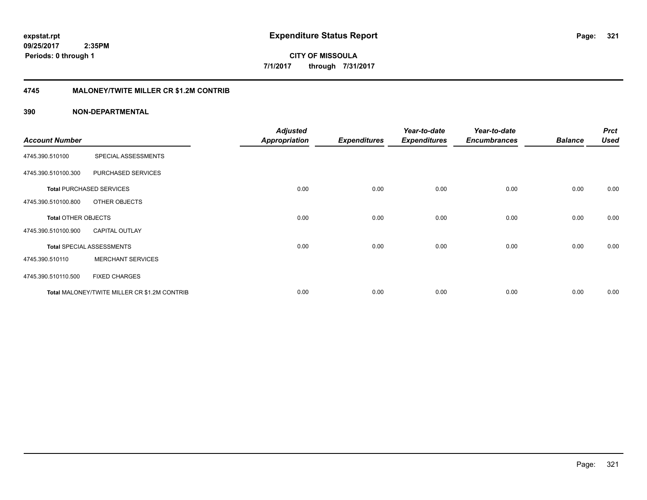**CITY OF MISSOULA 7/1/2017 through 7/31/2017**

# **4745 MALONEY/TWITE MILLER CR \$1.2M CONTRIB**

| <b>Account Number</b>      |                                              | <b>Adjusted</b><br><b>Appropriation</b> | <b>Expenditures</b> | Year-to-date<br><b>Expenditures</b> | Year-to-date<br><b>Encumbrances</b> | <b>Balance</b> | <b>Prct</b><br><b>Used</b> |
|----------------------------|----------------------------------------------|-----------------------------------------|---------------------|-------------------------------------|-------------------------------------|----------------|----------------------------|
|                            |                                              |                                         |                     |                                     |                                     |                |                            |
| 4745.390.510100            | SPECIAL ASSESSMENTS                          |                                         |                     |                                     |                                     |                |                            |
| 4745.390.510100.300        | PURCHASED SERVICES                           |                                         |                     |                                     |                                     |                |                            |
|                            | <b>Total PURCHASED SERVICES</b>              | 0.00                                    | 0.00                | 0.00                                | 0.00                                | 0.00           | 0.00                       |
| 4745.390.510100.800        | OTHER OBJECTS                                |                                         |                     |                                     |                                     |                |                            |
| <b>Total OTHER OBJECTS</b> |                                              | 0.00                                    | 0.00                | 0.00                                | 0.00                                | 0.00           | 0.00                       |
| 4745.390.510100.900        | <b>CAPITAL OUTLAY</b>                        |                                         |                     |                                     |                                     |                |                            |
|                            | <b>Total SPECIAL ASSESSMENTS</b>             | 0.00                                    | 0.00                | 0.00                                | 0.00                                | 0.00           | 0.00                       |
| 4745.390.510110            | <b>MERCHANT SERVICES</b>                     |                                         |                     |                                     |                                     |                |                            |
| 4745.390.510110.500        | <b>FIXED CHARGES</b>                         |                                         |                     |                                     |                                     |                |                            |
|                            | Total MALONEY/TWITE MILLER CR \$1.2M CONTRIB | 0.00                                    | 0.00                | 0.00                                | 0.00                                | 0.00           | 0.00                       |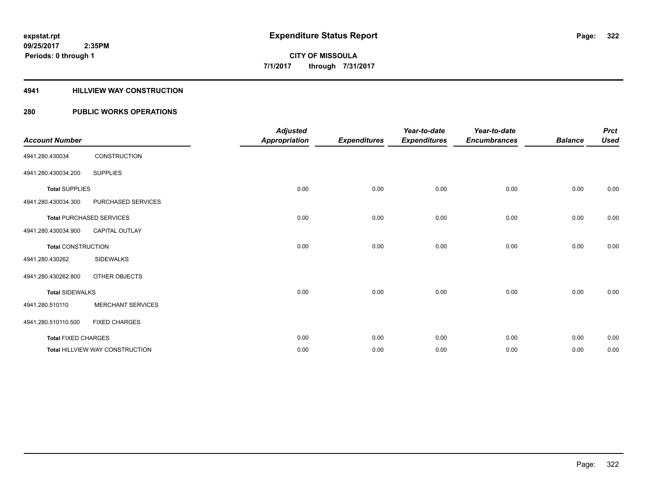### **4941 HILLVIEW WAY CONSTRUCTION**

| <b>Account Number</b>      |                                 | <b>Adjusted</b><br><b>Appropriation</b> | <b>Expenditures</b> | Year-to-date<br><b>Expenditures</b> | Year-to-date<br><b>Encumbrances</b> | <b>Balance</b> | <b>Prct</b><br><b>Used</b> |
|----------------------------|---------------------------------|-----------------------------------------|---------------------|-------------------------------------|-------------------------------------|----------------|----------------------------|
| 4941.280.430034            | CONSTRUCTION                    |                                         |                     |                                     |                                     |                |                            |
| 4941.280.430034.200        | <b>SUPPLIES</b>                 |                                         |                     |                                     |                                     |                |                            |
| <b>Total SUPPLIES</b>      |                                 | 0.00                                    | 0.00                | 0.00                                | 0.00                                | 0.00           | 0.00                       |
| 4941.280.430034.300        | PURCHASED SERVICES              |                                         |                     |                                     |                                     |                |                            |
|                            | <b>Total PURCHASED SERVICES</b> | 0.00                                    | 0.00                | 0.00                                | 0.00                                | 0.00           | 0.00                       |
| 4941.280.430034.900        | CAPITAL OUTLAY                  |                                         |                     |                                     |                                     |                |                            |
| <b>Total CONSTRUCTION</b>  |                                 | 0.00                                    | 0.00                | 0.00                                | 0.00                                | 0.00           | 0.00                       |
| 4941.280.430262            | <b>SIDEWALKS</b>                |                                         |                     |                                     |                                     |                |                            |
| 4941.280.430262.800        | OTHER OBJECTS                   |                                         |                     |                                     |                                     |                |                            |
| <b>Total SIDEWALKS</b>     |                                 | 0.00                                    | 0.00                | 0.00                                | 0.00                                | 0.00           | 0.00                       |
| 4941.280.510110            | <b>MERCHANT SERVICES</b>        |                                         |                     |                                     |                                     |                |                            |
| 4941.280.510110.500        | <b>FIXED CHARGES</b>            |                                         |                     |                                     |                                     |                |                            |
| <b>Total FIXED CHARGES</b> |                                 | 0.00                                    | 0.00                | 0.00                                | 0.00                                | 0.00           | 0.00                       |
|                            | Total HILLVIEW WAY CONSTRUCTION | 0.00                                    | 0.00                | 0.00                                | 0.00                                | 0.00           | 0.00                       |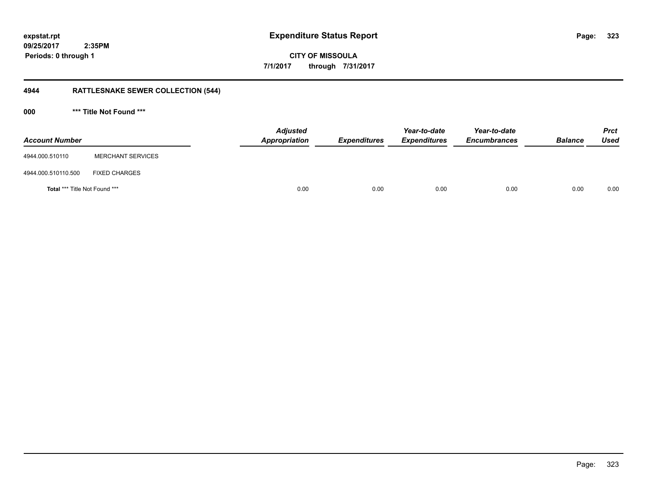**CITY OF MISSOULA 7/1/2017 through 7/31/2017**

# **4944 RATTLESNAKE SEWER COLLECTION (544)**

**000 \*\*\* Title Not Found \*\*\***

| <b>Account Number</b>                |                          | <b>Adjusted</b><br>Appropriation | <b>Expenditures</b> | Year-to-date<br><b>Expenditures</b> | Year-to-date<br><b>Encumbrances</b> | <b>Balance</b> | <b>Prct</b><br><b>Used</b> |
|--------------------------------------|--------------------------|----------------------------------|---------------------|-------------------------------------|-------------------------------------|----------------|----------------------------|
| 4944.000.510110                      | <b>MERCHANT SERVICES</b> |                                  |                     |                                     |                                     |                |                            |
| 4944.000.510110.500                  | <b>FIXED CHARGES</b>     |                                  |                     |                                     |                                     |                |                            |
| <b>Total *** Title Not Found ***</b> |                          | 0.00                             | 0.00                | 0.00                                | 0.00                                | 0.00           | 0.00                       |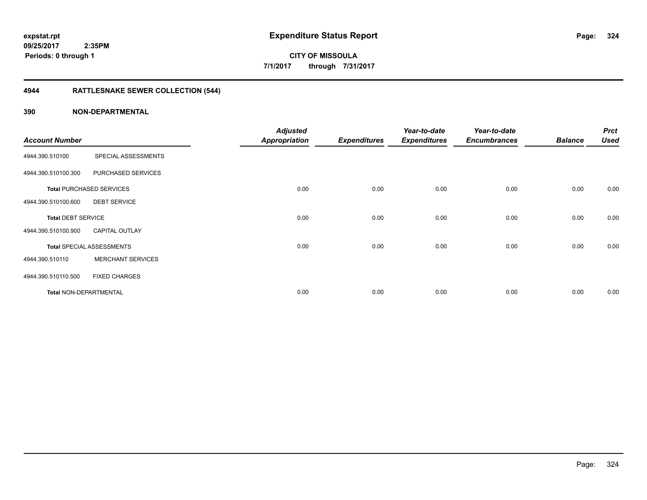# **4944 RATTLESNAKE SEWER COLLECTION (544)**

|                               |                                  | <b>Adjusted</b> |                     | Year-to-date        | Year-to-date        |                | <b>Prct</b> |
|-------------------------------|----------------------------------|-----------------|---------------------|---------------------|---------------------|----------------|-------------|
| <b>Account Number</b>         |                                  | Appropriation   | <b>Expenditures</b> | <b>Expenditures</b> | <b>Encumbrances</b> | <b>Balance</b> | <b>Used</b> |
| 4944.390.510100               | SPECIAL ASSESSMENTS              |                 |                     |                     |                     |                |             |
| 4944.390.510100.300           | PURCHASED SERVICES               |                 |                     |                     |                     |                |             |
|                               | <b>Total PURCHASED SERVICES</b>  | 0.00            | 0.00                | 0.00                | 0.00                | 0.00           | 0.00        |
| 4944.390.510100.600           | <b>DEBT SERVICE</b>              |                 |                     |                     |                     |                |             |
| <b>Total DEBT SERVICE</b>     |                                  | 0.00            | 0.00                | 0.00                | 0.00                | 0.00           | 0.00        |
| 4944.390.510100.900           | <b>CAPITAL OUTLAY</b>            |                 |                     |                     |                     |                |             |
|                               | <b>Total SPECIAL ASSESSMENTS</b> | 0.00            | 0.00                | 0.00                | 0.00                | 0.00           | 0.00        |
| 4944.390.510110               | <b>MERCHANT SERVICES</b>         |                 |                     |                     |                     |                |             |
| 4944.390.510110.500           | <b>FIXED CHARGES</b>             |                 |                     |                     |                     |                |             |
| <b>Total NON-DEPARTMENTAL</b> |                                  | 0.00            | 0.00                | 0.00                | 0.00                | 0.00           | 0.00        |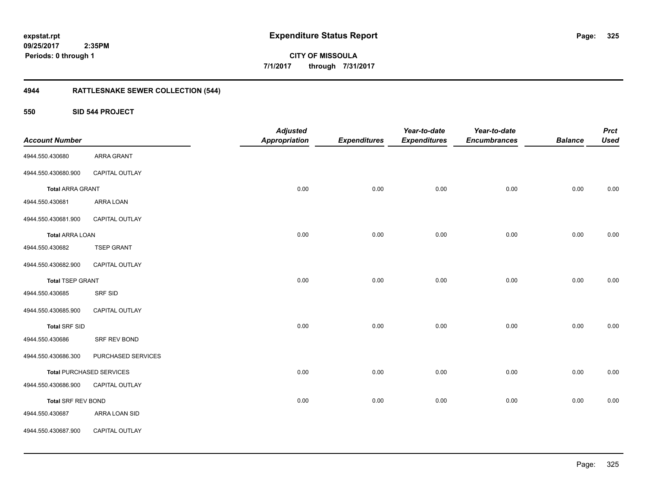**325**

**CITY OF MISSOULA 7/1/2017 through 7/31/2017**

## **4944 RATTLESNAKE SEWER COLLECTION (544)**

**550 SID 544 PROJECT**

| <b>Account Number</b>     |                                 | <b>Adjusted</b><br><b>Appropriation</b> | <b>Expenditures</b> | Year-to-date<br><b>Expenditures</b> | Year-to-date<br><b>Encumbrances</b> | <b>Balance</b> | <b>Prct</b><br><b>Used</b> |
|---------------------------|---------------------------------|-----------------------------------------|---------------------|-------------------------------------|-------------------------------------|----------------|----------------------------|
| 4944.550.430680           | ARRA GRANT                      |                                         |                     |                                     |                                     |                |                            |
| 4944.550.430680.900       | CAPITAL OUTLAY                  |                                         |                     |                                     |                                     |                |                            |
| <b>Total ARRA GRANT</b>   |                                 | 0.00                                    | 0.00                | 0.00                                | 0.00                                | 0.00           | 0.00                       |
| 4944.550.430681           | ARRA LOAN                       |                                         |                     |                                     |                                     |                |                            |
| 4944.550.430681.900       | CAPITAL OUTLAY                  |                                         |                     |                                     |                                     |                |                            |
| <b>Total ARRA LOAN</b>    |                                 | 0.00                                    | 0.00                | 0.00                                | 0.00                                | 0.00           | 0.00                       |
| 4944.550.430682           | <b>TSEP GRANT</b>               |                                         |                     |                                     |                                     |                |                            |
| 4944.550.430682.900       | CAPITAL OUTLAY                  |                                         |                     |                                     |                                     |                |                            |
| <b>Total TSEP GRANT</b>   |                                 | 0.00                                    | 0.00                | 0.00                                | 0.00                                | 0.00           | $0.00\,$                   |
| 4944.550.430685           | SRF SID                         |                                         |                     |                                     |                                     |                |                            |
| 4944.550.430685.900       | CAPITAL OUTLAY                  |                                         |                     |                                     |                                     |                |                            |
| <b>Total SRF SID</b>      |                                 | 0.00                                    | 0.00                | 0.00                                | 0.00                                | 0.00           | 0.00                       |
| 4944.550.430686           | SRF REV BOND                    |                                         |                     |                                     |                                     |                |                            |
| 4944.550.430686.300       | PURCHASED SERVICES              |                                         |                     |                                     |                                     |                |                            |
|                           | <b>Total PURCHASED SERVICES</b> | 0.00                                    | 0.00                | 0.00                                | 0.00                                | 0.00           | $0.00\,$                   |
| 4944.550.430686.900       | CAPITAL OUTLAY                  |                                         |                     |                                     |                                     |                |                            |
| <b>Total SRF REV BOND</b> |                                 | 0.00                                    | 0.00                | 0.00                                | 0.00                                | 0.00           | 0.00                       |
| 4944.550.430687           | ARRA LOAN SID                   |                                         |                     |                                     |                                     |                |                            |
| 4944.550.430687.900       | CAPITAL OUTLAY                  |                                         |                     |                                     |                                     |                |                            |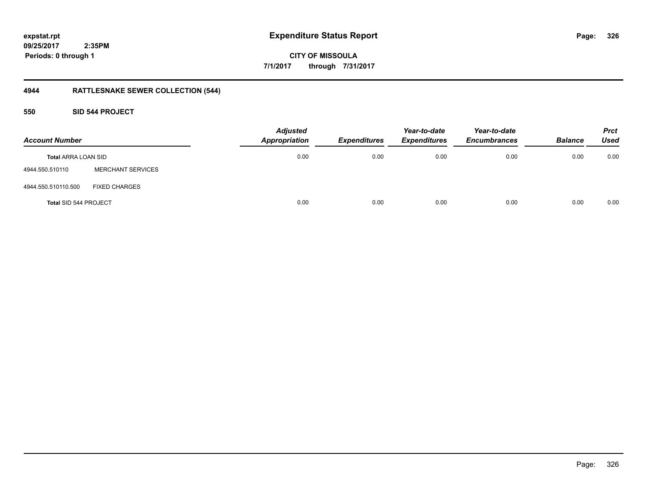**CITY OF MISSOULA 7/1/2017 through 7/31/2017**

## **4944 RATTLESNAKE SEWER COLLECTION (544)**

## **550 SID 544 PROJECT**

| <b>Account Number</b>        |                          | <b>Adjusted</b><br><b>Appropriation</b> | <b>Expenditures</b> | Year-to-date<br><b>Expenditures</b> | Year-to-date<br><b>Encumbrances</b> | <b>Balance</b> | <b>Prct</b><br><b>Used</b> |
|------------------------------|--------------------------|-----------------------------------------|---------------------|-------------------------------------|-------------------------------------|----------------|----------------------------|
| <b>Total ARRA LOAN SID</b>   |                          | 0.00                                    | 0.00                | 0.00                                | 0.00                                | 0.00           | 0.00                       |
| 4944.550.510110              | <b>MERCHANT SERVICES</b> |                                         |                     |                                     |                                     |                |                            |
| 4944.550.510110.500          | <b>FIXED CHARGES</b>     |                                         |                     |                                     |                                     |                |                            |
| <b>Total SID 544 PROJECT</b> |                          | 0.00                                    | 0.00                | 0.00                                | 0.00                                | 0.00           | 0.00                       |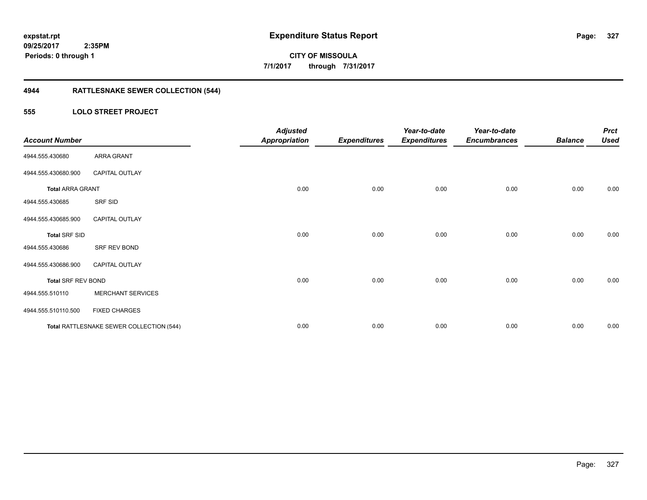**327**

**CITY OF MISSOULA 7/1/2017 through 7/31/2017**

## **4944 RATTLESNAKE SEWER COLLECTION (544)**

## **555 LOLO STREET PROJECT**

| <b>Account Number</b>     |                                          | <b>Adjusted</b><br><b>Appropriation</b> | <b>Expenditures</b> | Year-to-date<br><b>Expenditures</b> | Year-to-date<br><b>Encumbrances</b> | <b>Balance</b> | <b>Prct</b><br><b>Used</b> |
|---------------------------|------------------------------------------|-----------------------------------------|---------------------|-------------------------------------|-------------------------------------|----------------|----------------------------|
| 4944.555.430680           | ARRA GRANT                               |                                         |                     |                                     |                                     |                |                            |
| 4944.555.430680.900       | <b>CAPITAL OUTLAY</b>                    |                                         |                     |                                     |                                     |                |                            |
| <b>Total ARRA GRANT</b>   |                                          | 0.00                                    | 0.00                | 0.00                                | 0.00                                | 0.00           | 0.00                       |
| 4944.555.430685           | SRF SID                                  |                                         |                     |                                     |                                     |                |                            |
| 4944.555.430685.900       | CAPITAL OUTLAY                           |                                         |                     |                                     |                                     |                |                            |
| <b>Total SRF SID</b>      |                                          | 0.00                                    | 0.00                | 0.00                                | 0.00                                | 0.00           | 0.00                       |
| 4944.555.430686           | SRF REV BOND                             |                                         |                     |                                     |                                     |                |                            |
| 4944.555.430686.900       | <b>CAPITAL OUTLAY</b>                    |                                         |                     |                                     |                                     |                |                            |
| <b>Total SRF REV BOND</b> |                                          | 0.00                                    | 0.00                | 0.00                                | 0.00                                | 0.00           | 0.00                       |
| 4944.555.510110           | <b>MERCHANT SERVICES</b>                 |                                         |                     |                                     |                                     |                |                            |
| 4944.555.510110.500       | <b>FIXED CHARGES</b>                     |                                         |                     |                                     |                                     |                |                            |
|                           | Total RATTLESNAKE SEWER COLLECTION (544) | 0.00                                    | 0.00                | 0.00                                | 0.00                                | 0.00           | 0.00                       |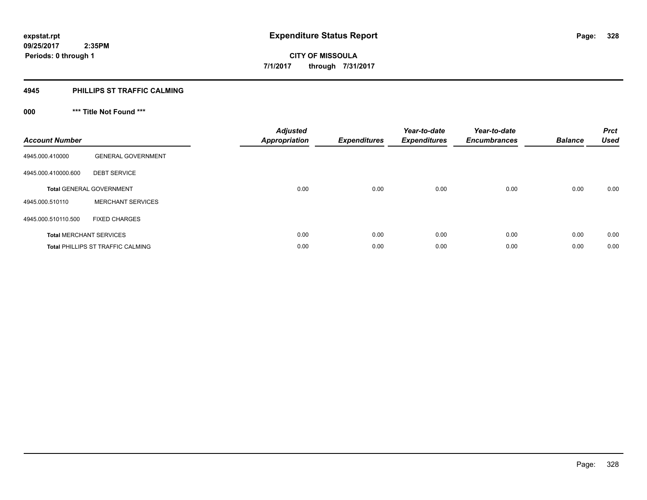## **4945 PHILLIPS ST TRAFFIC CALMING**

## **000 \*\*\* Title Not Found \*\*\***

| <b>Account Number</b> |                                          | <b>Adjusted</b><br><b>Appropriation</b> | <b>Expenditures</b> | Year-to-date<br><b>Expenditures</b> | Year-to-date<br><b>Encumbrances</b> | <b>Balance</b> | <b>Prct</b><br><b>Used</b> |
|-----------------------|------------------------------------------|-----------------------------------------|---------------------|-------------------------------------|-------------------------------------|----------------|----------------------------|
| 4945.000.410000       | <b>GENERAL GOVERNMENT</b>                |                                         |                     |                                     |                                     |                |                            |
| 4945.000.410000.600   | <b>DEBT SERVICE</b>                      |                                         |                     |                                     |                                     |                |                            |
|                       | <b>Total GENERAL GOVERNMENT</b>          | 0.00                                    | 0.00                | 0.00                                | 0.00                                | 0.00           | 0.00                       |
| 4945.000.510110       | <b>MERCHANT SERVICES</b>                 |                                         |                     |                                     |                                     |                |                            |
| 4945.000.510110.500   | <b>FIXED CHARGES</b>                     |                                         |                     |                                     |                                     |                |                            |
|                       | <b>Total MERCHANT SERVICES</b>           | 0.00                                    | 0.00                | 0.00                                | 0.00                                | 0.00           | 0.00                       |
|                       | <b>Total PHILLIPS ST TRAFFIC CALMING</b> | 0.00                                    | 0.00                | 0.00                                | 0.00                                | 0.00           | 0.00                       |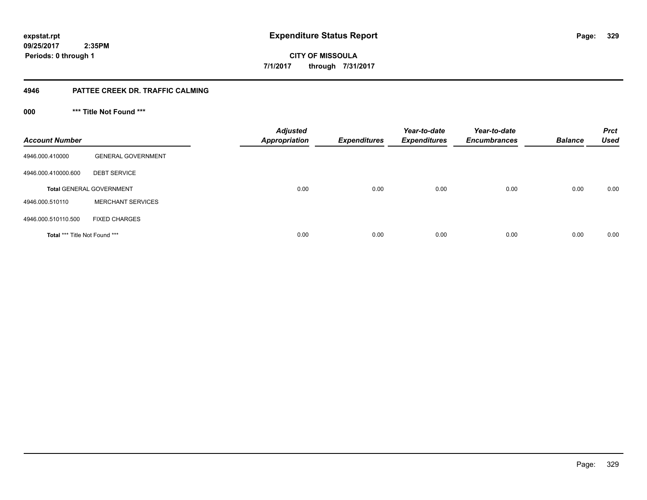**CITY OF MISSOULA 7/1/2017 through 7/31/2017**

## **4946 PATTEE CREEK DR. TRAFFIC CALMING**

**000 \*\*\* Title Not Found \*\*\***

| <b>Account Number</b>                |                                 | <b>Adjusted</b><br><b>Appropriation</b> | <b>Expenditures</b> | Year-to-date<br><b>Expenditures</b> | Year-to-date<br><b>Encumbrances</b> | <b>Balance</b> | <b>Prct</b><br><b>Used</b> |
|--------------------------------------|---------------------------------|-----------------------------------------|---------------------|-------------------------------------|-------------------------------------|----------------|----------------------------|
| 4946.000.410000                      | <b>GENERAL GOVERNMENT</b>       |                                         |                     |                                     |                                     |                |                            |
| 4946.000.410000.600                  | <b>DEBT SERVICE</b>             |                                         |                     |                                     |                                     |                |                            |
|                                      | <b>Total GENERAL GOVERNMENT</b> | 0.00                                    | 0.00                | 0.00                                | 0.00                                | 0.00           | 0.00                       |
| 4946.000.510110                      | <b>MERCHANT SERVICES</b>        |                                         |                     |                                     |                                     |                |                            |
| 4946.000.510110.500                  | <b>FIXED CHARGES</b>            |                                         |                     |                                     |                                     |                |                            |
| <b>Total *** Title Not Found ***</b> |                                 | 0.00                                    | 0.00                | 0.00                                | 0.00                                | 0.00           | 0.00                       |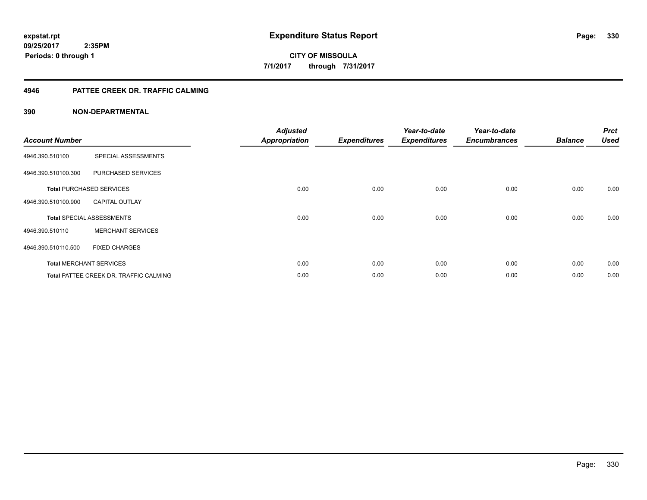## **4946 PATTEE CREEK DR. TRAFFIC CALMING**

| <b>Account Number</b> |                                               | <b>Adjusted</b><br><b>Appropriation</b> | <b>Expenditures</b> | Year-to-date<br><b>Expenditures</b> | Year-to-date<br><b>Encumbrances</b> | <b>Balance</b> | <b>Prct</b><br><b>Used</b> |
|-----------------------|-----------------------------------------------|-----------------------------------------|---------------------|-------------------------------------|-------------------------------------|----------------|----------------------------|
| 4946.390.510100       | SPECIAL ASSESSMENTS                           |                                         |                     |                                     |                                     |                |                            |
| 4946.390.510100.300   | PURCHASED SERVICES                            |                                         |                     |                                     |                                     |                |                            |
|                       | <b>Total PURCHASED SERVICES</b>               | 0.00                                    | 0.00                | 0.00                                | 0.00                                | 0.00           | 0.00                       |
| 4946.390.510100.900   | <b>CAPITAL OUTLAY</b>                         |                                         |                     |                                     |                                     |                |                            |
|                       | <b>Total SPECIAL ASSESSMENTS</b>              | 0.00                                    | 0.00                | 0.00                                | 0.00                                | 0.00           | 0.00                       |
| 4946.390.510110       | <b>MERCHANT SERVICES</b>                      |                                         |                     |                                     |                                     |                |                            |
| 4946.390.510110.500   | <b>FIXED CHARGES</b>                          |                                         |                     |                                     |                                     |                |                            |
|                       | <b>Total MERCHANT SERVICES</b>                | 0.00                                    | 0.00                | 0.00                                | 0.00                                | 0.00           | 0.00                       |
|                       | <b>Total PATTEE CREEK DR. TRAFFIC CALMING</b> | 0.00                                    | 0.00                | 0.00                                | 0.00                                | 0.00           | 0.00                       |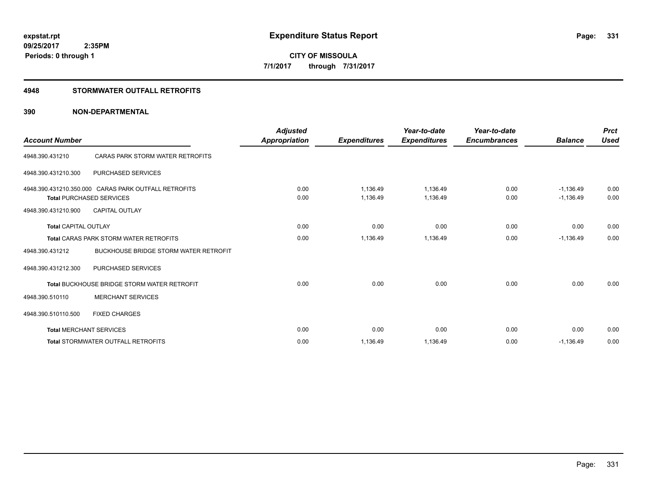## **4948 STORMWATER OUTFALL RETROFITS**

| <b>Account Number</b>       |                                                                                         | <b>Adjusted</b><br>Appropriation | <b>Expenditures</b>  | Year-to-date<br><b>Expenditures</b> | Year-to-date<br><b>Encumbrances</b> | <b>Balance</b>             | <b>Prct</b><br><b>Used</b> |
|-----------------------------|-----------------------------------------------------------------------------------------|----------------------------------|----------------------|-------------------------------------|-------------------------------------|----------------------------|----------------------------|
| 4948.390.431210             | CARAS PARK STORM WATER RETROFITS                                                        |                                  |                      |                                     |                                     |                            |                            |
| 4948.390.431210.300         | <b>PURCHASED SERVICES</b>                                                               |                                  |                      |                                     |                                     |                            |                            |
|                             | 4948.390.431210.350.000 CARAS PARK OUTFALL RETROFITS<br><b>Total PURCHASED SERVICES</b> | 0.00<br>0.00                     | 1,136.49<br>1.136.49 | 1,136.49<br>1,136.49                | 0.00<br>0.00                        | $-1,136.49$<br>$-1.136.49$ | 0.00<br>0.00               |
| 4948.390.431210.900         | <b>CAPITAL OUTLAY</b>                                                                   |                                  |                      |                                     |                                     |                            |                            |
| <b>Total CAPITAL OUTLAY</b> |                                                                                         | 0.00                             | 0.00                 | 0.00                                | 0.00                                | 0.00                       | 0.00                       |
|                             | <b>Total CARAS PARK STORM WATER RETROFITS</b>                                           | 0.00                             | 1,136.49             | 1,136.49                            | 0.00                                | $-1,136.49$                | 0.00                       |
| 4948.390.431212             | <b>BUCKHOUSE BRIDGE STORM WATER RETROFIT</b>                                            |                                  |                      |                                     |                                     |                            |                            |
| 4948.390.431212.300         | <b>PURCHASED SERVICES</b>                                                               |                                  |                      |                                     |                                     |                            |                            |
|                             | <b>Total BUCKHOUSE BRIDGE STORM WATER RETROFIT</b>                                      | 0.00                             | 0.00                 | 0.00                                | 0.00                                | 0.00                       | 0.00                       |
| 4948.390.510110             | <b>MERCHANT SERVICES</b>                                                                |                                  |                      |                                     |                                     |                            |                            |
| 4948.390.510110.500         | <b>FIXED CHARGES</b>                                                                    |                                  |                      |                                     |                                     |                            |                            |
|                             | <b>Total MERCHANT SERVICES</b>                                                          | 0.00                             | 0.00                 | 0.00                                | 0.00                                | 0.00                       | 0.00                       |
|                             | <b>Total STORMWATER OUTFALL RETROFITS</b>                                               | 0.00                             | 1,136.49             | 1,136.49                            | 0.00                                | $-1,136.49$                | 0.00                       |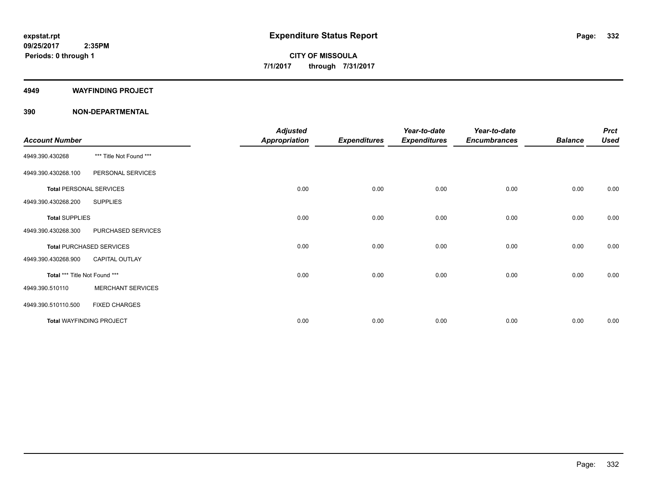#### **4949 WAYFINDING PROJECT**

| <b>Account Number</b>         |                                 | <b>Adjusted</b><br><b>Appropriation</b> | <b>Expenditures</b> | Year-to-date<br><b>Expenditures</b> | Year-to-date<br><b>Encumbrances</b> | <b>Balance</b> | <b>Prct</b><br><b>Used</b> |
|-------------------------------|---------------------------------|-----------------------------------------|---------------------|-------------------------------------|-------------------------------------|----------------|----------------------------|
| 4949.390.430268               | *** Title Not Found ***         |                                         |                     |                                     |                                     |                |                            |
| 4949.390.430268.100           | PERSONAL SERVICES               |                                         |                     |                                     |                                     |                |                            |
|                               | <b>Total PERSONAL SERVICES</b>  | 0.00                                    | 0.00                | 0.00                                | 0.00                                | 0.00           | 0.00                       |
| 4949.390.430268.200           | <b>SUPPLIES</b>                 |                                         |                     |                                     |                                     |                |                            |
| <b>Total SUPPLIES</b>         |                                 | 0.00                                    | 0.00                | 0.00                                | 0.00                                | 0.00           | 0.00                       |
| 4949.390.430268.300           | PURCHASED SERVICES              |                                         |                     |                                     |                                     |                |                            |
|                               | <b>Total PURCHASED SERVICES</b> | 0.00                                    | 0.00                | 0.00                                | 0.00                                | 0.00           | 0.00                       |
| 4949.390.430268.900           | <b>CAPITAL OUTLAY</b>           |                                         |                     |                                     |                                     |                |                            |
| Total *** Title Not Found *** |                                 | 0.00                                    | 0.00                | 0.00                                | 0.00                                | 0.00           | 0.00                       |
| 4949.390.510110               | <b>MERCHANT SERVICES</b>        |                                         |                     |                                     |                                     |                |                            |
| 4949.390.510110.500           | <b>FIXED CHARGES</b>            |                                         |                     |                                     |                                     |                |                            |
|                               | <b>Total WAYFINDING PROJECT</b> | 0.00                                    | 0.00                | 0.00                                | 0.00                                | 0.00           | 0.00                       |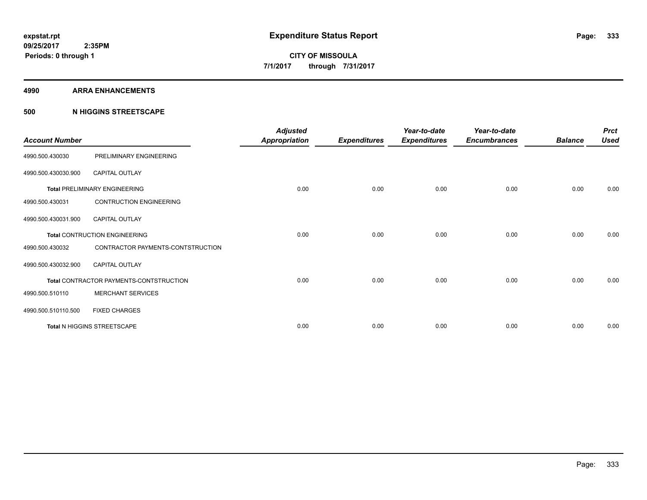#### **4990 ARRA ENHANCEMENTS**

## **500 N HIGGINS STREETSCAPE**

| <b>Account Number</b> |                                         | <b>Adjusted</b><br><b>Appropriation</b> | <b>Expenditures</b> | Year-to-date<br><b>Expenditures</b> | Year-to-date<br><b>Encumbrances</b> | <b>Balance</b> | <b>Prct</b><br><b>Used</b> |
|-----------------------|-----------------------------------------|-----------------------------------------|---------------------|-------------------------------------|-------------------------------------|----------------|----------------------------|
| 4990.500.430030       | PRELIMINARY ENGINEERING                 |                                         |                     |                                     |                                     |                |                            |
| 4990.500.430030.900   | <b>CAPITAL OUTLAY</b>                   |                                         |                     |                                     |                                     |                |                            |
|                       | <b>Total PRELIMINARY ENGINEERING</b>    | 0.00                                    | 0.00                | 0.00                                | 0.00                                | 0.00           | 0.00                       |
| 4990.500.430031       | <b>CONTRUCTION ENGINEERING</b>          |                                         |                     |                                     |                                     |                |                            |
| 4990.500.430031.900   | <b>CAPITAL OUTLAY</b>                   |                                         |                     |                                     |                                     |                |                            |
|                       | <b>Total CONTRUCTION ENGINEERING</b>    | 0.00                                    | 0.00                | 0.00                                | 0.00                                | 0.00           | 0.00                       |
| 4990.500.430032       | CONTRACTOR PAYMENTS-CONTSTRUCTION       |                                         |                     |                                     |                                     |                |                            |
| 4990.500.430032.900   | <b>CAPITAL OUTLAY</b>                   |                                         |                     |                                     |                                     |                |                            |
|                       | Total CONTRACTOR PAYMENTS-CONTSTRUCTION | 0.00                                    | 0.00                | 0.00                                | 0.00                                | 0.00           | 0.00                       |
| 4990.500.510110       | <b>MERCHANT SERVICES</b>                |                                         |                     |                                     |                                     |                |                            |
| 4990.500.510110.500   | <b>FIXED CHARGES</b>                    |                                         |                     |                                     |                                     |                |                            |
|                       | Total N HIGGINS STREETSCAPE             | 0.00                                    | 0.00                | 0.00                                | 0.00                                | 0.00           | 0.00                       |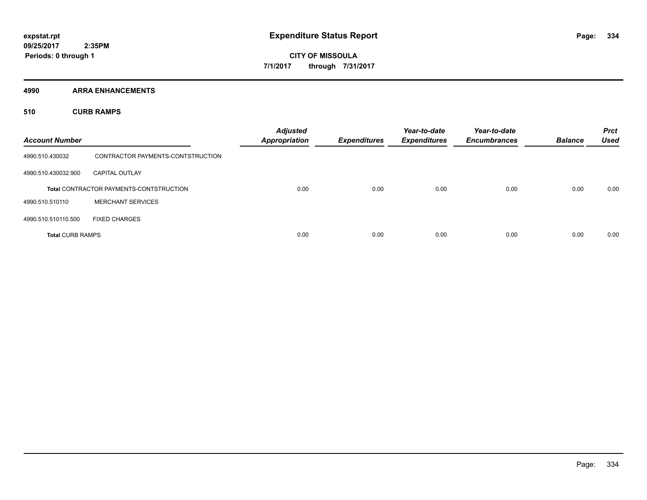**4990 ARRA ENHANCEMENTS**

**510 CURB RAMPS**

| <b>Account Number</b>   |                                                | <b>Adjusted</b><br><b>Appropriation</b> | <b>Expenditures</b> | Year-to-date<br><b>Expenditures</b> | Year-to-date<br><b>Encumbrances</b> | <b>Balance</b> | <b>Prct</b><br><b>Used</b> |
|-------------------------|------------------------------------------------|-----------------------------------------|---------------------|-------------------------------------|-------------------------------------|----------------|----------------------------|
| 4990.510.430032         | CONTRACTOR PAYMENTS-CONTSTRUCTION              |                                         |                     |                                     |                                     |                |                            |
| 4990.510.430032.900     | <b>CAPITAL OUTLAY</b>                          |                                         |                     |                                     |                                     |                |                            |
|                         | <b>Total CONTRACTOR PAYMENTS-CONTSTRUCTION</b> | 0.00                                    | 0.00                | 0.00                                | 0.00                                | 0.00           | 0.00                       |
| 4990.510.510110         | <b>MERCHANT SERVICES</b>                       |                                         |                     |                                     |                                     |                |                            |
| 4990.510.510110.500     | <b>FIXED CHARGES</b>                           |                                         |                     |                                     |                                     |                |                            |
| <b>Total CURB RAMPS</b> |                                                | 0.00                                    | 0.00                | 0.00                                | 0.00                                | 0.00           | 0.00                       |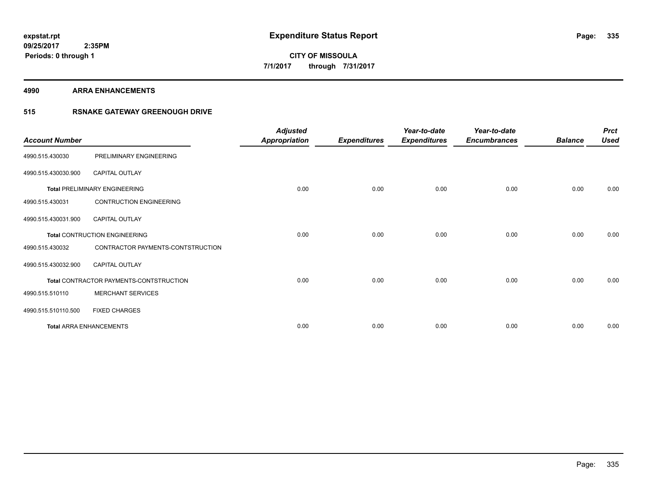#### **4990 ARRA ENHANCEMENTS**

## **515 RSNAKE GATEWAY GREENOUGH DRIVE**

| <b>Account Number</b> |                                         | <b>Adjusted</b><br><b>Appropriation</b> | <b>Expenditures</b> | Year-to-date<br><b>Expenditures</b> | Year-to-date<br><b>Encumbrances</b> | <b>Balance</b> | <b>Prct</b><br><b>Used</b> |
|-----------------------|-----------------------------------------|-----------------------------------------|---------------------|-------------------------------------|-------------------------------------|----------------|----------------------------|
| 4990.515.430030       | PRELIMINARY ENGINEERING                 |                                         |                     |                                     |                                     |                |                            |
| 4990.515.430030.900   | <b>CAPITAL OUTLAY</b>                   |                                         |                     |                                     |                                     |                |                            |
|                       | <b>Total PRELIMINARY ENGINEERING</b>    | 0.00                                    | 0.00                | 0.00                                | 0.00                                | 0.00           | 0.00                       |
| 4990.515.430031       | <b>CONTRUCTION ENGINEERING</b>          |                                         |                     |                                     |                                     |                |                            |
| 4990.515.430031.900   | <b>CAPITAL OUTLAY</b>                   |                                         |                     |                                     |                                     |                |                            |
|                       | <b>Total CONTRUCTION ENGINEERING</b>    | 0.00                                    | 0.00                | 0.00                                | 0.00                                | 0.00           | 0.00                       |
| 4990.515.430032       | CONTRACTOR PAYMENTS-CONTSTRUCTION       |                                         |                     |                                     |                                     |                |                            |
| 4990.515.430032.900   | <b>CAPITAL OUTLAY</b>                   |                                         |                     |                                     |                                     |                |                            |
|                       | Total CONTRACTOR PAYMENTS-CONTSTRUCTION | 0.00                                    | 0.00                | 0.00                                | 0.00                                | 0.00           | 0.00                       |
| 4990.515.510110       | <b>MERCHANT SERVICES</b>                |                                         |                     |                                     |                                     |                |                            |
| 4990.515.510110.500   | <b>FIXED CHARGES</b>                    |                                         |                     |                                     |                                     |                |                            |
|                       | <b>Total ARRA ENHANCEMENTS</b>          | 0.00                                    | 0.00                | 0.00                                | 0.00                                | 0.00           | 0.00                       |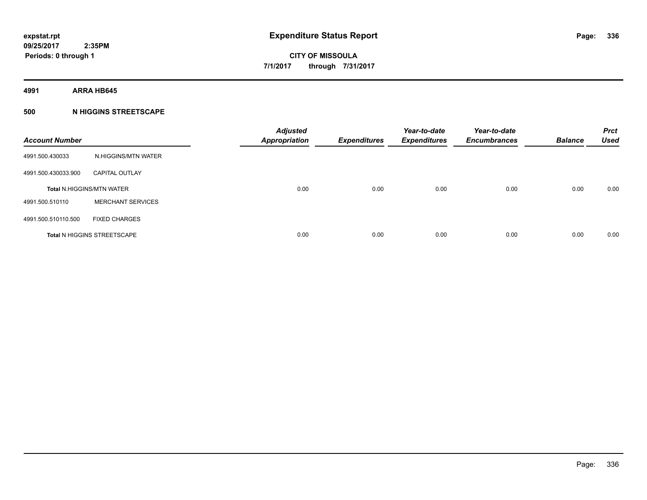**4991 ARRA HB645**

## **500 N HIGGINS STREETSCAPE**

| <b>Account Number</b> |                                    | <b>Adjusted</b><br><b>Appropriation</b> | <b>Expenditures</b> | Year-to-date<br><b>Expenditures</b> | Year-to-date<br><b>Encumbrances</b> | <b>Balance</b> | <b>Prct</b><br><b>Used</b> |
|-----------------------|------------------------------------|-----------------------------------------|---------------------|-------------------------------------|-------------------------------------|----------------|----------------------------|
| 4991.500.430033       | N.HIGGINS/MTN WATER                |                                         |                     |                                     |                                     |                |                            |
| 4991.500.430033.900   | <b>CAPITAL OUTLAY</b>              |                                         |                     |                                     |                                     |                |                            |
|                       | <b>Total N.HIGGINS/MTN WATER</b>   | 0.00                                    | 0.00                | 0.00                                | 0.00                                | 0.00           | 0.00                       |
| 4991.500.510110       | <b>MERCHANT SERVICES</b>           |                                         |                     |                                     |                                     |                |                            |
| 4991.500.510110.500   | <b>FIXED CHARGES</b>               |                                         |                     |                                     |                                     |                |                            |
|                       | <b>Total N HIGGINS STREETSCAPE</b> | 0.00                                    | 0.00                | 0.00                                | 0.00                                | 0.00           | 0.00                       |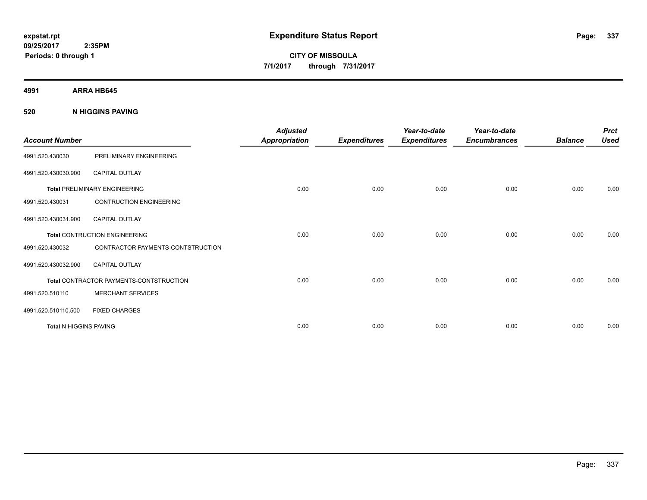**CITY OF MISSOULA 7/1/2017 through 7/31/2017**

**4991 ARRA HB645**

**520 N HIGGINS PAVING**

| <b>Account Number</b>         |                                                | <b>Adjusted</b><br><b>Appropriation</b> | <b>Expenditures</b> | Year-to-date<br><b>Expenditures</b> | Year-to-date<br><b>Encumbrances</b> | <b>Balance</b> | <b>Prct</b><br><b>Used</b> |
|-------------------------------|------------------------------------------------|-----------------------------------------|---------------------|-------------------------------------|-------------------------------------|----------------|----------------------------|
| 4991.520.430030               | PRELIMINARY ENGINEERING                        |                                         |                     |                                     |                                     |                |                            |
| 4991.520.430030.900           | <b>CAPITAL OUTLAY</b>                          |                                         |                     |                                     |                                     |                |                            |
|                               | <b>Total PRELIMINARY ENGINEERING</b>           | 0.00                                    | 0.00                | 0.00                                | 0.00                                | 0.00           | 0.00                       |
| 4991.520.430031               | <b>CONTRUCTION ENGINEERING</b>                 |                                         |                     |                                     |                                     |                |                            |
| 4991.520.430031.900           | CAPITAL OUTLAY                                 |                                         |                     |                                     |                                     |                |                            |
|                               | <b>Total CONTRUCTION ENGINEERING</b>           | 0.00                                    | 0.00                | 0.00                                | 0.00                                | 0.00           | 0.00                       |
| 4991.520.430032               | CONTRACTOR PAYMENTS-CONTSTRUCTION              |                                         |                     |                                     |                                     |                |                            |
| 4991.520.430032.900           | <b>CAPITAL OUTLAY</b>                          |                                         |                     |                                     |                                     |                |                            |
|                               | <b>Total CONTRACTOR PAYMENTS-CONTSTRUCTION</b> | 0.00                                    | 0.00                | 0.00                                | 0.00                                | 0.00           | 0.00                       |
| 4991.520.510110               | <b>MERCHANT SERVICES</b>                       |                                         |                     |                                     |                                     |                |                            |
| 4991.520.510110.500           | <b>FIXED CHARGES</b>                           |                                         |                     |                                     |                                     |                |                            |
| <b>Total N HIGGINS PAVING</b> |                                                | 0.00                                    | 0.00                | 0.00                                | 0.00                                | 0.00           | 0.00                       |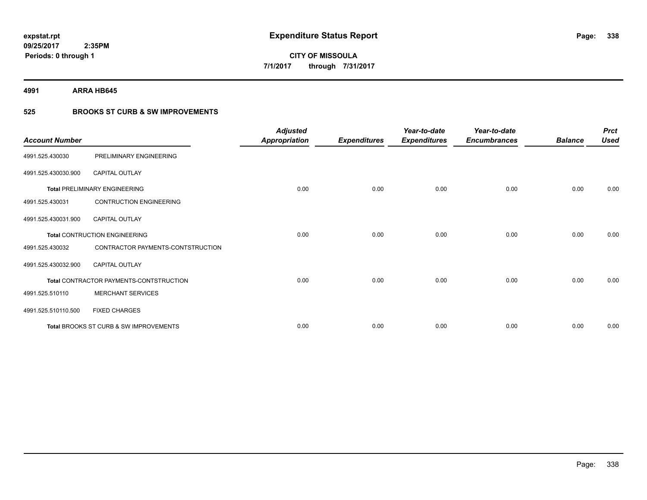**4991 ARRA HB645**

## **525 BROOKS ST CURB & SW IMPROVEMENTS**

| <b>Account Number</b> |                                         | <b>Adjusted</b><br><b>Appropriation</b> | <b>Expenditures</b> | Year-to-date<br><b>Expenditures</b> | Year-to-date<br><b>Encumbrances</b> | <b>Balance</b> | <b>Prct</b><br><b>Used</b> |
|-----------------------|-----------------------------------------|-----------------------------------------|---------------------|-------------------------------------|-------------------------------------|----------------|----------------------------|
| 4991.525.430030       | PRELIMINARY ENGINEERING                 |                                         |                     |                                     |                                     |                |                            |
| 4991.525.430030.900   | <b>CAPITAL OUTLAY</b>                   |                                         |                     |                                     |                                     |                |                            |
|                       | <b>Total PRELIMINARY ENGINEERING</b>    | 0.00                                    | 0.00                | 0.00                                | 0.00                                | 0.00           | 0.00                       |
| 4991.525.430031       | CONTRUCTION ENGINEERING                 |                                         |                     |                                     |                                     |                |                            |
| 4991.525.430031.900   | <b>CAPITAL OUTLAY</b>                   |                                         |                     |                                     |                                     |                |                            |
|                       | <b>Total CONTRUCTION ENGINEERING</b>    | 0.00                                    | 0.00                | 0.00                                | 0.00                                | 0.00           | 0.00                       |
| 4991.525.430032       | CONTRACTOR PAYMENTS-CONTSTRUCTION       |                                         |                     |                                     |                                     |                |                            |
| 4991.525.430032.900   | <b>CAPITAL OUTLAY</b>                   |                                         |                     |                                     |                                     |                |                            |
|                       | Total CONTRACTOR PAYMENTS-CONTSTRUCTION | 0.00                                    | 0.00                | 0.00                                | 0.00                                | 0.00           | 0.00                       |
| 4991.525.510110       | <b>MERCHANT SERVICES</b>                |                                         |                     |                                     |                                     |                |                            |
| 4991.525.510110.500   | <b>FIXED CHARGES</b>                    |                                         |                     |                                     |                                     |                |                            |
|                       | Total BROOKS ST CURB & SW IMPROVEMENTS  | 0.00                                    | 0.00                | 0.00                                | 0.00                                | 0.00           | 0.00                       |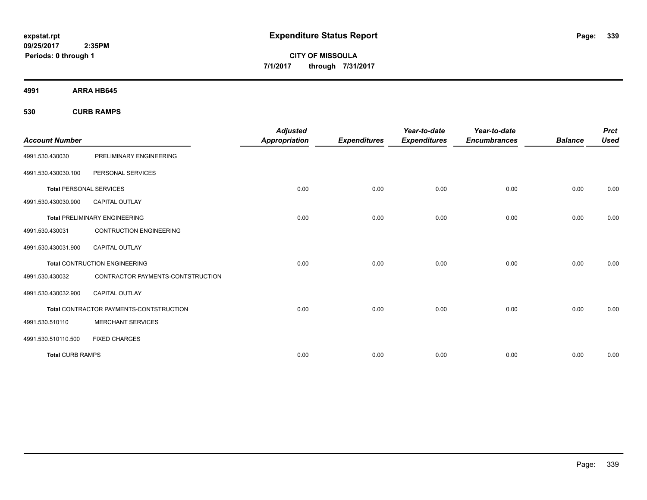**CITY OF MISSOULA 7/1/2017 through 7/31/2017**

**4991 ARRA HB645**

**530 CURB RAMPS**

| <b>Account Number</b>          |                                                | <b>Adjusted</b><br><b>Appropriation</b> | <b>Expenditures</b> | Year-to-date<br><b>Expenditures</b> | Year-to-date<br><b>Encumbrances</b> | <b>Balance</b> | <b>Prct</b><br><b>Used</b> |
|--------------------------------|------------------------------------------------|-----------------------------------------|---------------------|-------------------------------------|-------------------------------------|----------------|----------------------------|
| 4991.530.430030                | PRELIMINARY ENGINEERING                        |                                         |                     |                                     |                                     |                |                            |
| 4991.530.430030.100            | PERSONAL SERVICES                              |                                         |                     |                                     |                                     |                |                            |
| <b>Total PERSONAL SERVICES</b> |                                                | 0.00                                    | 0.00                | 0.00                                | 0.00                                | 0.00           | 0.00                       |
| 4991.530.430030.900            | <b>CAPITAL OUTLAY</b>                          |                                         |                     |                                     |                                     |                |                            |
|                                | <b>Total PRELIMINARY ENGINEERING</b>           | 0.00                                    | 0.00                | 0.00                                | 0.00                                | 0.00           | 0.00                       |
| 4991.530.430031                | <b>CONTRUCTION ENGINEERING</b>                 |                                         |                     |                                     |                                     |                |                            |
| 4991.530.430031.900            | <b>CAPITAL OUTLAY</b>                          |                                         |                     |                                     |                                     |                |                            |
|                                | <b>Total CONTRUCTION ENGINEERING</b>           | 0.00                                    | 0.00                | 0.00                                | 0.00                                | 0.00           | 0.00                       |
| 4991.530.430032                | CONTRACTOR PAYMENTS-CONTSTRUCTION              |                                         |                     |                                     |                                     |                |                            |
| 4991.530.430032.900            | <b>CAPITAL OUTLAY</b>                          |                                         |                     |                                     |                                     |                |                            |
|                                | <b>Total CONTRACTOR PAYMENTS-CONTSTRUCTION</b> | 0.00                                    | 0.00                | 0.00                                | 0.00                                | 0.00           | 0.00                       |
| 4991.530.510110                | <b>MERCHANT SERVICES</b>                       |                                         |                     |                                     |                                     |                |                            |
| 4991.530.510110.500            | <b>FIXED CHARGES</b>                           |                                         |                     |                                     |                                     |                |                            |
| <b>Total CURB RAMPS</b>        |                                                | 0.00                                    | 0.00                | 0.00                                | 0.00                                | 0.00           | 0.00                       |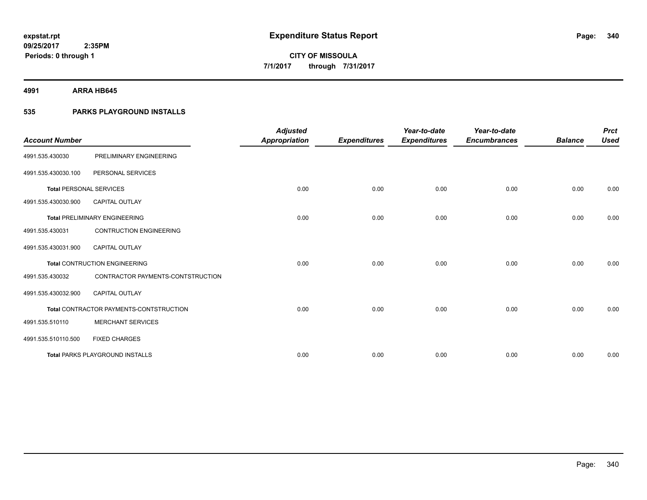**4991 ARRA HB645**

## **535 PARKS PLAYGROUND INSTALLS**

|                                |                                         | <b>Adjusted</b>      |                     | Year-to-date        | Year-to-date        |                | <b>Prct</b> |
|--------------------------------|-----------------------------------------|----------------------|---------------------|---------------------|---------------------|----------------|-------------|
| <b>Account Number</b>          |                                         | <b>Appropriation</b> | <b>Expenditures</b> | <b>Expenditures</b> | <b>Encumbrances</b> | <b>Balance</b> | <b>Used</b> |
| 4991.535.430030                | PRELIMINARY ENGINEERING                 |                      |                     |                     |                     |                |             |
| 4991.535.430030.100            | PERSONAL SERVICES                       |                      |                     |                     |                     |                |             |
| <b>Total PERSONAL SERVICES</b> |                                         | 0.00                 | 0.00                | 0.00                | 0.00                | 0.00           | 0.00        |
| 4991.535.430030.900            | <b>CAPITAL OUTLAY</b>                   |                      |                     |                     |                     |                |             |
|                                | <b>Total PRELIMINARY ENGINEERING</b>    | 0.00                 | 0.00                | 0.00                | 0.00                | 0.00           | 0.00        |
| 4991.535.430031                | <b>CONTRUCTION ENGINEERING</b>          |                      |                     |                     |                     |                |             |
| 4991.535.430031.900            | <b>CAPITAL OUTLAY</b>                   |                      |                     |                     |                     |                |             |
|                                | <b>Total CONTRUCTION ENGINEERING</b>    | 0.00                 | 0.00                | 0.00                | 0.00                | 0.00           | 0.00        |
| 4991.535.430032                | CONTRACTOR PAYMENTS-CONTSTRUCTION       |                      |                     |                     |                     |                |             |
| 4991.535.430032.900            | <b>CAPITAL OUTLAY</b>                   |                      |                     |                     |                     |                |             |
|                                | Total CONTRACTOR PAYMENTS-CONTSTRUCTION | 0.00                 | 0.00                | 0.00                | 0.00                | 0.00           | 0.00        |
| 4991.535.510110                | <b>MERCHANT SERVICES</b>                |                      |                     |                     |                     |                |             |
| 4991.535.510110.500            | <b>FIXED CHARGES</b>                    |                      |                     |                     |                     |                |             |
|                                | <b>Total PARKS PLAYGROUND INSTALLS</b>  | 0.00                 | 0.00                | 0.00                | 0.00                | 0.00           | 0.00        |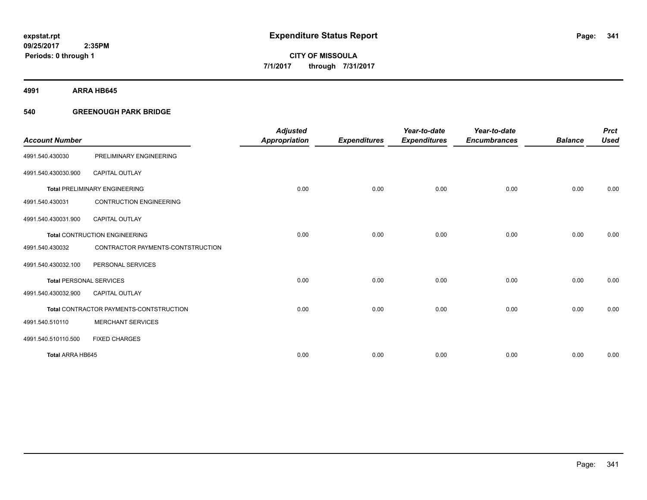**4991 ARRA HB645**

## **540 GREENOUGH PARK BRIDGE**

|                                |                                         | <b>Adjusted</b>      |                     | Year-to-date        | Year-to-date        |                | <b>Prct</b> |
|--------------------------------|-----------------------------------------|----------------------|---------------------|---------------------|---------------------|----------------|-------------|
| <b>Account Number</b>          |                                         | <b>Appropriation</b> | <b>Expenditures</b> | <b>Expenditures</b> | <b>Encumbrances</b> | <b>Balance</b> | <b>Used</b> |
| 4991.540.430030                | PRELIMINARY ENGINEERING                 |                      |                     |                     |                     |                |             |
| 4991.540.430030.900            | <b>CAPITAL OUTLAY</b>                   |                      |                     |                     |                     |                |             |
|                                | <b>Total PRELIMINARY ENGINEERING</b>    | 0.00                 | 0.00                | 0.00                | 0.00                | 0.00           | 0.00        |
| 4991.540.430031                | <b>CONTRUCTION ENGINEERING</b>          |                      |                     |                     |                     |                |             |
| 4991.540.430031.900            | <b>CAPITAL OUTLAY</b>                   |                      |                     |                     |                     |                |             |
|                                | <b>Total CONTRUCTION ENGINEERING</b>    | 0.00                 | 0.00                | 0.00                | 0.00                | 0.00           | 0.00        |
| 4991.540.430032                | CONTRACTOR PAYMENTS-CONTSTRUCTION       |                      |                     |                     |                     |                |             |
| 4991.540.430032.100            | PERSONAL SERVICES                       |                      |                     |                     |                     |                |             |
| <b>Total PERSONAL SERVICES</b> |                                         | 0.00                 | 0.00                | 0.00                | 0.00                | 0.00           | 0.00        |
| 4991.540.430032.900            | <b>CAPITAL OUTLAY</b>                   |                      |                     |                     |                     |                |             |
|                                | Total CONTRACTOR PAYMENTS-CONTSTRUCTION | 0.00                 | 0.00                | 0.00                | 0.00                | 0.00           | 0.00        |
| 4991.540.510110                | <b>MERCHANT SERVICES</b>                |                      |                     |                     |                     |                |             |
| 4991.540.510110.500            | <b>FIXED CHARGES</b>                    |                      |                     |                     |                     |                |             |
| Total ARRA HB645               |                                         | 0.00                 | 0.00                | 0.00                | 0.00                | 0.00           | 0.00        |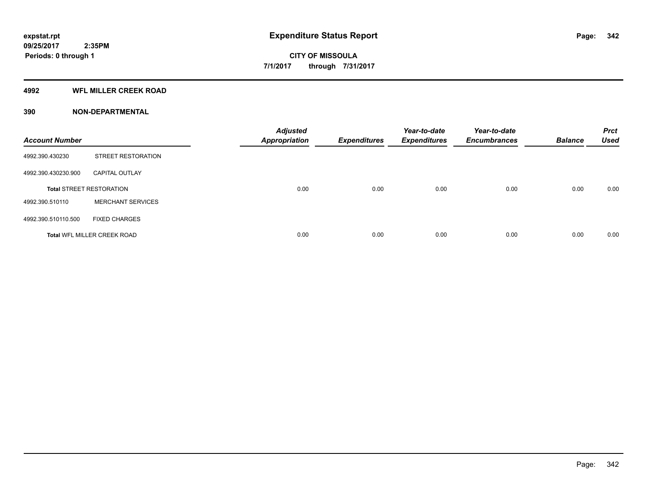#### **4992 WFL MILLER CREEK ROAD**

| <b>Account Number</b> |                                    | <b>Adjusted</b><br><b>Appropriation</b> | <b>Expenditures</b> | Year-to-date<br><b>Expenditures</b> | Year-to-date<br><b>Encumbrances</b> | <b>Balance</b> | <b>Prct</b><br><b>Used</b> |
|-----------------------|------------------------------------|-----------------------------------------|---------------------|-------------------------------------|-------------------------------------|----------------|----------------------------|
| 4992.390.430230       | <b>STREET RESTORATION</b>          |                                         |                     |                                     |                                     |                |                            |
| 4992.390.430230.900   | <b>CAPITAL OUTLAY</b>              |                                         |                     |                                     |                                     |                |                            |
|                       | <b>Total STREET RESTORATION</b>    | 0.00                                    | 0.00                | 0.00                                | 0.00                                | 0.00           | 0.00                       |
| 4992.390.510110       | <b>MERCHANT SERVICES</b>           |                                         |                     |                                     |                                     |                |                            |
| 4992.390.510110.500   | <b>FIXED CHARGES</b>               |                                         |                     |                                     |                                     |                |                            |
|                       | <b>Total WFL MILLER CREEK ROAD</b> | 0.00                                    | 0.00                | 0.00                                | 0.00                                | 0.00           | 0.00                       |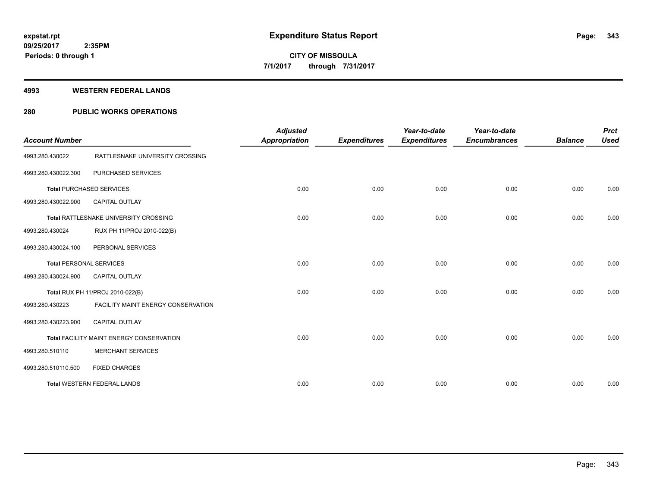#### **4993 WESTERN FEDERAL LANDS**

## **280 PUBLIC WORKS OPERATIONS**

| <b>Account Number</b>          |                                          | <b>Adjusted</b><br><b>Appropriation</b> | <b>Expenditures</b> | Year-to-date<br><b>Expenditures</b> | Year-to-date<br><b>Encumbrances</b> | <b>Balance</b> | <b>Prct</b><br><b>Used</b> |
|--------------------------------|------------------------------------------|-----------------------------------------|---------------------|-------------------------------------|-------------------------------------|----------------|----------------------------|
| 4993.280.430022                | RATTLESNAKE UNIVERSITY CROSSING          |                                         |                     |                                     |                                     |                |                            |
| 4993.280.430022.300            | PURCHASED SERVICES                       |                                         |                     |                                     |                                     |                |                            |
|                                | <b>Total PURCHASED SERVICES</b>          | 0.00                                    | 0.00                | 0.00                                | 0.00                                | 0.00           | 0.00                       |
| 4993.280.430022.900            | <b>CAPITAL OUTLAY</b>                    |                                         |                     |                                     |                                     |                |                            |
|                                | Total RATTLESNAKE UNIVERSITY CROSSING    | 0.00                                    | 0.00                | 0.00                                | 0.00                                | 0.00           | 0.00                       |
| 4993.280.430024                | RUX PH 11/PROJ 2010-022(B)               |                                         |                     |                                     |                                     |                |                            |
| 4993.280.430024.100            | PERSONAL SERVICES                        |                                         |                     |                                     |                                     |                |                            |
| <b>Total PERSONAL SERVICES</b> |                                          | 0.00                                    | 0.00                | 0.00                                | 0.00                                | 0.00           | 0.00                       |
| 4993.280.430024.900            | <b>CAPITAL OUTLAY</b>                    |                                         |                     |                                     |                                     |                |                            |
|                                | Total RUX PH 11/PROJ 2010-022(B)         | 0.00                                    | 0.00                | 0.00                                | 0.00                                | 0.00           | 0.00                       |
| 4993.280.430223                | FACILITY MAINT ENERGY CONSERVATION       |                                         |                     |                                     |                                     |                |                            |
| 4993.280.430223.900            | <b>CAPITAL OUTLAY</b>                    |                                         |                     |                                     |                                     |                |                            |
|                                | Total FACILITY MAINT ENERGY CONSERVATION | 0.00                                    | 0.00                | 0.00                                | 0.00                                | 0.00           | 0.00                       |
| 4993.280.510110                | <b>MERCHANT SERVICES</b>                 |                                         |                     |                                     |                                     |                |                            |
| 4993.280.510110.500            | <b>FIXED CHARGES</b>                     |                                         |                     |                                     |                                     |                |                            |
|                                | <b>Total WESTERN FEDERAL LANDS</b>       | 0.00                                    | 0.00                | 0.00                                | 0.00                                | 0.00           | 0.00                       |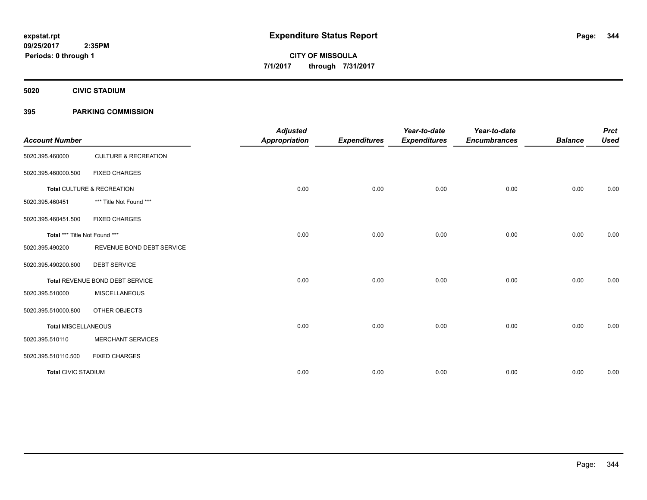**5020 CIVIC STADIUM**

## **395 PARKING COMMISSION**

| <b>Account Number</b>         |                                 | <b>Adjusted</b><br><b>Appropriation</b> | <b>Expenditures</b> | Year-to-date<br><b>Expenditures</b> | Year-to-date<br><b>Encumbrances</b> | <b>Balance</b> | <b>Prct</b><br><b>Used</b> |
|-------------------------------|---------------------------------|-----------------------------------------|---------------------|-------------------------------------|-------------------------------------|----------------|----------------------------|
| 5020.395.460000               | <b>CULTURE &amp; RECREATION</b> |                                         |                     |                                     |                                     |                |                            |
| 5020.395.460000.500           | <b>FIXED CHARGES</b>            |                                         |                     |                                     |                                     |                |                            |
|                               | Total CULTURE & RECREATION      | 0.00                                    | 0.00                | 0.00                                | 0.00                                | 0.00           | 0.00                       |
| 5020.395.460451               | *** Title Not Found ***         |                                         |                     |                                     |                                     |                |                            |
| 5020.395.460451.500           | <b>FIXED CHARGES</b>            |                                         |                     |                                     |                                     |                |                            |
| Total *** Title Not Found *** |                                 | 0.00                                    | 0.00                | 0.00                                | 0.00                                | 0.00           | 0.00                       |
| 5020.395.490200               | REVENUE BOND DEBT SERVICE       |                                         |                     |                                     |                                     |                |                            |
| 5020.395.490200.600           | <b>DEBT SERVICE</b>             |                                         |                     |                                     |                                     |                |                            |
|                               | Total REVENUE BOND DEBT SERVICE | 0.00                                    | 0.00                | 0.00                                | 0.00                                | 0.00           | 0.00                       |
| 5020.395.510000               | <b>MISCELLANEOUS</b>            |                                         |                     |                                     |                                     |                |                            |
| 5020.395.510000.800           | OTHER OBJECTS                   |                                         |                     |                                     |                                     |                |                            |
| <b>Total MISCELLANEOUS</b>    |                                 | 0.00                                    | 0.00                | 0.00                                | 0.00                                | 0.00           | 0.00                       |
| 5020.395.510110               | <b>MERCHANT SERVICES</b>        |                                         |                     |                                     |                                     |                |                            |
| 5020.395.510110.500           | <b>FIXED CHARGES</b>            |                                         |                     |                                     |                                     |                |                            |
| <b>Total CIVIC STADIUM</b>    |                                 | 0.00                                    | 0.00                | 0.00                                | 0.00                                | 0.00           | 0.00                       |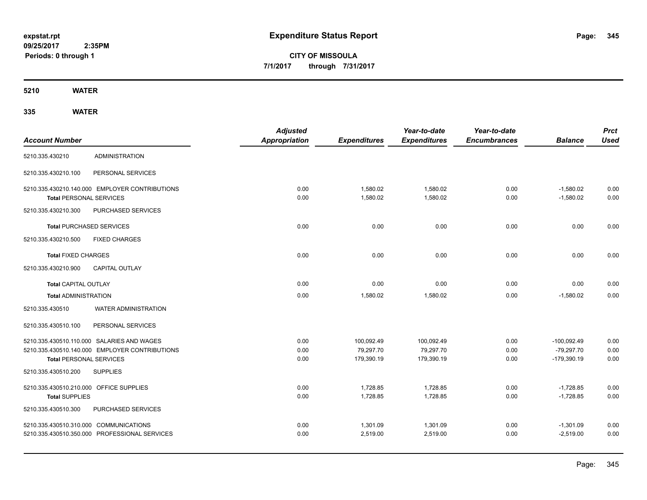**CITY OF MISSOULA 7/1/2017 through 7/31/2017**

**5210 WATER**

|                                         |                                                | <b>Adjusted</b>      |                     | Year-to-date        | Year-to-date        |                | <b>Prct</b> |
|-----------------------------------------|------------------------------------------------|----------------------|---------------------|---------------------|---------------------|----------------|-------------|
| <b>Account Number</b>                   |                                                | <b>Appropriation</b> | <b>Expenditures</b> | <b>Expenditures</b> | <b>Encumbrances</b> | <b>Balance</b> | <b>Used</b> |
| 5210.335.430210                         | <b>ADMINISTRATION</b>                          |                      |                     |                     |                     |                |             |
| 5210.335.430210.100                     | PERSONAL SERVICES                              |                      |                     |                     |                     |                |             |
|                                         | 5210.335.430210.140.000 EMPLOYER CONTRIBUTIONS | 0.00                 | 1,580.02            | 1,580.02            | 0.00                | $-1,580.02$    | 0.00        |
| <b>Total PERSONAL SERVICES</b>          |                                                | 0.00                 | 1,580.02            | 1,580.02            | 0.00                | $-1,580.02$    | 0.00        |
| 5210.335.430210.300                     | PURCHASED SERVICES                             |                      |                     |                     |                     |                |             |
|                                         | <b>Total PURCHASED SERVICES</b>                | 0.00                 | 0.00                | 0.00                | 0.00                | 0.00           | 0.00        |
| 5210.335.430210.500                     | <b>FIXED CHARGES</b>                           |                      |                     |                     |                     |                |             |
| <b>Total FIXED CHARGES</b>              |                                                | 0.00                 | 0.00                | 0.00                | 0.00                | 0.00           | 0.00        |
| 5210.335.430210.900                     | <b>CAPITAL OUTLAY</b>                          |                      |                     |                     |                     |                |             |
| <b>Total CAPITAL OUTLAY</b>             |                                                | 0.00                 | 0.00                | 0.00                | 0.00                | 0.00           | 0.00        |
| <b>Total ADMINISTRATION</b>             |                                                | 0.00                 | 1,580.02            | 1,580.02            | 0.00                | $-1,580.02$    | 0.00        |
| 5210.335.430510                         | <b>WATER ADMINISTRATION</b>                    |                      |                     |                     |                     |                |             |
| 5210.335.430510.100                     | PERSONAL SERVICES                              |                      |                     |                     |                     |                |             |
|                                         | 5210.335.430510.110.000 SALARIES AND WAGES     | 0.00                 | 100,092.49          | 100,092.49          | 0.00                | $-100,092.49$  | 0.00        |
|                                         | 5210.335.430510.140.000 EMPLOYER CONTRIBUTIONS | 0.00                 | 79,297.70           | 79,297.70           | 0.00                | $-79,297.70$   | 0.00        |
| <b>Total PERSONAL SERVICES</b>          |                                                | 0.00                 | 179,390.19          | 179,390.19          | 0.00                | $-179,390.19$  | 0.00        |
| 5210.335.430510.200                     | <b>SUPPLIES</b>                                |                      |                     |                     |                     |                |             |
| 5210.335.430510.210.000 OFFICE SUPPLIES |                                                | 0.00                 | 1,728.85            | 1,728.85            | 0.00                | $-1,728.85$    | 0.00        |
| <b>Total SUPPLIES</b>                   |                                                | 0.00                 | 1,728.85            | 1,728.85            | 0.00                | $-1,728.85$    | 0.00        |
| 5210.335.430510.300                     | PURCHASED SERVICES                             |                      |                     |                     |                     |                |             |
| 5210.335.430510.310.000 COMMUNICATIONS  |                                                | 0.00                 | 1,301.09            | 1,301.09            | 0.00                | $-1,301.09$    | 0.00        |
|                                         | 5210.335.430510.350.000 PROFESSIONAL SERVICES  | 0.00                 | 2,519.00            | 2,519.00            | 0.00                | $-2,519.00$    | 0.00        |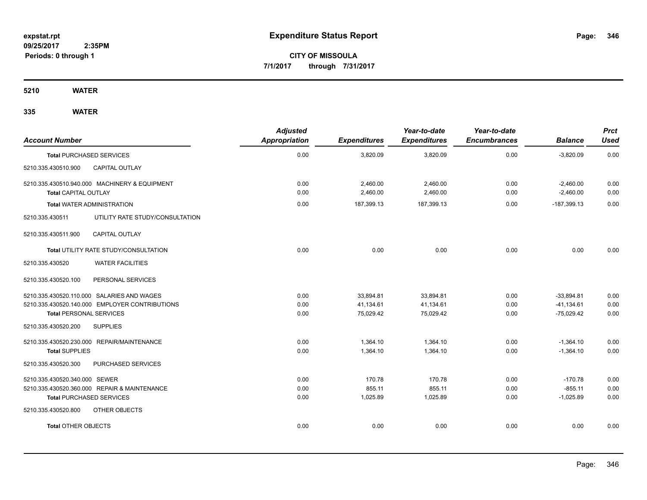**CITY OF MISSOULA 7/1/2017 through 7/31/2017**

**5210 WATER**

| <b>Account Number</b>                                                        | <b>Adjusted</b><br><b>Appropriation</b> | <b>Expenditures</b>  | Year-to-date<br><b>Expenditures</b> | Year-to-date<br><b>Encumbrances</b> | <b>Balance</b>             | <b>Prct</b><br><b>Used</b> |
|------------------------------------------------------------------------------|-----------------------------------------|----------------------|-------------------------------------|-------------------------------------|----------------------------|----------------------------|
| <b>Total PURCHASED SERVICES</b>                                              | 0.00                                    | 3,820.09             | 3,820.09                            | 0.00                                | $-3,820.09$                | 0.00                       |
| <b>CAPITAL OUTLAY</b><br>5210.335.430510.900                                 |                                         |                      |                                     |                                     |                            |                            |
| 5210.335.430510.940.000 MACHINERY & EQUIPMENT<br><b>Total CAPITAL OUTLAY</b> | 0.00<br>0.00                            | 2,460.00<br>2,460.00 | 2,460.00<br>2,460.00                | 0.00<br>0.00                        | $-2,460.00$<br>$-2,460.00$ | 0.00<br>0.00               |
| <b>Total WATER ADMINISTRATION</b>                                            | 0.00                                    | 187.399.13           | 187,399.13                          | 0.00                                | $-187.399.13$              | 0.00                       |
| UTILITY RATE STUDY/CONSULTATION<br>5210.335.430511                           |                                         |                      |                                     |                                     |                            |                            |
| <b>CAPITAL OUTLAY</b><br>5210.335.430511.900                                 |                                         |                      |                                     |                                     |                            |                            |
| Total UTILITY RATE STUDY/CONSULTATION                                        | 0.00                                    | 0.00                 | 0.00                                | 0.00                                | 0.00                       | 0.00                       |
| <b>WATER FACILITIES</b><br>5210.335.430520                                   |                                         |                      |                                     |                                     |                            |                            |
| 5210.335.430520.100<br>PERSONAL SERVICES                                     |                                         |                      |                                     |                                     |                            |                            |
| 5210.335.430520.110.000 SALARIES AND WAGES                                   | 0.00                                    | 33,894.81            | 33,894.81                           | 0.00                                | $-33,894.81$               | 0.00                       |
| 5210.335.430520.140.000 EMPLOYER CONTRIBUTIONS                               | 0.00                                    | 41,134.61            | 41,134.61                           | 0.00                                | $-41,134.61$               | 0.00                       |
| <b>Total PERSONAL SERVICES</b>                                               | 0.00                                    | 75,029.42            | 75,029.42                           | 0.00                                | $-75,029.42$               | 0.00                       |
| 5210.335.430520.200<br><b>SUPPLIES</b>                                       |                                         |                      |                                     |                                     |                            |                            |
| 5210.335.430520.230.000 REPAIR/MAINTENANCE                                   | 0.00                                    | 1,364.10             | 1,364.10                            | 0.00                                | $-1,364.10$                | 0.00                       |
| <b>Total SUPPLIES</b>                                                        | 0.00                                    | 1,364.10             | 1,364.10                            | 0.00                                | $-1,364.10$                | 0.00                       |
| 5210.335.430520.300<br>PURCHASED SERVICES                                    |                                         |                      |                                     |                                     |                            |                            |
| 5210.335.430520.340.000 SEWER                                                | 0.00                                    | 170.78               | 170.78                              | 0.00                                | $-170.78$                  | 0.00                       |
| 5210.335.430520.360.000 REPAIR & MAINTENANCE                                 | 0.00                                    | 855.11               | 855.11                              | 0.00                                | $-855.11$                  | 0.00                       |
| <b>Total PURCHASED SERVICES</b>                                              | 0.00                                    | 1,025.89             | 1,025.89                            | 0.00                                | $-1,025.89$                | 0.00                       |
| OTHER OBJECTS<br>5210.335.430520.800                                         |                                         |                      |                                     |                                     |                            |                            |
| <b>Total OTHER OBJECTS</b>                                                   | 0.00                                    | 0.00                 | 0.00                                | 0.00                                | 0.00                       | 0.00                       |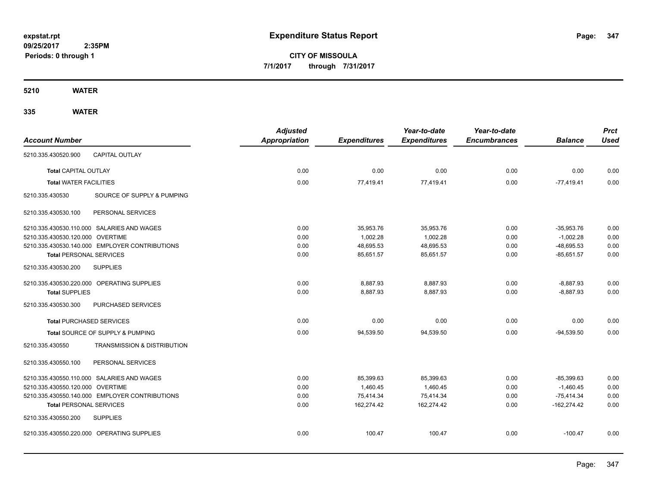**CITY OF MISSOULA 7/1/2017 through 7/31/2017**

**5210 WATER**

|                                                           | <b>Adjusted</b> |                     | Year-to-date        | Year-to-date        |                | <b>Prct</b> |
|-----------------------------------------------------------|-----------------|---------------------|---------------------|---------------------|----------------|-------------|
| <b>Account Number</b>                                     | Appropriation   | <b>Expenditures</b> | <b>Expenditures</b> | <b>Encumbrances</b> | <b>Balance</b> | <b>Used</b> |
| <b>CAPITAL OUTLAY</b><br>5210.335.430520.900              |                 |                     |                     |                     |                |             |
| <b>Total CAPITAL OUTLAY</b>                               | 0.00            | 0.00                | 0.00                | 0.00                | 0.00           | 0.00        |
| <b>Total WATER FACILITIES</b>                             | 0.00            | 77,419.41           | 77,419.41           | 0.00                | $-77,419.41$   | 0.00        |
| SOURCE OF SUPPLY & PUMPING<br>5210.335.430530             |                 |                     |                     |                     |                |             |
| PERSONAL SERVICES<br>5210.335.430530.100                  |                 |                     |                     |                     |                |             |
| 5210.335.430530.110.000 SALARIES AND WAGES                | 0.00            | 35,953.76           | 35,953.76           | 0.00                | $-35,953.76$   | 0.00        |
| 5210.335.430530.120.000 OVERTIME                          | 0.00            | 1,002.28            | 1,002.28            | 0.00                | $-1,002.28$    | 0.00        |
| 5210.335.430530.140.000 EMPLOYER CONTRIBUTIONS            | 0.00            | 48,695.53           | 48,695.53           | 0.00                | $-48,695.53$   | 0.00        |
| <b>Total PERSONAL SERVICES</b>                            | 0.00            | 85,651.57           | 85,651.57           | 0.00                | $-85,651.57$   | 0.00        |
| 5210.335.430530.200<br><b>SUPPLIES</b>                    |                 |                     |                     |                     |                |             |
| 5210.335.430530.220.000 OPERATING SUPPLIES                | 0.00            | 8,887.93            | 8,887.93            | 0.00                | $-8,887.93$    | 0.00        |
| <b>Total SUPPLIES</b>                                     | 0.00            | 8,887.93            | 8,887.93            | 0.00                | $-8,887.93$    | 0.00        |
| 5210.335.430530.300<br>PURCHASED SERVICES                 |                 |                     |                     |                     |                |             |
| <b>Total PURCHASED SERVICES</b>                           | 0.00            | 0.00                | 0.00                | 0.00                | 0.00           | 0.00        |
| Total SOURCE OF SUPPLY & PUMPING                          | 0.00            | 94,539.50           | 94.539.50           | 0.00                | $-94.539.50$   | 0.00        |
| 5210.335.430550<br><b>TRANSMISSION &amp; DISTRIBUTION</b> |                 |                     |                     |                     |                |             |
| PERSONAL SERVICES<br>5210.335.430550.100                  |                 |                     |                     |                     |                |             |
| 5210.335.430550.110.000 SALARIES AND WAGES                | 0.00            | 85,399.63           | 85,399.63           | 0.00                | $-85,399.63$   | 0.00        |
| 5210.335.430550.120.000 OVERTIME                          | 0.00            | 1,460.45            | 1,460.45            | 0.00                | $-1,460.45$    | 0.00        |
| 5210.335.430550.140.000 EMPLOYER CONTRIBUTIONS            | 0.00            | 75,414.34           | 75,414.34           | 0.00                | $-75,414.34$   | 0.00        |
| <b>Total PERSONAL SERVICES</b>                            | 0.00            | 162,274.42          | 162,274.42          | 0.00                | $-162,274.42$  | 0.00        |
| 5210.335.430550.200<br><b>SUPPLIES</b>                    |                 |                     |                     |                     |                |             |
| 5210.335.430550.220.000 OPERATING SUPPLIES                | 0.00            | 100.47              | 100.47              | 0.00                | $-100.47$      | 0.00        |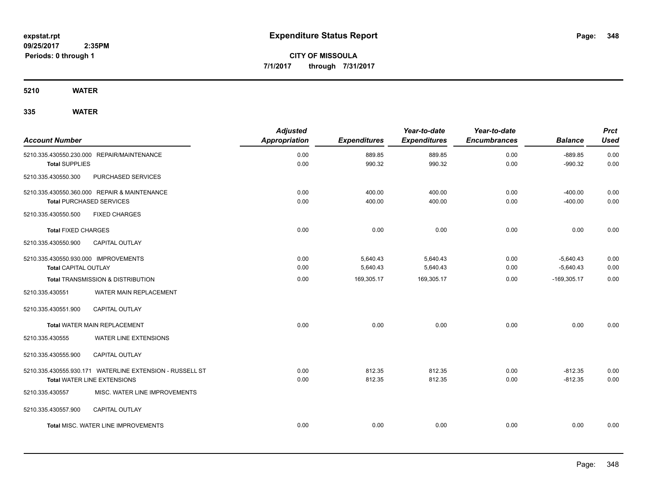**CITY OF MISSOULA 7/1/2017 through 7/31/2017**

**5210 WATER**

| <b>Account Number</b>                                               |                                                                                                | <b>Adjusted</b><br><b>Appropriation</b> | <b>Expenditures</b>  | Year-to-date<br><b>Expenditures</b> | Year-to-date<br><b>Encumbrances</b> | <b>Balance</b>             | <b>Prct</b><br><b>Used</b> |
|---------------------------------------------------------------------|------------------------------------------------------------------------------------------------|-----------------------------------------|----------------------|-------------------------------------|-------------------------------------|----------------------------|----------------------------|
| <b>Total SUPPLIES</b>                                               | 5210.335.430550.230.000 REPAIR/MAINTENANCE                                                     | 0.00<br>0.00                            | 889.85<br>990.32     | 889.85<br>990.32                    | 0.00<br>0.00                        | $-889.85$<br>$-990.32$     | 0.00<br>0.00               |
| 5210.335.430550.300                                                 | PURCHASED SERVICES                                                                             |                                         |                      |                                     |                                     |                            |                            |
|                                                                     | 5210.335.430550.360.000 REPAIR & MAINTENANCE<br><b>Total PURCHASED SERVICES</b>                | 0.00<br>0.00                            | 400.00<br>400.00     | 400.00<br>400.00                    | 0.00<br>0.00                        | $-400.00$<br>$-400.00$     | 0.00<br>0.00               |
| 5210.335.430550.500                                                 | <b>FIXED CHARGES</b>                                                                           |                                         |                      |                                     |                                     |                            |                            |
| <b>Total FIXED CHARGES</b>                                          |                                                                                                | 0.00                                    | 0.00                 | 0.00                                | 0.00                                | 0.00                       | 0.00                       |
| 5210.335.430550.900                                                 | <b>CAPITAL OUTLAY</b>                                                                          |                                         |                      |                                     |                                     |                            |                            |
| 5210.335.430550.930.000 IMPROVEMENTS<br><b>Total CAPITAL OUTLAY</b> |                                                                                                | 0.00<br>0.00                            | 5,640.43<br>5,640.43 | 5,640.43<br>5,640.43                | 0.00<br>0.00                        | $-5,640.43$<br>$-5,640.43$ | 0.00<br>0.00               |
|                                                                     | <b>Total TRANSMISSION &amp; DISTRIBUTION</b>                                                   | 0.00                                    | 169,305.17           | 169,305.17                          | 0.00                                | $-169,305.17$              | 0.00                       |
| 5210.335.430551                                                     | WATER MAIN REPLACEMENT                                                                         |                                         |                      |                                     |                                     |                            |                            |
| 5210.335.430551.900                                                 | <b>CAPITAL OUTLAY</b>                                                                          |                                         |                      |                                     |                                     |                            |                            |
|                                                                     | <b>Total WATER MAIN REPLACEMENT</b>                                                            | 0.00                                    | 0.00                 | 0.00                                | 0.00                                | 0.00                       | 0.00                       |
| 5210.335.430555                                                     | WATER LINE EXTENSIONS                                                                          |                                         |                      |                                     |                                     |                            |                            |
| 5210.335.430555.900                                                 | CAPITAL OUTLAY                                                                                 |                                         |                      |                                     |                                     |                            |                            |
|                                                                     | 5210.335.430555.930.171 WATERLINE EXTENSION - RUSSELL ST<br><b>Total WATER LINE EXTENSIONS</b> | 0.00<br>0.00                            | 812.35<br>812.35     | 812.35<br>812.35                    | 0.00<br>0.00                        | $-812.35$<br>$-812.35$     | 0.00<br>0.00               |
| 5210.335.430557                                                     | MISC. WATER LINE IMPROVEMENTS                                                                  |                                         |                      |                                     |                                     |                            |                            |
| 5210.335.430557.900                                                 | <b>CAPITAL OUTLAY</b>                                                                          |                                         |                      |                                     |                                     |                            |                            |
|                                                                     | <b>Total MISC. WATER LINE IMPROVEMENTS</b>                                                     | 0.00                                    | 0.00                 | 0.00                                | 0.00                                | 0.00                       | 0.00                       |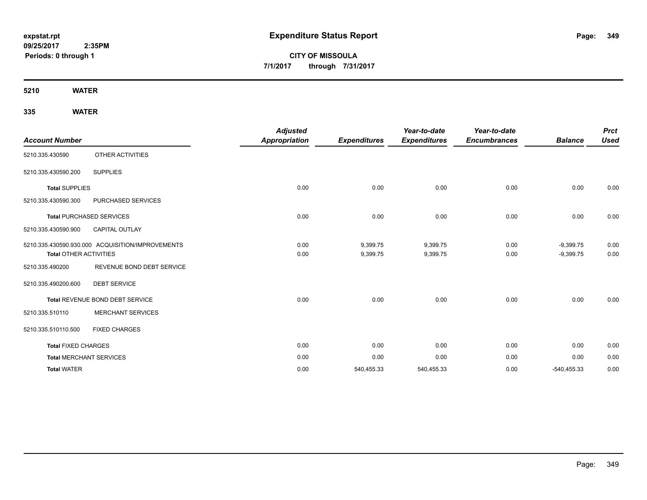**CITY OF MISSOULA 7/1/2017 through 7/31/2017**

**5210 WATER**

| <b>Account Number</b>         |                                                  | <b>Adjusted</b><br><b>Appropriation</b> | <b>Expenditures</b>  | Year-to-date<br><b>Expenditures</b> | Year-to-date<br><b>Encumbrances</b> | <b>Balance</b>             | <b>Prct</b><br><b>Used</b> |
|-------------------------------|--------------------------------------------------|-----------------------------------------|----------------------|-------------------------------------|-------------------------------------|----------------------------|----------------------------|
| 5210.335.430590               | OTHER ACTIVITIES                                 |                                         |                      |                                     |                                     |                            |                            |
| 5210.335.430590.200           | <b>SUPPLIES</b>                                  |                                         |                      |                                     |                                     |                            |                            |
| <b>Total SUPPLIES</b>         |                                                  | 0.00                                    | 0.00                 | 0.00                                | 0.00                                | 0.00                       | 0.00                       |
| 5210.335.430590.300           | PURCHASED SERVICES                               |                                         |                      |                                     |                                     |                            |                            |
|                               | <b>Total PURCHASED SERVICES</b>                  | 0.00                                    | 0.00                 | 0.00                                | 0.00                                | 0.00                       | 0.00                       |
| 5210.335.430590.900           | <b>CAPITAL OUTLAY</b>                            |                                         |                      |                                     |                                     |                            |                            |
| <b>Total OTHER ACTIVITIES</b> | 5210.335.430590.930.000 ACQUISITION/IMPROVEMENTS | 0.00<br>0.00                            | 9,399.75<br>9,399.75 | 9,399.75<br>9,399.75                | 0.00<br>0.00                        | $-9,399.75$<br>$-9,399.75$ | 0.00<br>0.00               |
| 5210.335.490200               | REVENUE BOND DEBT SERVICE                        |                                         |                      |                                     |                                     |                            |                            |
| 5210.335.490200.600           | <b>DEBT SERVICE</b>                              |                                         |                      |                                     |                                     |                            |                            |
|                               | Total REVENUE BOND DEBT SERVICE                  | 0.00                                    | 0.00                 | 0.00                                | 0.00                                | 0.00                       | 0.00                       |
| 5210.335.510110               | <b>MERCHANT SERVICES</b>                         |                                         |                      |                                     |                                     |                            |                            |
| 5210.335.510110.500           | <b>FIXED CHARGES</b>                             |                                         |                      |                                     |                                     |                            |                            |
| <b>Total FIXED CHARGES</b>    |                                                  | 0.00                                    | 0.00                 | 0.00                                | 0.00                                | 0.00                       | 0.00                       |
|                               | <b>Total MERCHANT SERVICES</b>                   | 0.00                                    | 0.00                 | 0.00                                | 0.00                                | 0.00                       | 0.00                       |
| <b>Total WATER</b>            |                                                  | 0.00                                    | 540,455.33           | 540,455.33                          | 0.00                                | $-540,455.33$              | 0.00                       |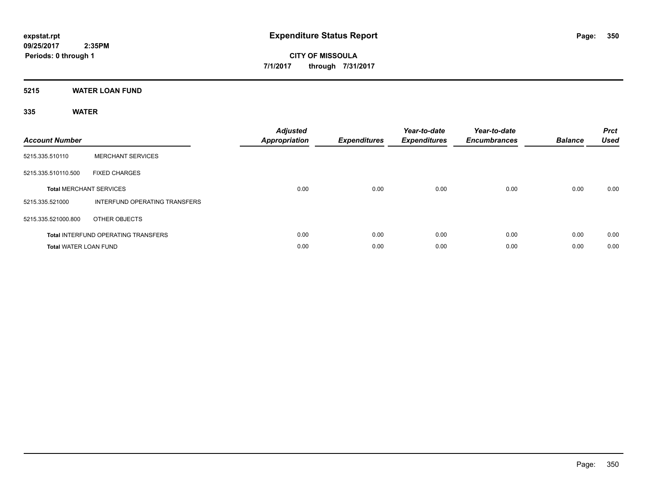## **5215 WATER LOAN FUND**

| <b>Account Number</b>        |                                            | <b>Adjusted</b><br>Appropriation | <b>Expenditures</b> | Year-to-date<br><b>Expenditures</b> | Year-to-date<br><b>Encumbrances</b> | <b>Balance</b> | <b>Prct</b><br><b>Used</b> |
|------------------------------|--------------------------------------------|----------------------------------|---------------------|-------------------------------------|-------------------------------------|----------------|----------------------------|
| 5215.335.510110              | <b>MERCHANT SERVICES</b>                   |                                  |                     |                                     |                                     |                |                            |
| 5215.335.510110.500          | <b>FIXED CHARGES</b>                       |                                  |                     |                                     |                                     |                |                            |
|                              | <b>Total MERCHANT SERVICES</b>             | 0.00                             | 0.00                | 0.00                                | 0.00                                | 0.00           | 0.00                       |
| 5215.335.521000              | INTERFUND OPERATING TRANSFERS              |                                  |                     |                                     |                                     |                |                            |
| 5215.335.521000.800          | OTHER OBJECTS                              |                                  |                     |                                     |                                     |                |                            |
|                              | <b>Total INTERFUND OPERATING TRANSFERS</b> | 0.00                             | 0.00                | 0.00                                | 0.00                                | 0.00           | 0.00                       |
| <b>Total WATER LOAN FUND</b> |                                            | 0.00                             | 0.00                | 0.00                                | 0.00                                | 0.00           | 0.00                       |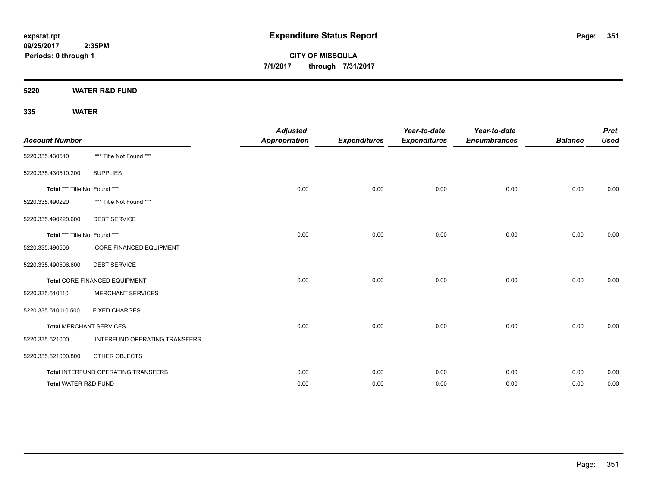**CITY OF MISSOULA 7/1/2017 through 7/31/2017**

**5220 WATER R&D FUND**

| <b>Account Number</b>         |                                     | <b>Adjusted</b><br><b>Appropriation</b> | <b>Expenditures</b> | Year-to-date<br><b>Expenditures</b> | Year-to-date<br><b>Encumbrances</b> | <b>Balance</b> | <b>Prct</b><br><b>Used</b> |
|-------------------------------|-------------------------------------|-----------------------------------------|---------------------|-------------------------------------|-------------------------------------|----------------|----------------------------|
| 5220.335.430510               | *** Title Not Found ***             |                                         |                     |                                     |                                     |                |                            |
| 5220.335.430510.200           | <b>SUPPLIES</b>                     |                                         |                     |                                     |                                     |                |                            |
| Total *** Title Not Found *** |                                     | 0.00                                    | 0.00                | 0.00                                | 0.00                                | 0.00           | 0.00                       |
| 5220.335.490220               | *** Title Not Found ***             |                                         |                     |                                     |                                     |                |                            |
| 5220.335.490220.600           | <b>DEBT SERVICE</b>                 |                                         |                     |                                     |                                     |                |                            |
| Total *** Title Not Found *** |                                     | 0.00                                    | 0.00                | 0.00                                | 0.00                                | 0.00           | 0.00                       |
| 5220.335.490506               | <b>CORE FINANCED EQUIPMENT</b>      |                                         |                     |                                     |                                     |                |                            |
| 5220.335.490506.600           | <b>DEBT SERVICE</b>                 |                                         |                     |                                     |                                     |                |                            |
|                               | Total CORE FINANCED EQUIPMENT       | 0.00                                    | 0.00                | 0.00                                | 0.00                                | 0.00           | 0.00                       |
| 5220.335.510110               | <b>MERCHANT SERVICES</b>            |                                         |                     |                                     |                                     |                |                            |
| 5220.335.510110.500           | <b>FIXED CHARGES</b>                |                                         |                     |                                     |                                     |                |                            |
|                               | <b>Total MERCHANT SERVICES</b>      | 0.00                                    | 0.00                | 0.00                                | 0.00                                | 0.00           | 0.00                       |
| 5220.335.521000               | INTERFUND OPERATING TRANSFERS       |                                         |                     |                                     |                                     |                |                            |
| 5220.335.521000.800           | OTHER OBJECTS                       |                                         |                     |                                     |                                     |                |                            |
|                               | Total INTERFUND OPERATING TRANSFERS | 0.00                                    | 0.00                | 0.00                                | 0.00                                | 0.00           | 0.00                       |
| Total WATER R&D FUND          |                                     | 0.00                                    | 0.00                | 0.00                                | 0.00                                | 0.00           | 0.00                       |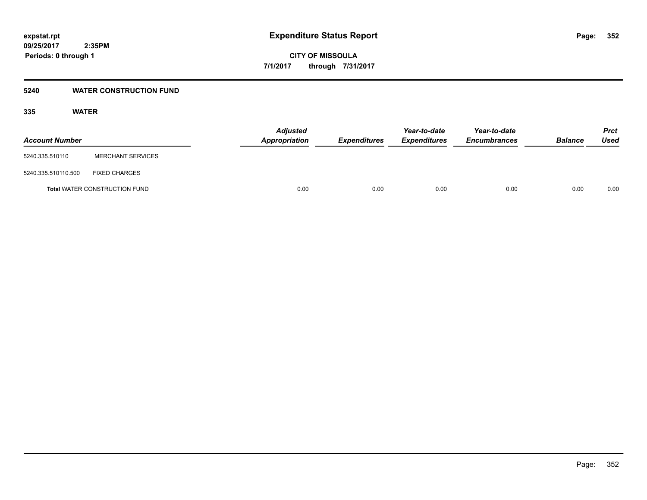## **5240 WATER CONSTRUCTION FUND**

| <b>Account Number</b> |                                      | <b>Adjusted</b><br>Appropriation | <b>Expenditures</b> | Year-to-date<br><b>Expenditures</b> | Year-to-date<br><b>Encumbrances</b> | <b>Balance</b> | Prct<br><b>Used</b> |
|-----------------------|--------------------------------------|----------------------------------|---------------------|-------------------------------------|-------------------------------------|----------------|---------------------|
| 5240.335.510110       | <b>MERCHANT SERVICES</b>             |                                  |                     |                                     |                                     |                |                     |
| 5240.335.510110.500   | <b>FIXED CHARGES</b>                 |                                  |                     |                                     |                                     |                |                     |
|                       | <b>Total WATER CONSTRUCTION FUND</b> |                                  | 0.00<br>0.00        | 0.00                                | 0.00                                | 0.00           | 0.00                |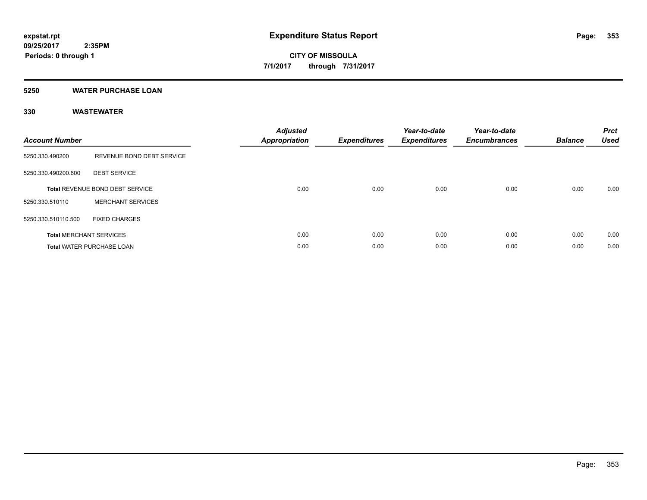## **5250 WATER PURCHASE LOAN**

| <b>Account Number</b> |                                        | <b>Adjusted</b><br><b>Appropriation</b> | <b>Expenditures</b> | Year-to-date<br><b>Expenditures</b> | Year-to-date<br><b>Encumbrances</b> | <b>Balance</b> | <b>Prct</b><br><b>Used</b> |
|-----------------------|----------------------------------------|-----------------------------------------|---------------------|-------------------------------------|-------------------------------------|----------------|----------------------------|
| 5250.330.490200       | REVENUE BOND DEBT SERVICE              |                                         |                     |                                     |                                     |                |                            |
| 5250.330.490200.600   | <b>DEBT SERVICE</b>                    |                                         |                     |                                     |                                     |                |                            |
|                       | <b>Total REVENUE BOND DEBT SERVICE</b> | 0.00                                    | 0.00                | 0.00                                | 0.00                                | 0.00           | 0.00                       |
| 5250.330.510110       | <b>MERCHANT SERVICES</b>               |                                         |                     |                                     |                                     |                |                            |
| 5250.330.510110.500   | <b>FIXED CHARGES</b>                   |                                         |                     |                                     |                                     |                |                            |
|                       | <b>Total MERCHANT SERVICES</b>         | 0.00                                    | 0.00                | 0.00                                | 0.00                                | 0.00           | 0.00                       |
|                       | <b>Total WATER PURCHASE LOAN</b>       | 0.00                                    | 0.00                | 0.00                                | 0.00                                | 0.00           | 0.00                       |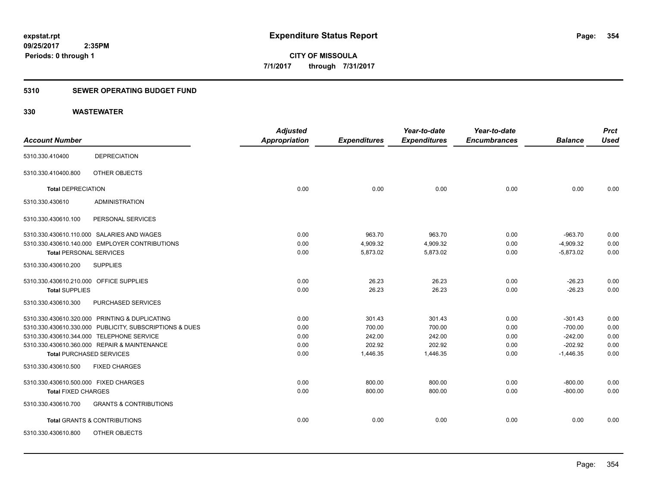## **5310 SEWER OPERATING BUDGET FUND**

|                                         |                                                         | <b>Adjusted</b>      |                     | Year-to-date        | Year-to-date        |                | <b>Prct</b> |
|-----------------------------------------|---------------------------------------------------------|----------------------|---------------------|---------------------|---------------------|----------------|-------------|
| <b>Account Number</b>                   |                                                         | <b>Appropriation</b> | <b>Expenditures</b> | <b>Expenditures</b> | <b>Encumbrances</b> | <b>Balance</b> | <b>Used</b> |
| 5310.330.410400                         | <b>DEPRECIATION</b>                                     |                      |                     |                     |                     |                |             |
| 5310.330.410400.800                     | OTHER OBJECTS                                           |                      |                     |                     |                     |                |             |
| <b>Total DEPRECIATION</b>               |                                                         | 0.00                 | 0.00                | 0.00                | 0.00                | 0.00           | 0.00        |
| 5310.330.430610                         | <b>ADMINISTRATION</b>                                   |                      |                     |                     |                     |                |             |
| 5310.330.430610.100                     | PERSONAL SERVICES                                       |                      |                     |                     |                     |                |             |
|                                         | 5310.330.430610.110.000 SALARIES AND WAGES              | 0.00                 | 963.70              | 963.70              | 0.00                | $-963.70$      | 0.00        |
|                                         | 5310.330.430610.140.000 EMPLOYER CONTRIBUTIONS          | 0.00                 | 4,909.32            | 4,909.32            | 0.00                | $-4,909.32$    | 0.00        |
| <b>Total PERSONAL SERVICES</b>          |                                                         | 0.00                 | 5,873.02            | 5,873.02            | 0.00                | $-5,873.02$    | 0.00        |
| 5310.330.430610.200                     | <b>SUPPLIES</b>                                         |                      |                     |                     |                     |                |             |
| 5310.330.430610.210.000 OFFICE SUPPLIES |                                                         | 0.00                 | 26.23               | 26.23               | 0.00                | $-26.23$       | 0.00        |
| <b>Total SUPPLIES</b>                   |                                                         | 0.00                 | 26.23               | 26.23               | 0.00                | $-26.23$       | 0.00        |
| 5310.330.430610.300                     | PURCHASED SERVICES                                      |                      |                     |                     |                     |                |             |
|                                         | 5310.330.430610.320.000 PRINTING & DUPLICATING          | 0.00                 | 301.43              | 301.43              | 0.00                | $-301.43$      | 0.00        |
|                                         | 5310.330.430610.330.000 PUBLICITY, SUBSCRIPTIONS & DUES | 0.00                 | 700.00              | 700.00              | 0.00                | $-700.00$      | 0.00        |
|                                         | 5310.330.430610.344.000 TELEPHONE SERVICE               | 0.00                 | 242.00              | 242.00              | 0.00                | $-242.00$      | 0.00        |
|                                         | 5310.330.430610.360.000 REPAIR & MAINTENANCE            | 0.00                 | 202.92              | 202.92              | 0.00                | $-202.92$      | 0.00        |
| <b>Total PURCHASED SERVICES</b>         |                                                         | 0.00                 | 1,446.35            | 1,446.35            | 0.00                | $-1,446.35$    | 0.00        |
| 5310.330.430610.500                     | <b>FIXED CHARGES</b>                                    |                      |                     |                     |                     |                |             |
| 5310.330.430610.500.000 FIXED CHARGES   |                                                         | 0.00                 | 800.00              | 800.00              | 0.00                | $-800.00$      | 0.00        |
| <b>Total FIXED CHARGES</b>              |                                                         | 0.00                 | 800.00              | 800.00              | 0.00                | $-800.00$      | 0.00        |
| 5310.330.430610.700                     | <b>GRANTS &amp; CONTRIBUTIONS</b>                       |                      |                     |                     |                     |                |             |
|                                         | <b>Total GRANTS &amp; CONTRIBUTIONS</b>                 | 0.00                 | 0.00                | 0.00                | 0.00                | 0.00           | 0.00        |
| 5310.330.430610.800                     | OTHER OBJECTS                                           |                      |                     |                     |                     |                |             |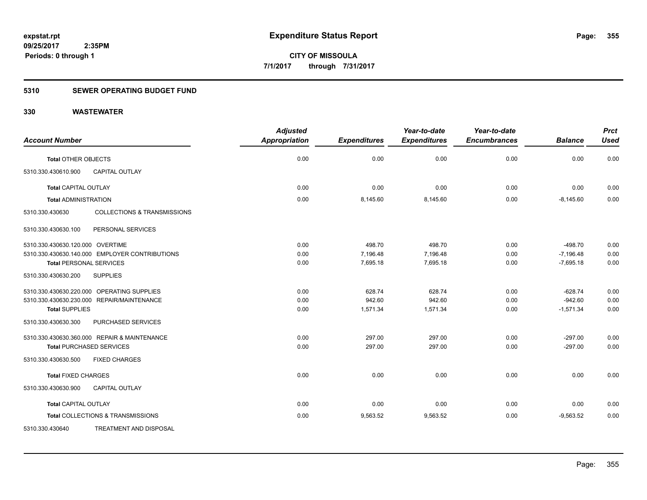## **5310 SEWER OPERATING BUDGET FUND**

|                                                           | <b>Adjusted</b>      |                     | Year-to-date        | Year-to-date        |                | <b>Prct</b> |
|-----------------------------------------------------------|----------------------|---------------------|---------------------|---------------------|----------------|-------------|
| <b>Account Number</b>                                     | <b>Appropriation</b> | <b>Expenditures</b> | <b>Expenditures</b> | <b>Encumbrances</b> | <b>Balance</b> | <b>Used</b> |
| <b>Total OTHER OBJECTS</b>                                | 0.00                 | 0.00                | 0.00                | 0.00                | 0.00           | 0.00        |
| 5310.330.430610.900<br><b>CAPITAL OUTLAY</b>              |                      |                     |                     |                     |                |             |
| <b>Total CAPITAL OUTLAY</b>                               | 0.00                 | 0.00                | 0.00                | 0.00                | 0.00           | 0.00        |
| <b>Total ADMINISTRATION</b>                               | 0.00                 | 8,145.60            | 8,145.60            | 0.00                | $-8,145.60$    | 0.00        |
| <b>COLLECTIONS &amp; TRANSMISSIONS</b><br>5310.330.430630 |                      |                     |                     |                     |                |             |
| 5310.330.430630.100<br>PERSONAL SERVICES                  |                      |                     |                     |                     |                |             |
| 5310.330.430630.120.000 OVERTIME                          | 0.00                 | 498.70              | 498.70              | 0.00                | $-498.70$      | 0.00        |
| 5310.330.430630.140.000 EMPLOYER CONTRIBUTIONS            | 0.00                 | 7,196.48            | 7,196.48            | 0.00                | $-7,196.48$    | 0.00        |
| <b>Total PERSONAL SERVICES</b>                            | 0.00                 | 7,695.18            | 7,695.18            | 0.00                | $-7,695.18$    | 0.00        |
| <b>SUPPLIES</b><br>5310.330.430630.200                    |                      |                     |                     |                     |                |             |
| 5310.330.430630.220.000 OPERATING SUPPLIES                | 0.00                 | 628.74              | 628.74              | 0.00                | $-628.74$      | 0.00        |
| 5310.330.430630.230.000 REPAIR/MAINTENANCE                | 0.00                 | 942.60              | 942.60              | 0.00                | $-942.60$      | 0.00        |
| <b>Total SUPPLIES</b>                                     | 0.00                 | 1,571.34            | 1,571.34            | 0.00                | $-1,571.34$    | 0.00        |
| 5310.330.430630.300<br>PURCHASED SERVICES                 |                      |                     |                     |                     |                |             |
| 5310.330.430630.360.000 REPAIR & MAINTENANCE              | 0.00                 | 297.00              | 297.00              | 0.00                | $-297.00$      | 0.00        |
| <b>Total PURCHASED SERVICES</b>                           | 0.00                 | 297.00              | 297.00              | 0.00                | $-297.00$      | 0.00        |
| 5310.330.430630.500<br><b>FIXED CHARGES</b>               |                      |                     |                     |                     |                |             |
| <b>Total FIXED CHARGES</b>                                | 0.00                 | 0.00                | 0.00                | 0.00                | 0.00           | 0.00        |
| 5310.330.430630.900<br><b>CAPITAL OUTLAY</b>              |                      |                     |                     |                     |                |             |
| <b>Total CAPITAL OUTLAY</b>                               | 0.00                 | 0.00                | 0.00                | 0.00                | 0.00           | 0.00        |
| Total COLLECTIONS & TRANSMISSIONS                         | 0.00                 | 9,563.52            | 9,563.52            | 0.00                | $-9,563.52$    | 0.00        |
| TREATMENT AND DISPOSAL<br>5310.330.430640                 |                      |                     |                     |                     |                |             |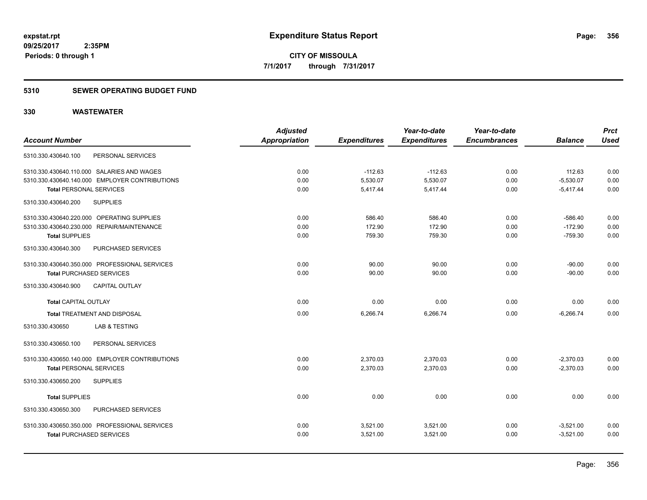## **5310 SEWER OPERATING BUDGET FUND**

|                                                | <b>Adjusted</b>      |                     | Year-to-date        | Year-to-date        |                | <b>Prct</b> |
|------------------------------------------------|----------------------|---------------------|---------------------|---------------------|----------------|-------------|
| <b>Account Number</b>                          | <b>Appropriation</b> | <b>Expenditures</b> | <b>Expenditures</b> | <b>Encumbrances</b> | <b>Balance</b> | <b>Used</b> |
| PERSONAL SERVICES<br>5310.330.430640.100       |                      |                     |                     |                     |                |             |
| 5310.330.430640.110.000 SALARIES AND WAGES     | 0.00                 | $-112.63$           | $-112.63$           | 0.00                | 112.63         | 0.00        |
| 5310.330.430640.140.000 EMPLOYER CONTRIBUTIONS | 0.00                 | 5,530.07            | 5,530.07            | 0.00                | $-5,530.07$    | 0.00        |
| <b>Total PERSONAL SERVICES</b>                 | 0.00                 | 5,417.44            | 5,417.44            | 0.00                | $-5,417.44$    | 0.00        |
| <b>SUPPLIES</b><br>5310.330.430640.200         |                      |                     |                     |                     |                |             |
| 5310.330.430640.220.000 OPERATING SUPPLIES     | 0.00                 | 586.40              | 586.40              | 0.00                | $-586.40$      | 0.00        |
| 5310.330.430640.230.000 REPAIR/MAINTENANCE     | 0.00                 | 172.90              | 172.90              | 0.00                | $-172.90$      | 0.00        |
| <b>Total SUPPLIES</b>                          | 0.00                 | 759.30              | 759.30              | 0.00                | $-759.30$      | 0.00        |
| 5310.330.430640.300<br>PURCHASED SERVICES      |                      |                     |                     |                     |                |             |
| 5310.330.430640.350.000 PROFESSIONAL SERVICES  | 0.00                 | 90.00               | 90.00               | 0.00                | $-90.00$       | 0.00        |
| <b>Total PURCHASED SERVICES</b>                | 0.00                 | 90.00               | 90.00               | 0.00                | $-90.00$       | 0.00        |
| CAPITAL OUTLAY<br>5310.330.430640.900          |                      |                     |                     |                     |                |             |
| <b>Total CAPITAL OUTLAY</b>                    | 0.00                 | 0.00                | 0.00                | 0.00                | 0.00           | 0.00        |
| <b>Total TREATMENT AND DISPOSAL</b>            | 0.00                 | 6,266.74            | 6,266.74            | 0.00                | $-6.266.74$    | 0.00        |
| <b>LAB &amp; TESTING</b><br>5310.330.430650    |                      |                     |                     |                     |                |             |
| 5310.330.430650.100<br>PERSONAL SERVICES       |                      |                     |                     |                     |                |             |
| 5310.330.430650.140.000 EMPLOYER CONTRIBUTIONS | 0.00                 | 2,370.03            | 2,370.03            | 0.00                | $-2,370.03$    | 0.00        |
| <b>Total PERSONAL SERVICES</b>                 | 0.00                 | 2,370.03            | 2,370.03            | 0.00                | $-2,370.03$    | 0.00        |
| <b>SUPPLIES</b><br>5310.330.430650.200         |                      |                     |                     |                     |                |             |
| <b>Total SUPPLIES</b>                          | 0.00                 | 0.00                | 0.00                | 0.00                | 0.00           | 0.00        |
| 5310.330.430650.300<br>PURCHASED SERVICES      |                      |                     |                     |                     |                |             |
| 5310.330.430650.350.000 PROFESSIONAL SERVICES  | 0.00                 | 3,521.00            | 3,521.00            | 0.00                | $-3,521.00$    | 0.00        |
| <b>Total PURCHASED SERVICES</b>                | 0.00                 | 3,521.00            | 3,521.00            | 0.00                | $-3,521.00$    | 0.00        |
|                                                |                      |                     |                     |                     |                |             |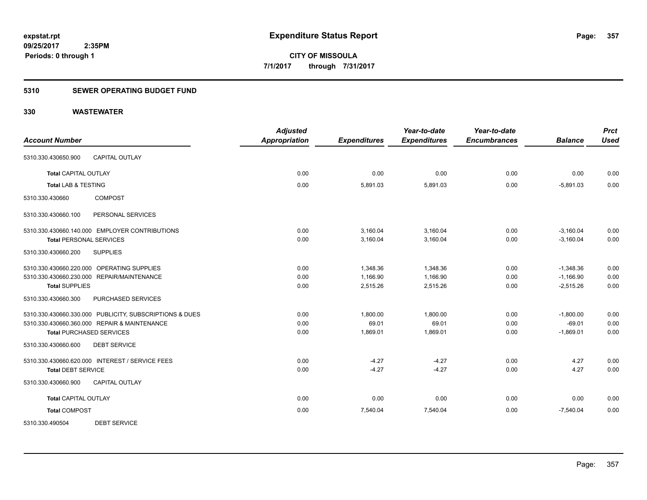## **5310 SEWER OPERATING BUDGET FUND**

| <b>Account Number</b>                                   | <b>Adjusted</b><br><b>Appropriation</b> | <b>Expenditures</b> | Year-to-date<br><b>Expenditures</b> | Year-to-date<br><b>Encumbrances</b> | <b>Balance</b> | <b>Prct</b><br><b>Used</b> |
|---------------------------------------------------------|-----------------------------------------|---------------------|-------------------------------------|-------------------------------------|----------------|----------------------------|
| <b>CAPITAL OUTLAY</b><br>5310.330.430650.900            |                                         |                     |                                     |                                     |                |                            |
| <b>Total CAPITAL OUTLAY</b>                             | 0.00                                    | 0.00                | 0.00                                | 0.00                                | 0.00           | 0.00                       |
| <b>Total LAB &amp; TESTING</b>                          | 0.00                                    | 5,891.03            | 5,891.03                            | 0.00                                | $-5,891.03$    | 0.00                       |
| <b>COMPOST</b><br>5310.330.430660                       |                                         |                     |                                     |                                     |                |                            |
| 5310.330.430660.100<br>PERSONAL SERVICES                |                                         |                     |                                     |                                     |                |                            |
| 5310.330.430660.140.000 EMPLOYER CONTRIBUTIONS          | 0.00                                    | 3,160.04            | 3,160.04                            | 0.00                                | $-3,160.04$    | 0.00                       |
| <b>Total PERSONAL SERVICES</b>                          | 0.00                                    | 3,160.04            | 3,160.04                            | 0.00                                | $-3,160.04$    | 0.00                       |
| <b>SUPPLIES</b><br>5310.330.430660.200                  |                                         |                     |                                     |                                     |                |                            |
| 5310.330.430660.220.000 OPERATING SUPPLIES              | 0.00                                    | 1,348.36            | 1,348.36                            | 0.00                                | $-1,348.36$    | 0.00                       |
| 5310.330.430660.230.000 REPAIR/MAINTENANCE              | 0.00                                    | 1,166.90            | 1,166.90                            | 0.00                                | $-1,166.90$    | 0.00                       |
| <b>Total SUPPLIES</b>                                   | 0.00                                    | 2,515.26            | 2,515.26                            | 0.00                                | $-2,515.26$    | 0.00                       |
| PURCHASED SERVICES<br>5310.330.430660.300               |                                         |                     |                                     |                                     |                |                            |
| 5310.330.430660.330.000 PUBLICITY, SUBSCRIPTIONS & DUES | 0.00                                    | 1,800.00            | 1.800.00                            | 0.00                                | $-1,800.00$    | 0.00                       |
| 5310.330.430660.360.000 REPAIR & MAINTENANCE            | 0.00                                    | 69.01               | 69.01                               | 0.00                                | $-69.01$       | 0.00                       |
| <b>Total PURCHASED SERVICES</b>                         | 0.00                                    | 1,869.01            | 1,869.01                            | 0.00                                | $-1,869.01$    | 0.00                       |
| 5310.330.430660.600<br><b>DEBT SERVICE</b>              |                                         |                     |                                     |                                     |                |                            |
| 5310.330.430660.620.000 INTEREST / SERVICE FEES         | 0.00                                    | $-4.27$             | $-4.27$                             | 0.00                                | 4.27           | 0.00                       |
| <b>Total DEBT SERVICE</b>                               | 0.00                                    | $-4.27$             | $-4.27$                             | 0.00                                | 4.27           | 0.00                       |
| 5310.330.430660.900<br>CAPITAL OUTLAY                   |                                         |                     |                                     |                                     |                |                            |
| <b>Total CAPITAL OUTLAY</b>                             | 0.00                                    | 0.00                | 0.00                                | 0.00                                | 0.00           | 0.00                       |
| <b>Total COMPOST</b>                                    | 0.00                                    | 7,540.04            | 7,540.04                            | 0.00                                | $-7,540.04$    | 0.00                       |
| 5310.330.490504<br><b>DEBT SERVICE</b>                  |                                         |                     |                                     |                                     |                |                            |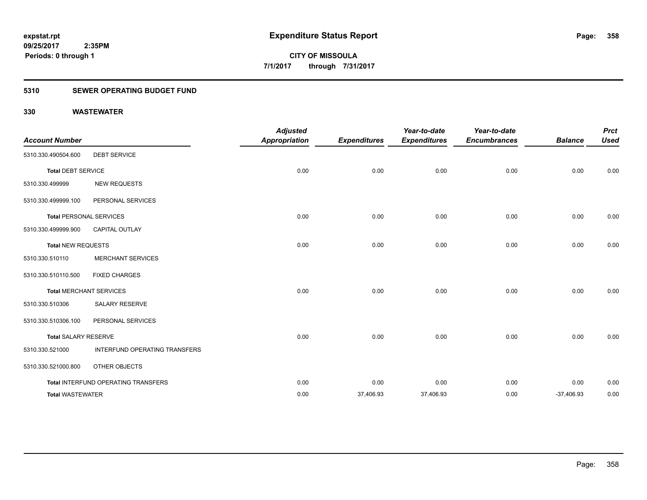## **5310 SEWER OPERATING BUDGET FUND**

| <b>Account Number</b>          |                                     | <b>Adjusted</b><br><b>Appropriation</b> | <b>Expenditures</b> | Year-to-date<br><b>Expenditures</b> | Year-to-date<br><b>Encumbrances</b> | <b>Balance</b> | <b>Prct</b><br><b>Used</b> |
|--------------------------------|-------------------------------------|-----------------------------------------|---------------------|-------------------------------------|-------------------------------------|----------------|----------------------------|
| 5310.330.490504.600            | <b>DEBT SERVICE</b>                 |                                         |                     |                                     |                                     |                |                            |
| <b>Total DEBT SERVICE</b>      |                                     | 0.00                                    | 0.00                | 0.00                                | 0.00                                | 0.00           | 0.00                       |
| 5310.330.499999                | <b>NEW REQUESTS</b>                 |                                         |                     |                                     |                                     |                |                            |
| 5310.330.499999.100            | PERSONAL SERVICES                   |                                         |                     |                                     |                                     |                |                            |
| <b>Total PERSONAL SERVICES</b> |                                     | 0.00                                    | 0.00                | 0.00                                | 0.00                                | 0.00           | 0.00                       |
| 5310.330.499999.900            | <b>CAPITAL OUTLAY</b>               |                                         |                     |                                     |                                     |                |                            |
| <b>Total NEW REQUESTS</b>      |                                     | 0.00                                    | 0.00                | 0.00                                | 0.00                                | 0.00           | 0.00                       |
| 5310.330.510110                | <b>MERCHANT SERVICES</b>            |                                         |                     |                                     |                                     |                |                            |
| 5310.330.510110.500            | <b>FIXED CHARGES</b>                |                                         |                     |                                     |                                     |                |                            |
|                                | <b>Total MERCHANT SERVICES</b>      | 0.00                                    | 0.00                | 0.00                                | 0.00                                | 0.00           | 0.00                       |
| 5310.330.510306                | <b>SALARY RESERVE</b>               |                                         |                     |                                     |                                     |                |                            |
| 5310.330.510306.100            | PERSONAL SERVICES                   |                                         |                     |                                     |                                     |                |                            |
| <b>Total SALARY RESERVE</b>    |                                     | 0.00                                    | 0.00                | 0.00                                | 0.00                                | 0.00           | 0.00                       |
| 5310.330.521000                | INTERFUND OPERATING TRANSFERS       |                                         |                     |                                     |                                     |                |                            |
| 5310.330.521000.800            | OTHER OBJECTS                       |                                         |                     |                                     |                                     |                |                            |
|                                | Total INTERFUND OPERATING TRANSFERS | 0.00                                    | 0.00                | 0.00                                | 0.00                                | 0.00           | 0.00                       |
| <b>Total WASTEWATER</b>        |                                     | 0.00                                    | 37,406.93           | 37,406.93                           | 0.00                                | $-37,406.93$   | 0.00                       |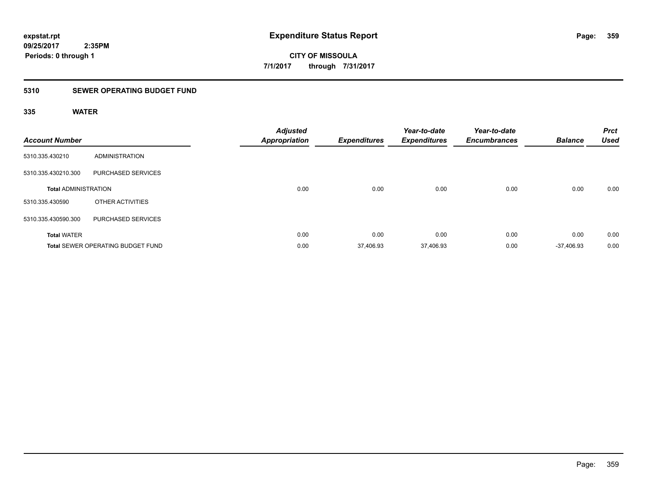**CITY OF MISSOULA 7/1/2017 through 7/31/2017**

## **5310 SEWER OPERATING BUDGET FUND**

| <b>Account Number</b>       |                                          | <b>Adjusted</b><br><b>Appropriation</b> | <b>Expenditures</b> | Year-to-date<br><b>Expenditures</b> | Year-to-date<br><b>Encumbrances</b> | <b>Balance</b> | <b>Prct</b><br><b>Used</b> |
|-----------------------------|------------------------------------------|-----------------------------------------|---------------------|-------------------------------------|-------------------------------------|----------------|----------------------------|
| 5310.335.430210             | ADMINISTRATION                           |                                         |                     |                                     |                                     |                |                            |
| 5310.335.430210.300         | PURCHASED SERVICES                       |                                         |                     |                                     |                                     |                |                            |
| <b>Total ADMINISTRATION</b> |                                          | 0.00                                    | 0.00                | 0.00                                | 0.00                                | 0.00           | 0.00                       |
| 5310.335.430590             | OTHER ACTIVITIES                         |                                         |                     |                                     |                                     |                |                            |
| 5310.335.430590.300         | <b>PURCHASED SERVICES</b>                |                                         |                     |                                     |                                     |                |                            |
| <b>Total WATER</b>          |                                          | 0.00                                    | 0.00                | 0.00                                | 0.00                                | 0.00           | 0.00                       |
|                             | <b>Total SEWER OPERATING BUDGET FUND</b> | 0.00                                    | 37,406.93           | 37,406.93                           | 0.00                                | $-37.406.93$   | 0.00                       |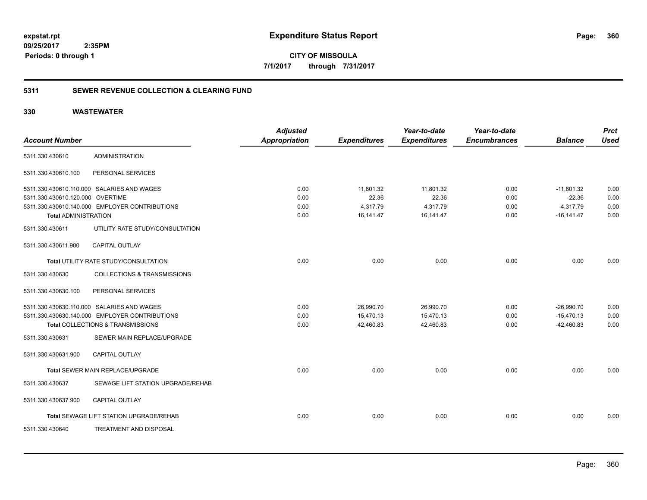**360**

**09/25/2017 2:35PM Periods: 0 through 1**

**CITY OF MISSOULA 7/1/2017 through 7/31/2017**

## **5311 SEWER REVENUE COLLECTION & CLEARING FUND**

|                                  |                                                | <b>Adjusted</b>      |                     | Year-to-date        | Year-to-date        |                | <b>Prct</b> |
|----------------------------------|------------------------------------------------|----------------------|---------------------|---------------------|---------------------|----------------|-------------|
| <b>Account Number</b>            |                                                | <b>Appropriation</b> | <b>Expenditures</b> | <b>Expenditures</b> | <b>Encumbrances</b> | <b>Balance</b> | <b>Used</b> |
| 5311.330.430610                  | <b>ADMINISTRATION</b>                          |                      |                     |                     |                     |                |             |
| 5311.330.430610.100              | PERSONAL SERVICES                              |                      |                     |                     |                     |                |             |
|                                  | 5311.330.430610.110.000 SALARIES AND WAGES     | 0.00                 | 11,801.32           | 11,801.32           | 0.00                | $-11,801.32$   | 0.00        |
| 5311.330.430610.120.000 OVERTIME |                                                | 0.00                 | 22.36               | 22.36               | 0.00                | $-22.36$       | 0.00        |
|                                  | 5311.330.430610.140.000 EMPLOYER CONTRIBUTIONS | 0.00                 | 4,317.79            | 4,317.79            | 0.00                | $-4,317.79$    | 0.00        |
| <b>Total ADMINISTRATION</b>      |                                                | 0.00                 | 16,141.47           | 16,141.47           | 0.00                | $-16, 141.47$  | 0.00        |
| 5311.330.430611                  | UTILITY RATE STUDY/CONSULTATION                |                      |                     |                     |                     |                |             |
| 5311.330.430611.900              | <b>CAPITAL OUTLAY</b>                          |                      |                     |                     |                     |                |             |
|                                  | Total UTILITY RATE STUDY/CONSULTATION          | 0.00                 | 0.00                | 0.00                | 0.00                | 0.00           | 0.00        |
| 5311.330.430630                  | <b>COLLECTIONS &amp; TRANSMISSIONS</b>         |                      |                     |                     |                     |                |             |
| 5311.330.430630.100              | PERSONAL SERVICES                              |                      |                     |                     |                     |                |             |
|                                  | 5311.330.430630.110.000 SALARIES AND WAGES     | 0.00                 | 26,990.70           | 26,990.70           | 0.00                | $-26,990.70$   | 0.00        |
|                                  | 5311.330.430630.140.000 EMPLOYER CONTRIBUTIONS | 0.00                 | 15.470.13           | 15,470.13           | 0.00                | $-15,470.13$   | 0.00        |
|                                  | Total COLLECTIONS & TRANSMISSIONS              | 0.00                 | 42,460.83           | 42,460.83           | 0.00                | $-42.460.83$   | 0.00        |
| 5311.330.430631                  | SEWER MAIN REPLACE/UPGRADE                     |                      |                     |                     |                     |                |             |
| 5311.330.430631.900              | <b>CAPITAL OUTLAY</b>                          |                      |                     |                     |                     |                |             |
|                                  | <b>Total SEWER MAIN REPLACE/UPGRADE</b>        | 0.00                 | 0.00                | 0.00                | 0.00                | 0.00           | 0.00        |
| 5311.330.430637                  | SEWAGE LIFT STATION UPGRADE/REHAB              |                      |                     |                     |                     |                |             |
| 5311.330.430637.900              | <b>CAPITAL OUTLAY</b>                          |                      |                     |                     |                     |                |             |
|                                  | Total SEWAGE LIFT STATION UPGRADE/REHAB        | 0.00                 | 0.00                | 0.00                | 0.00                | 0.00           | 0.00        |
| 5311.330.430640                  | TREATMENT AND DISPOSAL                         |                      |                     |                     |                     |                |             |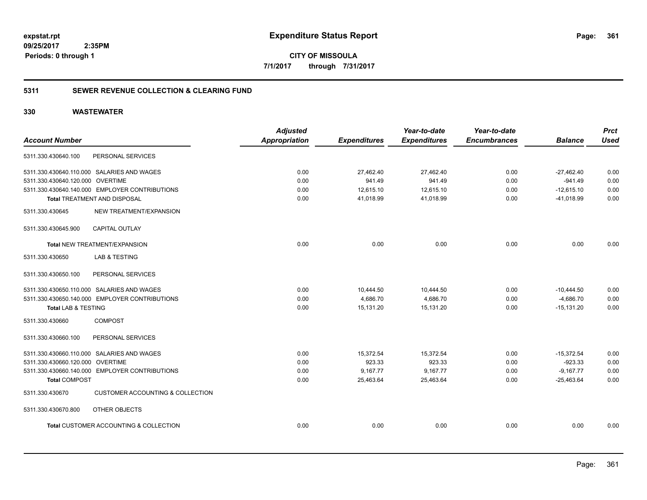**361**

**CITY OF MISSOULA 7/1/2017 through 7/31/2017**

### **5311 SEWER REVENUE COLLECTION & CLEARING FUND**

|                                  |                                                | <b>Adjusted</b>      |                     | Year-to-date        | Year-to-date        |                | <b>Prct</b> |
|----------------------------------|------------------------------------------------|----------------------|---------------------|---------------------|---------------------|----------------|-------------|
| <b>Account Number</b>            |                                                | <b>Appropriation</b> | <b>Expenditures</b> | <b>Expenditures</b> | <b>Encumbrances</b> | <b>Balance</b> | <b>Used</b> |
| 5311.330.430640.100              | PERSONAL SERVICES                              |                      |                     |                     |                     |                |             |
|                                  | 5311.330.430640.110.000 SALARIES AND WAGES     | 0.00                 | 27,462.40           | 27,462.40           | 0.00                | $-27,462.40$   | 0.00        |
| 5311.330.430640.120.000 OVERTIME |                                                | 0.00                 | 941.49              | 941.49              | 0.00                | $-941.49$      | 0.00        |
|                                  | 5311.330.430640.140.000 EMPLOYER CONTRIBUTIONS | 0.00                 | 12,615.10           | 12,615.10           | 0.00                | $-12,615.10$   | 0.00        |
|                                  | <b>Total TREATMENT AND DISPOSAL</b>            | 0.00                 | 41,018.99           | 41,018.99           | 0.00                | $-41,018.99$   | 0.00        |
| 5311.330.430645                  | NEW TREATMENT/EXPANSION                        |                      |                     |                     |                     |                |             |
| 5311.330.430645.900              | CAPITAL OUTLAY                                 |                      |                     |                     |                     |                |             |
|                                  | <b>Total NEW TREATMENT/EXPANSION</b>           | 0.00                 | 0.00                | 0.00                | 0.00                | 0.00           | 0.00        |
| 5311.330.430650                  | <b>LAB &amp; TESTING</b>                       |                      |                     |                     |                     |                |             |
| 5311.330.430650.100              | PERSONAL SERVICES                              |                      |                     |                     |                     |                |             |
|                                  | 5311.330.430650.110.000 SALARIES AND WAGES     | 0.00                 | 10,444.50           | 10,444.50           | 0.00                | $-10,444.50$   | 0.00        |
|                                  | 5311.330.430650.140.000 EMPLOYER CONTRIBUTIONS | 0.00                 | 4,686.70            | 4,686.70            | 0.00                | $-4,686.70$    | 0.00        |
| <b>Total LAB &amp; TESTING</b>   |                                                | 0.00                 | 15,131.20           | 15,131.20           | 0.00                | $-15, 131.20$  | 0.00        |
| 5311.330.430660                  | <b>COMPOST</b>                                 |                      |                     |                     |                     |                |             |
| 5311.330.430660.100              | PERSONAL SERVICES                              |                      |                     |                     |                     |                |             |
|                                  | 5311.330.430660.110.000 SALARIES AND WAGES     | 0.00                 | 15,372.54           | 15,372.54           | 0.00                | $-15,372.54$   | 0.00        |
| 5311.330.430660.120.000 OVERTIME |                                                | 0.00                 | 923.33              | 923.33              | 0.00                | $-923.33$      | 0.00        |
|                                  | 5311.330.430660.140.000 EMPLOYER CONTRIBUTIONS | 0.00                 | 9,167.77            | 9,167.77            | 0.00                | $-9,167.77$    | 0.00        |
| <b>Total COMPOST</b>             |                                                | 0.00                 | 25,463.64           | 25,463.64           | 0.00                | $-25,463.64$   | 0.00        |
| 5311.330.430670                  | <b>CUSTOMER ACCOUNTING &amp; COLLECTION</b>    |                      |                     |                     |                     |                |             |
| 5311.330.430670.800              | OTHER OBJECTS                                  |                      |                     |                     |                     |                |             |
|                                  | Total CUSTOMER ACCOUNTING & COLLECTION         | 0.00                 | 0.00                | 0.00                | 0.00                | 0.00           | 0.00        |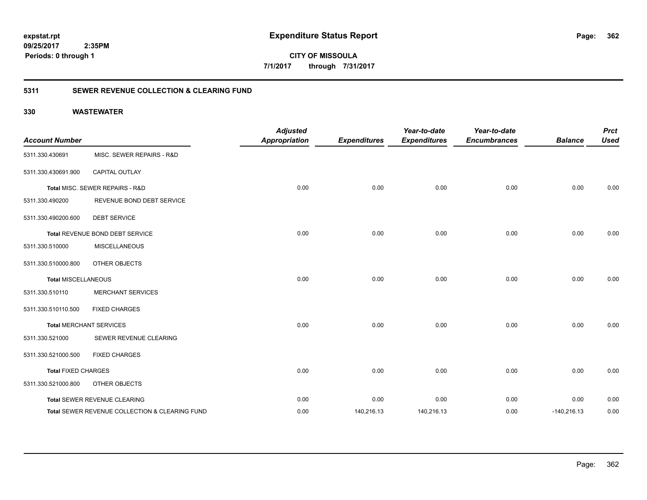**09/25/2017 2:35PM**

**Periods: 0 through 1**

**362**

**CITY OF MISSOULA 7/1/2017 through 7/31/2017**

### **5311 SEWER REVENUE COLLECTION & CLEARING FUND**

| <b>Account Number</b>      |                                                | <b>Adjusted</b><br><b>Appropriation</b> | <b>Expenditures</b> | Year-to-date<br><b>Expenditures</b> | Year-to-date<br><b>Encumbrances</b> | <b>Balance</b> | <b>Prct</b><br><b>Used</b> |
|----------------------------|------------------------------------------------|-----------------------------------------|---------------------|-------------------------------------|-------------------------------------|----------------|----------------------------|
|                            |                                                |                                         |                     |                                     |                                     |                |                            |
| 5311.330.430691            | MISC. SEWER REPAIRS - R&D                      |                                         |                     |                                     |                                     |                |                            |
| 5311.330.430691.900        | CAPITAL OUTLAY                                 |                                         |                     |                                     |                                     |                |                            |
|                            | Total MISC. SEWER REPAIRS - R&D                | 0.00                                    | 0.00                | 0.00                                | 0.00                                | 0.00           | 0.00                       |
| 5311.330.490200            | REVENUE BOND DEBT SERVICE                      |                                         |                     |                                     |                                     |                |                            |
| 5311.330.490200.600        | <b>DEBT SERVICE</b>                            |                                         |                     |                                     |                                     |                |                            |
|                            | Total REVENUE BOND DEBT SERVICE                | 0.00                                    | 0.00                | 0.00                                | 0.00                                | 0.00           | 0.00                       |
| 5311.330.510000            | <b>MISCELLANEOUS</b>                           |                                         |                     |                                     |                                     |                |                            |
| 5311.330.510000.800        | <b>OTHER OBJECTS</b>                           |                                         |                     |                                     |                                     |                |                            |
| Total MISCELLANEOUS        |                                                | 0.00                                    | 0.00                | 0.00                                | 0.00                                | 0.00           | 0.00                       |
| 5311.330.510110            | <b>MERCHANT SERVICES</b>                       |                                         |                     |                                     |                                     |                |                            |
| 5311.330.510110.500        | <b>FIXED CHARGES</b>                           |                                         |                     |                                     |                                     |                |                            |
|                            | <b>Total MERCHANT SERVICES</b>                 | 0.00                                    | 0.00                | 0.00                                | 0.00                                | 0.00           | 0.00                       |
| 5311.330.521000            | SEWER REVENUE CLEARING                         |                                         |                     |                                     |                                     |                |                            |
| 5311.330.521000.500        | <b>FIXED CHARGES</b>                           |                                         |                     |                                     |                                     |                |                            |
| <b>Total FIXED CHARGES</b> |                                                | 0.00                                    | 0.00                | 0.00                                | 0.00                                | 0.00           | 0.00                       |
| 5311.330.521000.800        | OTHER OBJECTS                                  |                                         |                     |                                     |                                     |                |                            |
|                            | Total SEWER REVENUE CLEARING                   | 0.00                                    | 0.00                | 0.00                                | 0.00                                | 0.00           | 0.00                       |
|                            | Total SEWER REVENUE COLLECTION & CLEARING FUND | 0.00                                    | 140,216.13          | 140,216.13                          | 0.00                                | $-140,216.13$  | 0.00                       |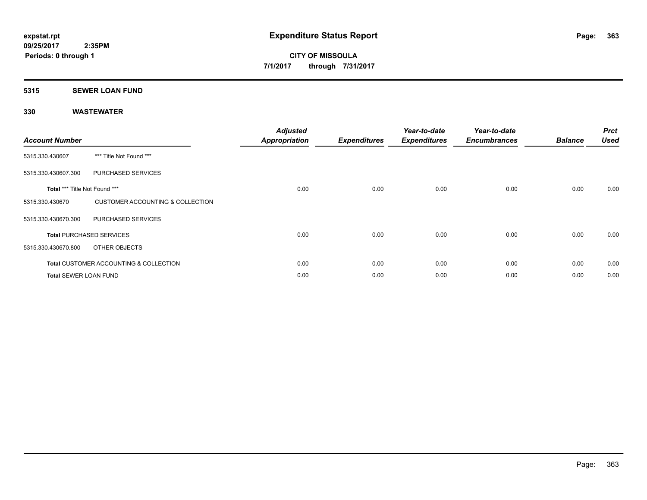### **5315 SEWER LOAN FUND**

| <b>Account Number</b>         |                                                   | <b>Adjusted</b><br><b>Appropriation</b> | <b>Expenditures</b> | Year-to-date<br><b>Expenditures</b> | Year-to-date<br><b>Encumbrances</b> | <b>Balance</b> | <b>Prct</b><br><b>Used</b> |
|-------------------------------|---------------------------------------------------|-----------------------------------------|---------------------|-------------------------------------|-------------------------------------|----------------|----------------------------|
| 5315.330.430607               | *** Title Not Found ***                           |                                         |                     |                                     |                                     |                |                            |
| 5315.330.430607.300           | PURCHASED SERVICES                                |                                         |                     |                                     |                                     |                |                            |
| Total *** Title Not Found *** |                                                   | 0.00                                    | 0.00                | 0.00                                | 0.00                                | 0.00           | 0.00                       |
| 5315.330.430670               | <b>CUSTOMER ACCOUNTING &amp; COLLECTION</b>       |                                         |                     |                                     |                                     |                |                            |
| 5315.330.430670.300           | PURCHASED SERVICES                                |                                         |                     |                                     |                                     |                |                            |
|                               | <b>Total PURCHASED SERVICES</b>                   | 0.00                                    | 0.00                | 0.00                                | 0.00                                | 0.00           | 0.00                       |
| 5315.330.430670.800           | OTHER OBJECTS                                     |                                         |                     |                                     |                                     |                |                            |
|                               | <b>Total CUSTOMER ACCOUNTING &amp; COLLECTION</b> | 0.00                                    | 0.00                | 0.00                                | 0.00                                | 0.00           | 0.00                       |
| <b>Total SEWER LOAN FUND</b>  |                                                   | 0.00                                    | 0.00                | 0.00                                | 0.00                                | 0.00           | 0.00                       |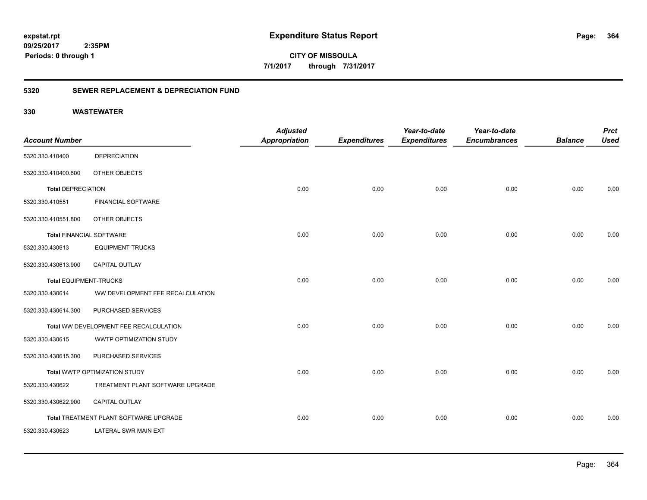**364**

**09/25/2017 2:35PM Periods: 0 through 1**

**CITY OF MISSOULA 7/1/2017 through 7/31/2017**

### **5320 SEWER REPLACEMENT & DEPRECIATION FUND**

|                                 |                                        | <b>Adjusted</b>      |                     | Year-to-date        | Year-to-date        |                | <b>Prct</b> |
|---------------------------------|----------------------------------------|----------------------|---------------------|---------------------|---------------------|----------------|-------------|
| <b>Account Number</b>           |                                        | <b>Appropriation</b> | <b>Expenditures</b> | <b>Expenditures</b> | <b>Encumbrances</b> | <b>Balance</b> | <b>Used</b> |
| 5320.330.410400                 | <b>DEPRECIATION</b>                    |                      |                     |                     |                     |                |             |
| 5320.330.410400.800             | OTHER OBJECTS                          |                      |                     |                     |                     |                |             |
| <b>Total DEPRECIATION</b>       |                                        | 0.00                 | 0.00                | 0.00                | 0.00                | 0.00           | 0.00        |
| 5320.330.410551                 | <b>FINANCIAL SOFTWARE</b>              |                      |                     |                     |                     |                |             |
| 5320.330.410551.800             | OTHER OBJECTS                          |                      |                     |                     |                     |                |             |
| <b>Total FINANCIAL SOFTWARE</b> |                                        | 0.00                 | 0.00                | 0.00                | 0.00                | 0.00           | 0.00        |
| 5320.330.430613                 | <b>EQUIPMENT-TRUCKS</b>                |                      |                     |                     |                     |                |             |
| 5320.330.430613.900             | <b>CAPITAL OUTLAY</b>                  |                      |                     |                     |                     |                |             |
| <b>Total EQUIPMENT-TRUCKS</b>   |                                        | 0.00                 | 0.00                | 0.00                | 0.00                | 0.00           | 0.00        |
| 5320.330.430614                 | WW DEVELOPMENT FEE RECALCULATION       |                      |                     |                     |                     |                |             |
| 5320.330.430614.300             | PURCHASED SERVICES                     |                      |                     |                     |                     |                |             |
|                                 | Total WW DEVELOPMENT FEE RECALCULATION | 0.00                 | 0.00                | 0.00                | 0.00                | 0.00           | 0.00        |
| 5320.330.430615                 | WWTP OPTIMIZATION STUDY                |                      |                     |                     |                     |                |             |
| 5320.330.430615.300             | PURCHASED SERVICES                     |                      |                     |                     |                     |                |             |
|                                 | Total WWTP OPTIMIZATION STUDY          | 0.00                 | 0.00                | 0.00                | 0.00                | 0.00           | 0.00        |
| 5320.330.430622                 | TREATMENT PLANT SOFTWARE UPGRADE       |                      |                     |                     |                     |                |             |
| 5320.330.430622.900             | <b>CAPITAL OUTLAY</b>                  |                      |                     |                     |                     |                |             |
|                                 | Total TREATMENT PLANT SOFTWARE UPGRADE | 0.00                 | 0.00                | 0.00                | 0.00                | 0.00           | 0.00        |
| 5320.330.430623                 | LATERAL SWR MAIN EXT                   |                      |                     |                     |                     |                |             |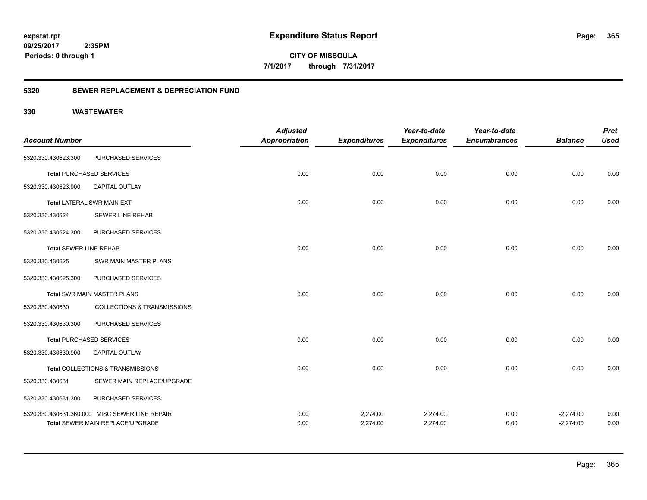**CITY OF MISSOULA 7/1/2017 through 7/31/2017**

### **5320 SEWER REPLACEMENT & DEPRECIATION FUND**

| <b>Account Number</b>         |                                                                                           | <b>Adjusted</b><br><b>Appropriation</b> | <b>Expenditures</b>  | Year-to-date<br><b>Expenditures</b> | Year-to-date<br><b>Encumbrances</b> | <b>Balance</b>             | <b>Prct</b><br><b>Used</b> |
|-------------------------------|-------------------------------------------------------------------------------------------|-----------------------------------------|----------------------|-------------------------------------|-------------------------------------|----------------------------|----------------------------|
| 5320.330.430623.300           | PURCHASED SERVICES                                                                        |                                         |                      |                                     |                                     |                            |                            |
|                               | <b>Total PURCHASED SERVICES</b>                                                           | 0.00                                    | 0.00                 | 0.00                                | 0.00                                | 0.00                       | 0.00                       |
| 5320.330.430623.900           | <b>CAPITAL OUTLAY</b>                                                                     |                                         |                      |                                     |                                     |                            |                            |
|                               | <b>Total LATERAL SWR MAIN EXT</b>                                                         | 0.00                                    | 0.00                 | 0.00                                | 0.00                                | 0.00                       | 0.00                       |
| 5320.330.430624               | <b>SEWER LINE REHAB</b>                                                                   |                                         |                      |                                     |                                     |                            |                            |
| 5320.330.430624.300           | PURCHASED SERVICES                                                                        |                                         |                      |                                     |                                     |                            |                            |
| <b>Total SEWER LINE REHAB</b> |                                                                                           | 0.00                                    | 0.00                 | 0.00                                | 0.00                                | 0.00                       | 0.00                       |
| 5320.330.430625               | SWR MAIN MASTER PLANS                                                                     |                                         |                      |                                     |                                     |                            |                            |
| 5320.330.430625.300           | PURCHASED SERVICES                                                                        |                                         |                      |                                     |                                     |                            |                            |
|                               | <b>Total SWR MAIN MASTER PLANS</b>                                                        | 0.00                                    | 0.00                 | 0.00                                | 0.00                                | 0.00                       | 0.00                       |
| 5320.330.430630               | <b>COLLECTIONS &amp; TRANSMISSIONS</b>                                                    |                                         |                      |                                     |                                     |                            |                            |
| 5320.330.430630.300           | PURCHASED SERVICES                                                                        |                                         |                      |                                     |                                     |                            |                            |
|                               | <b>Total PURCHASED SERVICES</b>                                                           | 0.00                                    | 0.00                 | 0.00                                | 0.00                                | 0.00                       | 0.00                       |
| 5320.330.430630.900           | <b>CAPITAL OUTLAY</b>                                                                     |                                         |                      |                                     |                                     |                            |                            |
|                               | Total COLLECTIONS & TRANSMISSIONS                                                         | 0.00                                    | 0.00                 | 0.00                                | 0.00                                | 0.00                       | 0.00                       |
| 5320.330.430631               | SEWER MAIN REPLACE/UPGRADE                                                                |                                         |                      |                                     |                                     |                            |                            |
| 5320.330.430631.300           | PURCHASED SERVICES                                                                        |                                         |                      |                                     |                                     |                            |                            |
|                               | 5320.330.430631.360.000 MISC SEWER LINE REPAIR<br><b>Total SEWER MAIN REPLACE/UPGRADE</b> | 0.00<br>0.00                            | 2,274.00<br>2,274.00 | 2,274.00<br>2,274.00                | 0.00<br>0.00                        | $-2,274.00$<br>$-2,274.00$ | 0.00<br>0.00               |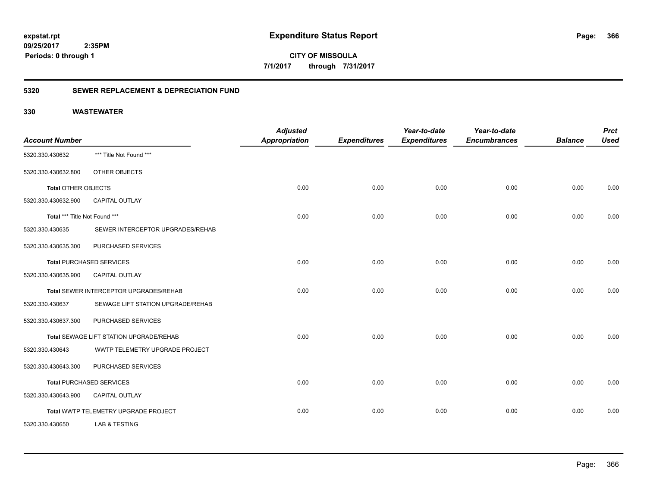**CITY OF MISSOULA 7/1/2017 through 7/31/2017**

### **5320 SEWER REPLACEMENT & DEPRECIATION FUND**

| <b>Account Number</b>         |                                         | <b>Adjusted</b><br><b>Appropriation</b> | <b>Expenditures</b> | Year-to-date<br><b>Expenditures</b> | Year-to-date<br><b>Encumbrances</b> | <b>Balance</b> | <b>Prct</b><br><b>Used</b> |
|-------------------------------|-----------------------------------------|-----------------------------------------|---------------------|-------------------------------------|-------------------------------------|----------------|----------------------------|
| 5320.330.430632               | *** Title Not Found ***                 |                                         |                     |                                     |                                     |                |                            |
| 5320.330.430632.800           | OTHER OBJECTS                           |                                         |                     |                                     |                                     |                |                            |
| <b>Total OTHER OBJECTS</b>    |                                         | 0.00                                    | 0.00                | 0.00                                | 0.00                                | 0.00           | 0.00                       |
| 5320.330.430632.900           | CAPITAL OUTLAY                          |                                         |                     |                                     |                                     |                |                            |
| Total *** Title Not Found *** |                                         | 0.00                                    | 0.00                | 0.00                                | 0.00                                | 0.00           | 0.00                       |
| 5320.330.430635               | SEWER INTERCEPTOR UPGRADES/REHAB        |                                         |                     |                                     |                                     |                |                            |
| 5320.330.430635.300           | PURCHASED SERVICES                      |                                         |                     |                                     |                                     |                |                            |
|                               | <b>Total PURCHASED SERVICES</b>         | 0.00                                    | 0.00                | 0.00                                | 0.00                                | 0.00           | 0.00                       |
| 5320.330.430635.900           | <b>CAPITAL OUTLAY</b>                   |                                         |                     |                                     |                                     |                |                            |
|                               | Total SEWER INTERCEPTOR UPGRADES/REHAB  | 0.00                                    | 0.00                | 0.00                                | 0.00                                | 0.00           | 0.00                       |
| 5320.330.430637               | SEWAGE LIFT STATION UPGRADE/REHAB       |                                         |                     |                                     |                                     |                |                            |
| 5320.330.430637.300           | PURCHASED SERVICES                      |                                         |                     |                                     |                                     |                |                            |
|                               | Total SEWAGE LIFT STATION UPGRADE/REHAB | 0.00                                    | 0.00                | 0.00                                | 0.00                                | 0.00           | 0.00                       |
| 5320.330.430643               | WWTP TELEMETRY UPGRADE PROJECT          |                                         |                     |                                     |                                     |                |                            |
| 5320.330.430643.300           | PURCHASED SERVICES                      |                                         |                     |                                     |                                     |                |                            |
|                               | <b>Total PURCHASED SERVICES</b>         | 0.00                                    | 0.00                | 0.00                                | 0.00                                | 0.00           | 0.00                       |
| 5320.330.430643.900           | <b>CAPITAL OUTLAY</b>                   |                                         |                     |                                     |                                     |                |                            |
|                               | Total WWTP TELEMETRY UPGRADE PROJECT    | 0.00                                    | 0.00                | 0.00                                | 0.00                                | 0.00           | 0.00                       |
| 5320.330.430650               | <b>LAB &amp; TESTING</b>                |                                         |                     |                                     |                                     |                |                            |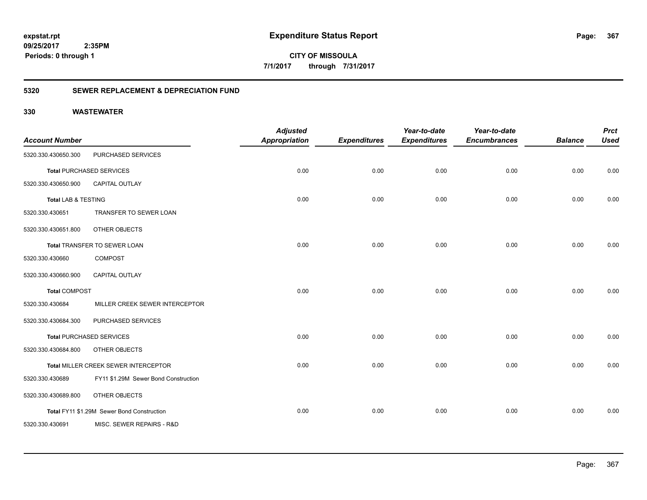**CITY OF MISSOULA 7/1/2017 through 7/31/2017**

### **5320 SEWER REPLACEMENT & DEPRECIATION FUND**

| <b>Account Number</b> |                                            | <b>Adjusted</b><br><b>Appropriation</b> | <b>Expenditures</b> | Year-to-date<br><b>Expenditures</b> | Year-to-date<br><b>Encumbrances</b> | <b>Balance</b> | <b>Prct</b><br><b>Used</b> |
|-----------------------|--------------------------------------------|-----------------------------------------|---------------------|-------------------------------------|-------------------------------------|----------------|----------------------------|
| 5320.330.430650.300   | PURCHASED SERVICES                         |                                         |                     |                                     |                                     |                |                            |
|                       | <b>Total PURCHASED SERVICES</b>            | 0.00                                    | 0.00                | 0.00                                | 0.00                                | 0.00           | 0.00                       |
| 5320.330.430650.900   | <b>CAPITAL OUTLAY</b>                      |                                         |                     |                                     |                                     |                |                            |
| Total LAB & TESTING   |                                            | 0.00                                    | 0.00                | 0.00                                | 0.00                                | 0.00           | 0.00                       |
| 5320.330.430651       | TRANSFER TO SEWER LOAN                     |                                         |                     |                                     |                                     |                |                            |
| 5320.330.430651.800   | OTHER OBJECTS                              |                                         |                     |                                     |                                     |                |                            |
|                       | Total TRANSFER TO SEWER LOAN               | 0.00                                    | 0.00                | 0.00                                | 0.00                                | 0.00           | 0.00                       |
| 5320.330.430660       | <b>COMPOST</b>                             |                                         |                     |                                     |                                     |                |                            |
| 5320.330.430660.900   | <b>CAPITAL OUTLAY</b>                      |                                         |                     |                                     |                                     |                |                            |
| <b>Total COMPOST</b>  |                                            | 0.00                                    | 0.00                | 0.00                                | 0.00                                | 0.00           | 0.00                       |
| 5320.330.430684       | MILLER CREEK SEWER INTERCEPTOR             |                                         |                     |                                     |                                     |                |                            |
| 5320.330.430684.300   | PURCHASED SERVICES                         |                                         |                     |                                     |                                     |                |                            |
|                       | <b>Total PURCHASED SERVICES</b>            | 0.00                                    | 0.00                | 0.00                                | 0.00                                | 0.00           | 0.00                       |
| 5320.330.430684.800   | OTHER OBJECTS                              |                                         |                     |                                     |                                     |                |                            |
|                       | Total MILLER CREEK SEWER INTERCEPTOR       | 0.00                                    | 0.00                | 0.00                                | 0.00                                | 0.00           | 0.00                       |
| 5320.330.430689       | FY11 \$1.29M Sewer Bond Construction       |                                         |                     |                                     |                                     |                |                            |
| 5320.330.430689.800   | OTHER OBJECTS                              |                                         |                     |                                     |                                     |                |                            |
|                       | Total FY11 \$1.29M Sewer Bond Construction | 0.00                                    | 0.00                | 0.00                                | 0.00                                | 0.00           | 0.00                       |
| 5320.330.430691       | MISC. SEWER REPAIRS - R&D                  |                                         |                     |                                     |                                     |                |                            |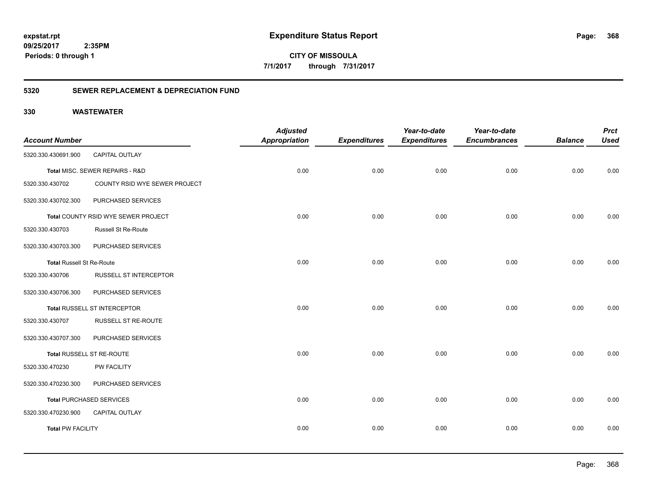**CITY OF MISSOULA 7/1/2017 through 7/31/2017**

### **5320 SEWER REPLACEMENT & DEPRECIATION FUND**

| <b>Account Number</b>            |                                     | <b>Adjusted</b><br><b>Appropriation</b> | <b>Expenditures</b> | Year-to-date<br><b>Expenditures</b> | Year-to-date<br><b>Encumbrances</b> | <b>Balance</b> | <b>Prct</b><br><b>Used</b> |
|----------------------------------|-------------------------------------|-----------------------------------------|---------------------|-------------------------------------|-------------------------------------|----------------|----------------------------|
| 5320.330.430691.900              | CAPITAL OUTLAY                      |                                         |                     |                                     |                                     |                |                            |
|                                  | Total MISC. SEWER REPAIRS - R&D     | 0.00                                    | 0.00                | 0.00                                | 0.00                                | 0.00           | 0.00                       |
| 5320.330.430702                  | COUNTY RSID WYE SEWER PROJECT       |                                         |                     |                                     |                                     |                |                            |
| 5320.330.430702.300              | PURCHASED SERVICES                  |                                         |                     |                                     |                                     |                |                            |
|                                  | Total COUNTY RSID WYE SEWER PROJECT | 0.00                                    | 0.00                | 0.00                                | 0.00                                | 0.00           | 0.00                       |
| 5320.330.430703                  | Russell St Re-Route                 |                                         |                     |                                     |                                     |                |                            |
| 5320.330.430703.300              | PURCHASED SERVICES                  |                                         |                     |                                     |                                     |                |                            |
| <b>Total Russell St Re-Route</b> |                                     | 0.00                                    | 0.00                | 0.00                                | 0.00                                | 0.00           | 0.00                       |
| 5320.330.430706                  | <b>RUSSELL ST INTERCEPTOR</b>       |                                         |                     |                                     |                                     |                |                            |
| 5320.330.430706.300              | PURCHASED SERVICES                  |                                         |                     |                                     |                                     |                |                            |
|                                  | Total RUSSELL ST INTERCEPTOR        | 0.00                                    | 0.00                | 0.00                                | 0.00                                | 0.00           | 0.00                       |
| 5320.330.430707                  | RUSSELL ST RE-ROUTE                 |                                         |                     |                                     |                                     |                |                            |
| 5320.330.430707.300              | PURCHASED SERVICES                  |                                         |                     |                                     |                                     |                |                            |
|                                  | Total RUSSELL ST RE-ROUTE           | 0.00                                    | 0.00                | 0.00                                | 0.00                                | 0.00           | 0.00                       |
| 5320.330.470230                  | PW FACILITY                         |                                         |                     |                                     |                                     |                |                            |
| 5320.330.470230.300              | PURCHASED SERVICES                  |                                         |                     |                                     |                                     |                |                            |
|                                  | <b>Total PURCHASED SERVICES</b>     | 0.00                                    | 0.00                | 0.00                                | 0.00                                | 0.00           | 0.00                       |
| 5320.330.470230.900              | <b>CAPITAL OUTLAY</b>               |                                         |                     |                                     |                                     |                |                            |
| <b>Total PW FACILITY</b>         |                                     | 0.00                                    | 0.00                | 0.00                                | 0.00                                | 0.00           | 0.00                       |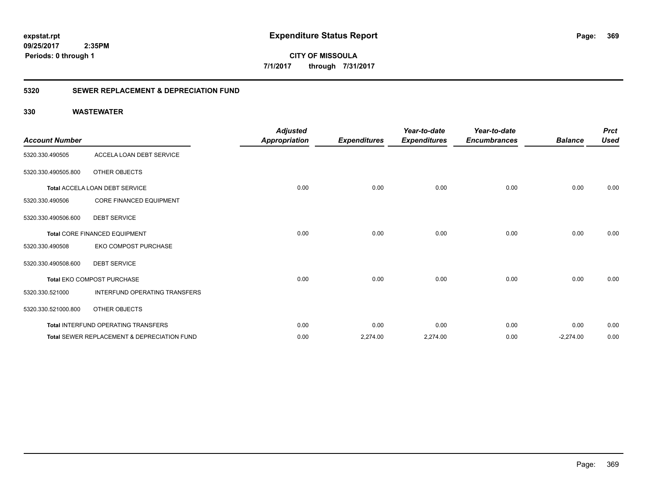**369**

**09/25/2017 2:35PM Periods: 0 through 1**

**CITY OF MISSOULA 7/1/2017 through 7/31/2017**

### **5320 SEWER REPLACEMENT & DEPRECIATION FUND**

| <b>Account Number</b> |                                                        | <b>Adjusted</b><br><b>Appropriation</b> | <b>Expenditures</b> | Year-to-date<br><b>Expenditures</b> | Year-to-date<br><b>Encumbrances</b> | <b>Balance</b> | <b>Prct</b><br><b>Used</b> |
|-----------------------|--------------------------------------------------------|-----------------------------------------|---------------------|-------------------------------------|-------------------------------------|----------------|----------------------------|
| 5320.330.490505       | ACCELA LOAN DEBT SERVICE                               |                                         |                     |                                     |                                     |                |                            |
| 5320.330.490505.800   | OTHER OBJECTS                                          |                                         |                     |                                     |                                     |                |                            |
|                       | Total ACCELA LOAN DEBT SERVICE                         | 0.00                                    | 0.00                | 0.00                                | 0.00                                | 0.00           | 0.00                       |
| 5320.330.490506       | <b>CORE FINANCED EQUIPMENT</b>                         |                                         |                     |                                     |                                     |                |                            |
| 5320.330.490506.600   | <b>DEBT SERVICE</b>                                    |                                         |                     |                                     |                                     |                |                            |
|                       | Total CORE FINANCED EQUIPMENT                          | 0.00                                    | 0.00                | 0.00                                | 0.00                                | 0.00           | 0.00                       |
| 5320.330.490508       | EKO COMPOST PURCHASE                                   |                                         |                     |                                     |                                     |                |                            |
| 5320.330.490508.600   | <b>DEBT SERVICE</b>                                    |                                         |                     |                                     |                                     |                |                            |
|                       | Total EKO COMPOST PURCHASE                             | 0.00                                    | 0.00                | 0.00                                | 0.00                                | 0.00           | 0.00                       |
| 5320.330.521000       | <b>INTERFUND OPERATING TRANSFERS</b>                   |                                         |                     |                                     |                                     |                |                            |
| 5320.330.521000.800   | OTHER OBJECTS                                          |                                         |                     |                                     |                                     |                |                            |
|                       | Total INTERFUND OPERATING TRANSFERS                    | 0.00                                    | 0.00                | 0.00                                | 0.00                                | 0.00           | 0.00                       |
|                       | <b>Total SEWER REPLACEMENT &amp; DEPRECIATION FUND</b> | 0.00                                    | 2,274.00            | 2,274.00                            | 0.00                                | $-2,274.00$    | 0.00                       |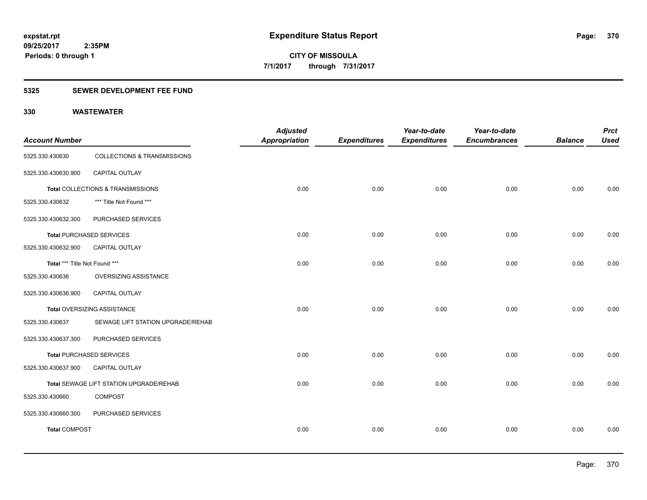### **5325 SEWER DEVELOPMENT FEE FUND**

| <b>Account Number</b>         |                                         | <b>Adjusted</b><br><b>Appropriation</b> | <b>Expenditures</b> | Year-to-date<br><b>Expenditures</b> | Year-to-date<br><b>Encumbrances</b> | <b>Balance</b> | <b>Prct</b><br><b>Used</b> |
|-------------------------------|-----------------------------------------|-----------------------------------------|---------------------|-------------------------------------|-------------------------------------|----------------|----------------------------|
| 5325.330.430630               | <b>COLLECTIONS &amp; TRANSMISSIONS</b>  |                                         |                     |                                     |                                     |                |                            |
| 5325.330.430630.900           | CAPITAL OUTLAY                          |                                         |                     |                                     |                                     |                |                            |
|                               | Total COLLECTIONS & TRANSMISSIONS       | 0.00                                    | 0.00                | 0.00                                | 0.00                                | 0.00           | 0.00                       |
| 5325.330.430632               | *** Title Not Found ***                 |                                         |                     |                                     |                                     |                |                            |
| 5325.330.430632.300           | PURCHASED SERVICES                      |                                         |                     |                                     |                                     |                |                            |
|                               | <b>Total PURCHASED SERVICES</b>         | 0.00                                    | 0.00                | 0.00                                | 0.00                                | 0.00           | 0.00                       |
| 5325.330.430632.900           | CAPITAL OUTLAY                          |                                         |                     |                                     |                                     |                |                            |
| Total *** Title Not Found *** |                                         | 0.00                                    | 0.00                | 0.00                                | 0.00                                | 0.00           | 0.00                       |
| 5325.330.430636               | OVERSIZING ASSISTANCE                   |                                         |                     |                                     |                                     |                |                            |
| 5325.330.430636.900           | CAPITAL OUTLAY                          |                                         |                     |                                     |                                     |                |                            |
|                               | <b>Total OVERSIZING ASSISTANCE</b>      | 0.00                                    | 0.00                | 0.00                                | 0.00                                | 0.00           | 0.00                       |
| 5325.330.430637               | SEWAGE LIFT STATION UPGRADE/REHAB       |                                         |                     |                                     |                                     |                |                            |
| 5325.330.430637.300           | PURCHASED SERVICES                      |                                         |                     |                                     |                                     |                |                            |
|                               | <b>Total PURCHASED SERVICES</b>         | 0.00                                    | 0.00                | 0.00                                | 0.00                                | 0.00           | 0.00                       |
| 5325.330.430637.900           | CAPITAL OUTLAY                          |                                         |                     |                                     |                                     |                |                            |
|                               | Total SEWAGE LIFT STATION UPGRADE/REHAB | 0.00                                    | 0.00                | 0.00                                | 0.00                                | 0.00           | 0.00                       |
| 5325.330.430660               | <b>COMPOST</b>                          |                                         |                     |                                     |                                     |                |                            |
| 5325.330.430660.300           | PURCHASED SERVICES                      |                                         |                     |                                     |                                     |                |                            |
| <b>Total COMPOST</b>          |                                         | 0.00                                    | 0.00                | 0.00                                | 0.00                                | 0.00           | 0.00                       |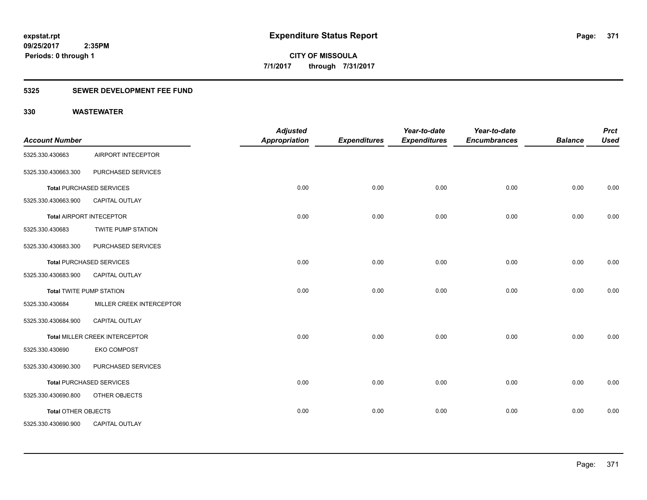### **5325 SEWER DEVELOPMENT FEE FUND**

| <b>Account Number</b>      |                                 | <b>Adjusted</b><br><b>Appropriation</b> | <b>Expenditures</b> | Year-to-date<br><b>Expenditures</b> | Year-to-date<br><b>Encumbrances</b> | <b>Balance</b> | <b>Prct</b><br><b>Used</b> |
|----------------------------|---------------------------------|-----------------------------------------|---------------------|-------------------------------------|-------------------------------------|----------------|----------------------------|
|                            |                                 |                                         |                     |                                     |                                     |                |                            |
| 5325.330.430663            | AIRPORT INTECEPTOR              |                                         |                     |                                     |                                     |                |                            |
| 5325.330.430663.300        | PURCHASED SERVICES              |                                         |                     |                                     |                                     |                |                            |
|                            | <b>Total PURCHASED SERVICES</b> | 0.00                                    | 0.00                | 0.00                                | 0.00                                | 0.00           | 0.00                       |
| 5325.330.430663.900        | <b>CAPITAL OUTLAY</b>           |                                         |                     |                                     |                                     |                |                            |
|                            | <b>Total AIRPORT INTECEPTOR</b> | 0.00                                    | 0.00                | 0.00                                | 0.00                                | 0.00           | 0.00                       |
| 5325.330.430683            | TWITE PUMP STATION              |                                         |                     |                                     |                                     |                |                            |
| 5325.330.430683.300        | PURCHASED SERVICES              |                                         |                     |                                     |                                     |                |                            |
|                            | <b>Total PURCHASED SERVICES</b> | 0.00                                    | 0.00                | 0.00                                | 0.00                                | 0.00           | 0.00                       |
| 5325.330.430683.900        | <b>CAPITAL OUTLAY</b>           |                                         |                     |                                     |                                     |                |                            |
|                            | <b>Total TWITE PUMP STATION</b> | 0.00                                    | 0.00                | 0.00                                | 0.00                                | 0.00           | 0.00                       |
| 5325.330.430684            | MILLER CREEK INTERCEPTOR        |                                         |                     |                                     |                                     |                |                            |
| 5325.330.430684.900        | CAPITAL OUTLAY                  |                                         |                     |                                     |                                     |                |                            |
|                            | Total MILLER CREEK INTERCEPTOR  | 0.00                                    | 0.00                | 0.00                                | 0.00                                | 0.00           | 0.00                       |
| 5325.330.430690            | <b>EKO COMPOST</b>              |                                         |                     |                                     |                                     |                |                            |
| 5325.330.430690.300        | PURCHASED SERVICES              |                                         |                     |                                     |                                     |                |                            |
|                            | <b>Total PURCHASED SERVICES</b> | 0.00                                    | 0.00                | 0.00                                | 0.00                                | 0.00           | 0.00                       |
| 5325.330.430690.800        | OTHER OBJECTS                   |                                         |                     |                                     |                                     |                |                            |
| <b>Total OTHER OBJECTS</b> |                                 | 0.00                                    | 0.00                | 0.00                                | 0.00                                | 0.00           | 0.00                       |
| 5325.330.430690.900        | CAPITAL OUTLAY                  |                                         |                     |                                     |                                     |                |                            |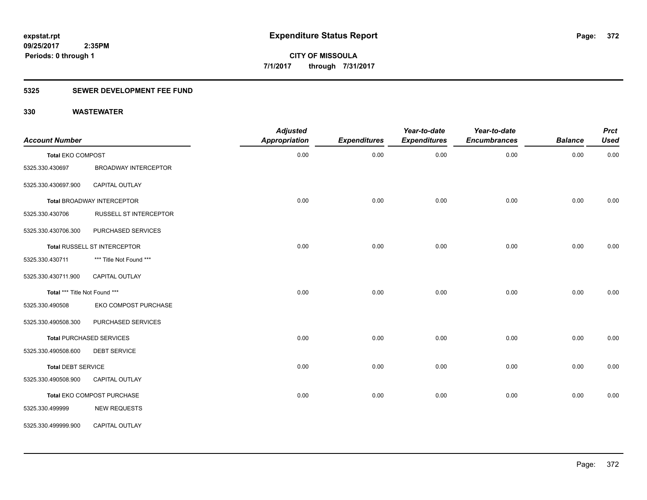### **5325 SEWER DEVELOPMENT FEE FUND**

| <b>Account Number</b>         |                                 | <b>Adjusted</b><br><b>Appropriation</b> | <b>Expenditures</b> | Year-to-date<br><b>Expenditures</b> | Year-to-date<br><b>Encumbrances</b> | <b>Balance</b> | <b>Prct</b><br><b>Used</b> |
|-------------------------------|---------------------------------|-----------------------------------------|---------------------|-------------------------------------|-------------------------------------|----------------|----------------------------|
| <b>Total EKO COMPOST</b>      |                                 | 0.00                                    | 0.00                | 0.00                                | 0.00                                | 0.00           | 0.00                       |
| 5325.330.430697               | <b>BROADWAY INTERCEPTOR</b>     |                                         |                     |                                     |                                     |                |                            |
| 5325.330.430697.900           | <b>CAPITAL OUTLAY</b>           |                                         |                     |                                     |                                     |                |                            |
|                               | Total BROADWAY INTERCEPTOR      | 0.00                                    | 0.00                | 0.00                                | 0.00                                | 0.00           | 0.00                       |
| 5325.330.430706               | <b>RUSSELL ST INTERCEPTOR</b>   |                                         |                     |                                     |                                     |                |                            |
| 5325.330.430706.300           | PURCHASED SERVICES              |                                         |                     |                                     |                                     |                |                            |
|                               | Total RUSSELL ST INTERCEPTOR    | 0.00                                    | 0.00                | 0.00                                | 0.00                                | 0.00           | 0.00                       |
| 5325.330.430711               | *** Title Not Found ***         |                                         |                     |                                     |                                     |                |                            |
| 5325.330.430711.900           | CAPITAL OUTLAY                  |                                         |                     |                                     |                                     |                |                            |
| Total *** Title Not Found *** |                                 | 0.00                                    | 0.00                | 0.00                                | 0.00                                | 0.00           | 0.00                       |
| 5325.330.490508               | EKO COMPOST PURCHASE            |                                         |                     |                                     |                                     |                |                            |
| 5325.330.490508.300           | PURCHASED SERVICES              |                                         |                     |                                     |                                     |                |                            |
|                               | <b>Total PURCHASED SERVICES</b> | 0.00                                    | 0.00                | 0.00                                | 0.00                                | 0.00           | 0.00                       |
| 5325.330.490508.600           | <b>DEBT SERVICE</b>             |                                         |                     |                                     |                                     |                |                            |
| <b>Total DEBT SERVICE</b>     |                                 | 0.00                                    | 0.00                | 0.00                                | 0.00                                | 0.00           | 0.00                       |
| 5325.330.490508.900           | <b>CAPITAL OUTLAY</b>           |                                         |                     |                                     |                                     |                |                            |
|                               | Total EKO COMPOST PURCHASE      | 0.00                                    | 0.00                | 0.00                                | 0.00                                | 0.00           | 0.00                       |
| 5325.330.499999               | <b>NEW REQUESTS</b>             |                                         |                     |                                     |                                     |                |                            |
| 5325.330.499999.900           | CAPITAL OUTLAY                  |                                         |                     |                                     |                                     |                |                            |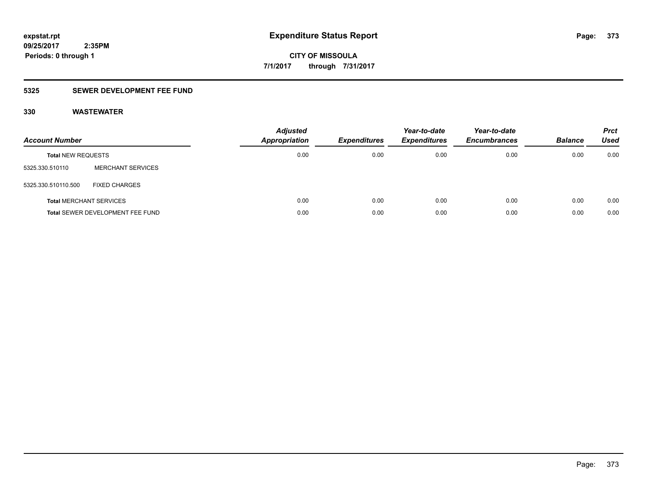## **5325 SEWER DEVELOPMENT FEE FUND**

| <b>Account Number</b>          |                                  | <b>Adjusted</b><br>Appropriation | <b>Expenditures</b> | Year-to-date<br><b>Expenditures</b> | Year-to-date<br><b>Encumbrances</b> | <b>Balance</b> | <b>Prct</b><br>Used |
|--------------------------------|----------------------------------|----------------------------------|---------------------|-------------------------------------|-------------------------------------|----------------|---------------------|
| <b>Total NEW REQUESTS</b>      |                                  | 0.00                             | 0.00                | 0.00                                | 0.00                                | 0.00           | 0.00                |
| 5325.330.510110                | <b>MERCHANT SERVICES</b>         |                                  |                     |                                     |                                     |                |                     |
| 5325.330.510110.500            | <b>FIXED CHARGES</b>             |                                  |                     |                                     |                                     |                |                     |
| <b>Total MERCHANT SERVICES</b> |                                  | 0.00                             | 0.00                | 0.00                                | 0.00                                | 0.00           | 0.00                |
|                                | Total SEWER DEVELOPMENT FEE FUND | 0.00                             | 0.00                | 0.00                                | 0.00                                | 0.00           | 0.00                |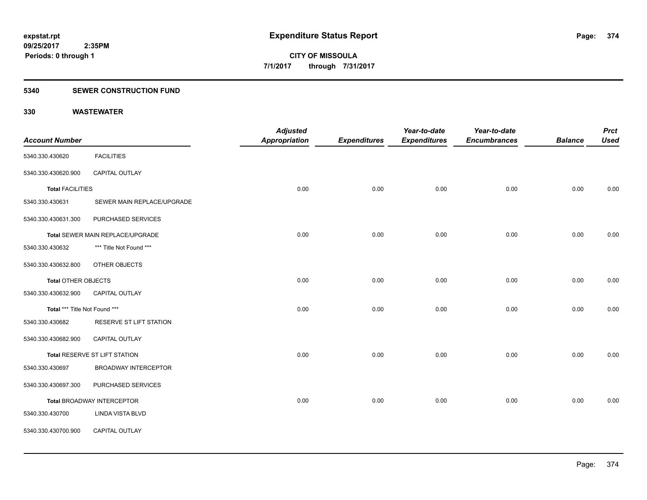### **5340 SEWER CONSTRUCTION FUND**

|                               |                                  | <b>Adjusted</b> |                     | Year-to-date        | Year-to-date        |                | <b>Prct</b> |
|-------------------------------|----------------------------------|-----------------|---------------------|---------------------|---------------------|----------------|-------------|
| <b>Account Number</b>         |                                  | Appropriation   | <b>Expenditures</b> | <b>Expenditures</b> | <b>Encumbrances</b> | <b>Balance</b> | <b>Used</b> |
| 5340.330.430620               | <b>FACILITIES</b>                |                 |                     |                     |                     |                |             |
| 5340.330.430620.900           | CAPITAL OUTLAY                   |                 |                     |                     |                     |                |             |
| <b>Total FACILITIES</b>       |                                  | 0.00            | 0.00                | 0.00                | 0.00                | 0.00           | 0.00        |
| 5340.330.430631               | SEWER MAIN REPLACE/UPGRADE       |                 |                     |                     |                     |                |             |
| 5340.330.430631.300           | PURCHASED SERVICES               |                 |                     |                     |                     |                |             |
|                               | Total SEWER MAIN REPLACE/UPGRADE | 0.00            | 0.00                | 0.00                | 0.00                | 0.00           | 0.00        |
| 5340.330.430632               | *** Title Not Found ***          |                 |                     |                     |                     |                |             |
| 5340.330.430632.800           | OTHER OBJECTS                    |                 |                     |                     |                     |                |             |
| Total OTHER OBJECTS           |                                  | 0.00            | 0.00                | 0.00                | 0.00                | 0.00           | 0.00        |
| 5340.330.430632.900           | <b>CAPITAL OUTLAY</b>            |                 |                     |                     |                     |                |             |
| Total *** Title Not Found *** |                                  | 0.00            | 0.00                | 0.00                | 0.00                | 0.00           | 0.00        |
| 5340.330.430682               | RESERVE ST LIFT STATION          |                 |                     |                     |                     |                |             |
| 5340.330.430682.900           | CAPITAL OUTLAY                   |                 |                     |                     |                     |                |             |
|                               | Total RESERVE ST LIFT STATION    | 0.00            | 0.00                | 0.00                | 0.00                | 0.00           | 0.00        |
| 5340.330.430697               | <b>BROADWAY INTERCEPTOR</b>      |                 |                     |                     |                     |                |             |
| 5340.330.430697.300           | PURCHASED SERVICES               |                 |                     |                     |                     |                |             |
|                               | Total BROADWAY INTERCEPTOR       | 0.00            | 0.00                | 0.00                | 0.00                | 0.00           | 0.00        |
| 5340.330.430700               | <b>LINDA VISTA BLVD</b>          |                 |                     |                     |                     |                |             |
| 5340.330.430700.900           | CAPITAL OUTLAY                   |                 |                     |                     |                     |                |             |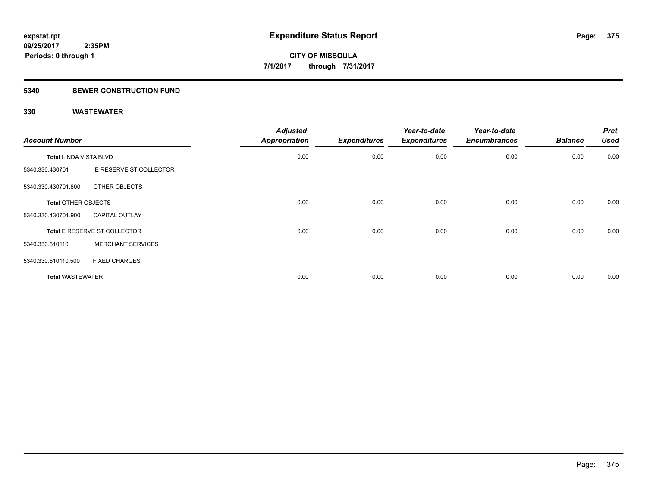### **5340 SEWER CONSTRUCTION FUND**

| <b>Account Number</b>      |                              | <b>Adjusted</b><br><b>Appropriation</b> | <b>Expenditures</b> | Year-to-date<br><b>Expenditures</b> | Year-to-date<br><b>Encumbrances</b> | <b>Balance</b> | <b>Prct</b><br><b>Used</b> |
|----------------------------|------------------------------|-----------------------------------------|---------------------|-------------------------------------|-------------------------------------|----------------|----------------------------|
| Total LINDA VISTA BLVD     |                              | 0.00                                    | 0.00                | 0.00                                | 0.00                                | 0.00           | 0.00                       |
| 5340.330.430701            | E RESERVE ST COLLECTOR       |                                         |                     |                                     |                                     |                |                            |
| 5340.330.430701.800        | OTHER OBJECTS                |                                         |                     |                                     |                                     |                |                            |
| <b>Total OTHER OBJECTS</b> |                              | 0.00                                    | 0.00                | 0.00                                | 0.00                                | 0.00           | 0.00                       |
| 5340.330.430701.900        | <b>CAPITAL OUTLAY</b>        |                                         |                     |                                     |                                     |                |                            |
|                            | Total E RESERVE ST COLLECTOR | 0.00                                    | 0.00                | 0.00                                | 0.00                                | 0.00           | 0.00                       |
| 5340.330.510110            | <b>MERCHANT SERVICES</b>     |                                         |                     |                                     |                                     |                |                            |
| 5340.330.510110.500        | <b>FIXED CHARGES</b>         |                                         |                     |                                     |                                     |                |                            |
| <b>Total WASTEWATER</b>    |                              | 0.00                                    | 0.00                | 0.00                                | 0.00                                | 0.00           | 0.00                       |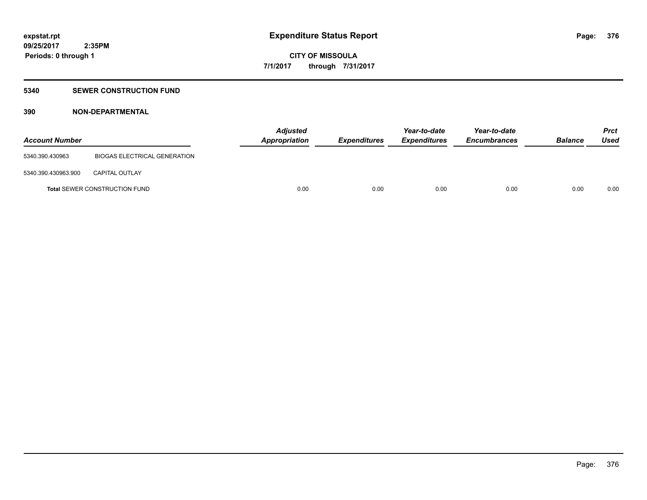### **5340 SEWER CONSTRUCTION FUND**

## **390 NON-DEPARTMENTAL**

| <b>Account Number</b> |                                      | <b>Adjusted</b><br><b>Appropriation</b> | Expenditures | Year-to-date<br><b>Expenditures</b> | Year-to-date<br><b>Encumbrances</b> | <b>Balance</b> | <b>Prct</b><br>Used |
|-----------------------|--------------------------------------|-----------------------------------------|--------------|-------------------------------------|-------------------------------------|----------------|---------------------|
| 5340.390.430963       | BIOGAS ELECTRICAL GENERATION         |                                         |              |                                     |                                     |                |                     |
| 5340.390.430963.900   | <b>CAPITAL OUTLAY</b>                |                                         |              |                                     |                                     |                |                     |
|                       | <b>Total SEWER CONSTRUCTION FUND</b> | 0.00                                    | 0.00         | 0.00                                | 0.00                                | 0.00           | 0.00                |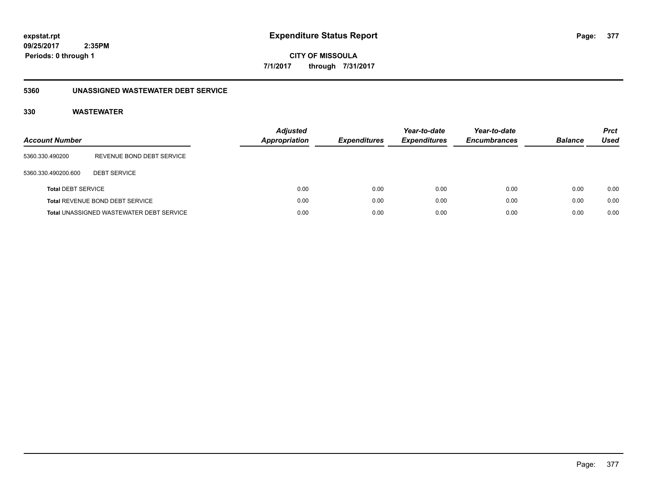**CITY OF MISSOULA 7/1/2017 through 7/31/2017**

### **5360 UNASSIGNED WASTEWATER DEBT SERVICE**

| <b>Account Number</b>     |                                                 | <b>Adjusted</b><br><b>Appropriation</b> | <b>Expenditures</b> | Year-to-date<br><b>Expenditures</b> | Year-to-date<br><b>Encumbrances</b> | <b>Balance</b> | <b>Prct</b><br>Used |
|---------------------------|-------------------------------------------------|-----------------------------------------|---------------------|-------------------------------------|-------------------------------------|----------------|---------------------|
| 5360.330.490200           | REVENUE BOND DEBT SERVICE                       |                                         |                     |                                     |                                     |                |                     |
| 5360.330.490200.600       | <b>DEBT SERVICE</b>                             |                                         |                     |                                     |                                     |                |                     |
| <b>Total DEBT SERVICE</b> |                                                 | 0.00                                    | 0.00                | 0.00                                | 0.00                                | 0.00           | 0.00                |
|                           | Total REVENUE BOND DEBT SERVICE                 | 0.00                                    | 0.00                | 0.00                                | 0.00                                | 0.00           | 0.00                |
|                           | <b>Total UNASSIGNED WASTEWATER DEBT SERVICE</b> | 0.00                                    | 0.00                | 0.00                                | 0.00                                | 0.00           | 0.00                |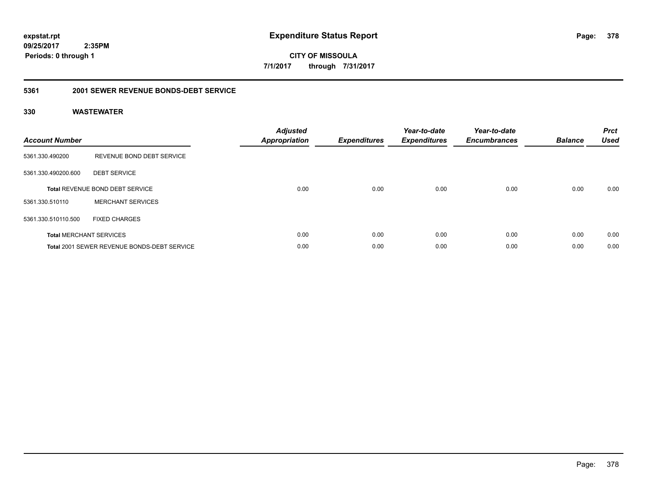**378**

**09/25/2017 2:35PM Periods: 0 through 1**

**CITY OF MISSOULA 7/1/2017 through 7/31/2017**

### **5361 2001 SEWER REVENUE BONDS-DEBT SERVICE**

| <b>Account Number</b> |                                                    | <b>Adjusted</b><br>Appropriation | <b>Expenditures</b> | Year-to-date<br><b>Expenditures</b> | Year-to-date<br><b>Encumbrances</b> | <b>Balance</b> | <b>Prct</b><br><b>Used</b> |
|-----------------------|----------------------------------------------------|----------------------------------|---------------------|-------------------------------------|-------------------------------------|----------------|----------------------------|
| 5361.330.490200       | REVENUE BOND DEBT SERVICE                          |                                  |                     |                                     |                                     |                |                            |
| 5361.330.490200.600   | <b>DEBT SERVICE</b>                                |                                  |                     |                                     |                                     |                |                            |
|                       | <b>Total REVENUE BOND DEBT SERVICE</b>             | 0.00                             | 0.00                | 0.00                                | 0.00                                | 0.00           | 0.00                       |
| 5361.330.510110       | <b>MERCHANT SERVICES</b>                           |                                  |                     |                                     |                                     |                |                            |
| 5361.330.510110.500   | <b>FIXED CHARGES</b>                               |                                  |                     |                                     |                                     |                |                            |
|                       | <b>Total MERCHANT SERVICES</b>                     | 0.00                             | 0.00                | 0.00                                | 0.00                                | 0.00           | 0.00                       |
|                       | <b>Total 2001 SEWER REVENUE BONDS-DEBT SERVICE</b> | 0.00                             | 0.00                | 0.00                                | 0.00                                | 0.00           | 0.00                       |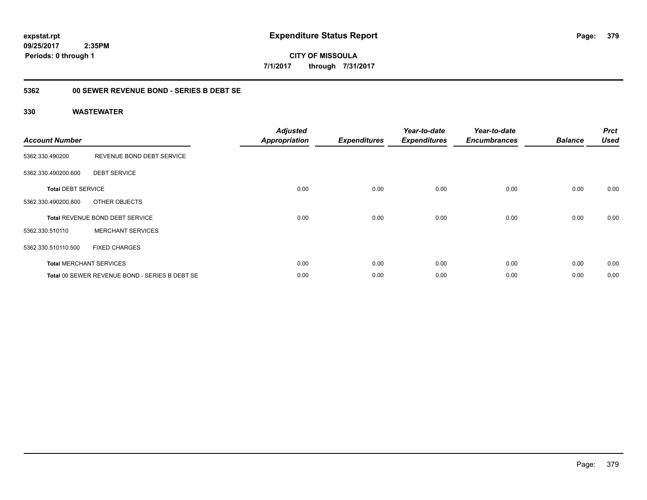**CITY OF MISSOULA 7/1/2017 through 7/31/2017**

### **5362 00 SEWER REVENUE BOND - SERIES B DEBT SE**

| <b>Account Number</b>     |                                                | <b>Adjusted</b><br><b>Appropriation</b> | <b>Expenditures</b> | Year-to-date<br><b>Expenditures</b> | Year-to-date<br><b>Encumbrances</b> | <b>Balance</b> | <b>Prct</b><br><b>Used</b> |
|---------------------------|------------------------------------------------|-----------------------------------------|---------------------|-------------------------------------|-------------------------------------|----------------|----------------------------|
| 5362.330.490200           | REVENUE BOND DEBT SERVICE                      |                                         |                     |                                     |                                     |                |                            |
| 5362.330.490200.600       | <b>DEBT SERVICE</b>                            |                                         |                     |                                     |                                     |                |                            |
| <b>Total DEBT SERVICE</b> |                                                | 0.00                                    | 0.00                | 0.00                                | 0.00                                | 0.00           | 0.00                       |
| 5362.330.490200.800       | OTHER OBJECTS                                  |                                         |                     |                                     |                                     |                |                            |
|                           | <b>Total REVENUE BOND DEBT SERVICE</b>         | 0.00                                    | 0.00                | 0.00                                | 0.00                                | 0.00           | 0.00                       |
| 5362.330.510110           | <b>MERCHANT SERVICES</b>                       |                                         |                     |                                     |                                     |                |                            |
| 5362.330.510110.500       | <b>FIXED CHARGES</b>                           |                                         |                     |                                     |                                     |                |                            |
|                           | <b>Total MERCHANT SERVICES</b>                 | 0.00                                    | 0.00                | 0.00                                | 0.00                                | 0.00           | 0.00                       |
|                           | Total 00 SEWER REVENUE BOND - SERIES B DEBT SE | 0.00                                    | 0.00                | 0.00                                | 0.00                                | 0.00           | 0.00                       |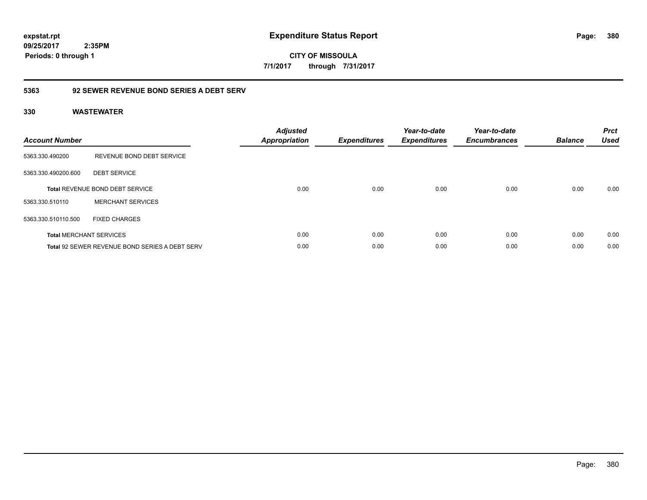**CITY OF MISSOULA 7/1/2017 through 7/31/2017**

### **5363 92 SEWER REVENUE BOND SERIES A DEBT SERV**

| <b>Account Number</b> |                                                       | <b>Adjusted</b><br><b>Appropriation</b> | <b>Expenditures</b> | Year-to-date<br><b>Expenditures</b> | Year-to-date<br><b>Encumbrances</b> | <b>Balance</b> | <b>Prct</b><br><b>Used</b> |
|-----------------------|-------------------------------------------------------|-----------------------------------------|---------------------|-------------------------------------|-------------------------------------|----------------|----------------------------|
| 5363.330.490200       | REVENUE BOND DEBT SERVICE                             |                                         |                     |                                     |                                     |                |                            |
| 5363.330.490200.600   | <b>DEBT SERVICE</b>                                   |                                         |                     |                                     |                                     |                |                            |
|                       | <b>Total REVENUE BOND DEBT SERVICE</b>                | 0.00                                    | 0.00                | 0.00                                | 0.00                                | 0.00           | 0.00                       |
| 5363.330.510110       | <b>MERCHANT SERVICES</b>                              |                                         |                     |                                     |                                     |                |                            |
| 5363.330.510110.500   | <b>FIXED CHARGES</b>                                  |                                         |                     |                                     |                                     |                |                            |
|                       | <b>Total MERCHANT SERVICES</b>                        | 0.00                                    | 0.00                | 0.00                                | 0.00                                | 0.00           | 0.00                       |
|                       | <b>Total 92 SEWER REVENUE BOND SERIES A DEBT SERV</b> | 0.00                                    | 0.00                | 0.00                                | 0.00                                | 0.00           | 0.00                       |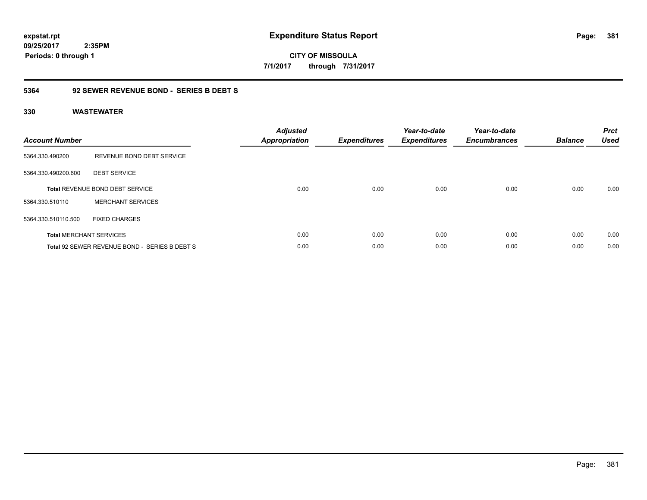**CITY OF MISSOULA 7/1/2017 through 7/31/2017**

### **5364 92 SEWER REVENUE BOND - SERIES B DEBT S**

| <b>Account Number</b> |                                               | <b>Adjusted</b><br><b>Appropriation</b> | <b>Expenditures</b> | Year-to-date<br><b>Expenditures</b> | Year-to-date<br><b>Encumbrances</b> | <b>Balance</b> | <b>Prct</b><br><b>Used</b> |
|-----------------------|-----------------------------------------------|-----------------------------------------|---------------------|-------------------------------------|-------------------------------------|----------------|----------------------------|
| 5364.330.490200       | REVENUE BOND DEBT SERVICE                     |                                         |                     |                                     |                                     |                |                            |
| 5364.330.490200.600   | <b>DEBT SERVICE</b>                           |                                         |                     |                                     |                                     |                |                            |
|                       | <b>Total REVENUE BOND DEBT SERVICE</b>        | 0.00                                    | 0.00                | 0.00                                | 0.00                                | 0.00           | 0.00                       |
| 5364.330.510110       | <b>MERCHANT SERVICES</b>                      |                                         |                     |                                     |                                     |                |                            |
| 5364.330.510110.500   | <b>FIXED CHARGES</b>                          |                                         |                     |                                     |                                     |                |                            |
|                       | <b>Total MERCHANT SERVICES</b>                | 0.00                                    | 0.00                | 0.00                                | 0.00                                | 0.00           | 0.00                       |
|                       | Total 92 SEWER REVENUE BOND - SERIES B DEBT S | 0.00                                    | 0.00                | 0.00                                | 0.00                                | 0.00           | 0.00                       |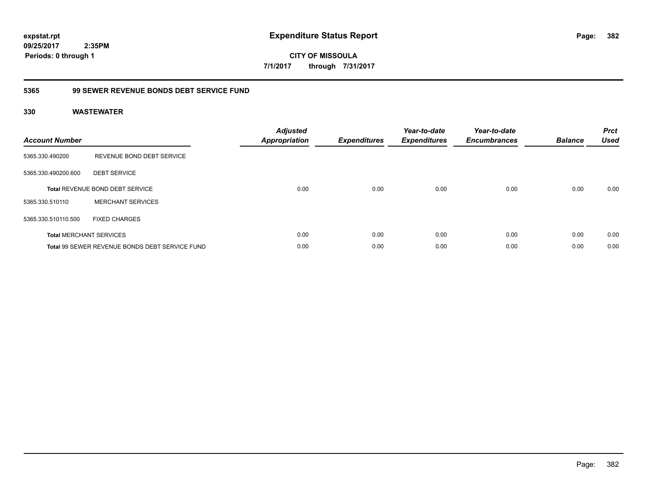**CITY OF MISSOULA 7/1/2017 through 7/31/2017**

### **5365 99 SEWER REVENUE BONDS DEBT SERVICE FUND**

| <b>Account Number</b> |                                                | <b>Adjusted</b><br>Appropriation | <b>Expenditures</b> | Year-to-date<br><b>Expenditures</b> | Year-to-date<br><b>Encumbrances</b> | <b>Balance</b> | <b>Prct</b><br><b>Used</b> |
|-----------------------|------------------------------------------------|----------------------------------|---------------------|-------------------------------------|-------------------------------------|----------------|----------------------------|
| 5365.330.490200       | REVENUE BOND DEBT SERVICE                      |                                  |                     |                                     |                                     |                |                            |
| 5365.330.490200.600   | <b>DEBT SERVICE</b>                            |                                  |                     |                                     |                                     |                |                            |
|                       | <b>Total REVENUE BOND DEBT SERVICE</b>         | 0.00                             | 0.00                | 0.00                                | 0.00                                | 0.00           | 0.00                       |
| 5365.330.510110       | <b>MERCHANT SERVICES</b>                       |                                  |                     |                                     |                                     |                |                            |
| 5365.330.510110.500   | <b>FIXED CHARGES</b>                           |                                  |                     |                                     |                                     |                |                            |
|                       | <b>Total MERCHANT SERVICES</b>                 | 0.00                             | 0.00                | 0.00                                | 0.00                                | 0.00           | 0.00                       |
|                       | Total 99 SEWER REVENUE BONDS DEBT SERVICE FUND | 0.00                             | 0.00                | 0.00                                | 0.00                                | 0.00           | 0.00                       |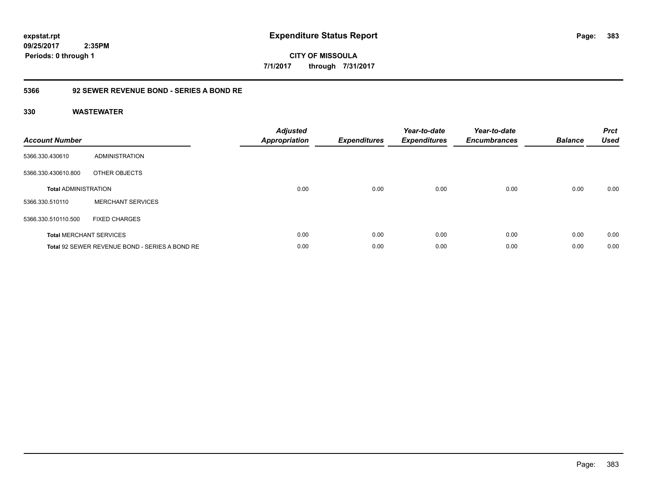**CITY OF MISSOULA 7/1/2017 through 7/31/2017**

### **5366 92 SEWER REVENUE BOND - SERIES A BOND RE**

| <b>Account Number</b>       |                                                | <b>Adjusted</b><br><b>Appropriation</b> | <b>Expenditures</b> | Year-to-date<br><b>Expenditures</b> | Year-to-date<br><b>Encumbrances</b> | <b>Balance</b> | <b>Prct</b><br><b>Used</b> |
|-----------------------------|------------------------------------------------|-----------------------------------------|---------------------|-------------------------------------|-------------------------------------|----------------|----------------------------|
| 5366.330.430610             | ADMINISTRATION                                 |                                         |                     |                                     |                                     |                |                            |
| 5366.330.430610.800         | OTHER OBJECTS                                  |                                         |                     |                                     |                                     |                |                            |
| <b>Total ADMINISTRATION</b> |                                                | 0.00                                    | 0.00                | 0.00                                | 0.00                                | 0.00           | 0.00                       |
| 5366.330.510110             | <b>MERCHANT SERVICES</b>                       |                                         |                     |                                     |                                     |                |                            |
| 5366.330.510110.500         | <b>FIXED CHARGES</b>                           |                                         |                     |                                     |                                     |                |                            |
|                             | <b>Total MERCHANT SERVICES</b>                 | 0.00                                    | 0.00                | 0.00                                | 0.00                                | 0.00           | 0.00                       |
|                             | Total 92 SEWER REVENUE BOND - SERIES A BOND RE | 0.00                                    | 0.00                | 0.00                                | 0.00                                | 0.00           | 0.00                       |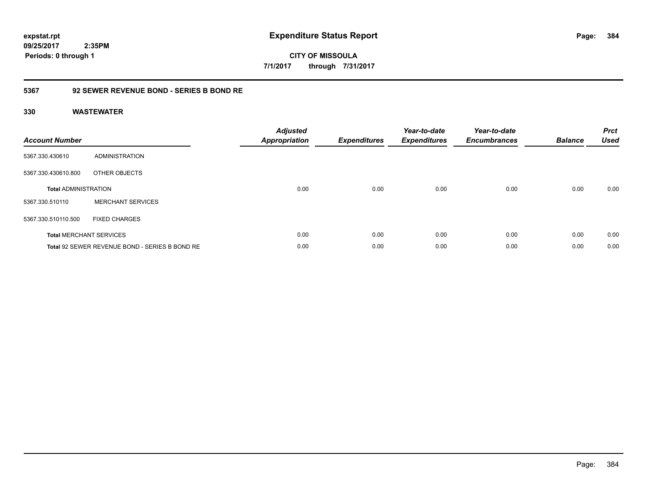**CITY OF MISSOULA 7/1/2017 through 7/31/2017**

### **5367 92 SEWER REVENUE BOND - SERIES B BOND RE**

| <b>Account Number</b>       |                                                | <b>Adjusted</b><br><b>Appropriation</b> | <b>Expenditures</b> | Year-to-date<br><b>Expenditures</b> | Year-to-date<br><b>Encumbrances</b> | <b>Balance</b> | <b>Prct</b><br><b>Used</b> |
|-----------------------------|------------------------------------------------|-----------------------------------------|---------------------|-------------------------------------|-------------------------------------|----------------|----------------------------|
| 5367.330.430610             | ADMINISTRATION                                 |                                         |                     |                                     |                                     |                |                            |
| 5367.330.430610.800         | OTHER OBJECTS                                  |                                         |                     |                                     |                                     |                |                            |
| <b>Total ADMINISTRATION</b> |                                                | 0.00                                    | 0.00                | 0.00                                | 0.00                                | 0.00           | 0.00                       |
| 5367.330.510110             | <b>MERCHANT SERVICES</b>                       |                                         |                     |                                     |                                     |                |                            |
| 5367.330.510110.500         | <b>FIXED CHARGES</b>                           |                                         |                     |                                     |                                     |                |                            |
|                             | <b>Total MERCHANT SERVICES</b>                 | 0.00                                    | 0.00                | 0.00                                | 0.00                                | 0.00           | 0.00                       |
|                             | Total 92 SEWER REVENUE BOND - SERIES B BOND RE | 0.00                                    | 0.00                | 0.00                                | 0.00                                | 0.00           | 0.00                       |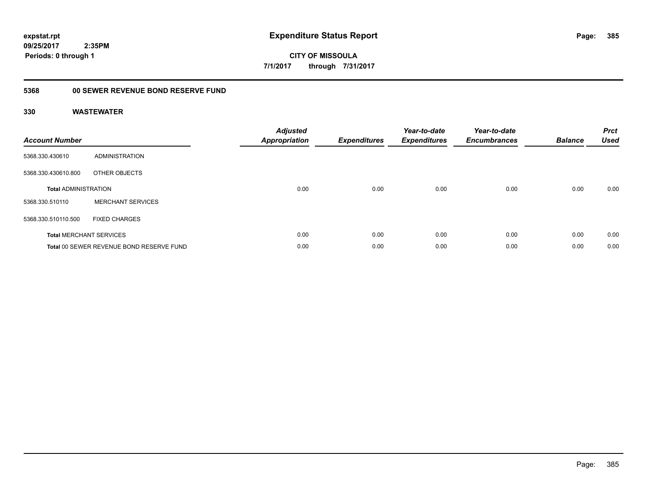**385**

**09/25/2017 2:35PM Periods: 0 through 1**

**CITY OF MISSOULA 7/1/2017 through 7/31/2017**

### **5368 00 SEWER REVENUE BOND RESERVE FUND**

| <b>Account Number</b>       |                                          | <b>Adjusted</b><br><b>Appropriation</b> | <b>Expenditures</b> | Year-to-date<br><b>Expenditures</b> | Year-to-date<br><b>Encumbrances</b> | <b>Balance</b> | <b>Prct</b><br><b>Used</b> |
|-----------------------------|------------------------------------------|-----------------------------------------|---------------------|-------------------------------------|-------------------------------------|----------------|----------------------------|
| 5368.330.430610             | ADMINISTRATION                           |                                         |                     |                                     |                                     |                |                            |
| 5368.330.430610.800         | OTHER OBJECTS                            |                                         |                     |                                     |                                     |                |                            |
| <b>Total ADMINISTRATION</b> |                                          | 0.00                                    | 0.00                | 0.00                                | 0.00                                | 0.00           | 0.00                       |
| 5368.330.510110             | <b>MERCHANT SERVICES</b>                 |                                         |                     |                                     |                                     |                |                            |
| 5368.330.510110.500         | <b>FIXED CHARGES</b>                     |                                         |                     |                                     |                                     |                |                            |
|                             | <b>Total MERCHANT SERVICES</b>           | 0.00                                    | 0.00                | 0.00                                | 0.00                                | 0.00           | 0.00                       |
|                             | Total 00 SEWER REVENUE BOND RESERVE FUND | 0.00                                    | 0.00                | 0.00                                | 0.00                                | 0.00           | 0.00                       |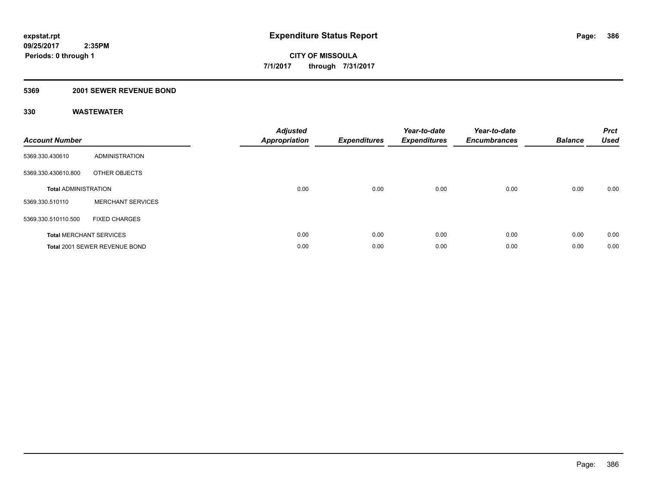### **5369 2001 SEWER REVENUE BOND**

| <b>Account Number</b>       |                                | <b>Adjusted</b><br><b>Appropriation</b> | <b>Expenditures</b> | Year-to-date<br><b>Expenditures</b> | Year-to-date<br><b>Encumbrances</b> | <b>Balance</b> | <b>Prct</b><br><b>Used</b> |
|-----------------------------|--------------------------------|-----------------------------------------|---------------------|-------------------------------------|-------------------------------------|----------------|----------------------------|
| 5369.330.430610             | <b>ADMINISTRATION</b>          |                                         |                     |                                     |                                     |                |                            |
| 5369.330.430610.800         | OTHER OBJECTS                  |                                         |                     |                                     |                                     |                |                            |
| <b>Total ADMINISTRATION</b> |                                | 0.00                                    | 0.00                | 0.00                                | 0.00                                | 0.00           | 0.00                       |
| 5369.330.510110             | <b>MERCHANT SERVICES</b>       |                                         |                     |                                     |                                     |                |                            |
| 5369.330.510110.500         | <b>FIXED CHARGES</b>           |                                         |                     |                                     |                                     |                |                            |
|                             | <b>Total MERCHANT SERVICES</b> | 0.00                                    | 0.00                | 0.00                                | 0.00                                | 0.00           | 0.00                       |
|                             | Total 2001 SEWER REVENUE BOND  | 0.00                                    | 0.00                | 0.00                                | 0.00                                | 0.00           | 0.00                       |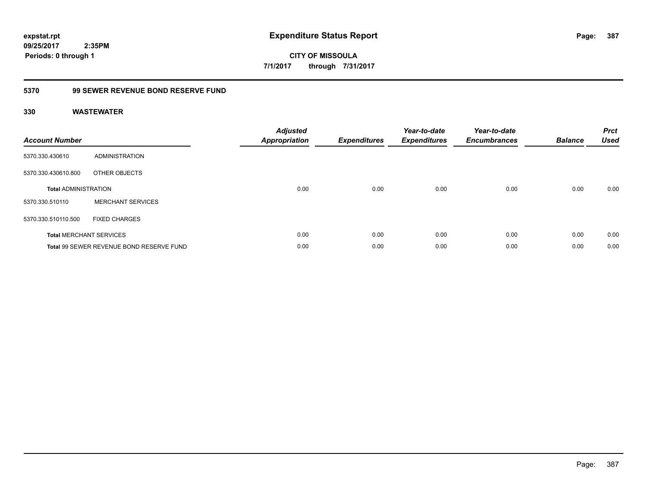**CITY OF MISSOULA 7/1/2017 through 7/31/2017**

# **5370 99 SEWER REVENUE BOND RESERVE FUND**

| <b>Account Number</b>       |                                          | <b>Adjusted</b><br>Appropriation | <b>Expenditures</b> | Year-to-date<br><b>Expenditures</b> | Year-to-date<br><b>Encumbrances</b> | <b>Balance</b> | <b>Prct</b><br><b>Used</b> |
|-----------------------------|------------------------------------------|----------------------------------|---------------------|-------------------------------------|-------------------------------------|----------------|----------------------------|
| 5370.330.430610             | <b>ADMINISTRATION</b>                    |                                  |                     |                                     |                                     |                |                            |
| 5370.330.430610.800         | OTHER OBJECTS                            |                                  |                     |                                     |                                     |                |                            |
| <b>Total ADMINISTRATION</b> |                                          | 0.00                             | 0.00                | 0.00                                | 0.00                                | 0.00           | 0.00                       |
| 5370.330.510110             | <b>MERCHANT SERVICES</b>                 |                                  |                     |                                     |                                     |                |                            |
| 5370.330.510110.500         | <b>FIXED CHARGES</b>                     |                                  |                     |                                     |                                     |                |                            |
|                             | <b>Total MERCHANT SERVICES</b>           | 0.00                             | 0.00                | 0.00                                | 0.00                                | 0.00           | 0.00                       |
|                             | Total 99 SEWER REVENUE BOND RESERVE FUND | 0.00                             | 0.00                | 0.00                                | 0.00                                | 0.00           | 0.00                       |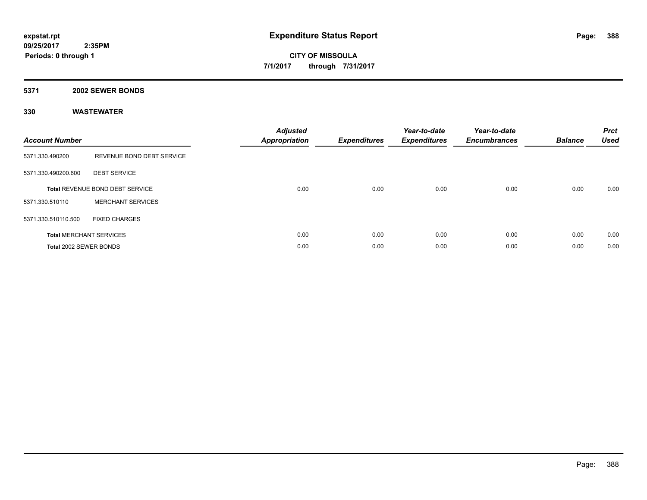**5371 2002 SEWER BONDS**

| <b>Account Number</b>  |                                        | <b>Adjusted</b><br>Appropriation | <b>Expenditures</b> | Year-to-date<br><b>Expenditures</b> | Year-to-date<br><b>Encumbrances</b> | <b>Balance</b> | <b>Prct</b><br><b>Used</b> |
|------------------------|----------------------------------------|----------------------------------|---------------------|-------------------------------------|-------------------------------------|----------------|----------------------------|
| 5371.330.490200        | REVENUE BOND DEBT SERVICE              |                                  |                     |                                     |                                     |                |                            |
| 5371.330.490200.600    | <b>DEBT SERVICE</b>                    |                                  |                     |                                     |                                     |                |                            |
|                        | <b>Total REVENUE BOND DEBT SERVICE</b> | 0.00                             | 0.00                | 0.00                                | 0.00                                | 0.00           | 0.00                       |
| 5371.330.510110        | <b>MERCHANT SERVICES</b>               |                                  |                     |                                     |                                     |                |                            |
| 5371.330.510110.500    | <b>FIXED CHARGES</b>                   |                                  |                     |                                     |                                     |                |                            |
|                        | <b>Total MERCHANT SERVICES</b>         | 0.00                             | 0.00                | 0.00                                | 0.00                                | 0.00           | 0.00                       |
| Total 2002 SEWER BONDS |                                        | 0.00                             | 0.00                | 0.00                                | 0.00                                | 0.00           | 0.00                       |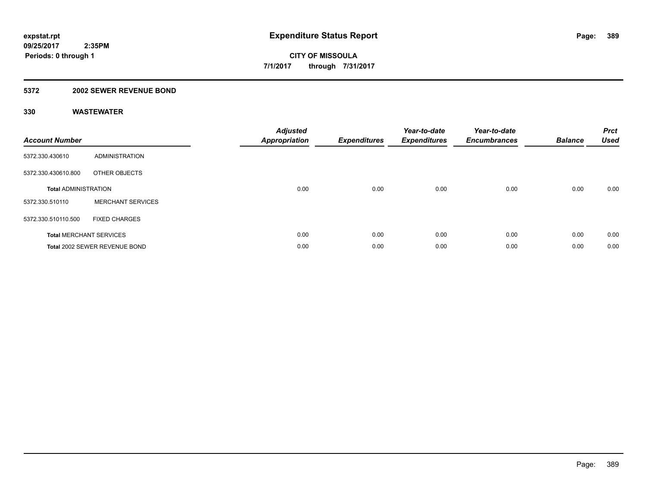### **5372 2002 SEWER REVENUE BOND**

| <b>Account Number</b>       |                                | <b>Adjusted</b><br><b>Appropriation</b> | <b>Expenditures</b> | Year-to-date<br><b>Expenditures</b> | Year-to-date<br><b>Encumbrances</b> | <b>Balance</b> | <b>Prct</b><br><b>Used</b> |
|-----------------------------|--------------------------------|-----------------------------------------|---------------------|-------------------------------------|-------------------------------------|----------------|----------------------------|
| 5372.330.430610             | <b>ADMINISTRATION</b>          |                                         |                     |                                     |                                     |                |                            |
| 5372.330.430610.800         | OTHER OBJECTS                  |                                         |                     |                                     |                                     |                |                            |
| <b>Total ADMINISTRATION</b> |                                | 0.00                                    | 0.00                | 0.00                                | 0.00                                | 0.00           | 0.00                       |
| 5372.330.510110             | <b>MERCHANT SERVICES</b>       |                                         |                     |                                     |                                     |                |                            |
| 5372.330.510110.500         | <b>FIXED CHARGES</b>           |                                         |                     |                                     |                                     |                |                            |
|                             | <b>Total MERCHANT SERVICES</b> | 0.00                                    | 0.00                | 0.00                                | 0.00                                | 0.00           | 0.00                       |
|                             | Total 2002 SEWER REVENUE BOND  | 0.00                                    | 0.00                | 0.00                                | 0.00                                | 0.00           | 0.00                       |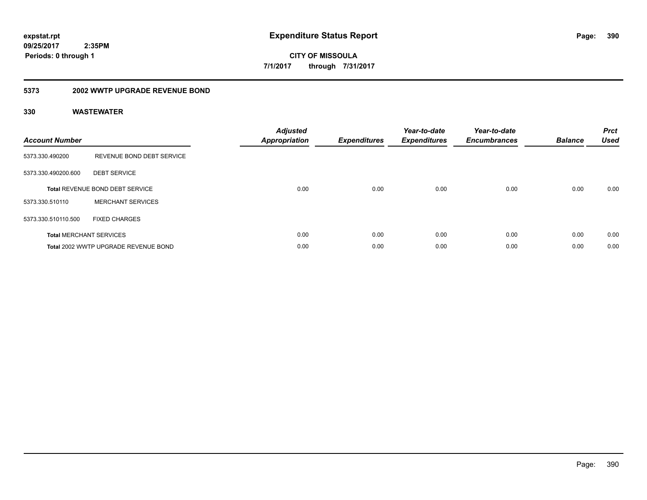**CITY OF MISSOULA 7/1/2017 through 7/31/2017**

### **5373 2002 WWTP UPGRADE REVENUE BOND**

| <b>Account Number</b> |                                        | <b>Adjusted</b><br><b>Appropriation</b> | <b>Expenditures</b> | Year-to-date<br><b>Expenditures</b> | Year-to-date<br><b>Encumbrances</b> | <b>Balance</b> | <b>Prct</b><br><b>Used</b> |
|-----------------------|----------------------------------------|-----------------------------------------|---------------------|-------------------------------------|-------------------------------------|----------------|----------------------------|
| 5373.330.490200       | REVENUE BOND DEBT SERVICE              |                                         |                     |                                     |                                     |                |                            |
| 5373.330.490200.600   | <b>DEBT SERVICE</b>                    |                                         |                     |                                     |                                     |                |                            |
|                       | <b>Total REVENUE BOND DEBT SERVICE</b> | 0.00                                    | 0.00                | 0.00                                | 0.00                                | 0.00           | 0.00                       |
| 5373.330.510110       | <b>MERCHANT SERVICES</b>               |                                         |                     |                                     |                                     |                |                            |
| 5373.330.510110.500   | <b>FIXED CHARGES</b>                   |                                         |                     |                                     |                                     |                |                            |
|                       | <b>Total MERCHANT SERVICES</b>         | 0.00                                    | 0.00                | 0.00                                | 0.00                                | 0.00           | 0.00                       |
|                       | Total 2002 WWTP UPGRADE REVENUE BOND   | 0.00                                    | 0.00                | 0.00                                | 0.00                                | 0.00           | 0.00                       |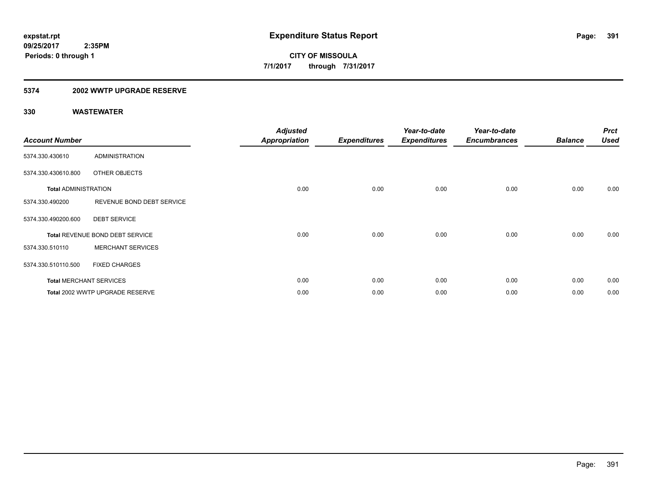### **5374 2002 WWTP UPGRADE RESERVE**

| <b>Account Number</b>       |                                 | <b>Adjusted</b><br><b>Appropriation</b> | <b>Expenditures</b> | Year-to-date<br><b>Expenditures</b> | Year-to-date<br><b>Encumbrances</b> | <b>Balance</b> | <b>Prct</b><br><b>Used</b> |
|-----------------------------|---------------------------------|-----------------------------------------|---------------------|-------------------------------------|-------------------------------------|----------------|----------------------------|
| 5374.330.430610             | <b>ADMINISTRATION</b>           |                                         |                     |                                     |                                     |                |                            |
| 5374.330.430610.800         | OTHER OBJECTS                   |                                         |                     |                                     |                                     |                |                            |
| <b>Total ADMINISTRATION</b> |                                 | 0.00                                    | 0.00                | 0.00                                | 0.00                                | 0.00           | 0.00                       |
| 5374.330.490200             | REVENUE BOND DEBT SERVICE       |                                         |                     |                                     |                                     |                |                            |
| 5374.330.490200.600         | <b>DEBT SERVICE</b>             |                                         |                     |                                     |                                     |                |                            |
|                             | Total REVENUE BOND DEBT SERVICE | 0.00                                    | 0.00                | 0.00                                | 0.00                                | 0.00           | 0.00                       |
| 5374.330.510110             | <b>MERCHANT SERVICES</b>        |                                         |                     |                                     |                                     |                |                            |
| 5374.330.510110.500         | <b>FIXED CHARGES</b>            |                                         |                     |                                     |                                     |                |                            |
|                             | <b>Total MERCHANT SERVICES</b>  | 0.00                                    | 0.00                | 0.00                                | 0.00                                | 0.00           | 0.00                       |
|                             | Total 2002 WWTP UPGRADE RESERVE | 0.00                                    | 0.00                | 0.00                                | 0.00                                | 0.00           | 0.00                       |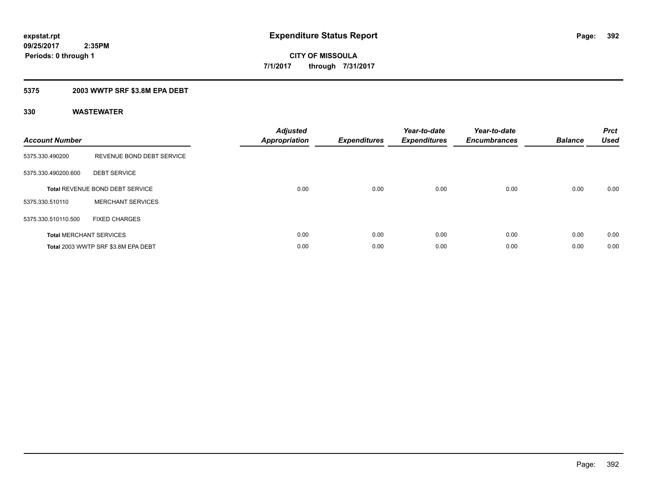## **5375 2003 WWTP SRF \$3.8M EPA DEBT**

| <b>Account Number</b> |                                        | <b>Adjusted</b><br>Appropriation | <b>Expenditures</b> | Year-to-date<br><b>Expenditures</b> | Year-to-date<br><b>Encumbrances</b> | <b>Balance</b> | <b>Prct</b><br><b>Used</b> |
|-----------------------|----------------------------------------|----------------------------------|---------------------|-------------------------------------|-------------------------------------|----------------|----------------------------|
| 5375.330.490200       | REVENUE BOND DEBT SERVICE              |                                  |                     |                                     |                                     |                |                            |
| 5375.330.490200.600   | <b>DEBT SERVICE</b>                    |                                  |                     |                                     |                                     |                |                            |
|                       | <b>Total REVENUE BOND DEBT SERVICE</b> | 0.00                             | 0.00                | 0.00                                | 0.00                                | 0.00           | 0.00                       |
| 5375.330.510110       | <b>MERCHANT SERVICES</b>               |                                  |                     |                                     |                                     |                |                            |
| 5375.330.510110.500   | <b>FIXED CHARGES</b>                   |                                  |                     |                                     |                                     |                |                            |
|                       | <b>Total MERCHANT SERVICES</b>         | 0.00                             | 0.00                | 0.00                                | 0.00                                | 0.00           | 0.00                       |
|                       | Total 2003 WWTP SRF \$3.8M EPA DEBT    | 0.00                             | 0.00                | 0.00                                | 0.00                                | 0.00           | 0.00                       |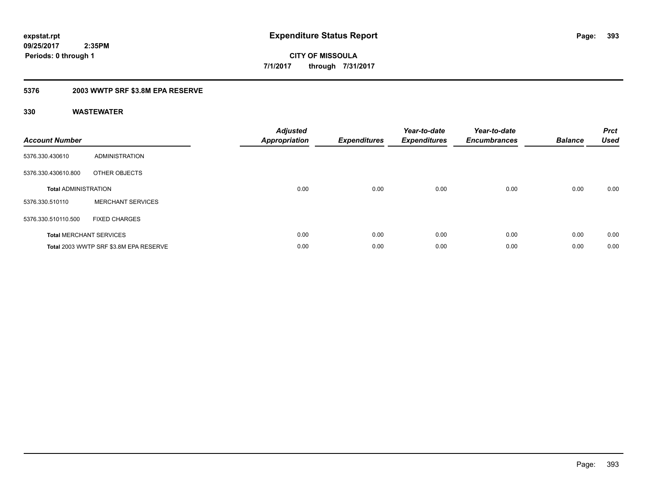## **5376 2003 WWTP SRF \$3.8M EPA RESERVE**

| <b>Account Number</b>          |                                        | <b>Adjusted</b><br><b>Appropriation</b> | <b>Expenditures</b> | Year-to-date<br><b>Expenditures</b> | Year-to-date<br><b>Encumbrances</b> | <b>Balance</b> | <b>Prct</b><br><b>Used</b> |
|--------------------------------|----------------------------------------|-----------------------------------------|---------------------|-------------------------------------|-------------------------------------|----------------|----------------------------|
| 5376.330.430610                | <b>ADMINISTRATION</b>                  |                                         |                     |                                     |                                     |                |                            |
| 5376.330.430610.800            | OTHER OBJECTS                          |                                         |                     |                                     |                                     |                |                            |
| <b>Total ADMINISTRATION</b>    |                                        | 0.00                                    | 0.00                | 0.00                                | 0.00                                | 0.00           | 0.00                       |
| 5376.330.510110                | <b>MERCHANT SERVICES</b>               |                                         |                     |                                     |                                     |                |                            |
| 5376.330.510110.500            | <b>FIXED CHARGES</b>                   |                                         |                     |                                     |                                     |                |                            |
| <b>Total MERCHANT SERVICES</b> |                                        | 0.00                                    | 0.00                | 0.00                                | 0.00                                | 0.00           | 0.00                       |
|                                | Total 2003 WWTP SRF \$3.8M EPA RESERVE | 0.00                                    | 0.00                | 0.00                                | 0.00                                | 0.00           | 0.00                       |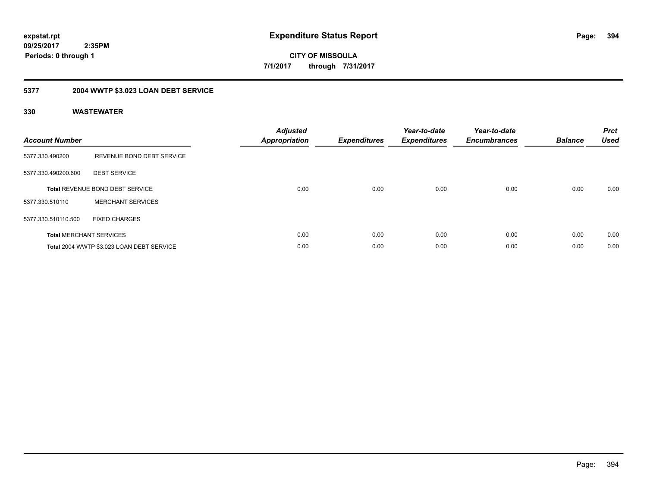**394**

**09/25/2017 2:35PM Periods: 0 through 1**

**CITY OF MISSOULA 7/1/2017 through 7/31/2017**

# **5377 2004 WWTP \$3.023 LOAN DEBT SERVICE**

| <b>Account Number</b> |                                           | <b>Adjusted</b><br>Appropriation | <b>Expenditures</b> | Year-to-date<br><b>Expenditures</b> | Year-to-date<br><b>Encumbrances</b> | <b>Balance</b> | <b>Prct</b><br><b>Used</b> |
|-----------------------|-------------------------------------------|----------------------------------|---------------------|-------------------------------------|-------------------------------------|----------------|----------------------------|
| 5377.330.490200       | REVENUE BOND DEBT SERVICE                 |                                  |                     |                                     |                                     |                |                            |
| 5377.330.490200.600   | <b>DEBT SERVICE</b>                       |                                  |                     |                                     |                                     |                |                            |
|                       | <b>Total REVENUE BOND DEBT SERVICE</b>    | 0.00                             | 0.00                | 0.00                                | 0.00                                | 0.00           | 0.00                       |
| 5377.330.510110       | <b>MERCHANT SERVICES</b>                  |                                  |                     |                                     |                                     |                |                            |
| 5377.330.510110.500   | <b>FIXED CHARGES</b>                      |                                  |                     |                                     |                                     |                |                            |
|                       | <b>Total MERCHANT SERVICES</b>            | 0.00                             | 0.00                | 0.00                                | 0.00                                | 0.00           | 0.00                       |
|                       | Total 2004 WWTP \$3.023 LOAN DEBT SERVICE | 0.00                             | 0.00                | 0.00                                | 0.00                                | 0.00           | 0.00                       |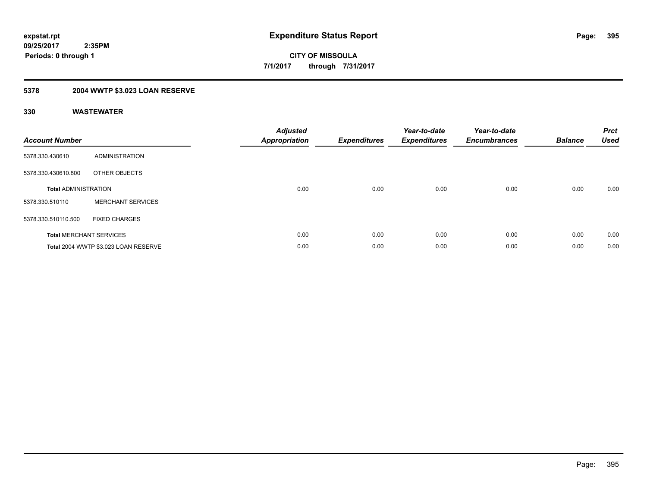### **5378 2004 WWTP \$3.023 LOAN RESERVE**

| <b>Account Number</b>       |                                      | <b>Adjusted</b><br><b>Appropriation</b> | <b>Expenditures</b> | Year-to-date<br><b>Expenditures</b> | Year-to-date<br><b>Encumbrances</b> | <b>Balance</b> | <b>Prct</b><br><b>Used</b> |
|-----------------------------|--------------------------------------|-----------------------------------------|---------------------|-------------------------------------|-------------------------------------|----------------|----------------------------|
| 5378.330.430610             | <b>ADMINISTRATION</b>                |                                         |                     |                                     |                                     |                |                            |
| 5378.330.430610.800         | OTHER OBJECTS                        |                                         |                     |                                     |                                     |                |                            |
| <b>Total ADMINISTRATION</b> |                                      | 0.00                                    | 0.00                | 0.00                                | 0.00                                | 0.00           | 0.00                       |
| 5378.330.510110             | <b>MERCHANT SERVICES</b>             |                                         |                     |                                     |                                     |                |                            |
| 5378.330.510110.500         | <b>FIXED CHARGES</b>                 |                                         |                     |                                     |                                     |                |                            |
|                             | <b>Total MERCHANT SERVICES</b>       | 0.00                                    | 0.00                | 0.00                                | 0.00                                | 0.00           | 0.00                       |
|                             | Total 2004 WWTP \$3.023 LOAN RESERVE | 0.00                                    | 0.00                | 0.00                                | 0.00                                | 0.00           | 0.00                       |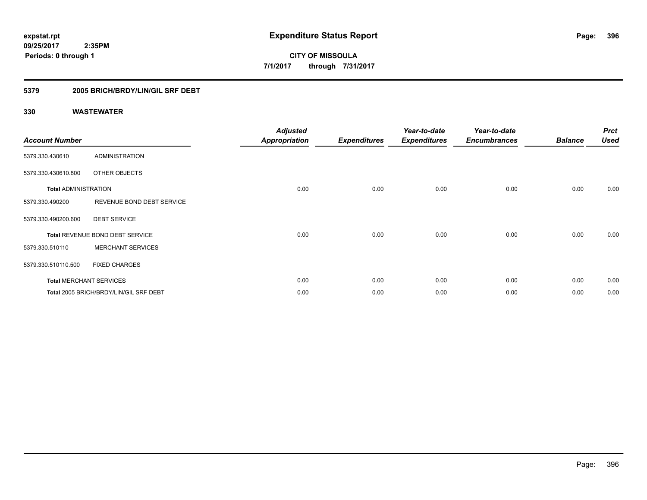## **5379 2005 BRICH/BRDY/LIN/GIL SRF DEBT**

| <b>Account Number</b>       |                                        | <b>Adjusted</b><br><b>Appropriation</b> | <b>Expenditures</b> | Year-to-date<br><b>Expenditures</b> | Year-to-date<br><b>Encumbrances</b> | <b>Balance</b> | <b>Prct</b><br><b>Used</b> |
|-----------------------------|----------------------------------------|-----------------------------------------|---------------------|-------------------------------------|-------------------------------------|----------------|----------------------------|
| 5379.330.430610             | <b>ADMINISTRATION</b>                  |                                         |                     |                                     |                                     |                |                            |
| 5379.330.430610.800         | OTHER OBJECTS                          |                                         |                     |                                     |                                     |                |                            |
| <b>Total ADMINISTRATION</b> |                                        | 0.00                                    | 0.00                | 0.00                                | 0.00                                | 0.00           | 0.00                       |
| 5379.330.490200             | REVENUE BOND DEBT SERVICE              |                                         |                     |                                     |                                     |                |                            |
| 5379.330.490200.600         | <b>DEBT SERVICE</b>                    |                                         |                     |                                     |                                     |                |                            |
|                             | Total REVENUE BOND DEBT SERVICE        | 0.00                                    | 0.00                | 0.00                                | 0.00                                | 0.00           | 0.00                       |
| 5379.330.510110             | <b>MERCHANT SERVICES</b>               |                                         |                     |                                     |                                     |                |                            |
| 5379.330.510110.500         | <b>FIXED CHARGES</b>                   |                                         |                     |                                     |                                     |                |                            |
|                             | <b>Total MERCHANT SERVICES</b>         | 0.00                                    | 0.00                | 0.00                                | 0.00                                | 0.00           | 0.00                       |
|                             | Total 2005 BRICH/BRDY/LIN/GIL SRF DEBT | 0.00                                    | 0.00                | 0.00                                | 0.00                                | 0.00           | 0.00                       |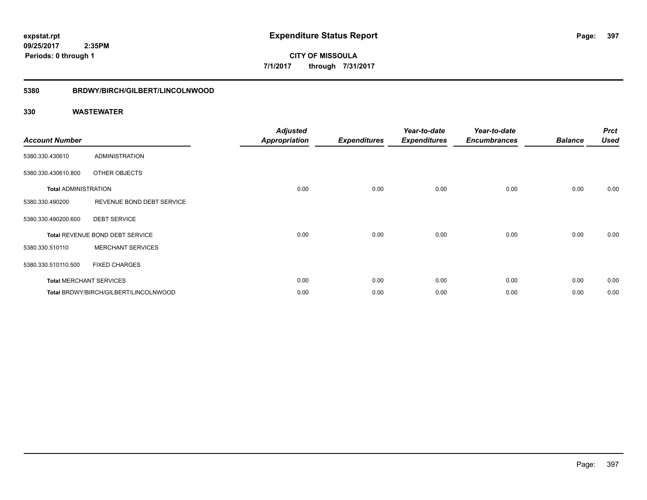**CITY OF MISSOULA 7/1/2017 through 7/31/2017**

# **5380 BRDWY/BIRCH/GILBERT/LINCOLNWOOD**

| <b>Account Number</b>       |                                       | <b>Adjusted</b><br><b>Appropriation</b> | <b>Expenditures</b> | Year-to-date<br><b>Expenditures</b> | Year-to-date<br><b>Encumbrances</b> | <b>Balance</b> | <b>Prct</b><br><b>Used</b> |
|-----------------------------|---------------------------------------|-----------------------------------------|---------------------|-------------------------------------|-------------------------------------|----------------|----------------------------|
| 5380.330.430610             | <b>ADMINISTRATION</b>                 |                                         |                     |                                     |                                     |                |                            |
| 5380.330.430610.800         | OTHER OBJECTS                         |                                         |                     |                                     |                                     |                |                            |
| <b>Total ADMINISTRATION</b> |                                       | 0.00                                    | 0.00                | 0.00                                | 0.00                                | 0.00           | 0.00                       |
| 5380.330.490200             | REVENUE BOND DEBT SERVICE             |                                         |                     |                                     |                                     |                |                            |
| 5380.330.490200.600         | <b>DEBT SERVICE</b>                   |                                         |                     |                                     |                                     |                |                            |
|                             | Total REVENUE BOND DEBT SERVICE       | 0.00                                    | 0.00                | 0.00                                | 0.00                                | 0.00           | 0.00                       |
| 5380.330.510110             | <b>MERCHANT SERVICES</b>              |                                         |                     |                                     |                                     |                |                            |
| 5380.330.510110.500         | <b>FIXED CHARGES</b>                  |                                         |                     |                                     |                                     |                |                            |
|                             | <b>Total MERCHANT SERVICES</b>        | 0.00                                    | 0.00                | 0.00                                | 0.00                                | 0.00           | 0.00                       |
|                             | Total BRDWY/BIRCH/GILBERT/LINCOLNWOOD | 0.00                                    | 0.00                | 0.00                                | 0.00                                | 0.00           | 0.00                       |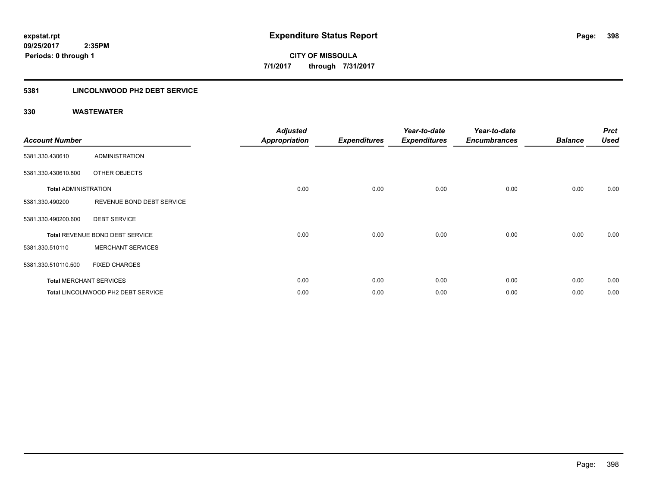# **5381 LINCOLNWOOD PH2 DEBT SERVICE**

| <b>Account Number</b>       |                                    | <b>Adjusted</b><br><b>Appropriation</b> | <b>Expenditures</b> | Year-to-date<br><b>Expenditures</b> | Year-to-date<br><b>Encumbrances</b> | <b>Balance</b> | <b>Prct</b><br><b>Used</b> |
|-----------------------------|------------------------------------|-----------------------------------------|---------------------|-------------------------------------|-------------------------------------|----------------|----------------------------|
| 5381.330.430610             | <b>ADMINISTRATION</b>              |                                         |                     |                                     |                                     |                |                            |
| 5381.330.430610.800         | OTHER OBJECTS                      |                                         |                     |                                     |                                     |                |                            |
| <b>Total ADMINISTRATION</b> |                                    | 0.00                                    | 0.00                | 0.00                                | 0.00                                | 0.00           | 0.00                       |
| 5381.330.490200             | REVENUE BOND DEBT SERVICE          |                                         |                     |                                     |                                     |                |                            |
| 5381.330.490200.600         | <b>DEBT SERVICE</b>                |                                         |                     |                                     |                                     |                |                            |
|                             | Total REVENUE BOND DEBT SERVICE    | 0.00                                    | 0.00                | 0.00                                | 0.00                                | 0.00           | 0.00                       |
| 5381.330.510110             | <b>MERCHANT SERVICES</b>           |                                         |                     |                                     |                                     |                |                            |
| 5381.330.510110.500         | <b>FIXED CHARGES</b>               |                                         |                     |                                     |                                     |                |                            |
|                             | <b>Total MERCHANT SERVICES</b>     | 0.00                                    | 0.00                | 0.00                                | 0.00                                | 0.00           | 0.00                       |
|                             | Total LINCOLNWOOD PH2 DEBT SERVICE | 0.00                                    | 0.00                | 0.00                                | 0.00                                | 0.00           | 0.00                       |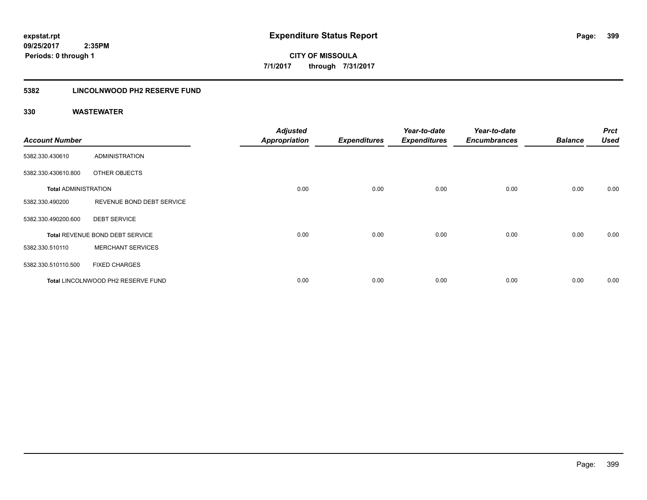# **5382 LINCOLNWOOD PH2 RESERVE FUND**

| <b>Account Number</b>       |                                    | <b>Adjusted</b><br><b>Appropriation</b> | <b>Expenditures</b> | Year-to-date<br><b>Expenditures</b> | Year-to-date<br><b>Encumbrances</b> | <b>Balance</b> | <b>Prct</b><br><b>Used</b> |
|-----------------------------|------------------------------------|-----------------------------------------|---------------------|-------------------------------------|-------------------------------------|----------------|----------------------------|
| 5382.330.430610             | <b>ADMINISTRATION</b>              |                                         |                     |                                     |                                     |                |                            |
| 5382.330.430610.800         | OTHER OBJECTS                      |                                         |                     |                                     |                                     |                |                            |
| <b>Total ADMINISTRATION</b> |                                    | 0.00                                    | 0.00                | 0.00                                | 0.00                                | 0.00           | 0.00                       |
| 5382.330.490200             | REVENUE BOND DEBT SERVICE          |                                         |                     |                                     |                                     |                |                            |
| 5382.330.490200.600         | <b>DEBT SERVICE</b>                |                                         |                     |                                     |                                     |                |                            |
|                             | Total REVENUE BOND DEBT SERVICE    | 0.00                                    | 0.00                | 0.00                                | 0.00                                | 0.00           | 0.00                       |
| 5382.330.510110             | <b>MERCHANT SERVICES</b>           |                                         |                     |                                     |                                     |                |                            |
| 5382.330.510110.500         | <b>FIXED CHARGES</b>               |                                         |                     |                                     |                                     |                |                            |
|                             | Total LINCOLNWOOD PH2 RESERVE FUND | 0.00                                    | 0.00                | 0.00                                | 0.00                                | 0.00           | 0.00                       |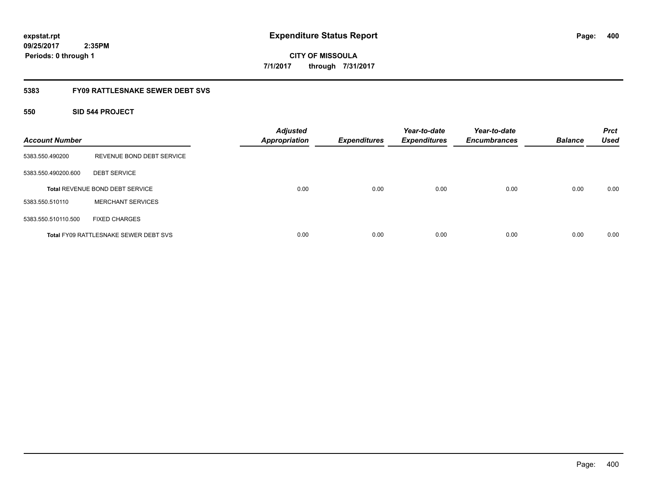**CITY OF MISSOULA 7/1/2017 through 7/31/2017**

# **5383 FY09 RATTLESNAKE SEWER DEBT SVS**

# **550 SID 544 PROJECT**

| <b>Account Number</b> |                                              | <b>Adjusted</b><br><b>Appropriation</b> | <b>Expenditures</b> | Year-to-date<br><b>Expenditures</b> | Year-to-date<br><b>Encumbrances</b> | <b>Balance</b> | <b>Prct</b><br><b>Used</b> |
|-----------------------|----------------------------------------------|-----------------------------------------|---------------------|-------------------------------------|-------------------------------------|----------------|----------------------------|
| 5383.550.490200       | REVENUE BOND DEBT SERVICE                    |                                         |                     |                                     |                                     |                |                            |
| 5383.550.490200.600   | <b>DEBT SERVICE</b>                          |                                         |                     |                                     |                                     |                |                            |
|                       | <b>Total REVENUE BOND DEBT SERVICE</b>       | 0.00                                    | 0.00                | 0.00                                | 0.00                                | 0.00           | 0.00                       |
| 5383.550.510110       | <b>MERCHANT SERVICES</b>                     |                                         |                     |                                     |                                     |                |                            |
| 5383.550.510110.500   | <b>FIXED CHARGES</b>                         |                                         |                     |                                     |                                     |                |                            |
|                       | <b>Total FY09 RATTLESNAKE SEWER DEBT SVS</b> | 0.00                                    | 0.00                | 0.00                                | 0.00                                | 0.00           | 0.00                       |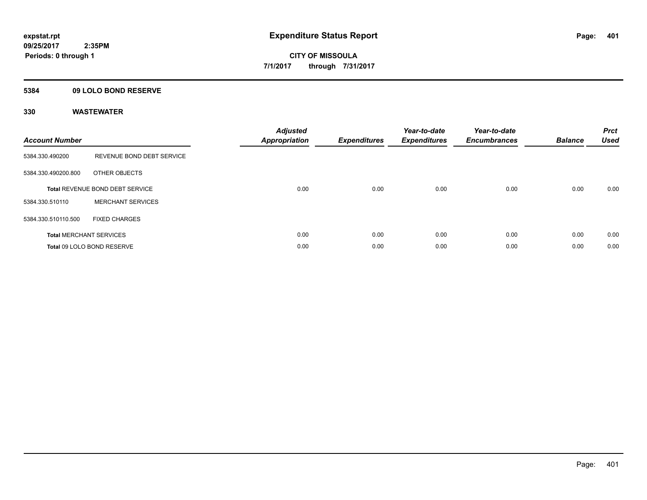# **5384 09 LOLO BOND RESERVE**

| <b>Account Number</b> |                                 | <b>Adjusted</b><br>Appropriation | <b>Expenditures</b> | Year-to-date<br><b>Expenditures</b> | Year-to-date<br><b>Encumbrances</b> | <b>Balance</b> | <b>Prct</b><br><b>Used</b> |
|-----------------------|---------------------------------|----------------------------------|---------------------|-------------------------------------|-------------------------------------|----------------|----------------------------|
| 5384.330.490200       | REVENUE BOND DEBT SERVICE       |                                  |                     |                                     |                                     |                |                            |
| 5384.330.490200.800   | OTHER OBJECTS                   |                                  |                     |                                     |                                     |                |                            |
|                       | Total REVENUE BOND DEBT SERVICE | 0.00                             | 0.00                | 0.00                                | 0.00                                | 0.00           | 0.00                       |
| 5384.330.510110       | <b>MERCHANT SERVICES</b>        |                                  |                     |                                     |                                     |                |                            |
| 5384.330.510110.500   | <b>FIXED CHARGES</b>            |                                  |                     |                                     |                                     |                |                            |
|                       | <b>Total MERCHANT SERVICES</b>  | 0.00                             | 0.00                | 0.00                                | 0.00                                | 0.00           | 0.00                       |
|                       | Total 09 LOLO BOND RESERVE      | 0.00                             | 0.00                | 0.00                                | 0.00                                | 0.00           | 0.00                       |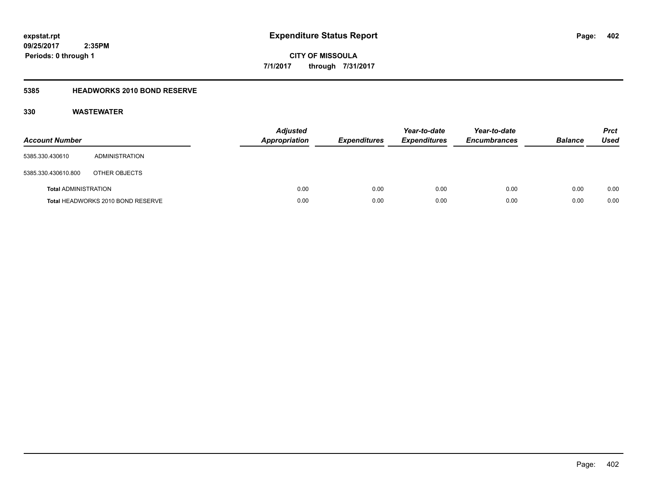**CITY OF MISSOULA 7/1/2017 through 7/31/2017**

# **5385 HEADWORKS 2010 BOND RESERVE**

| <b>Account Number</b>       |                                   | <b>Adjusted</b><br><b>Appropriation</b> | <b>Expenditures</b> | Year-to-date<br><b>Expenditures</b> | Year-to-date<br><b>Encumbrances</b> | <b>Balance</b> | <b>Prct</b><br>Used |
|-----------------------------|-----------------------------------|-----------------------------------------|---------------------|-------------------------------------|-------------------------------------|----------------|---------------------|
| 5385.330.430610             | ADMINISTRATION                    |                                         |                     |                                     |                                     |                |                     |
| 5385.330.430610.800         | OTHER OBJECTS                     |                                         |                     |                                     |                                     |                |                     |
| <b>Total ADMINISTRATION</b> |                                   | 0.00                                    | 0.00                | 0.00                                | 0.00                                | 0.00           | 0.00                |
|                             | Total HEADWORKS 2010 BOND RESERVE | 0.00                                    | 0.00                | 0.00                                | 0.00                                | 0.00           | 0.00                |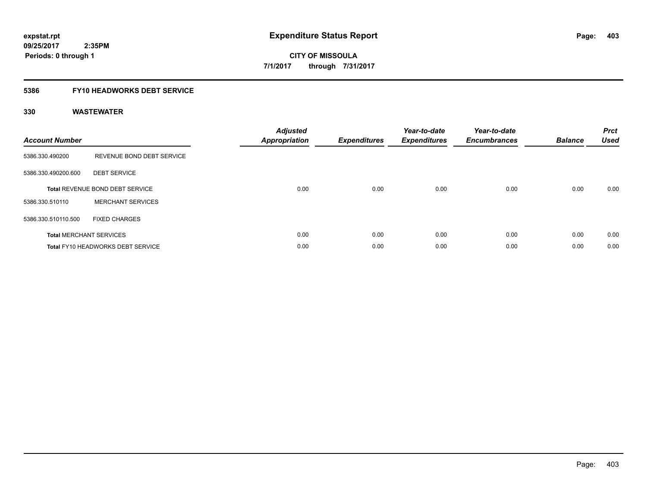# **5386 FY10 HEADWORKS DEBT SERVICE**

| <b>Account Number</b> |                                          | <b>Adjusted</b><br>Appropriation | <b>Expenditures</b> | Year-to-date<br><b>Expenditures</b> | Year-to-date<br><b>Encumbrances</b> | <b>Balance</b> | <b>Prct</b><br><b>Used</b> |
|-----------------------|------------------------------------------|----------------------------------|---------------------|-------------------------------------|-------------------------------------|----------------|----------------------------|
| 5386.330.490200       | REVENUE BOND DEBT SERVICE                |                                  |                     |                                     |                                     |                |                            |
| 5386.330.490200.600   | <b>DEBT SERVICE</b>                      |                                  |                     |                                     |                                     |                |                            |
|                       | <b>Total REVENUE BOND DEBT SERVICE</b>   | 0.00                             | 0.00                | 0.00                                | 0.00                                | 0.00           | 0.00                       |
| 5386.330.510110       | <b>MERCHANT SERVICES</b>                 |                                  |                     |                                     |                                     |                |                            |
| 5386.330.510110.500   | <b>FIXED CHARGES</b>                     |                                  |                     |                                     |                                     |                |                            |
|                       | <b>Total MERCHANT SERVICES</b>           | 0.00                             | 0.00                | 0.00                                | 0.00                                | 0.00           | 0.00                       |
|                       | <b>Total FY10 HEADWORKS DEBT SERVICE</b> | 0.00                             | 0.00                | 0.00                                | 0.00                                | 0.00           | 0.00                       |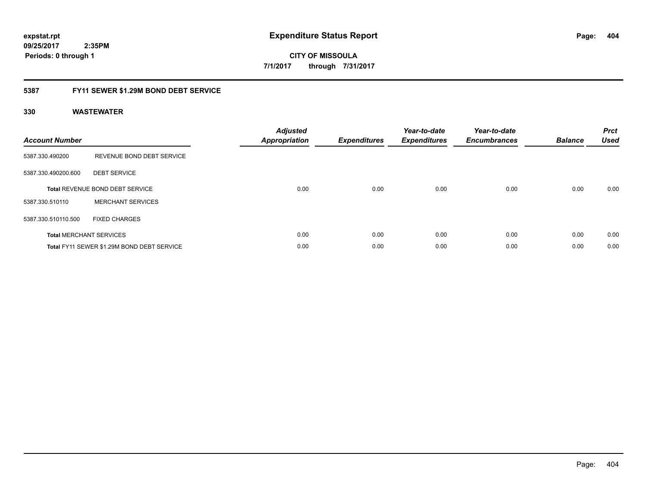**404**

**09/25/2017 2:35PM Periods: 0 through 1**

**CITY OF MISSOULA 7/1/2017 through 7/31/2017**

# **5387 FY11 SEWER \$1.29M BOND DEBT SERVICE**

| <b>Account Number</b> |                                            | <b>Adjusted</b><br>Appropriation | <b>Expenditures</b> | Year-to-date<br><b>Expenditures</b> | Year-to-date<br><b>Encumbrances</b> | <b>Balance</b> | <b>Prct</b><br><b>Used</b> |
|-----------------------|--------------------------------------------|----------------------------------|---------------------|-------------------------------------|-------------------------------------|----------------|----------------------------|
| 5387.330.490200       | REVENUE BOND DEBT SERVICE                  |                                  |                     |                                     |                                     |                |                            |
| 5387.330.490200.600   | <b>DEBT SERVICE</b>                        |                                  |                     |                                     |                                     |                |                            |
|                       | <b>Total REVENUE BOND DEBT SERVICE</b>     | 0.00                             | 0.00                | 0.00                                | 0.00                                | 0.00           | 0.00                       |
| 5387.330.510110       | <b>MERCHANT SERVICES</b>                   |                                  |                     |                                     |                                     |                |                            |
| 5387.330.510110.500   | <b>FIXED CHARGES</b>                       |                                  |                     |                                     |                                     |                |                            |
|                       | <b>Total MERCHANT SERVICES</b>             | 0.00                             | 0.00                | 0.00                                | 0.00                                | 0.00           | 0.00                       |
|                       | Total FY11 SEWER \$1.29M BOND DEBT SERVICE | 0.00                             | 0.00                | 0.00                                | 0.00                                | 0.00           | 0.00                       |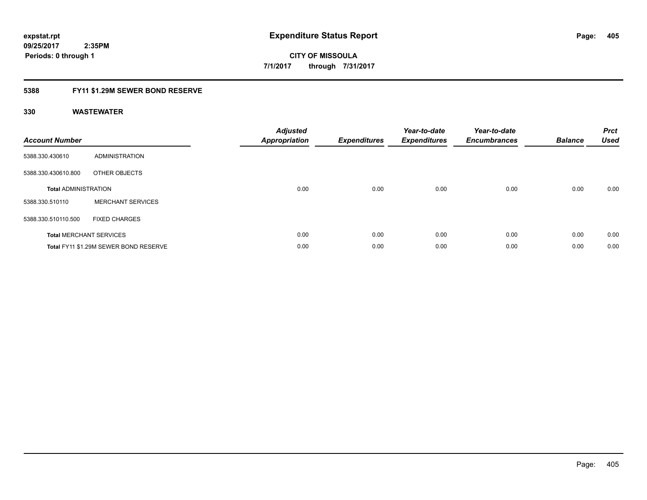# **5388 FY11 \$1.29M SEWER BOND RESERVE**

| <b>Account Number</b>       |                                       | <b>Adjusted</b><br>Appropriation | <b>Expenditures</b> | Year-to-date<br><b>Expenditures</b> | Year-to-date<br><b>Encumbrances</b> | <b>Balance</b> | <b>Prct</b><br><b>Used</b> |
|-----------------------------|---------------------------------------|----------------------------------|---------------------|-------------------------------------|-------------------------------------|----------------|----------------------------|
| 5388.330.430610             | ADMINISTRATION                        |                                  |                     |                                     |                                     |                |                            |
| 5388.330.430610.800         | OTHER OBJECTS                         |                                  |                     |                                     |                                     |                |                            |
| <b>Total ADMINISTRATION</b> |                                       | 0.00                             | 0.00                | 0.00                                | 0.00                                | 0.00           | 0.00                       |
| 5388.330.510110             | <b>MERCHANT SERVICES</b>              |                                  |                     |                                     |                                     |                |                            |
| 5388.330.510110.500         | <b>FIXED CHARGES</b>                  |                                  |                     |                                     |                                     |                |                            |
|                             | <b>Total MERCHANT SERVICES</b>        | 0.00                             | 0.00                | 0.00                                | 0.00                                | 0.00           | 0.00                       |
|                             | Total FY11 \$1.29M SEWER BOND RESERVE | 0.00                             | 0.00                | 0.00                                | 0.00                                | 0.00           | 0.00                       |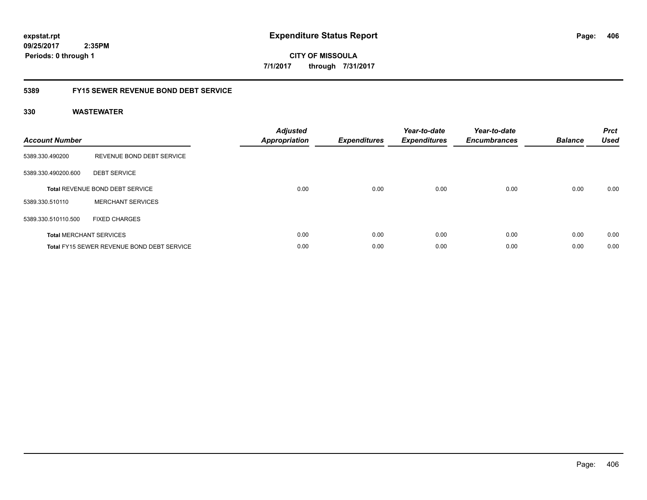**CITY OF MISSOULA 7/1/2017 through 7/31/2017**

# **5389 FY15 SEWER REVENUE BOND DEBT SERVICE**

| <b>Account Number</b> |                                            | <b>Adjusted</b><br>Appropriation | <b>Expenditures</b> | Year-to-date<br><b>Expenditures</b> | Year-to-date<br><b>Encumbrances</b> | <b>Balance</b> | <b>Prct</b><br><b>Used</b> |
|-----------------------|--------------------------------------------|----------------------------------|---------------------|-------------------------------------|-------------------------------------|----------------|----------------------------|
| 5389.330.490200       | REVENUE BOND DEBT SERVICE                  |                                  |                     |                                     |                                     |                |                            |
| 5389.330.490200.600   | <b>DEBT SERVICE</b>                        |                                  |                     |                                     |                                     |                |                            |
|                       | <b>Total REVENUE BOND DEBT SERVICE</b>     | 0.00                             | 0.00                | 0.00                                | 0.00                                | 0.00           | 0.00                       |
| 5389.330.510110       | <b>MERCHANT SERVICES</b>                   |                                  |                     |                                     |                                     |                |                            |
| 5389.330.510110.500   | <b>FIXED CHARGES</b>                       |                                  |                     |                                     |                                     |                |                            |
|                       | <b>Total MERCHANT SERVICES</b>             | 0.00                             | 0.00                | 0.00                                | 0.00                                | 0.00           | 0.00                       |
|                       | Total FY15 SEWER REVENUE BOND DEBT SERVICE | 0.00                             | 0.00                | 0.00                                | 0.00                                | 0.00           | 0.00                       |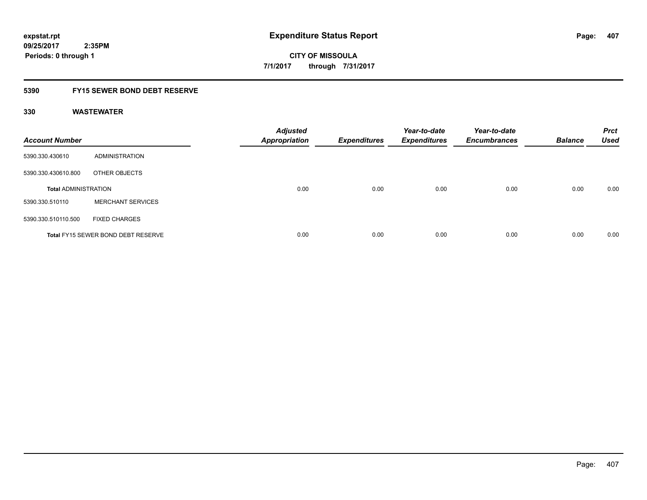# **5390 FY15 SEWER BOND DEBT RESERVE**

| <b>Account Number</b>       |                                           | <b>Adjusted</b><br><b>Appropriation</b> | <b>Expenditures</b> | Year-to-date<br><b>Expenditures</b> | Year-to-date<br><b>Encumbrances</b> | <b>Balance</b> | <b>Prct</b><br><b>Used</b> |
|-----------------------------|-------------------------------------------|-----------------------------------------|---------------------|-------------------------------------|-------------------------------------|----------------|----------------------------|
| 5390.330.430610             | ADMINISTRATION                            |                                         |                     |                                     |                                     |                |                            |
| 5390.330.430610.800         | OTHER OBJECTS                             |                                         |                     |                                     |                                     |                |                            |
| <b>Total ADMINISTRATION</b> |                                           | 0.00                                    | 0.00                | 0.00                                | 0.00                                | 0.00           | 0.00                       |
| 5390.330.510110             | <b>MERCHANT SERVICES</b>                  |                                         |                     |                                     |                                     |                |                            |
| 5390.330.510110.500         | <b>FIXED CHARGES</b>                      |                                         |                     |                                     |                                     |                |                            |
|                             | <b>Total FY15 SEWER BOND DEBT RESERVE</b> | 0.00                                    | 0.00                | 0.00                                | 0.00                                | 0.00           | 0.00                       |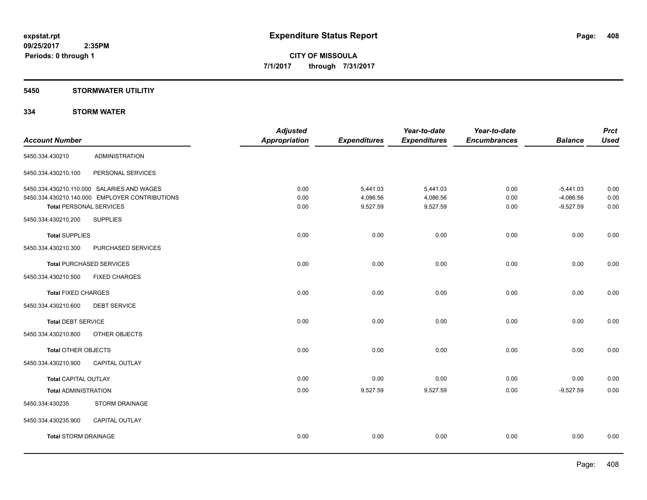# **5450 STORMWATER UTILITIY**

# **334 STORM WATER**

|                                                | <b>Adjusted</b> |               | Year-to-date        | Year-to-date        |                     | <b>Prct</b><br><b>Used</b> |
|------------------------------------------------|-----------------|---------------|---------------------|---------------------|---------------------|----------------------------|
|                                                |                 |               |                     |                     |                     |                            |
| <b>ADMINISTRATION</b>                          |                 |               |                     |                     |                     |                            |
| PERSONAL SERVICES                              |                 |               |                     |                     |                     |                            |
| 5450.334.430210.110.000 SALARIES AND WAGES     | 0.00            | 5,441.03      | 5,441.03            | 0.00                | $-5,441.03$         | 0.00                       |
| 5450.334.430210.140.000 EMPLOYER CONTRIBUTIONS | 0.00            | 4,086.56      | 4,086.56            | 0.00                | $-4,086.56$         | 0.00                       |
| <b>Total PERSONAL SERVICES</b>                 | 0.00            | 9,527.59      | 9,527.59            | 0.00                | $-9,527.59$         | 0.00                       |
| <b>SUPPLIES</b>                                |                 |               |                     |                     |                     |                            |
|                                                | 0.00            | 0.00          | 0.00                | 0.00                | 0.00                | 0.00                       |
| PURCHASED SERVICES                             |                 |               |                     |                     |                     |                            |
| <b>Total PURCHASED SERVICES</b>                | 0.00            | 0.00          | 0.00                | 0.00                | 0.00                | 0.00                       |
| <b>FIXED CHARGES</b>                           |                 |               |                     |                     |                     |                            |
| <b>Total FIXED CHARGES</b>                     | 0.00            | 0.00          | 0.00                | 0.00                | 0.00                | 0.00                       |
| <b>DEBT SERVICE</b>                            |                 |               |                     |                     |                     |                            |
| <b>Total DEBT SERVICE</b>                      | 0.00            | 0.00          | 0.00                | 0.00                | 0.00                | 0.00                       |
| OTHER OBJECTS                                  |                 |               |                     |                     |                     |                            |
| <b>Total OTHER OBJECTS</b>                     | 0.00            | 0.00          | 0.00                | 0.00                | 0.00                | 0.00                       |
| <b>CAPITAL OUTLAY</b>                          |                 |               |                     |                     |                     |                            |
| <b>Total CAPITAL OUTLAY</b>                    | 0.00            | 0.00          | 0.00                | 0.00                | 0.00                | 0.00                       |
| <b>Total ADMINISTRATION</b>                    | 0.00            | 9,527.59      | 9,527.59            | 0.00                | $-9,527.59$         | 0.00                       |
| <b>STORM DRAINAGE</b>                          |                 |               |                     |                     |                     |                            |
| CAPITAL OUTLAY                                 |                 |               |                     |                     |                     |                            |
| <b>Total STORM DRAINAGE</b>                    | 0.00            | 0.00          | 0.00                | 0.00                | 0.00                | 0.00                       |
|                                                |                 | Appropriation | <b>Expenditures</b> | <b>Expenditures</b> | <b>Encumbrances</b> | <b>Balance</b>             |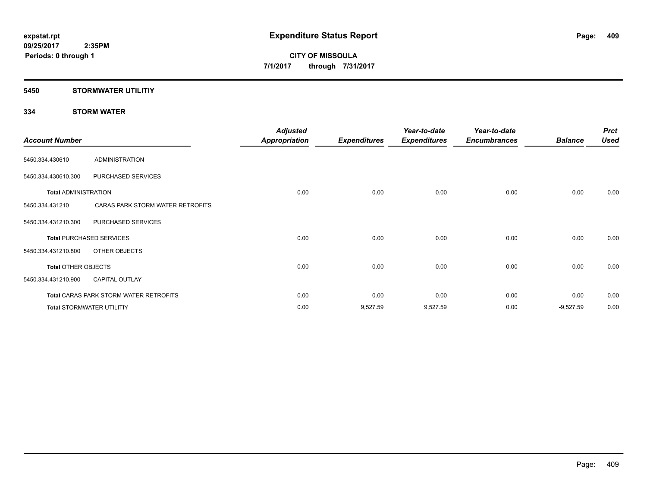# **5450 STORMWATER UTILITIY**

# **334 STORM WATER**

| <b>Account Number</b>       |                                               | <b>Adjusted</b><br><b>Appropriation</b> | <b>Expenditures</b> | Year-to-date<br><b>Expenditures</b> | Year-to-date<br><b>Encumbrances</b> | <b>Balance</b> | <b>Prct</b><br><b>Used</b> |
|-----------------------------|-----------------------------------------------|-----------------------------------------|---------------------|-------------------------------------|-------------------------------------|----------------|----------------------------|
| 5450.334.430610             | <b>ADMINISTRATION</b>                         |                                         |                     |                                     |                                     |                |                            |
| 5450.334.430610.300         | PURCHASED SERVICES                            |                                         |                     |                                     |                                     |                |                            |
| <b>Total ADMINISTRATION</b> |                                               | 0.00                                    | 0.00                | 0.00                                | 0.00                                | 0.00           | 0.00                       |
| 5450.334.431210             | CARAS PARK STORM WATER RETROFITS              |                                         |                     |                                     |                                     |                |                            |
| 5450.334.431210.300         | PURCHASED SERVICES                            |                                         |                     |                                     |                                     |                |                            |
|                             | <b>Total PURCHASED SERVICES</b>               | 0.00                                    | 0.00                | 0.00                                | 0.00                                | 0.00           | 0.00                       |
| 5450.334.431210.800         | OTHER OBJECTS                                 |                                         |                     |                                     |                                     |                |                            |
| <b>Total OTHER OBJECTS</b>  |                                               | 0.00                                    | 0.00                | 0.00                                | 0.00                                | 0.00           | 0.00                       |
| 5450.334.431210.900         | <b>CAPITAL OUTLAY</b>                         |                                         |                     |                                     |                                     |                |                            |
|                             | <b>Total CARAS PARK STORM WATER RETROFITS</b> | 0.00                                    | 0.00                | 0.00                                | 0.00                                | 0.00           | 0.00                       |
|                             | <b>Total STORMWATER UTILITIY</b>              | 0.00                                    | 9,527.59            | 9,527.59                            | 0.00                                | $-9,527.59$    | 0.00                       |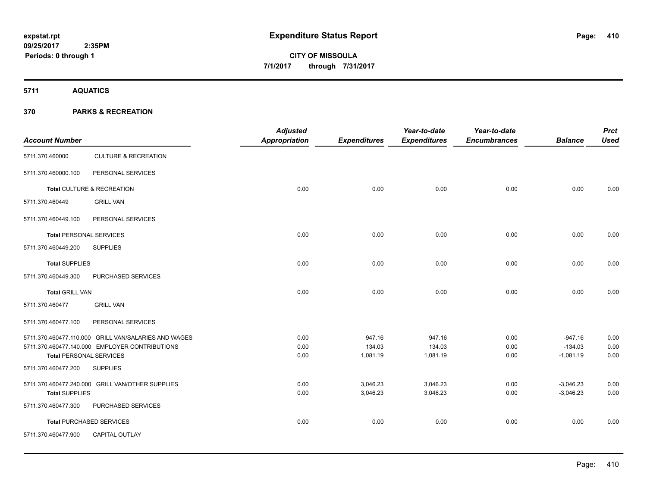**5711 AQUATICS**

| <b>Account Number</b>          |                                                      | <b>Adjusted</b><br><b>Appropriation</b> | <b>Expenditures</b> | Year-to-date<br><b>Expenditures</b> | Year-to-date<br><b>Encumbrances</b> | <b>Balance</b>           | <b>Prct</b><br><b>Used</b> |
|--------------------------------|------------------------------------------------------|-----------------------------------------|---------------------|-------------------------------------|-------------------------------------|--------------------------|----------------------------|
| 5711.370.460000                | <b>CULTURE &amp; RECREATION</b>                      |                                         |                     |                                     |                                     |                          |                            |
| 5711.370.460000.100            | PERSONAL SERVICES                                    |                                         |                     |                                     |                                     |                          |                            |
|                                | Total CULTURE & RECREATION                           | 0.00                                    | 0.00                | 0.00                                | 0.00                                | 0.00                     | 0.00                       |
| 5711.370.460449                | <b>GRILL VAN</b>                                     |                                         |                     |                                     |                                     |                          |                            |
| 5711.370.460449.100            | PERSONAL SERVICES                                    |                                         |                     |                                     |                                     |                          |                            |
| <b>Total PERSONAL SERVICES</b> |                                                      | 0.00                                    | 0.00                | 0.00                                | 0.00                                | 0.00                     | 0.00                       |
| 5711.370.460449.200            | <b>SUPPLIES</b>                                      |                                         |                     |                                     |                                     |                          |                            |
| <b>Total SUPPLIES</b>          |                                                      | 0.00                                    | 0.00                | 0.00                                | 0.00                                | 0.00                     | 0.00                       |
| 5711.370.460449.300            | PURCHASED SERVICES                                   |                                         |                     |                                     |                                     |                          |                            |
| <b>Total GRILL VAN</b>         |                                                      | 0.00                                    | 0.00                | 0.00                                | 0.00                                | 0.00                     | 0.00                       |
| 5711.370.460477                | <b>GRILL VAN</b>                                     |                                         |                     |                                     |                                     |                          |                            |
| 5711.370.460477.100            | PERSONAL SERVICES                                    |                                         |                     |                                     |                                     |                          |                            |
|                                | 5711.370.460477.110.000 GRILL VAN/SALARIES AND WAGES | 0.00                                    | 947.16              | 947.16                              | 0.00                                | $-947.16$                | 0.00                       |
| <b>Total PERSONAL SERVICES</b> | 5711.370.460477.140.000 EMPLOYER CONTRIBUTIONS       | 0.00<br>0.00                            | 134.03<br>1,081.19  | 134.03<br>1,081.19                  | 0.00<br>0.00                        | $-134.03$<br>$-1,081.19$ | 0.00<br>0.00               |
| 5711.370.460477.200            | <b>SUPPLIES</b>                                      |                                         |                     |                                     |                                     |                          |                            |
|                                | 5711.370.460477.240.000 GRILL VAN/OTHER SUPPLIES     | 0.00                                    | 3,046.23            | 3,046.23                            | 0.00                                | $-3,046.23$              | 0.00                       |
| <b>Total SUPPLIES</b>          |                                                      | 0.00                                    | 3,046.23            | 3,046.23                            | 0.00                                | $-3,046.23$              | 0.00                       |
| 5711.370.460477.300            | PURCHASED SERVICES                                   |                                         |                     |                                     |                                     |                          |                            |
|                                | <b>Total PURCHASED SERVICES</b>                      | 0.00                                    | 0.00                | 0.00                                | 0.00                                | 0.00                     | 0.00                       |
| 5711.370.460477.900            | <b>CAPITAL OUTLAY</b>                                |                                         |                     |                                     |                                     |                          |                            |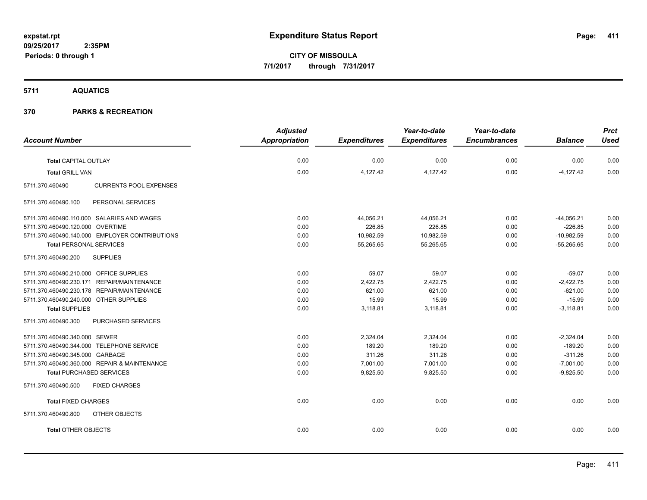**CITY OF MISSOULA 7/1/2017 through 7/31/2017**

# **5711 AQUATICS**

|                                                  | <b>Adjusted</b>      |                     | Year-to-date        | Year-to-date        |                | <b>Prct</b> |
|--------------------------------------------------|----------------------|---------------------|---------------------|---------------------|----------------|-------------|
| <b>Account Number</b>                            | <b>Appropriation</b> | <b>Expenditures</b> | <b>Expenditures</b> | <b>Encumbrances</b> | <b>Balance</b> | <b>Used</b> |
| <b>Total CAPITAL OUTLAY</b>                      | 0.00                 | 0.00                | 0.00                | 0.00                | 0.00           | 0.00        |
| <b>Total GRILL VAN</b>                           | 0.00                 | 4,127.42            | 4,127.42            | 0.00                | $-4,127.42$    | 0.00        |
| <b>CURRENTS POOL EXPENSES</b><br>5711.370.460490 |                      |                     |                     |                     |                |             |
| PERSONAL SERVICES<br>5711.370.460490.100         |                      |                     |                     |                     |                |             |
| 5711.370.460490.110.000 SALARIES AND WAGES       | 0.00                 | 44,056.21           | 44,056.21           | 0.00                | $-44,056.21$   | 0.00        |
| 5711.370.460490.120.000 OVERTIME                 | 0.00                 | 226.85              | 226.85              | 0.00                | $-226.85$      | 0.00        |
| 5711.370.460490.140.000 EMPLOYER CONTRIBUTIONS   | 0.00                 | 10,982.59           | 10,982.59           | 0.00                | $-10,982.59$   | 0.00        |
| <b>Total PERSONAL SERVICES</b>                   | 0.00                 | 55,265.65           | 55,265.65           | 0.00                | $-55,265.65$   | 0.00        |
| <b>SUPPLIES</b><br>5711.370.460490.200           |                      |                     |                     |                     |                |             |
| 5711.370.460490.210.000 OFFICE SUPPLIES          | 0.00                 | 59.07               | 59.07               | 0.00                | $-59.07$       | 0.00        |
| 5711.370.460490.230.171 REPAIR/MAINTENANCE       | 0.00                 | 2,422.75            | 2,422.75            | 0.00                | $-2,422.75$    | 0.00        |
| 5711.370.460490.230.178 REPAIR/MAINTENANCE       | 0.00                 | 621.00              | 621.00              | 0.00                | $-621.00$      | 0.00        |
| 5711.370.460490.240.000 OTHER SUPPLIES           | 0.00                 | 15.99               | 15.99               | 0.00                | $-15.99$       | 0.00        |
| <b>Total SUPPLIES</b>                            | 0.00                 | 3,118.81            | 3,118.81            | 0.00                | $-3,118.81$    | 0.00        |
| 5711.370.460490.300<br>PURCHASED SERVICES        |                      |                     |                     |                     |                |             |
| 5711.370.460490.340.000 SEWER                    | 0.00                 | 2,324.04            | 2,324.04            | 0.00                | $-2,324.04$    | 0.00        |
| 5711.370.460490.344.000 TELEPHONE SERVICE        | 0.00                 | 189.20              | 189.20              | 0.00                | $-189.20$      | 0.00        |
| 5711.370.460490.345.000 GARBAGE                  | 0.00                 | 311.26              | 311.26              | 0.00                | $-311.26$      | 0.00        |
| 5711.370.460490.360.000 REPAIR & MAINTENANCE     | 0.00                 | 7,001.00            | 7,001.00            | 0.00                | $-7,001.00$    | 0.00        |
| <b>Total PURCHASED SERVICES</b>                  | 0.00                 | 9,825.50            | 9,825.50            | 0.00                | $-9,825.50$    | 0.00        |
| 5711.370.460490.500<br><b>FIXED CHARGES</b>      |                      |                     |                     |                     |                |             |
| <b>Total FIXED CHARGES</b>                       | 0.00                 | 0.00                | 0.00                | 0.00                | 0.00           | 0.00        |
| 5711.370.460490.800<br>OTHER OBJECTS             |                      |                     |                     |                     |                |             |
| <b>Total OTHER OBJECTS</b>                       | 0.00                 | 0.00                | 0.00                | 0.00                | 0.00           | 0.00        |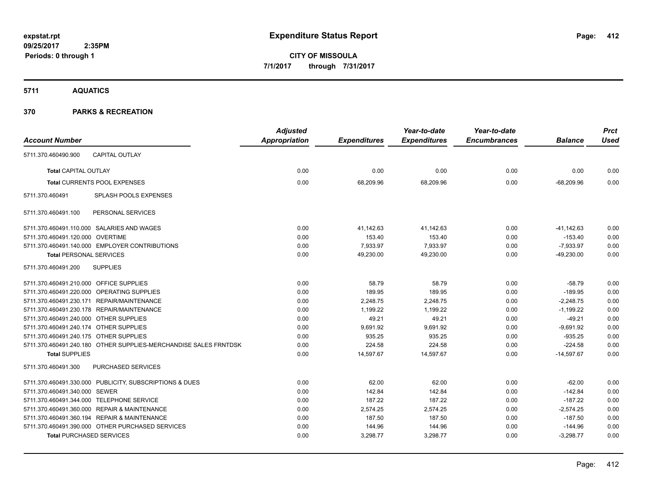**CITY OF MISSOULA 7/1/2017 through 7/31/2017**

**5711 AQUATICS**

| <b>Account Number</b>                   |                                                                  | <b>Adjusted</b><br>Appropriation | <b>Expenditures</b> | Year-to-date<br><b>Expenditures</b> | Year-to-date<br><b>Encumbrances</b> | <b>Balance</b> | <b>Prct</b><br><b>Used</b> |
|-----------------------------------------|------------------------------------------------------------------|----------------------------------|---------------------|-------------------------------------|-------------------------------------|----------------|----------------------------|
| 5711.370.460490.900                     | <b>CAPITAL OUTLAY</b>                                            |                                  |                     |                                     |                                     |                |                            |
|                                         |                                                                  |                                  |                     |                                     |                                     |                |                            |
| <b>Total CAPITAL OUTLAY</b>             |                                                                  | 0.00                             | 0.00                | 0.00                                | 0.00                                | 0.00           | 0.00                       |
|                                         | <b>Total CURRENTS POOL EXPENSES</b>                              | 0.00                             | 68,209.96           | 68,209.96                           | 0.00                                | $-68,209.96$   | 0.00                       |
| 5711.370.460491                         | <b>SPLASH POOLS EXPENSES</b>                                     |                                  |                     |                                     |                                     |                |                            |
| 5711.370.460491.100                     | PERSONAL SERVICES                                                |                                  |                     |                                     |                                     |                |                            |
|                                         | 5711.370.460491.110.000 SALARIES AND WAGES                       | 0.00                             | 41,142.63           | 41,142.63                           | 0.00                                | $-41, 142.63$  | 0.00                       |
| 5711.370.460491.120.000 OVERTIME        |                                                                  | 0.00                             | 153.40              | 153.40                              | 0.00                                | $-153.40$      | 0.00                       |
|                                         | 5711.370.460491.140.000 EMPLOYER CONTRIBUTIONS                   | 0.00                             | 7,933.97            | 7,933.97                            | 0.00                                | $-7,933.97$    | 0.00                       |
| <b>Total PERSONAL SERVICES</b>          |                                                                  | 0.00                             | 49,230.00           | 49,230.00                           | 0.00                                | $-49,230.00$   | 0.00                       |
| 5711.370.460491.200                     | <b>SUPPLIES</b>                                                  |                                  |                     |                                     |                                     |                |                            |
| 5711.370.460491.210.000 OFFICE SUPPLIES |                                                                  | 0.00                             | 58.79               | 58.79                               | 0.00                                | $-58.79$       | 0.00                       |
|                                         | 5711.370.460491.220.000 OPERATING SUPPLIES                       | 0.00                             | 189.95              | 189.95                              | 0.00                                | $-189.95$      | 0.00                       |
|                                         | 5711.370.460491.230.171 REPAIR/MAINTENANCE                       | 0.00                             | 2,248.75            | 2,248.75                            | 0.00                                | $-2,248.75$    | 0.00                       |
|                                         | 5711.370.460491.230.178 REPAIR/MAINTENANCE                       | 0.00                             | 1,199.22            | 1,199.22                            | 0.00                                | $-1,199.22$    | 0.00                       |
| 5711.370.460491.240.000 OTHER SUPPLIES  |                                                                  | 0.00                             | 49.21               | 49.21                               | 0.00                                | $-49.21$       | 0.00                       |
| 5711.370.460491.240.174 OTHER SUPPLIES  |                                                                  | 0.00                             | 9,691.92            | 9,691.92                            | 0.00                                | $-9,691.92$    | 0.00                       |
| 5711.370.460491.240.175 OTHER SUPPLIES  |                                                                  | 0.00                             | 935.25              | 935.25                              | 0.00                                | $-935.25$      | 0.00                       |
|                                         | 5711.370.460491.240.180 OTHER SUPPLIES-MERCHANDISE SALES FRNTDSK | 0.00                             | 224.58              | 224.58                              | 0.00                                | $-224.58$      | 0.00                       |
| <b>Total SUPPLIES</b>                   |                                                                  | 0.00                             | 14,597.67           | 14,597.67                           | 0.00                                | $-14,597.67$   | 0.00                       |
| 5711.370.460491.300                     | PURCHASED SERVICES                                               |                                  |                     |                                     |                                     |                |                            |
|                                         | 5711.370.460491.330.000 PUBLICITY, SUBSCRIPTIONS & DUES          | 0.00                             | 62.00               | 62.00                               | 0.00                                | $-62.00$       | 0.00                       |
| 5711.370.460491.340.000 SEWER           |                                                                  | 0.00                             | 142.84              | 142.84                              | 0.00                                | $-142.84$      | 0.00                       |
|                                         | 5711.370.460491.344.000 TELEPHONE SERVICE                        | 0.00                             | 187.22              | 187.22                              | 0.00                                | $-187.22$      | 0.00                       |
|                                         | 5711.370.460491.360.000 REPAIR & MAINTENANCE                     | 0.00                             | 2,574.25            | 2,574.25                            | 0.00                                | $-2,574.25$    | 0.00                       |
|                                         | 5711.370.460491.360.194 REPAIR & MAINTENANCE                     | 0.00                             | 187.50              | 187.50                              | 0.00                                | $-187.50$      | 0.00                       |
|                                         | 5711.370.460491.390.000 OTHER PURCHASED SERVICES                 | 0.00                             | 144.96              | 144.96                              | 0.00                                | $-144.96$      | 0.00                       |
| <b>Total PURCHASED SERVICES</b>         |                                                                  | 0.00                             | 3,298.77            | 3,298.77                            | 0.00                                | $-3,298.77$    | 0.00                       |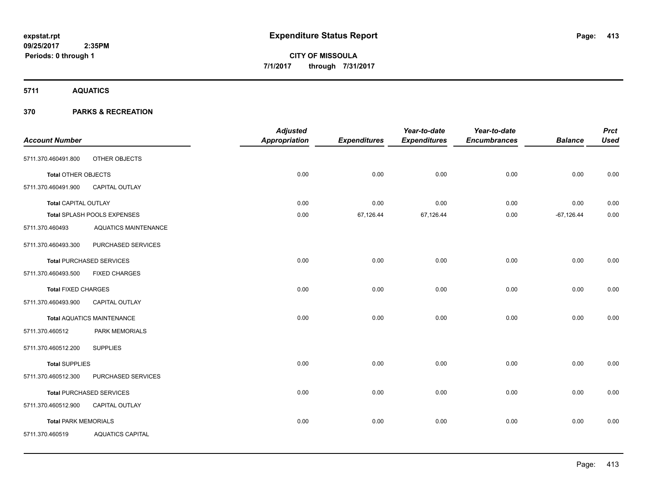**5711 AQUATICS**

|                             |                                   | <b>Adjusted</b> |                     | Year-to-date        | Year-to-date        |                | <b>Prct</b> |
|-----------------------------|-----------------------------------|-----------------|---------------------|---------------------|---------------------|----------------|-------------|
| <b>Account Number</b>       |                                   | Appropriation   | <b>Expenditures</b> | <b>Expenditures</b> | <b>Encumbrances</b> | <b>Balance</b> | <b>Used</b> |
| 5711.370.460491.800         | OTHER OBJECTS                     |                 |                     |                     |                     |                |             |
| <b>Total OTHER OBJECTS</b>  |                                   | 0.00            | 0.00                | 0.00                | 0.00                | 0.00           | 0.00        |
| 5711.370.460491.900         | CAPITAL OUTLAY                    |                 |                     |                     |                     |                |             |
| <b>Total CAPITAL OUTLAY</b> |                                   | 0.00            | 0.00                | 0.00                | 0.00                | 0.00           | 0.00        |
|                             | Total SPLASH POOLS EXPENSES       | 0.00            | 67,126.44           | 67,126.44           | 0.00                | $-67,126.44$   | 0.00        |
| 5711.370.460493             | <b>AQUATICS MAINTENANCE</b>       |                 |                     |                     |                     |                |             |
| 5711.370.460493.300         | PURCHASED SERVICES                |                 |                     |                     |                     |                |             |
|                             | <b>Total PURCHASED SERVICES</b>   | 0.00            | 0.00                | 0.00                | 0.00                | 0.00           | 0.00        |
| 5711.370.460493.500         | <b>FIXED CHARGES</b>              |                 |                     |                     |                     |                |             |
| <b>Total FIXED CHARGES</b>  |                                   | 0.00            | 0.00                | 0.00                | 0.00                | 0.00           | 0.00        |
| 5711.370.460493.900         | CAPITAL OUTLAY                    |                 |                     |                     |                     |                |             |
|                             | <b>Total AQUATICS MAINTENANCE</b> | 0.00            | 0.00                | 0.00                | 0.00                | 0.00           | 0.00        |
| 5711.370.460512             | PARK MEMORIALS                    |                 |                     |                     |                     |                |             |
| 5711.370.460512.200         | <b>SUPPLIES</b>                   |                 |                     |                     |                     |                |             |
| <b>Total SUPPLIES</b>       |                                   | 0.00            | 0.00                | 0.00                | 0.00                | 0.00           | 0.00        |
| 5711.370.460512.300         | PURCHASED SERVICES                |                 |                     |                     |                     |                |             |
|                             | <b>Total PURCHASED SERVICES</b>   | 0.00            | 0.00                | 0.00                | 0.00                | 0.00           | 0.00        |
| 5711.370.460512.900         | CAPITAL OUTLAY                    |                 |                     |                     |                     |                |             |
| <b>Total PARK MEMORIALS</b> |                                   | 0.00            | 0.00                | 0.00                | 0.00                | 0.00           | 0.00        |
| 5711.370.460519             | <b>AQUATICS CAPITAL</b>           |                 |                     |                     |                     |                |             |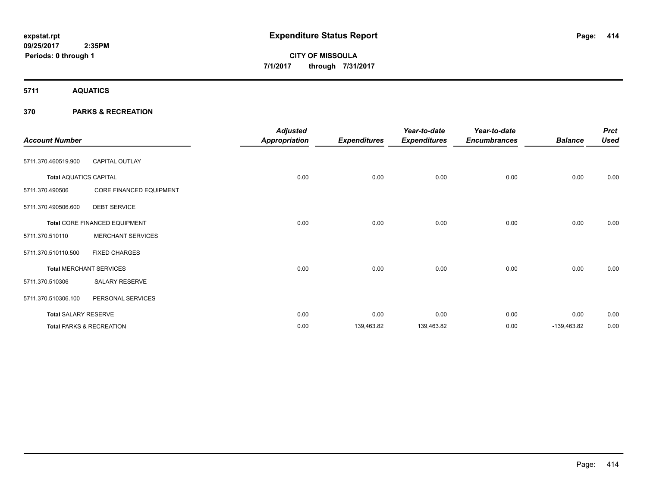**5711 AQUATICS**

| <b>Account Number</b>         |                                     | <b>Adjusted</b><br><b>Appropriation</b> | <b>Expenditures</b> | Year-to-date<br><b>Expenditures</b> | Year-to-date<br><b>Encumbrances</b> | <b>Balance</b> | <b>Prct</b><br><b>Used</b> |
|-------------------------------|-------------------------------------|-----------------------------------------|---------------------|-------------------------------------|-------------------------------------|----------------|----------------------------|
| 5711.370.460519.900           | <b>CAPITAL OUTLAY</b>               |                                         |                     |                                     |                                     |                |                            |
| <b>Total AQUATICS CAPITAL</b> |                                     | 0.00                                    | 0.00                | 0.00                                | 0.00                                | 0.00           | 0.00                       |
| 5711.370.490506               | CORE FINANCED EQUIPMENT             |                                         |                     |                                     |                                     |                |                            |
| 5711.370.490506.600           | <b>DEBT SERVICE</b>                 |                                         |                     |                                     |                                     |                |                            |
|                               | Total CORE FINANCED EQUIPMENT       | 0.00                                    | 0.00                | 0.00                                | 0.00                                | 0.00           | 0.00                       |
| 5711.370.510110               | <b>MERCHANT SERVICES</b>            |                                         |                     |                                     |                                     |                |                            |
| 5711.370.510110.500           | <b>FIXED CHARGES</b>                |                                         |                     |                                     |                                     |                |                            |
|                               | <b>Total MERCHANT SERVICES</b>      | 0.00                                    | 0.00                | 0.00                                | 0.00                                | 0.00           | 0.00                       |
| 5711.370.510306               | <b>SALARY RESERVE</b>               |                                         |                     |                                     |                                     |                |                            |
| 5711.370.510306.100           | PERSONAL SERVICES                   |                                         |                     |                                     |                                     |                |                            |
| <b>Total SALARY RESERVE</b>   |                                     | 0.00                                    | 0.00                | 0.00                                | 0.00                                | 0.00           | 0.00                       |
|                               | <b>Total PARKS &amp; RECREATION</b> | 0.00                                    | 139,463.82          | 139,463.82                          | 0.00                                | $-139,463.82$  | 0.00                       |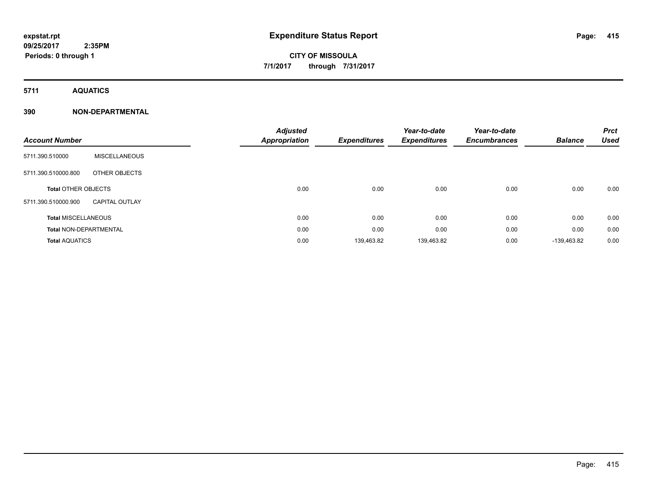**Periods: 0 through 1**

**CITY OF MISSOULA 7/1/2017 through 7/31/2017**

**5711 AQUATICS**

# **390 NON-DEPARTMENTAL**

| <b>Account Number</b>         |                       | <b>Adjusted</b><br><b>Appropriation</b> | <b>Expenditures</b> | Year-to-date<br><b>Expenditures</b> | Year-to-date<br><b>Encumbrances</b> | <b>Balance</b> | <b>Prct</b><br><b>Used</b> |
|-------------------------------|-----------------------|-----------------------------------------|---------------------|-------------------------------------|-------------------------------------|----------------|----------------------------|
| 5711.390.510000               | <b>MISCELLANEOUS</b>  |                                         |                     |                                     |                                     |                |                            |
| 5711.390.510000.800           | OTHER OBJECTS         |                                         |                     |                                     |                                     |                |                            |
| <b>Total OTHER OBJECTS</b>    |                       | 0.00                                    | 0.00                | 0.00                                | 0.00                                | 0.00           | 0.00                       |
| 5711.390.510000.900           | <b>CAPITAL OUTLAY</b> |                                         |                     |                                     |                                     |                |                            |
| <b>Total MISCELLANEOUS</b>    |                       | 0.00                                    | 0.00                | 0.00                                | 0.00                                | 0.00           | 0.00                       |
| <b>Total NON-DEPARTMENTAL</b> |                       | 0.00                                    | 0.00                | 0.00                                | 0.00                                | 0.00           | 0.00                       |
| <b>Total AQUATICS</b>         |                       | 0.00                                    | 139,463.82          | 139,463.82                          | 0.00                                | -139.463.82    | 0.00                       |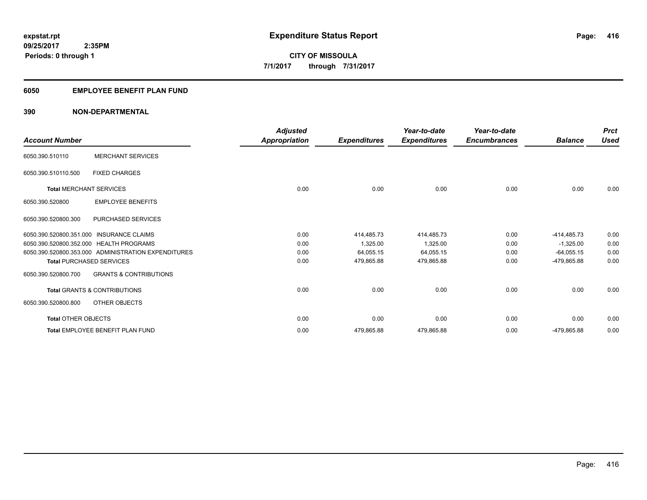# **6050 EMPLOYEE BENEFIT PLAN FUND**

# **390 NON-DEPARTMENTAL**

| <b>Account Number</b>      |                                                     | <b>Adjusted</b><br>Appropriation | <b>Expenditures</b> | Year-to-date<br><b>Expenditures</b> | Year-to-date<br><b>Encumbrances</b> | <b>Balance</b> | <b>Prct</b><br><b>Used</b> |
|----------------------------|-----------------------------------------------------|----------------------------------|---------------------|-------------------------------------|-------------------------------------|----------------|----------------------------|
| 6050.390.510110            | <b>MERCHANT SERVICES</b>                            |                                  |                     |                                     |                                     |                |                            |
| 6050.390.510110.500        | <b>FIXED CHARGES</b>                                |                                  |                     |                                     |                                     |                |                            |
|                            | <b>Total MERCHANT SERVICES</b>                      | 0.00                             | 0.00                | 0.00                                | 0.00                                | 0.00           | 0.00                       |
| 6050.390.520800            | <b>EMPLOYEE BENEFITS</b>                            |                                  |                     |                                     |                                     |                |                            |
| 6050.390.520800.300        | PURCHASED SERVICES                                  |                                  |                     |                                     |                                     |                |                            |
|                            | 6050.390.520800.351.000 INSURANCE CLAIMS            | 0.00                             | 414,485.73          | 414,485.73                          | 0.00                                | $-414,485.73$  | 0.00                       |
|                            | 6050.390.520800.352.000 HEALTH PROGRAMS             | 0.00                             | 1,325.00            | 1,325.00                            | 0.00                                | $-1,325.00$    | 0.00                       |
|                            | 6050.390.520800.353.000 ADMINISTRATION EXPENDITURES | 0.00                             | 64,055.15           | 64,055.15                           | 0.00                                | $-64,055.15$   | 0.00                       |
|                            | <b>Total PURCHASED SERVICES</b>                     | 0.00                             | 479,865.88          | 479,865.88                          | 0.00                                | -479,865.88    | 0.00                       |
| 6050.390.520800.700        | <b>GRANTS &amp; CONTRIBUTIONS</b>                   |                                  |                     |                                     |                                     |                |                            |
|                            | <b>Total GRANTS &amp; CONTRIBUTIONS</b>             | 0.00                             | 0.00                | 0.00                                | 0.00                                | 0.00           | 0.00                       |
| 6050.390.520800.800        | OTHER OBJECTS                                       |                                  |                     |                                     |                                     |                |                            |
| <b>Total OTHER OBJECTS</b> |                                                     | 0.00                             | 0.00                | 0.00                                | 0.00                                | 0.00           | 0.00                       |
|                            | <b>Total EMPLOYEE BENEFIT PLAN FUND</b>             | 0.00                             | 479,865.88          | 479,865.88                          | 0.00                                | -479,865.88    | 0.00                       |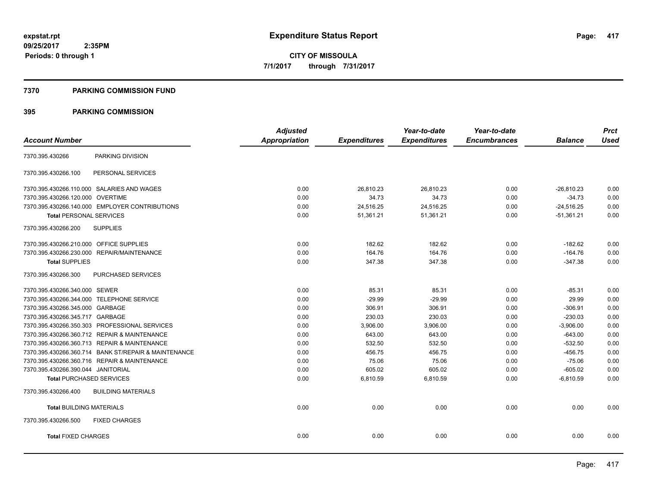#### **7370 PARKING COMMISSION FUND**

|                                                      | <b>Adjusted</b>      |                     | Year-to-date        | Year-to-date        |                | <b>Prct</b> |
|------------------------------------------------------|----------------------|---------------------|---------------------|---------------------|----------------|-------------|
| <b>Account Number</b>                                | <b>Appropriation</b> | <b>Expenditures</b> | <b>Expenditures</b> | <b>Encumbrances</b> | <b>Balance</b> | <b>Used</b> |
| PARKING DIVISION<br>7370.395.430266                  |                      |                     |                     |                     |                |             |
| 7370.395.430266.100<br>PERSONAL SERVICES             |                      |                     |                     |                     |                |             |
| 7370.395.430266.110.000 SALARIES AND WAGES           | 0.00                 | 26,810.23           | 26,810.23           | 0.00                | $-26,810.23$   | 0.00        |
| 7370.395.430266.120.000 OVERTIME                     | 0.00                 | 34.73               | 34.73               | 0.00                | $-34.73$       | 0.00        |
| 7370.395.430266.140.000 EMPLOYER CONTRIBUTIONS       | 0.00                 | 24.516.25           | 24,516.25           | 0.00                | $-24,516.25$   | 0.00        |
| <b>Total PERSONAL SERVICES</b>                       | 0.00                 | 51,361.21           | 51,361.21           | 0.00                | $-51,361.21$   | 0.00        |
| <b>SUPPLIES</b><br>7370.395.430266.200               |                      |                     |                     |                     |                |             |
| 7370.395.430266.210.000 OFFICE SUPPLIES              | 0.00                 | 182.62              | 182.62              | 0.00                | $-182.62$      | 0.00        |
| 7370.395.430266.230.000 REPAIR/MAINTENANCE           | 0.00                 | 164.76              | 164.76              | 0.00                | $-164.76$      | 0.00        |
| <b>Total SUPPLIES</b>                                | 0.00                 | 347.38              | 347.38              | 0.00                | $-347.38$      | 0.00        |
| 7370.395.430266.300<br>PURCHASED SERVICES            |                      |                     |                     |                     |                |             |
| 7370.395.430266.340.000 SEWER                        | 0.00                 | 85.31               | 85.31               | 0.00                | $-85.31$       | 0.00        |
| 7370.395.430266.344.000 TELEPHONE SERVICE            | 0.00                 | $-29.99$            | $-29.99$            | 0.00                | 29.99          | 0.00        |
| 7370.395.430266.345.000 GARBAGE                      | 0.00                 | 306.91              | 306.91              | 0.00                | $-306.91$      | 0.00        |
| 7370.395.430266.345.717 GARBAGE                      | 0.00                 | 230.03              | 230.03              | 0.00                | $-230.03$      | 0.00        |
| 7370.395.430266.350.303 PROFESSIONAL SERVICES        | 0.00                 | 3.906.00            | 3.906.00            | 0.00                | $-3,906.00$    | 0.00        |
| 7370.395.430266.360.712 REPAIR & MAINTENANCE         | 0.00                 | 643.00              | 643.00              | 0.00                | $-643.00$      | 0.00        |
| 7370.395.430266.360.713 REPAIR & MAINTENANCE         | 0.00                 | 532.50              | 532.50              | 0.00                | $-532.50$      | 0.00        |
| 7370.395.430266.360.714 BANK ST/REPAIR & MAINTENANCE | 0.00                 | 456.75              | 456.75              | 0.00                | $-456.75$      | 0.00        |
| 7370.395.430266.360.716 REPAIR & MAINTENANCE         | 0.00                 | 75.06               | 75.06               | 0.00                | $-75.06$       | 0.00        |
| 7370.395.430266.390.044 JANITORIAL                   | 0.00                 | 605.02              | 605.02              | 0.00                | $-605.02$      | 0.00        |
| <b>Total PURCHASED SERVICES</b>                      | 0.00                 | 6,810.59            | 6,810.59            | 0.00                | $-6,810.59$    | 0.00        |
| 7370.395.430266.400<br><b>BUILDING MATERIALS</b>     |                      |                     |                     |                     |                |             |
| <b>Total BUILDING MATERIALS</b>                      | 0.00                 | 0.00                | 0.00                | 0.00                | 0.00           | 0.00        |
| 7370.395.430266.500<br><b>FIXED CHARGES</b>          |                      |                     |                     |                     |                |             |
| <b>Total FIXED CHARGES</b>                           | 0.00                 | 0.00                | 0.00                | 0.00                | 0.00           | 0.00        |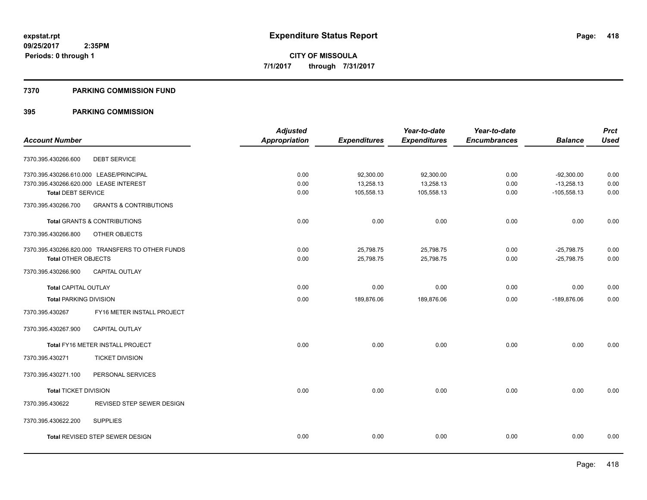## **7370 PARKING COMMISSION FUND**

|                                         |                                                  | <b>Adjusted</b>      |                     | Year-to-date        | Year-to-date        |                | <b>Prct</b> |
|-----------------------------------------|--------------------------------------------------|----------------------|---------------------|---------------------|---------------------|----------------|-------------|
| <b>Account Number</b>                   |                                                  | <b>Appropriation</b> | <b>Expenditures</b> | <b>Expenditures</b> | <b>Encumbrances</b> | <b>Balance</b> | <b>Used</b> |
| 7370.395.430266.600                     | <b>DEBT SERVICE</b>                              |                      |                     |                     |                     |                |             |
| 7370.395.430266.610.000 LEASE/PRINCIPAL |                                                  | 0.00                 | 92,300.00           | 92,300.00           | 0.00                | $-92,300.00$   | 0.00        |
| 7370.395.430266.620.000 LEASE INTEREST  |                                                  | 0.00                 | 13,258.13           | 13,258.13           | 0.00                | $-13,258.13$   | 0.00        |
| <b>Total DEBT SERVICE</b>               |                                                  | 0.00                 | 105,558.13          | 105,558.13          | 0.00                | $-105,558.13$  | 0.00        |
| 7370.395.430266.700                     | <b>GRANTS &amp; CONTRIBUTIONS</b>                |                      |                     |                     |                     |                |             |
|                                         | Total GRANTS & CONTRIBUTIONS                     | 0.00                 | 0.00                | 0.00                | 0.00                | 0.00           | 0.00        |
| 7370.395.430266.800                     | OTHER OBJECTS                                    |                      |                     |                     |                     |                |             |
|                                         | 7370.395.430266.820.000 TRANSFERS TO OTHER FUNDS | 0.00                 | 25,798.75           | 25,798.75           | 0.00                | $-25,798.75$   | 0.00        |
| <b>Total OTHER OBJECTS</b>              |                                                  | 0.00                 | 25,798.75           | 25,798.75           | 0.00                | $-25,798.75$   | 0.00        |
| 7370.395.430266.900                     | CAPITAL OUTLAY                                   |                      |                     |                     |                     |                |             |
| <b>Total CAPITAL OUTLAY</b>             |                                                  | 0.00                 | 0.00                | 0.00                | 0.00                | 0.00           | 0.00        |
| <b>Total PARKING DIVISION</b>           |                                                  | 0.00                 | 189,876.06          | 189,876.06          | 0.00                | -189,876.06    | 0.00        |
| 7370.395.430267                         | FY16 METER INSTALL PROJECT                       |                      |                     |                     |                     |                |             |
| 7370.395.430267.900                     | <b>CAPITAL OUTLAY</b>                            |                      |                     |                     |                     |                |             |
|                                         | Total FY16 METER INSTALL PROJECT                 | 0.00                 | 0.00                | 0.00                | 0.00                | 0.00           | 0.00        |
| 7370.395.430271                         | <b>TICKET DIVISION</b>                           |                      |                     |                     |                     |                |             |
| 7370.395.430271.100                     | PERSONAL SERVICES                                |                      |                     |                     |                     |                |             |
| <b>Total TICKET DIVISION</b>            |                                                  | 0.00                 | 0.00                | 0.00                | 0.00                | 0.00           | 0.00        |
| 7370.395.430622                         | REVISED STEP SEWER DESIGN                        |                      |                     |                     |                     |                |             |
| 7370.395.430622.200                     | <b>SUPPLIES</b>                                  |                      |                     |                     |                     |                |             |
|                                         | <b>Total REVISED STEP SEWER DESIGN</b>           | 0.00                 | 0.00                | 0.00                | 0.00                | 0.00           | 0.00        |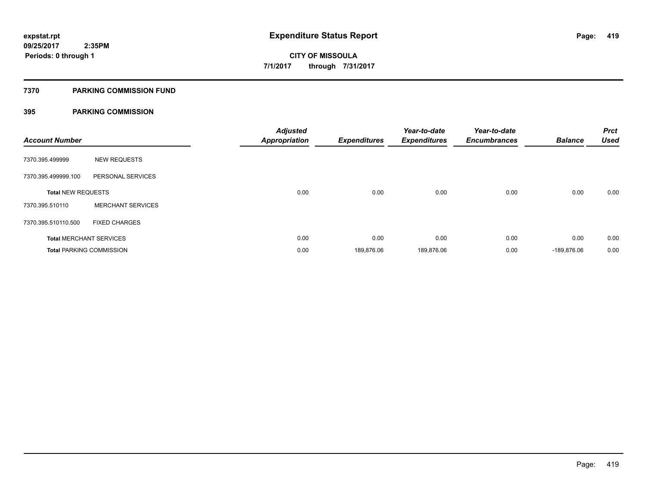# **7370 PARKING COMMISSION FUND**

| <b>Account Number</b>     |                                 | <b>Adjusted</b><br><b>Appropriation</b> | <b>Expenditures</b> | Year-to-date<br><b>Expenditures</b> | Year-to-date<br><b>Encumbrances</b> | <b>Balance</b> | <b>Prct</b><br><b>Used</b> |
|---------------------------|---------------------------------|-----------------------------------------|---------------------|-------------------------------------|-------------------------------------|----------------|----------------------------|
| 7370.395.499999           | <b>NEW REQUESTS</b>             |                                         |                     |                                     |                                     |                |                            |
| 7370.395.499999.100       | PERSONAL SERVICES               |                                         |                     |                                     |                                     |                |                            |
| <b>Total NEW REQUESTS</b> |                                 | 0.00                                    | 0.00                | 0.00                                | 0.00                                | 0.00           | 0.00                       |
| 7370.395.510110           | <b>MERCHANT SERVICES</b>        |                                         |                     |                                     |                                     |                |                            |
| 7370.395.510110.500       | <b>FIXED CHARGES</b>            |                                         |                     |                                     |                                     |                |                            |
|                           | <b>Total MERCHANT SERVICES</b>  | 0.00                                    | 0.00                | 0.00                                | 0.00                                | 0.00           | 0.00                       |
|                           | <b>Total PARKING COMMISSION</b> | 0.00                                    | 189.876.06          | 189,876.06                          | 0.00                                | -189.876.06    | 0.00                       |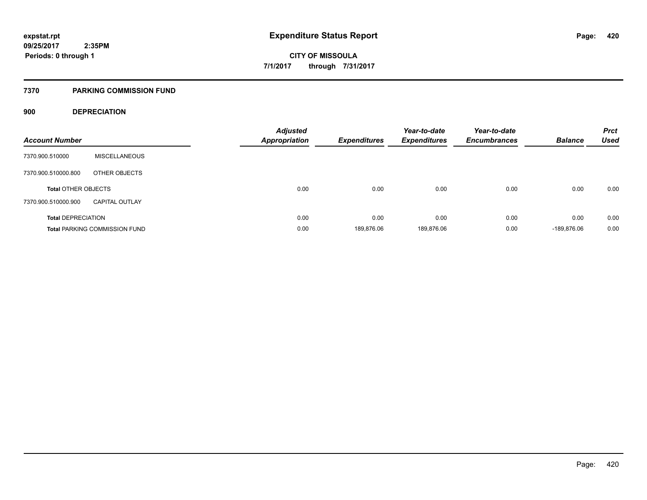## **7370 PARKING COMMISSION FUND**

# **900 DEPRECIATION**

| <b>Account Number</b>      |                                      | <b>Adjusted</b><br><b>Appropriation</b> | Expenditures | Year-to-date<br><b>Expenditures</b> | Year-to-date<br><b>Encumbrances</b> | <b>Balance</b> | <b>Prct</b><br><b>Used</b> |
|----------------------------|--------------------------------------|-----------------------------------------|--------------|-------------------------------------|-------------------------------------|----------------|----------------------------|
| 7370.900.510000            | <b>MISCELLANEOUS</b>                 |                                         |              |                                     |                                     |                |                            |
| 7370.900.510000.800        | OTHER OBJECTS                        |                                         |              |                                     |                                     |                |                            |
| <b>Total OTHER OBJECTS</b> |                                      | 0.00                                    | 0.00         | 0.00                                | 0.00                                | 0.00           | 0.00                       |
| 7370.900.510000.900        | <b>CAPITAL OUTLAY</b>                |                                         |              |                                     |                                     |                |                            |
| <b>Total DEPRECIATION</b>  |                                      | 0.00                                    | 0.00         | 0.00                                | 0.00                                | 0.00           | 0.00                       |
|                            | <b>Total PARKING COMMISSION FUND</b> | 0.00                                    | 189.876.06   | 189.876.06                          | 0.00                                | -189.876.06    | 0.00                       |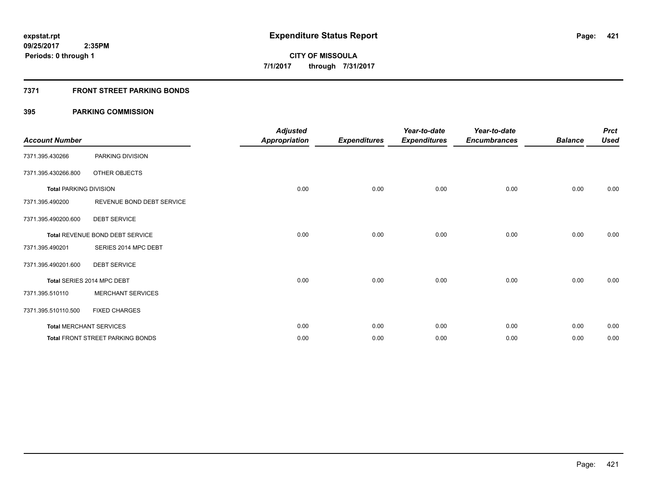# **7371 FRONT STREET PARKING BONDS**

| <b>Account Number</b>         |                                         | <b>Adjusted</b><br><b>Appropriation</b> | <b>Expenditures</b> | Year-to-date<br><b>Expenditures</b> | Year-to-date<br><b>Encumbrances</b> | <b>Balance</b> | <b>Prct</b><br><b>Used</b> |
|-------------------------------|-----------------------------------------|-----------------------------------------|---------------------|-------------------------------------|-------------------------------------|----------------|----------------------------|
| 7371.395.430266               | PARKING DIVISION                        |                                         |                     |                                     |                                     |                |                            |
| 7371.395.430266.800           | OTHER OBJECTS                           |                                         |                     |                                     |                                     |                |                            |
| <b>Total PARKING DIVISION</b> |                                         | 0.00                                    | 0.00                | 0.00                                | 0.00                                | 0.00           | 0.00                       |
| 7371.395.490200               | REVENUE BOND DEBT SERVICE               |                                         |                     |                                     |                                     |                |                            |
| 7371.395.490200.600           | <b>DEBT SERVICE</b>                     |                                         |                     |                                     |                                     |                |                            |
|                               | Total REVENUE BOND DEBT SERVICE         | 0.00                                    | 0.00                | 0.00                                | 0.00                                | 0.00           | 0.00                       |
| 7371.395.490201               | SERIES 2014 MPC DEBT                    |                                         |                     |                                     |                                     |                |                            |
| 7371.395.490201.600           | <b>DEBT SERVICE</b>                     |                                         |                     |                                     |                                     |                |                            |
|                               | Total SERIES 2014 MPC DEBT              | 0.00                                    | 0.00                | 0.00                                | 0.00                                | 0.00           | 0.00                       |
| 7371.395.510110               | <b>MERCHANT SERVICES</b>                |                                         |                     |                                     |                                     |                |                            |
| 7371.395.510110.500           | <b>FIXED CHARGES</b>                    |                                         |                     |                                     |                                     |                |                            |
|                               | <b>Total MERCHANT SERVICES</b>          | 0.00                                    | 0.00                | 0.00                                | 0.00                                | 0.00           | 0.00                       |
|                               | <b>Total FRONT STREET PARKING BONDS</b> | 0.00                                    | 0.00                | 0.00                                | 0.00                                | 0.00           | 0.00                       |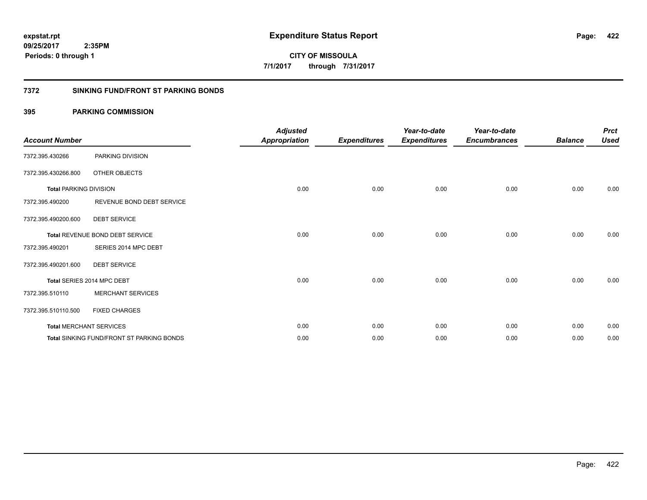**422**

**CITY OF MISSOULA 7/1/2017 through 7/31/2017**

## **7372 SINKING FUND/FRONT ST PARKING BONDS**

| <b>Account Number</b>         |                                                  | <b>Adjusted</b><br><b>Appropriation</b> | <b>Expenditures</b> | Year-to-date<br><b>Expenditures</b> | Year-to-date<br><b>Encumbrances</b> | <b>Balance</b> | <b>Prct</b><br><b>Used</b> |
|-------------------------------|--------------------------------------------------|-----------------------------------------|---------------------|-------------------------------------|-------------------------------------|----------------|----------------------------|
| 7372.395.430266               | PARKING DIVISION                                 |                                         |                     |                                     |                                     |                |                            |
| 7372.395.430266.800           | OTHER OBJECTS                                    |                                         |                     |                                     |                                     |                |                            |
| <b>Total PARKING DIVISION</b> |                                                  | 0.00                                    | 0.00                | 0.00                                | 0.00                                | 0.00           | 0.00                       |
| 7372.395.490200               | REVENUE BOND DEBT SERVICE                        |                                         |                     |                                     |                                     |                |                            |
| 7372.395.490200.600           | <b>DEBT SERVICE</b>                              |                                         |                     |                                     |                                     |                |                            |
|                               | Total REVENUE BOND DEBT SERVICE                  | 0.00                                    | 0.00                | 0.00                                | 0.00                                | 0.00           | 0.00                       |
| 7372.395.490201               | SERIES 2014 MPC DEBT                             |                                         |                     |                                     |                                     |                |                            |
| 7372.395.490201.600           | <b>DEBT SERVICE</b>                              |                                         |                     |                                     |                                     |                |                            |
|                               | Total SERIES 2014 MPC DEBT                       | 0.00                                    | 0.00                | 0.00                                | 0.00                                | 0.00           | 0.00                       |
| 7372.395.510110               | <b>MERCHANT SERVICES</b>                         |                                         |                     |                                     |                                     |                |                            |
| 7372.395.510110.500           | <b>FIXED CHARGES</b>                             |                                         |                     |                                     |                                     |                |                            |
|                               | <b>Total MERCHANT SERVICES</b>                   | 0.00                                    | 0.00                | 0.00                                | 0.00                                | 0.00           | 0.00                       |
|                               | <b>Total SINKING FUND/FRONT ST PARKING BONDS</b> | 0.00                                    | 0.00                | 0.00                                | 0.00                                | 0.00           | 0.00                       |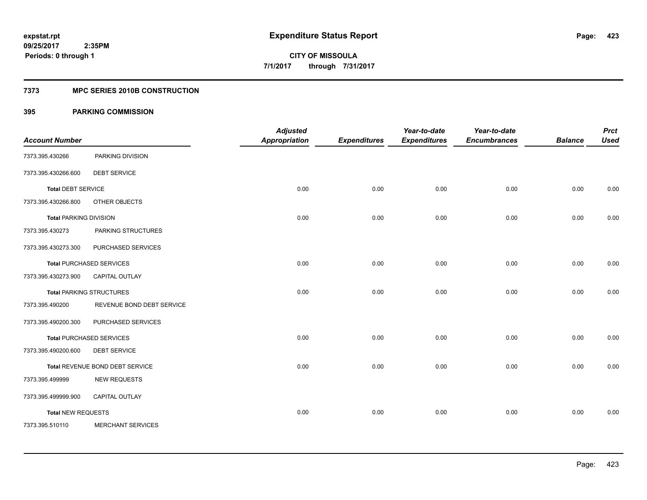# **7373 MPC SERIES 2010B CONSTRUCTION**

| <b>Account Number</b>         |                                 | <b>Adjusted</b><br><b>Appropriation</b> | <b>Expenditures</b> | Year-to-date<br><b>Expenditures</b> | Year-to-date<br><b>Encumbrances</b> | <b>Balance</b> | <b>Prct</b><br><b>Used</b> |
|-------------------------------|---------------------------------|-----------------------------------------|---------------------|-------------------------------------|-------------------------------------|----------------|----------------------------|
|                               |                                 |                                         |                     |                                     |                                     |                |                            |
| 7373.395.430266               | PARKING DIVISION                |                                         |                     |                                     |                                     |                |                            |
| 7373.395.430266.600           | <b>DEBT SERVICE</b>             |                                         |                     |                                     |                                     |                |                            |
| <b>Total DEBT SERVICE</b>     |                                 | 0.00                                    | 0.00                | 0.00                                | 0.00                                | 0.00           | 0.00                       |
| 7373.395.430266.800           | OTHER OBJECTS                   |                                         |                     |                                     |                                     |                |                            |
| <b>Total PARKING DIVISION</b> |                                 | 0.00                                    | 0.00                | 0.00                                | 0.00                                | 0.00           | 0.00                       |
| 7373.395.430273               | PARKING STRUCTURES              |                                         |                     |                                     |                                     |                |                            |
| 7373.395.430273.300           | PURCHASED SERVICES              |                                         |                     |                                     |                                     |                |                            |
|                               | <b>Total PURCHASED SERVICES</b> | 0.00                                    | 0.00                | 0.00                                | 0.00                                | 0.00           | 0.00                       |
| 7373.395.430273.900           | CAPITAL OUTLAY                  |                                         |                     |                                     |                                     |                |                            |
|                               | <b>Total PARKING STRUCTURES</b> | 0.00                                    | 0.00                | 0.00                                | 0.00                                | 0.00           | 0.00                       |
| 7373.395.490200               | REVENUE BOND DEBT SERVICE       |                                         |                     |                                     |                                     |                |                            |
| 7373.395.490200.300           | PURCHASED SERVICES              |                                         |                     |                                     |                                     |                |                            |
|                               | <b>Total PURCHASED SERVICES</b> | 0.00                                    | 0.00                | 0.00                                | 0.00                                | 0.00           | 0.00                       |
| 7373.395.490200.600           | <b>DEBT SERVICE</b>             |                                         |                     |                                     |                                     |                |                            |
|                               | Total REVENUE BOND DEBT SERVICE | 0.00                                    | 0.00                | 0.00                                | 0.00                                | 0.00           | 0.00                       |
| 7373.395.499999               | <b>NEW REQUESTS</b>             |                                         |                     |                                     |                                     |                |                            |
| 7373.395.499999.900           | CAPITAL OUTLAY                  |                                         |                     |                                     |                                     |                |                            |
| <b>Total NEW REQUESTS</b>     |                                 | 0.00                                    | 0.00                | 0.00                                | 0.00                                | 0.00           | 0.00                       |
| 7373.395.510110               | <b>MERCHANT SERVICES</b>        |                                         |                     |                                     |                                     |                |                            |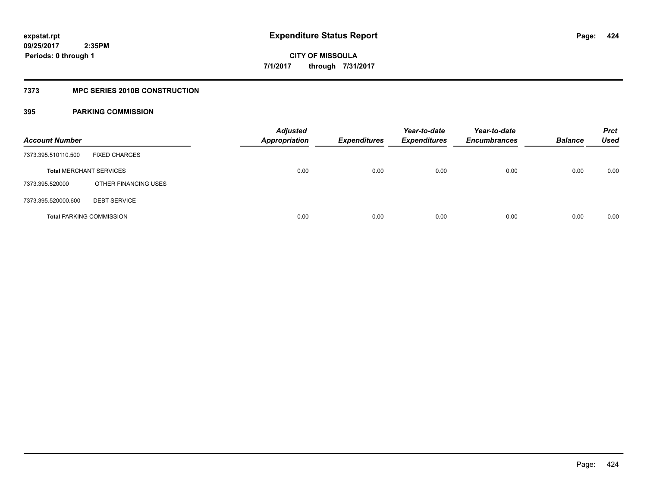# **7373 MPC SERIES 2010B CONSTRUCTION**

| <b>Account Number</b>           |                      | <b>Adjusted</b><br><b>Appropriation</b> | <b>Expenditures</b> | Year-to-date<br><b>Expenditures</b> | Year-to-date<br><b>Encumbrances</b> | <b>Balance</b> | <b>Prct</b><br><b>Used</b> |
|---------------------------------|----------------------|-----------------------------------------|---------------------|-------------------------------------|-------------------------------------|----------------|----------------------------|
| 7373.395.510110.500             | <b>FIXED CHARGES</b> |                                         |                     |                                     |                                     |                |                            |
| <b>Total MERCHANT SERVICES</b>  |                      | 0.00                                    | 0.00                | 0.00                                | 0.00                                | 0.00           | 0.00                       |
| 7373.395.520000                 | OTHER FINANCING USES |                                         |                     |                                     |                                     |                |                            |
| 7373.395.520000.600             | <b>DEBT SERVICE</b>  |                                         |                     |                                     |                                     |                |                            |
| <b>Total PARKING COMMISSION</b> |                      | 0.00                                    | 0.00                | 0.00                                | 0.00                                | 0.00           | 0.00                       |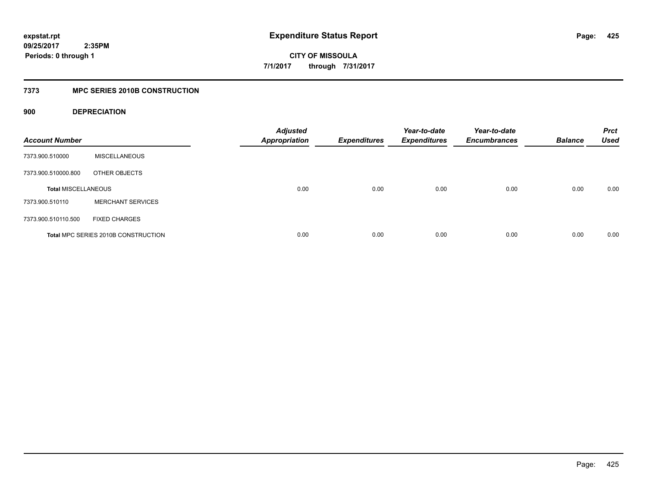**CITY OF MISSOULA 7/1/2017 through 7/31/2017**

# **7373 MPC SERIES 2010B CONSTRUCTION**

# **900 DEPRECIATION**

| <b>Account Number</b>      |                                     | <b>Adjusted</b><br><b>Appropriation</b> | <b>Expenditures</b> | Year-to-date<br><b>Expenditures</b> | Year-to-date<br><b>Encumbrances</b> | <b>Balance</b> | <b>Prct</b><br><b>Used</b> |
|----------------------------|-------------------------------------|-----------------------------------------|---------------------|-------------------------------------|-------------------------------------|----------------|----------------------------|
| 7373.900.510000            | <b>MISCELLANEOUS</b>                |                                         |                     |                                     |                                     |                |                            |
| 7373.900.510000.800        | OTHER OBJECTS                       |                                         |                     |                                     |                                     |                |                            |
| <b>Total MISCELLANEOUS</b> |                                     | 0.00                                    | 0.00                | 0.00                                | 0.00                                | 0.00           | 0.00                       |
| 7373.900.510110            | <b>MERCHANT SERVICES</b>            |                                         |                     |                                     |                                     |                |                            |
| 7373.900.510110.500        | <b>FIXED CHARGES</b>                |                                         |                     |                                     |                                     |                |                            |
|                            | Total MPC SERIES 2010B CONSTRUCTION | 0.00                                    | 0.00                | 0.00                                | 0.00                                | 0.00           | 0.00                       |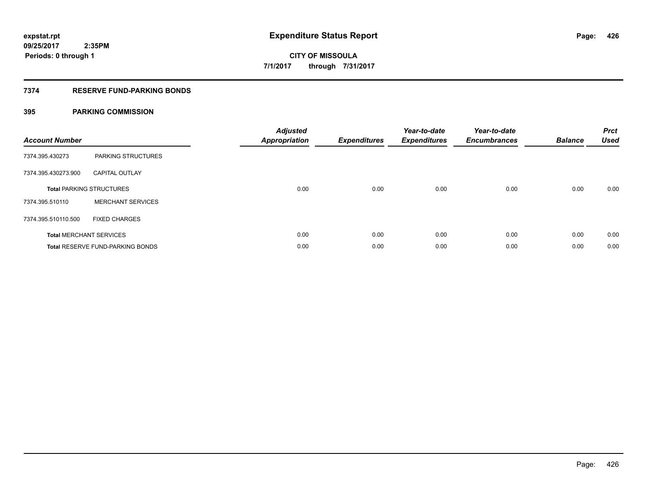# **7374 RESERVE FUND-PARKING BONDS**

| <b>Account Number</b> |                                         | <b>Adjusted</b><br><b>Appropriation</b> | <b>Expenditures</b> | Year-to-date<br><b>Expenditures</b> | Year-to-date<br><b>Encumbrances</b> | <b>Balance</b> | <b>Prct</b><br><b>Used</b> |
|-----------------------|-----------------------------------------|-----------------------------------------|---------------------|-------------------------------------|-------------------------------------|----------------|----------------------------|
| 7374.395.430273       | PARKING STRUCTURES                      |                                         |                     |                                     |                                     |                |                            |
| 7374.395.430273.900   | <b>CAPITAL OUTLAY</b>                   |                                         |                     |                                     |                                     |                |                            |
|                       | <b>Total PARKING STRUCTURES</b>         | 0.00                                    | 0.00                | 0.00                                | 0.00                                | 0.00           | 0.00                       |
| 7374.395.510110       | <b>MERCHANT SERVICES</b>                |                                         |                     |                                     |                                     |                |                            |
| 7374.395.510110.500   | <b>FIXED CHARGES</b>                    |                                         |                     |                                     |                                     |                |                            |
|                       | <b>Total MERCHANT SERVICES</b>          | 0.00                                    | 0.00                | 0.00                                | 0.00                                | 0.00           | 0.00                       |
|                       | <b>Total RESERVE FUND-PARKING BONDS</b> | 0.00                                    | 0.00                | 0.00                                | 0.00                                | 0.00           | 0.00                       |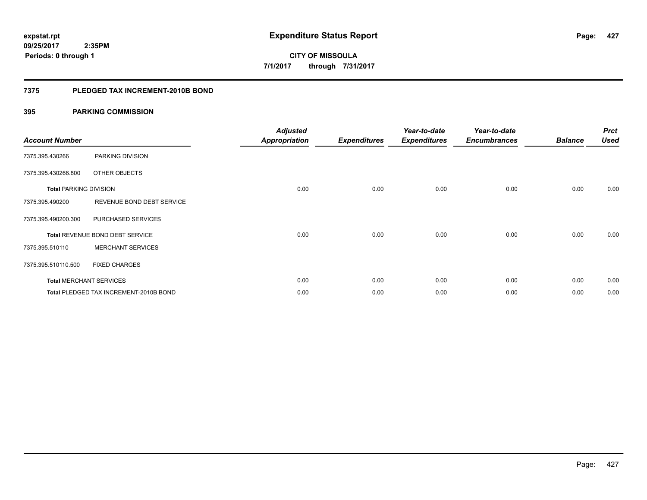## **7375 PLEDGED TAX INCREMENT-2010B BOND**

| <b>Account Number</b>         |                                        | <b>Adjusted</b><br><b>Appropriation</b> | <b>Expenditures</b> | Year-to-date<br><b>Expenditures</b> | Year-to-date<br><b>Encumbrances</b> | <b>Balance</b> | <b>Prct</b><br><b>Used</b> |
|-------------------------------|----------------------------------------|-----------------------------------------|---------------------|-------------------------------------|-------------------------------------|----------------|----------------------------|
| 7375.395.430266               | PARKING DIVISION                       |                                         |                     |                                     |                                     |                |                            |
| 7375.395.430266.800           | OTHER OBJECTS                          |                                         |                     |                                     |                                     |                |                            |
| <b>Total PARKING DIVISION</b> |                                        | 0.00                                    | 0.00                | 0.00                                | 0.00                                | 0.00           | 0.00                       |
| 7375.395.490200               | REVENUE BOND DEBT SERVICE              |                                         |                     |                                     |                                     |                |                            |
| 7375.395.490200.300           | PURCHASED SERVICES                     |                                         |                     |                                     |                                     |                |                            |
|                               | Total REVENUE BOND DEBT SERVICE        | 0.00                                    | 0.00                | 0.00                                | 0.00                                | 0.00           | 0.00                       |
| 7375.395.510110               | <b>MERCHANT SERVICES</b>               |                                         |                     |                                     |                                     |                |                            |
| 7375.395.510110.500           | <b>FIXED CHARGES</b>                   |                                         |                     |                                     |                                     |                |                            |
|                               | <b>Total MERCHANT SERVICES</b>         | 0.00                                    | 0.00                | 0.00                                | 0.00                                | 0.00           | 0.00                       |
|                               | Total PLEDGED TAX INCREMENT-2010B BOND | 0.00                                    | 0.00                | 0.00                                | 0.00                                | 0.00           | 0.00                       |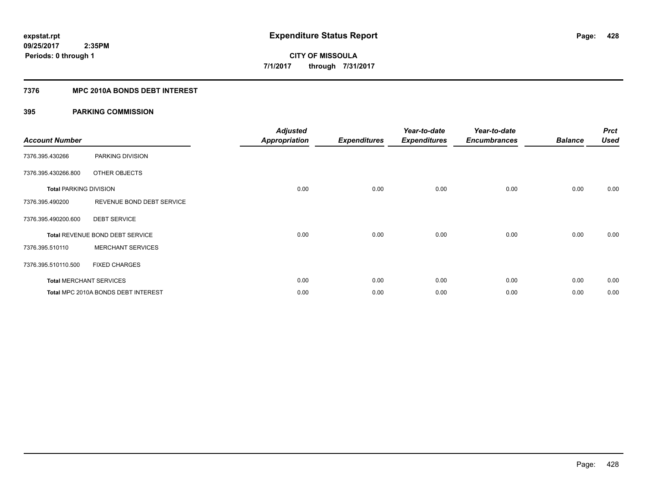# **7376 MPC 2010A BONDS DEBT INTEREST**

| <b>Account Number</b>         |                                     | <b>Adjusted</b><br><b>Appropriation</b> | <b>Expenditures</b> | Year-to-date<br><b>Expenditures</b> | Year-to-date<br><b>Encumbrances</b> | <b>Balance</b> | <b>Prct</b><br><b>Used</b> |
|-------------------------------|-------------------------------------|-----------------------------------------|---------------------|-------------------------------------|-------------------------------------|----------------|----------------------------|
| 7376.395.430266               | PARKING DIVISION                    |                                         |                     |                                     |                                     |                |                            |
| 7376.395.430266.800           | OTHER OBJECTS                       |                                         |                     |                                     |                                     |                |                            |
| <b>Total PARKING DIVISION</b> |                                     | 0.00                                    | 0.00                | 0.00                                | 0.00                                | 0.00           | 0.00                       |
| 7376.395.490200               | REVENUE BOND DEBT SERVICE           |                                         |                     |                                     |                                     |                |                            |
| 7376.395.490200.600           | <b>DEBT SERVICE</b>                 |                                         |                     |                                     |                                     |                |                            |
|                               | Total REVENUE BOND DEBT SERVICE     | 0.00                                    | 0.00                | 0.00                                | 0.00                                | 0.00           | 0.00                       |
| 7376.395.510110               | <b>MERCHANT SERVICES</b>            |                                         |                     |                                     |                                     |                |                            |
| 7376.395.510110.500           | <b>FIXED CHARGES</b>                |                                         |                     |                                     |                                     |                |                            |
|                               | <b>Total MERCHANT SERVICES</b>      | 0.00                                    | 0.00                | 0.00                                | 0.00                                | 0.00           | 0.00                       |
|                               | Total MPC 2010A BONDS DEBT INTEREST | 0.00                                    | 0.00                | 0.00                                | 0.00                                | 0.00           | 0.00                       |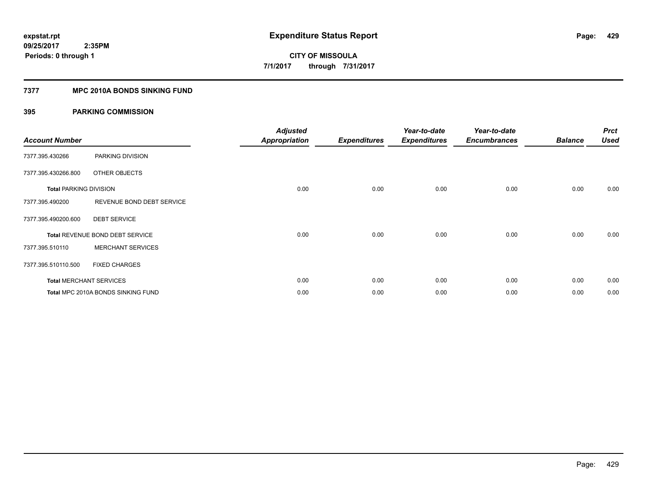# **7377 MPC 2010A BONDS SINKING FUND**

| <b>Account Number</b>         |                                    | <b>Adjusted</b><br><b>Appropriation</b> | <b>Expenditures</b> | Year-to-date<br><b>Expenditures</b> | Year-to-date<br><b>Encumbrances</b> | <b>Balance</b> | <b>Prct</b><br><b>Used</b> |
|-------------------------------|------------------------------------|-----------------------------------------|---------------------|-------------------------------------|-------------------------------------|----------------|----------------------------|
| 7377.395.430266               | PARKING DIVISION                   |                                         |                     |                                     |                                     |                |                            |
| 7377.395.430266.800           | OTHER OBJECTS                      |                                         |                     |                                     |                                     |                |                            |
| <b>Total PARKING DIVISION</b> |                                    | 0.00                                    | 0.00                | 0.00                                | 0.00                                | 0.00           | 0.00                       |
| 7377.395.490200               | REVENUE BOND DEBT SERVICE          |                                         |                     |                                     |                                     |                |                            |
| 7377.395.490200.600           | <b>DEBT SERVICE</b>                |                                         |                     |                                     |                                     |                |                            |
|                               | Total REVENUE BOND DEBT SERVICE    | 0.00                                    | 0.00                | 0.00                                | 0.00                                | 0.00           | 0.00                       |
| 7377.395.510110               | <b>MERCHANT SERVICES</b>           |                                         |                     |                                     |                                     |                |                            |
| 7377.395.510110.500           | <b>FIXED CHARGES</b>               |                                         |                     |                                     |                                     |                |                            |
|                               | <b>Total MERCHANT SERVICES</b>     | 0.00                                    | 0.00                | 0.00                                | 0.00                                | 0.00           | 0.00                       |
|                               | Total MPC 2010A BONDS SINKING FUND | 0.00                                    | 0.00                | 0.00                                | 0.00                                | 0.00           | 0.00                       |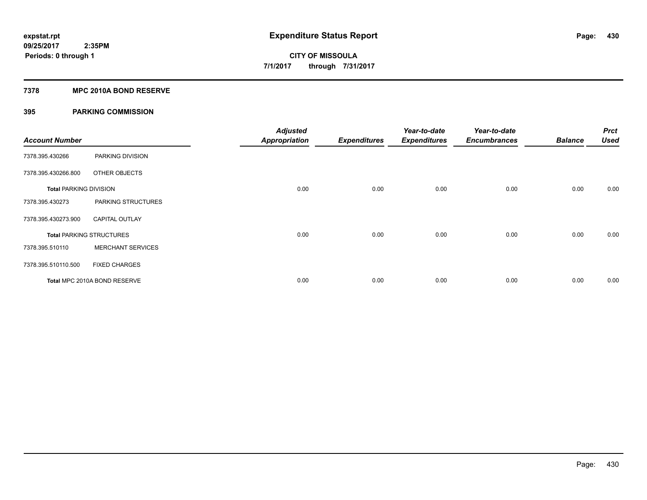## **7378 MPC 2010A BOND RESERVE**

| <b>Account Number</b>         |                                 | <b>Adjusted</b><br><b>Appropriation</b> | <b>Expenditures</b> | Year-to-date<br><b>Expenditures</b> | Year-to-date<br><b>Encumbrances</b> | <b>Balance</b> | <b>Prct</b><br><b>Used</b> |
|-------------------------------|---------------------------------|-----------------------------------------|---------------------|-------------------------------------|-------------------------------------|----------------|----------------------------|
| 7378.395.430266               | PARKING DIVISION                |                                         |                     |                                     |                                     |                |                            |
| 7378.395.430266.800           | OTHER OBJECTS                   |                                         |                     |                                     |                                     |                |                            |
| <b>Total PARKING DIVISION</b> |                                 | 0.00                                    | 0.00                | 0.00                                | 0.00                                | 0.00           | 0.00                       |
| 7378.395.430273               | PARKING STRUCTURES              |                                         |                     |                                     |                                     |                |                            |
| 7378.395.430273.900           | <b>CAPITAL OUTLAY</b>           |                                         |                     |                                     |                                     |                |                            |
|                               | <b>Total PARKING STRUCTURES</b> | 0.00                                    | 0.00                | 0.00                                | 0.00                                | 0.00           | 0.00                       |
| 7378.395.510110               | <b>MERCHANT SERVICES</b>        |                                         |                     |                                     |                                     |                |                            |
| 7378.395.510110.500           | <b>FIXED CHARGES</b>            |                                         |                     |                                     |                                     |                |                            |
|                               | Total MPC 2010A BOND RESERVE    | 0.00                                    | 0.00                | 0.00                                | 0.00                                | 0.00           | 0.00                       |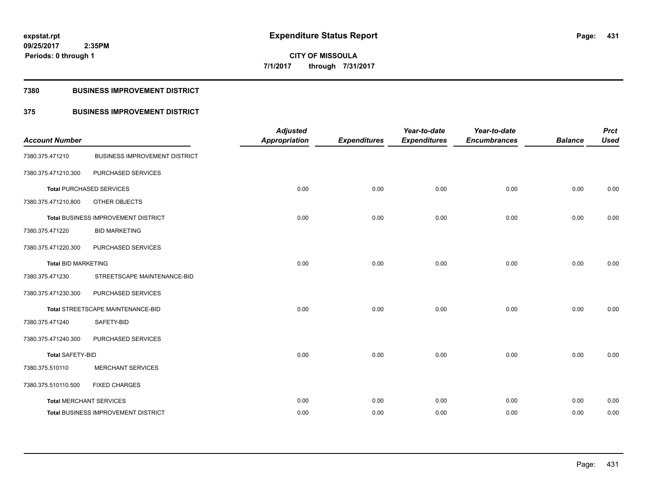**Periods: 0 through 1**

**CITY OF MISSOULA 7/1/2017 through 7/31/2017**

## **7380 BUSINESS IMPROVEMENT DISTRICT**

# **375 BUSINESS IMPROVEMENT DISTRICT**

| <b>Account Number</b>          |                                      | <b>Adjusted</b><br><b>Appropriation</b> | <b>Expenditures</b> | Year-to-date<br><b>Expenditures</b> | Year-to-date<br><b>Encumbrances</b> | <b>Balance</b> | <b>Prct</b><br><b>Used</b> |
|--------------------------------|--------------------------------------|-----------------------------------------|---------------------|-------------------------------------|-------------------------------------|----------------|----------------------------|
| 7380.375.471210                | <b>BUSINESS IMPROVEMENT DISTRICT</b> |                                         |                     |                                     |                                     |                |                            |
| 7380.375.471210.300            | PURCHASED SERVICES                   |                                         |                     |                                     |                                     |                |                            |
|                                | <b>Total PURCHASED SERVICES</b>      | 0.00                                    | 0.00                | 0.00                                | 0.00                                | 0.00           | 0.00                       |
| 7380.375.471210.800            | OTHER OBJECTS                        |                                         |                     |                                     |                                     |                |                            |
|                                | Total BUSINESS IMPROVEMENT DISTRICT  | 0.00                                    | 0.00                | 0.00                                | 0.00                                | 0.00           | 0.00                       |
| 7380.375.471220                | <b>BID MARKETING</b>                 |                                         |                     |                                     |                                     |                |                            |
| 7380.375.471220.300            | PURCHASED SERVICES                   |                                         |                     |                                     |                                     |                |                            |
| <b>Total BID MARKETING</b>     |                                      | 0.00                                    | 0.00                | 0.00                                | 0.00                                | 0.00           | 0.00                       |
| 7380.375.471230                | STREETSCAPE MAINTENANCE-BID          |                                         |                     |                                     |                                     |                |                            |
| 7380.375.471230.300            | PURCHASED SERVICES                   |                                         |                     |                                     |                                     |                |                            |
|                                | Total STREETSCAPE MAINTENANCE-BID    | 0.00                                    | 0.00                | 0.00                                | 0.00                                | 0.00           | 0.00                       |
| 7380.375.471240                | SAFETY-BID                           |                                         |                     |                                     |                                     |                |                            |
| 7380.375.471240.300            | PURCHASED SERVICES                   |                                         |                     |                                     |                                     |                |                            |
| <b>Total SAFETY-BID</b>        |                                      | 0.00                                    | 0.00                | 0.00                                | 0.00                                | 0.00           | 0.00                       |
| 7380.375.510110                | <b>MERCHANT SERVICES</b>             |                                         |                     |                                     |                                     |                |                            |
| 7380.375.510110.500            | <b>FIXED CHARGES</b>                 |                                         |                     |                                     |                                     |                |                            |
| <b>Total MERCHANT SERVICES</b> |                                      | 0.00                                    | 0.00                | 0.00                                | 0.00                                | 0.00           | 0.00                       |
|                                | Total BUSINESS IMPROVEMENT DISTRICT  | 0.00                                    | 0.00                | 0.00                                | 0.00                                | 0.00           | 0.00                       |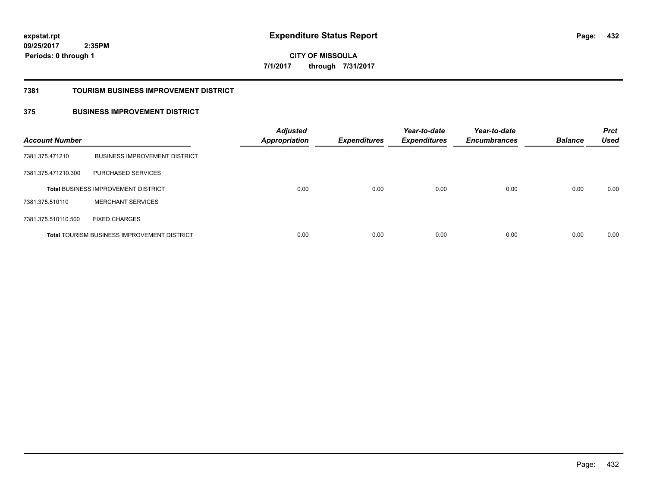**432**

**09/25/2017 2:35PM Periods: 0 through 1**

**CITY OF MISSOULA 7/1/2017 through 7/31/2017**

#### **7381 TOURISM BUSINESS IMPROVEMENT DISTRICT**

# **375 BUSINESS IMPROVEMENT DISTRICT**

| <b>Account Number</b> |                                                    | <b>Adjusted</b><br><b>Appropriation</b> | <b>Expenditures</b> | Year-to-date<br><b>Expenditures</b> | Year-to-date<br><b>Encumbrances</b> | <b>Balance</b> | <b>Prct</b><br><b>Used</b> |
|-----------------------|----------------------------------------------------|-----------------------------------------|---------------------|-------------------------------------|-------------------------------------|----------------|----------------------------|
| 7381.375.471210       | <b>BUSINESS IMPROVEMENT DISTRICT</b>               |                                         |                     |                                     |                                     |                |                            |
| 7381.375.471210.300   | PURCHASED SERVICES                                 |                                         |                     |                                     |                                     |                |                            |
|                       | <b>Total BUSINESS IMPROVEMENT DISTRICT</b>         | 0.00                                    | 0.00                | 0.00                                | 0.00                                | 0.00           | 0.00                       |
| 7381.375.510110       | <b>MERCHANT SERVICES</b>                           |                                         |                     |                                     |                                     |                |                            |
| 7381.375.510110.500   | <b>FIXED CHARGES</b>                               |                                         |                     |                                     |                                     |                |                            |
|                       | <b>Total TOURISM BUSINESS IMPROVEMENT DISTRICT</b> | 0.00                                    | 0.00                | 0.00                                | 0.00                                | 0.00           | 0.00                       |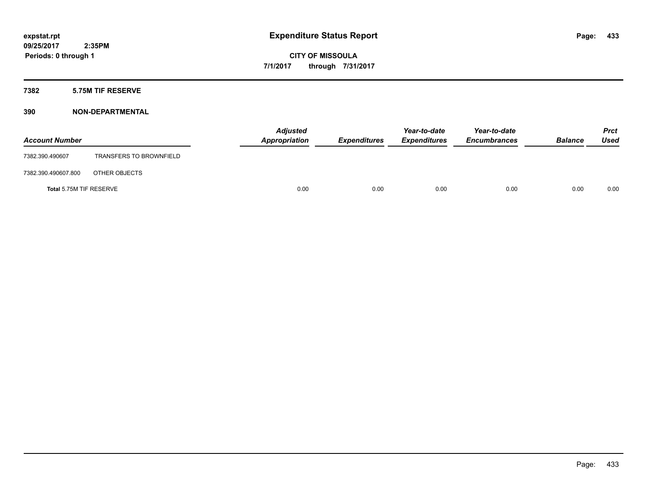### **7382 5.75M TIF RESERVE**

| <b>Account Number</b>   |                                | <b>Adjusted</b><br>Appropriation | <b>Expenditures</b> | Year-to-date<br><b>Expenditures</b> | Year-to-date<br><b>Encumbrances</b> | <b>Balance</b> | <b>Prct</b><br><b>Used</b> |
|-------------------------|--------------------------------|----------------------------------|---------------------|-------------------------------------|-------------------------------------|----------------|----------------------------|
| 7382.390.490607         | <b>TRANSFERS TO BROWNFIELD</b> |                                  |                     |                                     |                                     |                |                            |
| 7382.390.490607.800     | OTHER OBJECTS                  |                                  |                     |                                     |                                     |                |                            |
| Total 5.75M TIF RESERVE |                                | 0.00                             | 0.00                | 0.00                                | 0.00                                | 0.00           | 0.00                       |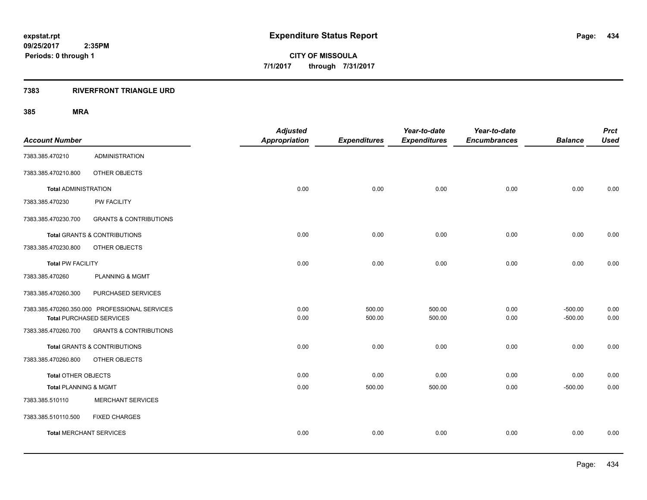### **7383 RIVERFRONT TRIANGLE URD**

| <b>Account Number</b>          |                                               | <b>Adjusted</b><br><b>Appropriation</b> | <b>Expenditures</b> | Year-to-date<br><b>Expenditures</b> | Year-to-date<br><b>Encumbrances</b> | <b>Balance</b> | <b>Prct</b><br><b>Used</b> |
|--------------------------------|-----------------------------------------------|-----------------------------------------|---------------------|-------------------------------------|-------------------------------------|----------------|----------------------------|
| 7383.385.470210                | <b>ADMINISTRATION</b>                         |                                         |                     |                                     |                                     |                |                            |
| 7383.385.470210.800            | OTHER OBJECTS                                 |                                         |                     |                                     |                                     |                |                            |
| <b>Total ADMINISTRATION</b>    |                                               | 0.00                                    | 0.00                | 0.00                                | 0.00                                | 0.00           | 0.00                       |
| 7383.385.470230                | PW FACILITY                                   |                                         |                     |                                     |                                     |                |                            |
| 7383.385.470230.700            | <b>GRANTS &amp; CONTRIBUTIONS</b>             |                                         |                     |                                     |                                     |                |                            |
|                                | <b>Total GRANTS &amp; CONTRIBUTIONS</b>       | 0.00                                    | 0.00                | 0.00                                | 0.00                                | 0.00           | 0.00                       |
| 7383.385.470230.800            | OTHER OBJECTS                                 |                                         |                     |                                     |                                     |                |                            |
| <b>Total PW FACILITY</b>       |                                               | 0.00                                    | 0.00                | 0.00                                | 0.00                                | 0.00           | 0.00                       |
| 7383.385.470260                | PLANNING & MGMT                               |                                         |                     |                                     |                                     |                |                            |
| 7383.385.470260.300            | PURCHASED SERVICES                            |                                         |                     |                                     |                                     |                |                            |
|                                | 7383.385.470260.350.000 PROFESSIONAL SERVICES | 0.00                                    | 500.00              | 500.00                              | 0.00                                | $-500.00$      | 0.00                       |
|                                | <b>Total PURCHASED SERVICES</b>               | 0.00                                    | 500.00              | 500.00                              | 0.00                                | $-500.00$      | 0.00                       |
| 7383.385.470260.700            | <b>GRANTS &amp; CONTRIBUTIONS</b>             |                                         |                     |                                     |                                     |                |                            |
|                                | Total GRANTS & CONTRIBUTIONS                  | 0.00                                    | 0.00                | 0.00                                | 0.00                                | 0.00           | 0.00                       |
| 7383.385.470260.800            | OTHER OBJECTS                                 |                                         |                     |                                     |                                     |                |                            |
| Total OTHER OBJECTS            |                                               | 0.00                                    | 0.00                | 0.00                                | 0.00                                | 0.00           | 0.00                       |
| Total PLANNING & MGMT          |                                               | 0.00                                    | 500.00              | 500.00                              | 0.00                                | $-500.00$      | 0.00                       |
| 7383.385.510110                | <b>MERCHANT SERVICES</b>                      |                                         |                     |                                     |                                     |                |                            |
| 7383.385.510110.500            | <b>FIXED CHARGES</b>                          |                                         |                     |                                     |                                     |                |                            |
| <b>Total MERCHANT SERVICES</b> |                                               | 0.00                                    | 0.00                | 0.00                                | 0.00                                | 0.00           | 0.00                       |
|                                |                                               |                                         |                     |                                     |                                     |                |                            |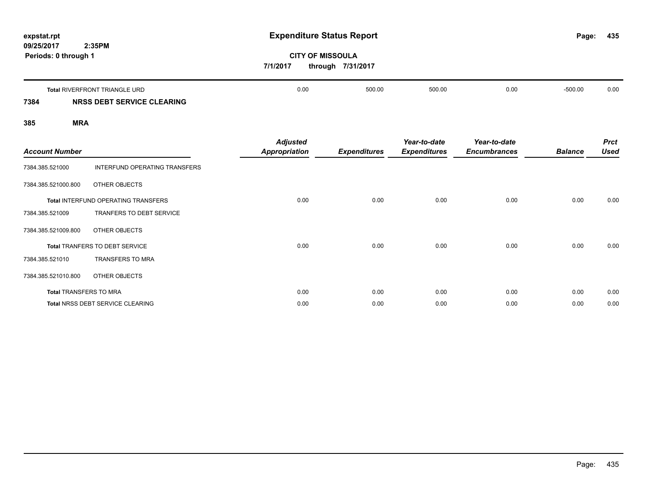| expstat.rpt<br>2:35PM<br>09/25/2017              |                                         | <b>Expenditure Status Report</b>             |                                     |                                     | Page:          | 435                        |
|--------------------------------------------------|-----------------------------------------|----------------------------------------------|-------------------------------------|-------------------------------------|----------------|----------------------------|
| Periods: 0 through 1                             | 7/1/2017                                | <b>CITY OF MISSOULA</b><br>through 7/31/2017 |                                     |                                     |                |                            |
| <b>Total RIVERFRONT TRIANGLE URD</b>             | 0.00                                    | 500.00                                       | 500.00                              | 0.00                                | $-500.00$      | 0.00                       |
| NRSS DEBT SERVICE CLEARING<br>7384               |                                         |                                              |                                     |                                     |                |                            |
| 385<br><b>MRA</b>                                |                                         |                                              |                                     |                                     |                |                            |
| <b>Account Number</b>                            | <b>Adjusted</b><br><b>Appropriation</b> | <b>Expenditures</b>                          | Year-to-date<br><b>Expenditures</b> | Year-to-date<br><b>Encumbrances</b> | <b>Balance</b> | <b>Prct</b><br><b>Used</b> |
| 7384.385.521000<br>INTERFUND OPERATING TRANSFERS |                                         |                                              |                                     |                                     |                |                            |
| 7384.385.521000.800<br>OTHER OBJECTS             |                                         |                                              |                                     |                                     |                |                            |
| <b>Total INTERFUND OPERATING TRANSFERS</b>       | 0.00                                    | 0.00                                         | 0.00                                | 0.00                                | 0.00           | 0.00                       |

| <b>Account Number</b>         |                                            | <b>Appropriation</b> | <b>Expenditures</b> | <b>Expenditures</b> | <b>Encumbrances</b> | <b>Balance</b> | Used |
|-------------------------------|--------------------------------------------|----------------------|---------------------|---------------------|---------------------|----------------|------|
| 7384.385.521000               | INTERFUND OPERATING TRANSFERS              |                      |                     |                     |                     |                |      |
| 7384.385.521000.800           | OTHER OBJECTS                              |                      |                     |                     |                     |                |      |
|                               | <b>Total INTERFUND OPERATING TRANSFERS</b> | 0.00                 | 0.00                | 0.00                | 0.00                | 0.00           | 0.00 |
| 7384.385.521009               | TRANFERS TO DEBT SERVICE                   |                      |                     |                     |                     |                |      |
| 7384.385.521009.800           | OTHER OBJECTS                              |                      |                     |                     |                     |                |      |
|                               | <b>Total TRANFERS TO DEBT SERVICE</b>      | 0.00                 | 0.00                | 0.00                | 0.00                | 0.00           | 0.00 |
| 7384.385.521010               | <b>TRANSFERS TO MRA</b>                    |                      |                     |                     |                     |                |      |
| 7384.385.521010.800           | OTHER OBJECTS                              |                      |                     |                     |                     |                |      |
| <b>Total TRANSFERS TO MRA</b> |                                            | 0.00                 | 0.00                | 0.00                | 0.00                | 0.00           | 0.00 |
|                               | <b>Total NRSS DEBT SERVICE CLEARING</b>    | 0.00                 | 0.00                | 0.00                | 0.00                | 0.00           | 0.00 |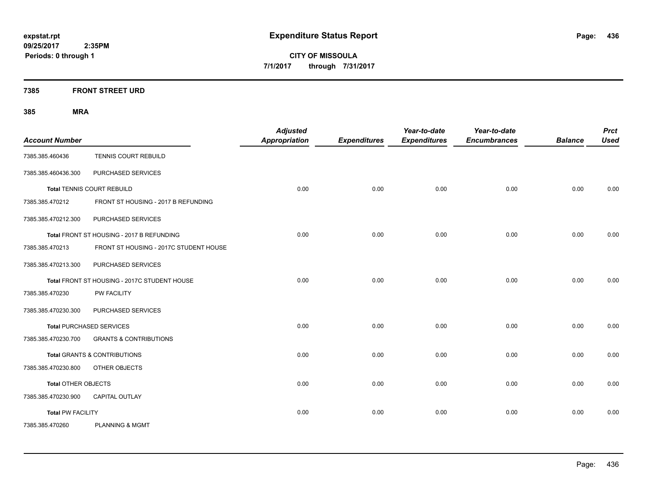**Periods: 0 through 1**

**CITY OF MISSOULA 7/1/2017 through 7/31/2017**

**7385 FRONT STREET URD**

| <b>Account Number</b>      |                                              | <b>Adjusted</b><br>Appropriation | <b>Expenditures</b> | Year-to-date<br><b>Expenditures</b> | Year-to-date<br><b>Encumbrances</b> | <b>Balance</b> | <b>Prct</b><br><b>Used</b> |
|----------------------------|----------------------------------------------|----------------------------------|---------------------|-------------------------------------|-------------------------------------|----------------|----------------------------|
| 7385.385.460436            | TENNIS COURT REBUILD                         |                                  |                     |                                     |                                     |                |                            |
| 7385.385.460436.300        | PURCHASED SERVICES                           |                                  |                     |                                     |                                     |                |                            |
|                            | <b>Total TENNIS COURT REBUILD</b>            | 0.00                             | 0.00                | 0.00                                | 0.00                                | 0.00           | 0.00                       |
| 7385.385.470212            | FRONT ST HOUSING - 2017 B REFUNDING          |                                  |                     |                                     |                                     |                |                            |
| 7385.385.470212.300        | PURCHASED SERVICES                           |                                  |                     |                                     |                                     |                |                            |
|                            | Total FRONT ST HOUSING - 2017 B REFUNDING    | 0.00                             | 0.00                | 0.00                                | 0.00                                | 0.00           | 0.00                       |
| 7385.385.470213            | FRONT ST HOUSING - 2017C STUDENT HOUSE       |                                  |                     |                                     |                                     |                |                            |
| 7385.385.470213.300        | PURCHASED SERVICES                           |                                  |                     |                                     |                                     |                |                            |
|                            | Total FRONT ST HOUSING - 2017C STUDENT HOUSE | 0.00                             | 0.00                | 0.00                                | 0.00                                | 0.00           | 0.00                       |
| 7385.385.470230            | <b>PW FACILITY</b>                           |                                  |                     |                                     |                                     |                |                            |
| 7385.385.470230.300        | PURCHASED SERVICES                           |                                  |                     |                                     |                                     |                |                            |
|                            | <b>Total PURCHASED SERVICES</b>              | 0.00                             | 0.00                | 0.00                                | 0.00                                | 0.00           | 0.00                       |
| 7385.385.470230.700        | <b>GRANTS &amp; CONTRIBUTIONS</b>            |                                  |                     |                                     |                                     |                |                            |
|                            | Total GRANTS & CONTRIBUTIONS                 | 0.00                             | 0.00                | 0.00                                | 0.00                                | 0.00           | 0.00                       |
| 7385.385.470230.800        | OTHER OBJECTS                                |                                  |                     |                                     |                                     |                |                            |
| <b>Total OTHER OBJECTS</b> |                                              | 0.00                             | 0.00                | 0.00                                | 0.00                                | 0.00           | 0.00                       |
| 7385.385.470230.900        | CAPITAL OUTLAY                               |                                  |                     |                                     |                                     |                |                            |
| <b>Total PW FACILITY</b>   |                                              | 0.00                             | 0.00                | 0.00                                | 0.00                                | 0.00           | 0.00                       |
| 7385.385.470260            | <b>PLANNING &amp; MGMT</b>                   |                                  |                     |                                     |                                     |                |                            |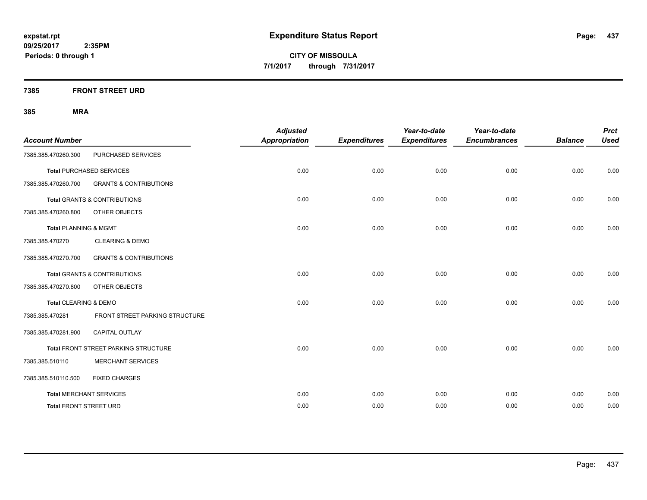**Periods: 0 through 1**

**CITY OF MISSOULA 7/1/2017 through 7/31/2017**

**7385 FRONT STREET URD**

| <b>Account Number</b>            |                                             | <b>Adjusted</b><br><b>Appropriation</b> | <b>Expenditures</b> | Year-to-date<br><b>Expenditures</b> | Year-to-date<br><b>Encumbrances</b> | <b>Balance</b> | <b>Prct</b><br><b>Used</b> |
|----------------------------------|---------------------------------------------|-----------------------------------------|---------------------|-------------------------------------|-------------------------------------|----------------|----------------------------|
| 7385.385.470260.300              | PURCHASED SERVICES                          |                                         |                     |                                     |                                     |                |                            |
|                                  | <b>Total PURCHASED SERVICES</b>             | 0.00                                    | 0.00                | 0.00                                | 0.00                                | 0.00           | 0.00                       |
| 7385.385.470260.700              | <b>GRANTS &amp; CONTRIBUTIONS</b>           |                                         |                     |                                     |                                     |                |                            |
|                                  | <b>Total GRANTS &amp; CONTRIBUTIONS</b>     | 0.00                                    | 0.00                | 0.00                                | 0.00                                | 0.00           | 0.00                       |
| 7385.385.470260.800              | OTHER OBJECTS                               |                                         |                     |                                     |                                     |                |                            |
| <b>Total PLANNING &amp; MGMT</b> |                                             | 0.00                                    | 0.00                | 0.00                                | 0.00                                | 0.00           | 0.00                       |
| 7385.385.470270                  | <b>CLEARING &amp; DEMO</b>                  |                                         |                     |                                     |                                     |                |                            |
| 7385.385.470270.700              | <b>GRANTS &amp; CONTRIBUTIONS</b>           |                                         |                     |                                     |                                     |                |                            |
|                                  | <b>Total GRANTS &amp; CONTRIBUTIONS</b>     | 0.00                                    | 0.00                | 0.00                                | 0.00                                | 0.00           | 0.00                       |
| 7385.385.470270.800              | OTHER OBJECTS                               |                                         |                     |                                     |                                     |                |                            |
| Total CLEARING & DEMO            |                                             | 0.00                                    | 0.00                | 0.00                                | 0.00                                | 0.00           | 0.00                       |
| 7385.385.470281                  | FRONT STREET PARKING STRUCTURE              |                                         |                     |                                     |                                     |                |                            |
| 7385.385.470281.900              | <b>CAPITAL OUTLAY</b>                       |                                         |                     |                                     |                                     |                |                            |
|                                  | <b>Total FRONT STREET PARKING STRUCTURE</b> | 0.00                                    | 0.00                | 0.00                                | 0.00                                | 0.00           | 0.00                       |
| 7385.385.510110                  | <b>MERCHANT SERVICES</b>                    |                                         |                     |                                     |                                     |                |                            |
| 7385.385.510110.500              | <b>FIXED CHARGES</b>                        |                                         |                     |                                     |                                     |                |                            |
|                                  | <b>Total MERCHANT SERVICES</b>              | 0.00                                    | 0.00                | 0.00                                | 0.00                                | 0.00           | 0.00                       |
| <b>Total FRONT STREET URD</b>    |                                             | 0.00                                    | 0.00                | 0.00                                | 0.00                                | 0.00           | 0.00                       |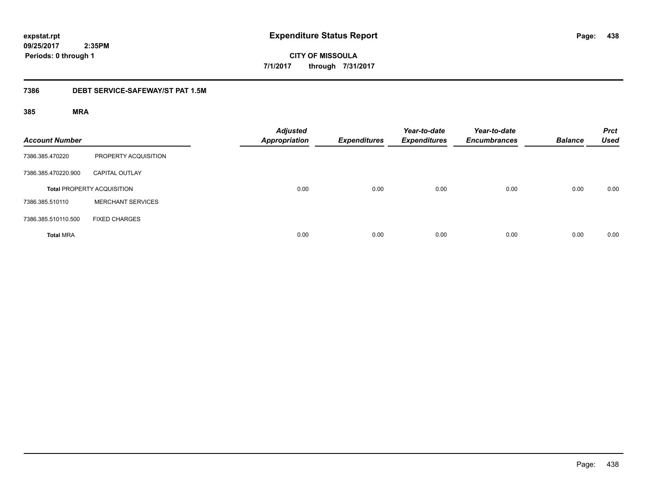**438**

**09/25/2017 2:35PM Periods: 0 through 1**

**CITY OF MISSOULA 7/1/2017 through 7/31/2017**

### **7386 DEBT SERVICE-SAFEWAY/ST PAT 1.5M**

| <b>Account Number</b> |                                   | <b>Adjusted</b><br><b>Appropriation</b> | <b>Expenditures</b> | Year-to-date<br><b>Expenditures</b> | Year-to-date<br><b>Encumbrances</b> | <b>Balance</b> | <b>Prct</b><br><b>Used</b> |
|-----------------------|-----------------------------------|-----------------------------------------|---------------------|-------------------------------------|-------------------------------------|----------------|----------------------------|
| 7386.385.470220       | PROPERTY ACQUISITION              |                                         |                     |                                     |                                     |                |                            |
| 7386.385.470220.900   | <b>CAPITAL OUTLAY</b>             |                                         |                     |                                     |                                     |                |                            |
|                       | <b>Total PROPERTY ACQUISITION</b> | 0.00                                    | 0.00                | 0.00                                | 0.00                                | 0.00           | 0.00                       |
| 7386.385.510110       | <b>MERCHANT SERVICES</b>          |                                         |                     |                                     |                                     |                |                            |
| 7386.385.510110.500   | <b>FIXED CHARGES</b>              |                                         |                     |                                     |                                     |                |                            |
| <b>Total MRA</b>      |                                   | 0.00                                    | 0.00                | 0.00                                | 0.00                                | 0.00           | 0.00                       |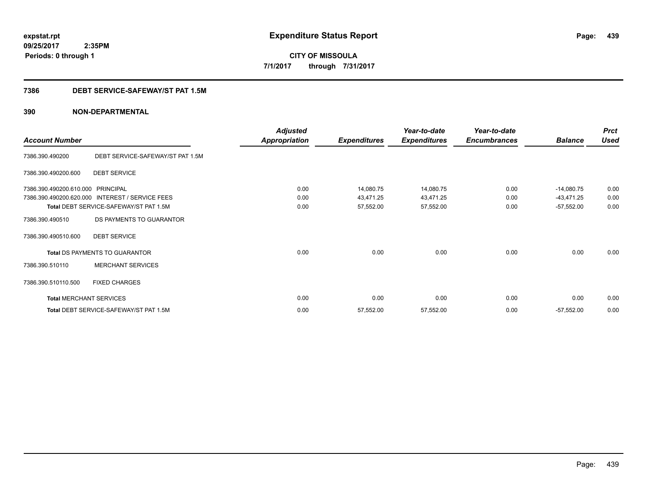**CITY OF MISSOULA 7/1/2017 through 7/31/2017**

### **7386 DEBT SERVICE-SAFEWAY/ST PAT 1.5M**

|                                |                                        | <b>Adjusted</b>      |                     | Year-to-date        | Year-to-date        |                | <b>Prct</b> |
|--------------------------------|----------------------------------------|----------------------|---------------------|---------------------|---------------------|----------------|-------------|
| <b>Account Number</b>          |                                        | <b>Appropriation</b> | <b>Expenditures</b> | <b>Expenditures</b> | <b>Encumbrances</b> | <b>Balance</b> | <b>Used</b> |
| 7386.390.490200                | DEBT SERVICE-SAFEWAY/ST PAT 1.5M       |                      |                     |                     |                     |                |             |
| 7386.390.490200.600            | <b>DEBT SERVICE</b>                    |                      |                     |                     |                     |                |             |
| 7386.390.490200.610.000        | <b>PRINCIPAL</b>                       | 0.00                 | 14,080.75           | 14,080.75           | 0.00                | $-14,080.75$   | 0.00        |
| 7386.390.490200.620.000        | <b>INTEREST / SERVICE FEES</b>         | 0.00                 | 43,471.25           | 43,471.25           | 0.00                | $-43,471.25$   | 0.00        |
|                                | Total DEBT SERVICE-SAFEWAY/ST PAT 1.5M | 0.00                 | 57,552.00           | 57,552.00           | 0.00                | $-57,552.00$   | 0.00        |
| 7386.390.490510                | DS PAYMENTS TO GUARANTOR               |                      |                     |                     |                     |                |             |
| 7386.390.490510.600            | <b>DEBT SERVICE</b>                    |                      |                     |                     |                     |                |             |
|                                | <b>Total DS PAYMENTS TO GUARANTOR</b>  | 0.00                 | 0.00                | 0.00                | 0.00                | 0.00           | 0.00        |
| 7386.390.510110                | <b>MERCHANT SERVICES</b>               |                      |                     |                     |                     |                |             |
| 7386.390.510110.500            | <b>FIXED CHARGES</b>                   |                      |                     |                     |                     |                |             |
| <b>Total MERCHANT SERVICES</b> |                                        | 0.00                 | 0.00                | 0.00                | 0.00                | 0.00           | 0.00        |
|                                | Total DEBT SERVICE-SAFEWAY/ST PAT 1.5M | 0.00                 | 57,552.00           | 57,552.00           | 0.00                | $-57,552.00$   | 0.00        |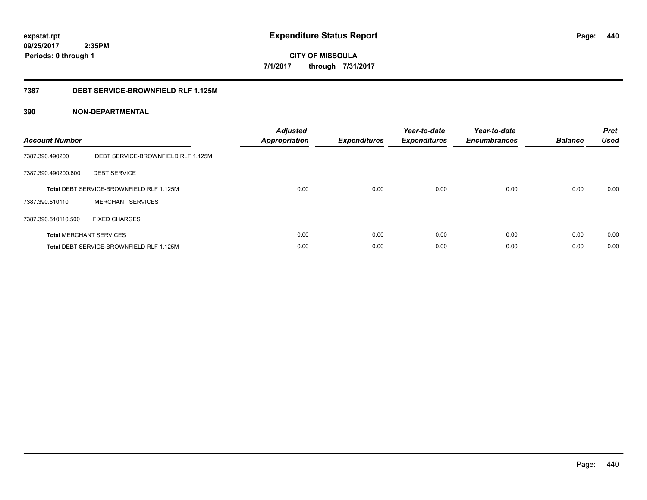# **09/25/2017**

**440**

 **2:35PM Periods: 0 through 1**

**CITY OF MISSOULA 7/1/2017 through 7/31/2017**

### **7387 DEBT SERVICE-BROWNFIELD RLF 1.125M**

| <b>Account Number</b> |                                                 | <b>Adjusted</b><br>Appropriation | <b>Expenditures</b> | Year-to-date<br><b>Expenditures</b> | Year-to-date<br><b>Encumbrances</b> | <b>Balance</b> | <b>Prct</b><br>Used |
|-----------------------|-------------------------------------------------|----------------------------------|---------------------|-------------------------------------|-------------------------------------|----------------|---------------------|
| 7387.390.490200       | DEBT SERVICE-BROWNFIELD RLF 1.125M              |                                  |                     |                                     |                                     |                |                     |
| 7387.390.490200.600   | <b>DEBT SERVICE</b>                             |                                  |                     |                                     |                                     |                |                     |
|                       | <b>Total DEBT SERVICE-BROWNFIELD RLF 1.125M</b> | 0.00                             | 0.00                | 0.00                                | 0.00                                | 0.00           | 0.00                |
| 7387.390.510110       | <b>MERCHANT SERVICES</b>                        |                                  |                     |                                     |                                     |                |                     |
| 7387.390.510110.500   | <b>FIXED CHARGES</b>                            |                                  |                     |                                     |                                     |                |                     |
|                       | <b>Total MERCHANT SERVICES</b>                  | 0.00                             | 0.00                | 0.00                                | 0.00                                | 0.00           | 0.00                |
|                       | Total DEBT SERVICE-BROWNFIELD RLF 1.125M        | 0.00                             | 0.00                | 0.00                                | 0.00                                | 0.00           | 0.00                |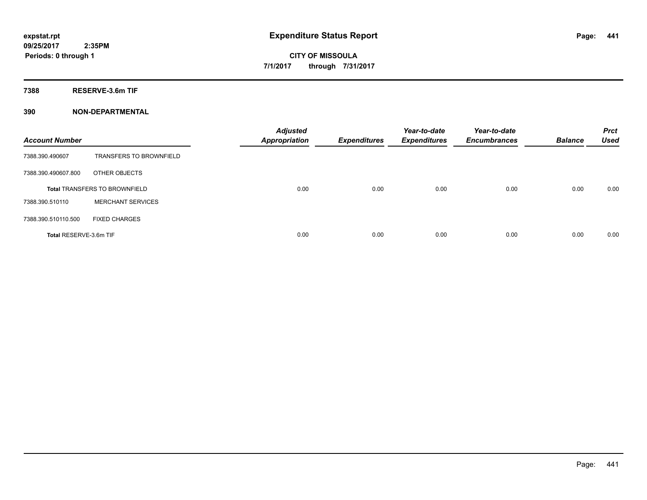**7388 RESERVE-3.6m TIF**

| <b>Account Number</b>  |                                      | <b>Adjusted</b><br><b>Appropriation</b> | <b>Expenditures</b> | Year-to-date<br><b>Expenditures</b> | Year-to-date<br><b>Encumbrances</b> | <b>Balance</b> | <b>Prct</b><br><b>Used</b> |
|------------------------|--------------------------------------|-----------------------------------------|---------------------|-------------------------------------|-------------------------------------|----------------|----------------------------|
| 7388.390.490607        | <b>TRANSFERS TO BROWNFIELD</b>       |                                         |                     |                                     |                                     |                |                            |
| 7388.390.490607.800    | OTHER OBJECTS                        |                                         |                     |                                     |                                     |                |                            |
|                        | <b>Total TRANSFERS TO BROWNFIELD</b> | 0.00                                    | 0.00                | 0.00                                | 0.00                                | 0.00           | 0.00                       |
| 7388.390.510110        | <b>MERCHANT SERVICES</b>             |                                         |                     |                                     |                                     |                |                            |
| 7388.390.510110.500    | <b>FIXED CHARGES</b>                 |                                         |                     |                                     |                                     |                |                            |
| Total RESERVE-3.6m TIF |                                      | 0.00                                    | 0.00                | 0.00                                | 0.00                                | 0.00           | 0.00                       |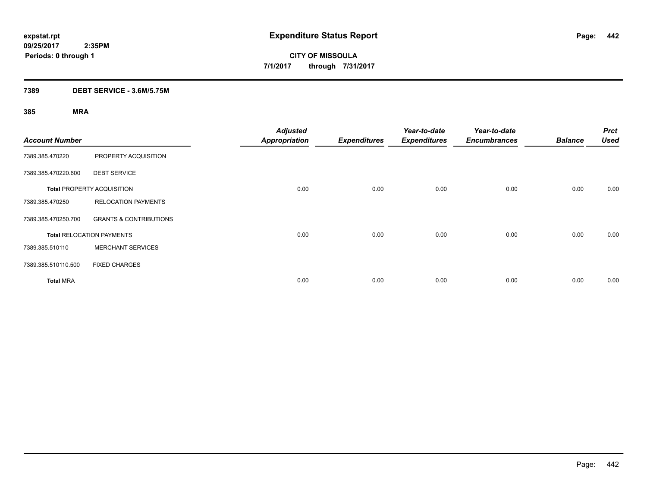### **7389 DEBT SERVICE - 3.6M/5.75M**

| <b>Account Number</b> |                                   | <b>Adjusted</b><br><b>Appropriation</b> | <b>Expenditures</b> | Year-to-date<br><b>Expenditures</b> | Year-to-date<br><b>Encumbrances</b> | <b>Balance</b> | <b>Prct</b><br><b>Used</b> |
|-----------------------|-----------------------------------|-----------------------------------------|---------------------|-------------------------------------|-------------------------------------|----------------|----------------------------|
| 7389.385.470220       | PROPERTY ACQUISITION              |                                         |                     |                                     |                                     |                |                            |
| 7389.385.470220.600   | <b>DEBT SERVICE</b>               |                                         |                     |                                     |                                     |                |                            |
|                       | <b>Total PROPERTY ACQUISITION</b> | 0.00                                    | 0.00                | 0.00                                | 0.00                                | 0.00           | 0.00                       |
| 7389.385.470250       | <b>RELOCATION PAYMENTS</b>        |                                         |                     |                                     |                                     |                |                            |
| 7389.385.470250.700   | <b>GRANTS &amp; CONTRIBUTIONS</b> |                                         |                     |                                     |                                     |                |                            |
|                       | <b>Total RELOCATION PAYMENTS</b>  | 0.00                                    | 0.00                | 0.00                                | 0.00                                | 0.00           | 0.00                       |
| 7389.385.510110       | <b>MERCHANT SERVICES</b>          |                                         |                     |                                     |                                     |                |                            |
| 7389.385.510110.500   | <b>FIXED CHARGES</b>              |                                         |                     |                                     |                                     |                |                            |
| <b>Total MRA</b>      |                                   | 0.00                                    | 0.00                | 0.00                                | 0.00                                | 0.00           | 0.00                       |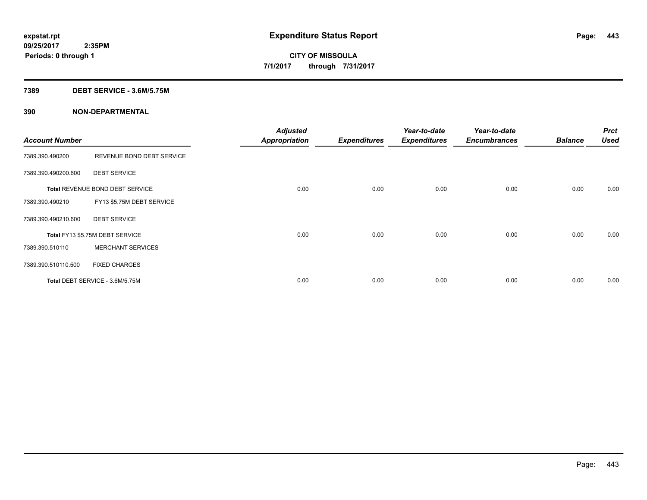### **7389 DEBT SERVICE - 3.6M/5.75M**

| <b>Account Number</b> |                                 | <b>Adjusted</b><br>Appropriation | <b>Expenditures</b> | Year-to-date<br><b>Expenditures</b> | Year-to-date<br><b>Encumbrances</b> | <b>Balance</b> | <b>Prct</b><br><b>Used</b> |
|-----------------------|---------------------------------|----------------------------------|---------------------|-------------------------------------|-------------------------------------|----------------|----------------------------|
| 7389.390.490200       | REVENUE BOND DEBT SERVICE       |                                  |                     |                                     |                                     |                |                            |
| 7389.390.490200.600   | <b>DEBT SERVICE</b>             |                                  |                     |                                     |                                     |                |                            |
|                       | Total REVENUE BOND DEBT SERVICE | 0.00                             | 0.00                | 0.00                                | 0.00                                | 0.00           | 0.00                       |
| 7389.390.490210       | FY13 \$5.75M DEBT SERVICE       |                                  |                     |                                     |                                     |                |                            |
| 7389.390.490210.600   | <b>DEBT SERVICE</b>             |                                  |                     |                                     |                                     |                |                            |
|                       | Total FY13 \$5.75M DEBT SERVICE | 0.00                             | 0.00                | 0.00                                | 0.00                                | 0.00           | 0.00                       |
| 7389.390.510110       | <b>MERCHANT SERVICES</b>        |                                  |                     |                                     |                                     |                |                            |
| 7389.390.510110.500   | <b>FIXED CHARGES</b>            |                                  |                     |                                     |                                     |                |                            |
|                       | Total DEBT SERVICE - 3.6M/5.75M | 0.00                             | 0.00                | 0.00                                | 0.00                                | 0.00           | 0.00                       |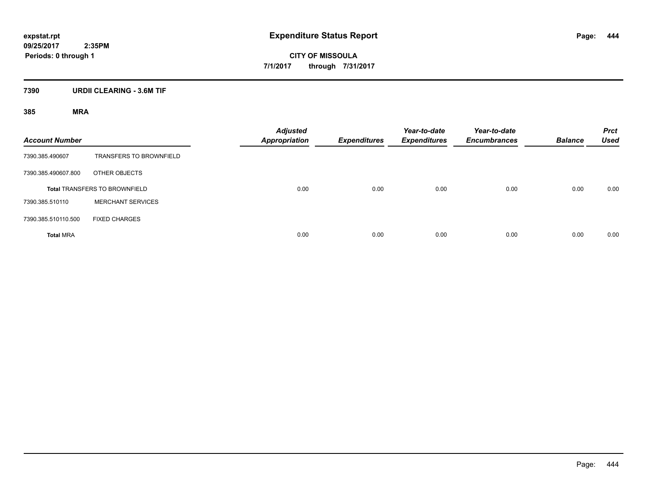### **7390 URDII CLEARING - 3.6M TIF**

| <b>Account Number</b> |                                      | <b>Adjusted</b><br><b>Appropriation</b> | <b>Expenditures</b> | Year-to-date<br><b>Expenditures</b> | Year-to-date<br><b>Encumbrances</b> | <b>Balance</b> | <b>Prct</b><br><b>Used</b> |
|-----------------------|--------------------------------------|-----------------------------------------|---------------------|-------------------------------------|-------------------------------------|----------------|----------------------------|
| 7390.385.490607       | <b>TRANSFERS TO BROWNFIELD</b>       |                                         |                     |                                     |                                     |                |                            |
| 7390.385.490607.800   | OTHER OBJECTS                        |                                         |                     |                                     |                                     |                |                            |
|                       | <b>Total TRANSFERS TO BROWNFIELD</b> | 0.00                                    | 0.00                | 0.00                                | 0.00                                | 0.00           | 0.00                       |
| 7390.385.510110       | <b>MERCHANT SERVICES</b>             |                                         |                     |                                     |                                     |                |                            |
| 7390.385.510110.500   | <b>FIXED CHARGES</b>                 |                                         |                     |                                     |                                     |                |                            |
| <b>Total MRA</b>      |                                      | 0.00                                    | 0.00                | 0.00                                | 0.00                                | 0.00           | 0.00                       |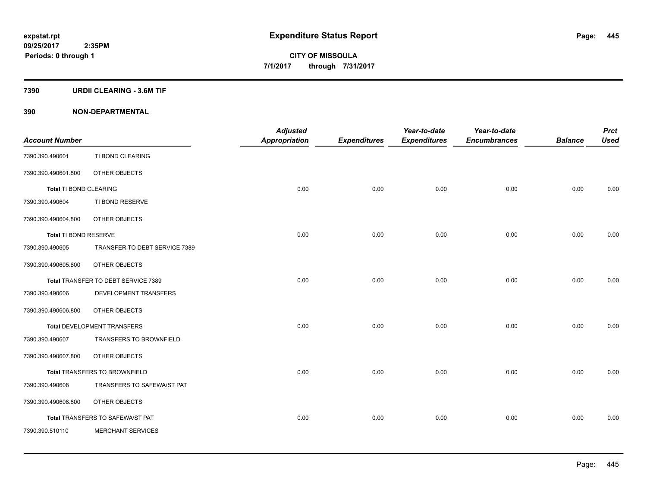### **7390 URDII CLEARING - 3.6M TIF**

| <b>Account Number</b>        |                                     | <b>Adjusted</b><br>Appropriation | <b>Expenditures</b> | Year-to-date<br><b>Expenditures</b> | Year-to-date<br><b>Encumbrances</b> | <b>Balance</b> | <b>Prct</b><br><b>Used</b> |
|------------------------------|-------------------------------------|----------------------------------|---------------------|-------------------------------------|-------------------------------------|----------------|----------------------------|
| 7390.390.490601              | TI BOND CLEARING                    |                                  |                     |                                     |                                     |                |                            |
| 7390.390.490601.800          | OTHER OBJECTS                       |                                  |                     |                                     |                                     |                |                            |
| Total TI BOND CLEARING       |                                     | 0.00                             | 0.00                | 0.00                                | 0.00                                | 0.00           | 0.00                       |
| 7390.390.490604              | TI BOND RESERVE                     |                                  |                     |                                     |                                     |                |                            |
| 7390.390.490604.800          | OTHER OBJECTS                       |                                  |                     |                                     |                                     |                |                            |
| <b>Total TI BOND RESERVE</b> |                                     | 0.00                             | 0.00                | 0.00                                | 0.00                                | 0.00           | 0.00                       |
| 7390.390.490605              | TRANSFER TO DEBT SERVICE 7389       |                                  |                     |                                     |                                     |                |                            |
| 7390.390.490605.800          | OTHER OBJECTS                       |                                  |                     |                                     |                                     |                |                            |
|                              | Total TRANSFER TO DEBT SERVICE 7389 | 0.00                             | 0.00                | 0.00                                | 0.00                                | 0.00           | 0.00                       |
| 7390.390.490606              | DEVELOPMENT TRANSFERS               |                                  |                     |                                     |                                     |                |                            |
| 7390.390.490606.800          | OTHER OBJECTS                       |                                  |                     |                                     |                                     |                |                            |
|                              | Total DEVELOPMENT TRANSFERS         | 0.00                             | 0.00                | 0.00                                | 0.00                                | 0.00           | 0.00                       |
| 7390.390.490607              | TRANSFERS TO BROWNFIELD             |                                  |                     |                                     |                                     |                |                            |
| 7390.390.490607.800          | OTHER OBJECTS                       |                                  |                     |                                     |                                     |                |                            |
|                              | Total TRANSFERS TO BROWNFIELD       | 0.00                             | 0.00                | 0.00                                | 0.00                                | 0.00           | 0.00                       |
| 7390.390.490608              | TRANSFERS TO SAFEWA/ST PAT          |                                  |                     |                                     |                                     |                |                            |
| 7390.390.490608.800          | OTHER OBJECTS                       |                                  |                     |                                     |                                     |                |                            |
|                              | Total TRANSFERS TO SAFEWA/ST PAT    | 0.00                             | 0.00                | 0.00                                | 0.00                                | 0.00           | 0.00                       |
| 7390.390.510110              | <b>MERCHANT SERVICES</b>            |                                  |                     |                                     |                                     |                |                            |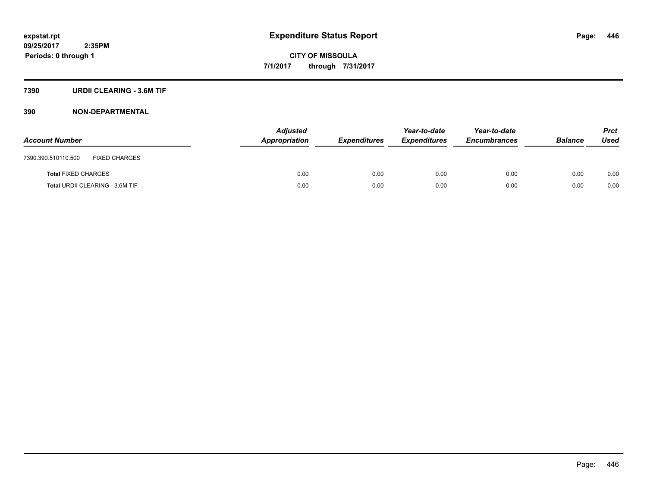### **7390 URDII CLEARING - 3.6M TIF**

| <b>Account Number</b>                       | <b>Adjusted</b><br>Appropriation | <i><b>Expenditures</b></i> | Year-to-date<br><b>Expenditures</b> | Year-to-date<br><b>Encumbrances</b> | <b>Balance</b> | <b>Prct</b><br>Used |
|---------------------------------------------|----------------------------------|----------------------------|-------------------------------------|-------------------------------------|----------------|---------------------|
| <b>FIXED CHARGES</b><br>7390.390.510110.500 |                                  |                            |                                     |                                     |                |                     |
| <b>Total FIXED CHARGES</b>                  | 0.00                             | 0.00                       | 0.00                                | 0.00                                | 0.00           | 0.00                |
| Total URDII CLEARING - 3.6M TIF             | 0.00                             | 0.00                       | 0.00                                | 0.00                                | 0.00           | 0.00                |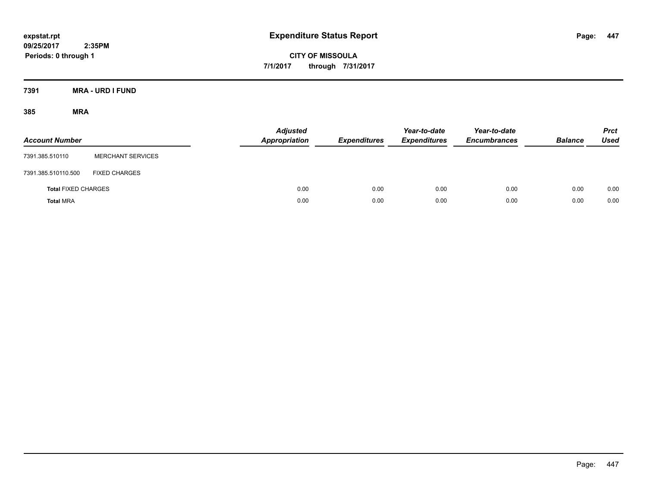**CITY OF MISSOULA 7/1/2017 through 7/31/2017**

**7391 MRA - URD I FUND**

| <b>Account Number</b>      |                          | <b>Adjusted</b><br><b>Appropriation</b> | <b>Expenditures</b> | Year-to-date<br><b>Expenditures</b> | Year-to-date<br><b>Encumbrances</b> | <b>Balance</b> | <b>Prct</b><br><b>Used</b> |
|----------------------------|--------------------------|-----------------------------------------|---------------------|-------------------------------------|-------------------------------------|----------------|----------------------------|
| 7391.385.510110            | <b>MERCHANT SERVICES</b> |                                         |                     |                                     |                                     |                |                            |
| 7391.385.510110.500        | <b>FIXED CHARGES</b>     |                                         |                     |                                     |                                     |                |                            |
| <b>Total FIXED CHARGES</b> |                          | 0.00                                    | 0.00                | 0.00                                | 0.00                                | 0.00           | 0.00                       |
| <b>Total MRA</b>           |                          | 0.00                                    | 0.00                | 0.00                                | 0.00                                | 0.00           | 0.00                       |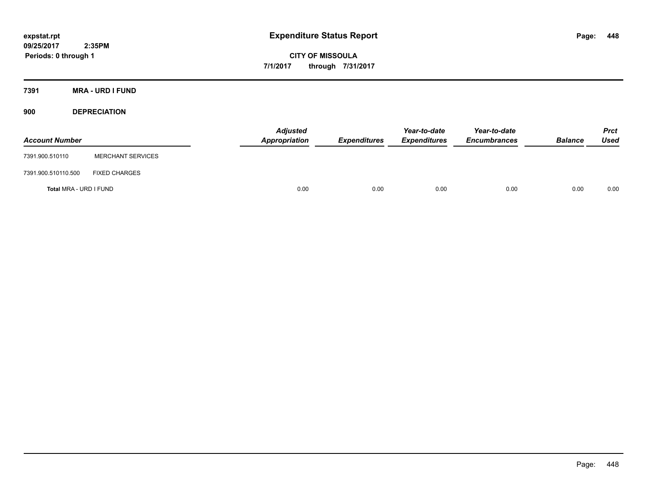**CITY OF MISSOULA 7/1/2017 through 7/31/2017**

**7391 MRA - URD I FUND**

**900 DEPRECIATION**

| <b>Account Number</b>  |                          | Adjusted<br>Appropriation | <b>Expenditures</b> | Year-to-date<br><b>Expenditures</b> | Year-to-date<br><b>Encumbrances</b> | <b>Balance</b> | Prct<br><b>Used</b> |
|------------------------|--------------------------|---------------------------|---------------------|-------------------------------------|-------------------------------------|----------------|---------------------|
| 7391.900.510110        | <b>MERCHANT SERVICES</b> |                           |                     |                                     |                                     |                |                     |
| 7391.900.510110.500    | <b>FIXED CHARGES</b>     |                           |                     |                                     |                                     |                |                     |
| Total MRA - URD I FUND |                          | 0.00                      | 0.00                | 0.00                                | 0.00                                | 0.00           | 0.00                |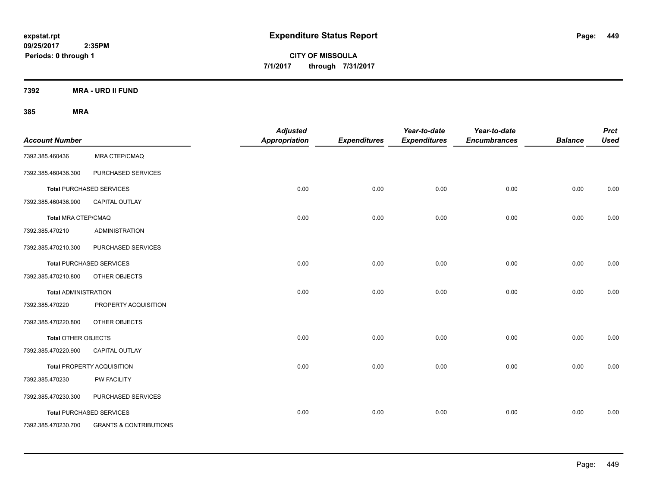**CITY OF MISSOULA 7/1/2017 through 7/31/2017**

**7392 MRA - URD II FUND**

| <b>Account Number</b>       |                                   | <b>Adjusted</b><br>Appropriation | <b>Expenditures</b> | Year-to-date<br><b>Expenditures</b> | Year-to-date<br><b>Encumbrances</b> | <b>Balance</b> | <b>Prct</b><br><b>Used</b> |
|-----------------------------|-----------------------------------|----------------------------------|---------------------|-------------------------------------|-------------------------------------|----------------|----------------------------|
| 7392.385.460436             | MRA CTEP/CMAQ                     |                                  |                     |                                     |                                     |                |                            |
| 7392.385.460436.300         | PURCHASED SERVICES                |                                  |                     |                                     |                                     |                |                            |
|                             | <b>Total PURCHASED SERVICES</b>   | 0.00                             | 0.00                | 0.00                                | 0.00                                | 0.00           | 0.00                       |
| 7392.385.460436.900         | <b>CAPITAL OUTLAY</b>             |                                  |                     |                                     |                                     |                |                            |
| Total MRA CTEP/CMAQ         |                                   | 0.00                             | 0.00                | 0.00                                | 0.00                                | 0.00           | 0.00                       |
| 7392.385.470210             | <b>ADMINISTRATION</b>             |                                  |                     |                                     |                                     |                |                            |
| 7392.385.470210.300         | PURCHASED SERVICES                |                                  |                     |                                     |                                     |                |                            |
|                             | <b>Total PURCHASED SERVICES</b>   | 0.00                             | 0.00                | 0.00                                | 0.00                                | 0.00           | 0.00                       |
| 7392.385.470210.800         | OTHER OBJECTS                     |                                  |                     |                                     |                                     |                |                            |
| <b>Total ADMINISTRATION</b> |                                   | 0.00                             | 0.00                | 0.00                                | 0.00                                | 0.00           | 0.00                       |
| 7392.385.470220             | PROPERTY ACQUISITION              |                                  |                     |                                     |                                     |                |                            |
| 7392.385.470220.800         | OTHER OBJECTS                     |                                  |                     |                                     |                                     |                |                            |
| <b>Total OTHER OBJECTS</b>  |                                   | 0.00                             | 0.00                | 0.00                                | 0.00                                | 0.00           | 0.00                       |
| 7392.385.470220.900         | CAPITAL OUTLAY                    |                                  |                     |                                     |                                     |                |                            |
|                             | Total PROPERTY ACQUISITION        | 0.00                             | 0.00                | 0.00                                | 0.00                                | 0.00           | 0.00                       |
| 7392.385.470230             | PW FACILITY                       |                                  |                     |                                     |                                     |                |                            |
| 7392.385.470230.300         | PURCHASED SERVICES                |                                  |                     |                                     |                                     |                |                            |
|                             | <b>Total PURCHASED SERVICES</b>   | 0.00                             | 0.00                | 0.00                                | 0.00                                | 0.00           | 0.00                       |
| 7392.385.470230.700         | <b>GRANTS &amp; CONTRIBUTIONS</b> |                                  |                     |                                     |                                     |                |                            |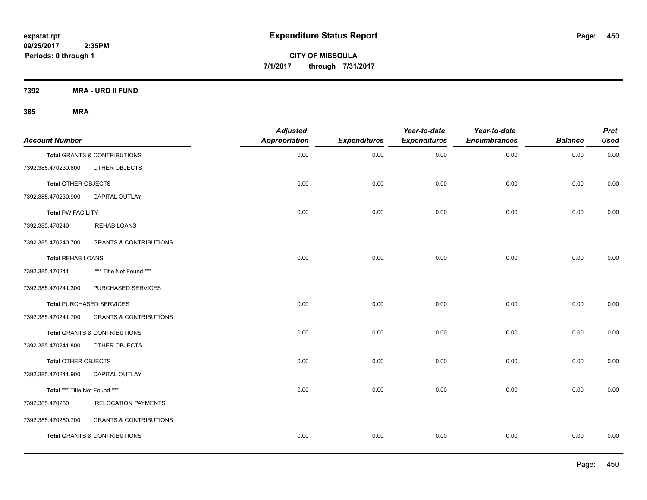**7392 MRA - URD II FUND**

| <b>Account Number</b>         |                                         | <b>Adjusted</b><br><b>Appropriation</b> | <b>Expenditures</b> | Year-to-date<br><b>Expenditures</b> | Year-to-date<br><b>Encumbrances</b> | <b>Balance</b> | <b>Prct</b><br><b>Used</b> |
|-------------------------------|-----------------------------------------|-----------------------------------------|---------------------|-------------------------------------|-------------------------------------|----------------|----------------------------|
|                               | <b>Total GRANTS &amp; CONTRIBUTIONS</b> | 0.00                                    | 0.00                | 0.00                                | 0.00                                | 0.00           | 0.00                       |
| 7392.385.470230.800           | OTHER OBJECTS                           |                                         |                     |                                     |                                     |                |                            |
| <b>Total OTHER OBJECTS</b>    |                                         | 0.00                                    | 0.00                | 0.00                                | 0.00                                | 0.00           | 0.00                       |
| 7392.385.470230.900           | CAPITAL OUTLAY                          |                                         |                     |                                     |                                     |                |                            |
| <b>Total PW FACILITY</b>      |                                         | 0.00                                    | 0.00                | 0.00                                | 0.00                                | 0.00           | 0.00                       |
| 7392.385.470240               | <b>REHAB LOANS</b>                      |                                         |                     |                                     |                                     |                |                            |
| 7392.385.470240.700           | <b>GRANTS &amp; CONTRIBUTIONS</b>       |                                         |                     |                                     |                                     |                |                            |
| <b>Total REHAB LOANS</b>      |                                         | 0.00                                    | 0.00                | 0.00                                | 0.00                                | 0.00           | 0.00                       |
| 7392.385.470241               | *** Title Not Found ***                 |                                         |                     |                                     |                                     |                |                            |
| 7392.385.470241.300           | PURCHASED SERVICES                      |                                         |                     |                                     |                                     |                |                            |
|                               | <b>Total PURCHASED SERVICES</b>         | 0.00                                    | 0.00                | 0.00                                | 0.00                                | 0.00           | 0.00                       |
| 7392.385.470241.700           | <b>GRANTS &amp; CONTRIBUTIONS</b>       |                                         |                     |                                     |                                     |                |                            |
|                               | Total GRANTS & CONTRIBUTIONS            | 0.00                                    | 0.00                | 0.00                                | 0.00                                | 0.00           | 0.00                       |
| 7392.385.470241.800           | OTHER OBJECTS                           |                                         |                     |                                     |                                     |                |                            |
| <b>Total OTHER OBJECTS</b>    |                                         | 0.00                                    | 0.00                | 0.00                                | 0.00                                | 0.00           | 0.00                       |
| 7392.385.470241.900           | CAPITAL OUTLAY                          |                                         |                     |                                     |                                     |                |                            |
| Total *** Title Not Found *** |                                         | 0.00                                    | 0.00                | 0.00                                | 0.00                                | 0.00           | 0.00                       |
| 7392.385.470250               | <b>RELOCATION PAYMENTS</b>              |                                         |                     |                                     |                                     |                |                            |
| 7392.385.470250.700           | <b>GRANTS &amp; CONTRIBUTIONS</b>       |                                         |                     |                                     |                                     |                |                            |
|                               | <b>Total GRANTS &amp; CONTRIBUTIONS</b> | 0.00                                    | 0.00                | 0.00                                | 0.00                                | 0.00           | 0.00                       |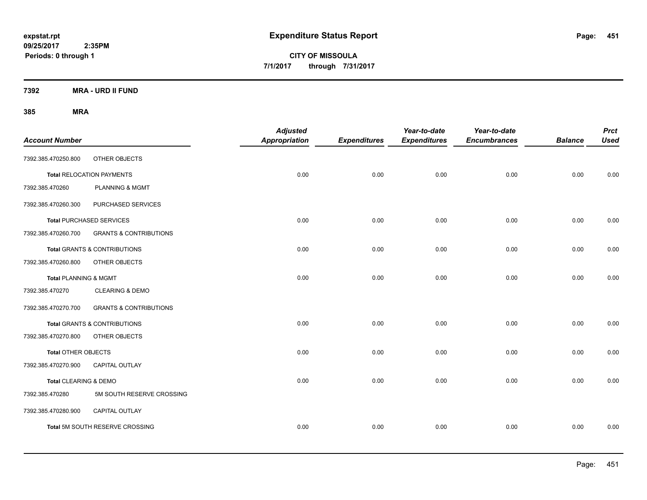**CITY OF MISSOULA 7/1/2017 through 7/31/2017**

**7392 MRA - URD II FUND**

| <b>Account Number</b>            |                                         | <b>Adjusted</b><br>Appropriation | <b>Expenditures</b> | Year-to-date<br><b>Expenditures</b> | Year-to-date<br><b>Encumbrances</b> | <b>Balance</b> | <b>Prct</b><br><b>Used</b> |
|----------------------------------|-----------------------------------------|----------------------------------|---------------------|-------------------------------------|-------------------------------------|----------------|----------------------------|
| 7392.385.470250.800              | OTHER OBJECTS                           |                                  |                     |                                     |                                     |                |                            |
|                                  | <b>Total RELOCATION PAYMENTS</b>        | 0.00                             | 0.00                | 0.00                                | 0.00                                | 0.00           | 0.00                       |
| 7392.385.470260                  | <b>PLANNING &amp; MGMT</b>              |                                  |                     |                                     |                                     |                |                            |
| 7392.385.470260.300              | PURCHASED SERVICES                      |                                  |                     |                                     |                                     |                |                            |
|                                  | <b>Total PURCHASED SERVICES</b>         | 0.00                             | 0.00                | 0.00                                | 0.00                                | 0.00           | 0.00                       |
| 7392.385.470260.700              | <b>GRANTS &amp; CONTRIBUTIONS</b>       |                                  |                     |                                     |                                     |                |                            |
|                                  | <b>Total GRANTS &amp; CONTRIBUTIONS</b> | 0.00                             | 0.00                | 0.00                                | 0.00                                | 0.00           | 0.00                       |
| 7392.385.470260.800              | OTHER OBJECTS                           |                                  |                     |                                     |                                     |                |                            |
| <b>Total PLANNING &amp; MGMT</b> |                                         | 0.00                             | 0.00                | 0.00                                | 0.00                                | 0.00           | 0.00                       |
| 7392.385.470270                  | <b>CLEARING &amp; DEMO</b>              |                                  |                     |                                     |                                     |                |                            |
| 7392.385.470270.700              | <b>GRANTS &amp; CONTRIBUTIONS</b>       |                                  |                     |                                     |                                     |                |                            |
|                                  | Total GRANTS & CONTRIBUTIONS            | 0.00                             | 0.00                | 0.00                                | 0.00                                | 0.00           | 0.00                       |
| 7392.385.470270.800              | OTHER OBJECTS                           |                                  |                     |                                     |                                     |                |                            |
| Total OTHER OBJECTS              |                                         | 0.00                             | 0.00                | 0.00                                | 0.00                                | 0.00           | 0.00                       |
| 7392.385.470270.900              | <b>CAPITAL OUTLAY</b>                   |                                  |                     |                                     |                                     |                |                            |
| Total CLEARING & DEMO            |                                         | 0.00                             | 0.00                | 0.00                                | 0.00                                | 0.00           | 0.00                       |
| 7392.385.470280                  | 5M SOUTH RESERVE CROSSING               |                                  |                     |                                     |                                     |                |                            |
| 7392.385.470280.900              | CAPITAL OUTLAY                          |                                  |                     |                                     |                                     |                |                            |
|                                  | Total 5M SOUTH RESERVE CROSSING         | 0.00                             | 0.00                | 0.00                                | 0.00                                | 0.00           | 0.00                       |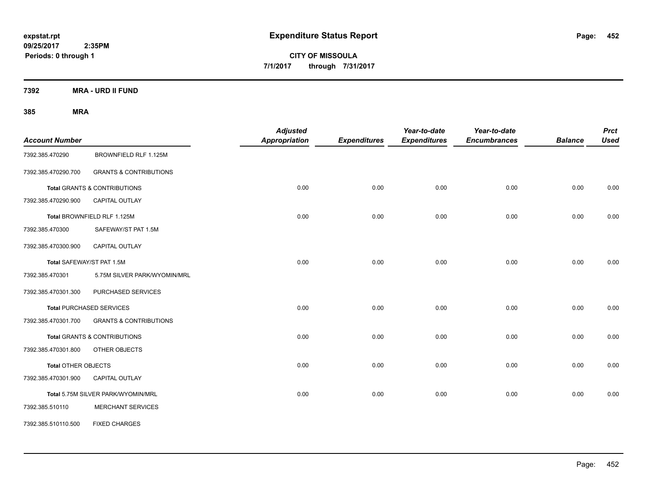**CITY OF MISSOULA 7/1/2017 through 7/31/2017**

**7392 MRA - URD II FUND**

| <b>Account Number</b>      |                                         | <b>Adjusted</b><br><b>Appropriation</b> | <b>Expenditures</b> | Year-to-date<br><b>Expenditures</b> | Year-to-date<br><b>Encumbrances</b> | <b>Balance</b> | <b>Prct</b><br><b>Used</b> |
|----------------------------|-----------------------------------------|-----------------------------------------|---------------------|-------------------------------------|-------------------------------------|----------------|----------------------------|
| 7392.385.470290            | BROWNFIELD RLF 1.125M                   |                                         |                     |                                     |                                     |                |                            |
| 7392.385.470290.700        | <b>GRANTS &amp; CONTRIBUTIONS</b>       |                                         |                     |                                     |                                     |                |                            |
|                            | <b>Total GRANTS &amp; CONTRIBUTIONS</b> | 0.00                                    | 0.00                | 0.00                                | 0.00                                | 0.00           | 0.00                       |
| 7392.385.470290.900        | CAPITAL OUTLAY                          |                                         |                     |                                     |                                     |                |                            |
|                            | Total BROWNFIELD RLF 1.125M             | 0.00                                    | 0.00                | 0.00                                | 0.00                                | 0.00           | 0.00                       |
| 7392.385.470300            | SAFEWAY/ST PAT 1.5M                     |                                         |                     |                                     |                                     |                |                            |
| 7392.385.470300.900        | <b>CAPITAL OUTLAY</b>                   |                                         |                     |                                     |                                     |                |                            |
| Total SAFEWAY/ST PAT 1.5M  |                                         | 0.00                                    | 0.00                | 0.00                                | 0.00                                | 0.00           | 0.00                       |
| 7392.385.470301            | 5.75M SILVER PARK/WYOMIN/MRL            |                                         |                     |                                     |                                     |                |                            |
| 7392.385.470301.300        | PURCHASED SERVICES                      |                                         |                     |                                     |                                     |                |                            |
|                            | <b>Total PURCHASED SERVICES</b>         | 0.00                                    | 0.00                | 0.00                                | 0.00                                | 0.00           | 0.00                       |
| 7392.385.470301.700        | <b>GRANTS &amp; CONTRIBUTIONS</b>       |                                         |                     |                                     |                                     |                |                            |
|                            | <b>Total GRANTS &amp; CONTRIBUTIONS</b> | 0.00                                    | 0.00                | 0.00                                | 0.00                                | 0.00           | 0.00                       |
| 7392.385.470301.800        | OTHER OBJECTS                           |                                         |                     |                                     |                                     |                |                            |
| <b>Total OTHER OBJECTS</b> |                                         | 0.00                                    | 0.00                | 0.00                                | 0.00                                | 0.00           | 0.00                       |
| 7392.385.470301.900        | CAPITAL OUTLAY                          |                                         |                     |                                     |                                     |                |                            |
|                            | Total 5.75M SILVER PARK/WYOMIN/MRL      | 0.00                                    | 0.00                | 0.00                                | 0.00                                | 0.00           | 0.00                       |
| 7392.385.510110            | <b>MERCHANT SERVICES</b>                |                                         |                     |                                     |                                     |                |                            |
| 7392.385.510110.500        | <b>FIXED CHARGES</b>                    |                                         |                     |                                     |                                     |                |                            |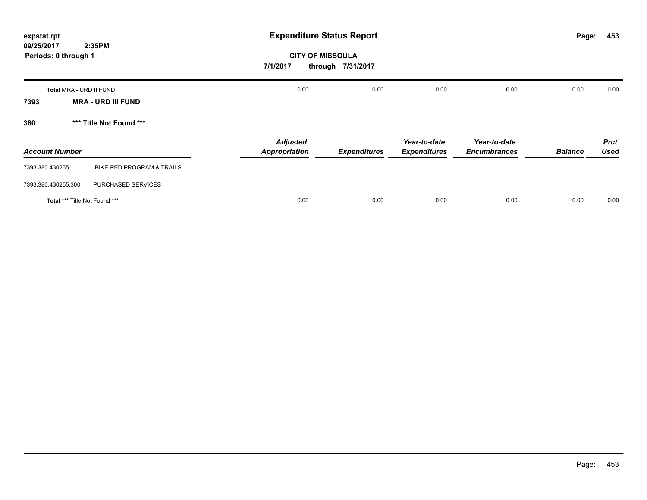| expstat.rpt                                  | <b>Expenditure Status Report</b>        |                     |                                     |                                     |                | 453<br>Page:               |
|----------------------------------------------|-----------------------------------------|---------------------|-------------------------------------|-------------------------------------|----------------|----------------------------|
| 09/25/2017<br>2:35PM<br>Periods: 0 through 1 | <b>CITY OF MISSOULA</b><br>7/1/2017     | through 7/31/2017   |                                     |                                     |                |                            |
| Total MRA - URD II FUND                      | 0.00                                    | 0.00                | 0.00                                | 0.00                                | 0.00           | 0.00                       |
| <b>MRA - URD III FUND</b><br>7393            |                                         |                     |                                     |                                     |                |                            |
| *** Title Not Found ***<br>380               |                                         |                     |                                     |                                     |                |                            |
| <b>Account Number</b>                        | <b>Adjusted</b><br><b>Appropriation</b> | <b>Expenditures</b> | Year-to-date<br><b>Expenditures</b> | Year-to-date<br><b>Encumbrances</b> | <b>Balance</b> | <b>Prct</b><br><b>Used</b> |
| 7393.380.430255<br>BIKE-PED PROGRAM & TRAILS |                                         |                     |                                     |                                     |                |                            |
| PURCHASED SERVICES<br>7393.380.430255.300    |                                         |                     |                                     |                                     |                |                            |
| Total *** Title Not Found ***                | 0.00                                    | 0.00                | 0.00                                | 0.00                                | 0.00           | 0.00                       |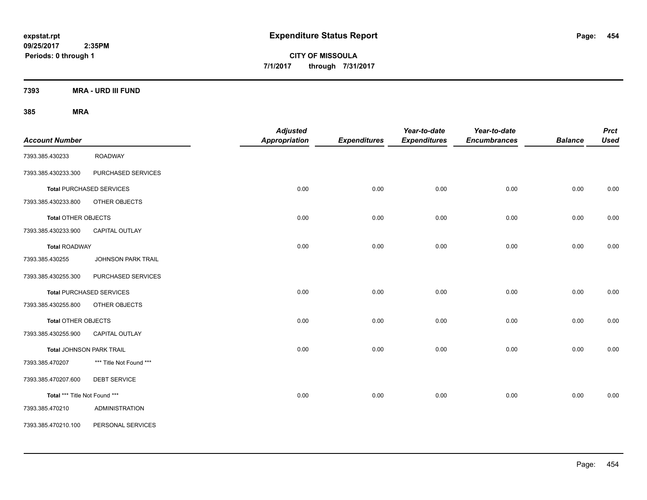**CITY OF MISSOULA 7/1/2017 through 7/31/2017**

**7393 MRA - URD III FUND**

| <b>Account Number</b>           |                                 | <b>Adjusted</b><br><b>Appropriation</b> | <b>Expenditures</b> | Year-to-date<br><b>Expenditures</b> | Year-to-date<br><b>Encumbrances</b> | <b>Balance</b> | <b>Prct</b><br><b>Used</b> |
|---------------------------------|---------------------------------|-----------------------------------------|---------------------|-------------------------------------|-------------------------------------|----------------|----------------------------|
| 7393.385.430233                 | <b>ROADWAY</b>                  |                                         |                     |                                     |                                     |                |                            |
| 7393.385.430233.300             | PURCHASED SERVICES              |                                         |                     |                                     |                                     |                |                            |
|                                 | <b>Total PURCHASED SERVICES</b> | 0.00                                    | 0.00                | 0.00                                | 0.00                                | 0.00           | 0.00                       |
| 7393.385.430233.800             | OTHER OBJECTS                   |                                         |                     |                                     |                                     |                |                            |
| Total OTHER OBJECTS             |                                 | 0.00                                    | 0.00                | 0.00                                | 0.00                                | 0.00           | 0.00                       |
| 7393.385.430233.900             | CAPITAL OUTLAY                  |                                         |                     |                                     |                                     |                |                            |
| <b>Total ROADWAY</b>            |                                 | 0.00                                    | 0.00                | 0.00                                | 0.00                                | 0.00           | 0.00                       |
| 7393.385.430255                 | JOHNSON PARK TRAIL              |                                         |                     |                                     |                                     |                |                            |
| 7393.385.430255.300             | PURCHASED SERVICES              |                                         |                     |                                     |                                     |                |                            |
|                                 | <b>Total PURCHASED SERVICES</b> | 0.00                                    | 0.00                | 0.00                                | 0.00                                | 0.00           | 0.00                       |
| 7393.385.430255.800             | OTHER OBJECTS                   |                                         |                     |                                     |                                     |                |                            |
| Total OTHER OBJECTS             |                                 | 0.00                                    | 0.00                | 0.00                                | 0.00                                | 0.00           | 0.00                       |
| 7393.385.430255.900             | <b>CAPITAL OUTLAY</b>           |                                         |                     |                                     |                                     |                |                            |
| <b>Total JOHNSON PARK TRAIL</b> |                                 | 0.00                                    | 0.00                | 0.00                                | 0.00                                | 0.00           | 0.00                       |
| 7393.385.470207                 | *** Title Not Found ***         |                                         |                     |                                     |                                     |                |                            |
| 7393.385.470207.600             | <b>DEBT SERVICE</b>             |                                         |                     |                                     |                                     |                |                            |
| Total *** Title Not Found ***   |                                 | 0.00                                    | 0.00                | 0.00                                | 0.00                                | 0.00           | 0.00                       |
| 7393.385.470210                 | <b>ADMINISTRATION</b>           |                                         |                     |                                     |                                     |                |                            |
| 7393.385.470210.100             | PERSONAL SERVICES               |                                         |                     |                                     |                                     |                |                            |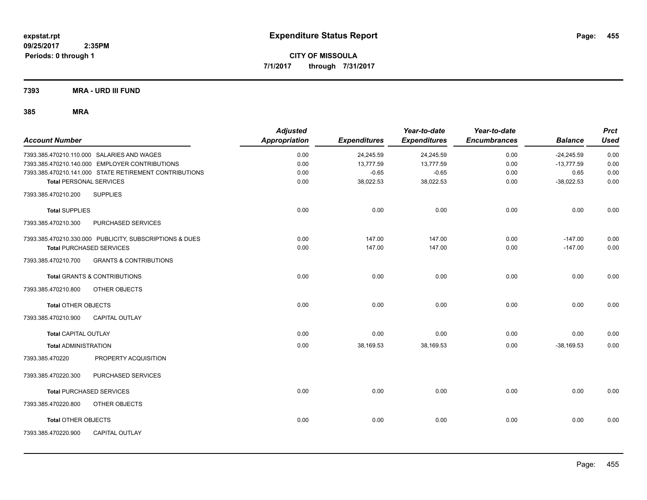**7393 MRA - URD III FUND**

| <b>Account Number</b>                                    | <b>Adjusted</b><br>Appropriation | <b>Expenditures</b> | Year-to-date<br><b>Expenditures</b> | Year-to-date<br><b>Encumbrances</b> | <b>Balance</b> | <b>Prct</b><br><b>Used</b> |
|----------------------------------------------------------|----------------------------------|---------------------|-------------------------------------|-------------------------------------|----------------|----------------------------|
| 7393.385.470210.110.000 SALARIES AND WAGES               | 0.00                             | 24,245.59           | 24,245.59                           | 0.00                                | $-24,245.59$   | 0.00                       |
| 7393.385.470210.140.000 EMPLOYER CONTRIBUTIONS           | 0.00                             | 13,777.59           | 13,777.59                           | 0.00                                | $-13,777.59$   | 0.00                       |
| 7393.385.470210.141.000 STATE RETIREMENT CONTRIBUTIONS   | 0.00                             | $-0.65$             | $-0.65$                             | 0.00                                | 0.65           | 0.00                       |
| <b>Total PERSONAL SERVICES</b>                           | 0.00                             | 38,022.53           | 38,022.53                           | 0.00                                | $-38,022.53$   | 0.00                       |
| 7393.385.470210.200<br><b>SUPPLIES</b>                   |                                  |                     |                                     |                                     |                |                            |
| <b>Total SUPPLIES</b>                                    | 0.00                             | 0.00                | 0.00                                | 0.00                                | 0.00           | 0.00                       |
| PURCHASED SERVICES<br>7393.385.470210.300                |                                  |                     |                                     |                                     |                |                            |
| 7393.385.470210.330.000 PUBLICITY, SUBSCRIPTIONS & DUES  | 0.00                             | 147.00              | 147.00                              | 0.00                                | $-147.00$      | 0.00                       |
| <b>Total PURCHASED SERVICES</b>                          | 0.00                             | 147.00              | 147.00                              | 0.00                                | $-147.00$      | 0.00                       |
| <b>GRANTS &amp; CONTRIBUTIONS</b><br>7393.385.470210.700 |                                  |                     |                                     |                                     |                |                            |
| <b>Total GRANTS &amp; CONTRIBUTIONS</b>                  | 0.00                             | 0.00                | 0.00                                | 0.00                                | 0.00           | 0.00                       |
| 7393.385.470210.800<br>OTHER OBJECTS                     |                                  |                     |                                     |                                     |                |                            |
| <b>Total OTHER OBJECTS</b>                               | 0.00                             | 0.00                | 0.00                                | 0.00                                | 0.00           | 0.00                       |
| 7393.385.470210.900<br><b>CAPITAL OUTLAY</b>             |                                  |                     |                                     |                                     |                |                            |
| <b>Total CAPITAL OUTLAY</b>                              | 0.00                             | 0.00                | 0.00                                | 0.00                                | 0.00           | 0.00                       |
| <b>Total ADMINISTRATION</b>                              | 0.00                             | 38,169.53           | 38,169.53                           | 0.00                                | $-38,169.53$   | 0.00                       |
| PROPERTY ACQUISITION<br>7393.385.470220                  |                                  |                     |                                     |                                     |                |                            |
| PURCHASED SERVICES<br>7393.385.470220.300                |                                  |                     |                                     |                                     |                |                            |
| <b>Total PURCHASED SERVICES</b>                          | 0.00                             | 0.00                | 0.00                                | 0.00                                | 0.00           | 0.00                       |
| OTHER OBJECTS<br>7393.385.470220.800                     |                                  |                     |                                     |                                     |                |                            |
| <b>Total OTHER OBJECTS</b>                               | 0.00                             | 0.00                | 0.00                                | 0.00                                | 0.00           | 0.00                       |
| <b>CAPITAL OUTLAY</b><br>7393.385.470220.900             |                                  |                     |                                     |                                     |                |                            |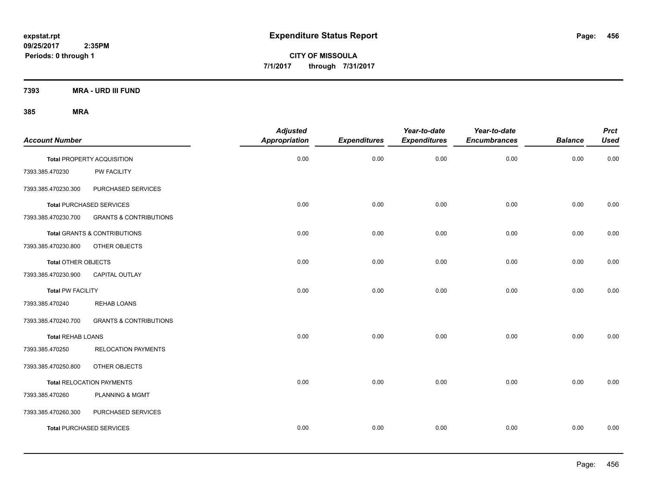**CITY OF MISSOULA 7/1/2017 through 7/31/2017**

**7393 MRA - URD III FUND**

| <b>Account Number</b>      |                                         | <b>Adjusted</b><br><b>Appropriation</b> | <b>Expenditures</b> | Year-to-date<br><b>Expenditures</b> | Year-to-date<br><b>Encumbrances</b> | <b>Balance</b> | <b>Prct</b><br><b>Used</b> |
|----------------------------|-----------------------------------------|-----------------------------------------|---------------------|-------------------------------------|-------------------------------------|----------------|----------------------------|
|                            |                                         |                                         |                     |                                     |                                     |                |                            |
|                            | <b>Total PROPERTY ACQUISITION</b>       | 0.00                                    | 0.00                | 0.00                                | 0.00                                | 0.00           | 0.00                       |
| 7393.385.470230            | <b>PW FACILITY</b>                      |                                         |                     |                                     |                                     |                |                            |
| 7393.385.470230.300        | PURCHASED SERVICES                      |                                         |                     |                                     |                                     |                |                            |
|                            | <b>Total PURCHASED SERVICES</b>         | 0.00                                    | 0.00                | 0.00                                | 0.00                                | 0.00           | 0.00                       |
| 7393.385.470230.700        | <b>GRANTS &amp; CONTRIBUTIONS</b>       |                                         |                     |                                     |                                     |                |                            |
|                            | <b>Total GRANTS &amp; CONTRIBUTIONS</b> | 0.00                                    | 0.00                | 0.00                                | 0.00                                | 0.00           | 0.00                       |
| 7393.385.470230.800        | OTHER OBJECTS                           |                                         |                     |                                     |                                     |                |                            |
| <b>Total OTHER OBJECTS</b> |                                         | 0.00                                    | 0.00                | 0.00                                | 0.00                                | 0.00           | 0.00                       |
| 7393.385.470230.900        | <b>CAPITAL OUTLAY</b>                   |                                         |                     |                                     |                                     |                |                            |
| <b>Total PW FACILITY</b>   |                                         | 0.00                                    | 0.00                | 0.00                                | 0.00                                | 0.00           | 0.00                       |
| 7393.385.470240            | <b>REHAB LOANS</b>                      |                                         |                     |                                     |                                     |                |                            |
| 7393.385.470240.700        | <b>GRANTS &amp; CONTRIBUTIONS</b>       |                                         |                     |                                     |                                     |                |                            |
| <b>Total REHAB LOANS</b>   |                                         | 0.00                                    | 0.00                | 0.00                                | 0.00                                | 0.00           | 0.00                       |
| 7393.385.470250            | <b>RELOCATION PAYMENTS</b>              |                                         |                     |                                     |                                     |                |                            |
| 7393.385.470250.800        | OTHER OBJECTS                           |                                         |                     |                                     |                                     |                |                            |
|                            | <b>Total RELOCATION PAYMENTS</b>        | 0.00                                    | 0.00                | 0.00                                | 0.00                                | 0.00           | 0.00                       |
| 7393.385.470260            | PLANNING & MGMT                         |                                         |                     |                                     |                                     |                |                            |
| 7393.385.470260.300        | PURCHASED SERVICES                      |                                         |                     |                                     |                                     |                |                            |
|                            | <b>Total PURCHASED SERVICES</b>         | 0.00                                    | 0.00                | 0.00                                | 0.00                                | 0.00           | 0.00                       |
|                            |                                         |                                         |                     |                                     |                                     |                |                            |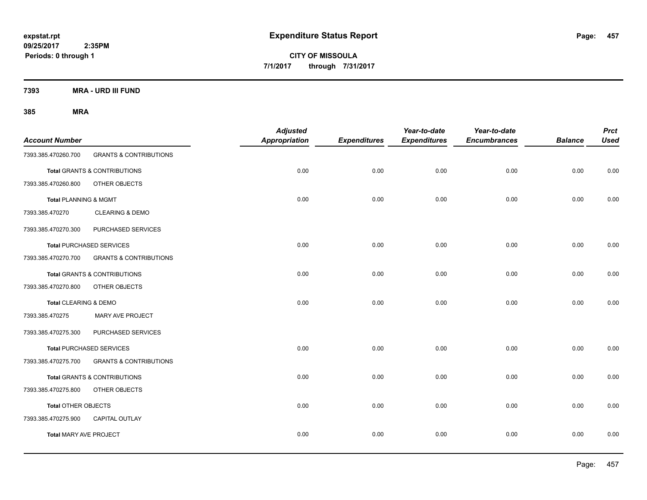**CITY OF MISSOULA 7/1/2017 through 7/31/2017**

**7393 MRA - URD III FUND**

| <b>Account Number</b>            |                                         | <b>Adjusted</b><br>Appropriation | <b>Expenditures</b> | Year-to-date<br><b>Expenditures</b> | Year-to-date<br><b>Encumbrances</b> | <b>Balance</b> | <b>Prct</b><br><b>Used</b> |
|----------------------------------|-----------------------------------------|----------------------------------|---------------------|-------------------------------------|-------------------------------------|----------------|----------------------------|
| 7393.385.470260.700              | <b>GRANTS &amp; CONTRIBUTIONS</b>       |                                  |                     |                                     |                                     |                |                            |
|                                  | <b>Total GRANTS &amp; CONTRIBUTIONS</b> | 0.00                             | 0.00                | 0.00                                | 0.00                                | 0.00           | 0.00                       |
| 7393.385.470260.800              | OTHER OBJECTS                           |                                  |                     |                                     |                                     |                |                            |
| <b>Total PLANNING &amp; MGMT</b> |                                         | 0.00                             | 0.00                | 0.00                                | 0.00                                | 0.00           | 0.00                       |
| 7393.385.470270                  | <b>CLEARING &amp; DEMO</b>              |                                  |                     |                                     |                                     |                |                            |
| 7393.385.470270.300              | PURCHASED SERVICES                      |                                  |                     |                                     |                                     |                |                            |
|                                  | <b>Total PURCHASED SERVICES</b>         | 0.00                             | 0.00                | 0.00                                | 0.00                                | 0.00           | 0.00                       |
| 7393.385.470270.700              | <b>GRANTS &amp; CONTRIBUTIONS</b>       |                                  |                     |                                     |                                     |                |                            |
|                                  | <b>Total GRANTS &amp; CONTRIBUTIONS</b> | 0.00                             | 0.00                | 0.00                                | 0.00                                | 0.00           | 0.00                       |
| 7393.385.470270.800              | OTHER OBJECTS                           |                                  |                     |                                     |                                     |                |                            |
| Total CLEARING & DEMO            |                                         | 0.00                             | 0.00                | 0.00                                | 0.00                                | 0.00           | 0.00                       |
| 7393.385.470275                  | MARY AVE PROJECT                        |                                  |                     |                                     |                                     |                |                            |
| 7393.385.470275.300              | PURCHASED SERVICES                      |                                  |                     |                                     |                                     |                |                            |
|                                  | <b>Total PURCHASED SERVICES</b>         | 0.00                             | 0.00                | 0.00                                | 0.00                                | 0.00           | 0.00                       |
| 7393.385.470275.700              | <b>GRANTS &amp; CONTRIBUTIONS</b>       |                                  |                     |                                     |                                     |                |                            |
|                                  | Total GRANTS & CONTRIBUTIONS            | 0.00                             | 0.00                | 0.00                                | 0.00                                | 0.00           | 0.00                       |
| 7393.385.470275.800              | OTHER OBJECTS                           |                                  |                     |                                     |                                     |                |                            |
| <b>Total OTHER OBJECTS</b>       |                                         | 0.00                             | 0.00                | 0.00                                | 0.00                                | 0.00           | 0.00                       |
| 7393.385.470275.900              | CAPITAL OUTLAY                          |                                  |                     |                                     |                                     |                |                            |
| <b>Total MARY AVE PROJECT</b>    |                                         | 0.00                             | 0.00                | 0.00                                | 0.00                                | 0.00           | 0.00                       |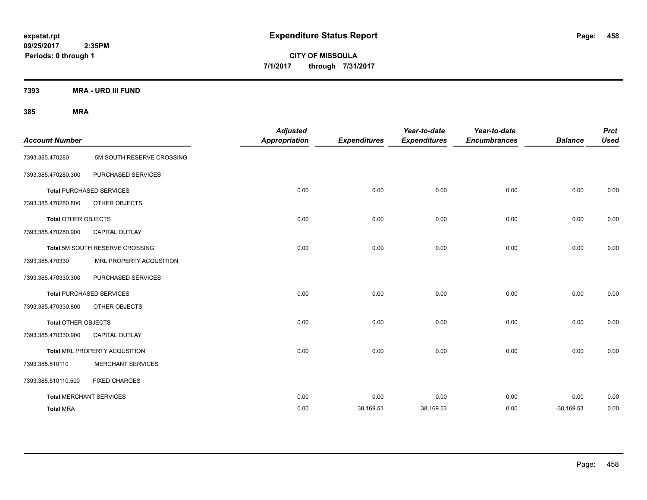**CITY OF MISSOULA 7/1/2017 through 7/31/2017**

**7393 MRA - URD III FUND**

| <b>Account Number</b>      |                                 | <b>Adjusted</b><br><b>Appropriation</b> | <b>Expenditures</b> | Year-to-date<br><b>Expenditures</b> | Year-to-date<br><b>Encumbrances</b> | <b>Balance</b> | <b>Prct</b><br><b>Used</b> |
|----------------------------|---------------------------------|-----------------------------------------|---------------------|-------------------------------------|-------------------------------------|----------------|----------------------------|
| 7393.385.470280            | 5M SOUTH RESERVE CROSSING       |                                         |                     |                                     |                                     |                |                            |
| 7393.385.470280.300        | PURCHASED SERVICES              |                                         |                     |                                     |                                     |                |                            |
|                            | <b>Total PURCHASED SERVICES</b> | 0.00                                    | 0.00                | 0.00                                | 0.00                                | 0.00           | 0.00                       |
| 7393.385.470280.800        | OTHER OBJECTS                   |                                         |                     |                                     |                                     |                |                            |
| <b>Total OTHER OBJECTS</b> |                                 | 0.00                                    | 0.00                | 0.00                                | 0.00                                | 0.00           | 0.00                       |
| 7393.385.470280.900        | <b>CAPITAL OUTLAY</b>           |                                         |                     |                                     |                                     |                |                            |
|                            | Total 5M SOUTH RESERVE CROSSING | 0.00                                    | 0.00                | 0.00                                | 0.00                                | 0.00           | 0.00                       |
| 7393.385.470330            | MRL PROPERTY ACQUSITION         |                                         |                     |                                     |                                     |                |                            |
| 7393.385.470330.300        | PURCHASED SERVICES              |                                         |                     |                                     |                                     |                |                            |
|                            | <b>Total PURCHASED SERVICES</b> | 0.00                                    | 0.00                | 0.00                                | 0.00                                | 0.00           | 0.00                       |
| 7393.385.470330.800        | OTHER OBJECTS                   |                                         |                     |                                     |                                     |                |                            |
| <b>Total OTHER OBJECTS</b> |                                 | 0.00                                    | 0.00                | 0.00                                | 0.00                                | 0.00           | 0.00                       |
| 7393.385.470330.900        | <b>CAPITAL OUTLAY</b>           |                                         |                     |                                     |                                     |                |                            |
|                            | Total MRL PROPERTY ACQUSITION   | 0.00                                    | 0.00                | 0.00                                | 0.00                                | 0.00           | 0.00                       |
| 7393.385.510110            | <b>MERCHANT SERVICES</b>        |                                         |                     |                                     |                                     |                |                            |
| 7393.385.510110.500        | <b>FIXED CHARGES</b>            |                                         |                     |                                     |                                     |                |                            |
|                            | <b>Total MERCHANT SERVICES</b>  | 0.00                                    | 0.00                | 0.00                                | 0.00                                | 0.00           | 0.00                       |
| <b>Total MRA</b>           |                                 | 0.00                                    | 38,169.53           | 38,169.53                           | 0.00                                | $-38,169.53$   | 0.00                       |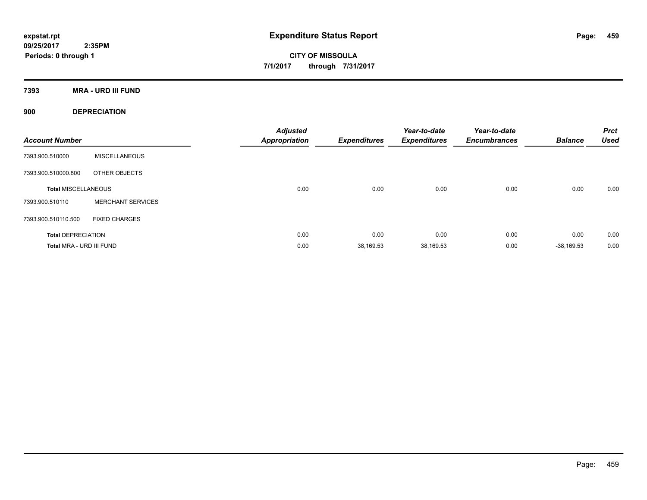**CITY OF MISSOULA 7/1/2017 through 7/31/2017**

**7393 MRA - URD III FUND**

**900 DEPRECIATION**

| <b>Account Number</b>      |                          | <b>Adjusted</b><br><b>Appropriation</b> | <b>Expenditures</b> | Year-to-date<br><b>Expenditures</b> | Year-to-date<br><b>Encumbrances</b> | <b>Balance</b> | <b>Prct</b><br><b>Used</b> |
|----------------------------|--------------------------|-----------------------------------------|---------------------|-------------------------------------|-------------------------------------|----------------|----------------------------|
| 7393.900.510000            | <b>MISCELLANEOUS</b>     |                                         |                     |                                     |                                     |                |                            |
| 7393.900.510000.800        | OTHER OBJECTS            |                                         |                     |                                     |                                     |                |                            |
| <b>Total MISCELLANEOUS</b> |                          | 0.00                                    | 0.00                | 0.00                                | 0.00                                | 0.00           | 0.00                       |
| 7393.900.510110            | <b>MERCHANT SERVICES</b> |                                         |                     |                                     |                                     |                |                            |
| 7393.900.510110.500        | <b>FIXED CHARGES</b>     |                                         |                     |                                     |                                     |                |                            |
| <b>Total DEPRECIATION</b>  |                          | 0.00                                    | 0.00                | 0.00                                | 0.00                                | 0.00           | 0.00                       |
| Total MRA - URD III FUND   |                          | 0.00                                    | 38,169.53           | 38,169.53                           | 0.00                                | $-38.169.53$   | 0.00                       |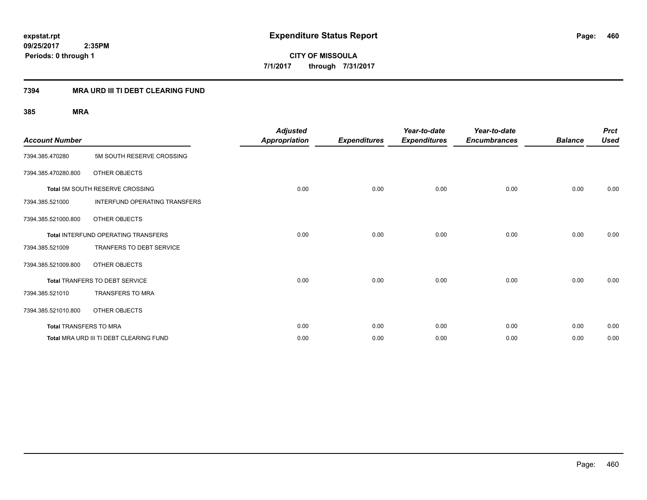### **7394 MRA URD III TI DEBT CLEARING FUND**

| <b>Account Number</b>  |                                            | <b>Adjusted</b><br><b>Appropriation</b> | <b>Expenditures</b> | Year-to-date<br><b>Expenditures</b> | Year-to-date<br><b>Encumbrances</b> | <b>Balance</b> | <b>Prct</b><br><b>Used</b> |
|------------------------|--------------------------------------------|-----------------------------------------|---------------------|-------------------------------------|-------------------------------------|----------------|----------------------------|
| 7394.385.470280        | 5M SOUTH RESERVE CROSSING                  |                                         |                     |                                     |                                     |                |                            |
| 7394.385.470280.800    | OTHER OBJECTS                              |                                         |                     |                                     |                                     |                |                            |
|                        | Total 5M SOUTH RESERVE CROSSING            | 0.00                                    | 0.00                | 0.00                                | 0.00                                | 0.00           | 0.00                       |
| 7394.385.521000        | <b>INTERFUND OPERATING TRANSFERS</b>       |                                         |                     |                                     |                                     |                |                            |
| 7394.385.521000.800    | OTHER OBJECTS                              |                                         |                     |                                     |                                     |                |                            |
|                        | <b>Total INTERFUND OPERATING TRANSFERS</b> | 0.00                                    | 0.00                | 0.00                                | 0.00                                | 0.00           | 0.00                       |
| 7394.385.521009        | <b>TRANFERS TO DEBT SERVICE</b>            |                                         |                     |                                     |                                     |                |                            |
| 7394.385.521009.800    | OTHER OBJECTS                              |                                         |                     |                                     |                                     |                |                            |
|                        | <b>Total TRANFERS TO DEBT SERVICE</b>      | 0.00                                    | 0.00                | 0.00                                | 0.00                                | 0.00           | 0.00                       |
| 7394.385.521010        | <b>TRANSFERS TO MRA</b>                    |                                         |                     |                                     |                                     |                |                            |
| 7394.385.521010.800    | OTHER OBJECTS                              |                                         |                     |                                     |                                     |                |                            |
| Total TRANSFERS TO MRA |                                            | 0.00                                    | 0.00                | 0.00                                | 0.00                                | 0.00           | 0.00                       |
|                        | Total MRA URD III TI DEBT CLEARING FUND    | 0.00                                    | 0.00                | 0.00                                | 0.00                                | 0.00           | 0.00                       |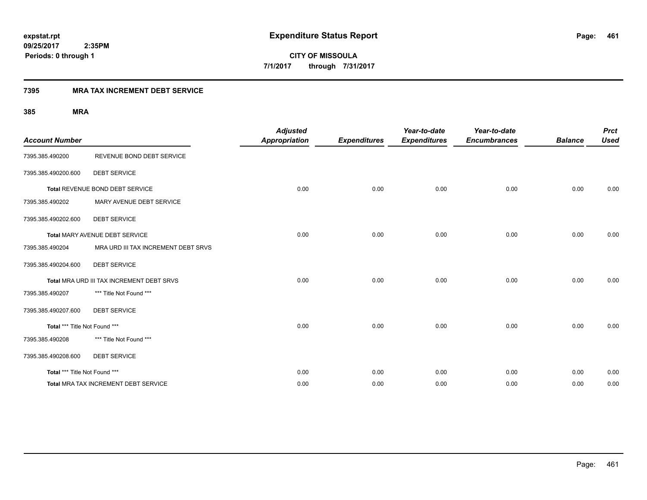**461**

**09/25/2017 2:35PM Periods: 0 through 1**

**CITY OF MISSOULA 7/1/2017 through 7/31/2017**

### **7395 MRA TAX INCREMENT DEBT SERVICE**

| <b>Account Number</b>         |                                           | <b>Adjusted</b><br><b>Appropriation</b> | <b>Expenditures</b> | Year-to-date<br><b>Expenditures</b> | Year-to-date<br><b>Encumbrances</b> | <b>Balance</b> | <b>Prct</b><br><b>Used</b> |
|-------------------------------|-------------------------------------------|-----------------------------------------|---------------------|-------------------------------------|-------------------------------------|----------------|----------------------------|
| 7395.385.490200               | REVENUE BOND DEBT SERVICE                 |                                         |                     |                                     |                                     |                |                            |
| 7395.385.490200.600           | <b>DEBT SERVICE</b>                       |                                         |                     |                                     |                                     |                |                            |
|                               | Total REVENUE BOND DEBT SERVICE           | 0.00                                    | 0.00                | 0.00                                | 0.00                                | 0.00           | 0.00                       |
| 7395.385.490202               | MARY AVENUE DEBT SERVICE                  |                                         |                     |                                     |                                     |                |                            |
| 7395.385.490202.600           | <b>DEBT SERVICE</b>                       |                                         |                     |                                     |                                     |                |                            |
|                               | Total MARY AVENUE DEBT SERVICE            | 0.00                                    | 0.00                | 0.00                                | 0.00                                | 0.00           | 0.00                       |
| 7395.385.490204               | MRA URD III TAX INCREMENT DEBT SRVS       |                                         |                     |                                     |                                     |                |                            |
| 7395.385.490204.600           | <b>DEBT SERVICE</b>                       |                                         |                     |                                     |                                     |                |                            |
|                               | Total MRA URD III TAX INCREMENT DEBT SRVS | 0.00                                    | 0.00                | 0.00                                | 0.00                                | 0.00           | 0.00                       |
| 7395.385.490207               | *** Title Not Found ***                   |                                         |                     |                                     |                                     |                |                            |
| 7395.385.490207.600           | <b>DEBT SERVICE</b>                       |                                         |                     |                                     |                                     |                |                            |
| Total *** Title Not Found *** |                                           | 0.00                                    | 0.00                | 0.00                                | 0.00                                | 0.00           | 0.00                       |
| 7395.385.490208               | *** Title Not Found ***                   |                                         |                     |                                     |                                     |                |                            |
| 7395.385.490208.600           | <b>DEBT SERVICE</b>                       |                                         |                     |                                     |                                     |                |                            |
| Total *** Title Not Found *** |                                           | 0.00                                    | 0.00                | 0.00                                | 0.00                                | 0.00           | 0.00                       |
|                               | Total MRA TAX INCREMENT DEBT SERVICE      | 0.00                                    | 0.00                | 0.00                                | 0.00                                | 0.00           | 0.00                       |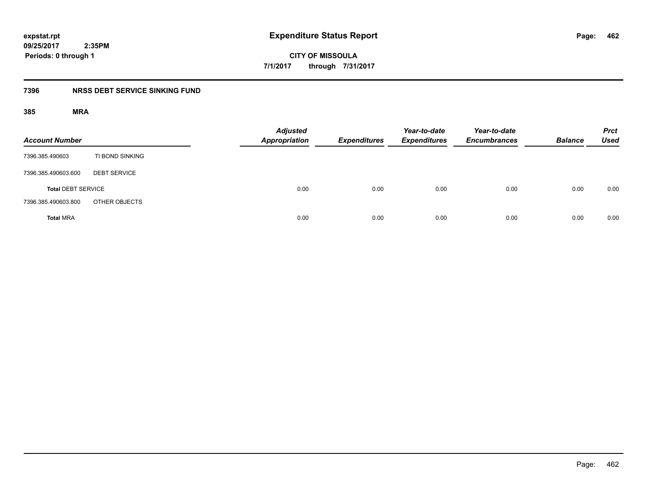**CITY OF MISSOULA 7/1/2017 through 7/31/2017**

### **7396 NRSS DEBT SERVICE SINKING FUND**

| <b>Account Number</b>     |                     | <b>Adjusted</b><br><b>Appropriation</b> | <b>Expenditures</b> | Year-to-date<br><b>Expenditures</b> | Year-to-date<br><b>Encumbrances</b> | <b>Balance</b> | <b>Prct</b><br><b>Used</b> |
|---------------------------|---------------------|-----------------------------------------|---------------------|-------------------------------------|-------------------------------------|----------------|----------------------------|
| 7396.385.490603           | TI BOND SINKING     |                                         |                     |                                     |                                     |                |                            |
| 7396.385.490603.600       | <b>DEBT SERVICE</b> |                                         |                     |                                     |                                     |                |                            |
| <b>Total DEBT SERVICE</b> |                     | 0.00                                    | 0.00                | 0.00                                | 0.00                                | 0.00           | 0.00                       |
| 7396.385.490603.800       | OTHER OBJECTS       |                                         |                     |                                     |                                     |                |                            |
| <b>Total MRA</b>          |                     | 0.00                                    | 0.00                | 0.00                                | 0.00                                | 0.00           | 0.00                       |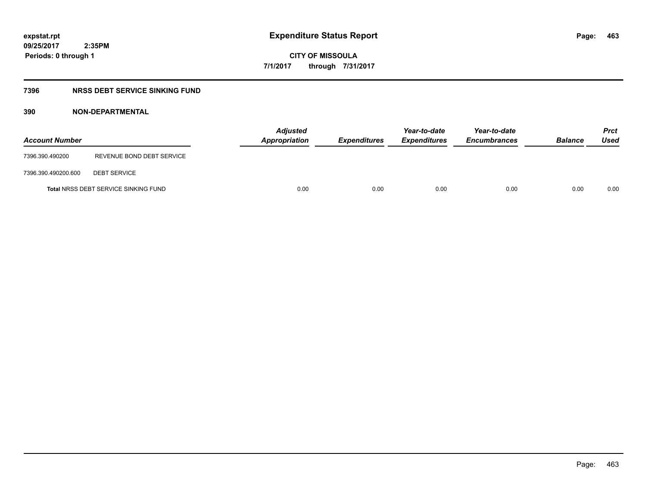**CITY OF MISSOULA 7/1/2017 through 7/31/2017**

### **7396 NRSS DEBT SERVICE SINKING FUND**

| <b>Account Number</b> |                                             | Appropriation | <b>Adjusted</b> | <b>Expenditures</b> | Year-to-date<br><b>Expenditures</b> | Year-to-date<br><b>Encumbrances</b> | <b>Balance</b> | <b>Prct</b><br>Used |
|-----------------------|---------------------------------------------|---------------|-----------------|---------------------|-------------------------------------|-------------------------------------|----------------|---------------------|
| 7396.390.490200       | REVENUE BOND DEBT SERVICE                   |               |                 |                     |                                     |                                     |                |                     |
| 7396.390.490200.600   | <b>DEBT SERVICE</b>                         |               |                 |                     |                                     |                                     |                |                     |
|                       | <b>Total NRSS DEBT SERVICE SINKING FUND</b> |               | 0.00            | 0.00                | 0.00                                | 0.00                                | 0.00           | 0.00                |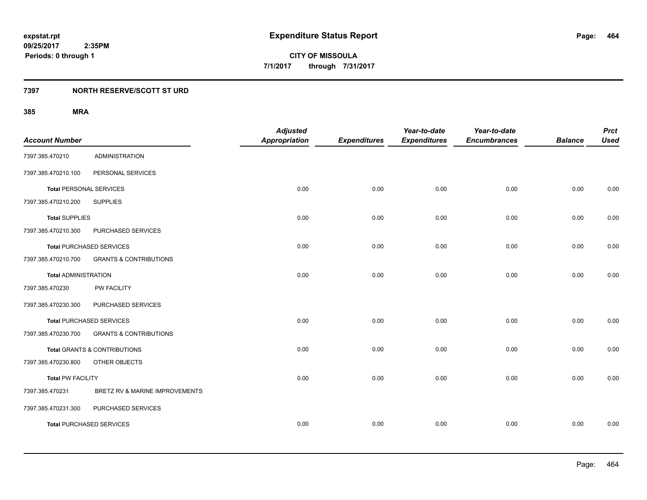### **7397 NORTH RESERVE/SCOTT ST URD**

| <b>Account Number</b>          |                                         | <b>Adjusted</b><br><b>Appropriation</b> | <b>Expenditures</b> | Year-to-date<br><b>Expenditures</b> | Year-to-date<br><b>Encumbrances</b> | <b>Balance</b> | <b>Prct</b><br><b>Used</b> |
|--------------------------------|-----------------------------------------|-----------------------------------------|---------------------|-------------------------------------|-------------------------------------|----------------|----------------------------|
| 7397.385.470210                | <b>ADMINISTRATION</b>                   |                                         |                     |                                     |                                     |                |                            |
| 7397.385.470210.100            | PERSONAL SERVICES                       |                                         |                     |                                     |                                     |                |                            |
| <b>Total PERSONAL SERVICES</b> |                                         | 0.00                                    | 0.00                | 0.00                                | 0.00                                | 0.00           | 0.00                       |
| 7397.385.470210.200            | <b>SUPPLIES</b>                         |                                         |                     |                                     |                                     |                |                            |
| <b>Total SUPPLIES</b>          |                                         | 0.00                                    | 0.00                | 0.00                                | 0.00                                | 0.00           | 0.00                       |
| 7397.385.470210.300            | PURCHASED SERVICES                      |                                         |                     |                                     |                                     |                |                            |
|                                | <b>Total PURCHASED SERVICES</b>         | 0.00                                    | 0.00                | 0.00                                | 0.00                                | 0.00           | 0.00                       |
| 7397.385.470210.700            | <b>GRANTS &amp; CONTRIBUTIONS</b>       |                                         |                     |                                     |                                     |                |                            |
| <b>Total ADMINISTRATION</b>    |                                         | 0.00                                    | 0.00                | 0.00                                | 0.00                                | 0.00           | 0.00                       |
| 7397.385.470230                | <b>PW FACILITY</b>                      |                                         |                     |                                     |                                     |                |                            |
| 7397.385.470230.300            | PURCHASED SERVICES                      |                                         |                     |                                     |                                     |                |                            |
|                                | <b>Total PURCHASED SERVICES</b>         | 0.00                                    | 0.00                | 0.00                                | 0.00                                | 0.00           | 0.00                       |
| 7397.385.470230.700            | <b>GRANTS &amp; CONTRIBUTIONS</b>       |                                         |                     |                                     |                                     |                |                            |
|                                | <b>Total GRANTS &amp; CONTRIBUTIONS</b> | 0.00                                    | 0.00                | 0.00                                | 0.00                                | 0.00           | 0.00                       |
| 7397.385.470230.800            | OTHER OBJECTS                           |                                         |                     |                                     |                                     |                |                            |
| <b>Total PW FACILITY</b>       |                                         | 0.00                                    | 0.00                | 0.00                                | 0.00                                | 0.00           | 0.00                       |
| 7397.385.470231                | BRETZ RV & MARINE IMPROVEMENTS          |                                         |                     |                                     |                                     |                |                            |
| 7397.385.470231.300            | PURCHASED SERVICES                      |                                         |                     |                                     |                                     |                |                            |
|                                | <b>Total PURCHASED SERVICES</b>         | 0.00                                    | 0.00                | 0.00                                | 0.00                                | 0.00           | 0.00                       |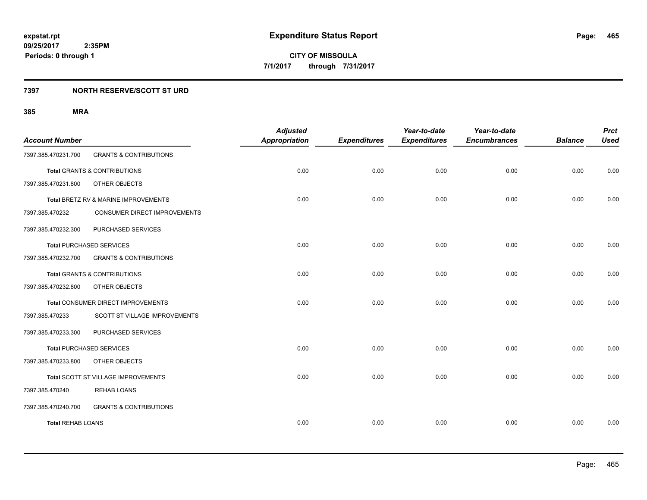### **7397 NORTH RESERVE/SCOTT ST URD**

|                          |                                         | <b>Adjusted</b>      |                     | Year-to-date        | Year-to-date        |                | <b>Prct</b> |
|--------------------------|-----------------------------------------|----------------------|---------------------|---------------------|---------------------|----------------|-------------|
| <b>Account Number</b>    |                                         | <b>Appropriation</b> | <b>Expenditures</b> | <b>Expenditures</b> | <b>Encumbrances</b> | <b>Balance</b> | <b>Used</b> |
| 7397.385.470231.700      | <b>GRANTS &amp; CONTRIBUTIONS</b>       |                      |                     |                     |                     |                |             |
|                          | <b>Total GRANTS &amp; CONTRIBUTIONS</b> | 0.00                 | 0.00                | 0.00                | 0.00                | 0.00           | 0.00        |
| 7397.385.470231.800      | OTHER OBJECTS                           |                      |                     |                     |                     |                |             |
|                          | Total BRETZ RV & MARINE IMPROVEMENTS    | 0.00                 | 0.00                | 0.00                | 0.00                | 0.00           | 0.00        |
| 7397.385.470232          | CONSUMER DIRECT IMPROVEMENTS            |                      |                     |                     |                     |                |             |
| 7397.385.470232.300      | PURCHASED SERVICES                      |                      |                     |                     |                     |                |             |
|                          | <b>Total PURCHASED SERVICES</b>         | 0.00                 | 0.00                | 0.00                | 0.00                | 0.00           | 0.00        |
| 7397.385.470232.700      | <b>GRANTS &amp; CONTRIBUTIONS</b>       |                      |                     |                     |                     |                |             |
|                          | <b>Total GRANTS &amp; CONTRIBUTIONS</b> | 0.00                 | 0.00                | 0.00                | 0.00                | 0.00           | 0.00        |
| 7397.385.470232.800      | OTHER OBJECTS                           |                      |                     |                     |                     |                |             |
|                          | Total CONSUMER DIRECT IMPROVEMENTS      | 0.00                 | 0.00                | 0.00                | 0.00                | 0.00           | 0.00        |
| 7397.385.470233          | SCOTT ST VILLAGE IMPROVEMENTS           |                      |                     |                     |                     |                |             |
| 7397.385.470233.300      | PURCHASED SERVICES                      |                      |                     |                     |                     |                |             |
|                          | <b>Total PURCHASED SERVICES</b>         | 0.00                 | 0.00                | 0.00                | 0.00                | 0.00           | 0.00        |
| 7397.385.470233.800      | OTHER OBJECTS                           |                      |                     |                     |                     |                |             |
|                          | Total SCOTT ST VILLAGE IMPROVEMENTS     | 0.00                 | 0.00                | 0.00                | 0.00                | 0.00           | 0.00        |
| 7397.385.470240          | <b>REHAB LOANS</b>                      |                      |                     |                     |                     |                |             |
| 7397.385.470240.700      | <b>GRANTS &amp; CONTRIBUTIONS</b>       |                      |                     |                     |                     |                |             |
| <b>Total REHAB LOANS</b> |                                         | 0.00                 | 0.00                | 0.00                | 0.00                | 0.00           | 0.00        |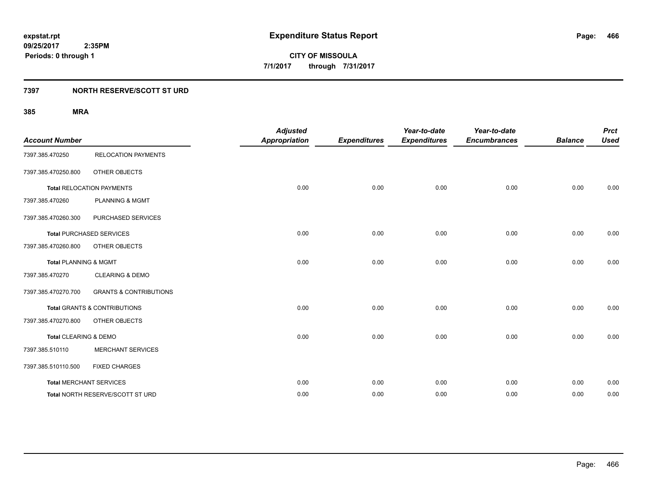### **7397 NORTH RESERVE/SCOTT ST URD**

| <b>Account Number</b>            |                                         | <b>Adjusted</b><br><b>Appropriation</b> | <b>Expenditures</b> | Year-to-date<br><b>Expenditures</b> | Year-to-date<br><b>Encumbrances</b> | <b>Balance</b> | <b>Prct</b><br><b>Used</b> |
|----------------------------------|-----------------------------------------|-----------------------------------------|---------------------|-------------------------------------|-------------------------------------|----------------|----------------------------|
| 7397.385.470250                  | <b>RELOCATION PAYMENTS</b>              |                                         |                     |                                     |                                     |                |                            |
| 7397.385.470250.800              | OTHER OBJECTS                           |                                         |                     |                                     |                                     |                |                            |
|                                  | <b>Total RELOCATION PAYMENTS</b>        | 0.00                                    | 0.00                | 0.00                                | 0.00                                | 0.00           | 0.00                       |
| 7397.385.470260                  | <b>PLANNING &amp; MGMT</b>              |                                         |                     |                                     |                                     |                |                            |
| 7397.385.470260.300              | PURCHASED SERVICES                      |                                         |                     |                                     |                                     |                |                            |
|                                  | <b>Total PURCHASED SERVICES</b>         | 0.00                                    | 0.00                | 0.00                                | 0.00                                | 0.00           | 0.00                       |
| 7397.385.470260.800              | OTHER OBJECTS                           |                                         |                     |                                     |                                     |                |                            |
| <b>Total PLANNING &amp; MGMT</b> |                                         | 0.00                                    | 0.00                | 0.00                                | 0.00                                | 0.00           | 0.00                       |
| 7397.385.470270                  | <b>CLEARING &amp; DEMO</b>              |                                         |                     |                                     |                                     |                |                            |
| 7397.385.470270.700              | <b>GRANTS &amp; CONTRIBUTIONS</b>       |                                         |                     |                                     |                                     |                |                            |
|                                  | <b>Total GRANTS &amp; CONTRIBUTIONS</b> | 0.00                                    | 0.00                | 0.00                                | 0.00                                | 0.00           | 0.00                       |
| 7397.385.470270.800              | OTHER OBJECTS                           |                                         |                     |                                     |                                     |                |                            |
| Total CLEARING & DEMO            |                                         | 0.00                                    | 0.00                | 0.00                                | 0.00                                | 0.00           | 0.00                       |
| 7397.385.510110                  | <b>MERCHANT SERVICES</b>                |                                         |                     |                                     |                                     |                |                            |
| 7397.385.510110.500              | <b>FIXED CHARGES</b>                    |                                         |                     |                                     |                                     |                |                            |
| <b>Total MERCHANT SERVICES</b>   |                                         | 0.00                                    | 0.00                | 0.00                                | 0.00                                | 0.00           | 0.00                       |
|                                  | Total NORTH RESERVE/SCOTT ST URD        | 0.00                                    | 0.00                | 0.00                                | 0.00                                | 0.00           | 0.00                       |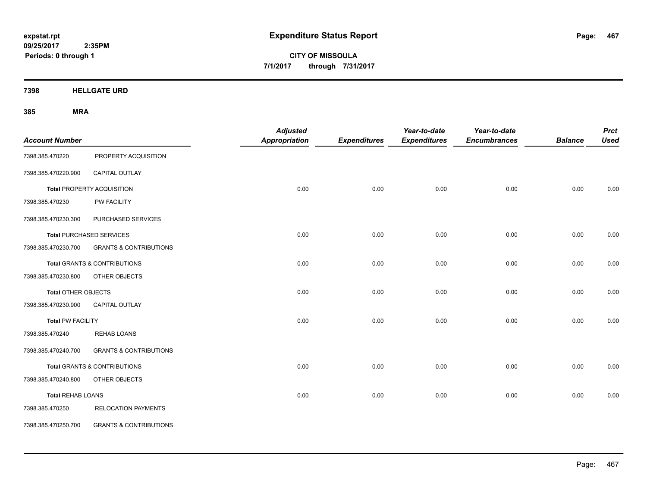**CITY OF MISSOULA 7/1/2017 through 7/31/2017**

**7398 HELLGATE URD**

| <b>Account Number</b>      |                                         | <b>Adjusted</b><br>Appropriation | <b>Expenditures</b> | Year-to-date<br><b>Expenditures</b> | Year-to-date<br><b>Encumbrances</b> | <b>Balance</b> | <b>Prct</b><br><b>Used</b> |
|----------------------------|-----------------------------------------|----------------------------------|---------------------|-------------------------------------|-------------------------------------|----------------|----------------------------|
| 7398.385.470220            | PROPERTY ACQUISITION                    |                                  |                     |                                     |                                     |                |                            |
| 7398.385.470220.900        | CAPITAL OUTLAY                          |                                  |                     |                                     |                                     |                |                            |
|                            | <b>Total PROPERTY ACQUISITION</b>       | 0.00                             | 0.00                | 0.00                                | 0.00                                | 0.00           | 0.00                       |
| 7398.385.470230            | PW FACILITY                             |                                  |                     |                                     |                                     |                |                            |
| 7398.385.470230.300        | PURCHASED SERVICES                      |                                  |                     |                                     |                                     |                |                            |
|                            | <b>Total PURCHASED SERVICES</b>         | 0.00                             | 0.00                | 0.00                                | 0.00                                | 0.00           | 0.00                       |
| 7398.385.470230.700        | <b>GRANTS &amp; CONTRIBUTIONS</b>       |                                  |                     |                                     |                                     |                |                            |
|                            | <b>Total GRANTS &amp; CONTRIBUTIONS</b> | 0.00                             | 0.00                | 0.00                                | 0.00                                | 0.00           | 0.00                       |
| 7398.385.470230.800        | OTHER OBJECTS                           |                                  |                     |                                     |                                     |                |                            |
| <b>Total OTHER OBJECTS</b> |                                         | 0.00                             | 0.00                | 0.00                                | 0.00                                | 0.00           | 0.00                       |
| 7398.385.470230.900        | CAPITAL OUTLAY                          |                                  |                     |                                     |                                     |                |                            |
| <b>Total PW FACILITY</b>   |                                         | 0.00                             | 0.00                | 0.00                                | 0.00                                | 0.00           | 0.00                       |
| 7398.385.470240            | <b>REHAB LOANS</b>                      |                                  |                     |                                     |                                     |                |                            |
| 7398.385.470240.700        | <b>GRANTS &amp; CONTRIBUTIONS</b>       |                                  |                     |                                     |                                     |                |                            |
|                            | <b>Total GRANTS &amp; CONTRIBUTIONS</b> | 0.00                             | 0.00                | 0.00                                | 0.00                                | 0.00           | 0.00                       |
| 7398.385.470240.800        | OTHER OBJECTS                           |                                  |                     |                                     |                                     |                |                            |
| <b>Total REHAB LOANS</b>   |                                         | 0.00                             | 0.00                | 0.00                                | 0.00                                | 0.00           | 0.00                       |
| 7398.385.470250            | <b>RELOCATION PAYMENTS</b>              |                                  |                     |                                     |                                     |                |                            |
| 7398.385.470250.700        | <b>GRANTS &amp; CONTRIBUTIONS</b>       |                                  |                     |                                     |                                     |                |                            |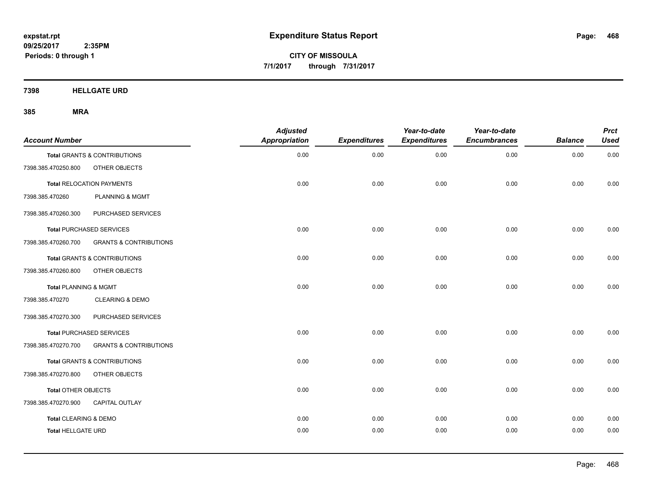**CITY OF MISSOULA 7/1/2017 through 7/31/2017**

**7398 HELLGATE URD**

| <b>Account Number</b>            |                                   | <b>Adjusted</b><br><b>Appropriation</b> | <b>Expenditures</b> | Year-to-date<br><b>Expenditures</b> | Year-to-date<br><b>Encumbrances</b> | <b>Balance</b> | <b>Prct</b><br><b>Used</b> |
|----------------------------------|-----------------------------------|-----------------------------------------|---------------------|-------------------------------------|-------------------------------------|----------------|----------------------------|
| Total GRANTS & CONTRIBUTIONS     |                                   | 0.00                                    | 0.00                | 0.00                                | 0.00                                | 0.00           | 0.00                       |
| 7398.385.470250.800              | OTHER OBJECTS                     |                                         |                     |                                     |                                     |                |                            |
| <b>Total RELOCATION PAYMENTS</b> |                                   | 0.00                                    | 0.00                | 0.00                                | 0.00                                | 0.00           | 0.00                       |
| 7398.385.470260                  | <b>PLANNING &amp; MGMT</b>        |                                         |                     |                                     |                                     |                |                            |
| 7398.385.470260.300              | PURCHASED SERVICES                |                                         |                     |                                     |                                     |                |                            |
| <b>Total PURCHASED SERVICES</b>  |                                   | 0.00                                    | 0.00                | 0.00                                | 0.00                                | 0.00           | 0.00                       |
| 7398.385.470260.700              | <b>GRANTS &amp; CONTRIBUTIONS</b> |                                         |                     |                                     |                                     |                |                            |
| Total GRANTS & CONTRIBUTIONS     |                                   | 0.00                                    | 0.00                | 0.00                                | 0.00                                | 0.00           | 0.00                       |
| 7398.385.470260.800              | OTHER OBJECTS                     |                                         |                     |                                     |                                     |                |                            |
| <b>Total PLANNING &amp; MGMT</b> |                                   | 0.00                                    | 0.00                | 0.00                                | 0.00                                | 0.00           | 0.00                       |
| 7398.385.470270                  | <b>CLEARING &amp; DEMO</b>        |                                         |                     |                                     |                                     |                |                            |
| 7398.385.470270.300              | PURCHASED SERVICES                |                                         |                     |                                     |                                     |                |                            |
| <b>Total PURCHASED SERVICES</b>  |                                   | 0.00                                    | 0.00                | 0.00                                | 0.00                                | 0.00           | 0.00                       |
| 7398.385.470270.700              | <b>GRANTS &amp; CONTRIBUTIONS</b> |                                         |                     |                                     |                                     |                |                            |
| Total GRANTS & CONTRIBUTIONS     |                                   | 0.00                                    | 0.00                | 0.00                                | 0.00                                | 0.00           | 0.00                       |
| 7398.385.470270.800              | OTHER OBJECTS                     |                                         |                     |                                     |                                     |                |                            |
| Total OTHER OBJECTS              |                                   | 0.00                                    | 0.00                | 0.00                                | 0.00                                | 0.00           | 0.00                       |
| 7398.385.470270.900              | <b>CAPITAL OUTLAY</b>             |                                         |                     |                                     |                                     |                |                            |
| Total CLEARING & DEMO            |                                   | 0.00                                    | 0.00                | 0.00                                | 0.00                                | 0.00           | 0.00                       |
| <b>Total HELLGATE URD</b>        |                                   | 0.00                                    | 0.00                | 0.00                                | 0.00                                | 0.00           | 0.00                       |
|                                  |                                   |                                         |                     |                                     |                                     |                |                            |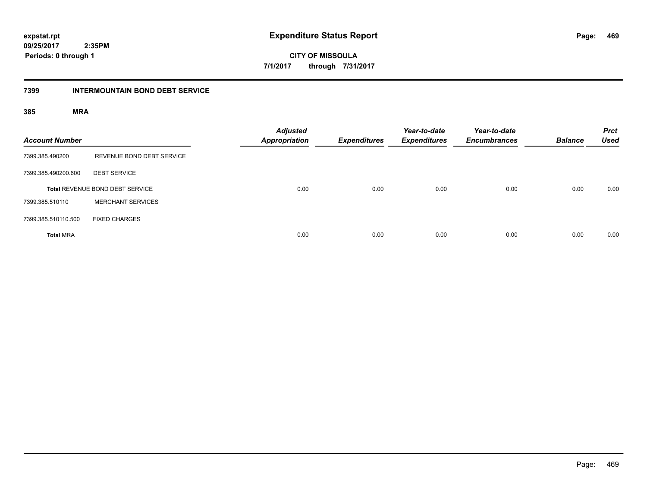**469**

**09/25/2017 2:35PM Periods: 0 through 1**

**CITY OF MISSOULA 7/1/2017 through 7/31/2017**

#### **7399 INTERMOUNTAIN BOND DEBT SERVICE**

| <b>Account Number</b> |                                 | <b>Adjusted</b><br><b>Appropriation</b> | <b>Expenditures</b> | Year-to-date<br><b>Expenditures</b> | Year-to-date<br><b>Encumbrances</b> | <b>Balance</b> | <b>Prct</b><br><b>Used</b> |
|-----------------------|---------------------------------|-----------------------------------------|---------------------|-------------------------------------|-------------------------------------|----------------|----------------------------|
| 7399.385.490200       | REVENUE BOND DEBT SERVICE       |                                         |                     |                                     |                                     |                |                            |
| 7399.385.490200.600   | <b>DEBT SERVICE</b>             |                                         |                     |                                     |                                     |                |                            |
|                       | Total REVENUE BOND DEBT SERVICE | 0.00                                    | 0.00                | 0.00                                | 0.00                                | 0.00           | 0.00                       |
| 7399.385.510110       | <b>MERCHANT SERVICES</b>        |                                         |                     |                                     |                                     |                |                            |
| 7399.385.510110.500   | <b>FIXED CHARGES</b>            |                                         |                     |                                     |                                     |                |                            |
| <b>Total MRA</b>      |                                 | 0.00                                    | 0.00                | 0.00                                | 0.00                                | 0.00           | 0.00                       |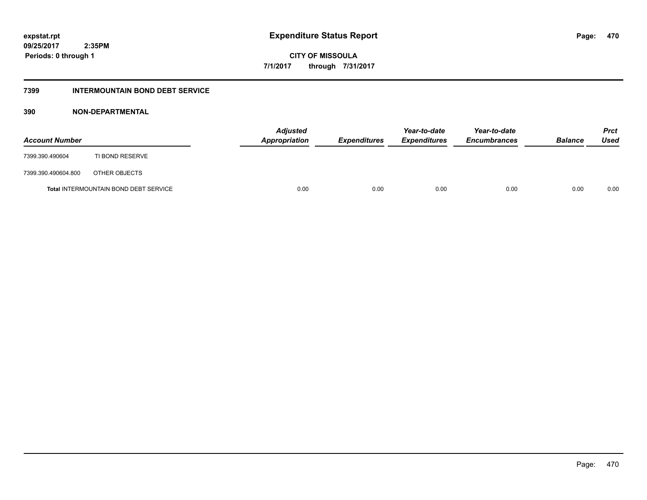**09/25/2017 2:35PM Periods: 0 through 1**

**CITY OF MISSOULA 7/1/2017 through 7/31/2017**

#### **7399 INTERMOUNTAIN BOND DEBT SERVICE**

#### **390 NON-DEPARTMENTAL**

| <b>Account Number</b> |                                              | <b>Adjusted</b><br>Appropriation | <b>Expenditures</b> | Year-to-date<br><i><b>Expenditures</b></i> | Year-to-date<br><b>Encumbrances</b> | <b>Balance</b> | <b>Prct</b><br>Used |
|-----------------------|----------------------------------------------|----------------------------------|---------------------|--------------------------------------------|-------------------------------------|----------------|---------------------|
| 7399.390.490604       | TI BOND RESERVE                              |                                  |                     |                                            |                                     |                |                     |
| 7399.390.490604.800   | OTHER OBJECTS                                |                                  |                     |                                            |                                     |                |                     |
|                       | <b>Total INTERMOUNTAIN BOND DEBT SERVICE</b> | 0.00                             | 0.00                | 0.00                                       | 0.00                                | 0.00           | 0.00                |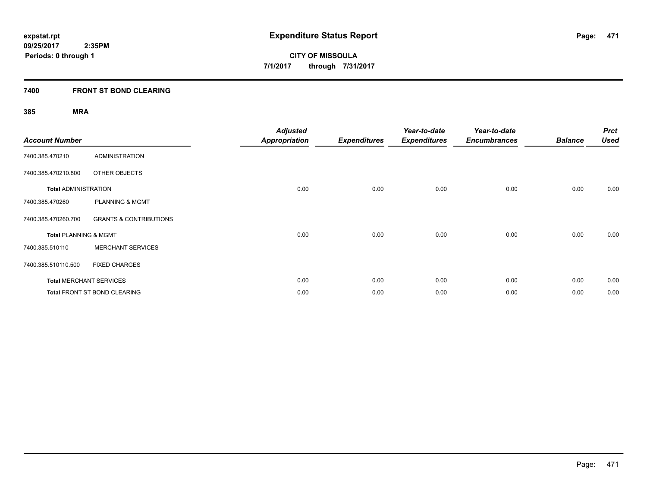#### **7400 FRONT ST BOND CLEARING**

| <b>Account Number</b>            |                                     | <b>Adjusted</b><br><b>Appropriation</b> | <b>Expenditures</b> | Year-to-date<br><b>Expenditures</b> | Year-to-date<br><b>Encumbrances</b> | <b>Balance</b> | <b>Prct</b><br><b>Used</b> |
|----------------------------------|-------------------------------------|-----------------------------------------|---------------------|-------------------------------------|-------------------------------------|----------------|----------------------------|
| 7400.385.470210                  | ADMINISTRATION                      |                                         |                     |                                     |                                     |                |                            |
| 7400.385.470210.800              | OTHER OBJECTS                       |                                         |                     |                                     |                                     |                |                            |
| <b>Total ADMINISTRATION</b>      |                                     | 0.00                                    | 0.00                | 0.00                                | 0.00                                | 0.00           | 0.00                       |
| 7400.385.470260                  | <b>PLANNING &amp; MGMT</b>          |                                         |                     |                                     |                                     |                |                            |
| 7400.385.470260.700              | <b>GRANTS &amp; CONTRIBUTIONS</b>   |                                         |                     |                                     |                                     |                |                            |
| <b>Total PLANNING &amp; MGMT</b> |                                     | 0.00                                    | 0.00                | 0.00                                | 0.00                                | 0.00           | 0.00                       |
| 7400.385.510110                  | <b>MERCHANT SERVICES</b>            |                                         |                     |                                     |                                     |                |                            |
| 7400.385.510110.500              | <b>FIXED CHARGES</b>                |                                         |                     |                                     |                                     |                |                            |
|                                  | <b>Total MERCHANT SERVICES</b>      | 0.00                                    | 0.00                | 0.00                                | 0.00                                | 0.00           | 0.00                       |
|                                  | <b>Total FRONT ST BOND CLEARING</b> | 0.00                                    | 0.00                | 0.00                                | 0.00                                | 0.00           | 0.00                       |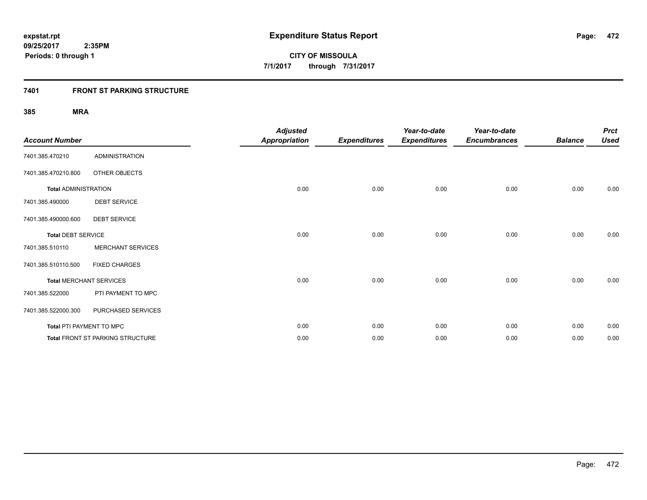### **7401 FRONT ST PARKING STRUCTURE**

| <b>Account Number</b>       |                                  | <b>Adjusted</b><br><b>Appropriation</b> | <b>Expenditures</b> | Year-to-date<br><b>Expenditures</b> | Year-to-date<br><b>Encumbrances</b> | <b>Balance</b> | <b>Prct</b><br><b>Used</b> |
|-----------------------------|----------------------------------|-----------------------------------------|---------------------|-------------------------------------|-------------------------------------|----------------|----------------------------|
| 7401.385.470210             | <b>ADMINISTRATION</b>            |                                         |                     |                                     |                                     |                |                            |
| 7401.385.470210.800         | OTHER OBJECTS                    |                                         |                     |                                     |                                     |                |                            |
| <b>Total ADMINISTRATION</b> |                                  | 0.00                                    | 0.00                | 0.00                                | 0.00                                | 0.00           | 0.00                       |
| 7401.385.490000             | <b>DEBT SERVICE</b>              |                                         |                     |                                     |                                     |                |                            |
| 7401.385.490000.600         | <b>DEBT SERVICE</b>              |                                         |                     |                                     |                                     |                |                            |
| <b>Total DEBT SERVICE</b>   |                                  | 0.00                                    | 0.00                | 0.00                                | 0.00                                | 0.00           | 0.00                       |
| 7401.385.510110             | <b>MERCHANT SERVICES</b>         |                                         |                     |                                     |                                     |                |                            |
| 7401.385.510110.500         | <b>FIXED CHARGES</b>             |                                         |                     |                                     |                                     |                |                            |
|                             | <b>Total MERCHANT SERVICES</b>   | 0.00                                    | 0.00                | 0.00                                | 0.00                                | 0.00           | 0.00                       |
| 7401.385.522000             | PTI PAYMENT TO MPC               |                                         |                     |                                     |                                     |                |                            |
| 7401.385.522000.300         | PURCHASED SERVICES               |                                         |                     |                                     |                                     |                |                            |
|                             | Total PTI PAYMENT TO MPC         | 0.00                                    | 0.00                | 0.00                                | 0.00                                | 0.00           | 0.00                       |
|                             | Total FRONT ST PARKING STRUCTURE | 0.00                                    | 0.00                | 0.00                                | 0.00                                | 0.00           | 0.00                       |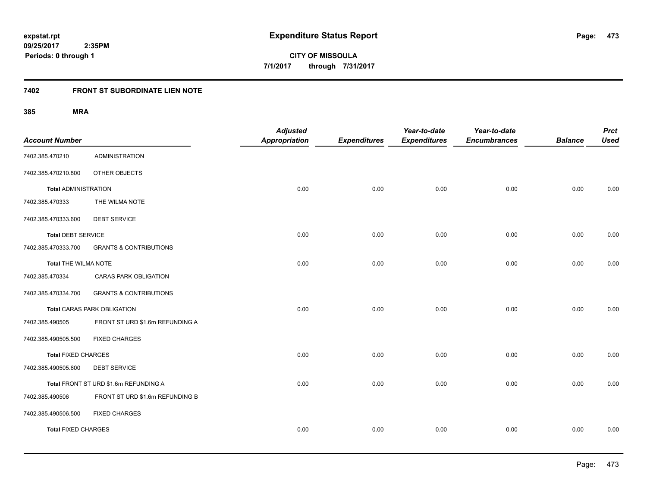**09/25/2017 2:35PM Periods: 0 through 1**

**473**

**CITY OF MISSOULA 7/1/2017 through 7/31/2017**

#### **7402 FRONT ST SUBORDINATE LIEN NOTE**

| <b>Account Number</b>       |                                       | <b>Adjusted</b><br><b>Appropriation</b> | <b>Expenditures</b> | Year-to-date<br><b>Expenditures</b> | Year-to-date<br><b>Encumbrances</b> | <b>Balance</b> | <b>Prct</b><br><b>Used</b> |
|-----------------------------|---------------------------------------|-----------------------------------------|---------------------|-------------------------------------|-------------------------------------|----------------|----------------------------|
| 7402.385.470210             | <b>ADMINISTRATION</b>                 |                                         |                     |                                     |                                     |                |                            |
| 7402.385.470210.800         | OTHER OBJECTS                         |                                         |                     |                                     |                                     |                |                            |
| <b>Total ADMINISTRATION</b> |                                       | 0.00                                    | 0.00                | 0.00                                | 0.00                                | 0.00           | 0.00                       |
| 7402.385.470333             | THE WILMA NOTE                        |                                         |                     |                                     |                                     |                |                            |
| 7402.385.470333.600         | <b>DEBT SERVICE</b>                   |                                         |                     |                                     |                                     |                |                            |
| <b>Total DEBT SERVICE</b>   |                                       | 0.00                                    | 0.00                | 0.00                                | 0.00                                | 0.00           | 0.00                       |
| 7402.385.470333.700         | <b>GRANTS &amp; CONTRIBUTIONS</b>     |                                         |                     |                                     |                                     |                |                            |
| <b>Total THE WILMA NOTE</b> |                                       | 0.00                                    | 0.00                | 0.00                                | 0.00                                | 0.00           | 0.00                       |
| 7402.385.470334             | CARAS PARK OBLIGATION                 |                                         |                     |                                     |                                     |                |                            |
| 7402.385.470334.700         | <b>GRANTS &amp; CONTRIBUTIONS</b>     |                                         |                     |                                     |                                     |                |                            |
|                             | <b>Total CARAS PARK OBLIGATION</b>    | 0.00                                    | 0.00                | 0.00                                | 0.00                                | 0.00           | 0.00                       |
| 7402.385.490505             | FRONT ST URD \$1.6m REFUNDING A       |                                         |                     |                                     |                                     |                |                            |
| 7402.385.490505.500         | <b>FIXED CHARGES</b>                  |                                         |                     |                                     |                                     |                |                            |
| <b>Total FIXED CHARGES</b>  |                                       | 0.00                                    | 0.00                | 0.00                                | 0.00                                | 0.00           | 0.00                       |
| 7402.385.490505.600         | <b>DEBT SERVICE</b>                   |                                         |                     |                                     |                                     |                |                            |
|                             | Total FRONT ST URD \$1.6m REFUNDING A | 0.00                                    | 0.00                | 0.00                                | 0.00                                | 0.00           | 0.00                       |
| 7402.385.490506             | FRONT ST URD \$1.6m REFUNDING B       |                                         |                     |                                     |                                     |                |                            |
| 7402.385.490506.500         | <b>FIXED CHARGES</b>                  |                                         |                     |                                     |                                     |                |                            |
| <b>Total FIXED CHARGES</b>  |                                       | 0.00                                    | 0.00                | 0.00                                | 0.00                                | 0.00           | 0.00                       |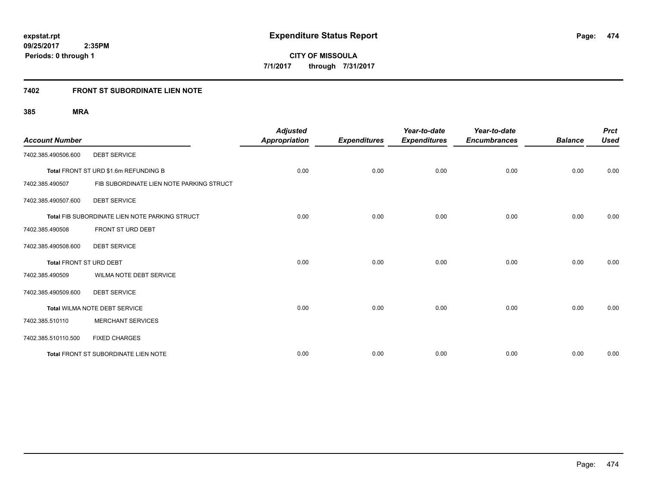#### **7402 FRONT ST SUBORDINATE LIEN NOTE**

|                         |                                                | <b>Adjusted</b>      |                     | Year-to-date        | Year-to-date        |                | <b>Prct</b> |
|-------------------------|------------------------------------------------|----------------------|---------------------|---------------------|---------------------|----------------|-------------|
| <b>Account Number</b>   |                                                | <b>Appropriation</b> | <b>Expenditures</b> | <b>Expenditures</b> | <b>Encumbrances</b> | <b>Balance</b> | <b>Used</b> |
| 7402.385.490506.600     | <b>DEBT SERVICE</b>                            |                      |                     |                     |                     |                |             |
|                         | Total FRONT ST URD \$1.6m REFUNDING B          | 0.00                 | 0.00                | 0.00                | 0.00                | 0.00           | 0.00        |
| 7402.385.490507         | FIB SUBORDINATE LIEN NOTE PARKING STRUCT       |                      |                     |                     |                     |                |             |
| 7402.385.490507.600     | <b>DEBT SERVICE</b>                            |                      |                     |                     |                     |                |             |
|                         | Total FIB SUBORDINATE LIEN NOTE PARKING STRUCT | 0.00                 | 0.00                | 0.00                | 0.00                | 0.00           | 0.00        |
| 7402.385.490508         | FRONT ST URD DEBT                              |                      |                     |                     |                     |                |             |
| 7402.385.490508.600     | <b>DEBT SERVICE</b>                            |                      |                     |                     |                     |                |             |
| Total FRONT ST URD DEBT |                                                | 0.00                 | 0.00                | 0.00                | 0.00                | 0.00           | 0.00        |
| 7402.385.490509         | WILMA NOTE DEBT SERVICE                        |                      |                     |                     |                     |                |             |
| 7402.385.490509.600     | <b>DEBT SERVICE</b>                            |                      |                     |                     |                     |                |             |
|                         | Total WILMA NOTE DEBT SERVICE                  | 0.00                 | 0.00                | 0.00                | 0.00                | 0.00           | 0.00        |
| 7402.385.510110         | <b>MERCHANT SERVICES</b>                       |                      |                     |                     |                     |                |             |
| 7402.385.510110.500     | <b>FIXED CHARGES</b>                           |                      |                     |                     |                     |                |             |
|                         | Total FRONT ST SUBORDINATE LIEN NOTE           | 0.00                 | 0.00                | 0.00                | 0.00                | 0.00           | 0.00        |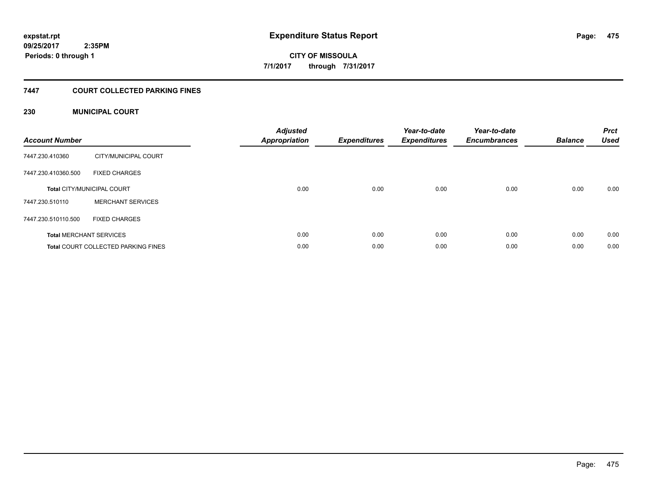### **09/25/2017 2:35PM Periods: 0 through 1**

**CITY OF MISSOULA 7/1/2017 through 7/31/2017**

#### **7447 COURT COLLECTED PARKING FINES**

#### **230 MUNICIPAL COURT**

| <b>Account Number</b> |                                            | <b>Adjusted</b><br>Appropriation | <b>Expenditures</b> | Year-to-date<br><b>Expenditures</b> | Year-to-date<br><b>Encumbrances</b> | <b>Balance</b> | <b>Prct</b><br><b>Used</b> |
|-----------------------|--------------------------------------------|----------------------------------|---------------------|-------------------------------------|-------------------------------------|----------------|----------------------------|
| 7447.230.410360       | CITY/MUNICIPAL COURT                       |                                  |                     |                                     |                                     |                |                            |
| 7447.230.410360.500   | <b>FIXED CHARGES</b>                       |                                  |                     |                                     |                                     |                |                            |
|                       | <b>Total CITY/MUNICIPAL COURT</b>          | 0.00                             | 0.00                | 0.00                                | 0.00                                | 0.00           | 0.00                       |
| 7447.230.510110       | <b>MERCHANT SERVICES</b>                   |                                  |                     |                                     |                                     |                |                            |
| 7447.230.510110.500   | <b>FIXED CHARGES</b>                       |                                  |                     |                                     |                                     |                |                            |
|                       | <b>Total MERCHANT SERVICES</b>             | 0.00                             | 0.00                | 0.00                                | 0.00                                | 0.00           | 0.00                       |
|                       | <b>Total COURT COLLECTED PARKING FINES</b> | 0.00                             | 0.00                | 0.00                                | 0.00                                | 0.00           | 0.00                       |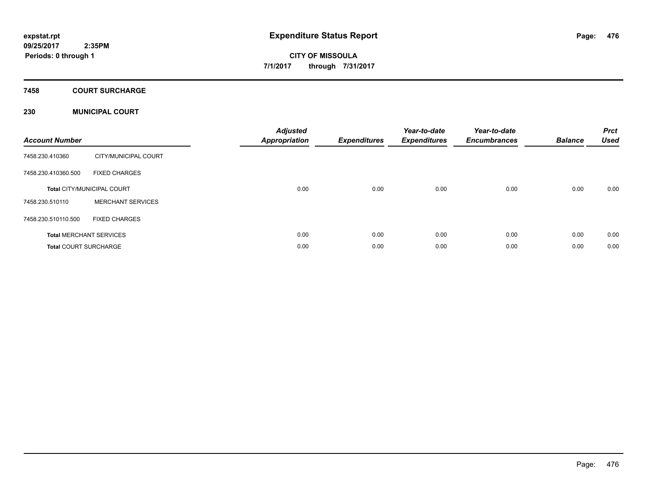#### **7458 COURT SURCHARGE**

#### **230 MUNICIPAL COURT**

| <b>Account Number</b>        |                                   | <b>Adjusted</b><br><b>Appropriation</b> | <b>Expenditures</b> | Year-to-date<br><b>Expenditures</b> | Year-to-date<br><b>Encumbrances</b> | <b>Balance</b> | <b>Prct</b><br><b>Used</b> |
|------------------------------|-----------------------------------|-----------------------------------------|---------------------|-------------------------------------|-------------------------------------|----------------|----------------------------|
| 7458.230.410360              | CITY/MUNICIPAL COURT              |                                         |                     |                                     |                                     |                |                            |
| 7458.230.410360.500          | <b>FIXED CHARGES</b>              |                                         |                     |                                     |                                     |                |                            |
|                              | <b>Total CITY/MUNICIPAL COURT</b> | 0.00                                    | 0.00                | 0.00                                | 0.00                                | 0.00           | 0.00                       |
| 7458.230.510110              | <b>MERCHANT SERVICES</b>          |                                         |                     |                                     |                                     |                |                            |
| 7458.230.510110.500          | <b>FIXED CHARGES</b>              |                                         |                     |                                     |                                     |                |                            |
|                              | <b>Total MERCHANT SERVICES</b>    | 0.00                                    | 0.00                | 0.00                                | 0.00                                | 0.00           | 0.00                       |
| <b>Total COURT SURCHARGE</b> |                                   | 0.00                                    | 0.00                | 0.00                                | 0.00                                | 0.00           | 0.00                       |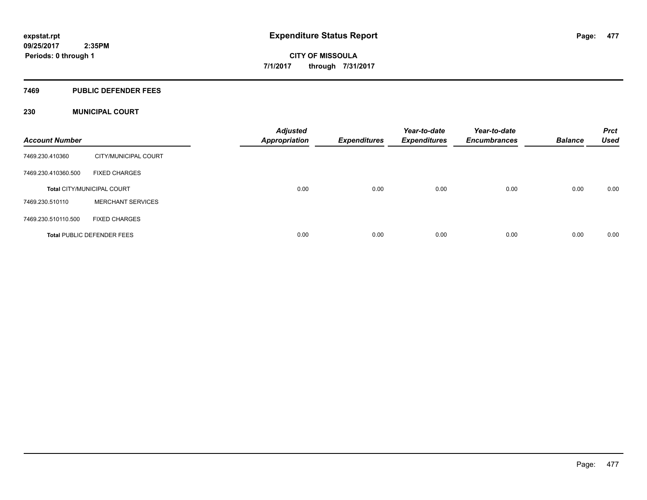#### **7469 PUBLIC DEFENDER FEES**

#### **230 MUNICIPAL COURT**

| <b>Account Number</b> |                                   | <b>Adjusted</b><br><b>Appropriation</b> | <b>Expenditures</b> | Year-to-date<br><b>Expenditures</b> | Year-to-date<br><b>Encumbrances</b> | <b>Balance</b> | <b>Prct</b><br><b>Used</b> |
|-----------------------|-----------------------------------|-----------------------------------------|---------------------|-------------------------------------|-------------------------------------|----------------|----------------------------|
| 7469.230.410360       | CITY/MUNICIPAL COURT              |                                         |                     |                                     |                                     |                |                            |
| 7469.230.410360.500   | <b>FIXED CHARGES</b>              |                                         |                     |                                     |                                     |                |                            |
|                       | <b>Total CITY/MUNICIPAL COURT</b> | 0.00                                    | 0.00                | 0.00                                | 0.00                                | 0.00           | 0.00                       |
| 7469.230.510110       | <b>MERCHANT SERVICES</b>          |                                         |                     |                                     |                                     |                |                            |
| 7469.230.510110.500   | <b>FIXED CHARGES</b>              |                                         |                     |                                     |                                     |                |                            |
|                       | <b>Total PUBLIC DEFENDER FEES</b> | 0.00                                    | 0.00                | 0.00                                | 0.00                                | 0.00           | 0.00                       |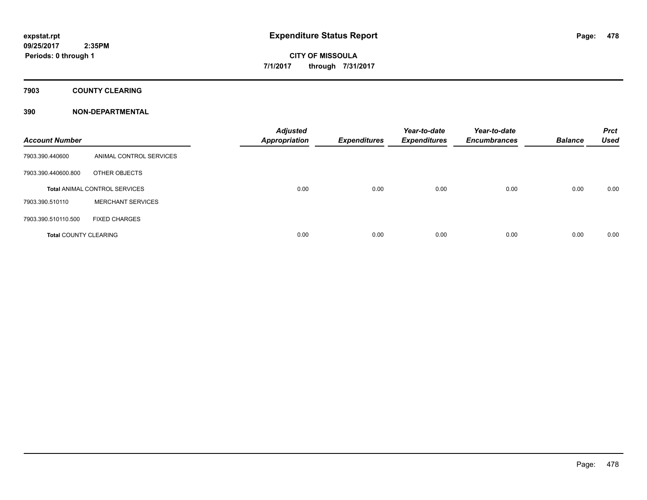**7903 COUNTY CLEARING**

#### **390 NON-DEPARTMENTAL**

| <b>Account Number</b>        |                                      | <b>Adjusted</b><br>Appropriation | <b>Expenditures</b> | Year-to-date<br><b>Expenditures</b> | Year-to-date<br><b>Encumbrances</b> | <b>Balance</b> | <b>Prct</b><br><b>Used</b> |
|------------------------------|--------------------------------------|----------------------------------|---------------------|-------------------------------------|-------------------------------------|----------------|----------------------------|
| 7903.390.440600              | ANIMAL CONTROL SERVICES              |                                  |                     |                                     |                                     |                |                            |
| 7903.390.440600.800          | OTHER OBJECTS                        |                                  |                     |                                     |                                     |                |                            |
|                              | <b>Total ANIMAL CONTROL SERVICES</b> | 0.00                             | 0.00                | 0.00                                | 0.00                                | 0.00           | 0.00                       |
| 7903.390.510110              | <b>MERCHANT SERVICES</b>             |                                  |                     |                                     |                                     |                |                            |
| 7903.390.510110.500          | <b>FIXED CHARGES</b>                 |                                  |                     |                                     |                                     |                |                            |
| <b>Total COUNTY CLEARING</b> |                                      | 0.00                             | 0.00                | 0.00                                | 0.00                                | 0.00           | 0.00                       |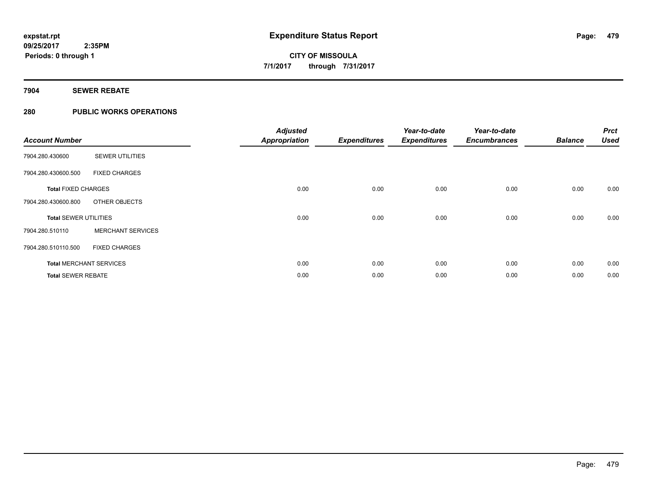**7904 SEWER REBATE**

#### **280 PUBLIC WORKS OPERATIONS**

| <b>Account Number</b>        |                                | <b>Adjusted</b><br><b>Appropriation</b> | <b>Expenditures</b> | Year-to-date<br><b>Expenditures</b> | Year-to-date<br><b>Encumbrances</b> | <b>Balance</b> | <b>Prct</b><br><b>Used</b> |
|------------------------------|--------------------------------|-----------------------------------------|---------------------|-------------------------------------|-------------------------------------|----------------|----------------------------|
| 7904.280.430600              | <b>SEWER UTILITIES</b>         |                                         |                     |                                     |                                     |                |                            |
| 7904.280.430600.500          | <b>FIXED CHARGES</b>           |                                         |                     |                                     |                                     |                |                            |
| <b>Total FIXED CHARGES</b>   |                                | 0.00                                    | 0.00                | 0.00                                | 0.00                                | 0.00           | 0.00                       |
| 7904.280.430600.800          | OTHER OBJECTS                  |                                         |                     |                                     |                                     |                |                            |
| <b>Total SEWER UTILITIES</b> |                                | 0.00                                    | 0.00                | 0.00                                | 0.00                                | 0.00           | 0.00                       |
| 7904.280.510110              | <b>MERCHANT SERVICES</b>       |                                         |                     |                                     |                                     |                |                            |
| 7904.280.510110.500          | <b>FIXED CHARGES</b>           |                                         |                     |                                     |                                     |                |                            |
|                              | <b>Total MERCHANT SERVICES</b> | 0.00                                    | 0.00                | 0.00                                | 0.00                                | 0.00           | 0.00                       |
| <b>Total SEWER REBATE</b>    |                                | 0.00                                    | 0.00                | 0.00                                | 0.00                                | 0.00           | 0.00                       |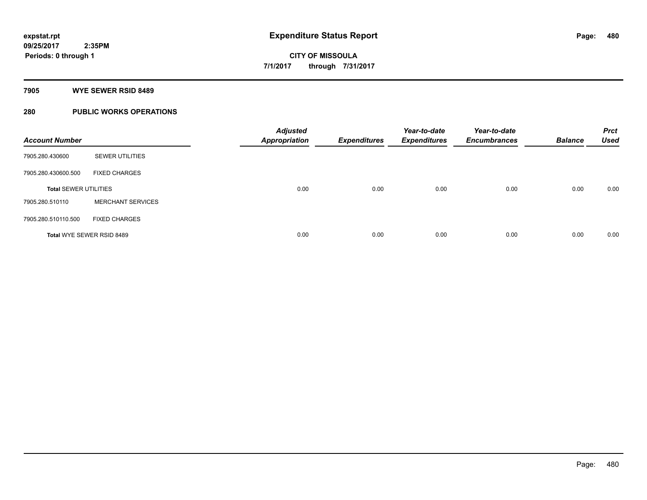#### **7905 WYE SEWER RSID 8489**

### **280 PUBLIC WORKS OPERATIONS**

| <b>Account Number</b>        |                                  | <b>Adjusted</b><br><b>Appropriation</b> | <b>Expenditures</b> | Year-to-date<br><b>Expenditures</b> | Year-to-date<br><b>Encumbrances</b> | <b>Balance</b> | <b>Prct</b><br><b>Used</b> |
|------------------------------|----------------------------------|-----------------------------------------|---------------------|-------------------------------------|-------------------------------------|----------------|----------------------------|
| 7905.280.430600              | <b>SEWER UTILITIES</b>           |                                         |                     |                                     |                                     |                |                            |
| 7905.280.430600.500          | <b>FIXED CHARGES</b>             |                                         |                     |                                     |                                     |                |                            |
| <b>Total SEWER UTILITIES</b> |                                  | 0.00                                    | 0.00                | 0.00                                | 0.00                                | 0.00           | 0.00                       |
| 7905.280.510110              | <b>MERCHANT SERVICES</b>         |                                         |                     |                                     |                                     |                |                            |
| 7905.280.510110.500          | <b>FIXED CHARGES</b>             |                                         |                     |                                     |                                     |                |                            |
|                              | <b>Total WYE SEWER RSID 8489</b> | 0.00                                    | 0.00                | 0.00                                | 0.00                                | 0.00           | 0.00                       |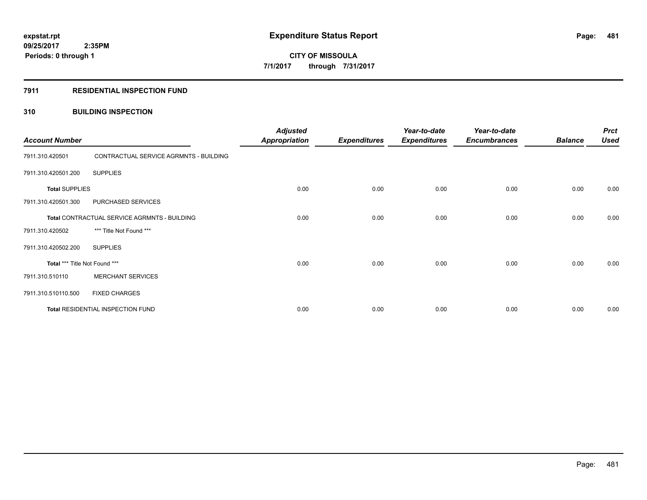#### **7911 RESIDENTIAL INSPECTION FUND**

#### **310 BUILDING INSPECTION**

| <b>Account Number</b>                        |                                        | <b>Adjusted</b><br><b>Appropriation</b> | <b>Expenditures</b> | Year-to-date<br><b>Expenditures</b> | Year-to-date<br><b>Encumbrances</b> | <b>Balance</b> | <b>Prct</b><br><b>Used</b> |
|----------------------------------------------|----------------------------------------|-----------------------------------------|---------------------|-------------------------------------|-------------------------------------|----------------|----------------------------|
| 7911.310.420501                              | CONTRACTUAL SERVICE AGRMNTS - BUILDING |                                         |                     |                                     |                                     |                |                            |
| 7911.310.420501.200                          | <b>SUPPLIES</b>                        |                                         |                     |                                     |                                     |                |                            |
| <b>Total SUPPLIES</b>                        |                                        | 0.00                                    | 0.00                | 0.00                                | 0.00                                | 0.00           | 0.00                       |
| 7911.310.420501.300                          | PURCHASED SERVICES                     |                                         |                     |                                     |                                     |                |                            |
| Total CONTRACTUAL SERVICE AGRMNTS - BUILDING |                                        | 0.00                                    | 0.00                | 0.00                                | 0.00                                | 0.00           | 0.00                       |
| 7911.310.420502                              | *** Title Not Found ***                |                                         |                     |                                     |                                     |                |                            |
| 7911.310.420502.200                          | <b>SUPPLIES</b>                        |                                         |                     |                                     |                                     |                |                            |
| Total *** Title Not Found ***                |                                        | 0.00                                    | 0.00                | 0.00                                | 0.00                                | 0.00           | 0.00                       |
| 7911.310.510110                              | <b>MERCHANT SERVICES</b>               |                                         |                     |                                     |                                     |                |                            |
| 7911.310.510110.500                          | <b>FIXED CHARGES</b>                   |                                         |                     |                                     |                                     |                |                            |
| Total RESIDENTIAL INSPECTION FUND            |                                        | 0.00                                    | 0.00                | 0.00                                | 0.00                                | 0.00           | 0.00                       |